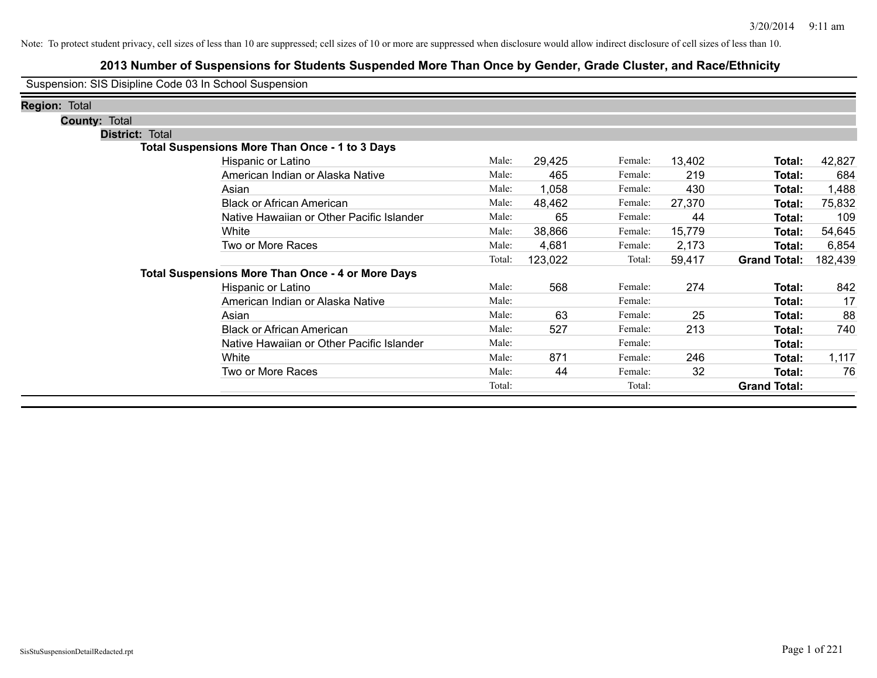# **2013 Number of Suspensions for Students Suspended More Than Once by Gender, Grade Cluster, and Race/Ethnicity**

Suspension: SIS Disipline Code 03 In School Suspension

| <b>Region: Total</b> |                        |                                                          |        |         |         |        |                     |         |
|----------------------|------------------------|----------------------------------------------------------|--------|---------|---------|--------|---------------------|---------|
|                      | <b>County: Total</b>   |                                                          |        |         |         |        |                     |         |
|                      | <b>District: Total</b> |                                                          |        |         |         |        |                     |         |
|                      |                        | <b>Total Suspensions More Than Once - 1 to 3 Days</b>    |        |         |         |        |                     |         |
|                      |                        | Hispanic or Latino                                       | Male:  | 29,425  | Female: | 13,402 | Total:              | 42,827  |
|                      |                        | American Indian or Alaska Native                         | Male:  | 465     | Female: | 219    | Total:              | 684     |
|                      |                        | Asian                                                    | Male:  | 1,058   | Female: | 430    | Total:              | 1,488   |
|                      |                        | <b>Black or African American</b>                         | Male:  | 48,462  | Female: | 27,370 | Total:              | 75,832  |
|                      |                        | Native Hawaiian or Other Pacific Islander                | Male:  | 65      | Female: | 44     | Total:              | 109     |
|                      |                        | White                                                    | Male:  | 38,866  | Female: | 15,779 | Total:              | 54,645  |
|                      |                        | Two or More Races                                        | Male:  | 4,681   | Female: | 2,173  | Total:              | 6,854   |
|                      |                        |                                                          | Total: | 123,022 | Total:  | 59,417 | <b>Grand Total:</b> | 182,439 |
|                      |                        | <b>Total Suspensions More Than Once - 4 or More Days</b> |        |         |         |        |                     |         |
|                      |                        | Hispanic or Latino                                       | Male:  | 568     | Female: | 274    | Total:              | 842     |
|                      |                        | American Indian or Alaska Native                         | Male:  |         | Female: |        | Total:              | 17      |
|                      |                        | Asian                                                    | Male:  | 63      | Female: | 25     | Total:              | 88      |
|                      |                        | <b>Black or African American</b>                         | Male:  | 527     | Female: | 213    | Total:              | 740     |
|                      |                        | Native Hawaiian or Other Pacific Islander                | Male:  |         | Female: |        | Total:              |         |
|                      |                        | White                                                    | Male:  | 871     | Female: | 246    | Total:              | 1,117   |
|                      |                        | Two or More Races                                        | Male:  | 44      | Female: | 32     | Total:              | 76      |
|                      |                        |                                                          | Total: |         | Total:  |        | <b>Grand Total:</b> |         |
|                      |                        |                                                          |        |         |         |        |                     |         |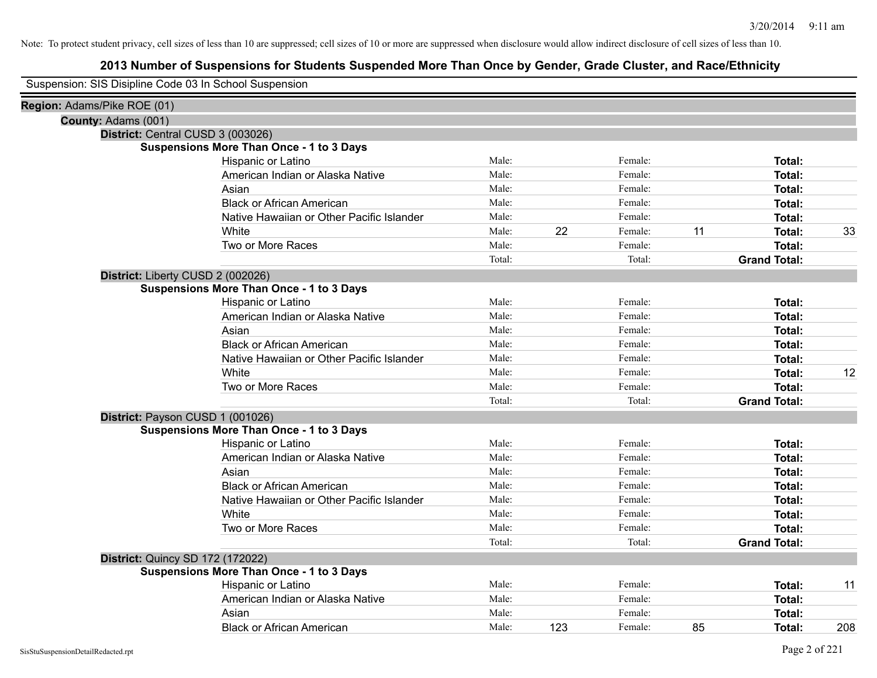| Suspension: SIS Disipline Code 03 In School Suspension |
|--------------------------------------------------------|
|--------------------------------------------------------|

| Region: Adams/Pike ROE (01) |                                                 |        |     |         |    |                     |     |
|-----------------------------|-------------------------------------------------|--------|-----|---------|----|---------------------|-----|
| County: Adams (001)         |                                                 |        |     |         |    |                     |     |
|                             | District: Central CUSD 3 (003026)               |        |     |         |    |                     |     |
|                             | <b>Suspensions More Than Once - 1 to 3 Days</b> |        |     |         |    |                     |     |
|                             | Hispanic or Latino                              | Male:  |     | Female: |    | Total:              |     |
|                             | American Indian or Alaska Native                | Male:  |     | Female: |    | Total:              |     |
|                             | Asian                                           | Male:  |     | Female: |    | Total:              |     |
|                             | <b>Black or African American</b>                | Male:  |     | Female: |    | Total:              |     |
|                             | Native Hawaiian or Other Pacific Islander       | Male:  |     | Female: |    | Total:              |     |
|                             | White                                           | Male:  | 22  | Female: | 11 | Total:              | 33  |
|                             | Two or More Races                               | Male:  |     | Female: |    | Total:              |     |
|                             |                                                 | Total: |     | Total:  |    | <b>Grand Total:</b> |     |
|                             | District: Liberty CUSD 2 (002026)               |        |     |         |    |                     |     |
|                             | <b>Suspensions More Than Once - 1 to 3 Days</b> |        |     |         |    |                     |     |
|                             | Hispanic or Latino                              | Male:  |     | Female: |    | Total:              |     |
|                             | American Indian or Alaska Native                | Male:  |     | Female: |    | Total:              |     |
|                             | Asian                                           | Male:  |     | Female: |    | Total:              |     |
|                             | <b>Black or African American</b>                | Male:  |     | Female: |    | Total:              |     |
|                             | Native Hawaiian or Other Pacific Islander       | Male:  |     | Female: |    | Total:              |     |
|                             | White                                           | Male:  |     | Female: |    | Total:              | 12  |
|                             | Two or More Races                               | Male:  |     | Female: |    | Total:              |     |
|                             |                                                 | Total: |     | Total:  |    | <b>Grand Total:</b> |     |
|                             | District: Payson CUSD 1 (001026)                |        |     |         |    |                     |     |
|                             | <b>Suspensions More Than Once - 1 to 3 Days</b> |        |     |         |    |                     |     |
|                             | Hispanic or Latino                              | Male:  |     | Female: |    | Total:              |     |
|                             | American Indian or Alaska Native                | Male:  |     | Female: |    | Total:              |     |
|                             | Asian                                           | Male:  |     | Female: |    | Total:              |     |
|                             | <b>Black or African American</b>                | Male:  |     | Female: |    | Total:              |     |
|                             | Native Hawaiian or Other Pacific Islander       | Male:  |     | Female: |    | Total:              |     |
|                             | White                                           | Male:  |     | Female: |    | Total:              |     |
|                             | Two or More Races                               | Male:  |     | Female: |    | Total:              |     |
|                             |                                                 | Total: |     | Total:  |    | <b>Grand Total:</b> |     |
|                             | <b>District: Quincy SD 172 (172022)</b>         |        |     |         |    |                     |     |
|                             | <b>Suspensions More Than Once - 1 to 3 Days</b> |        |     |         |    |                     |     |
|                             | Hispanic or Latino                              | Male:  |     | Female: |    | Total:              | 11  |
|                             | American Indian or Alaska Native                | Male:  |     | Female: |    | Total:              |     |
|                             | Asian                                           | Male:  |     | Female: |    | Total:              |     |
|                             | <b>Black or African American</b>                | Male:  | 123 | Female: | 85 | Total:              | 208 |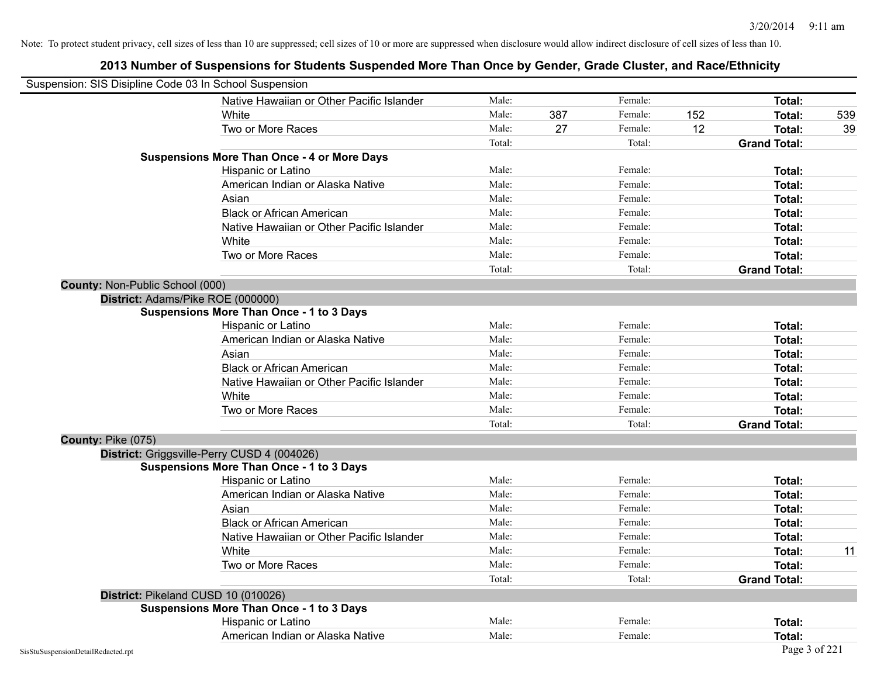|                                    | Suspension: SIS Disipline Code 03 In School Suspension |        |     |         |     |                     |     |
|------------------------------------|--------------------------------------------------------|--------|-----|---------|-----|---------------------|-----|
|                                    | Native Hawaiian or Other Pacific Islander              | Male:  |     | Female: |     | Total:              |     |
|                                    | White                                                  | Male:  | 387 | Female: | 152 | Total:              | 539 |
|                                    | Two or More Races                                      | Male:  | 27  | Female: | 12  | Total:              | 39  |
|                                    |                                                        | Total: |     | Total:  |     | <b>Grand Total:</b> |     |
|                                    | <b>Suspensions More Than Once - 4 or More Days</b>     |        |     |         |     |                     |     |
|                                    | Hispanic or Latino                                     | Male:  |     | Female: |     | <b>Total:</b>       |     |
|                                    | American Indian or Alaska Native                       | Male:  |     | Female: |     | Total:              |     |
|                                    | Asian                                                  | Male:  |     | Female: |     | Total:              |     |
|                                    | <b>Black or African American</b>                       | Male:  |     | Female: |     | Total:              |     |
|                                    | Native Hawaiian or Other Pacific Islander              | Male:  |     | Female: |     | Total:              |     |
|                                    | White                                                  | Male:  |     | Female: |     | Total:              |     |
|                                    | Two or More Races                                      | Male:  |     | Female: |     | <b>Total:</b>       |     |
|                                    |                                                        | Total: |     | Total:  |     | <b>Grand Total:</b> |     |
| County: Non-Public School (000)    |                                                        |        |     |         |     |                     |     |
|                                    | District: Adams/Pike ROE (000000)                      |        |     |         |     |                     |     |
|                                    | <b>Suspensions More Than Once - 1 to 3 Days</b>        |        |     |         |     |                     |     |
|                                    | Hispanic or Latino                                     | Male:  |     | Female: |     | Total:              |     |
|                                    | American Indian or Alaska Native                       | Male:  |     | Female: |     | <b>Total:</b>       |     |
|                                    | Asian                                                  | Male:  |     | Female: |     | Total:              |     |
|                                    | <b>Black or African American</b>                       | Male:  |     | Female: |     | Total:              |     |
|                                    | Native Hawaiian or Other Pacific Islander              | Male:  |     | Female: |     | Total:              |     |
|                                    | White                                                  | Male:  |     | Female: |     | <b>Total:</b>       |     |
|                                    | Two or More Races                                      | Male:  |     | Female: |     | <b>Total:</b>       |     |
|                                    |                                                        | Total: |     | Total:  |     | <b>Grand Total:</b> |     |
| County: Pike (075)                 |                                                        |        |     |         |     |                     |     |
|                                    | District: Griggsville-Perry CUSD 4 (004026)            |        |     |         |     |                     |     |
|                                    | <b>Suspensions More Than Once - 1 to 3 Days</b>        |        |     |         |     |                     |     |
|                                    | Hispanic or Latino                                     | Male:  |     | Female: |     | Total:              |     |
|                                    | American Indian or Alaska Native                       | Male:  |     | Female: |     | <b>Total:</b>       |     |
|                                    | Asian                                                  | Male:  |     | Female: |     | Total:              |     |
|                                    | <b>Black or African American</b>                       | Male:  |     | Female: |     | Total:              |     |
|                                    | Native Hawaiian or Other Pacific Islander              | Male:  |     | Female: |     | Total:              |     |
|                                    | White                                                  | Male:  |     | Female: |     | Total:              | 11  |
|                                    | Two or More Races                                      | Male:  |     | Female: |     | <b>Total:</b>       |     |
|                                    |                                                        | Total: |     | Total:  |     | <b>Grand Total:</b> |     |
|                                    | District: Pikeland CUSD 10 (010026)                    |        |     |         |     |                     |     |
|                                    | <b>Suspensions More Than Once - 1 to 3 Days</b>        |        |     |         |     |                     |     |
|                                    | Hispanic or Latino                                     | Male:  |     | Female: |     | Total:              |     |
|                                    | American Indian or Alaska Native                       | Male:  |     | Female: |     | Total:              |     |
| SisStuSuspensionDetailRedacted.rpt |                                                        |        |     |         |     | Page 3 of 221       |     |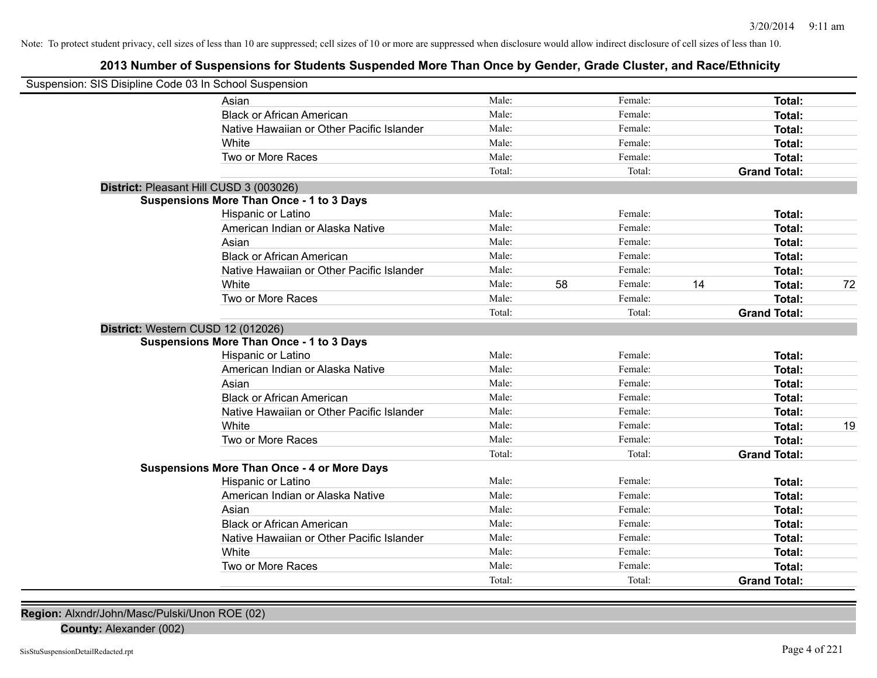# **2013 Number of Suspensions for Students Suspended More Than Once by Gender, Grade Cluster, and Race/Ethnicity**

| Suspension: SIS Disipline Code 03 In School Suspension |        |    |         |    |                     |    |
|--------------------------------------------------------|--------|----|---------|----|---------------------|----|
| Asian                                                  | Male:  |    | Female: |    | Total:              |    |
| <b>Black or African American</b>                       | Male:  |    | Female: |    | Total:              |    |
| Native Hawaiian or Other Pacific Islander              | Male:  |    | Female: |    | Total:              |    |
| White                                                  | Male:  |    | Female: |    | Total:              |    |
| Two or More Races                                      | Male:  |    | Female: |    | Total:              |    |
|                                                        | Total: |    | Total:  |    | <b>Grand Total:</b> |    |
| District: Pleasant Hill CUSD 3 (003026)                |        |    |         |    |                     |    |
| <b>Suspensions More Than Once - 1 to 3 Days</b>        |        |    |         |    |                     |    |
| Hispanic or Latino                                     | Male:  |    | Female: |    | Total:              |    |
| American Indian or Alaska Native                       | Male:  |    | Female: |    | Total:              |    |
| Asian                                                  | Male:  |    | Female: |    | Total:              |    |
| <b>Black or African American</b>                       | Male:  |    | Female: |    | Total:              |    |
| Native Hawaiian or Other Pacific Islander              | Male:  |    | Female: |    | Total:              |    |
| White                                                  | Male:  | 58 | Female: | 14 | Total:              | 72 |
| Two or More Races                                      | Male:  |    | Female: |    | Total:              |    |
|                                                        | Total: |    | Total:  |    | <b>Grand Total:</b> |    |
| District: Western CUSD 12 (012026)                     |        |    |         |    |                     |    |
| <b>Suspensions More Than Once - 1 to 3 Days</b>        |        |    |         |    |                     |    |
| Hispanic or Latino                                     | Male:  |    | Female: |    | Total:              |    |
| American Indian or Alaska Native                       | Male:  |    | Female: |    | Total:              |    |
| Asian                                                  | Male:  |    | Female: |    | Total:              |    |
| <b>Black or African American</b>                       | Male:  |    | Female: |    | Total:              |    |
| Native Hawaiian or Other Pacific Islander              | Male:  |    | Female: |    | Total:              |    |
| White                                                  | Male:  |    | Female: |    | Total:              | 19 |
| Two or More Races                                      | Male:  |    | Female: |    | Total:              |    |
|                                                        | Total: |    | Total:  |    | <b>Grand Total:</b> |    |
| <b>Suspensions More Than Once - 4 or More Days</b>     |        |    |         |    |                     |    |
| Hispanic or Latino                                     | Male:  |    | Female: |    | Total:              |    |
| American Indian or Alaska Native                       | Male:  |    | Female: |    | Total:              |    |
| Asian                                                  | Male:  |    | Female: |    | Total:              |    |
| <b>Black or African American</b>                       | Male:  |    | Female: |    | Total:              |    |
| Native Hawaiian or Other Pacific Islander              | Male:  |    | Female: |    | Total:              |    |
| White                                                  | Male:  |    | Female: |    | Total:              |    |
| Two or More Races                                      | Male:  |    | Female: |    | Total:              |    |
|                                                        | Total: |    | Total:  |    | <b>Grand Total:</b> |    |
|                                                        |        |    |         |    |                     |    |

**Region:** Alxndr/John/Masc/Pulski/Unon ROE (02)

**County:** Alexander (002)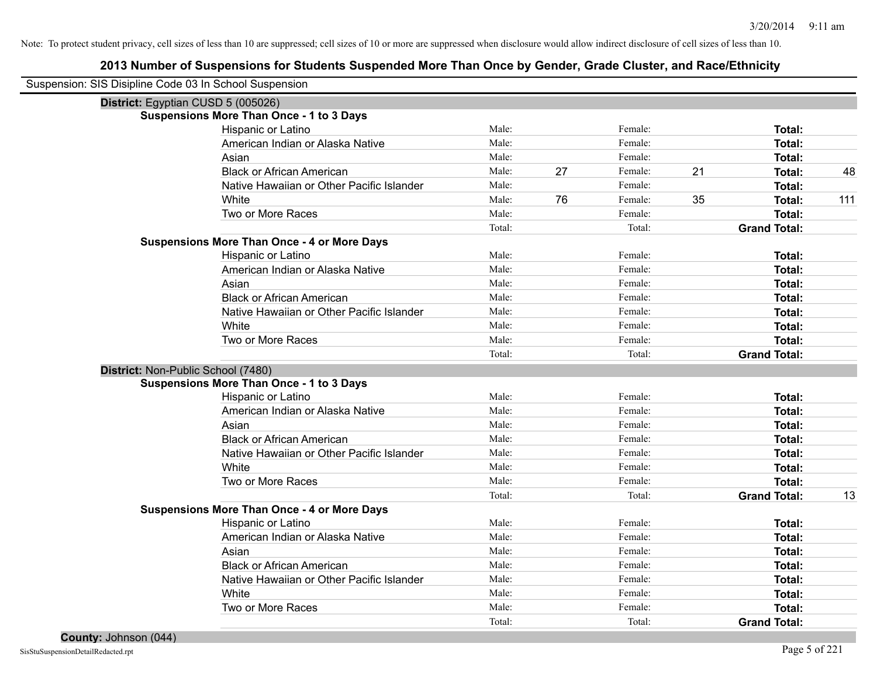| Suspension: SIS Disipline Code 03 In School Suspension |                                                    |        |    |         |    |                     |     |
|--------------------------------------------------------|----------------------------------------------------|--------|----|---------|----|---------------------|-----|
| District: Egyptian CUSD 5 (005026)                     |                                                    |        |    |         |    |                     |     |
|                                                        | Suspensions More Than Once - 1 to 3 Days           |        |    |         |    |                     |     |
|                                                        | Hispanic or Latino                                 | Male:  |    | Female: |    | Total:              |     |
|                                                        | American Indian or Alaska Native                   | Male:  |    | Female: |    | Total:              |     |
|                                                        | Asian                                              | Male:  |    | Female: |    | Total:              |     |
|                                                        | <b>Black or African American</b>                   | Male:  | 27 | Female: | 21 | Total:              | 48  |
|                                                        | Native Hawaiian or Other Pacific Islander          | Male:  |    | Female: |    | Total:              |     |
|                                                        | White                                              | Male:  | 76 | Female: | 35 | Total:              | 111 |
|                                                        | Two or More Races                                  | Male:  |    | Female: |    | <b>Total:</b>       |     |
|                                                        |                                                    | Total: |    | Total:  |    | <b>Grand Total:</b> |     |
|                                                        | <b>Suspensions More Than Once - 4 or More Days</b> |        |    |         |    |                     |     |
|                                                        | Hispanic or Latino                                 | Male:  |    | Female: |    | Total:              |     |
|                                                        | American Indian or Alaska Native                   | Male:  |    | Female: |    | <b>Total:</b>       |     |
|                                                        | Asian                                              | Male:  |    | Female: |    | Total:              |     |
|                                                        | <b>Black or African American</b>                   | Male:  |    | Female: |    | Total:              |     |
|                                                        | Native Hawaiian or Other Pacific Islander          | Male:  |    | Female: |    | Total:              |     |
|                                                        | White                                              | Male:  |    | Female: |    | Total:              |     |
|                                                        | Two or More Races                                  | Male:  |    | Female: |    | Total:              |     |
|                                                        |                                                    | Total: |    | Total:  |    | <b>Grand Total:</b> |     |
| District: Non-Public School (7480)                     |                                                    |        |    |         |    |                     |     |
|                                                        | <b>Suspensions More Than Once - 1 to 3 Days</b>    |        |    |         |    |                     |     |
|                                                        | Hispanic or Latino                                 | Male:  |    | Female: |    | Total:              |     |
|                                                        | American Indian or Alaska Native                   | Male:  |    | Female: |    | <b>Total:</b>       |     |
|                                                        | Asian                                              | Male:  |    | Female: |    | <b>Total:</b>       |     |
|                                                        | <b>Black or African American</b>                   | Male:  |    | Female: |    | <b>Total:</b>       |     |
|                                                        | Native Hawaiian or Other Pacific Islander          | Male:  |    | Female: |    | Total:              |     |
|                                                        | White                                              | Male:  |    | Female: |    | Total:              |     |
|                                                        | Two or More Races                                  | Male:  |    | Female: |    | Total:              |     |
|                                                        |                                                    | Total: |    | Total:  |    | <b>Grand Total:</b> | 13  |
|                                                        | <b>Suspensions More Than Once - 4 or More Days</b> |        |    |         |    |                     |     |
|                                                        | Hispanic or Latino                                 | Male:  |    | Female: |    | Total:              |     |
|                                                        | American Indian or Alaska Native                   | Male:  |    | Female: |    | <b>Total:</b>       |     |
|                                                        | Asian                                              | Male:  |    | Female: |    | <b>Total:</b>       |     |
|                                                        | <b>Black or African American</b>                   | Male:  |    | Female: |    | Total:              |     |
|                                                        | Native Hawaiian or Other Pacific Islander          | Male:  |    | Female: |    | Total:              |     |
|                                                        | White                                              | Male:  |    | Female: |    | <b>Total:</b>       |     |
|                                                        | Two or More Races                                  | Male:  |    | Female: |    | <b>Total:</b>       |     |
|                                                        |                                                    | Total: |    | Total:  |    | <b>Grand Total:</b> |     |
|                                                        |                                                    |        |    |         |    |                     |     |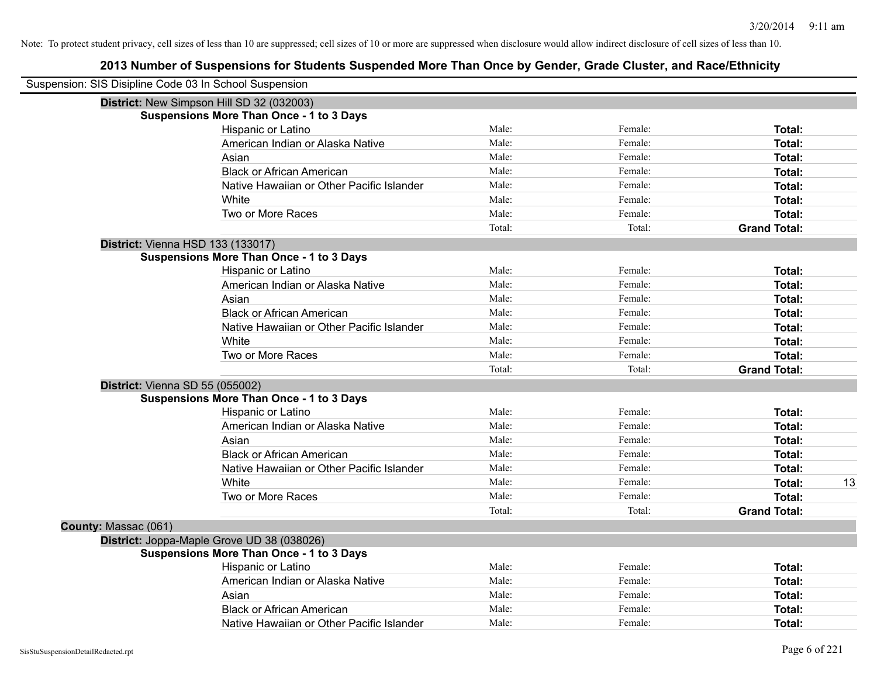|                      | Suspension: SIS Disipline Code 03 In School Suspension |        |         |                     |    |
|----------------------|--------------------------------------------------------|--------|---------|---------------------|----|
|                      | District: New Simpson Hill SD 32 (032003)              |        |         |                     |    |
|                      | <b>Suspensions More Than Once - 1 to 3 Days</b>        |        |         |                     |    |
|                      | Hispanic or Latino                                     | Male:  | Female: | Total:              |    |
|                      | American Indian or Alaska Native                       | Male:  | Female: | Total:              |    |
|                      | Asian                                                  | Male:  | Female: | Total:              |    |
|                      | <b>Black or African American</b>                       | Male:  | Female: | Total:              |    |
|                      | Native Hawaiian or Other Pacific Islander              | Male:  | Female: | Total:              |    |
|                      | White                                                  | Male:  | Female: | Total:              |    |
|                      | Two or More Races                                      | Male:  | Female: | Total:              |    |
|                      |                                                        | Total: | Total:  | <b>Grand Total:</b> |    |
|                      | District: Vienna HSD 133 (133017)                      |        |         |                     |    |
|                      | <b>Suspensions More Than Once - 1 to 3 Days</b>        |        |         |                     |    |
|                      | Hispanic or Latino                                     | Male:  | Female: | Total:              |    |
|                      | American Indian or Alaska Native                       | Male:  | Female: | Total:              |    |
|                      | Asian                                                  | Male:  | Female: | Total:              |    |
|                      | <b>Black or African American</b>                       | Male:  | Female: | Total:              |    |
|                      | Native Hawaiian or Other Pacific Islander              | Male:  | Female: | Total:              |    |
|                      | White                                                  | Male:  | Female: | Total:              |    |
|                      | Two or More Races                                      | Male:  | Female: | Total:              |    |
|                      |                                                        | Total: | Total:  | <b>Grand Total:</b> |    |
|                      | District: Vienna SD 55 (055002)                        |        |         |                     |    |
|                      | <b>Suspensions More Than Once - 1 to 3 Days</b>        |        |         |                     |    |
|                      | Hispanic or Latino                                     | Male:  | Female: | Total:              |    |
|                      | American Indian or Alaska Native                       | Male:  | Female: | Total:              |    |
|                      | Asian                                                  | Male:  | Female: | Total:              |    |
|                      | <b>Black or African American</b>                       | Male:  | Female: | Total:              |    |
|                      | Native Hawaiian or Other Pacific Islander              | Male:  | Female: | Total:              |    |
|                      | White                                                  | Male:  | Female: | Total:              | 13 |
|                      | Two or More Races                                      | Male:  | Female: | Total:              |    |
|                      |                                                        | Total: | Total:  | <b>Grand Total:</b> |    |
| County: Massac (061) |                                                        |        |         |                     |    |
|                      | District: Joppa-Maple Grove UD 38 (038026)             |        |         |                     |    |
|                      | <b>Suspensions More Than Once - 1 to 3 Days</b>        |        |         |                     |    |
|                      | Hispanic or Latino                                     | Male:  | Female: | Total:              |    |
|                      | American Indian or Alaska Native                       | Male:  | Female: | Total:              |    |
|                      | Asian                                                  | Male:  | Female: | Total:              |    |
|                      | <b>Black or African American</b>                       | Male:  | Female: | Total:              |    |
|                      | Native Hawaiian or Other Pacific Islander              | Male:  | Female: | Total:              |    |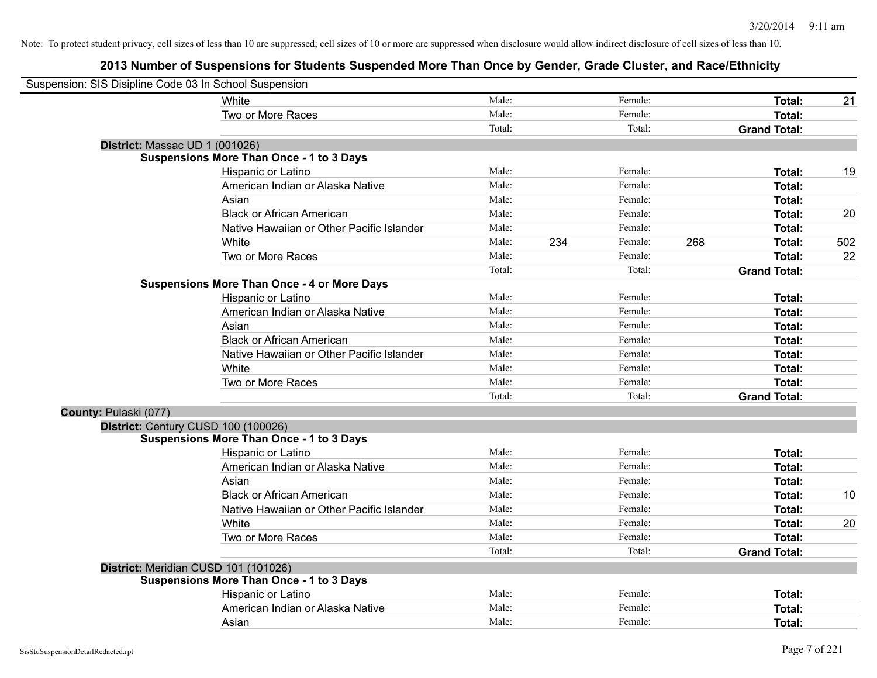| Suspension: SIS Disipline Code 03 In School Suspension |                                                    |        |     |         |     |                     |     |
|--------------------------------------------------------|----------------------------------------------------|--------|-----|---------|-----|---------------------|-----|
|                                                        | White                                              | Male:  |     | Female: |     | Total:              | 21  |
|                                                        | Two or More Races                                  | Male:  |     | Female: |     | <b>Total:</b>       |     |
|                                                        |                                                    | Total: |     | Total:  |     | <b>Grand Total:</b> |     |
| District: Massac UD 1 (001026)                         |                                                    |        |     |         |     |                     |     |
|                                                        | <b>Suspensions More Than Once - 1 to 3 Days</b>    |        |     |         |     |                     |     |
|                                                        | Hispanic or Latino                                 | Male:  |     | Female: |     | Total:              | 19  |
|                                                        | American Indian or Alaska Native                   | Male:  |     | Female: |     | <b>Total:</b>       |     |
|                                                        | Asian                                              | Male:  |     | Female: |     | <b>Total:</b>       |     |
|                                                        | <b>Black or African American</b>                   | Male:  |     | Female: |     | <b>Total:</b>       | 20  |
|                                                        | Native Hawaiian or Other Pacific Islander          | Male:  |     | Female: |     | <b>Total:</b>       |     |
|                                                        | White                                              | Male:  | 234 | Female: | 268 | Total:              | 502 |
|                                                        | Two or More Races                                  | Male:  |     | Female: |     | <b>Total:</b>       | 22  |
|                                                        |                                                    | Total: |     | Total:  |     | <b>Grand Total:</b> |     |
|                                                        | <b>Suspensions More Than Once - 4 or More Days</b> |        |     |         |     |                     |     |
|                                                        | Hispanic or Latino                                 | Male:  |     | Female: |     | <b>Total:</b>       |     |
|                                                        | American Indian or Alaska Native                   | Male:  |     | Female: |     | Total:              |     |
|                                                        | Asian                                              | Male:  |     | Female: |     | <b>Total:</b>       |     |
|                                                        | <b>Black or African American</b>                   | Male:  |     | Female: |     | <b>Total:</b>       |     |
|                                                        | Native Hawaiian or Other Pacific Islander          | Male:  |     | Female: |     | <b>Total:</b>       |     |
|                                                        | White                                              | Male:  |     | Female: |     | <b>Total:</b>       |     |
|                                                        | Two or More Races                                  | Male:  |     | Female: |     | <b>Total:</b>       |     |
|                                                        |                                                    | Total: |     | Total:  |     | <b>Grand Total:</b> |     |
| County: Pulaski (077)                                  |                                                    |        |     |         |     |                     |     |
| District: Century CUSD 100 (100026)                    |                                                    |        |     |         |     |                     |     |
|                                                        | <b>Suspensions More Than Once - 1 to 3 Days</b>    |        |     |         |     |                     |     |
|                                                        | Hispanic or Latino                                 | Male:  |     | Female: |     | <b>Total:</b>       |     |
|                                                        | American Indian or Alaska Native                   | Male:  |     | Female: |     | <b>Total:</b>       |     |
|                                                        | Asian                                              | Male:  |     | Female: |     | Total:              |     |
|                                                        | <b>Black or African American</b>                   | Male:  |     | Female: |     | <b>Total:</b>       | 10  |
|                                                        | Native Hawaiian or Other Pacific Islander          | Male:  |     | Female: |     | <b>Total:</b>       |     |
|                                                        | White                                              | Male:  |     | Female: |     | <b>Total:</b>       | 20  |
|                                                        | Two or More Races                                  | Male:  |     | Female: |     | Total:              |     |
|                                                        |                                                    | Total: |     | Total:  |     | <b>Grand Total:</b> |     |
| District: Meridian CUSD 101 (101026)                   |                                                    |        |     |         |     |                     |     |
|                                                        | <b>Suspensions More Than Once - 1 to 3 Days</b>    |        |     |         |     |                     |     |
|                                                        | Hispanic or Latino                                 | Male:  |     | Female: |     | Total:              |     |
|                                                        | American Indian or Alaska Native                   | Male:  |     | Female: |     | <b>Total:</b>       |     |
|                                                        | Asian                                              | Male:  |     | Female: |     | <b>Total:</b>       |     |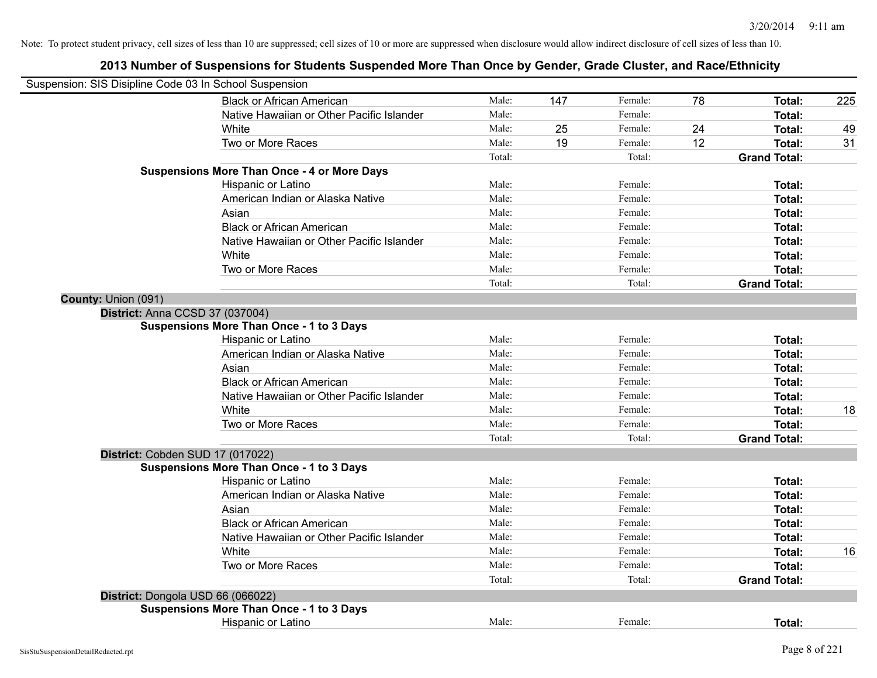| Suspension: SIS Disipline Code 03 In School Suspension |                                                    |        |     |         |    |                     |     |
|--------------------------------------------------------|----------------------------------------------------|--------|-----|---------|----|---------------------|-----|
|                                                        | <b>Black or African American</b>                   | Male:  | 147 | Female: | 78 | Total:              | 225 |
|                                                        | Native Hawaiian or Other Pacific Islander          | Male:  |     | Female: |    | Total:              |     |
|                                                        | White                                              | Male:  | 25  | Female: | 24 | Total:              | 49  |
|                                                        | Two or More Races                                  | Male:  | 19  | Female: | 12 | Total:              | 31  |
|                                                        |                                                    | Total: |     | Total:  |    | <b>Grand Total:</b> |     |
|                                                        | <b>Suspensions More Than Once - 4 or More Days</b> |        |     |         |    |                     |     |
|                                                        | Hispanic or Latino                                 | Male:  |     | Female: |    | Total:              |     |
|                                                        | American Indian or Alaska Native                   | Male:  |     | Female: |    | Total:              |     |
|                                                        | Asian                                              | Male:  |     | Female: |    | Total:              |     |
|                                                        | <b>Black or African American</b>                   | Male:  |     | Female: |    | Total:              |     |
|                                                        | Native Hawaiian or Other Pacific Islander          | Male:  |     | Female: |    | Total:              |     |
|                                                        | White                                              | Male:  |     | Female: |    | Total:              |     |
|                                                        | Two or More Races                                  | Male:  |     | Female: |    | Total:              |     |
|                                                        |                                                    | Total: |     | Total:  |    | <b>Grand Total:</b> |     |
| County: Union (091)                                    |                                                    |        |     |         |    |                     |     |
| District: Anna CCSD 37 (037004)                        |                                                    |        |     |         |    |                     |     |
|                                                        | <b>Suspensions More Than Once - 1 to 3 Days</b>    |        |     |         |    |                     |     |
|                                                        | Hispanic or Latino                                 | Male:  |     | Female: |    | Total:              |     |
|                                                        | American Indian or Alaska Native                   | Male:  |     | Female: |    | Total:              |     |
|                                                        | Asian                                              | Male:  |     | Female: |    | Total:              |     |
|                                                        | <b>Black or African American</b>                   | Male:  |     | Female: |    | Total:              |     |
|                                                        | Native Hawaiian or Other Pacific Islander          | Male:  |     | Female: |    | Total:              |     |
|                                                        | White                                              | Male:  |     | Female: |    | Total:              | 18  |
|                                                        | Two or More Races                                  | Male:  |     | Female: |    | Total:              |     |
|                                                        |                                                    | Total: |     | Total:  |    | <b>Grand Total:</b> |     |
|                                                        | District: Cobden SUD 17 (017022)                   |        |     |         |    |                     |     |
|                                                        | <b>Suspensions More Than Once - 1 to 3 Days</b>    |        |     |         |    |                     |     |
|                                                        | Hispanic or Latino                                 | Male:  |     | Female: |    | Total:              |     |
|                                                        | American Indian or Alaska Native                   | Male:  |     | Female: |    | Total:              |     |
|                                                        | Asian                                              | Male:  |     | Female: |    | Total:              |     |
|                                                        | <b>Black or African American</b>                   | Male:  |     | Female: |    | Total:              |     |
|                                                        | Native Hawaiian or Other Pacific Islander          | Male:  |     | Female: |    | Total:              |     |
|                                                        | White                                              | Male:  |     | Female: |    | Total:              | 16  |
|                                                        | Two or More Races                                  | Male:  |     | Female: |    | Total:              |     |
|                                                        |                                                    | Total: |     | Total:  |    | <b>Grand Total:</b> |     |
|                                                        | District: Dongola USD 66 (066022)                  |        |     |         |    |                     |     |
|                                                        | <b>Suspensions More Than Once - 1 to 3 Days</b>    |        |     |         |    |                     |     |
|                                                        | Hispanic or Latino                                 | Male:  |     | Female: |    | Total:              |     |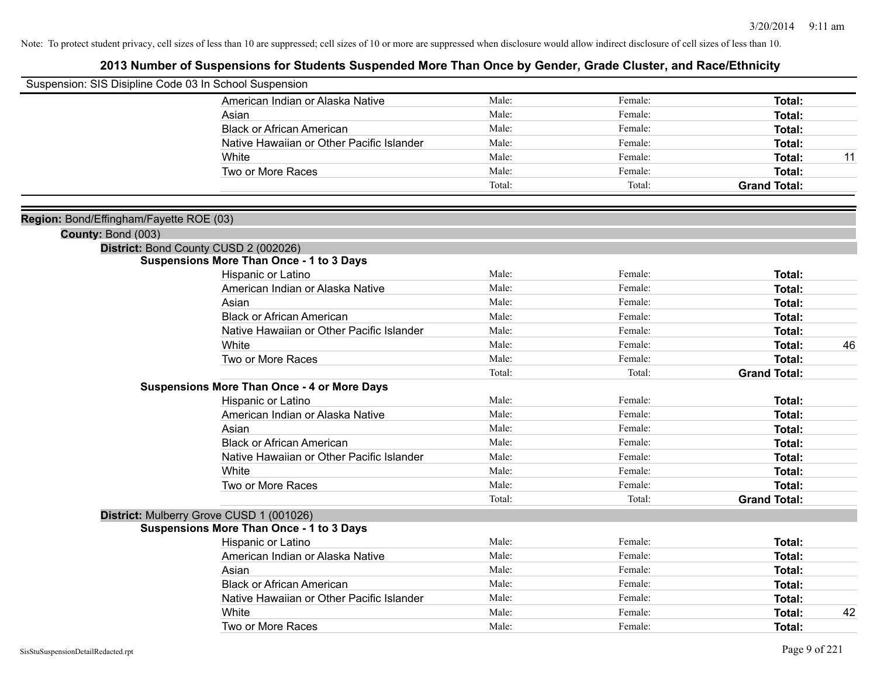| Suspension: SIS Disipline Code 03 In School Suspension |                                                    |        |         |                                |    |
|--------------------------------------------------------|----------------------------------------------------|--------|---------|--------------------------------|----|
|                                                        | American Indian or Alaska Native                   | Male:  | Female: | Total:                         |    |
|                                                        | Asian                                              | Male:  | Female: | Total:                         |    |
|                                                        | <b>Black or African American</b>                   | Male:  | Female: | <b>Total:</b>                  |    |
|                                                        | Native Hawaiian or Other Pacific Islander          | Male:  | Female: | Total:                         |    |
|                                                        | <b>White</b>                                       | Male:  | Female: | Total:                         | 11 |
|                                                        | Two or More Races                                  | Male:  | Female: | <b>Total:</b>                  |    |
|                                                        |                                                    | Total: | Total:  | <b>Grand Total:</b>            |    |
|                                                        |                                                    |        |         |                                |    |
| Region: Bond/Effingham/Fayette ROE (03)                |                                                    |        |         |                                |    |
| County: Bond (003)                                     |                                                    |        |         |                                |    |
|                                                        | District: Bond County CUSD 2 (002026)              |        |         |                                |    |
|                                                        | <b>Suspensions More Than Once - 1 to 3 Days</b>    | Male:  | Female: |                                |    |
|                                                        | Hispanic or Latino                                 | Male:  | Female: | Total:                         |    |
|                                                        | American Indian or Alaska Native                   | Male:  | Female: | <b>Total:</b>                  |    |
|                                                        | Asian<br><b>Black or African American</b>          | Male:  | Female: | Total:                         |    |
|                                                        |                                                    | Male:  | Female: | Total:                         |    |
|                                                        | Native Hawaiian or Other Pacific Islander<br>White | Male:  | Female: | <b>Total:</b><br><b>Total:</b> | 46 |
|                                                        | Two or More Races                                  | Male:  | Female: | <b>Total:</b>                  |    |
|                                                        |                                                    | Total: | Total:  | <b>Grand Total:</b>            |    |
|                                                        | <b>Suspensions More Than Once - 4 or More Days</b> |        |         |                                |    |
|                                                        | Hispanic or Latino                                 | Male:  | Female: | Total:                         |    |
|                                                        | American Indian or Alaska Native                   | Male:  | Female: | Total:                         |    |
|                                                        | Asian                                              | Male:  | Female: | Total:                         |    |
|                                                        | <b>Black or African American</b>                   | Male:  | Female: | Total:                         |    |
|                                                        | Native Hawaiian or Other Pacific Islander          | Male:  | Female: | <b>Total:</b>                  |    |
|                                                        | White                                              | Male:  | Female: | Total:                         |    |
|                                                        | Two or More Races                                  | Male:  | Female: | <b>Total:</b>                  |    |
|                                                        |                                                    | Total: | Total:  | <b>Grand Total:</b>            |    |
|                                                        | District: Mulberry Grove CUSD 1 (001026)           |        |         |                                |    |
|                                                        | <b>Suspensions More Than Once - 1 to 3 Days</b>    |        |         |                                |    |
|                                                        | Hispanic or Latino                                 | Male:  | Female: | Total:                         |    |
|                                                        | American Indian or Alaska Native                   | Male:  | Female: | Total:                         |    |
|                                                        | Asian                                              | Male:  | Female: | Total:                         |    |
|                                                        | <b>Black or African American</b>                   | Male:  | Female: | Total:                         |    |
|                                                        | Native Hawaiian or Other Pacific Islander          | Male:  | Female: | <b>Total:</b>                  |    |
|                                                        | White                                              | Male:  | Female: | <b>Total:</b>                  | 42 |
|                                                        | Two or More Races                                  | Male:  | Female: | Total:                         |    |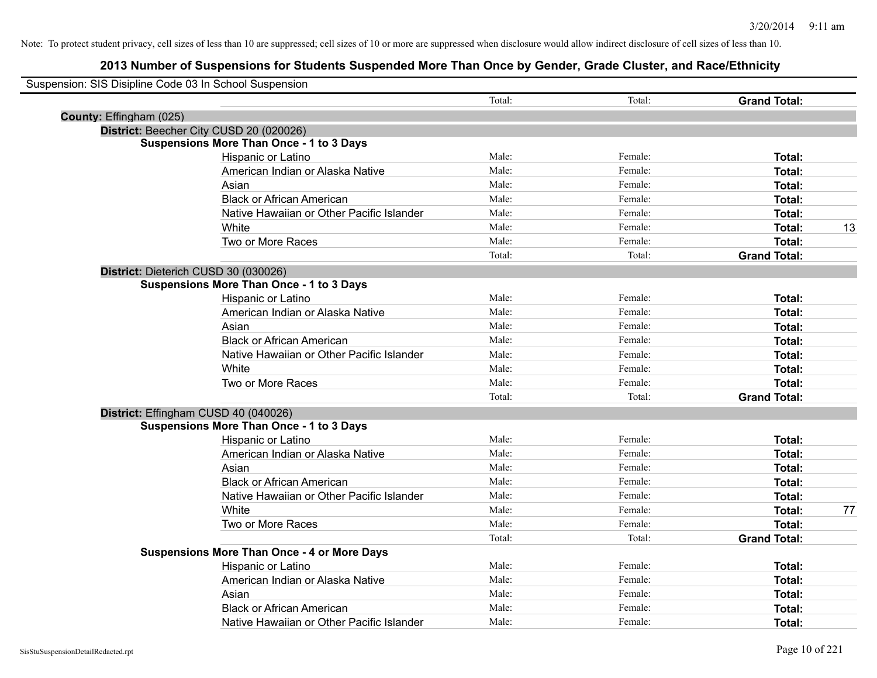| Suspension: SIS Disipline Code 03 In School Suspension |                                                    |        |         |                     |    |
|--------------------------------------------------------|----------------------------------------------------|--------|---------|---------------------|----|
|                                                        |                                                    | Total: | Total:  | <b>Grand Total:</b> |    |
| County: Effingham (025)                                |                                                    |        |         |                     |    |
|                                                        | District: Beecher City CUSD 20 (020026)            |        |         |                     |    |
|                                                        | <b>Suspensions More Than Once - 1 to 3 Days</b>    |        |         |                     |    |
|                                                        | Hispanic or Latino                                 | Male:  | Female: | Total:              |    |
|                                                        | American Indian or Alaska Native                   | Male:  | Female: | Total:              |    |
|                                                        | Asian                                              | Male:  | Female: | Total:              |    |
|                                                        | <b>Black or African American</b>                   | Male:  | Female: | Total:              |    |
|                                                        | Native Hawaiian or Other Pacific Islander          | Male:  | Female: | Total:              |    |
|                                                        | White                                              | Male:  | Female: | Total:              | 13 |
|                                                        | Two or More Races                                  | Male:  | Female: | Total:              |    |
|                                                        |                                                    | Total: | Total:  | <b>Grand Total:</b> |    |
|                                                        | District: Dieterich CUSD 30 (030026)               |        |         |                     |    |
|                                                        | <b>Suspensions More Than Once - 1 to 3 Days</b>    |        |         |                     |    |
|                                                        | Hispanic or Latino                                 | Male:  | Female: | Total:              |    |
|                                                        | American Indian or Alaska Native                   | Male:  | Female: | Total:              |    |
|                                                        | Asian                                              | Male:  | Female: | Total:              |    |
|                                                        | <b>Black or African American</b>                   | Male:  | Female: | Total:              |    |
|                                                        | Native Hawaiian or Other Pacific Islander          | Male:  | Female: | Total:              |    |
|                                                        | White                                              | Male:  | Female: | Total:              |    |
|                                                        | Two or More Races                                  | Male:  | Female: | Total:              |    |
|                                                        |                                                    | Total: | Total:  | <b>Grand Total:</b> |    |
|                                                        | District: Effingham CUSD 40 (040026)               |        |         |                     |    |
|                                                        | <b>Suspensions More Than Once - 1 to 3 Days</b>    |        |         |                     |    |
|                                                        | Hispanic or Latino                                 | Male:  | Female: | Total:              |    |
|                                                        | American Indian or Alaska Native                   | Male:  | Female: | Total:              |    |
|                                                        | Asian                                              | Male:  | Female: | Total:              |    |
|                                                        | <b>Black or African American</b>                   | Male:  | Female: | Total:              |    |
|                                                        | Native Hawaiian or Other Pacific Islander          | Male:  | Female: | <b>Total:</b>       |    |
|                                                        | White                                              | Male:  | Female: | Total:              | 77 |
|                                                        | Two or More Races                                  | Male:  | Female: | Total:              |    |
|                                                        |                                                    | Total: | Total:  | <b>Grand Total:</b> |    |
|                                                        | <b>Suspensions More Than Once - 4 or More Days</b> |        |         |                     |    |
|                                                        | Hispanic or Latino                                 | Male:  | Female: | Total:              |    |
|                                                        | American Indian or Alaska Native                   | Male:  | Female: | Total:              |    |
|                                                        | Asian                                              | Male:  | Female: | Total:              |    |
|                                                        | <b>Black or African American</b>                   | Male:  | Female: | Total:              |    |
|                                                        | Native Hawaiian or Other Pacific Islander          | Male:  | Female: | Total:              |    |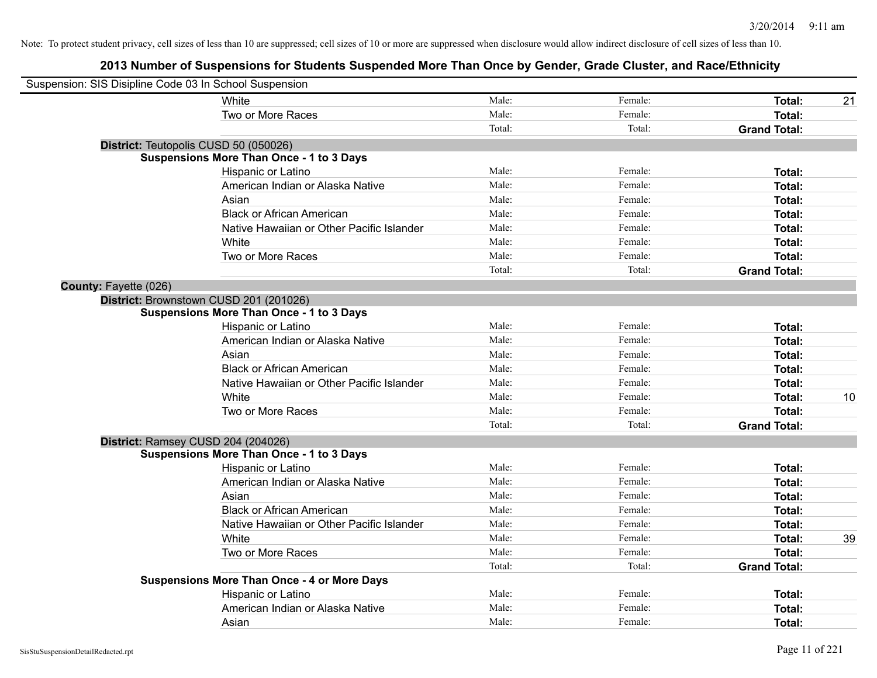| Suspension: SIS Disipline Code 03 In School Suspension |                                                    |        |         |                     |    |
|--------------------------------------------------------|----------------------------------------------------|--------|---------|---------------------|----|
|                                                        | White                                              | Male:  | Female: | Total:              | 21 |
|                                                        | Two or More Races                                  | Male:  | Female: | Total:              |    |
|                                                        |                                                    | Total: | Total:  | <b>Grand Total:</b> |    |
|                                                        | District: Teutopolis CUSD 50 (050026)              |        |         |                     |    |
|                                                        | <b>Suspensions More Than Once - 1 to 3 Days</b>    |        |         |                     |    |
|                                                        | Hispanic or Latino                                 | Male:  | Female: | Total:              |    |
|                                                        | American Indian or Alaska Native                   | Male:  | Female: | Total:              |    |
|                                                        | Asian                                              | Male:  | Female: | Total:              |    |
|                                                        | <b>Black or African American</b>                   | Male:  | Female: | Total:              |    |
|                                                        | Native Hawaiian or Other Pacific Islander          | Male:  | Female: | Total:              |    |
|                                                        | White                                              | Male:  | Female: | Total:              |    |
|                                                        | Two or More Races                                  | Male:  | Female: | Total:              |    |
|                                                        |                                                    | Total: | Total:  | <b>Grand Total:</b> |    |
| <b>County: Fayette (026)</b>                           |                                                    |        |         |                     |    |
|                                                        | District: Brownstown CUSD 201 (201026)             |        |         |                     |    |
|                                                        | <b>Suspensions More Than Once - 1 to 3 Days</b>    |        |         |                     |    |
|                                                        | Hispanic or Latino                                 | Male:  | Female: | Total:              |    |
|                                                        | American Indian or Alaska Native                   | Male:  | Female: | Total:              |    |
|                                                        | Asian                                              | Male:  | Female: | Total:              |    |
|                                                        | <b>Black or African American</b>                   | Male:  | Female: | Total:              |    |
|                                                        | Native Hawaiian or Other Pacific Islander          | Male:  | Female: | Total:              |    |
|                                                        | White                                              | Male:  | Female: | Total:              | 10 |
|                                                        | Two or More Races                                  | Male:  | Female: | Total:              |    |
|                                                        |                                                    | Total: | Total:  | <b>Grand Total:</b> |    |
|                                                        | District: Ramsey CUSD 204 (204026)                 |        |         |                     |    |
|                                                        | <b>Suspensions More Than Once - 1 to 3 Days</b>    |        |         |                     |    |
|                                                        | Hispanic or Latino                                 | Male:  | Female: | Total:              |    |
|                                                        | American Indian or Alaska Native                   | Male:  | Female: | Total:              |    |
|                                                        | Asian                                              | Male:  | Female: | Total:              |    |
|                                                        | <b>Black or African American</b>                   | Male:  | Female: | Total:              |    |
|                                                        | Native Hawaiian or Other Pacific Islander          | Male:  | Female: | Total:              |    |
|                                                        | White                                              | Male:  | Female: | Total:              | 39 |
|                                                        | Two or More Races                                  | Male:  | Female: | Total:              |    |
|                                                        |                                                    | Total: | Total:  | <b>Grand Total:</b> |    |
|                                                        | <b>Suspensions More Than Once - 4 or More Days</b> |        |         |                     |    |
|                                                        | Hispanic or Latino                                 | Male:  | Female: | Total:              |    |
|                                                        | American Indian or Alaska Native                   | Male:  | Female: | Total:              |    |
|                                                        | Asian                                              | Male:  | Female: | Total:              |    |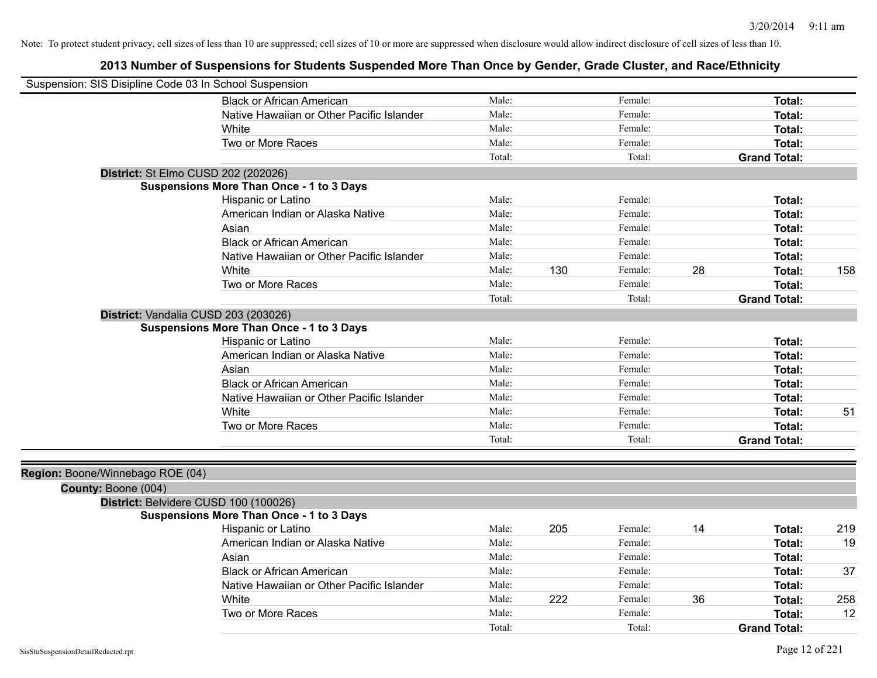| Suspension: SIS Disipline Code 03 In School Suspension |                                                 |        |     |         |    |                     |     |
|--------------------------------------------------------|-------------------------------------------------|--------|-----|---------|----|---------------------|-----|
|                                                        | <b>Black or African American</b>                | Male:  |     | Female: |    | Total:              |     |
|                                                        | Native Hawaiian or Other Pacific Islander       | Male:  |     | Female: |    | Total:              |     |
|                                                        | White                                           | Male:  |     | Female: |    | Total:              |     |
|                                                        | Two or More Races                               | Male:  |     | Female: |    | <b>Total:</b>       |     |
|                                                        |                                                 | Total: |     | Total:  |    | <b>Grand Total:</b> |     |
|                                                        | District: St Elmo CUSD 202 (202026)             |        |     |         |    |                     |     |
|                                                        | <b>Suspensions More Than Once - 1 to 3 Days</b> |        |     |         |    |                     |     |
|                                                        | Hispanic or Latino                              | Male:  |     | Female: |    | Total:              |     |
|                                                        | American Indian or Alaska Native                | Male:  |     | Female: |    | Total:              |     |
|                                                        | Asian                                           | Male:  |     | Female: |    | Total:              |     |
|                                                        | <b>Black or African American</b>                | Male:  |     | Female: |    | Total:              |     |
|                                                        | Native Hawaiian or Other Pacific Islander       | Male:  |     | Female: |    | Total:              |     |
|                                                        | White                                           | Male:  | 130 | Female: | 28 | <b>Total:</b>       | 158 |
|                                                        | Two or More Races                               | Male:  |     | Female: |    | <b>Total:</b>       |     |
|                                                        |                                                 | Total: |     | Total:  |    | <b>Grand Total:</b> |     |
|                                                        | District: Vandalia CUSD 203 (203026)            |        |     |         |    |                     |     |
|                                                        | <b>Suspensions More Than Once - 1 to 3 Days</b> |        |     |         |    |                     |     |
|                                                        | Hispanic or Latino                              | Male:  |     | Female: |    | <b>Total:</b>       |     |
|                                                        | American Indian or Alaska Native                | Male:  |     | Female: |    | <b>Total:</b>       |     |
|                                                        | Asian                                           | Male:  |     | Female: |    | Total:              |     |
|                                                        | <b>Black or African American</b>                | Male:  |     | Female: |    | Total:              |     |
|                                                        | Native Hawaiian or Other Pacific Islander       | Male:  |     | Female: |    | Total:              |     |
|                                                        | White                                           | Male:  |     | Female: |    | <b>Total:</b>       | 51  |
|                                                        | Two or More Races                               | Male:  |     | Female: |    | Total:              |     |
|                                                        |                                                 | Total: |     | Total:  |    | <b>Grand Total:</b> |     |
|                                                        |                                                 |        |     |         |    |                     |     |
| Region: Boone/Winnebago ROE (04)                       |                                                 |        |     |         |    |                     |     |
| County: Boone (004)                                    |                                                 |        |     |         |    |                     |     |
|                                                        | District: Belvidere CUSD 100 (100026)           |        |     |         |    |                     |     |
|                                                        | <b>Suspensions More Than Once - 1 to 3 Days</b> |        |     |         |    |                     |     |
|                                                        | Hispanic or Latino                              | Male:  | 205 | Female: | 14 | Total:              | 219 |
|                                                        | American Indian or Alaska Native                | Male:  |     | Female: |    | <b>Total:</b>       | 19  |
|                                                        | Asian                                           | Male:  |     | Female: |    | Total:              |     |
|                                                        | <b>Black or African American</b>                | Male:  |     | Female: |    | Total:              | 37  |
|                                                        | Native Hawaiian or Other Pacific Islander       | Male:  |     | Female: |    | <b>Total:</b>       |     |
|                                                        | White                                           | Male:  | 222 | Female: | 36 | Total:              | 258 |
|                                                        | Two or More Races                               | Male:  |     | Female: |    | <b>Total:</b>       | 12  |
|                                                        |                                                 | Total: |     | Total:  |    | <b>Grand Total:</b> |     |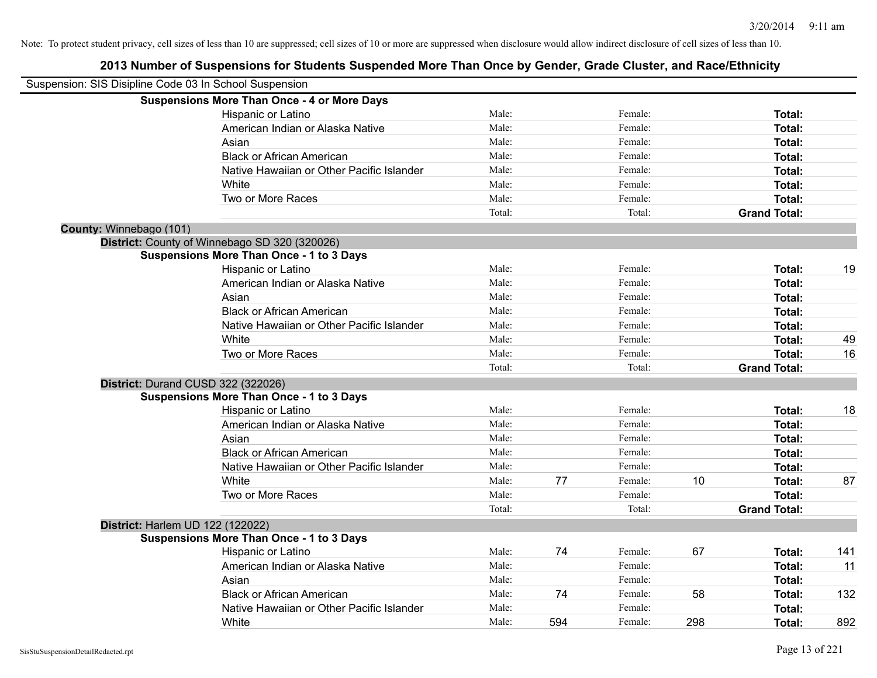| Suspension: SIS Disipline Code 03 In School Suspension |                                                    |        |     |         |     |                     |     |
|--------------------------------------------------------|----------------------------------------------------|--------|-----|---------|-----|---------------------|-----|
|                                                        | <b>Suspensions More Than Once - 4 or More Days</b> |        |     |         |     |                     |     |
|                                                        | Hispanic or Latino                                 | Male:  |     | Female: |     | Total:              |     |
|                                                        | American Indian or Alaska Native                   | Male:  |     | Female: |     | Total:              |     |
|                                                        | Asian                                              | Male:  |     | Female: |     | Total:              |     |
|                                                        | <b>Black or African American</b>                   | Male:  |     | Female: |     | Total:              |     |
|                                                        | Native Hawaiian or Other Pacific Islander          | Male:  |     | Female: |     | Total:              |     |
|                                                        | White                                              | Male:  |     | Female: |     | Total:              |     |
|                                                        | Two or More Races                                  | Male:  |     | Female: |     | Total:              |     |
|                                                        |                                                    | Total: |     | Total:  |     | <b>Grand Total:</b> |     |
| County: Winnebago (101)                                |                                                    |        |     |         |     |                     |     |
|                                                        | District: County of Winnebago SD 320 (320026)      |        |     |         |     |                     |     |
|                                                        | <b>Suspensions More Than Once - 1 to 3 Days</b>    |        |     |         |     |                     |     |
|                                                        | Hispanic or Latino                                 | Male:  |     | Female: |     | Total:              | 19  |
|                                                        | American Indian or Alaska Native                   | Male:  |     | Female: |     | Total:              |     |
|                                                        | Asian                                              | Male:  |     | Female: |     | Total:              |     |
|                                                        | <b>Black or African American</b>                   | Male:  |     | Female: |     | Total:              |     |
|                                                        | Native Hawaiian or Other Pacific Islander          | Male:  |     | Female: |     | Total:              |     |
|                                                        | White                                              | Male:  |     | Female: |     | Total:              | 49  |
|                                                        | Two or More Races                                  | Male:  |     | Female: |     | Total:              | 16  |
|                                                        |                                                    | Total: |     | Total:  |     | <b>Grand Total:</b> |     |
|                                                        | District: Durand CUSD 322 (322026)                 |        |     |         |     |                     |     |
|                                                        | <b>Suspensions More Than Once - 1 to 3 Days</b>    |        |     |         |     |                     |     |
|                                                        | Hispanic or Latino                                 | Male:  |     | Female: |     | Total:              | 18  |
|                                                        | American Indian or Alaska Native                   | Male:  |     | Female: |     | Total:              |     |
|                                                        | Asian                                              | Male:  |     | Female: |     | Total:              |     |
|                                                        | <b>Black or African American</b>                   | Male:  |     | Female: |     | Total:              |     |
|                                                        | Native Hawaiian or Other Pacific Islander          | Male:  |     | Female: |     | Total:              |     |
|                                                        | White                                              | Male:  | 77  | Female: | 10  | Total:              | 87  |
|                                                        | Two or More Races                                  | Male:  |     | Female: |     | Total:              |     |
|                                                        |                                                    | Total: |     | Total:  |     | <b>Grand Total:</b> |     |
|                                                        | District: Harlem UD 122 (122022)                   |        |     |         |     |                     |     |
|                                                        | <b>Suspensions More Than Once - 1 to 3 Days</b>    |        |     |         |     |                     |     |
|                                                        | Hispanic or Latino                                 | Male:  | 74  | Female: | 67  | Total:              | 141 |
|                                                        | American Indian or Alaska Native                   | Male:  |     | Female: |     | Total:              | 11  |
|                                                        | Asian                                              | Male:  |     | Female: |     | Total:              |     |
|                                                        | <b>Black or African American</b>                   | Male:  | 74  | Female: | 58  | Total:              | 132 |
|                                                        | Native Hawaiian or Other Pacific Islander          | Male:  |     | Female: |     | Total:              |     |
|                                                        | White                                              | Male:  | 594 | Female: | 298 | Total:              | 892 |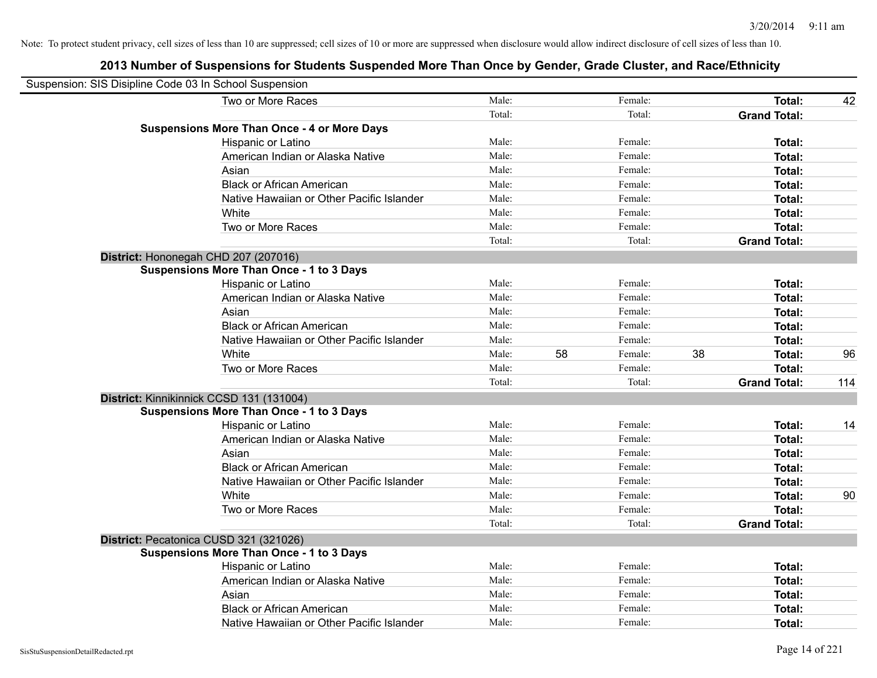| Suspension: SIS Disipline Code 03 In School Suspension |                                                    |        |    |         |    |                     |     |
|--------------------------------------------------------|----------------------------------------------------|--------|----|---------|----|---------------------|-----|
|                                                        | Two or More Races                                  | Male:  |    | Female: |    | Total:              | 42  |
|                                                        |                                                    | Total: |    | Total:  |    | <b>Grand Total:</b> |     |
|                                                        | <b>Suspensions More Than Once - 4 or More Days</b> |        |    |         |    |                     |     |
|                                                        | Hispanic or Latino                                 | Male:  |    | Female: |    | Total:              |     |
|                                                        | American Indian or Alaska Native                   | Male:  |    | Female: |    | Total:              |     |
|                                                        | Asian                                              | Male:  |    | Female: |    | Total:              |     |
|                                                        | <b>Black or African American</b>                   | Male:  |    | Female: |    | Total:              |     |
|                                                        | Native Hawaiian or Other Pacific Islander          | Male:  |    | Female: |    | Total:              |     |
|                                                        | White                                              | Male:  |    | Female: |    | Total:              |     |
|                                                        | Two or More Races                                  | Male:  |    | Female: |    | Total:              |     |
|                                                        |                                                    | Total: |    | Total:  |    | <b>Grand Total:</b> |     |
| District: Hononegah CHD 207 (207016)                   |                                                    |        |    |         |    |                     |     |
|                                                        | <b>Suspensions More Than Once - 1 to 3 Days</b>    |        |    |         |    |                     |     |
|                                                        | Hispanic or Latino                                 | Male:  |    | Female: |    | Total:              |     |
|                                                        | American Indian or Alaska Native                   | Male:  |    | Female: |    | Total:              |     |
|                                                        | Asian                                              | Male:  |    | Female: |    | Total:              |     |
|                                                        | <b>Black or African American</b>                   | Male:  |    | Female: |    | Total:              |     |
|                                                        | Native Hawaiian or Other Pacific Islander          | Male:  |    | Female: |    | Total:              |     |
|                                                        | White                                              | Male:  | 58 | Female: | 38 | Total:              | 96  |
|                                                        | Two or More Races                                  | Male:  |    | Female: |    | Total:              |     |
|                                                        |                                                    | Total: |    | Total:  |    | <b>Grand Total:</b> | 114 |
| District: Kinnikinnick CCSD 131 (131004)               |                                                    |        |    |         |    |                     |     |
|                                                        | <b>Suspensions More Than Once - 1 to 3 Days</b>    |        |    |         |    |                     |     |
|                                                        | Hispanic or Latino                                 | Male:  |    | Female: |    | Total:              | 14  |
|                                                        | American Indian or Alaska Native                   | Male:  |    | Female: |    | Total:              |     |
|                                                        | Asian                                              | Male:  |    | Female: |    | Total:              |     |
|                                                        | <b>Black or African American</b>                   | Male:  |    | Female: |    | Total:              |     |
|                                                        | Native Hawaiian or Other Pacific Islander          | Male:  |    | Female: |    | Total:              |     |
|                                                        | White                                              | Male:  |    | Female: |    | Total:              | 90  |
|                                                        | Two or More Races                                  | Male:  |    | Female: |    | Total:              |     |
|                                                        |                                                    | Total: |    | Total:  |    | <b>Grand Total:</b> |     |
| District: Pecatonica CUSD 321 (321026)                 |                                                    |        |    |         |    |                     |     |
|                                                        | <b>Suspensions More Than Once - 1 to 3 Days</b>    |        |    |         |    |                     |     |
|                                                        | Hispanic or Latino                                 | Male:  |    | Female: |    | Total:              |     |
|                                                        | American Indian or Alaska Native                   | Male:  |    | Female: |    | Total:              |     |
|                                                        | Asian                                              | Male:  |    | Female: |    | Total:              |     |
|                                                        | <b>Black or African American</b>                   | Male:  |    | Female: |    | Total:              |     |
|                                                        | Native Hawaiian or Other Pacific Islander          | Male:  |    | Female: |    | Total:              |     |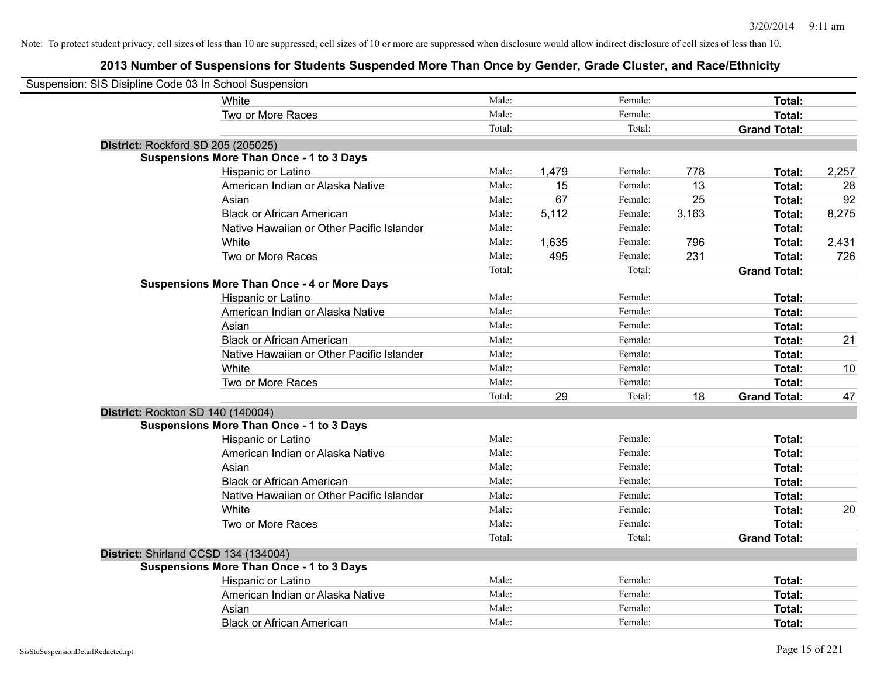| Suspension: SIS Disipline Code 03 In School Suspension |                                                    |        |       |         |       |                     |       |
|--------------------------------------------------------|----------------------------------------------------|--------|-------|---------|-------|---------------------|-------|
|                                                        | White                                              | Male:  |       | Female: |       | <b>Total:</b>       |       |
|                                                        | Two or More Races                                  | Male:  |       | Female: |       | Total:              |       |
|                                                        |                                                    | Total: |       | Total:  |       | <b>Grand Total:</b> |       |
| District: Rockford SD 205 (205025)                     |                                                    |        |       |         |       |                     |       |
|                                                        | <b>Suspensions More Than Once - 1 to 3 Days</b>    |        |       |         |       |                     |       |
|                                                        | Hispanic or Latino                                 | Male:  | 1,479 | Female: | 778   | Total:              | 2,257 |
|                                                        | American Indian or Alaska Native                   | Male:  | 15    | Female: | 13    | <b>Total:</b>       | 28    |
|                                                        | Asian                                              | Male:  | 67    | Female: | 25    | Total:              | 92    |
|                                                        | <b>Black or African American</b>                   | Male:  | 5,112 | Female: | 3,163 | <b>Total:</b>       | 8,275 |
|                                                        | Native Hawaiian or Other Pacific Islander          | Male:  |       | Female: |       | <b>Total:</b>       |       |
|                                                        | White                                              | Male:  | 1,635 | Female: | 796   | Total:              | 2,431 |
|                                                        | Two or More Races                                  | Male:  | 495   | Female: | 231   | Total:              | 726   |
|                                                        |                                                    | Total: |       | Total:  |       | <b>Grand Total:</b> |       |
|                                                        | <b>Suspensions More Than Once - 4 or More Days</b> |        |       |         |       |                     |       |
|                                                        | Hispanic or Latino                                 | Male:  |       | Female: |       | <b>Total:</b>       |       |
|                                                        | American Indian or Alaska Native                   | Male:  |       | Female: |       | <b>Total:</b>       |       |
|                                                        | Asian                                              | Male:  |       | Female: |       | <b>Total:</b>       |       |
|                                                        | <b>Black or African American</b>                   | Male:  |       | Female: |       | <b>Total:</b>       | 21    |
|                                                        | Native Hawaiian or Other Pacific Islander          | Male:  |       | Female: |       | <b>Total:</b>       |       |
|                                                        | White                                              | Male:  |       | Female: |       | <b>Total:</b>       | 10    |
|                                                        | Two or More Races                                  | Male:  |       | Female: |       | <b>Total:</b>       |       |
|                                                        |                                                    | Total: | 29    | Total:  | 18    | <b>Grand Total:</b> | 47    |
| District: Rockton SD 140 (140004)                      |                                                    |        |       |         |       |                     |       |
|                                                        | <b>Suspensions More Than Once - 1 to 3 Days</b>    |        |       |         |       |                     |       |
|                                                        | Hispanic or Latino                                 | Male:  |       | Female: |       | <b>Total:</b>       |       |
|                                                        | American Indian or Alaska Native                   | Male:  |       | Female: |       | <b>Total:</b>       |       |
|                                                        | Asian                                              | Male:  |       | Female: |       | <b>Total:</b>       |       |
|                                                        | <b>Black or African American</b>                   | Male:  |       | Female: |       | <b>Total:</b>       |       |
|                                                        | Native Hawaiian or Other Pacific Islander          | Male:  |       | Female: |       | <b>Total:</b>       |       |
|                                                        | White                                              | Male:  |       | Female: |       | <b>Total:</b>       | 20    |
|                                                        | Two or More Races                                  | Male:  |       | Female: |       | Total:              |       |
|                                                        |                                                    | Total: |       | Total:  |       | <b>Grand Total:</b> |       |
| District: Shirland CCSD 134 (134004)                   |                                                    |        |       |         |       |                     |       |
|                                                        | <b>Suspensions More Than Once - 1 to 3 Days</b>    |        |       |         |       |                     |       |
|                                                        | Hispanic or Latino                                 | Male:  |       | Female: |       | Total:              |       |
|                                                        | American Indian or Alaska Native                   | Male:  |       | Female: |       | <b>Total:</b>       |       |
|                                                        | Asian                                              | Male:  |       | Female: |       | <b>Total:</b>       |       |
|                                                        | <b>Black or African American</b>                   | Male:  |       | Female: |       | Total:              |       |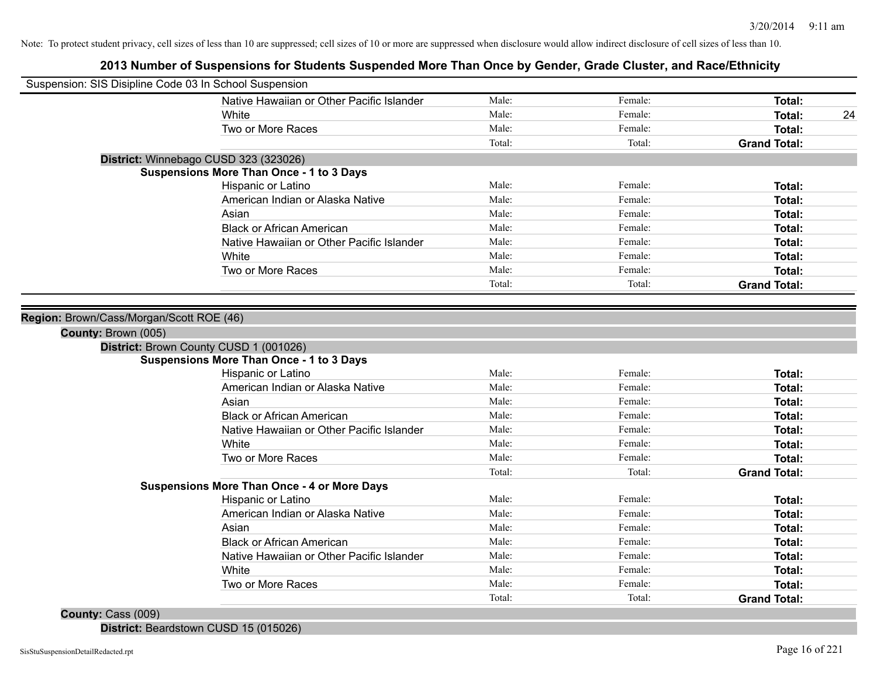# **2013 Number of Suspensions for Students Suspended More Than Once by Gender, Grade Cluster, and Race/Ethnicity**

| Suspension: SIS Disipline Code 03 In School Suspension |                                                    |        |         |                     |
|--------------------------------------------------------|----------------------------------------------------|--------|---------|---------------------|
|                                                        | Native Hawaiian or Other Pacific Islander          | Male:  | Female: | Total:              |
|                                                        | White                                              | Male:  | Female: | <b>Total:</b><br>24 |
|                                                        | Two or More Races                                  | Male:  | Female: | <b>Total:</b>       |
|                                                        |                                                    | Total: | Total:  | <b>Grand Total:</b> |
|                                                        | District: Winnebago CUSD 323 (323026)              |        |         |                     |
|                                                        | <b>Suspensions More Than Once - 1 to 3 Days</b>    |        |         |                     |
|                                                        | Hispanic or Latino                                 | Male:  | Female: | Total:              |
|                                                        | American Indian or Alaska Native                   | Male:  | Female: | <b>Total:</b>       |
|                                                        | Asian                                              | Male:  | Female: | Total:              |
|                                                        | <b>Black or African American</b>                   | Male:  | Female: | Total:              |
|                                                        | Native Hawaiian or Other Pacific Islander          | Male:  | Female: | <b>Total:</b>       |
|                                                        | White                                              | Male:  | Female: | <b>Total:</b>       |
|                                                        | Two or More Races                                  | Male:  | Female: | Total:              |
|                                                        |                                                    | Total: | Total:  | <b>Grand Total:</b> |
|                                                        |                                                    |        |         |                     |
| Region: Brown/Cass/Morgan/Scott ROE (46)               |                                                    |        |         |                     |
| County: Brown (005)                                    |                                                    |        |         |                     |
|                                                        | District: Brown County CUSD 1 (001026)             |        |         |                     |
|                                                        | <b>Suspensions More Than Once - 1 to 3 Days</b>    |        |         |                     |
|                                                        | Hispanic or Latino                                 | Male:  | Female: | Total:              |
|                                                        | American Indian or Alaska Native                   | Male:  | Female: | Total:              |
|                                                        | Asian                                              | Male:  | Female: | <b>Total:</b>       |
|                                                        | <b>Black or African American</b>                   | Male:  | Female: | Total:              |
|                                                        | Native Hawaiian or Other Pacific Islander          | Male:  | Female: | Total:              |
|                                                        | White                                              | Male:  | Female: | <b>Total:</b>       |
|                                                        | Two or More Races                                  | Male:  | Female: | <b>Total:</b>       |
|                                                        |                                                    | Total: | Total:  | <b>Grand Total:</b> |
|                                                        | <b>Suspensions More Than Once - 4 or More Days</b> |        |         |                     |
|                                                        | Hispanic or Latino                                 | Male:  | Female: | Total:              |
|                                                        | American Indian or Alaska Native                   | Male:  | Female: | Total:              |
|                                                        | Asian                                              | Male:  | Female: | Total:              |
|                                                        | <b>Black or African American</b>                   | Male:  | Female: | Total:              |
|                                                        | Native Hawaiian or Other Pacific Islander          | Male:  | Female: | Total:              |
|                                                        | White                                              | Male:  | Female: | <b>Total:</b>       |
|                                                        | Two or More Races                                  | Male:  | Female: | Total:              |
|                                                        |                                                    | Total: | Total:  | <b>Grand Total:</b> |
| $C_{\text{Quark}}$ $C_{\text{QCD}}$ (000)              |                                                    |        |         |                     |

**County:** Cass (009)

**District:** Beardstown CUSD 15 (015026)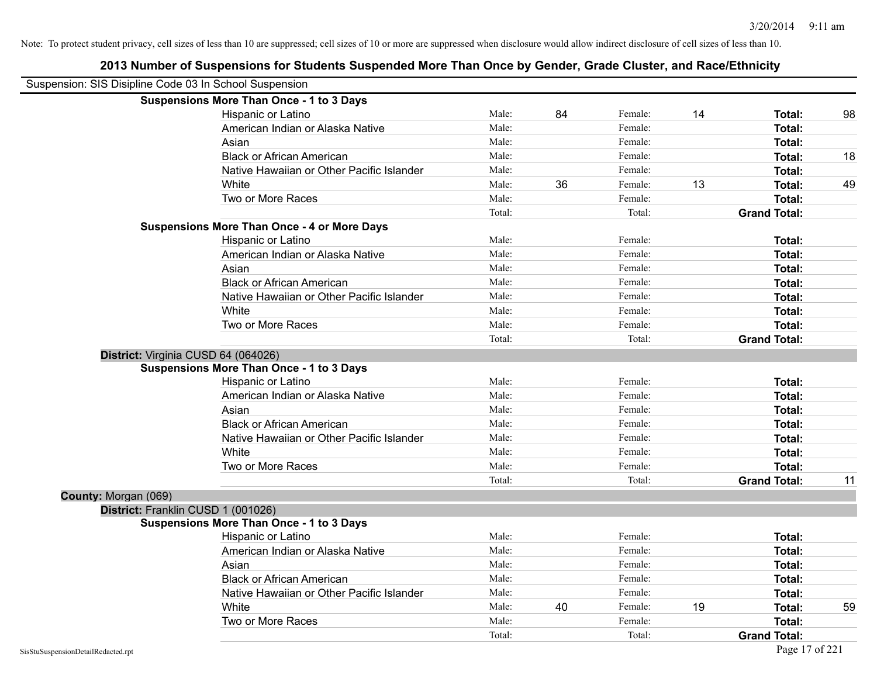| Suspension: SIS Disipline Code 03 In School Suspension |                                                    |        |    |         |    |                     |    |
|--------------------------------------------------------|----------------------------------------------------|--------|----|---------|----|---------------------|----|
|                                                        | <b>Suspensions More Than Once - 1 to 3 Days</b>    |        |    |         |    |                     |    |
|                                                        | Hispanic or Latino                                 | Male:  | 84 | Female: | 14 | Total:              | 98 |
|                                                        | American Indian or Alaska Native                   | Male:  |    | Female: |    | Total:              |    |
|                                                        | Asian                                              | Male:  |    | Female: |    | Total:              |    |
|                                                        | <b>Black or African American</b>                   | Male:  |    | Female: |    | Total:              | 18 |
|                                                        | Native Hawaiian or Other Pacific Islander          | Male:  |    | Female: |    | Total:              |    |
|                                                        | White                                              | Male:  | 36 | Female: | 13 | Total:              | 49 |
|                                                        | Two or More Races                                  | Male:  |    | Female: |    | Total:              |    |
|                                                        |                                                    | Total: |    | Total:  |    | <b>Grand Total:</b> |    |
|                                                        | <b>Suspensions More Than Once - 4 or More Days</b> |        |    |         |    |                     |    |
|                                                        | Hispanic or Latino                                 | Male:  |    | Female: |    | Total:              |    |
|                                                        | American Indian or Alaska Native                   | Male:  |    | Female: |    | Total:              |    |
|                                                        | Asian                                              | Male:  |    | Female: |    | Total:              |    |
|                                                        | <b>Black or African American</b>                   | Male:  |    | Female: |    | Total:              |    |
|                                                        | Native Hawaiian or Other Pacific Islander          | Male:  |    | Female: |    | Total:              |    |
|                                                        | White                                              | Male:  |    | Female: |    | Total:              |    |
|                                                        | Two or More Races                                  | Male:  |    | Female: |    | Total:              |    |
|                                                        |                                                    | Total: |    | Total:  |    | <b>Grand Total:</b> |    |
|                                                        | District: Virginia CUSD 64 (064026)                |        |    |         |    |                     |    |
|                                                        | <b>Suspensions More Than Once - 1 to 3 Days</b>    |        |    |         |    |                     |    |
|                                                        | Hispanic or Latino                                 | Male:  |    | Female: |    | Total:              |    |
|                                                        | American Indian or Alaska Native                   | Male:  |    | Female: |    | Total:              |    |
|                                                        | Asian                                              | Male:  |    | Female: |    | Total:              |    |
|                                                        | <b>Black or African American</b>                   | Male:  |    | Female: |    | Total:              |    |
|                                                        | Native Hawaiian or Other Pacific Islander          | Male:  |    | Female: |    | Total:              |    |
|                                                        | White                                              | Male:  |    | Female: |    | Total:              |    |
|                                                        | Two or More Races                                  | Male:  |    | Female: |    | Total:              |    |
|                                                        |                                                    | Total: |    | Total:  |    | <b>Grand Total:</b> | 11 |
| County: Morgan (069)                                   |                                                    |        |    |         |    |                     |    |
| District: Franklin CUSD 1 (001026)                     |                                                    |        |    |         |    |                     |    |
|                                                        | <b>Suspensions More Than Once - 1 to 3 Days</b>    |        |    |         |    |                     |    |
|                                                        | Hispanic or Latino                                 | Male:  |    | Female: |    | <b>Total:</b>       |    |
|                                                        | American Indian or Alaska Native                   | Male:  |    | Female: |    | Total:              |    |
|                                                        | Asian                                              | Male:  |    | Female: |    | Total:              |    |
|                                                        | <b>Black or African American</b>                   | Male:  |    | Female: |    | <b>Total:</b>       |    |
|                                                        | Native Hawaiian or Other Pacific Islander          | Male:  |    | Female: |    | Total:              |    |
|                                                        | White                                              | Male:  | 40 | Female: | 19 | Total:              | 59 |
|                                                        | Two or More Races                                  | Male:  |    | Female: |    | Total:              |    |
|                                                        |                                                    | Total: |    | Total:  |    | <b>Grand Total:</b> |    |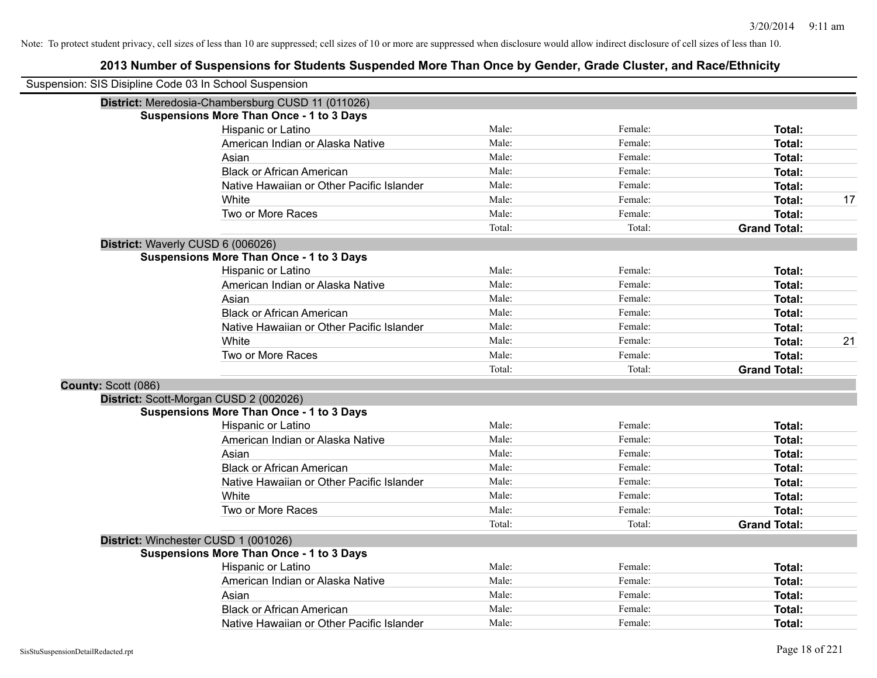| Suspension: SIS Disipline Code 03 In School Suspension |                                                   |        |         |                     |    |
|--------------------------------------------------------|---------------------------------------------------|--------|---------|---------------------|----|
|                                                        | District: Meredosia-Chambersburg CUSD 11 (011026) |        |         |                     |    |
|                                                        | <b>Suspensions More Than Once - 1 to 3 Days</b>   |        |         |                     |    |
|                                                        | Hispanic or Latino                                | Male:  | Female: | Total:              |    |
|                                                        | American Indian or Alaska Native                  | Male:  | Female: | Total:              |    |
|                                                        | Asian                                             | Male:  | Female: | Total:              |    |
|                                                        | <b>Black or African American</b>                  | Male:  | Female: | Total:              |    |
|                                                        | Native Hawaiian or Other Pacific Islander         | Male:  | Female: | Total:              |    |
|                                                        | White                                             | Male:  | Female: | Total:              | 17 |
|                                                        | Two or More Races                                 | Male:  | Female: | Total:              |    |
|                                                        |                                                   | Total: | Total:  | <b>Grand Total:</b> |    |
|                                                        | District: Waverly CUSD 6 (006026)                 |        |         |                     |    |
|                                                        | <b>Suspensions More Than Once - 1 to 3 Days</b>   |        |         |                     |    |
|                                                        | Hispanic or Latino                                | Male:  | Female: | Total:              |    |
|                                                        | American Indian or Alaska Native                  | Male:  | Female: | Total:              |    |
|                                                        | Asian                                             | Male:  | Female: | Total:              |    |
|                                                        | <b>Black or African American</b>                  | Male:  | Female: | Total:              |    |
|                                                        | Native Hawaiian or Other Pacific Islander         | Male:  | Female: | Total:              |    |
|                                                        | White                                             | Male:  | Female: | Total:              | 21 |
|                                                        | Two or More Races                                 | Male:  | Female: | Total:              |    |
|                                                        |                                                   | Total: | Total:  | <b>Grand Total:</b> |    |
| County: Scott (086)                                    |                                                   |        |         |                     |    |
|                                                        | District: Scott-Morgan CUSD 2 (002026)            |        |         |                     |    |
|                                                        | <b>Suspensions More Than Once - 1 to 3 Days</b>   |        |         |                     |    |
|                                                        | Hispanic or Latino                                | Male:  | Female: | Total:              |    |
|                                                        | American Indian or Alaska Native                  | Male:  | Female: | Total:              |    |
|                                                        | Asian                                             | Male:  | Female: | Total:              |    |
|                                                        | <b>Black or African American</b>                  | Male:  | Female: | Total:              |    |
|                                                        | Native Hawaiian or Other Pacific Islander         | Male:  | Female: | Total:              |    |
|                                                        | White                                             | Male:  | Female: | Total:              |    |
|                                                        | Two or More Races                                 | Male:  | Female: | Total:              |    |
|                                                        |                                                   | Total: | Total:  | <b>Grand Total:</b> |    |
|                                                        | District: Winchester CUSD 1 (001026)              |        |         |                     |    |
|                                                        | <b>Suspensions More Than Once - 1 to 3 Days</b>   |        |         |                     |    |
|                                                        | Hispanic or Latino                                | Male:  | Female: | Total:              |    |
|                                                        | American Indian or Alaska Native                  | Male:  | Female: | Total:              |    |
|                                                        | Asian                                             | Male:  | Female: | Total:              |    |
|                                                        | <b>Black or African American</b>                  | Male:  | Female: | Total:              |    |
|                                                        | Native Hawaiian or Other Pacific Islander         | Male:  | Female: | Total:              |    |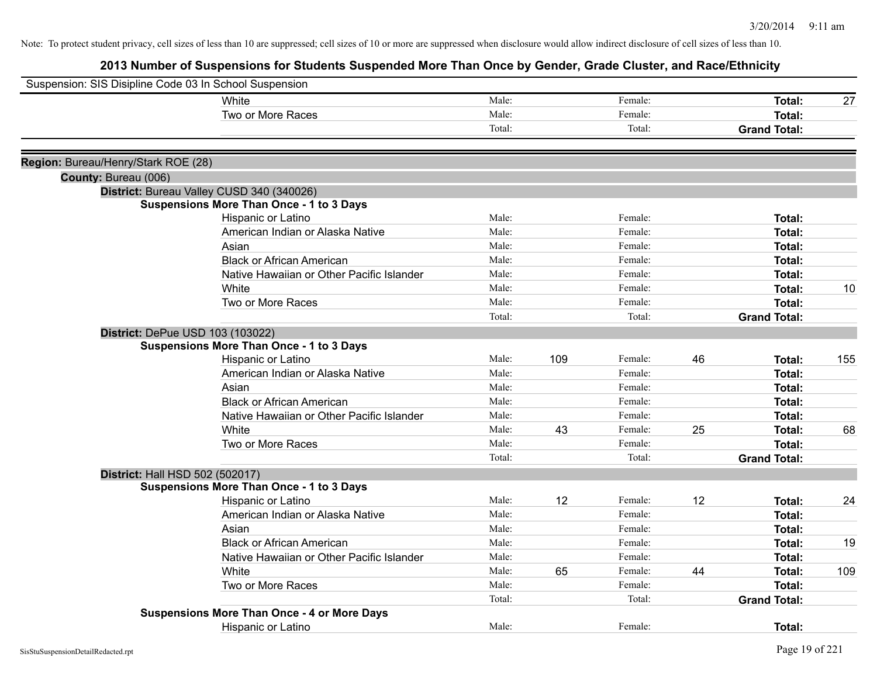| Suspension: SIS Disipline Code 03 In School Suspension |                                                    |        |     |         |    |                     |     |
|--------------------------------------------------------|----------------------------------------------------|--------|-----|---------|----|---------------------|-----|
|                                                        | White                                              | Male:  |     | Female: |    | Total:              | 27  |
|                                                        | Two or More Races                                  | Male:  |     | Female: |    | Total:              |     |
|                                                        |                                                    | Total: |     | Total:  |    | <b>Grand Total:</b> |     |
| Region: Bureau/Henry/Stark ROE (28)                    |                                                    |        |     |         |    |                     |     |
| County: Bureau (006)                                   |                                                    |        |     |         |    |                     |     |
|                                                        | District: Bureau Valley CUSD 340 (340026)          |        |     |         |    |                     |     |
|                                                        | <b>Suspensions More Than Once - 1 to 3 Days</b>    |        |     |         |    |                     |     |
|                                                        | Hispanic or Latino                                 | Male:  |     | Female: |    | Total:              |     |
|                                                        | American Indian or Alaska Native                   | Male:  |     | Female: |    | Total:              |     |
|                                                        | Asian                                              | Male:  |     | Female: |    | Total:              |     |
|                                                        | <b>Black or African American</b>                   | Male:  |     | Female: |    | Total:              |     |
|                                                        | Native Hawaiian or Other Pacific Islander          | Male:  |     | Female: |    | Total:              |     |
|                                                        | White                                              | Male:  |     | Female: |    | Total:              | 10  |
|                                                        | Two or More Races                                  | Male:  |     | Female: |    | Total:              |     |
|                                                        |                                                    | Total: |     | Total:  |    | <b>Grand Total:</b> |     |
| District: DePue USD 103 (103022)                       |                                                    |        |     |         |    |                     |     |
|                                                        | <b>Suspensions More Than Once - 1 to 3 Days</b>    |        |     |         |    |                     |     |
|                                                        | Hispanic or Latino                                 | Male:  | 109 | Female: | 46 | Total:              | 155 |
|                                                        | American Indian or Alaska Native                   | Male:  |     | Female: |    | Total:              |     |
|                                                        | Asian                                              | Male:  |     | Female: |    | Total:              |     |
|                                                        | <b>Black or African American</b>                   | Male:  |     | Female: |    | Total:              |     |
|                                                        | Native Hawaiian or Other Pacific Islander          | Male:  |     | Female: |    | Total:              |     |
|                                                        | White                                              | Male:  | 43  | Female: | 25 | Total:              | 68  |
|                                                        | Two or More Races                                  | Male:  |     | Female: |    | Total:              |     |
|                                                        |                                                    | Total: |     | Total:  |    | <b>Grand Total:</b> |     |
| District: Hall HSD 502 (502017)                        |                                                    |        |     |         |    |                     |     |
|                                                        | <b>Suspensions More Than Once - 1 to 3 Days</b>    |        |     |         |    |                     |     |
|                                                        | Hispanic or Latino                                 | Male:  | 12  | Female: | 12 | Total:              | 24  |
|                                                        | American Indian or Alaska Native                   | Male:  |     | Female: |    | Total:              |     |
|                                                        | Asian                                              | Male:  |     | Female: |    | Total:              |     |
|                                                        | <b>Black or African American</b>                   | Male:  |     | Female: |    | Total:              | 19  |
|                                                        | Native Hawaiian or Other Pacific Islander          | Male:  |     | Female: |    | Total:              |     |
|                                                        | White                                              | Male:  | 65  | Female: | 44 | Total:              | 109 |
|                                                        | Two or More Races                                  | Male:  |     | Female: |    | Total:              |     |
|                                                        |                                                    | Total: |     | Total:  |    | <b>Grand Total:</b> |     |
|                                                        | <b>Suspensions More Than Once - 4 or More Days</b> |        |     |         |    |                     |     |
|                                                        | Hispanic or Latino                                 | Male:  |     | Female: |    | Total:              |     |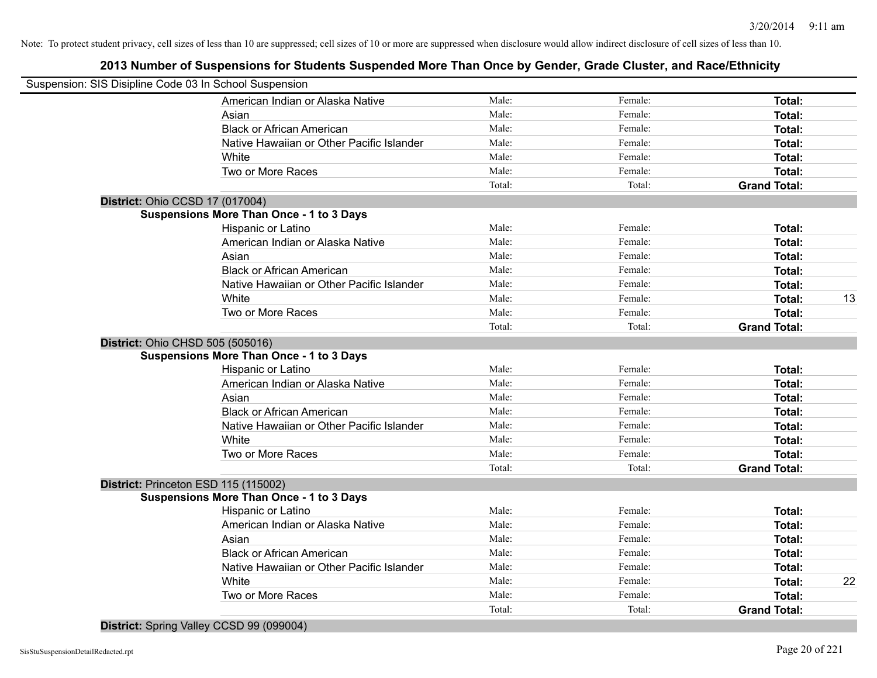# **2013 Number of Suspensions for Students Suspended More Than Once by Gender, Grade Cluster, and Race/Ethnicity**

|                                  | Suspension: SIS Disipline Code 03 In School Suspension |        |         |                     |    |
|----------------------------------|--------------------------------------------------------|--------|---------|---------------------|----|
|                                  | American Indian or Alaska Native                       | Male:  | Female: | Total:              |    |
|                                  | Asian                                                  | Male:  | Female: | Total:              |    |
|                                  | <b>Black or African American</b>                       | Male:  | Female: | Total:              |    |
|                                  | Native Hawaiian or Other Pacific Islander              | Male:  | Female: | Total:              |    |
|                                  | White                                                  | Male:  | Female: | Total:              |    |
|                                  | Two or More Races                                      | Male:  | Female: | <b>Total:</b>       |    |
|                                  |                                                        | Total: | Total:  | <b>Grand Total:</b> |    |
| District: Ohio CCSD 17 (017004)  |                                                        |        |         |                     |    |
|                                  | <b>Suspensions More Than Once - 1 to 3 Days</b>        |        |         |                     |    |
|                                  | Hispanic or Latino                                     | Male:  | Female: | <b>Total:</b>       |    |
|                                  | American Indian or Alaska Native                       | Male:  | Female: | Total:              |    |
|                                  | Asian                                                  | Male:  | Female: | Total:              |    |
|                                  | <b>Black or African American</b>                       | Male:  | Female: | Total:              |    |
|                                  | Native Hawaiian or Other Pacific Islander              | Male:  | Female: | Total:              |    |
|                                  | White                                                  | Male:  | Female: | <b>Total:</b>       | 13 |
|                                  | Two or More Races                                      | Male:  | Female: | Total:              |    |
|                                  |                                                        | Total: | Total:  | <b>Grand Total:</b> |    |
| District: Ohio CHSD 505 (505016) |                                                        |        |         |                     |    |
|                                  | <b>Suspensions More Than Once - 1 to 3 Days</b>        |        |         |                     |    |
|                                  | Hispanic or Latino                                     | Male:  | Female: | Total:              |    |
|                                  | American Indian or Alaska Native                       | Male:  | Female: | Total:              |    |
|                                  | Asian                                                  | Male:  | Female: | Total:              |    |
|                                  | <b>Black or African American</b>                       | Male:  | Female: | Total:              |    |
|                                  | Native Hawaiian or Other Pacific Islander              | Male:  | Female: | Total:              |    |
|                                  | White                                                  | Male:  | Female: | Total:              |    |
|                                  | Two or More Races                                      | Male:  | Female: | Total:              |    |
|                                  |                                                        | Total: | Total:  | <b>Grand Total:</b> |    |
|                                  | District: Princeton ESD 115 (115002)                   |        |         |                     |    |
|                                  | <b>Suspensions More Than Once - 1 to 3 Days</b>        |        |         |                     |    |
|                                  | Hispanic or Latino                                     | Male:  | Female: | Total:              |    |
|                                  | American Indian or Alaska Native                       | Male:  | Female: | Total:              |    |
|                                  | Asian                                                  | Male:  | Female: | Total:              |    |
|                                  | <b>Black or African American</b>                       | Male:  | Female: | Total:              |    |
|                                  | Native Hawaiian or Other Pacific Islander              | Male:  | Female: | Total:              |    |
|                                  | White                                                  | Male:  | Female: | Total:              | 22 |
|                                  | Two or More Races                                      | Male:  | Female: | Total:              |    |
|                                  |                                                        | Total: | Total:  | <b>Grand Total:</b> |    |
|                                  |                                                        |        |         |                     |    |

**District:** Spring Valley CCSD 99 (099004)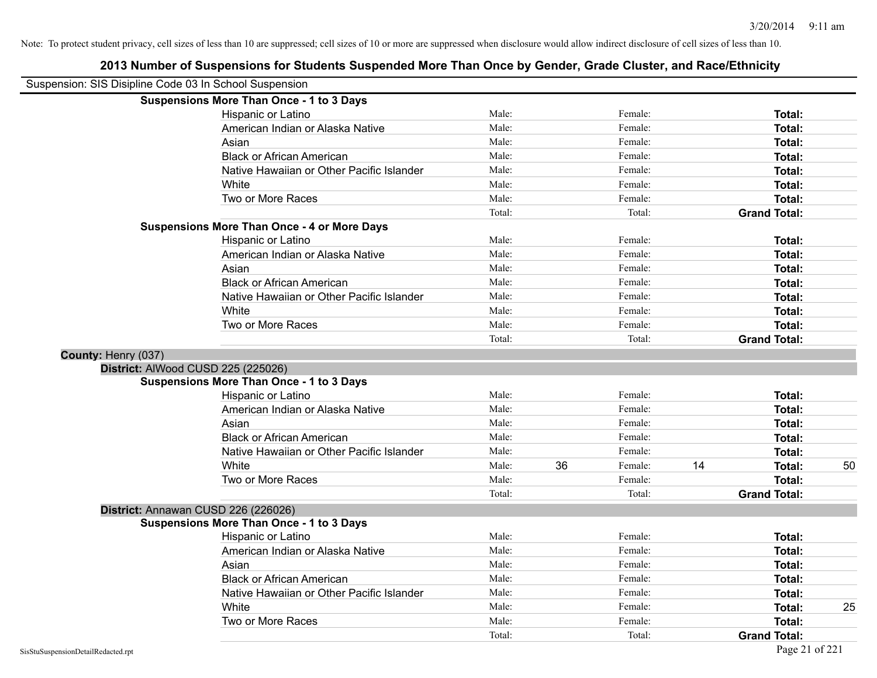|                     | Suspension: SIS Disipline Code 03 In School Suspension |        |    |         |    |                     |    |
|---------------------|--------------------------------------------------------|--------|----|---------|----|---------------------|----|
|                     | <b>Suspensions More Than Once - 1 to 3 Days</b>        |        |    |         |    |                     |    |
|                     | Hispanic or Latino                                     | Male:  |    | Female: |    | Total:              |    |
|                     | American Indian or Alaska Native                       | Male:  |    | Female: |    | Total:              |    |
|                     | Asian                                                  | Male:  |    | Female: |    | Total:              |    |
|                     | <b>Black or African American</b>                       | Male:  |    | Female: |    | Total:              |    |
|                     | Native Hawaiian or Other Pacific Islander              | Male:  |    | Female: |    | <b>Total:</b>       |    |
|                     | White                                                  | Male:  |    | Female: |    | Total:              |    |
|                     | Two or More Races                                      | Male:  |    | Female: |    | <b>Total:</b>       |    |
|                     |                                                        | Total: |    | Total:  |    | <b>Grand Total:</b> |    |
|                     | <b>Suspensions More Than Once - 4 or More Days</b>     |        |    |         |    |                     |    |
|                     | Hispanic or Latino                                     | Male:  |    | Female: |    | Total:              |    |
|                     | American Indian or Alaska Native                       | Male:  |    | Female: |    | <b>Total:</b>       |    |
|                     | Asian                                                  | Male:  |    | Female: |    | Total:              |    |
|                     | <b>Black or African American</b>                       | Male:  |    | Female: |    | Total:              |    |
|                     | Native Hawaiian or Other Pacific Islander              | Male:  |    | Female: |    | Total:              |    |
|                     | White                                                  | Male:  |    | Female: |    | Total:              |    |
|                     | Two or More Races                                      | Male:  |    | Female: |    | <b>Total:</b>       |    |
|                     |                                                        | Total: |    | Total:  |    | <b>Grand Total:</b> |    |
| County: Henry (037) |                                                        |        |    |         |    |                     |    |
|                     | District: AlWood CUSD 225 (225026)                     |        |    |         |    |                     |    |
|                     | <b>Suspensions More Than Once - 1 to 3 Days</b>        |        |    |         |    |                     |    |
|                     | Hispanic or Latino                                     | Male:  |    | Female: |    | Total:              |    |
|                     | American Indian or Alaska Native                       | Male:  |    | Female: |    | <b>Total:</b>       |    |
|                     | Asian                                                  | Male:  |    | Female: |    | <b>Total:</b>       |    |
|                     | <b>Black or African American</b>                       | Male:  |    | Female: |    | <b>Total:</b>       |    |
|                     | Native Hawaiian or Other Pacific Islander              | Male:  |    | Female: |    | Total:              |    |
|                     | White                                                  | Male:  | 36 | Female: | 14 | Total:              | 50 |
|                     | Two or More Races                                      | Male:  |    | Female: |    | <b>Total:</b>       |    |
|                     |                                                        | Total: |    | Total:  |    | <b>Grand Total:</b> |    |
|                     | District: Annawan CUSD 226 (226026)                    |        |    |         |    |                     |    |
|                     | <b>Suspensions More Than Once - 1 to 3 Days</b>        |        |    |         |    |                     |    |
|                     | Hispanic or Latino                                     | Male:  |    | Female: |    | Total:              |    |
|                     | American Indian or Alaska Native                       | Male:  |    | Female: |    | Total:              |    |
|                     | Asian                                                  | Male:  |    | Female: |    | <b>Total:</b>       |    |
|                     | <b>Black or African American</b>                       | Male:  |    | Female: |    | <b>Total:</b>       |    |
|                     | Native Hawaiian or Other Pacific Islander              | Male:  |    | Female: |    | Total:              |    |
|                     | White                                                  | Male:  |    | Female: |    | Total:              | 25 |
|                     | Two or More Races                                      | Male:  |    | Female: |    | <b>Total:</b>       |    |
|                     |                                                        | Total: |    | Total:  |    | <b>Grand Total:</b> |    |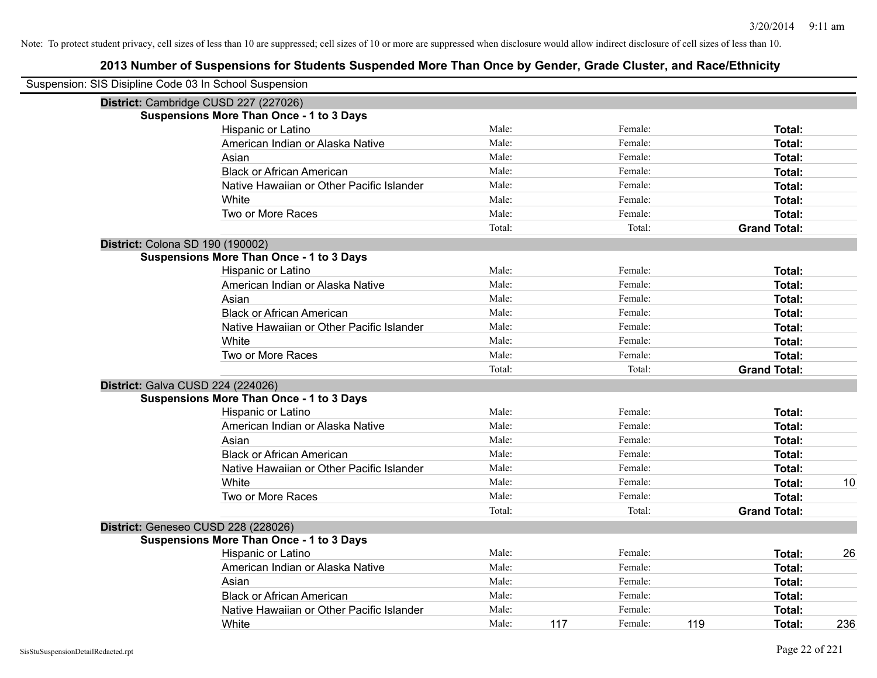| Suspension: SIS Disipline Code 03 In School Suspension |        |     |         |     |                     |     |
|--------------------------------------------------------|--------|-----|---------|-----|---------------------|-----|
| District: Cambridge CUSD 227 (227026)                  |        |     |         |     |                     |     |
| <b>Suspensions More Than Once - 1 to 3 Days</b>        |        |     |         |     |                     |     |
| Hispanic or Latino                                     | Male:  |     | Female: |     | Total:              |     |
| American Indian or Alaska Native                       | Male:  |     | Female: |     | Total:              |     |
| Asian                                                  | Male:  |     | Female: |     | Total:              |     |
| <b>Black or African American</b>                       | Male:  |     | Female: |     | Total:              |     |
| Native Hawaiian or Other Pacific Islander              | Male:  |     | Female: |     | Total:              |     |
| White                                                  | Male:  |     | Female: |     | Total:              |     |
| Two or More Races                                      | Male:  |     | Female: |     | Total:              |     |
|                                                        | Total: |     | Total:  |     | <b>Grand Total:</b> |     |
| District: Colona SD 190 (190002)                       |        |     |         |     |                     |     |
| <b>Suspensions More Than Once - 1 to 3 Days</b>        |        |     |         |     |                     |     |
| Hispanic or Latino                                     | Male:  |     | Female: |     | Total:              |     |
| American Indian or Alaska Native                       | Male:  |     | Female: |     | Total:              |     |
| Asian                                                  | Male:  |     | Female: |     | Total:              |     |
| <b>Black or African American</b>                       | Male:  |     | Female: |     | Total:              |     |
| Native Hawaiian or Other Pacific Islander              | Male:  |     | Female: |     | Total:              |     |
| White                                                  | Male:  |     | Female: |     | Total:              |     |
| Two or More Races                                      | Male:  |     | Female: |     | Total:              |     |
|                                                        | Total: |     | Total:  |     | <b>Grand Total:</b> |     |
| District: Galva CUSD 224 (224026)                      |        |     |         |     |                     |     |
| <b>Suspensions More Than Once - 1 to 3 Days</b>        |        |     |         |     |                     |     |
| Hispanic or Latino                                     | Male:  |     | Female: |     | Total:              |     |
| American Indian or Alaska Native                       | Male:  |     | Female: |     | Total:              |     |
| Asian                                                  | Male:  |     | Female: |     | Total:              |     |
| <b>Black or African American</b>                       | Male:  |     | Female: |     | Total:              |     |
| Native Hawaiian or Other Pacific Islander              | Male:  |     | Female: |     | Total:              |     |
| White                                                  | Male:  |     | Female: |     | Total:              | 10  |
| Two or More Races                                      | Male:  |     | Female: |     | Total:              |     |
|                                                        | Total: |     | Total:  |     | <b>Grand Total:</b> |     |
| District: Geneseo CUSD 228 (228026)                    |        |     |         |     |                     |     |
| <b>Suspensions More Than Once - 1 to 3 Days</b>        |        |     |         |     |                     |     |
| Hispanic or Latino                                     | Male:  |     | Female: |     | Total:              | 26  |
| American Indian or Alaska Native                       | Male:  |     | Female: |     | Total:              |     |
| Asian                                                  | Male:  |     | Female: |     | Total:              |     |
| <b>Black or African American</b>                       | Male:  |     | Female: |     | Total:              |     |
| Native Hawaiian or Other Pacific Islander              | Male:  |     | Female: |     | Total:              |     |
| White                                                  | Male:  | 117 | Female: | 119 | Total:              | 236 |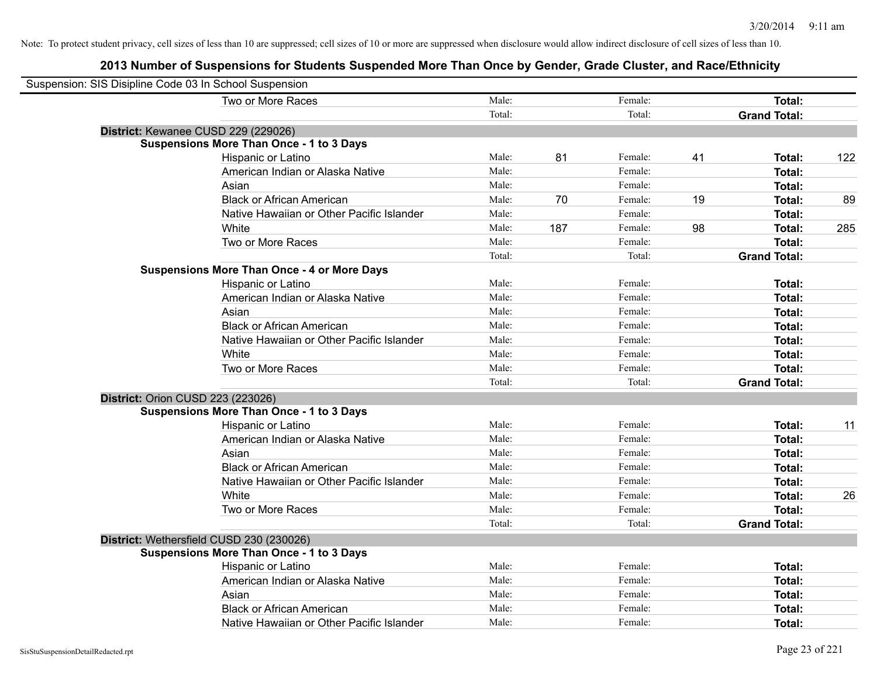| Suspension: SIS Disipline Code 03 In School Suspension |                                                    |        |     |         |    |                     |     |
|--------------------------------------------------------|----------------------------------------------------|--------|-----|---------|----|---------------------|-----|
|                                                        | Two or More Races                                  | Male:  |     | Female: |    | Total:              |     |
|                                                        |                                                    | Total: |     | Total:  |    | <b>Grand Total:</b> |     |
|                                                        | District: Kewanee CUSD 229 (229026)                |        |     |         |    |                     |     |
|                                                        | <b>Suspensions More Than Once - 1 to 3 Days</b>    |        |     |         |    |                     |     |
|                                                        | Hispanic or Latino                                 | Male:  | 81  | Female: | 41 | Total:              | 122 |
|                                                        | American Indian or Alaska Native                   | Male:  |     | Female: |    | Total:              |     |
|                                                        | Asian                                              | Male:  |     | Female: |    | Total:              |     |
|                                                        | <b>Black or African American</b>                   | Male:  | 70  | Female: | 19 | Total:              | 89  |
|                                                        | Native Hawaiian or Other Pacific Islander          | Male:  |     | Female: |    | Total:              |     |
|                                                        | White                                              | Male:  | 187 | Female: | 98 | Total:              | 285 |
|                                                        | Two or More Races                                  | Male:  |     | Female: |    | Total:              |     |
|                                                        |                                                    | Total: |     | Total:  |    | <b>Grand Total:</b> |     |
|                                                        | <b>Suspensions More Than Once - 4 or More Days</b> |        |     |         |    |                     |     |
|                                                        | Hispanic or Latino                                 | Male:  |     | Female: |    | Total:              |     |
|                                                        | American Indian or Alaska Native                   | Male:  |     | Female: |    | Total:              |     |
|                                                        | Asian                                              | Male:  |     | Female: |    | Total:              |     |
|                                                        | <b>Black or African American</b>                   | Male:  |     | Female: |    | Total:              |     |
|                                                        | Native Hawaiian or Other Pacific Islander          | Male:  |     | Female: |    | Total:              |     |
|                                                        | White                                              | Male:  |     | Female: |    | Total:              |     |
|                                                        | Two or More Races                                  | Male:  |     | Female: |    | Total:              |     |
|                                                        |                                                    | Total: |     | Total:  |    | <b>Grand Total:</b> |     |
|                                                        | District: Orion CUSD 223 (223026)                  |        |     |         |    |                     |     |
|                                                        | <b>Suspensions More Than Once - 1 to 3 Days</b>    |        |     |         |    |                     |     |
|                                                        | Hispanic or Latino                                 | Male:  |     | Female: |    | Total:              | 11  |
|                                                        | American Indian or Alaska Native                   | Male:  |     | Female: |    | Total:              |     |
|                                                        | Asian                                              | Male:  |     | Female: |    | Total:              |     |
|                                                        | <b>Black or African American</b>                   | Male:  |     | Female: |    | Total:              |     |
|                                                        | Native Hawaiian or Other Pacific Islander          | Male:  |     | Female: |    | Total:              |     |
|                                                        | White                                              | Male:  |     | Female: |    | Total:              | 26  |
|                                                        | Two or More Races                                  | Male:  |     | Female: |    | Total:              |     |
|                                                        |                                                    | Total: |     | Total:  |    | <b>Grand Total:</b> |     |
|                                                        | District: Wethersfield CUSD 230 (230026)           |        |     |         |    |                     |     |
|                                                        | <b>Suspensions More Than Once - 1 to 3 Days</b>    |        |     |         |    |                     |     |
|                                                        | Hispanic or Latino                                 | Male:  |     | Female: |    | Total:              |     |
|                                                        | American Indian or Alaska Native                   | Male:  |     | Female: |    | Total:              |     |
|                                                        | Asian                                              | Male:  |     | Female: |    | Total:              |     |
|                                                        | <b>Black or African American</b>                   | Male:  |     | Female: |    | Total:              |     |
|                                                        | Native Hawaiian or Other Pacific Islander          | Male:  |     | Female: |    | Total:              |     |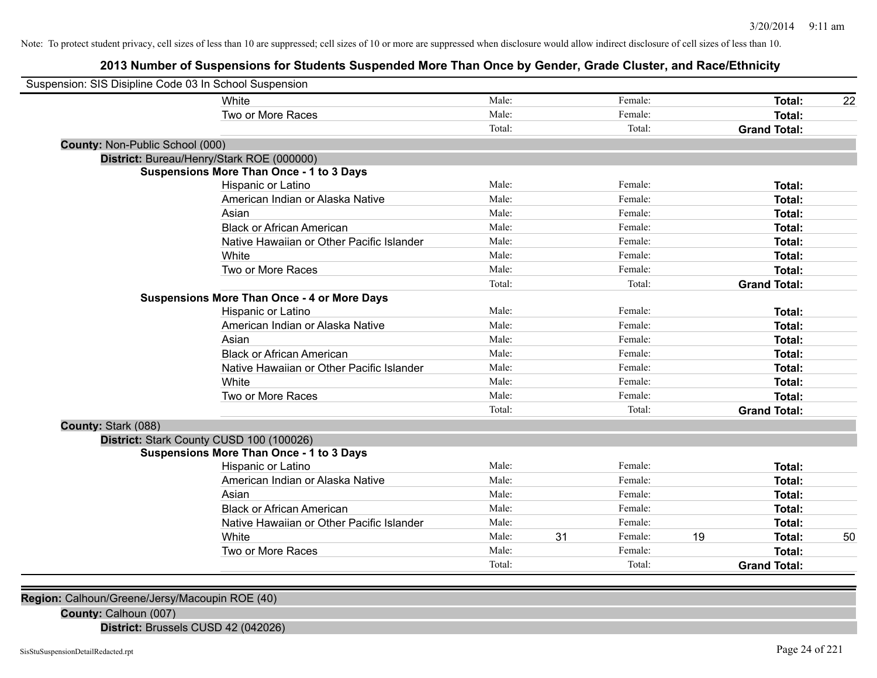# **2013 Number of Suspensions for Students Suspended More Than Once by Gender, Grade Cluster, and Race/Ethnicity**

| Suspension: SIS Disipline Code 03 In School Suspension |                                                    |        |    |         |    |                     |    |
|--------------------------------------------------------|----------------------------------------------------|--------|----|---------|----|---------------------|----|
|                                                        | White                                              | Male:  |    | Female: |    | Total:              | 22 |
|                                                        | Two or More Races                                  | Male:  |    | Female: |    | Total:              |    |
|                                                        |                                                    | Total: |    | Total:  |    | <b>Grand Total:</b> |    |
| <b>County: Non-Public School (000)</b>                 |                                                    |        |    |         |    |                     |    |
|                                                        | District: Bureau/Henry/Stark ROE (000000)          |        |    |         |    |                     |    |
|                                                        | <b>Suspensions More Than Once - 1 to 3 Days</b>    |        |    |         |    |                     |    |
|                                                        | Hispanic or Latino                                 | Male:  |    | Female: |    | Total:              |    |
|                                                        | American Indian or Alaska Native                   | Male:  |    | Female: |    | Total:              |    |
|                                                        | Asian                                              | Male:  |    | Female: |    | Total:              |    |
|                                                        | <b>Black or African American</b>                   | Male:  |    | Female: |    | Total:              |    |
|                                                        | Native Hawaiian or Other Pacific Islander          | Male:  |    | Female: |    | Total:              |    |
|                                                        | White                                              | Male:  |    | Female: |    | Total:              |    |
|                                                        | Two or More Races                                  | Male:  |    | Female: |    | Total:              |    |
|                                                        |                                                    | Total: |    | Total:  |    | <b>Grand Total:</b> |    |
|                                                        | <b>Suspensions More Than Once - 4 or More Days</b> |        |    |         |    |                     |    |
|                                                        | Hispanic or Latino                                 | Male:  |    | Female: |    | Total:              |    |
|                                                        | American Indian or Alaska Native                   | Male:  |    | Female: |    | Total:              |    |
|                                                        | Asian                                              | Male:  |    | Female: |    | Total:              |    |
|                                                        | <b>Black or African American</b>                   | Male:  |    | Female: |    | Total:              |    |
|                                                        | Native Hawaiian or Other Pacific Islander          | Male:  |    | Female: |    | Total:              |    |
|                                                        | White                                              | Male:  |    | Female: |    | Total:              |    |
|                                                        | Two or More Races                                  | Male:  |    | Female: |    | Total:              |    |
|                                                        |                                                    | Total: |    | Total:  |    | <b>Grand Total:</b> |    |
| County: Stark (088)                                    |                                                    |        |    |         |    |                     |    |
|                                                        | District: Stark County CUSD 100 (100026)           |        |    |         |    |                     |    |
|                                                        | <b>Suspensions More Than Once - 1 to 3 Days</b>    |        |    |         |    |                     |    |
|                                                        | Hispanic or Latino                                 | Male:  |    | Female: |    | Total:              |    |
|                                                        | American Indian or Alaska Native                   | Male:  |    | Female: |    | Total:              |    |
|                                                        | Asian                                              | Male:  |    | Female: |    | Total:              |    |
|                                                        | <b>Black or African American</b>                   | Male:  |    | Female: |    | Total:              |    |
|                                                        | Native Hawaiian or Other Pacific Islander          | Male:  |    | Female: |    | Total:              |    |
|                                                        | White                                              | Male:  | 31 | Female: | 19 | Total:              | 50 |
|                                                        | Two or More Races                                  | Male:  |    | Female: |    | Total:              |    |
|                                                        |                                                    | Total: |    | Total:  |    | <b>Grand Total:</b> |    |

**Region:** Calhoun/Greene/Jersy/Macoupin ROE (40)

**County:** Calhoun (007)

**District:** Brussels CUSD 42 (042026)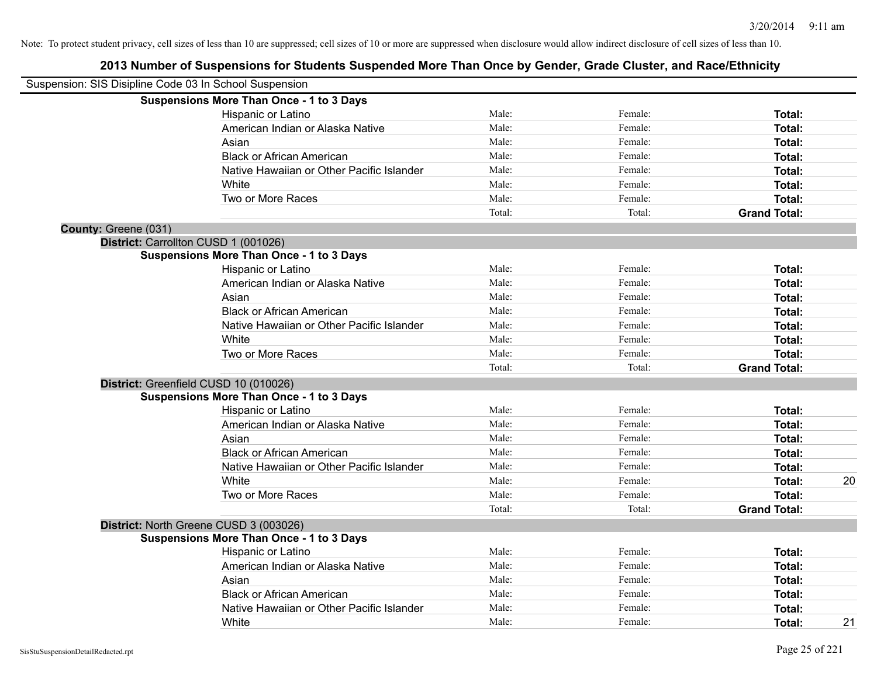|                      | Suspension: SIS Disipline Code 03 In School Suspension |        |         |                     |    |
|----------------------|--------------------------------------------------------|--------|---------|---------------------|----|
|                      | <b>Suspensions More Than Once - 1 to 3 Days</b>        |        |         |                     |    |
|                      | Hispanic or Latino                                     | Male:  | Female: | Total:              |    |
|                      | American Indian or Alaska Native                       | Male:  | Female: | Total:              |    |
|                      | Asian                                                  | Male:  | Female: | Total:              |    |
|                      | <b>Black or African American</b>                       | Male:  | Female: | Total:              |    |
|                      | Native Hawaiian or Other Pacific Islander              | Male:  | Female: | Total:              |    |
|                      | White                                                  | Male:  | Female: | Total:              |    |
|                      | Two or More Races                                      | Male:  | Female: | Total:              |    |
|                      |                                                        | Total: | Total:  | <b>Grand Total:</b> |    |
| County: Greene (031) |                                                        |        |         |                     |    |
|                      | District: Carrollton CUSD 1 (001026)                   |        |         |                     |    |
|                      | <b>Suspensions More Than Once - 1 to 3 Days</b>        |        |         |                     |    |
|                      | Hispanic or Latino                                     | Male:  | Female: | <b>Total:</b>       |    |
|                      | American Indian or Alaska Native                       | Male:  | Female: | Total:              |    |
|                      | Asian                                                  | Male:  | Female: | Total:              |    |
|                      | <b>Black or African American</b>                       | Male:  | Female: | Total:              |    |
|                      | Native Hawaiian or Other Pacific Islander              | Male:  | Female: | Total:              |    |
|                      | White                                                  | Male:  | Female: | Total:              |    |
|                      | Two or More Races                                      | Male:  | Female: | Total:              |    |
|                      |                                                        | Total: | Total:  | <b>Grand Total:</b> |    |
|                      | District: Greenfield CUSD 10 (010026)                  |        |         |                     |    |
|                      | <b>Suspensions More Than Once - 1 to 3 Days</b>        |        |         |                     |    |
|                      | Hispanic or Latino                                     | Male:  | Female: | Total:              |    |
|                      | American Indian or Alaska Native                       | Male:  | Female: | Total:              |    |
|                      | Asian                                                  | Male:  | Female: | Total:              |    |
|                      | <b>Black or African American</b>                       | Male:  | Female: | Total:              |    |
|                      | Native Hawaiian or Other Pacific Islander              | Male:  | Female: | Total:              |    |
|                      | White                                                  | Male:  | Female: | Total:              | 20 |
|                      | Two or More Races                                      | Male:  | Female: | Total:              |    |
|                      |                                                        | Total: | Total:  | <b>Grand Total:</b> |    |
|                      | District: North Greene CUSD 3 (003026)                 |        |         |                     |    |
|                      | <b>Suspensions More Than Once - 1 to 3 Days</b>        |        |         |                     |    |
|                      | Hispanic or Latino                                     | Male:  | Female: | Total:              |    |
|                      | American Indian or Alaska Native                       | Male:  | Female: | Total:              |    |
|                      | Asian                                                  | Male:  | Female: | Total:              |    |
|                      | <b>Black or African American</b>                       | Male:  | Female: | Total:              |    |
|                      | Native Hawaiian or Other Pacific Islander              | Male:  | Female: | Total:              |    |
|                      | White                                                  | Male:  | Female: | Total:              | 21 |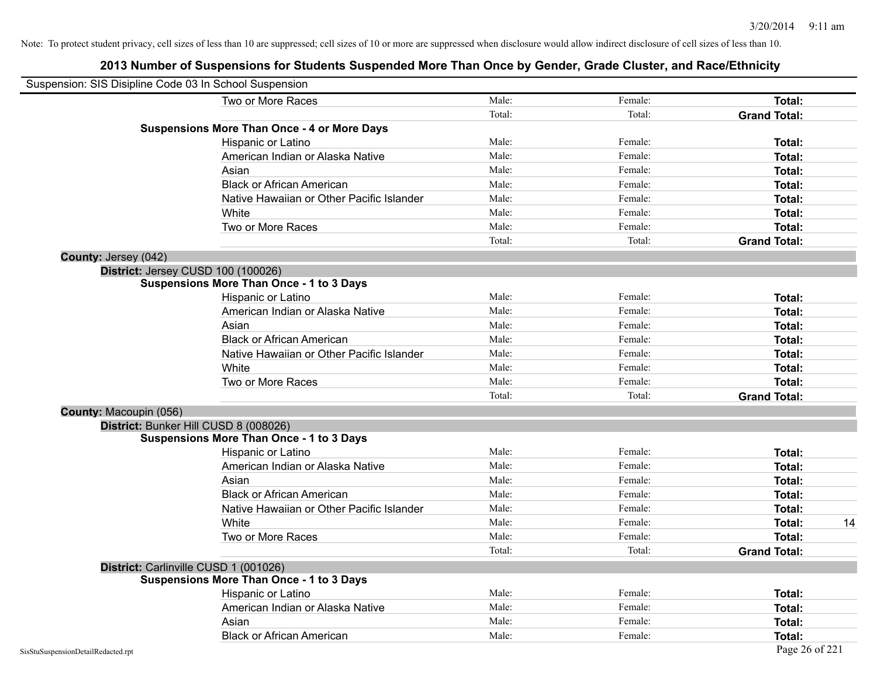| Suspension: SIS Disipline Code 03 In School Suspension |                                                    |        |         |                     |
|--------------------------------------------------------|----------------------------------------------------|--------|---------|---------------------|
|                                                        | Two or More Races                                  | Male:  | Female: | Total:              |
|                                                        |                                                    | Total: | Total:  | <b>Grand Total:</b> |
|                                                        | <b>Suspensions More Than Once - 4 or More Days</b> |        |         |                     |
|                                                        | Hispanic or Latino                                 | Male:  | Female: | Total:              |
|                                                        | American Indian or Alaska Native                   | Male:  | Female: | Total:              |
|                                                        | Asian                                              | Male:  | Female: | Total:              |
|                                                        | <b>Black or African American</b>                   | Male:  | Female: | Total:              |
|                                                        | Native Hawaiian or Other Pacific Islander          | Male:  | Female: | Total:              |
|                                                        | White                                              | Male:  | Female: | Total:              |
|                                                        | Two or More Races                                  | Male:  | Female: | Total:              |
|                                                        |                                                    | Total: | Total:  | <b>Grand Total:</b> |
| County: Jersey (042)                                   |                                                    |        |         |                     |
|                                                        | District: Jersey CUSD 100 (100026)                 |        |         |                     |
|                                                        | <b>Suspensions More Than Once - 1 to 3 Days</b>    |        |         |                     |
|                                                        | Hispanic or Latino                                 | Male:  | Female: | Total:              |
|                                                        | American Indian or Alaska Native                   | Male:  | Female: | Total:              |
|                                                        | Asian                                              | Male:  | Female: | Total:              |
|                                                        | <b>Black or African American</b>                   | Male:  | Female: | Total:              |
|                                                        | Native Hawaiian or Other Pacific Islander          | Male:  | Female: | Total:              |
|                                                        | White                                              | Male:  | Female: | Total:              |
|                                                        | Two or More Races                                  | Male:  | Female: | Total:              |
|                                                        |                                                    | Total: | Total:  | <b>Grand Total:</b> |
| County: Macoupin (056)                                 |                                                    |        |         |                     |
|                                                        | District: Bunker Hill CUSD 8 (008026)              |        |         |                     |
|                                                        | <b>Suspensions More Than Once - 1 to 3 Days</b>    |        |         |                     |
|                                                        | Hispanic or Latino                                 | Male:  | Female: | Total:              |
|                                                        | American Indian or Alaska Native                   | Male:  | Female: | Total:              |
|                                                        | Asian                                              | Male:  | Female: | Total:              |
|                                                        | <b>Black or African American</b>                   | Male:  | Female: | Total:              |
|                                                        | Native Hawaiian or Other Pacific Islander          | Male:  | Female: | Total:              |
|                                                        | White                                              | Male:  | Female: | 14<br>Total:        |
|                                                        | Two or More Races                                  | Male:  | Female: | Total:              |
|                                                        |                                                    | Total: | Total:  | <b>Grand Total:</b> |
|                                                        | District: Carlinville CUSD 1 (001026)              |        |         |                     |
|                                                        | <b>Suspensions More Than Once - 1 to 3 Days</b>    |        |         |                     |
|                                                        | Hispanic or Latino                                 | Male:  | Female: | Total:              |
|                                                        | American Indian or Alaska Native                   | Male:  | Female: | Total:              |
|                                                        | Asian                                              | Male:  | Female: | Total:              |
|                                                        | <b>Black or African American</b>                   | Male:  | Female: | Total:              |
| SisStuSuspensionDetailRedacted.rpt                     |                                                    |        |         | Page 26 of 221      |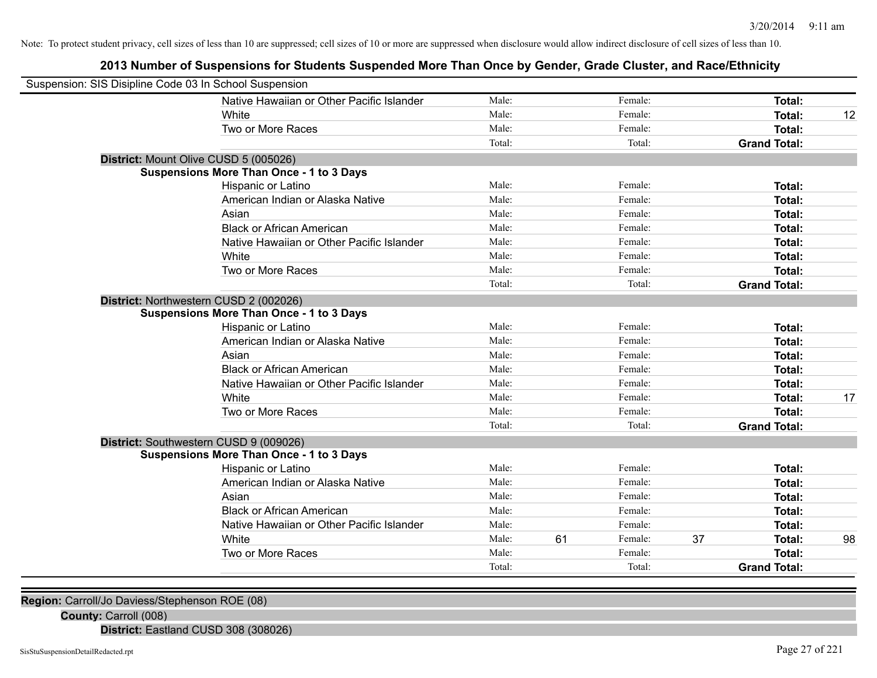# **2013 Number of Suspensions for Students Suspended More Than Once by Gender, Grade Cluster, and Race/Ethnicity**

| Suspension: SIS Disipline Code 03 In School Suspension |                                                 |        |    |         |    |                     |    |
|--------------------------------------------------------|-------------------------------------------------|--------|----|---------|----|---------------------|----|
|                                                        | Native Hawaiian or Other Pacific Islander       | Male:  |    | Female: |    | Total:              |    |
|                                                        | White                                           | Male:  |    | Female: |    | Total:              | 12 |
|                                                        | Two or More Races                               | Male:  |    | Female: |    | Total:              |    |
|                                                        |                                                 | Total: |    | Total:  |    | <b>Grand Total:</b> |    |
| District: Mount Olive CUSD 5 (005026)                  |                                                 |        |    |         |    |                     |    |
|                                                        | <b>Suspensions More Than Once - 1 to 3 Days</b> |        |    |         |    |                     |    |
|                                                        | Hispanic or Latino                              | Male:  |    | Female: |    | Total:              |    |
|                                                        | American Indian or Alaska Native                | Male:  |    | Female: |    | Total:              |    |
|                                                        | Asian                                           | Male:  |    | Female: |    | Total:              |    |
|                                                        | <b>Black or African American</b>                | Male:  |    | Female: |    | Total:              |    |
|                                                        | Native Hawaiian or Other Pacific Islander       | Male:  |    | Female: |    | Total:              |    |
|                                                        | White                                           | Male:  |    | Female: |    | Total:              |    |
|                                                        | Two or More Races                               | Male:  |    | Female: |    | Total:              |    |
|                                                        |                                                 | Total: |    | Total:  |    | <b>Grand Total:</b> |    |
| District: Northwestern CUSD 2 (002026)                 |                                                 |        |    |         |    |                     |    |
|                                                        | <b>Suspensions More Than Once - 1 to 3 Days</b> |        |    |         |    |                     |    |
|                                                        | Hispanic or Latino                              | Male:  |    | Female: |    | Total:              |    |
|                                                        | American Indian or Alaska Native                | Male:  |    | Female: |    | Total:              |    |
|                                                        | Asian                                           | Male:  |    | Female: |    | Total:              |    |
|                                                        | <b>Black or African American</b>                | Male:  |    | Female: |    | Total:              |    |
|                                                        | Native Hawaiian or Other Pacific Islander       | Male:  |    | Female: |    | Total:              |    |
|                                                        | White                                           | Male:  |    | Female: |    | Total:              | 17 |
|                                                        | Two or More Races                               | Male:  |    | Female: |    | Total:              |    |
|                                                        |                                                 | Total: |    | Total:  |    | <b>Grand Total:</b> |    |
| District: Southwestern CUSD 9 (009026)                 |                                                 |        |    |         |    |                     |    |
|                                                        | <b>Suspensions More Than Once - 1 to 3 Days</b> |        |    |         |    |                     |    |
|                                                        | Hispanic or Latino                              | Male:  |    | Female: |    | Total:              |    |
|                                                        | American Indian or Alaska Native                | Male:  |    | Female: |    | Total:              |    |
|                                                        | Asian                                           | Male:  |    | Female: |    | Total:              |    |
|                                                        | <b>Black or African American</b>                | Male:  |    | Female: |    | Total:              |    |
|                                                        | Native Hawaiian or Other Pacific Islander       | Male:  |    | Female: |    | Total:              |    |
|                                                        | White                                           | Male:  | 61 | Female: | 37 | Total:              | 98 |
|                                                        | Two or More Races                               | Male:  |    | Female: |    | <b>Total:</b>       |    |
|                                                        |                                                 | Total: |    | Total:  |    | <b>Grand Total:</b> |    |
|                                                        |                                                 |        |    |         |    |                     |    |

**Region:** Carroll/Jo Daviess/Stephenson ROE (08)

**County:** Carroll (008)

**District:** Eastland CUSD 308 (308026)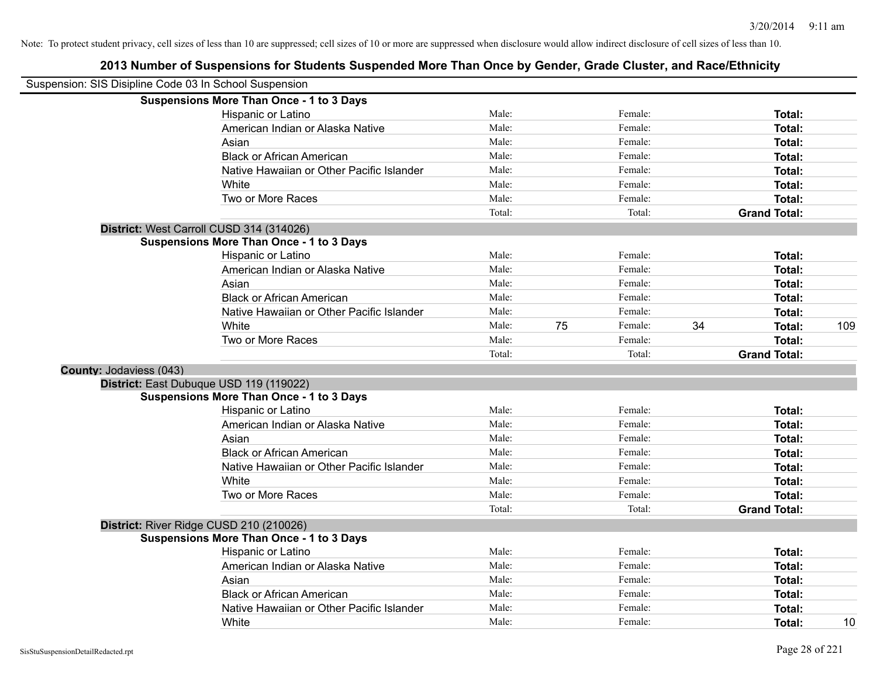|                                | Suspension: SIS Disipline Code 03 In School Suspension |        |    |         |    |                     |     |
|--------------------------------|--------------------------------------------------------|--------|----|---------|----|---------------------|-----|
|                                | <b>Suspensions More Than Once - 1 to 3 Days</b>        |        |    |         |    |                     |     |
|                                | Hispanic or Latino                                     | Male:  |    | Female: |    | Total:              |     |
|                                | American Indian or Alaska Native                       | Male:  |    | Female: |    | Total:              |     |
|                                | Asian                                                  | Male:  |    | Female: |    | Total:              |     |
|                                | <b>Black or African American</b>                       | Male:  |    | Female: |    | Total:              |     |
|                                | Native Hawaiian or Other Pacific Islander              | Male:  |    | Female: |    | Total:              |     |
|                                | White                                                  | Male:  |    | Female: |    | Total:              |     |
|                                | Two or More Races                                      | Male:  |    | Female: |    | Total:              |     |
|                                |                                                        | Total: |    | Total:  |    | <b>Grand Total:</b> |     |
|                                | District: West Carroll CUSD 314 (314026)               |        |    |         |    |                     |     |
|                                | <b>Suspensions More Than Once - 1 to 3 Days</b>        |        |    |         |    |                     |     |
|                                | Hispanic or Latino                                     | Male:  |    | Female: |    | Total:              |     |
|                                | American Indian or Alaska Native                       | Male:  |    | Female: |    | Total:              |     |
|                                | Asian                                                  | Male:  |    | Female: |    | Total:              |     |
|                                | <b>Black or African American</b>                       | Male:  |    | Female: |    | Total:              |     |
|                                | Native Hawaiian or Other Pacific Islander              | Male:  |    | Female: |    | Total:              |     |
|                                | White                                                  | Male:  | 75 | Female: | 34 | Total:              | 109 |
|                                | Two or More Races                                      | Male:  |    | Female: |    | Total:              |     |
|                                |                                                        | Total: |    | Total:  |    | <b>Grand Total:</b> |     |
| <b>County: Jodaviess (043)</b> |                                                        |        |    |         |    |                     |     |
|                                | District: East Dubuque USD 119 (119022)                |        |    |         |    |                     |     |
|                                | <b>Suspensions More Than Once - 1 to 3 Days</b>        |        |    |         |    |                     |     |
|                                | Hispanic or Latino                                     | Male:  |    | Female: |    | Total:              |     |
|                                | American Indian or Alaska Native                       | Male:  |    | Female: |    | Total:              |     |
|                                | Asian                                                  | Male:  |    | Female: |    | Total:              |     |
|                                | <b>Black or African American</b>                       | Male:  |    | Female: |    | Total:              |     |
|                                | Native Hawaiian or Other Pacific Islander              | Male:  |    | Female: |    | Total:              |     |
|                                | White                                                  | Male:  |    | Female: |    | Total:              |     |
|                                | Two or More Races                                      | Male:  |    | Female: |    | Total:              |     |
|                                |                                                        | Total: |    | Total:  |    | <b>Grand Total:</b> |     |
|                                | District: River Ridge CUSD 210 (210026)                |        |    |         |    |                     |     |
|                                | <b>Suspensions More Than Once - 1 to 3 Days</b>        |        |    |         |    |                     |     |
|                                | Hispanic or Latino                                     | Male:  |    | Female: |    | Total:              |     |
|                                | American Indian or Alaska Native                       | Male:  |    | Female: |    | Total:              |     |
|                                | Asian                                                  | Male:  |    | Female: |    | Total:              |     |
|                                | <b>Black or African American</b>                       | Male:  |    | Female: |    | Total:              |     |
|                                | Native Hawaiian or Other Pacific Islander              | Male:  |    | Female: |    | Total:              |     |
|                                | White                                                  | Male:  |    | Female: |    | Total:              | 10  |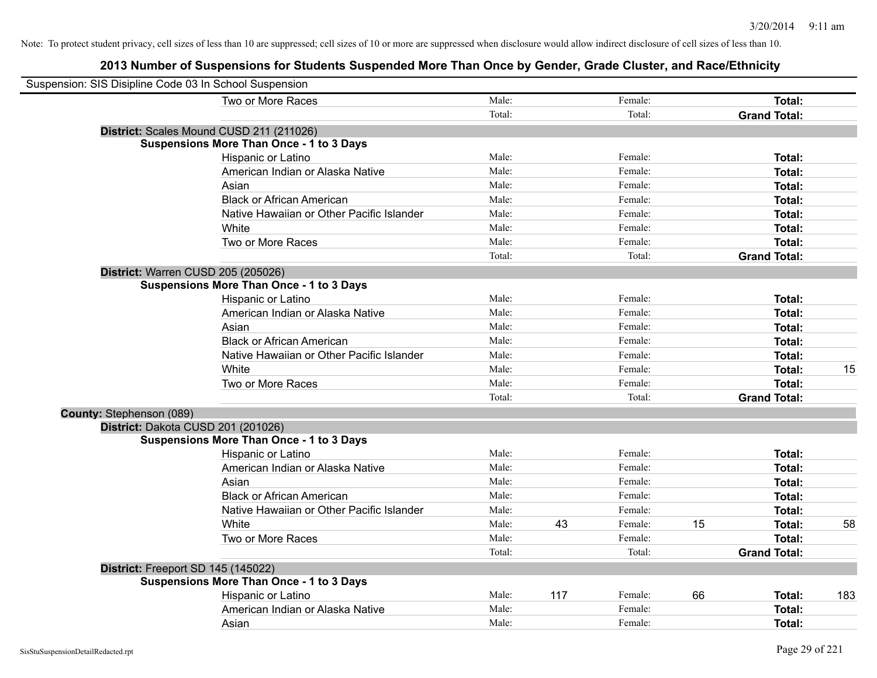| Suspension: SIS Disipline Code 03 In School Suspension |                                                 |        |     |         |    |                     |     |
|--------------------------------------------------------|-------------------------------------------------|--------|-----|---------|----|---------------------|-----|
|                                                        | Two or More Races                               | Male:  |     | Female: |    | Total:              |     |
|                                                        |                                                 | Total: |     | Total:  |    | <b>Grand Total:</b> |     |
|                                                        | District: Scales Mound CUSD 211 (211026)        |        |     |         |    |                     |     |
|                                                        | <b>Suspensions More Than Once - 1 to 3 Days</b> |        |     |         |    |                     |     |
|                                                        | Hispanic or Latino                              | Male:  |     | Female: |    | Total:              |     |
|                                                        | American Indian or Alaska Native                | Male:  |     | Female: |    | Total:              |     |
|                                                        | Asian                                           | Male:  |     | Female: |    | Total:              |     |
|                                                        | <b>Black or African American</b>                | Male:  |     | Female: |    | Total:              |     |
|                                                        | Native Hawaiian or Other Pacific Islander       | Male:  |     | Female: |    | Total:              |     |
|                                                        | White                                           | Male:  |     | Female: |    | Total:              |     |
|                                                        | Two or More Races                               | Male:  |     | Female: |    | Total:              |     |
|                                                        |                                                 | Total: |     | Total:  |    | <b>Grand Total:</b> |     |
|                                                        | District: Warren CUSD 205 (205026)              |        |     |         |    |                     |     |
|                                                        | <b>Suspensions More Than Once - 1 to 3 Days</b> |        |     |         |    |                     |     |
|                                                        | Hispanic or Latino                              | Male:  |     | Female: |    | Total:              |     |
|                                                        | American Indian or Alaska Native                | Male:  |     | Female: |    | Total:              |     |
|                                                        | Asian                                           | Male:  |     | Female: |    | Total:              |     |
|                                                        | <b>Black or African American</b>                | Male:  |     | Female: |    | Total:              |     |
|                                                        | Native Hawaiian or Other Pacific Islander       | Male:  |     | Female: |    | Total:              |     |
|                                                        | White                                           | Male:  |     | Female: |    | Total:              | 15  |
|                                                        | Two or More Races                               | Male:  |     | Female: |    | Total:              |     |
|                                                        |                                                 | Total: |     | Total:  |    | <b>Grand Total:</b> |     |
| County: Stephenson (089)                               |                                                 |        |     |         |    |                     |     |
|                                                        | District: Dakota CUSD 201 (201026)              |        |     |         |    |                     |     |
|                                                        | <b>Suspensions More Than Once - 1 to 3 Days</b> |        |     |         |    |                     |     |
|                                                        | Hispanic or Latino                              | Male:  |     | Female: |    | Total:              |     |
|                                                        | American Indian or Alaska Native                | Male:  |     | Female: |    | Total:              |     |
|                                                        | Asian                                           | Male:  |     | Female: |    | <b>Total:</b>       |     |
|                                                        | <b>Black or African American</b>                | Male:  |     | Female: |    | Total:              |     |
|                                                        | Native Hawaiian or Other Pacific Islander       | Male:  |     | Female: |    | Total:              |     |
|                                                        | White                                           | Male:  | 43  | Female: | 15 | Total:              | 58  |
|                                                        | Two or More Races                               | Male:  |     | Female: |    | Total:              |     |
|                                                        |                                                 | Total: |     | Total:  |    | <b>Grand Total:</b> |     |
|                                                        | District: Freeport SD 145 (145022)              |        |     |         |    |                     |     |
|                                                        | <b>Suspensions More Than Once - 1 to 3 Days</b> |        |     |         |    |                     |     |
|                                                        | Hispanic or Latino                              | Male:  | 117 | Female: | 66 | Total:              | 183 |
|                                                        | American Indian or Alaska Native                | Male:  |     | Female: |    | Total:              |     |
|                                                        | Asian                                           | Male:  |     | Female: |    | Total:              |     |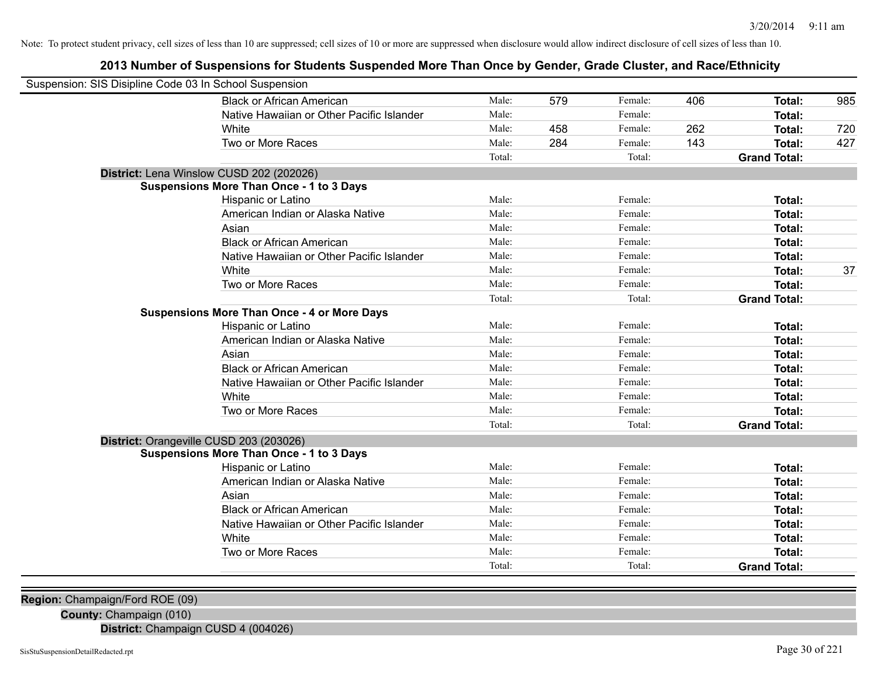# **2013 Number of Suspensions for Students Suspended More Than Once by Gender, Grade Cluster, and Race/Ethnicity**

| Suspension: SIS Disipline Code 03 In School Suspension |                                                    |        |     |         |     |                     |     |
|--------------------------------------------------------|----------------------------------------------------|--------|-----|---------|-----|---------------------|-----|
|                                                        | <b>Black or African American</b>                   | Male:  | 579 | Female: | 406 | Total:              | 985 |
|                                                        | Native Hawaiian or Other Pacific Islander          | Male:  |     | Female: |     | Total:              |     |
|                                                        | White                                              | Male:  | 458 | Female: | 262 | Total:              | 720 |
|                                                        | Two or More Races                                  | Male:  | 284 | Female: | 143 | Total:              | 427 |
|                                                        |                                                    | Total: |     | Total:  |     | <b>Grand Total:</b> |     |
|                                                        | District: Lena Winslow CUSD 202 (202026)           |        |     |         |     |                     |     |
|                                                        | <b>Suspensions More Than Once - 1 to 3 Days</b>    |        |     |         |     |                     |     |
|                                                        | Hispanic or Latino                                 | Male:  |     | Female: |     | Total:              |     |
|                                                        | American Indian or Alaska Native                   | Male:  |     | Female: |     | Total:              |     |
|                                                        | Asian                                              | Male:  |     | Female: |     | Total:              |     |
|                                                        | <b>Black or African American</b>                   | Male:  |     | Female: |     | Total:              |     |
|                                                        | Native Hawaiian or Other Pacific Islander          | Male:  |     | Female: |     | Total:              |     |
|                                                        | White                                              | Male:  |     | Female: |     | Total:              | 37  |
|                                                        | Two or More Races                                  | Male:  |     | Female: |     | Total:              |     |
|                                                        |                                                    | Total: |     | Total:  |     | <b>Grand Total:</b> |     |
|                                                        | <b>Suspensions More Than Once - 4 or More Days</b> |        |     |         |     |                     |     |
|                                                        | Hispanic or Latino                                 | Male:  |     | Female: |     | Total:              |     |
|                                                        | American Indian or Alaska Native                   | Male:  |     | Female: |     | Total:              |     |
|                                                        | Asian                                              | Male:  |     | Female: |     | Total:              |     |
|                                                        | <b>Black or African American</b>                   | Male:  |     | Female: |     | Total:              |     |
|                                                        | Native Hawaiian or Other Pacific Islander          | Male:  |     | Female: |     | Total:              |     |
|                                                        | White                                              | Male:  |     | Female: |     | Total:              |     |
|                                                        | Two or More Races                                  | Male:  |     | Female: |     | Total:              |     |
|                                                        |                                                    | Total: |     | Total:  |     | <b>Grand Total:</b> |     |
|                                                        | District: Orangeville CUSD 203 (203026)            |        |     |         |     |                     |     |
|                                                        | <b>Suspensions More Than Once - 1 to 3 Days</b>    |        |     |         |     |                     |     |
|                                                        | Hispanic or Latino                                 | Male:  |     | Female: |     | Total:              |     |
|                                                        | American Indian or Alaska Native                   | Male:  |     | Female: |     | Total:              |     |
|                                                        | Asian                                              | Male:  |     | Female: |     | Total:              |     |
|                                                        | <b>Black or African American</b>                   | Male:  |     | Female: |     | Total:              |     |
|                                                        | Native Hawaiian or Other Pacific Islander          | Male:  |     | Female: |     | Total:              |     |
|                                                        | White                                              | Male:  |     | Female: |     | Total:              |     |
|                                                        | Two or More Races                                  | Male:  |     | Female: |     | Total:              |     |
|                                                        |                                                    | Total: |     | Total:  |     | <b>Grand Total:</b> |     |
|                                                        |                                                    |        |     |         |     |                     |     |

**Region:** Champaign/Ford ROE (09)

**County:** Champaign (010)

**District:** Champaign CUSD 4 (004026)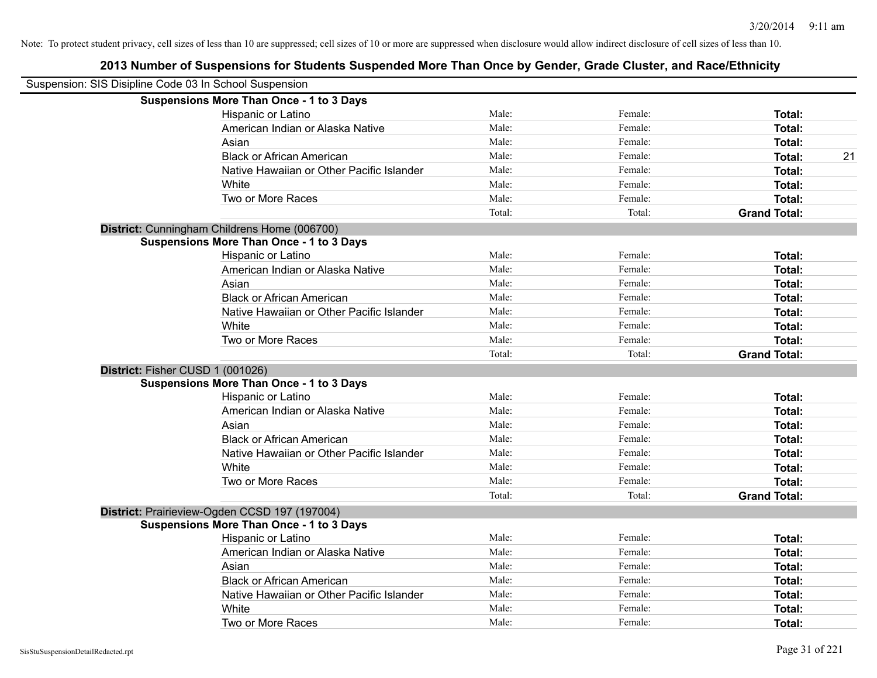| Suspension: SIS Disipline Code 03 In School Suspension |                                                 |        |         |                     |    |
|--------------------------------------------------------|-------------------------------------------------|--------|---------|---------------------|----|
|                                                        | <b>Suspensions More Than Once - 1 to 3 Days</b> |        |         |                     |    |
|                                                        | Hispanic or Latino                              | Male:  | Female: | Total:              |    |
|                                                        | American Indian or Alaska Native                | Male:  | Female: | Total:              |    |
|                                                        | Asian                                           | Male:  | Female: | Total:              |    |
|                                                        | <b>Black or African American</b>                | Male:  | Female: | Total:              | 21 |
|                                                        | Native Hawaiian or Other Pacific Islander       | Male:  | Female: | <b>Total:</b>       |    |
|                                                        | White                                           | Male:  | Female: | Total:              |    |
|                                                        | Two or More Races                               | Male:  | Female: | <b>Total:</b>       |    |
|                                                        |                                                 | Total: | Total:  | <b>Grand Total:</b> |    |
|                                                        | District: Cunningham Childrens Home (006700)    |        |         |                     |    |
|                                                        | <b>Suspensions More Than Once - 1 to 3 Days</b> |        |         |                     |    |
|                                                        | Hispanic or Latino                              | Male:  | Female: | Total:              |    |
|                                                        | American Indian or Alaska Native                | Male:  | Female: | Total:              |    |
|                                                        | Asian                                           | Male:  | Female: | Total:              |    |
|                                                        | <b>Black or African American</b>                | Male:  | Female: | Total:              |    |
|                                                        | Native Hawaiian or Other Pacific Islander       | Male:  | Female: | Total:              |    |
|                                                        | White                                           | Male:  | Female: | Total:              |    |
|                                                        | Two or More Races                               | Male:  | Female: | Total:              |    |
|                                                        |                                                 | Total: | Total:  | <b>Grand Total:</b> |    |
| District: Fisher CUSD 1 (001026)                       |                                                 |        |         |                     |    |
|                                                        | <b>Suspensions More Than Once - 1 to 3 Days</b> |        |         |                     |    |
|                                                        | Hispanic or Latino                              | Male:  | Female: | Total:              |    |
|                                                        | American Indian or Alaska Native                | Male:  | Female: | Total:              |    |
|                                                        | Asian                                           | Male:  | Female: | Total:              |    |
|                                                        | <b>Black or African American</b>                | Male:  | Female: | Total:              |    |
|                                                        | Native Hawaiian or Other Pacific Islander       | Male:  | Female: | Total:              |    |
|                                                        | White                                           | Male:  | Female: | Total:              |    |
|                                                        | Two or More Races                               | Male:  | Female: | Total:              |    |
|                                                        |                                                 | Total: | Total:  | <b>Grand Total:</b> |    |
|                                                        | District: Prairieview-Ogden CCSD 197 (197004)   |        |         |                     |    |
|                                                        | <b>Suspensions More Than Once - 1 to 3 Days</b> |        |         |                     |    |
|                                                        | Hispanic or Latino                              | Male:  | Female: | Total:              |    |
|                                                        | American Indian or Alaska Native                | Male:  | Female: | Total:              |    |
|                                                        | Asian                                           | Male:  | Female: | Total:              |    |
|                                                        | <b>Black or African American</b>                | Male:  | Female: | Total:              |    |
|                                                        | Native Hawaiian or Other Pacific Islander       | Male:  | Female: | Total:              |    |
|                                                        | White                                           | Male:  | Female: | <b>Total:</b>       |    |
|                                                        | Two or More Races                               | Male:  | Female: | Total:              |    |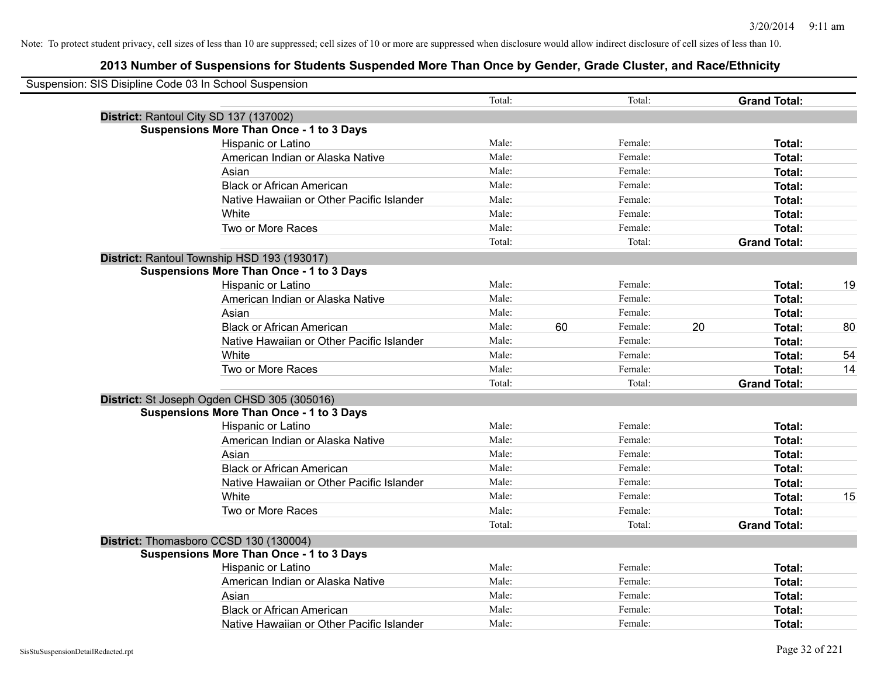| Suspension: SIS Disipline Code 03 In School Suspension |                                                 |        |    |         |    |                     |    |
|--------------------------------------------------------|-------------------------------------------------|--------|----|---------|----|---------------------|----|
|                                                        |                                                 | Total: |    | Total:  |    | <b>Grand Total:</b> |    |
|                                                        | District: Rantoul City SD 137 (137002)          |        |    |         |    |                     |    |
|                                                        | <b>Suspensions More Than Once - 1 to 3 Days</b> |        |    |         |    |                     |    |
|                                                        | Hispanic or Latino                              | Male:  |    | Female: |    | Total:              |    |
|                                                        | American Indian or Alaska Native                | Male:  |    | Female: |    | Total:              |    |
|                                                        | Asian                                           | Male:  |    | Female: |    | Total:              |    |
|                                                        | <b>Black or African American</b>                | Male:  |    | Female: |    | Total:              |    |
|                                                        | Native Hawaiian or Other Pacific Islander       | Male:  |    | Female: |    | Total:              |    |
|                                                        | White                                           | Male:  |    | Female: |    | Total:              |    |
|                                                        | Two or More Races                               | Male:  |    | Female: |    | Total:              |    |
|                                                        |                                                 | Total: |    | Total:  |    | <b>Grand Total:</b> |    |
|                                                        | District: Rantoul Township HSD 193 (193017)     |        |    |         |    |                     |    |
|                                                        | <b>Suspensions More Than Once - 1 to 3 Days</b> |        |    |         |    |                     |    |
|                                                        | Hispanic or Latino                              | Male:  |    | Female: |    | Total:              | 19 |
|                                                        | American Indian or Alaska Native                | Male:  |    | Female: |    | Total:              |    |
|                                                        | Asian                                           | Male:  |    | Female: |    | Total:              |    |
|                                                        | <b>Black or African American</b>                | Male:  | 60 | Female: | 20 | Total:              | 80 |
|                                                        | Native Hawaiian or Other Pacific Islander       | Male:  |    | Female: |    | Total:              |    |
|                                                        | White                                           | Male:  |    | Female: |    | Total:              | 54 |
|                                                        | Two or More Races                               | Male:  |    | Female: |    | Total:              | 14 |
|                                                        |                                                 | Total: |    | Total:  |    | <b>Grand Total:</b> |    |
|                                                        | District: St Joseph Ogden CHSD 305 (305016)     |        |    |         |    |                     |    |
|                                                        | <b>Suspensions More Than Once - 1 to 3 Days</b> |        |    |         |    |                     |    |
|                                                        | Hispanic or Latino                              | Male:  |    | Female: |    | Total:              |    |
|                                                        | American Indian or Alaska Native                | Male:  |    | Female: |    | Total:              |    |
|                                                        | Asian                                           | Male:  |    | Female: |    | Total:              |    |
|                                                        | <b>Black or African American</b>                | Male:  |    | Female: |    | Total:              |    |
|                                                        | Native Hawaiian or Other Pacific Islander       | Male:  |    | Female: |    | Total:              |    |
|                                                        | White                                           | Male:  |    | Female: |    | Total:              | 15 |
|                                                        | Two or More Races                               | Male:  |    | Female: |    | Total:              |    |
|                                                        |                                                 | Total: |    | Total:  |    | <b>Grand Total:</b> |    |
|                                                        | District: Thomasboro CCSD 130 (130004)          |        |    |         |    |                     |    |
|                                                        | <b>Suspensions More Than Once - 1 to 3 Days</b> |        |    |         |    |                     |    |
|                                                        | Hispanic or Latino                              | Male:  |    | Female: |    | Total:              |    |
|                                                        | American Indian or Alaska Native                | Male:  |    | Female: |    | Total:              |    |
|                                                        | Asian                                           | Male:  |    | Female: |    | Total:              |    |
|                                                        | <b>Black or African American</b>                | Male:  |    | Female: |    | Total:              |    |
|                                                        | Native Hawaiian or Other Pacific Islander       | Male:  |    | Female: |    | Total:              |    |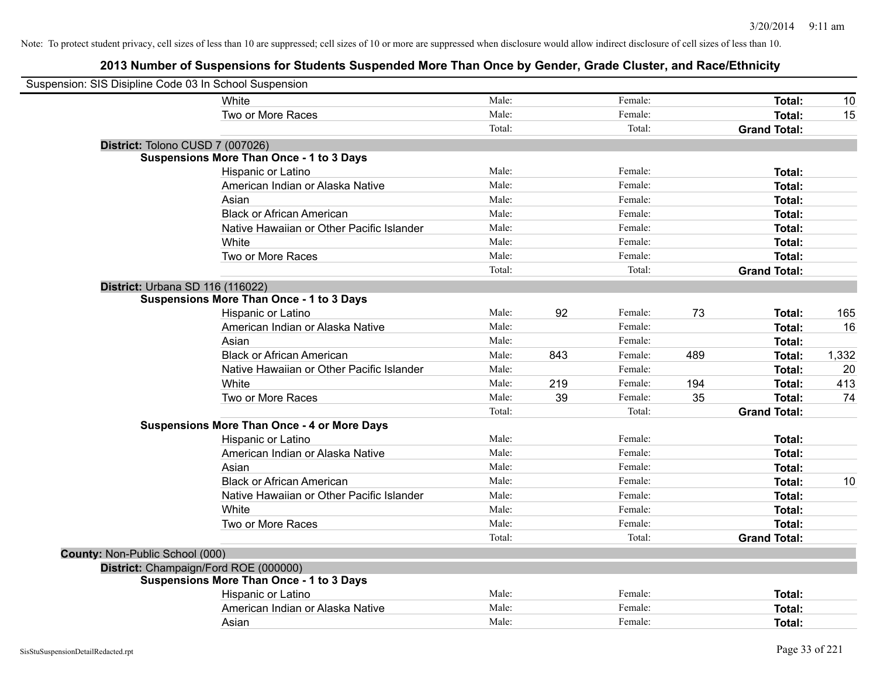| Suspension: SIS Disipline Code 03 In School Suspension |                                                    |        |     |         |     |                     |       |
|--------------------------------------------------------|----------------------------------------------------|--------|-----|---------|-----|---------------------|-------|
|                                                        | White                                              | Male:  |     | Female: |     | Total:              | 10    |
|                                                        | Two or More Races                                  | Male:  |     | Female: |     | <b>Total:</b>       | 15    |
|                                                        |                                                    | Total: |     | Total:  |     | <b>Grand Total:</b> |       |
| District: Tolono CUSD 7 (007026)                       |                                                    |        |     |         |     |                     |       |
|                                                        | Suspensions More Than Once - 1 to 3 Days           |        |     |         |     |                     |       |
|                                                        | Hispanic or Latino                                 | Male:  |     | Female: |     | Total:              |       |
|                                                        | American Indian or Alaska Native                   | Male:  |     | Female: |     | Total:              |       |
|                                                        | Asian                                              | Male:  |     | Female: |     | Total:              |       |
|                                                        | <b>Black or African American</b>                   | Male:  |     | Female: |     | Total:              |       |
|                                                        | Native Hawaiian or Other Pacific Islander          | Male:  |     | Female: |     | Total:              |       |
|                                                        | White                                              | Male:  |     | Female: |     | Total:              |       |
|                                                        | Two or More Races                                  | Male:  |     | Female: |     | <b>Total:</b>       |       |
|                                                        |                                                    | Total: |     | Total:  |     | <b>Grand Total:</b> |       |
| District: Urbana SD 116 (116022)                       |                                                    |        |     |         |     |                     |       |
|                                                        | <b>Suspensions More Than Once - 1 to 3 Days</b>    |        |     |         |     |                     |       |
|                                                        | Hispanic or Latino                                 | Male:  | 92  | Female: | 73  | Total:              | 165   |
|                                                        | American Indian or Alaska Native                   | Male:  |     | Female: |     | Total:              | 16    |
|                                                        | Asian                                              | Male:  |     | Female: |     | Total:              |       |
|                                                        | <b>Black or African American</b>                   | Male:  | 843 | Female: | 489 | Total:              | 1,332 |
|                                                        | Native Hawaiian or Other Pacific Islander          | Male:  |     | Female: |     | Total:              | 20    |
|                                                        | White                                              | Male:  | 219 | Female: | 194 | Total:              | 413   |
|                                                        | Two or More Races                                  | Male:  | 39  | Female: | 35  | Total:              | 74    |
|                                                        |                                                    | Total: |     | Total:  |     | <b>Grand Total:</b> |       |
|                                                        | <b>Suspensions More Than Once - 4 or More Days</b> |        |     |         |     |                     |       |
|                                                        | Hispanic or Latino                                 | Male:  |     | Female: |     | Total:              |       |
|                                                        | American Indian or Alaska Native                   | Male:  |     | Female: |     | Total:              |       |
|                                                        | Asian                                              | Male:  |     | Female: |     | Total:              |       |
|                                                        | <b>Black or African American</b>                   | Male:  |     | Female: |     | Total:              | 10    |
|                                                        | Native Hawaiian or Other Pacific Islander          | Male:  |     | Female: |     | Total:              |       |
|                                                        | White                                              | Male:  |     | Female: |     | Total:              |       |
|                                                        | Two or More Races                                  | Male:  |     | Female: |     | Total:              |       |
|                                                        |                                                    | Total: |     | Total:  |     | <b>Grand Total:</b> |       |
| County: Non-Public School (000)                        |                                                    |        |     |         |     |                     |       |
| District: Champaign/Ford ROE (000000)                  |                                                    |        |     |         |     |                     |       |
|                                                        | <b>Suspensions More Than Once - 1 to 3 Days</b>    |        |     |         |     |                     |       |
|                                                        | Hispanic or Latino                                 | Male:  |     | Female: |     | Total:              |       |
|                                                        | American Indian or Alaska Native                   | Male:  |     | Female: |     | Total:              |       |
|                                                        | Asian                                              | Male:  |     | Female: |     | Total:              |       |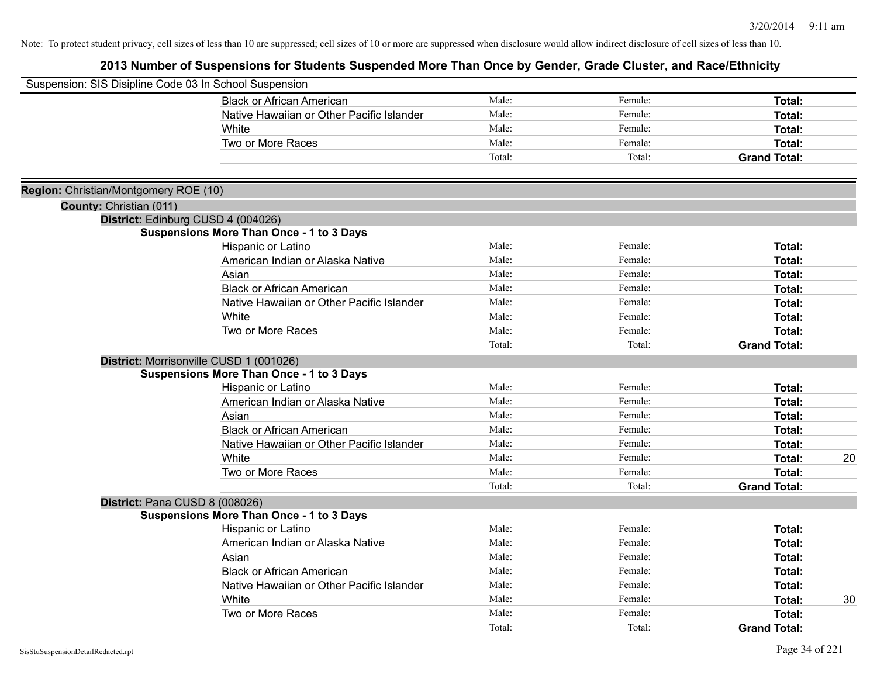| Suspension: SIS Disipline Code 03 In School Suspension |                                                 |        |         |                     |
|--------------------------------------------------------|-------------------------------------------------|--------|---------|---------------------|
|                                                        | <b>Black or African American</b>                | Male:  | Female: | Total:              |
|                                                        | Native Hawaiian or Other Pacific Islander       | Male:  | Female: | Total:              |
|                                                        | White                                           | Male:  | Female: | Total:              |
|                                                        | Two or More Races                               | Male:  | Female: | Total:              |
|                                                        |                                                 | Total: | Total:  | <b>Grand Total:</b> |
| Region: Christian/Montgomery ROE (10)                  |                                                 |        |         |                     |
| County: Christian (011)                                |                                                 |        |         |                     |
|                                                        | District: Edinburg CUSD 4 (004026)              |        |         |                     |
|                                                        | <b>Suspensions More Than Once - 1 to 3 Days</b> |        |         |                     |
|                                                        | Hispanic or Latino                              | Male:  | Female: | Total:              |
|                                                        | American Indian or Alaska Native                | Male:  | Female: | Total:              |
|                                                        | Asian                                           | Male:  | Female: | Total:              |
|                                                        | <b>Black or African American</b>                | Male:  | Female: | Total:              |
|                                                        | Native Hawaiian or Other Pacific Islander       | Male:  | Female: | Total:              |
|                                                        | White                                           | Male:  | Female: | Total:              |
|                                                        | Two or More Races                               | Male:  | Female: | Total:              |
|                                                        |                                                 | Total: | Total:  | <b>Grand Total:</b> |
|                                                        | District: Morrisonville CUSD 1 (001026)         |        |         |                     |
|                                                        | <b>Suspensions More Than Once - 1 to 3 Days</b> |        |         |                     |
|                                                        | Hispanic or Latino                              | Male:  | Female: | Total:              |
|                                                        | American Indian or Alaska Native                | Male:  | Female: | Total:              |
|                                                        | Asian                                           | Male:  | Female: | Total:              |
|                                                        | <b>Black or African American</b>                | Male:  | Female: | Total:              |
|                                                        | Native Hawaiian or Other Pacific Islander       | Male:  | Female: | Total:              |
|                                                        | White                                           | Male:  | Female: | <b>Total:</b><br>20 |
|                                                        | Two or More Races                               | Male:  | Female: | <b>Total:</b>       |
|                                                        |                                                 | Total: | Total:  | <b>Grand Total:</b> |
|                                                        | District: Pana CUSD 8 (008026)                  |        |         |                     |
|                                                        | <b>Suspensions More Than Once - 1 to 3 Days</b> |        |         |                     |
|                                                        | Hispanic or Latino                              | Male:  | Female: | <b>Total:</b>       |
|                                                        | American Indian or Alaska Native                | Male:  | Female: | Total:              |
|                                                        | Asian                                           | Male:  | Female: | Total:              |
|                                                        | <b>Black or African American</b>                | Male:  | Female: | Total:              |
|                                                        | Native Hawaiian or Other Pacific Islander       | Male:  | Female: | Total:              |
|                                                        | White                                           | Male:  | Female: | 30<br>Total:        |
|                                                        | Two or More Races                               | Male:  | Female: | Total:              |
|                                                        |                                                 | Total: | Total:  | <b>Grand Total:</b> |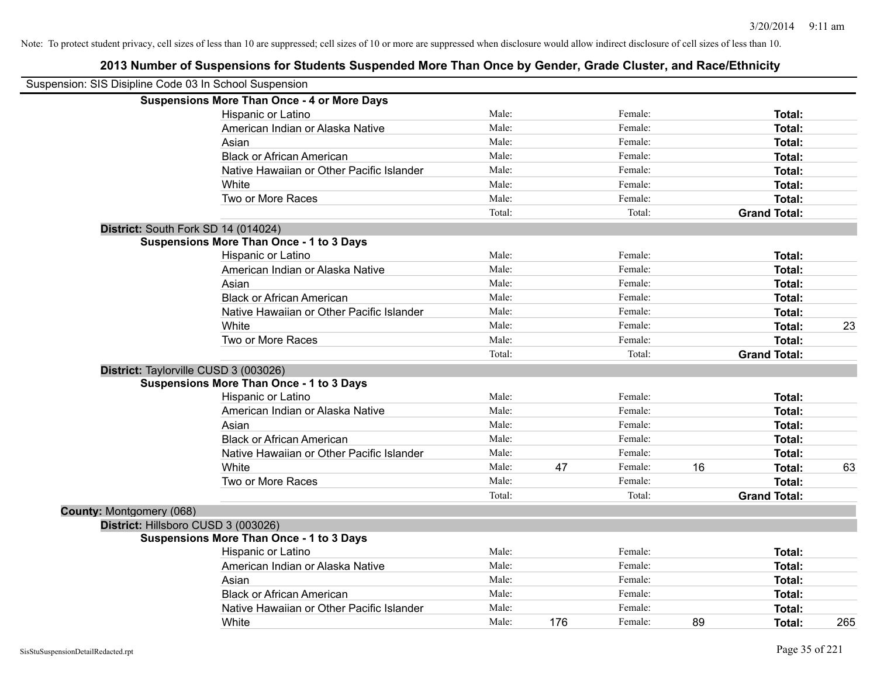|                                 | Suspension: SIS Disipline Code 03 In School Suspension |        |     |         |    |                     |     |
|---------------------------------|--------------------------------------------------------|--------|-----|---------|----|---------------------|-----|
|                                 | <b>Suspensions More Than Once - 4 or More Days</b>     |        |     |         |    |                     |     |
|                                 | Hispanic or Latino                                     | Male:  |     | Female: |    | Total:              |     |
|                                 | American Indian or Alaska Native                       | Male:  |     | Female: |    | Total:              |     |
|                                 | Asian                                                  | Male:  |     | Female: |    | Total:              |     |
|                                 | <b>Black or African American</b>                       | Male:  |     | Female: |    | Total:              |     |
|                                 | Native Hawaiian or Other Pacific Islander              | Male:  |     | Female: |    | Total:              |     |
|                                 | White                                                  | Male:  |     | Female: |    | Total:              |     |
|                                 | Two or More Races                                      | Male:  |     | Female: |    | Total:              |     |
|                                 |                                                        | Total: |     | Total:  |    | <b>Grand Total:</b> |     |
|                                 | District: South Fork SD 14 (014024)                    |        |     |         |    |                     |     |
|                                 | <b>Suspensions More Than Once - 1 to 3 Days</b>        |        |     |         |    |                     |     |
|                                 | Hispanic or Latino                                     | Male:  |     | Female: |    | Total:              |     |
|                                 | American Indian or Alaska Native                       | Male:  |     | Female: |    | Total:              |     |
|                                 | Asian                                                  | Male:  |     | Female: |    | Total:              |     |
|                                 | <b>Black or African American</b>                       | Male:  |     | Female: |    | Total:              |     |
|                                 | Native Hawaiian or Other Pacific Islander              | Male:  |     | Female: |    | Total:              |     |
|                                 | White                                                  | Male:  |     | Female: |    | Total:              | 23  |
|                                 | Two or More Races                                      | Male:  |     | Female: |    | Total:              |     |
|                                 |                                                        | Total: |     | Total:  |    | <b>Grand Total:</b> |     |
|                                 | District: Taylorville CUSD 3 (003026)                  |        |     |         |    |                     |     |
|                                 | <b>Suspensions More Than Once - 1 to 3 Days</b>        |        |     |         |    |                     |     |
|                                 | Hispanic or Latino                                     | Male:  |     | Female: |    | <b>Total:</b>       |     |
|                                 | American Indian or Alaska Native                       | Male:  |     | Female: |    | Total:              |     |
|                                 | Asian                                                  | Male:  |     | Female: |    | Total:              |     |
|                                 | <b>Black or African American</b>                       | Male:  |     | Female: |    | Total:              |     |
|                                 | Native Hawaiian or Other Pacific Islander              | Male:  |     | Female: |    | Total:              |     |
|                                 | White                                                  | Male:  | 47  | Female: | 16 | Total:              | 63  |
|                                 | Two or More Races                                      | Male:  |     | Female: |    | Total:              |     |
|                                 |                                                        | Total: |     | Total:  |    | <b>Grand Total:</b> |     |
| <b>County: Montgomery (068)</b> |                                                        |        |     |         |    |                     |     |
|                                 | District: Hillsboro CUSD 3 (003026)                    |        |     |         |    |                     |     |
|                                 | <b>Suspensions More Than Once - 1 to 3 Days</b>        |        |     |         |    |                     |     |
|                                 | Hispanic or Latino                                     | Male:  |     | Female: |    | Total:              |     |
|                                 | American Indian or Alaska Native                       | Male:  |     | Female: |    | Total:              |     |
|                                 | Asian                                                  | Male:  |     | Female: |    | Total:              |     |
|                                 | <b>Black or African American</b>                       | Male:  |     | Female: |    | Total:              |     |
|                                 | Native Hawaiian or Other Pacific Islander              | Male:  |     | Female: |    | Total:              |     |
|                                 | White                                                  | Male:  | 176 | Female: | 89 | Total:              | 265 |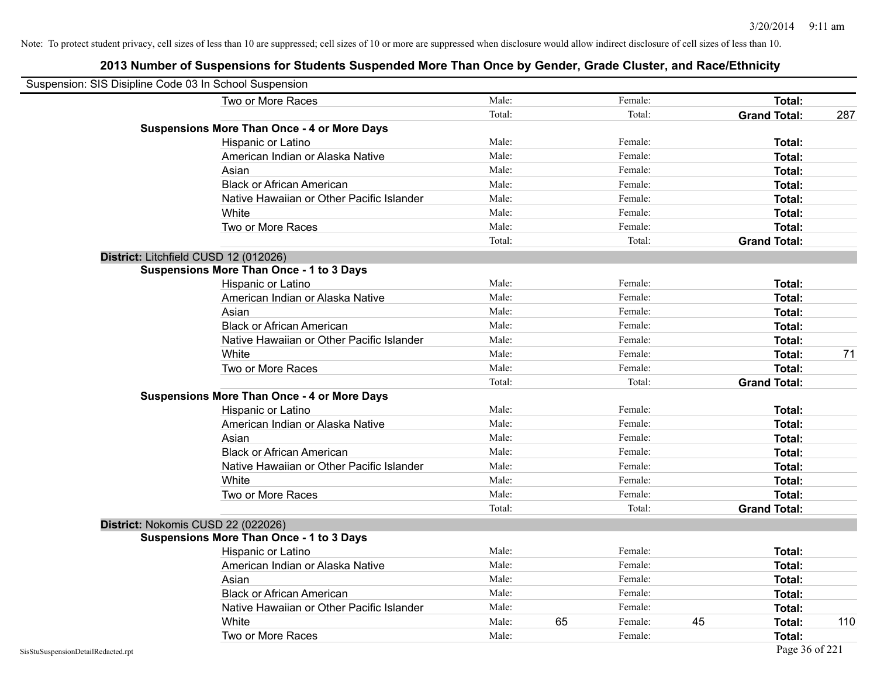| Suspension: SIS Disipline Code 03 In School Suspension |                                                    |        |    |         |    |                     |     |
|--------------------------------------------------------|----------------------------------------------------|--------|----|---------|----|---------------------|-----|
|                                                        | Two or More Races                                  | Male:  |    | Female: |    | Total:              |     |
|                                                        |                                                    | Total: |    | Total:  |    | <b>Grand Total:</b> | 287 |
|                                                        | <b>Suspensions More Than Once - 4 or More Days</b> |        |    |         |    |                     |     |
|                                                        | Hispanic or Latino                                 | Male:  |    | Female: |    | Total:              |     |
|                                                        | American Indian or Alaska Native                   | Male:  |    | Female: |    | Total:              |     |
|                                                        | Asian                                              | Male:  |    | Female: |    | Total:              |     |
|                                                        | <b>Black or African American</b>                   | Male:  |    | Female: |    | Total:              |     |
|                                                        | Native Hawaiian or Other Pacific Islander          | Male:  |    | Female: |    | Total:              |     |
|                                                        | White                                              | Male:  |    | Female: |    | Total:              |     |
|                                                        | Two or More Races                                  | Male:  |    | Female: |    | Total:              |     |
|                                                        |                                                    | Total: |    | Total:  |    | <b>Grand Total:</b> |     |
|                                                        | District: Litchfield CUSD 12 (012026)              |        |    |         |    |                     |     |
|                                                        | <b>Suspensions More Than Once - 1 to 3 Days</b>    |        |    |         |    |                     |     |
|                                                        | Hispanic or Latino                                 | Male:  |    | Female: |    | Total:              |     |
|                                                        | American Indian or Alaska Native                   | Male:  |    | Female: |    | Total:              |     |
|                                                        | Asian                                              | Male:  |    | Female: |    | Total:              |     |
|                                                        | <b>Black or African American</b>                   | Male:  |    | Female: |    | Total:              |     |
|                                                        | Native Hawaiian or Other Pacific Islander          | Male:  |    | Female: |    | Total:              |     |
|                                                        | White                                              | Male:  |    | Female: |    | Total:              | 71  |
|                                                        | Two or More Races                                  | Male:  |    | Female: |    | Total:              |     |
|                                                        |                                                    | Total: |    | Total:  |    | <b>Grand Total:</b> |     |
|                                                        | <b>Suspensions More Than Once - 4 or More Days</b> |        |    |         |    |                     |     |
|                                                        | Hispanic or Latino                                 | Male:  |    | Female: |    | Total:              |     |
|                                                        | American Indian or Alaska Native                   | Male:  |    | Female: |    | Total:              |     |
|                                                        | Asian                                              | Male:  |    | Female: |    | Total:              |     |
|                                                        | <b>Black or African American</b>                   | Male:  |    | Female: |    | Total:              |     |
|                                                        | Native Hawaiian or Other Pacific Islander          | Male:  |    | Female: |    | Total:              |     |
|                                                        | White                                              | Male:  |    | Female: |    | Total:              |     |
|                                                        | Two or More Races                                  | Male:  |    | Female: |    | Total:              |     |
|                                                        |                                                    | Total: |    | Total:  |    | <b>Grand Total:</b> |     |
|                                                        | District: Nokomis CUSD 22 (022026)                 |        |    |         |    |                     |     |
|                                                        | <b>Suspensions More Than Once - 1 to 3 Days</b>    |        |    |         |    |                     |     |
|                                                        | Hispanic or Latino                                 | Male:  |    | Female: |    | <b>Total:</b>       |     |
|                                                        | American Indian or Alaska Native                   | Male:  |    | Female: |    | Total:              |     |
|                                                        | Asian                                              | Male:  |    | Female: |    | Total:              |     |
|                                                        | <b>Black or African American</b>                   | Male:  |    | Female: |    | Total:              |     |
|                                                        | Native Hawaiian or Other Pacific Islander          | Male:  |    | Female: |    | Total:              |     |
|                                                        | White                                              | Male:  | 65 | Female: | 45 | Total:              | 110 |
|                                                        | Two or More Races                                  | Male:  |    | Female: |    | Total:              |     |
| SisStuSuspensionDetailRedacted.rpt                     |                                                    |        |    |         |    | Page 36 of 221      |     |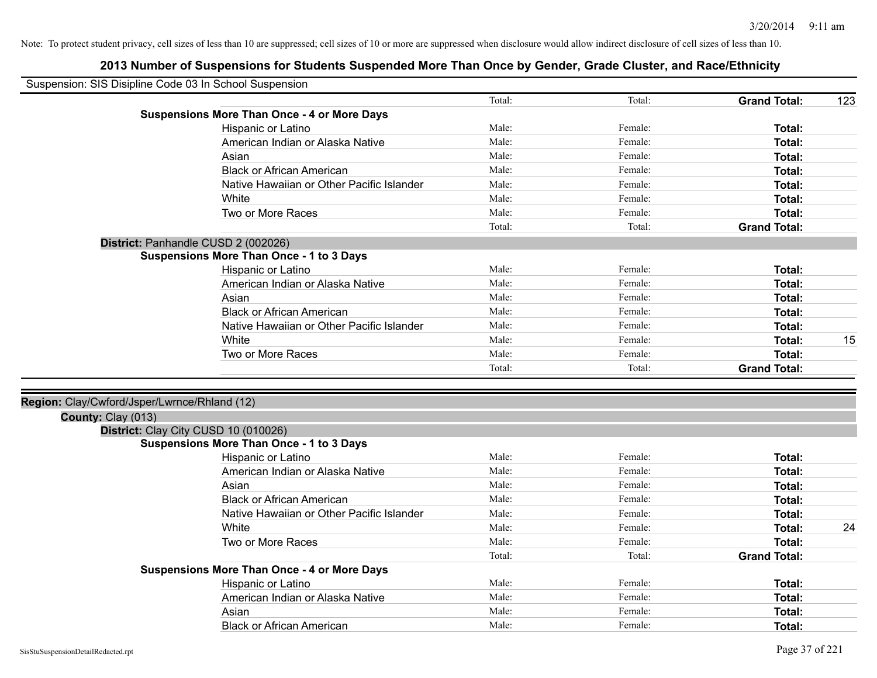| Suspension: SIS Disipline Code 03 In School Suspension |                                                    |        |         |                     |     |
|--------------------------------------------------------|----------------------------------------------------|--------|---------|---------------------|-----|
|                                                        |                                                    | Total: | Total:  | <b>Grand Total:</b> | 123 |
|                                                        | <b>Suspensions More Than Once - 4 or More Days</b> |        |         |                     |     |
|                                                        | Hispanic or Latino                                 | Male:  | Female: | Total:              |     |
|                                                        | American Indian or Alaska Native                   | Male:  | Female: | Total:              |     |
|                                                        | Asian                                              | Male:  | Female: | Total:              |     |
|                                                        | <b>Black or African American</b>                   | Male:  | Female: | Total:              |     |
|                                                        | Native Hawaiian or Other Pacific Islander          | Male:  | Female: | Total:              |     |
|                                                        | White                                              | Male:  | Female: | Total:              |     |
|                                                        | Two or More Races                                  | Male:  | Female: | Total:              |     |
|                                                        |                                                    | Total: | Total:  | <b>Grand Total:</b> |     |
|                                                        | District: Panhandle CUSD 2 (002026)                |        |         |                     |     |
|                                                        | <b>Suspensions More Than Once - 1 to 3 Days</b>    |        |         |                     |     |
|                                                        | Hispanic or Latino                                 | Male:  | Female: | Total:              |     |
|                                                        | American Indian or Alaska Native                   | Male:  | Female: | Total:              |     |
|                                                        | Asian                                              | Male:  | Female: | Total:              |     |
|                                                        | <b>Black or African American</b>                   | Male:  | Female: | Total:              |     |
|                                                        | Native Hawaiian or Other Pacific Islander          | Male:  | Female: | Total:              |     |
|                                                        | White                                              | Male:  | Female: | Total:              | 15  |
|                                                        | Two or More Races                                  | Male:  | Female: | Total:              |     |
|                                                        |                                                    | Total: | Total:  | <b>Grand Total:</b> |     |
|                                                        |                                                    |        |         |                     |     |
| Region: Clay/Cwford/Jsper/Lwrnce/Rhland (12)           |                                                    |        |         |                     |     |
| County: Clay (013)                                     |                                                    |        |         |                     |     |
|                                                        | District: Clay City CUSD 10 (010026)               |        |         |                     |     |
|                                                        | <b>Suspensions More Than Once - 1 to 3 Days</b>    |        |         |                     |     |
|                                                        | Hispanic or Latino                                 | Male:  | Female: | Total:              |     |
|                                                        | American Indian or Alaska Native                   | Male:  | Female: | Total:              |     |
|                                                        | Asian                                              | Male:  | Female: | Total:              |     |
|                                                        | <b>Black or African American</b>                   | Male:  | Female: | Total:              |     |
|                                                        | Native Hawaiian or Other Pacific Islander          | Male:  | Female: | Total:              |     |
|                                                        | White                                              | Male:  | Female: | Total:              | 24  |
|                                                        | Two or More Races                                  | Male:  | Female: | Total:              |     |
|                                                        |                                                    | Total: | Total:  | <b>Grand Total:</b> |     |
|                                                        | <b>Suspensions More Than Once - 4 or More Days</b> |        |         |                     |     |
|                                                        | Hispanic or Latino                                 | Male:  | Female: | Total:              |     |
|                                                        | American Indian or Alaska Native                   | Male:  | Female: | Total:              |     |
|                                                        | Asian                                              | Male:  | Female: | <b>Total:</b>       |     |
|                                                        | Black or African American                          | Male:  | Female: | Total:              |     |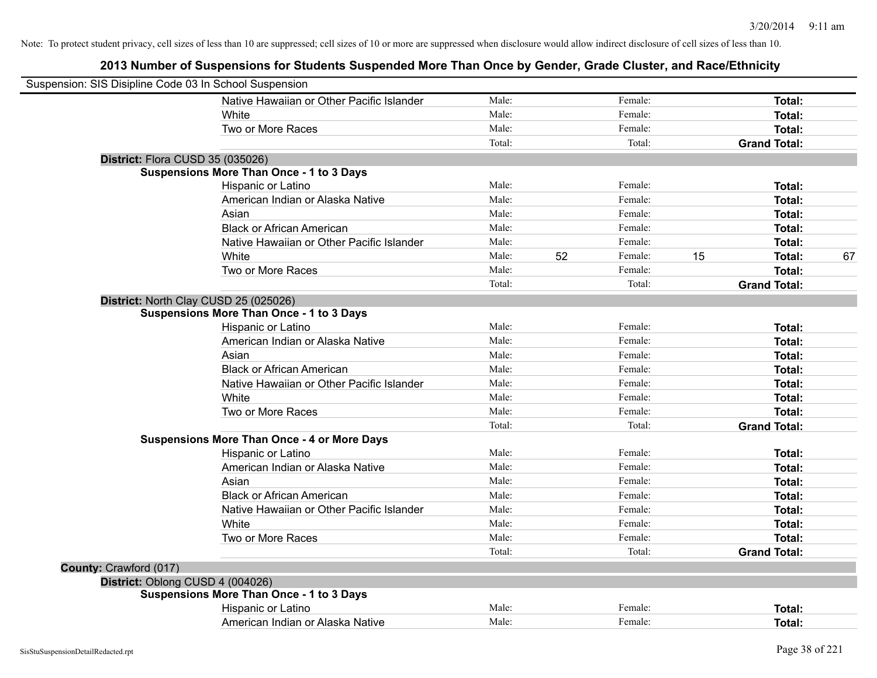| Suspension: SIS Disipline Code 03 In School Suspension |                                                    |        |    |         |    |                     |    |
|--------------------------------------------------------|----------------------------------------------------|--------|----|---------|----|---------------------|----|
|                                                        | Native Hawaiian or Other Pacific Islander          | Male:  |    | Female: |    | Total:              |    |
|                                                        | White                                              | Male:  |    | Female: |    | Total:              |    |
|                                                        | Two or More Races                                  | Male:  |    | Female: |    | Total:              |    |
|                                                        |                                                    | Total: |    | Total:  |    | <b>Grand Total:</b> |    |
| District: Flora CUSD 35 (035026)                       |                                                    |        |    |         |    |                     |    |
|                                                        | <b>Suspensions More Than Once - 1 to 3 Days</b>    |        |    |         |    |                     |    |
|                                                        | Hispanic or Latino                                 | Male:  |    | Female: |    | Total:              |    |
|                                                        | American Indian or Alaska Native                   | Male:  |    | Female: |    | Total:              |    |
|                                                        | Asian                                              | Male:  |    | Female: |    | Total:              |    |
|                                                        | <b>Black or African American</b>                   | Male:  |    | Female: |    | Total:              |    |
|                                                        | Native Hawaiian or Other Pacific Islander          | Male:  |    | Female: |    | Total:              |    |
|                                                        | White                                              | Male:  | 52 | Female: | 15 | Total:              | 67 |
|                                                        | Two or More Races                                  | Male:  |    | Female: |    | Total:              |    |
|                                                        |                                                    | Total: |    | Total:  |    | <b>Grand Total:</b> |    |
|                                                        | District: North Clay CUSD 25 (025026)              |        |    |         |    |                     |    |
|                                                        | <b>Suspensions More Than Once - 1 to 3 Days</b>    |        |    |         |    |                     |    |
|                                                        | Hispanic or Latino                                 | Male:  |    | Female: |    | Total:              |    |
|                                                        | American Indian or Alaska Native                   | Male:  |    | Female: |    | Total:              |    |
|                                                        | Asian                                              | Male:  |    | Female: |    | Total:              |    |
|                                                        | <b>Black or African American</b>                   | Male:  |    | Female: |    | Total:              |    |
|                                                        | Native Hawaiian or Other Pacific Islander          | Male:  |    | Female: |    | Total:              |    |
|                                                        | White                                              | Male:  |    | Female: |    | Total:              |    |
|                                                        | Two or More Races                                  | Male:  |    | Female: |    | <b>Total:</b>       |    |
|                                                        |                                                    | Total: |    | Total:  |    | <b>Grand Total:</b> |    |
|                                                        | <b>Suspensions More Than Once - 4 or More Days</b> |        |    |         |    |                     |    |
|                                                        | Hispanic or Latino                                 | Male:  |    | Female: |    | Total:              |    |
|                                                        | American Indian or Alaska Native                   | Male:  |    | Female: |    | <b>Total:</b>       |    |
|                                                        | Asian                                              | Male:  |    | Female: |    | Total:              |    |
|                                                        | <b>Black or African American</b>                   | Male:  |    | Female: |    | Total:              |    |
|                                                        | Native Hawaiian or Other Pacific Islander          | Male:  |    | Female: |    | Total:              |    |
|                                                        | White                                              | Male:  |    | Female: |    | Total:              |    |
|                                                        | Two or More Races                                  | Male:  |    | Female: |    | Total:              |    |
|                                                        |                                                    | Total: |    | Total:  |    | <b>Grand Total:</b> |    |
| County: Crawford (017)                                 |                                                    |        |    |         |    |                     |    |
| District: Oblong CUSD 4 (004026)                       |                                                    |        |    |         |    |                     |    |
|                                                        | <b>Suspensions More Than Once - 1 to 3 Days</b>    |        |    |         |    |                     |    |
|                                                        | Hispanic or Latino                                 | Male:  |    | Female: |    | <b>Total:</b>       |    |
|                                                        | American Indian or Alaska Native                   | Male:  |    | Female: |    | Total:              |    |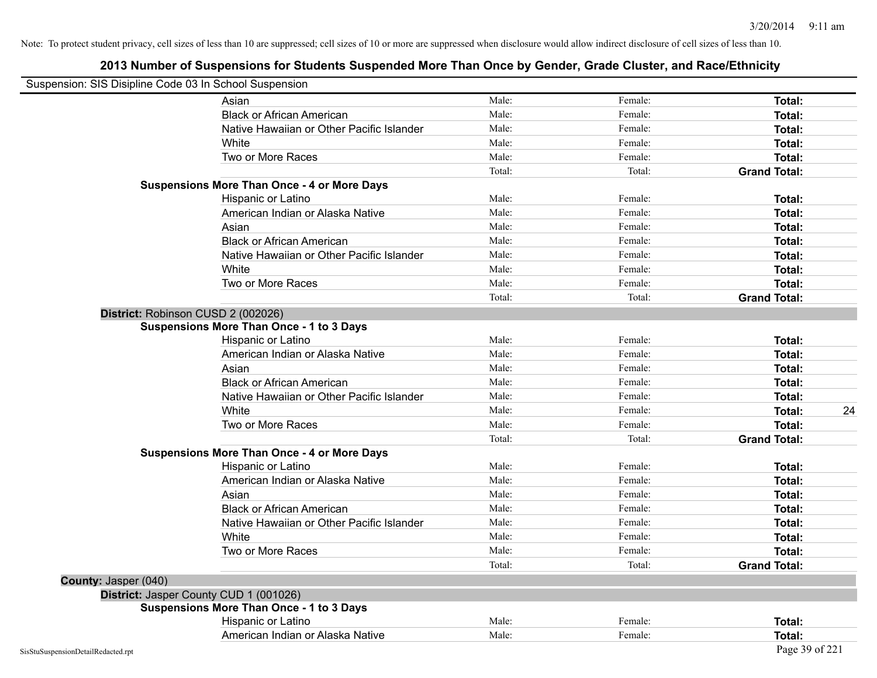| Suspension: SIS Disipline Code 03 In School Suspension |                                                    |        |         |                     |
|--------------------------------------------------------|----------------------------------------------------|--------|---------|---------------------|
|                                                        | Asian                                              | Male:  | Female: | Total:              |
|                                                        | <b>Black or African American</b>                   | Male:  | Female: | Total:              |
|                                                        | Native Hawaiian or Other Pacific Islander          | Male:  | Female: | <b>Total:</b>       |
|                                                        | White                                              | Male:  | Female: | <b>Total:</b>       |
|                                                        | Two or More Races                                  | Male:  | Female: | Total:              |
|                                                        |                                                    | Total: | Total:  | <b>Grand Total:</b> |
|                                                        | <b>Suspensions More Than Once - 4 or More Days</b> |        |         |                     |
|                                                        | Hispanic or Latino                                 | Male:  | Female: | Total:              |
|                                                        | American Indian or Alaska Native                   | Male:  | Female: | <b>Total:</b>       |
|                                                        | Asian                                              | Male:  | Female: | Total:              |
|                                                        | <b>Black or African American</b>                   | Male:  | Female: | Total:              |
|                                                        | Native Hawaiian or Other Pacific Islander          | Male:  | Female: | <b>Total:</b>       |
|                                                        | White                                              | Male:  | Female: | Total:              |
|                                                        | Two or More Races                                  | Male:  | Female: | <b>Total:</b>       |
|                                                        |                                                    | Total: | Total:  | <b>Grand Total:</b> |
|                                                        | District: Robinson CUSD 2 (002026)                 |        |         |                     |
|                                                        | <b>Suspensions More Than Once - 1 to 3 Days</b>    |        |         |                     |
|                                                        | Hispanic or Latino                                 | Male:  | Female: | <b>Total:</b>       |
|                                                        | American Indian or Alaska Native                   | Male:  | Female: | <b>Total:</b>       |
|                                                        | Asian                                              | Male:  | Female: | Total:              |
|                                                        | <b>Black or African American</b>                   | Male:  | Female: | Total:              |
|                                                        | Native Hawaiian or Other Pacific Islander          | Male:  | Female: | <b>Total:</b>       |
|                                                        | White                                              | Male:  | Female: | 24<br><b>Total:</b> |
|                                                        | Two or More Races                                  | Male:  | Female: | <b>Total:</b>       |
|                                                        |                                                    | Total: | Total:  | <b>Grand Total:</b> |
|                                                        | <b>Suspensions More Than Once - 4 or More Days</b> |        |         |                     |
|                                                        | Hispanic or Latino                                 | Male:  | Female: | Total:              |
|                                                        | American Indian or Alaska Native                   | Male:  | Female: | Total:              |
|                                                        | Asian                                              | Male:  | Female: | Total:              |
|                                                        | <b>Black or African American</b>                   | Male:  | Female: | <b>Total:</b>       |
|                                                        | Native Hawaiian or Other Pacific Islander          | Male:  | Female: | Total:              |
|                                                        | White                                              | Male:  | Female: | Total:              |
|                                                        | Two or More Races                                  | Male:  | Female: | <b>Total:</b>       |
|                                                        |                                                    | Total: | Total:  | <b>Grand Total:</b> |
| County: Jasper (040)                                   |                                                    |        |         |                     |
|                                                        | District: Jasper County CUD 1 (001026)             |        |         |                     |
|                                                        | <b>Suspensions More Than Once - 1 to 3 Days</b>    |        |         |                     |
|                                                        | Hispanic or Latino                                 | Male:  | Female: | Total:              |
|                                                        | American Indian or Alaska Native                   | Male:  | Female: | Total:              |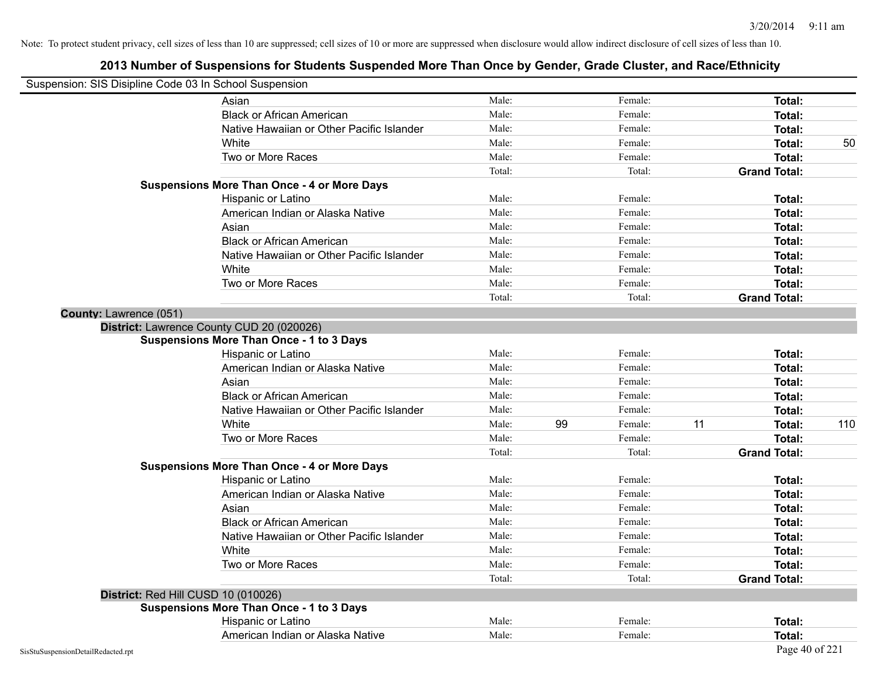| Suspension: SIS Disipline Code 03 In School Suspension |                                                    |        |    |         |    |                     |     |
|--------------------------------------------------------|----------------------------------------------------|--------|----|---------|----|---------------------|-----|
|                                                        | Asian                                              | Male:  |    | Female: |    | Total:              |     |
|                                                        | <b>Black or African American</b>                   | Male:  |    | Female: |    | Total:              |     |
|                                                        | Native Hawaiian or Other Pacific Islander          | Male:  |    | Female: |    | Total:              |     |
|                                                        | White                                              | Male:  |    | Female: |    | Total:              | 50  |
|                                                        | Two or More Races                                  | Male:  |    | Female: |    | Total:              |     |
|                                                        |                                                    | Total: |    | Total:  |    | <b>Grand Total:</b> |     |
|                                                        | <b>Suspensions More Than Once - 4 or More Days</b> |        |    |         |    |                     |     |
|                                                        | Hispanic or Latino                                 | Male:  |    | Female: |    | Total:              |     |
|                                                        | American Indian or Alaska Native                   | Male:  |    | Female: |    | Total:              |     |
|                                                        | Asian                                              | Male:  |    | Female: |    | Total:              |     |
|                                                        | <b>Black or African American</b>                   | Male:  |    | Female: |    | Total:              |     |
|                                                        | Native Hawaiian or Other Pacific Islander          | Male:  |    | Female: |    | Total:              |     |
|                                                        | White                                              | Male:  |    | Female: |    | Total:              |     |
|                                                        | Two or More Races                                  | Male:  |    | Female: |    | Total:              |     |
|                                                        |                                                    | Total: |    | Total:  |    | <b>Grand Total:</b> |     |
| County: Lawrence (051)                                 |                                                    |        |    |         |    |                     |     |
|                                                        | District: Lawrence County CUD 20 (020026)          |        |    |         |    |                     |     |
|                                                        | <b>Suspensions More Than Once - 1 to 3 Days</b>    |        |    |         |    |                     |     |
|                                                        | Hispanic or Latino                                 | Male:  |    | Female: |    | Total:              |     |
|                                                        | American Indian or Alaska Native                   | Male:  |    | Female: |    | Total:              |     |
|                                                        | Asian                                              | Male:  |    | Female: |    | Total:              |     |
|                                                        | <b>Black or African American</b>                   | Male:  |    | Female: |    | Total:              |     |
|                                                        | Native Hawaiian or Other Pacific Islander          | Male:  |    | Female: |    | Total:              |     |
|                                                        | White                                              | Male:  | 99 | Female: | 11 | Total:              | 110 |
|                                                        | Two or More Races                                  | Male:  |    | Female: |    | <b>Total:</b>       |     |
|                                                        |                                                    | Total: |    | Total:  |    | <b>Grand Total:</b> |     |
|                                                        | <b>Suspensions More Than Once - 4 or More Days</b> |        |    |         |    |                     |     |
|                                                        | Hispanic or Latino                                 | Male:  |    | Female: |    | Total:              |     |
|                                                        | American Indian or Alaska Native                   | Male:  |    | Female: |    | Total:              |     |
|                                                        | Asian                                              | Male:  |    | Female: |    | Total:              |     |
|                                                        | <b>Black or African American</b>                   | Male:  |    | Female: |    | Total:              |     |
|                                                        | Native Hawaiian or Other Pacific Islander          | Male:  |    | Female: |    | Total:              |     |
|                                                        | White                                              | Male:  |    | Female: |    | Total:              |     |
|                                                        | Two or More Races                                  | Male:  |    | Female: |    | Total:              |     |
|                                                        |                                                    | Total: |    | Total:  |    | <b>Grand Total:</b> |     |
|                                                        | District: Red Hill CUSD 10 (010026)                |        |    |         |    |                     |     |
|                                                        | <b>Suspensions More Than Once - 1 to 3 Days</b>    |        |    |         |    |                     |     |
|                                                        | Hispanic or Latino                                 | Male:  |    | Female: |    | Total:              |     |
|                                                        | American Indian or Alaska Native                   | Male:  |    | Female: |    | Total:              |     |
| SisStuSuspensionDetailRedacted.rpt                     |                                                    |        |    |         |    | Page 40 of 221      |     |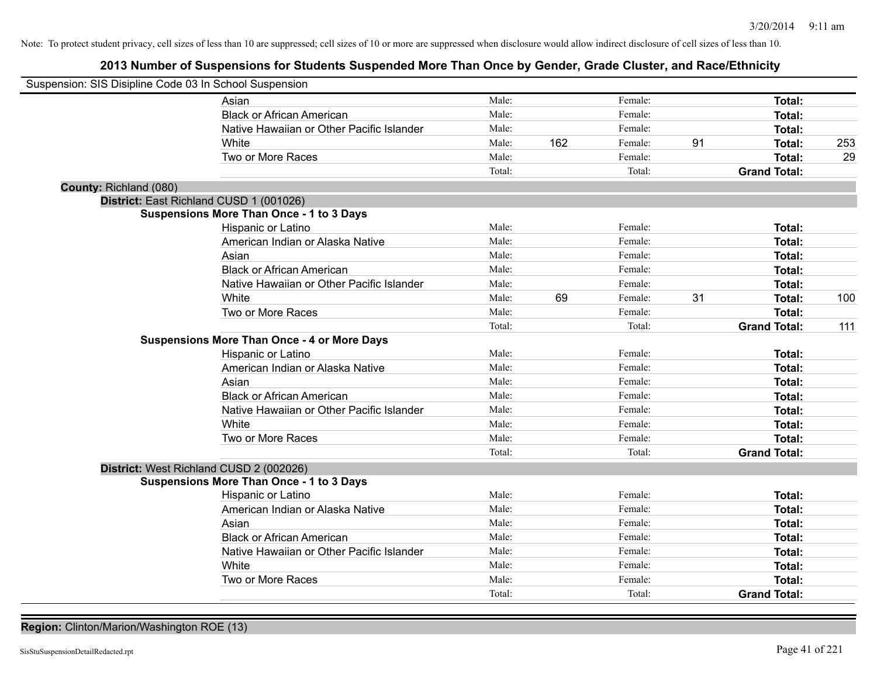# **2013 Number of Suspensions for Students Suspended More Than Once by Gender, Grade Cluster, and Race/Ethnicity**

| Suspension: SIS Disipline Code 03 In School Suspension |        |     |         |    |                     |     |
|--------------------------------------------------------|--------|-----|---------|----|---------------------|-----|
| Asian                                                  | Male:  |     | Female: |    | Total:              |     |
| <b>Black or African American</b>                       | Male:  |     | Female: |    | Total:              |     |
| Native Hawaiian or Other Pacific Islander              | Male:  |     | Female: |    | Total:              |     |
| White                                                  | Male:  | 162 | Female: | 91 | Total:              | 253 |
| Two or More Races                                      | Male:  |     | Female: |    | Total:              | 29  |
|                                                        | Total: |     | Total:  |    | <b>Grand Total:</b> |     |
| County: Richland (080)                                 |        |     |         |    |                     |     |
| District: East Richland CUSD 1 (001026)                |        |     |         |    |                     |     |
| <b>Suspensions More Than Once - 1 to 3 Days</b>        |        |     |         |    |                     |     |
| Hispanic or Latino                                     | Male:  |     | Female: |    | Total:              |     |
| American Indian or Alaska Native                       | Male:  |     | Female: |    | Total:              |     |
| Asian                                                  | Male:  |     | Female: |    | Total:              |     |
| <b>Black or African American</b>                       | Male:  |     | Female: |    | Total:              |     |
| Native Hawaiian or Other Pacific Islander              | Male:  |     | Female: |    | Total:              |     |
| White                                                  | Male:  | 69  | Female: | 31 | Total:              | 100 |
| Two or More Races                                      | Male:  |     | Female: |    | Total:              |     |
|                                                        | Total: |     | Total:  |    | <b>Grand Total:</b> | 111 |
| <b>Suspensions More Than Once - 4 or More Days</b>     |        |     |         |    |                     |     |
| Hispanic or Latino                                     | Male:  |     | Female: |    | Total:              |     |
| American Indian or Alaska Native                       | Male:  |     | Female: |    | <b>Total:</b>       |     |
| Asian                                                  | Male:  |     | Female: |    | Total:              |     |
| <b>Black or African American</b>                       | Male:  |     | Female: |    | Total:              |     |
| Native Hawaiian or Other Pacific Islander              | Male:  |     | Female: |    | Total:              |     |
| White                                                  | Male:  |     | Female: |    | <b>Total:</b>       |     |
| Two or More Races                                      | Male:  |     | Female: |    | Total:              |     |
|                                                        | Total: |     | Total:  |    | <b>Grand Total:</b> |     |
| District: West Richland CUSD 2 (002026)                |        |     |         |    |                     |     |
| <b>Suspensions More Than Once - 1 to 3 Days</b>        |        |     |         |    |                     |     |
| Hispanic or Latino                                     | Male:  |     | Female: |    | Total:              |     |
| American Indian or Alaska Native                       | Male:  |     | Female: |    | <b>Total:</b>       |     |
| Asian                                                  | Male:  |     | Female: |    | <b>Total:</b>       |     |
| <b>Black or African American</b>                       | Male:  |     | Female: |    | Total:              |     |
| Native Hawaiian or Other Pacific Islander              | Male:  |     | Female: |    | Total:              |     |
| White                                                  | Male:  |     | Female: |    | Total:              |     |
| Two or More Races                                      | Male:  |     | Female: |    | Total:              |     |
|                                                        | Total: |     | Total:  |    | <b>Grand Total:</b> |     |

**Region:** Clinton/Marion/Washington ROE (13)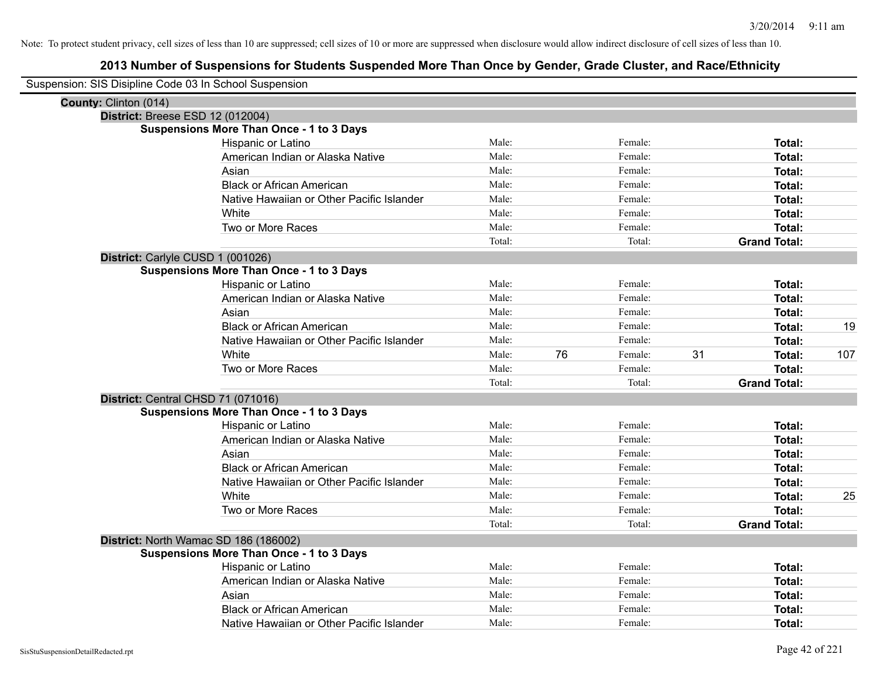| Suspension: SIS Disipline Code 03 In School Suspension |                                                 |        |    |         |    |                     |     |
|--------------------------------------------------------|-------------------------------------------------|--------|----|---------|----|---------------------|-----|
| County: Clinton (014)                                  |                                                 |        |    |         |    |                     |     |
|                                                        | District: Breese ESD 12 (012004)                |        |    |         |    |                     |     |
|                                                        | <b>Suspensions More Than Once - 1 to 3 Days</b> |        |    |         |    |                     |     |
|                                                        | Hispanic or Latino                              | Male:  |    | Female: |    | Total:              |     |
|                                                        | American Indian or Alaska Native                | Male:  |    | Female: |    | Total:              |     |
|                                                        | Asian                                           | Male:  |    | Female: |    | Total:              |     |
|                                                        | <b>Black or African American</b>                | Male:  |    | Female: |    | Total:              |     |
|                                                        | Native Hawaiian or Other Pacific Islander       | Male:  |    | Female: |    | Total:              |     |
|                                                        | White                                           | Male:  |    | Female: |    | Total:              |     |
|                                                        | Two or More Races                               | Male:  |    | Female: |    | Total:              |     |
|                                                        |                                                 | Total: |    | Total:  |    | <b>Grand Total:</b> |     |
|                                                        | District: Carlyle CUSD 1 (001026)               |        |    |         |    |                     |     |
|                                                        | <b>Suspensions More Than Once - 1 to 3 Days</b> |        |    |         |    |                     |     |
|                                                        | Hispanic or Latino                              | Male:  |    | Female: |    | Total:              |     |
|                                                        | American Indian or Alaska Native                | Male:  |    | Female: |    | Total:              |     |
|                                                        | Asian                                           | Male:  |    | Female: |    | Total:              |     |
|                                                        | <b>Black or African American</b>                | Male:  |    | Female: |    | Total:              | 19  |
|                                                        | Native Hawaiian or Other Pacific Islander       | Male:  |    | Female: |    | Total:              |     |
|                                                        | White                                           | Male:  | 76 | Female: | 31 | Total:              | 107 |
|                                                        | Two or More Races                               | Male:  |    | Female: |    | Total:              |     |
|                                                        |                                                 | Total: |    | Total:  |    | <b>Grand Total:</b> |     |
|                                                        | District: Central CHSD 71 (071016)              |        |    |         |    |                     |     |
|                                                        | <b>Suspensions More Than Once - 1 to 3 Days</b> |        |    |         |    |                     |     |
|                                                        | Hispanic or Latino                              | Male:  |    | Female: |    | Total:              |     |
|                                                        | American Indian or Alaska Native                | Male:  |    | Female: |    | Total:              |     |
|                                                        | Asian                                           | Male:  |    | Female: |    | Total:              |     |
|                                                        | <b>Black or African American</b>                | Male:  |    | Female: |    | Total:              |     |
|                                                        | Native Hawaiian or Other Pacific Islander       | Male:  |    | Female: |    | Total:              |     |
|                                                        | White                                           | Male:  |    | Female: |    | Total:              | 25  |
|                                                        | Two or More Races                               | Male:  |    | Female: |    | Total:              |     |
|                                                        |                                                 | Total: |    | Total:  |    | <b>Grand Total:</b> |     |
|                                                        | District: North Wamac SD 186 (186002)           |        |    |         |    |                     |     |
|                                                        | <b>Suspensions More Than Once - 1 to 3 Days</b> |        |    |         |    |                     |     |
|                                                        | Hispanic or Latino                              | Male:  |    | Female: |    | Total:              |     |
|                                                        | American Indian or Alaska Native                | Male:  |    | Female: |    | Total:              |     |
|                                                        | Asian                                           | Male:  |    | Female: |    | Total:              |     |
|                                                        | <b>Black or African American</b>                | Male:  |    | Female: |    | Total:              |     |
|                                                        | Native Hawaiian or Other Pacific Islander       | Male:  |    | Female: |    | Total:              |     |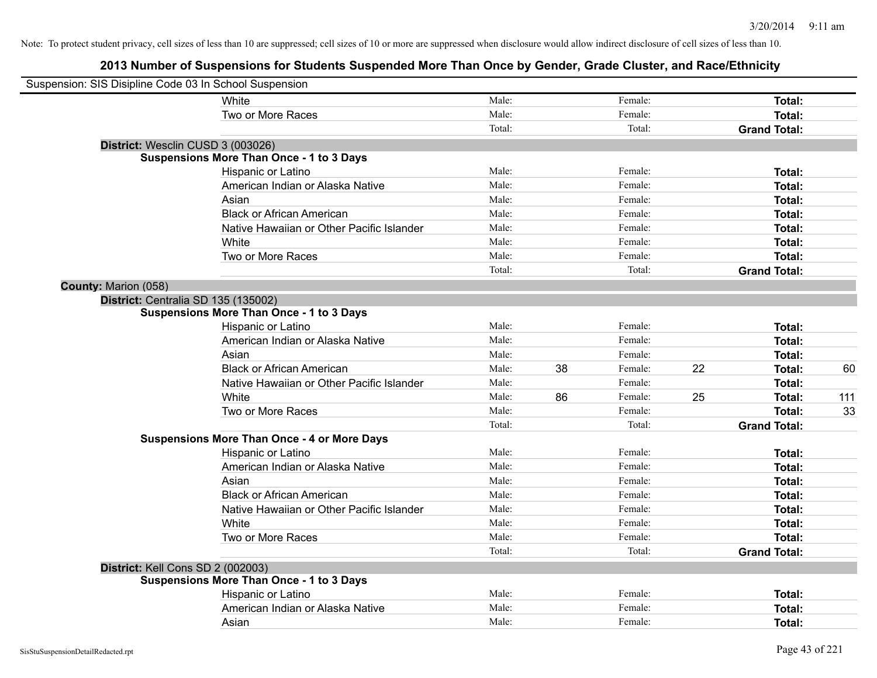| Suspension: SIS Disipline Code 03 In School Suspension |                                                    |        |    |         |    |                     |     |
|--------------------------------------------------------|----------------------------------------------------|--------|----|---------|----|---------------------|-----|
|                                                        | White                                              | Male:  |    | Female: |    | Total:              |     |
|                                                        | Two or More Races                                  | Male:  |    | Female: |    | <b>Total:</b>       |     |
|                                                        |                                                    | Total: |    | Total:  |    | <b>Grand Total:</b> |     |
| District: Wesclin CUSD 3 (003026)                      |                                                    |        |    |         |    |                     |     |
|                                                        | <b>Suspensions More Than Once - 1 to 3 Days</b>    |        |    |         |    |                     |     |
|                                                        | Hispanic or Latino                                 | Male:  |    | Female: |    | Total:              |     |
|                                                        | American Indian or Alaska Native                   | Male:  |    | Female: |    | Total:              |     |
|                                                        | Asian                                              | Male:  |    | Female: |    | Total:              |     |
|                                                        | <b>Black or African American</b>                   | Male:  |    | Female: |    | Total:              |     |
|                                                        | Native Hawaiian or Other Pacific Islander          | Male:  |    | Female: |    | Total:              |     |
|                                                        | White                                              | Male:  |    | Female: |    | Total:              |     |
|                                                        | Two or More Races                                  | Male:  |    | Female: |    | Total:              |     |
|                                                        |                                                    | Total: |    | Total:  |    | <b>Grand Total:</b> |     |
| County: Marion (058)                                   |                                                    |        |    |         |    |                     |     |
| District: Centralia SD 135 (135002)                    |                                                    |        |    |         |    |                     |     |
|                                                        | <b>Suspensions More Than Once - 1 to 3 Days</b>    |        |    |         |    |                     |     |
|                                                        | Hispanic or Latino                                 | Male:  |    | Female: |    | Total:              |     |
|                                                        | American Indian or Alaska Native                   | Male:  |    | Female: |    | Total:              |     |
|                                                        | Asian                                              | Male:  |    | Female: |    | Total:              |     |
|                                                        | <b>Black or African American</b>                   | Male:  | 38 | Female: | 22 | Total:              | 60  |
|                                                        | Native Hawaiian or Other Pacific Islander          | Male:  |    | Female: |    | Total:              |     |
|                                                        | White                                              | Male:  | 86 | Female: | 25 | Total:              | 111 |
|                                                        | Two or More Races                                  | Male:  |    | Female: |    | Total:              | 33  |
|                                                        |                                                    | Total: |    | Total:  |    | <b>Grand Total:</b> |     |
|                                                        | <b>Suspensions More Than Once - 4 or More Days</b> |        |    |         |    |                     |     |
|                                                        | Hispanic or Latino                                 | Male:  |    | Female: |    | Total:              |     |
|                                                        | American Indian or Alaska Native                   | Male:  |    | Female: |    | Total:              |     |
|                                                        | Asian                                              | Male:  |    | Female: |    | Total:              |     |
|                                                        | <b>Black or African American</b>                   | Male:  |    | Female: |    | Total:              |     |
|                                                        | Native Hawaiian or Other Pacific Islander          | Male:  |    | Female: |    | Total:              |     |
|                                                        | White                                              | Male:  |    | Female: |    | Total:              |     |
|                                                        | Two or More Races                                  | Male:  |    | Female: |    | Total:              |     |
|                                                        |                                                    | Total: |    | Total:  |    | <b>Grand Total:</b> |     |
| District: Kell Cons SD 2 (002003)                      |                                                    |        |    |         |    |                     |     |
|                                                        | <b>Suspensions More Than Once - 1 to 3 Days</b>    |        |    |         |    |                     |     |
|                                                        | Hispanic or Latino                                 | Male:  |    | Female: |    | Total:              |     |
|                                                        | American Indian or Alaska Native                   | Male:  |    | Female: |    | Total:              |     |
|                                                        | Asian                                              | Male:  |    | Female: |    | Total:              |     |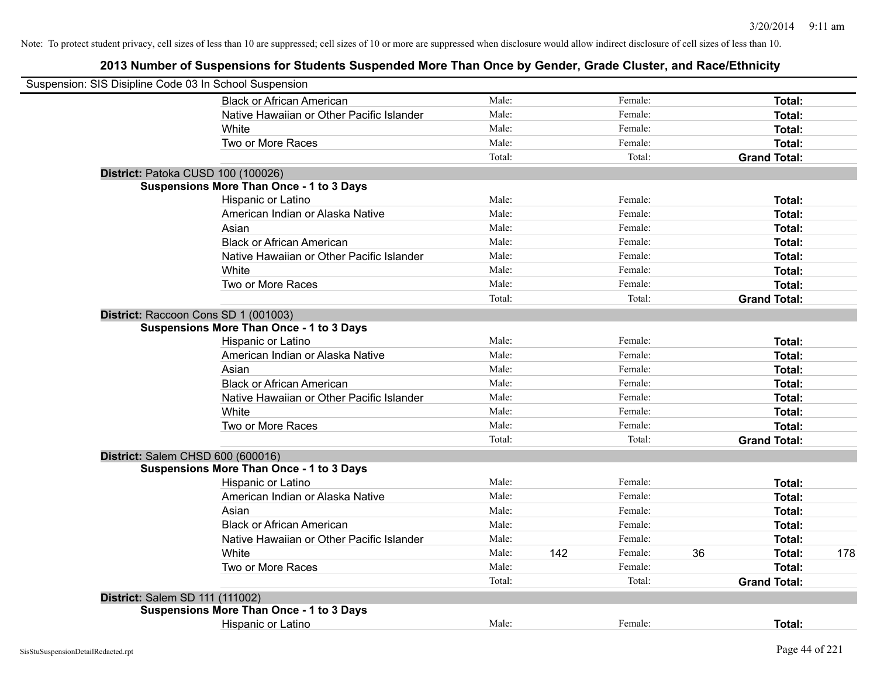| Suspension: SIS Disipline Code 03 In School Suspension |                                                 |        |     |         |    |                     |     |
|--------------------------------------------------------|-------------------------------------------------|--------|-----|---------|----|---------------------|-----|
|                                                        | <b>Black or African American</b>                | Male:  |     | Female: |    | Total:              |     |
|                                                        | Native Hawaiian or Other Pacific Islander       | Male:  |     | Female: |    | Total:              |     |
|                                                        | White                                           | Male:  |     | Female: |    | Total:              |     |
|                                                        | Two or More Races                               | Male:  |     | Female: |    | Total:              |     |
|                                                        |                                                 | Total: |     | Total:  |    | <b>Grand Total:</b> |     |
| District: Patoka CUSD 100 (100026)                     |                                                 |        |     |         |    |                     |     |
|                                                        | <b>Suspensions More Than Once - 1 to 3 Days</b> |        |     |         |    |                     |     |
|                                                        | Hispanic or Latino                              | Male:  |     | Female: |    | Total:              |     |
|                                                        | American Indian or Alaska Native                | Male:  |     | Female: |    | Total:              |     |
|                                                        | Asian                                           | Male:  |     | Female: |    | Total:              |     |
|                                                        | <b>Black or African American</b>                | Male:  |     | Female: |    | Total:              |     |
|                                                        | Native Hawaiian or Other Pacific Islander       | Male:  |     | Female: |    | Total:              |     |
|                                                        | White                                           | Male:  |     | Female: |    | Total:              |     |
|                                                        | Two or More Races                               | Male:  |     | Female: |    | Total:              |     |
|                                                        |                                                 | Total: |     | Total:  |    | <b>Grand Total:</b> |     |
| District: Raccoon Cons SD 1 (001003)                   |                                                 |        |     |         |    |                     |     |
|                                                        | <b>Suspensions More Than Once - 1 to 3 Days</b> |        |     |         |    |                     |     |
|                                                        | Hispanic or Latino                              | Male:  |     | Female: |    | Total:              |     |
|                                                        | American Indian or Alaska Native                | Male:  |     | Female: |    | Total:              |     |
|                                                        | Asian                                           | Male:  |     | Female: |    | Total:              |     |
|                                                        | <b>Black or African American</b>                | Male:  |     | Female: |    | Total:              |     |
|                                                        | Native Hawaiian or Other Pacific Islander       | Male:  |     | Female: |    | Total:              |     |
|                                                        | White                                           | Male:  |     | Female: |    | Total:              |     |
|                                                        | Two or More Races                               | Male:  |     | Female: |    | Total:              |     |
|                                                        |                                                 | Total: |     | Total:  |    | <b>Grand Total:</b> |     |
| District: Salem CHSD 600 (600016)                      |                                                 |        |     |         |    |                     |     |
|                                                        | <b>Suspensions More Than Once - 1 to 3 Days</b> |        |     |         |    |                     |     |
|                                                        | Hispanic or Latino                              | Male:  |     | Female: |    | Total:              |     |
|                                                        | American Indian or Alaska Native                | Male:  |     | Female: |    | Total:              |     |
|                                                        | Asian                                           | Male:  |     | Female: |    | Total:              |     |
|                                                        | <b>Black or African American</b>                | Male:  |     | Female: |    | Total:              |     |
|                                                        | Native Hawaiian or Other Pacific Islander       | Male:  |     | Female: |    | Total:              |     |
|                                                        | White                                           | Male:  | 142 | Female: | 36 | Total:              | 178 |
|                                                        | Two or More Races                               | Male:  |     | Female: |    | Total:              |     |
|                                                        |                                                 | Total: |     | Total:  |    | <b>Grand Total:</b> |     |
| District: Salem SD 111 (111002)                        |                                                 |        |     |         |    |                     |     |
|                                                        | <b>Suspensions More Than Once - 1 to 3 Days</b> |        |     |         |    |                     |     |
|                                                        | Hispanic or Latino                              | Male:  |     | Female: |    | Total:              |     |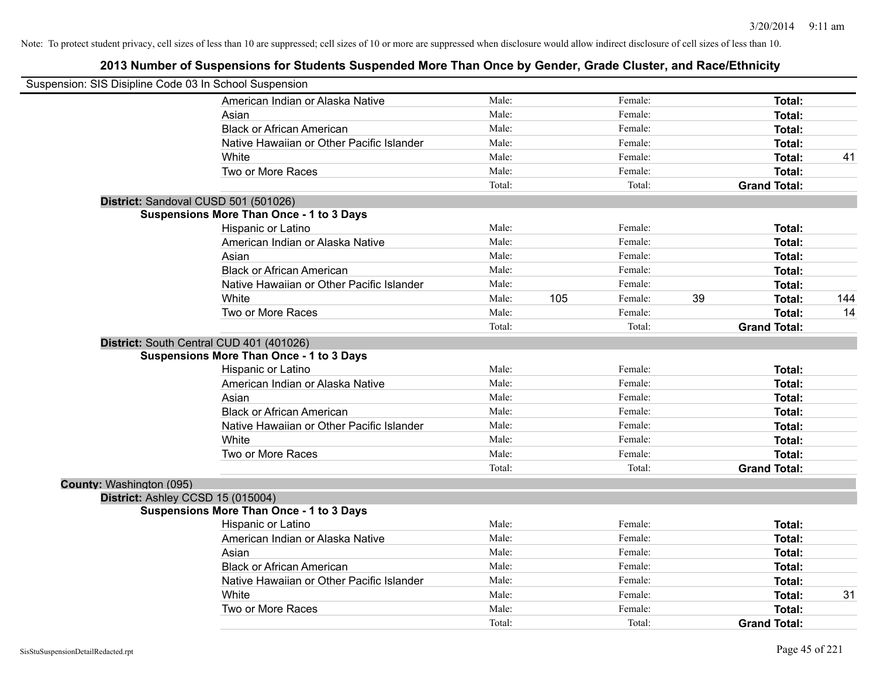| Suspension: SIS Disipline Code 03 In School Suspension |                                                 |        |     |         |                     |     |
|--------------------------------------------------------|-------------------------------------------------|--------|-----|---------|---------------------|-----|
|                                                        | American Indian or Alaska Native                | Male:  |     | Female: | Total:              |     |
|                                                        | Asian                                           | Male:  |     | Female: | Total:              |     |
|                                                        | <b>Black or African American</b>                | Male:  |     | Female: | Total:              |     |
|                                                        | Native Hawaiian or Other Pacific Islander       | Male:  |     | Female: | <b>Total:</b>       |     |
|                                                        | White                                           | Male:  |     | Female: | Total:              | 41  |
|                                                        | Two or More Races                               | Male:  |     | Female: | Total:              |     |
|                                                        |                                                 | Total: |     | Total:  | <b>Grand Total:</b> |     |
|                                                        | District: Sandoval CUSD 501 (501026)            |        |     |         |                     |     |
|                                                        | <b>Suspensions More Than Once - 1 to 3 Days</b> |        |     |         |                     |     |
|                                                        | Hispanic or Latino                              | Male:  |     | Female: | Total:              |     |
|                                                        | American Indian or Alaska Native                | Male:  |     | Female: | Total:              |     |
|                                                        | Asian                                           | Male:  |     | Female: | Total:              |     |
|                                                        | <b>Black or African American</b>                | Male:  |     | Female: | Total:              |     |
|                                                        | Native Hawaiian or Other Pacific Islander       | Male:  |     | Female: | Total:              |     |
|                                                        | White                                           | Male:  | 105 | Female: | 39<br>Total:        | 144 |
|                                                        | Two or More Races                               | Male:  |     | Female: | Total:              | 14  |
|                                                        |                                                 | Total: |     | Total:  | <b>Grand Total:</b> |     |
|                                                        | District: South Central CUD 401 (401026)        |        |     |         |                     |     |
|                                                        | <b>Suspensions More Than Once - 1 to 3 Days</b> |        |     |         |                     |     |
|                                                        | Hispanic or Latino                              | Male:  |     | Female: | Total:              |     |
|                                                        | American Indian or Alaska Native                | Male:  |     | Female: | Total:              |     |
|                                                        | Asian                                           | Male:  |     | Female: | Total:              |     |
|                                                        | <b>Black or African American</b>                | Male:  |     | Female: | Total:              |     |
|                                                        | Native Hawaiian or Other Pacific Islander       | Male:  |     | Female: | Total:              |     |
|                                                        | White                                           | Male:  |     | Female: | Total:              |     |
|                                                        | Two or More Races                               | Male:  |     | Female: | Total:              |     |
|                                                        |                                                 | Total: |     | Total:  | <b>Grand Total:</b> |     |
| County: Washington (095)                               |                                                 |        |     |         |                     |     |
| District: Ashley CCSD 15 (015004)                      |                                                 |        |     |         |                     |     |
|                                                        | <b>Suspensions More Than Once - 1 to 3 Days</b> |        |     |         |                     |     |
|                                                        | Hispanic or Latino                              | Male:  |     | Female: | Total:              |     |
|                                                        | American Indian or Alaska Native                | Male:  |     | Female: | Total:              |     |
|                                                        | Asian                                           | Male:  |     | Female: | Total:              |     |
|                                                        | <b>Black or African American</b>                | Male:  |     | Female: | <b>Total:</b>       |     |
|                                                        | Native Hawaiian or Other Pacific Islander       | Male:  |     | Female: | Total:              |     |
|                                                        | White                                           | Male:  |     | Female: | Total:              | 31  |
|                                                        | Two or More Races                               | Male:  |     | Female: | Total:              |     |
|                                                        |                                                 | Total: |     | Total:  | <b>Grand Total:</b> |     |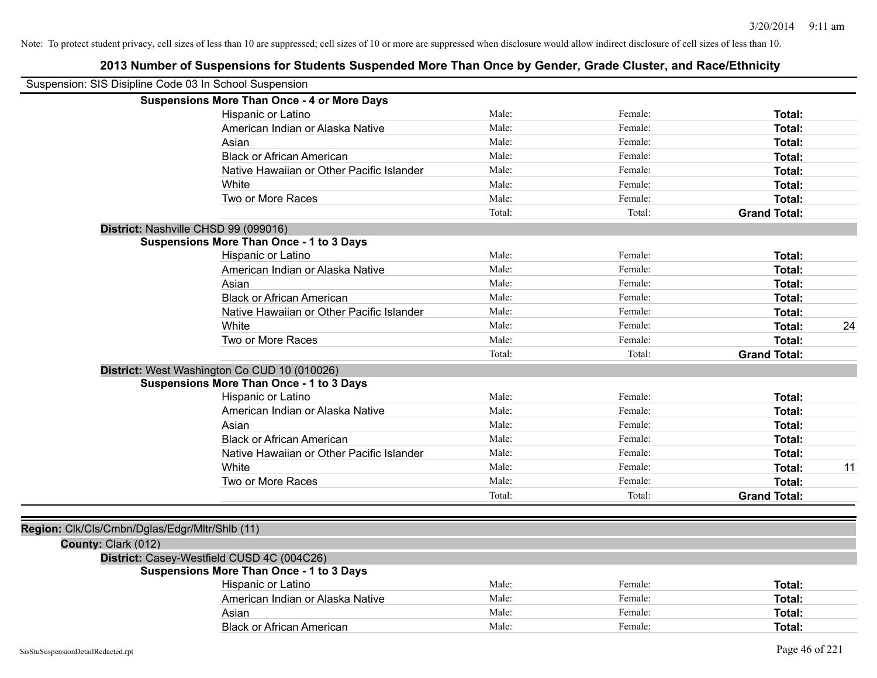| Suspension: SIS Disipline Code 03 In School Suspension |                                                    |        |         |                     |    |
|--------------------------------------------------------|----------------------------------------------------|--------|---------|---------------------|----|
|                                                        | <b>Suspensions More Than Once - 4 or More Days</b> |        |         |                     |    |
|                                                        | Hispanic or Latino                                 | Male:  | Female: | Total:              |    |
|                                                        | American Indian or Alaska Native                   | Male:  | Female: | Total:              |    |
|                                                        | Asian                                              | Male:  | Female: | Total:              |    |
|                                                        | <b>Black or African American</b>                   | Male:  | Female: | Total:              |    |
|                                                        | Native Hawaiian or Other Pacific Islander          | Male:  | Female: | Total:              |    |
|                                                        | White                                              | Male:  | Female: | Total:              |    |
|                                                        | Two or More Races                                  | Male:  | Female: | Total:              |    |
|                                                        |                                                    | Total: | Total:  | <b>Grand Total:</b> |    |
|                                                        | District: Nashville CHSD 99 (099016)               |        |         |                     |    |
|                                                        | <b>Suspensions More Than Once - 1 to 3 Days</b>    |        |         |                     |    |
|                                                        | Hispanic or Latino                                 | Male:  | Female: | Total:              |    |
|                                                        | American Indian or Alaska Native                   | Male:  | Female: | Total:              |    |
|                                                        | Asian                                              | Male:  | Female: | Total:              |    |
|                                                        | <b>Black or African American</b>                   | Male:  | Female: | Total:              |    |
|                                                        | Native Hawaiian or Other Pacific Islander          | Male:  | Female: | Total:              |    |
|                                                        | White                                              | Male:  | Female: | Total:              | 24 |
|                                                        | Two or More Races                                  | Male:  | Female: | Total:              |    |
|                                                        |                                                    | Total: | Total:  | <b>Grand Total:</b> |    |
|                                                        | District: West Washington Co CUD 10 (010026)       |        |         |                     |    |
|                                                        | <b>Suspensions More Than Once - 1 to 3 Days</b>    |        |         |                     |    |
|                                                        | Hispanic or Latino                                 | Male:  | Female: | Total:              |    |
|                                                        | American Indian or Alaska Native                   | Male:  | Female: | Total:              |    |
|                                                        | Asian                                              | Male:  | Female: | Total:              |    |
|                                                        | <b>Black or African American</b>                   | Male:  | Female: | Total:              |    |
|                                                        | Native Hawaiian or Other Pacific Islander          | Male:  | Female: | Total:              |    |
|                                                        | White                                              | Male:  | Female: | Total:              | 11 |
|                                                        | Two or More Races                                  | Male:  | Female: | Total:              |    |
|                                                        |                                                    | Total: | Total:  | <b>Grand Total:</b> |    |
|                                                        |                                                    |        |         |                     |    |
| Region: Clk/Cls/Cmbn/Dglas/Edgr/Mltr/Shlb (11)         |                                                    |        |         |                     |    |
| County: Clark (012)                                    |                                                    |        |         |                     |    |
|                                                        | District: Casey-Westfield CUSD 4C (004C26)         |        |         |                     |    |
|                                                        | <b>Suspensions More Than Once - 1 to 3 Days</b>    |        |         |                     |    |
|                                                        | Hispanic or Latino                                 | Male:  | Female: | Total:              |    |
|                                                        | American Indian or Alaska Native                   | Male:  | Female: | Total:              |    |
|                                                        | Asian                                              | Male:  | Female: | Total:              |    |
|                                                        | <b>Black or African American</b>                   | Male:  | Female: | Total:              |    |
|                                                        |                                                    |        |         |                     |    |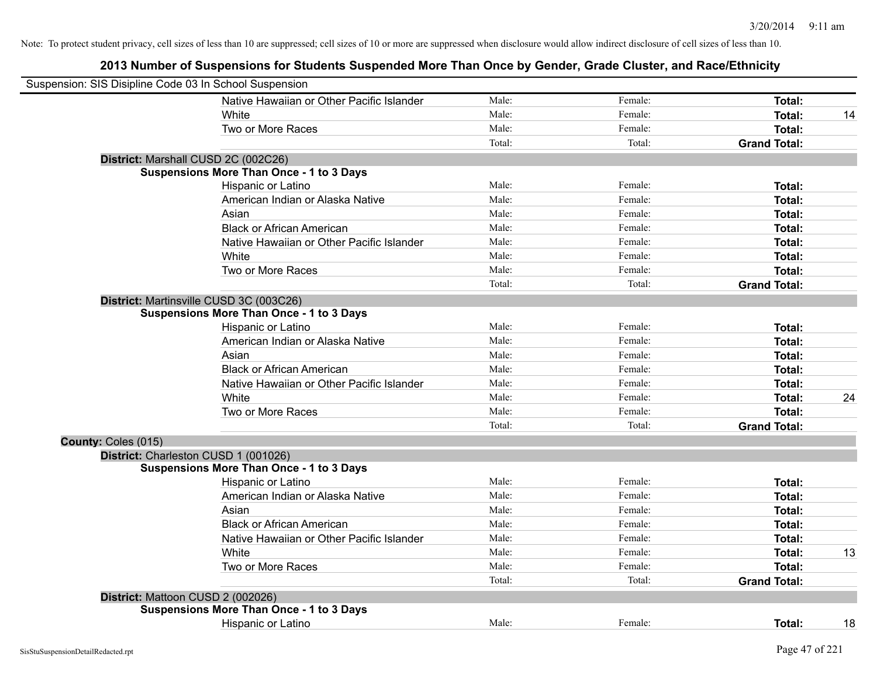| Suspension: SIS Disipline Code 03 In School Suspension |                                                 |        |         |                     |    |
|--------------------------------------------------------|-------------------------------------------------|--------|---------|---------------------|----|
|                                                        | Native Hawaiian or Other Pacific Islander       | Male:  | Female: | Total:              |    |
|                                                        | White                                           | Male:  | Female: | <b>Total:</b>       | 14 |
|                                                        | Two or More Races                               | Male:  | Female: | Total:              |    |
|                                                        |                                                 | Total: | Total:  | <b>Grand Total:</b> |    |
|                                                        | District: Marshall CUSD 2C (002C26)             |        |         |                     |    |
|                                                        | <b>Suspensions More Than Once - 1 to 3 Days</b> |        |         |                     |    |
|                                                        | Hispanic or Latino                              | Male:  | Female: | Total:              |    |
|                                                        | American Indian or Alaska Native                | Male:  | Female: | <b>Total:</b>       |    |
|                                                        | Asian                                           | Male:  | Female: | Total:              |    |
|                                                        | <b>Black or African American</b>                | Male:  | Female: | Total:              |    |
|                                                        | Native Hawaiian or Other Pacific Islander       | Male:  | Female: | Total:              |    |
|                                                        | White                                           | Male:  | Female: | Total:              |    |
|                                                        | Two or More Races                               | Male:  | Female: | Total:              |    |
|                                                        |                                                 | Total: | Total:  | <b>Grand Total:</b> |    |
|                                                        | District: Martinsville CUSD 3C (003C26)         |        |         |                     |    |
|                                                        | <b>Suspensions More Than Once - 1 to 3 Days</b> |        |         |                     |    |
|                                                        | Hispanic or Latino                              | Male:  | Female: | <b>Total:</b>       |    |
|                                                        | American Indian or Alaska Native                | Male:  | Female: | Total:              |    |
|                                                        | Asian                                           | Male:  | Female: | Total:              |    |
|                                                        | <b>Black or African American</b>                | Male:  | Female: | Total:              |    |
|                                                        | Native Hawaiian or Other Pacific Islander       | Male:  | Female: | Total:              |    |
|                                                        | White                                           | Male:  | Female: | Total:              | 24 |
|                                                        | Two or More Races                               | Male:  | Female: | <b>Total:</b>       |    |
|                                                        |                                                 | Total: | Total:  | <b>Grand Total:</b> |    |
| County: Coles (015)                                    |                                                 |        |         |                     |    |
|                                                        | District: Charleston CUSD 1 (001026)            |        |         |                     |    |
|                                                        | <b>Suspensions More Than Once - 1 to 3 Days</b> |        |         |                     |    |
|                                                        | Hispanic or Latino                              | Male:  | Female: | <b>Total:</b>       |    |
|                                                        | American Indian or Alaska Native                | Male:  | Female: | Total:              |    |
|                                                        | Asian                                           | Male:  | Female: | Total:              |    |
|                                                        | <b>Black or African American</b>                | Male:  | Female: | Total:              |    |
|                                                        | Native Hawaiian or Other Pacific Islander       | Male:  | Female: | <b>Total:</b>       |    |
|                                                        | White                                           | Male:  | Female: | <b>Total:</b>       | 13 |
|                                                        | Two or More Races                               | Male:  | Female: | <b>Total:</b>       |    |
|                                                        |                                                 | Total: | Total:  | <b>Grand Total:</b> |    |
|                                                        | District: Mattoon CUSD 2 (002026)               |        |         |                     |    |
|                                                        | <b>Suspensions More Than Once - 1 to 3 Days</b> |        |         |                     |    |
|                                                        | Hispanic or Latino                              | Male:  | Female: | Total:              | 18 |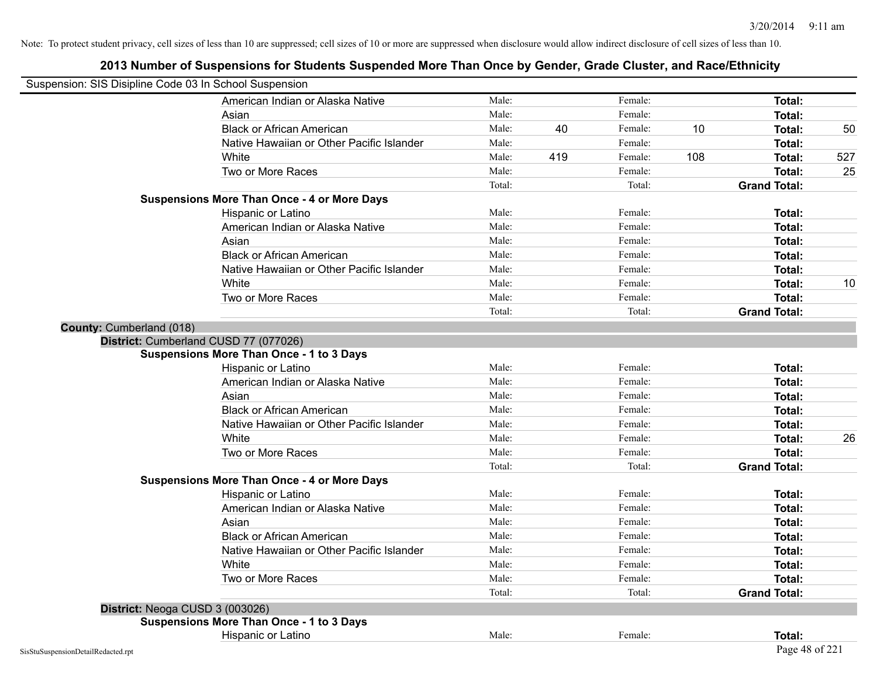| Suspension: SIS Disipline Code 03 In School Suspension |                                                    |        |     |         |     |                     |     |
|--------------------------------------------------------|----------------------------------------------------|--------|-----|---------|-----|---------------------|-----|
|                                                        | American Indian or Alaska Native                   | Male:  |     | Female: |     | <b>Total:</b>       |     |
|                                                        | Asian                                              | Male:  |     | Female: |     | Total:              |     |
|                                                        | <b>Black or African American</b>                   | Male:  | 40  | Female: | 10  | Total:              | 50  |
|                                                        | Native Hawaiian or Other Pacific Islander          | Male:  |     | Female: |     | Total:              |     |
|                                                        | White                                              | Male:  | 419 | Female: | 108 | Total:              | 527 |
|                                                        | Two or More Races                                  | Male:  |     | Female: |     | <b>Total:</b>       | 25  |
|                                                        |                                                    | Total: |     | Total:  |     | <b>Grand Total:</b> |     |
|                                                        | <b>Suspensions More Than Once - 4 or More Days</b> |        |     |         |     |                     |     |
|                                                        | Hispanic or Latino                                 | Male:  |     | Female: |     | Total:              |     |
|                                                        | American Indian or Alaska Native                   | Male:  |     | Female: |     | <b>Total:</b>       |     |
|                                                        | Asian                                              | Male:  |     | Female: |     | <b>Total:</b>       |     |
|                                                        | <b>Black or African American</b>                   | Male:  |     | Female: |     | Total:              |     |
|                                                        | Native Hawaiian or Other Pacific Islander          | Male:  |     | Female: |     | Total:              |     |
|                                                        | White                                              | Male:  |     | Female: |     | Total:              | 10  |
|                                                        | Two or More Races                                  | Male:  |     | Female: |     | <b>Total:</b>       |     |
|                                                        |                                                    | Total: |     | Total:  |     | <b>Grand Total:</b> |     |
| County: Cumberland (018)                               |                                                    |        |     |         |     |                     |     |
|                                                        | District: Cumberland CUSD 77 (077026)              |        |     |         |     |                     |     |
|                                                        | <b>Suspensions More Than Once - 1 to 3 Days</b>    |        |     |         |     |                     |     |
|                                                        | Hispanic or Latino                                 | Male:  |     | Female: |     | Total:              |     |
|                                                        | American Indian or Alaska Native                   | Male:  |     | Female: |     | Total:              |     |
|                                                        | Asian                                              | Male:  |     | Female: |     | Total:              |     |
|                                                        | <b>Black or African American</b>                   | Male:  |     | Female: |     | <b>Total:</b>       |     |
|                                                        | Native Hawaiian or Other Pacific Islander          | Male:  |     | Female: |     | <b>Total:</b>       |     |
|                                                        | White                                              | Male:  |     | Female: |     | Total:              | 26  |
|                                                        | Two or More Races                                  | Male:  |     | Female: |     | <b>Total:</b>       |     |
|                                                        |                                                    | Total: |     | Total:  |     | <b>Grand Total:</b> |     |
|                                                        | <b>Suspensions More Than Once - 4 or More Days</b> |        |     |         |     |                     |     |
|                                                        | Hispanic or Latino                                 | Male:  |     | Female: |     | Total:              |     |
|                                                        | American Indian or Alaska Native                   | Male:  |     | Female: |     | Total:              |     |
|                                                        | Asian                                              | Male:  |     | Female: |     | Total:              |     |
|                                                        | <b>Black or African American</b>                   | Male:  |     | Female: |     | Total:              |     |
|                                                        | Native Hawaiian or Other Pacific Islander          | Male:  |     | Female: |     | <b>Total:</b>       |     |
|                                                        | White                                              | Male:  |     | Female: |     | Total:              |     |
|                                                        | Two or More Races                                  | Male:  |     | Female: |     | Total:              |     |
|                                                        |                                                    | Total: |     | Total:  |     | <b>Grand Total:</b> |     |
| District: Neoga CUSD 3 (003026)                        |                                                    |        |     |         |     |                     |     |
|                                                        | <b>Suspensions More Than Once - 1 to 3 Days</b>    |        |     |         |     |                     |     |
|                                                        | Hispanic or Latino                                 | Male:  |     | Female: |     | Total:              |     |
| SisStuSuspensionDetailRedacted.rpt                     |                                                    |        |     |         |     | Page 48 of 221      |     |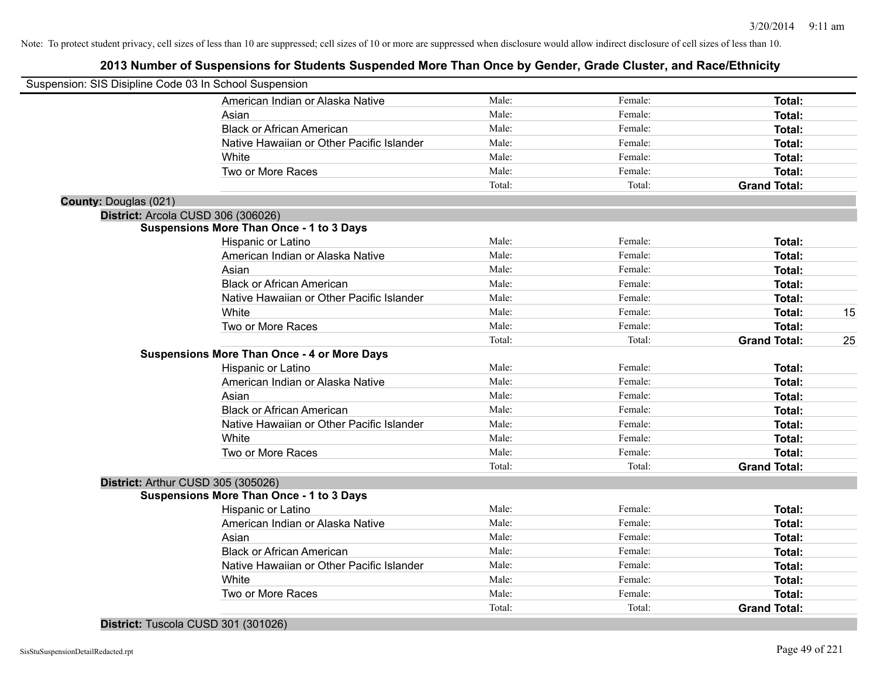# **2013 Number of Suspensions for Students Suspended More Than Once by Gender, Grade Cluster, and Race/Ethnicity**

| Suspension: SIS Disipline Code 03 In School Suspension |                                                    |        |         |                     |    |
|--------------------------------------------------------|----------------------------------------------------|--------|---------|---------------------|----|
|                                                        | American Indian or Alaska Native                   | Male:  | Female: | Total:              |    |
|                                                        | Asian                                              | Male:  | Female: | Total:              |    |
|                                                        | <b>Black or African American</b>                   | Male:  | Female: | Total:              |    |
|                                                        | Native Hawaiian or Other Pacific Islander          | Male:  | Female: | Total:              |    |
|                                                        | White                                              | Male:  | Female: | Total:              |    |
|                                                        | Two or More Races                                  | Male:  | Female: | Total:              |    |
|                                                        |                                                    | Total: | Total:  | <b>Grand Total:</b> |    |
| County: Douglas (021)                                  |                                                    |        |         |                     |    |
|                                                        | District: Arcola CUSD 306 (306026)                 |        |         |                     |    |
|                                                        | <b>Suspensions More Than Once - 1 to 3 Days</b>    |        |         |                     |    |
|                                                        | Hispanic or Latino                                 | Male:  | Female: | <b>Total:</b>       |    |
|                                                        | American Indian or Alaska Native                   | Male:  | Female: | Total:              |    |
|                                                        | Asian                                              | Male:  | Female: | Total:              |    |
|                                                        | <b>Black or African American</b>                   | Male:  | Female: | Total:              |    |
|                                                        | Native Hawaiian or Other Pacific Islander          | Male:  | Female: | Total:              |    |
|                                                        | White                                              | Male:  | Female: | Total:              | 15 |
|                                                        | Two or More Races                                  | Male:  | Female: | Total:              |    |
|                                                        |                                                    | Total: | Total:  | <b>Grand Total:</b> | 25 |
|                                                        | <b>Suspensions More Than Once - 4 or More Days</b> |        |         |                     |    |
|                                                        | Hispanic or Latino                                 | Male:  | Female: | Total:              |    |
|                                                        | American Indian or Alaska Native                   | Male:  | Female: | Total:              |    |
|                                                        | Asian                                              | Male:  | Female: | Total:              |    |
|                                                        | <b>Black or African American</b>                   | Male:  | Female: | Total:              |    |
|                                                        | Native Hawaiian or Other Pacific Islander          | Male:  | Female: | Total:              |    |
|                                                        | White                                              | Male:  | Female: | Total:              |    |
|                                                        | Two or More Races                                  | Male:  | Female: | Total:              |    |
|                                                        |                                                    | Total: | Total:  | <b>Grand Total:</b> |    |
|                                                        | District: Arthur CUSD 305 (305026)                 |        |         |                     |    |
|                                                        | <b>Suspensions More Than Once - 1 to 3 Days</b>    |        |         |                     |    |
|                                                        | Hispanic or Latino                                 | Male:  | Female: | Total:              |    |
|                                                        | American Indian or Alaska Native                   | Male:  | Female: | Total:              |    |
|                                                        | Asian                                              | Male:  | Female: | Total:              |    |
|                                                        | <b>Black or African American</b>                   | Male:  | Female: | Total:              |    |
|                                                        | Native Hawaiian or Other Pacific Islander          | Male:  | Female: | Total:              |    |
|                                                        | White                                              | Male:  | Female: | Total:              |    |
|                                                        | Two or More Races                                  | Male:  | Female: | Total:              |    |
|                                                        |                                                    | Total: | Total:  | <b>Grand Total:</b> |    |
|                                                        |                                                    |        |         |                     |    |

**District:** Tuscola CUSD 301 (301026)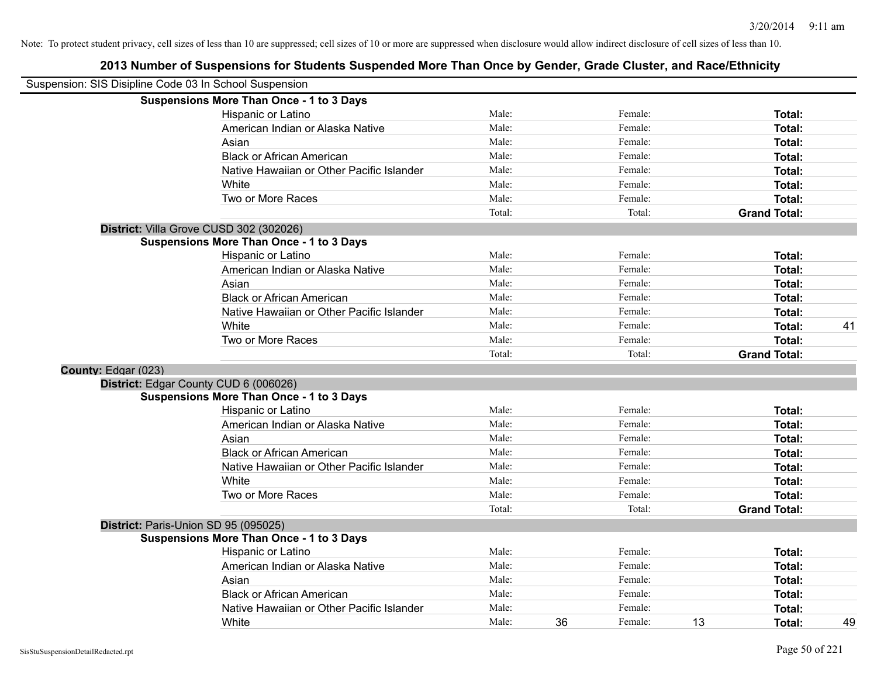| Suspension: SIS Disipline Code 03 In School Suspension |                                                 |        |    |         |    |                     |    |
|--------------------------------------------------------|-------------------------------------------------|--------|----|---------|----|---------------------|----|
|                                                        | <b>Suspensions More Than Once - 1 to 3 Days</b> |        |    |         |    |                     |    |
|                                                        | Hispanic or Latino                              | Male:  |    | Female: |    | Total:              |    |
|                                                        | American Indian or Alaska Native                | Male:  |    | Female: |    | Total:              |    |
|                                                        | Asian                                           | Male:  |    | Female: |    | Total:              |    |
|                                                        | <b>Black or African American</b>                | Male:  |    | Female: |    | Total:              |    |
|                                                        | Native Hawaiian or Other Pacific Islander       | Male:  |    | Female: |    | Total:              |    |
|                                                        | White                                           | Male:  |    | Female: |    | Total:              |    |
|                                                        | Two or More Races                               | Male:  |    | Female: |    | Total:              |    |
|                                                        |                                                 | Total: |    | Total:  |    | <b>Grand Total:</b> |    |
|                                                        | District: Villa Grove CUSD 302 (302026)         |        |    |         |    |                     |    |
|                                                        | <b>Suspensions More Than Once - 1 to 3 Days</b> |        |    |         |    |                     |    |
|                                                        | Hispanic or Latino                              | Male:  |    | Female: |    | Total:              |    |
|                                                        | American Indian or Alaska Native                | Male:  |    | Female: |    | Total:              |    |
|                                                        | Asian                                           | Male:  |    | Female: |    | Total:              |    |
|                                                        | <b>Black or African American</b>                | Male:  |    | Female: |    | Total:              |    |
|                                                        | Native Hawaiian or Other Pacific Islander       | Male:  |    | Female: |    | Total:              |    |
|                                                        | White                                           | Male:  |    | Female: |    | Total:              | 41 |
|                                                        | Two or More Races                               | Male:  |    | Female: |    | Total:              |    |
|                                                        |                                                 | Total: |    | Total:  |    | <b>Grand Total:</b> |    |
| County: Edgar (023)                                    |                                                 |        |    |         |    |                     |    |
|                                                        | District: Edgar County CUD 6 (006026)           |        |    |         |    |                     |    |
|                                                        | <b>Suspensions More Than Once - 1 to 3 Days</b> |        |    |         |    |                     |    |
|                                                        | Hispanic or Latino                              | Male:  |    | Female: |    | Total:              |    |
|                                                        | American Indian or Alaska Native                | Male:  |    | Female: |    | Total:              |    |
|                                                        | Asian                                           | Male:  |    | Female: |    | <b>Total:</b>       |    |
|                                                        | <b>Black or African American</b>                | Male:  |    | Female: |    | Total:              |    |
|                                                        | Native Hawaiian or Other Pacific Islander       | Male:  |    | Female: |    | Total:              |    |
|                                                        | White                                           | Male:  |    | Female: |    | Total:              |    |
|                                                        | Two or More Races                               | Male:  |    | Female: |    | Total:              |    |
|                                                        |                                                 | Total: |    | Total:  |    | <b>Grand Total:</b> |    |
|                                                        | District: Paris-Union SD 95 (095025)            |        |    |         |    |                     |    |
|                                                        | <b>Suspensions More Than Once - 1 to 3 Days</b> |        |    |         |    |                     |    |
|                                                        | Hispanic or Latino                              | Male:  |    | Female: |    | Total:              |    |
|                                                        | American Indian or Alaska Native                | Male:  |    | Female: |    | Total:              |    |
|                                                        | Asian                                           | Male:  |    | Female: |    | Total:              |    |
|                                                        | <b>Black or African American</b>                | Male:  |    | Female: |    | Total:              |    |
|                                                        | Native Hawaiian or Other Pacific Islander       | Male:  |    | Female: |    | Total:              |    |
|                                                        | White                                           | Male:  | 36 | Female: | 13 | Total:              | 49 |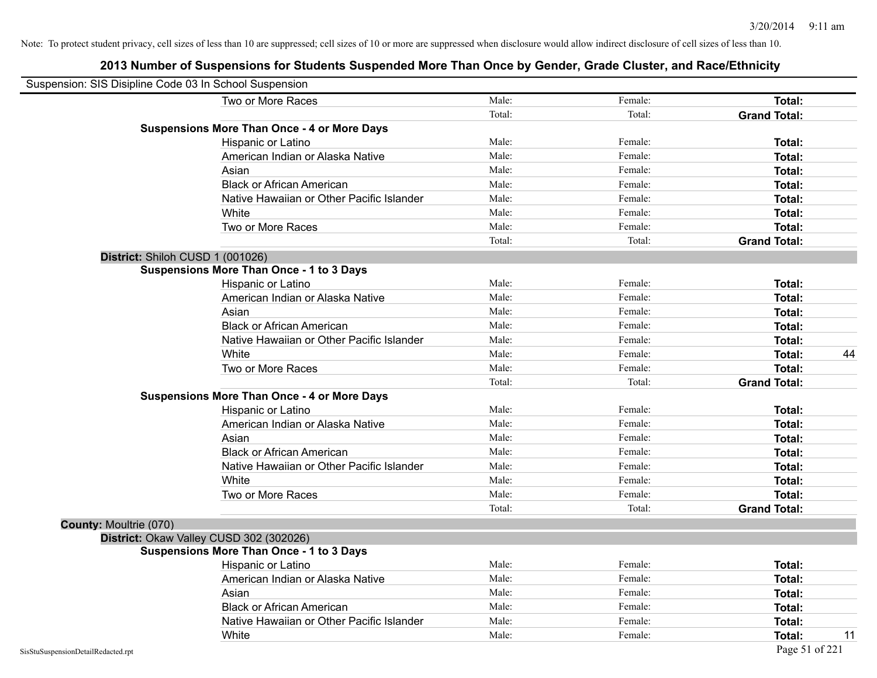| Suspension: SIS Disipline Code 03 In School Suspension |                                                    |        |         |                     |
|--------------------------------------------------------|----------------------------------------------------|--------|---------|---------------------|
|                                                        | Two or More Races                                  | Male:  | Female: | Total:              |
|                                                        |                                                    | Total: | Total:  | <b>Grand Total:</b> |
|                                                        | <b>Suspensions More Than Once - 4 or More Days</b> |        |         |                     |
|                                                        | Hispanic or Latino                                 | Male:  | Female: | Total:              |
|                                                        | American Indian or Alaska Native                   | Male:  | Female: | Total:              |
|                                                        | Asian                                              | Male:  | Female: | Total:              |
|                                                        | <b>Black or African American</b>                   | Male:  | Female: | Total:              |
|                                                        | Native Hawaiian or Other Pacific Islander          | Male:  | Female: | Total:              |
|                                                        | White                                              | Male:  | Female: | <b>Total:</b>       |
|                                                        | Two or More Races                                  | Male:  | Female: | Total:              |
|                                                        |                                                    | Total: | Total:  | <b>Grand Total:</b> |
|                                                        | District: Shiloh CUSD 1 (001026)                   |        |         |                     |
|                                                        | Suspensions More Than Once - 1 to 3 Days           |        |         |                     |
|                                                        | Hispanic or Latino                                 | Male:  | Female: | Total:              |
|                                                        | American Indian or Alaska Native                   | Male:  | Female: | Total:              |
|                                                        | Asian                                              | Male:  | Female: | Total:              |
|                                                        | <b>Black or African American</b>                   | Male:  | Female: | Total:              |
|                                                        | Native Hawaiian or Other Pacific Islander          | Male:  | Female: | Total:              |
|                                                        | White                                              | Male:  | Female: | 44<br>Total:        |
|                                                        | Two or More Races                                  | Male:  | Female: | Total:              |
|                                                        |                                                    | Total: | Total:  | <b>Grand Total:</b> |
|                                                        | <b>Suspensions More Than Once - 4 or More Days</b> |        |         |                     |
|                                                        | Hispanic or Latino                                 | Male:  | Female: | Total:              |
|                                                        | American Indian or Alaska Native                   | Male:  | Female: | Total:              |
|                                                        | Asian                                              | Male:  | Female: | Total:              |
|                                                        | <b>Black or African American</b>                   | Male:  | Female: | Total:              |
|                                                        | Native Hawaiian or Other Pacific Islander          | Male:  | Female: | Total:              |
|                                                        | White                                              | Male:  | Female: | Total:              |
|                                                        | Two or More Races                                  | Male:  | Female: | Total:              |
|                                                        |                                                    | Total: | Total:  | <b>Grand Total:</b> |
| County: Moultrie (070)                                 |                                                    |        |         |                     |
|                                                        | District: Okaw Valley CUSD 302 (302026)            |        |         |                     |
|                                                        | <b>Suspensions More Than Once - 1 to 3 Days</b>    |        |         |                     |
|                                                        | Hispanic or Latino                                 | Male:  | Female: | <b>Total:</b>       |
|                                                        | American Indian or Alaska Native                   | Male:  | Female: | Total:              |
|                                                        | Asian                                              | Male:  | Female: | Total:              |
|                                                        | <b>Black or African American</b>                   | Male:  | Female: | Total:              |
|                                                        | Native Hawaiian or Other Pacific Islander          | Male:  | Female: | Total:              |
|                                                        | White                                              | Male:  | Female: | 11<br><b>Total:</b> |
| SisStuSuspensionDetailRedacted.rpt                     |                                                    |        |         | Page 51 of 221      |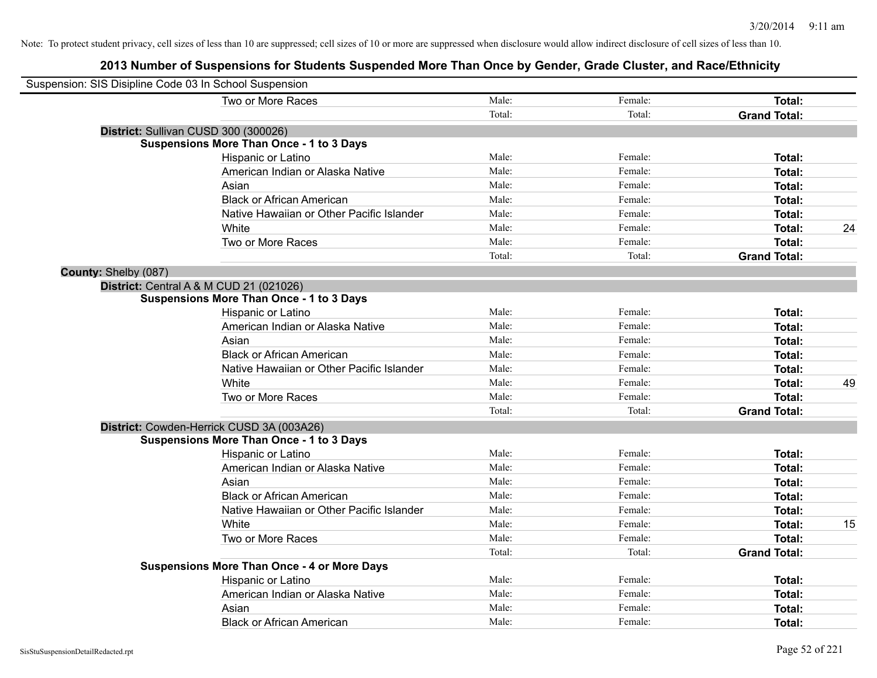| Suspension: SIS Disipline Code 03 In School Suspension |                                                    |        |         |                     |    |
|--------------------------------------------------------|----------------------------------------------------|--------|---------|---------------------|----|
|                                                        | Two or More Races                                  | Male:  | Female: | Total:              |    |
|                                                        |                                                    | Total: | Total:  | <b>Grand Total:</b> |    |
|                                                        |                                                    |        |         |                     |    |
| District: Sullivan CUSD 300 (300026)                   | <b>Suspensions More Than Once - 1 to 3 Days</b>    |        |         |                     |    |
|                                                        | Hispanic or Latino                                 | Male:  | Female: | Total:              |    |
|                                                        | American Indian or Alaska Native                   | Male:  | Female: | Total:              |    |
|                                                        | Asian                                              | Male:  | Female: | Total:              |    |
|                                                        | <b>Black or African American</b>                   | Male:  | Female: | Total:              |    |
|                                                        | Native Hawaiian or Other Pacific Islander          | Male:  | Female: |                     |    |
|                                                        | White                                              | Male:  | Female: | Total:              |    |
|                                                        |                                                    |        |         | Total:              | 24 |
|                                                        | Two or More Races                                  | Male:  | Female: | Total:              |    |
|                                                        |                                                    | Total: | Total:  | <b>Grand Total:</b> |    |
| County: Shelby (087)                                   |                                                    |        |         |                     |    |
| District: Central A & M CUD 21 (021026)                |                                                    |        |         |                     |    |
|                                                        | <b>Suspensions More Than Once - 1 to 3 Days</b>    |        |         |                     |    |
|                                                        | Hispanic or Latino                                 | Male:  | Female: | Total:              |    |
|                                                        | American Indian or Alaska Native                   | Male:  | Female: | Total:              |    |
|                                                        | Asian                                              | Male:  | Female: | Total:              |    |
|                                                        | <b>Black or African American</b>                   | Male:  | Female: | Total:              |    |
|                                                        | Native Hawaiian or Other Pacific Islander          | Male:  | Female: | Total:              |    |
|                                                        | White                                              | Male:  | Female: | Total:              | 49 |
|                                                        | Two or More Races                                  | Male:  | Female: | Total:              |    |
|                                                        |                                                    | Total: | Total:  | <b>Grand Total:</b> |    |
|                                                        | District: Cowden-Herrick CUSD 3A (003A26)          |        |         |                     |    |
|                                                        | <b>Suspensions More Than Once - 1 to 3 Days</b>    |        |         |                     |    |
|                                                        | Hispanic or Latino                                 | Male:  | Female: | Total:              |    |
|                                                        | American Indian or Alaska Native                   | Male:  | Female: | Total:              |    |
|                                                        | Asian                                              | Male:  | Female: | Total:              |    |
|                                                        | <b>Black or African American</b>                   | Male:  | Female: | Total:              |    |
|                                                        | Native Hawaiian or Other Pacific Islander          | Male:  | Female: | Total:              |    |
|                                                        | White                                              | Male:  | Female: | Total:              | 15 |
|                                                        | Two or More Races                                  | Male:  | Female: | Total:              |    |
|                                                        |                                                    | Total: | Total:  | <b>Grand Total:</b> |    |
|                                                        | <b>Suspensions More Than Once - 4 or More Days</b> |        |         |                     |    |
|                                                        | Hispanic or Latino                                 | Male:  | Female: | Total:              |    |
|                                                        | American Indian or Alaska Native                   | Male:  | Female: | Total:              |    |
|                                                        | Asian                                              | Male:  | Female: | Total:              |    |
|                                                        | <b>Black or African American</b>                   | Male:  | Female: | Total:              |    |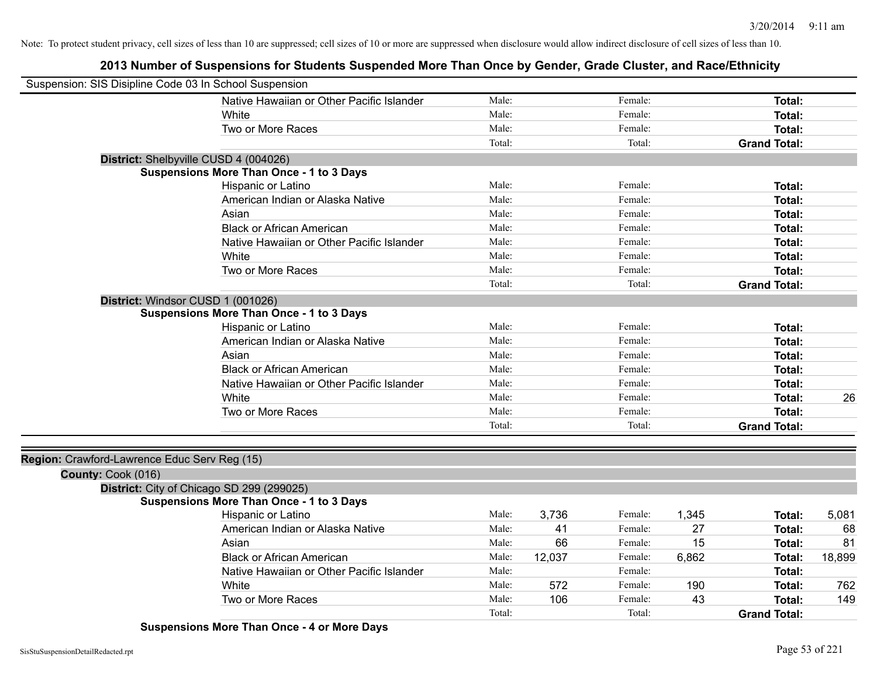# **2013 Number of Suspensions for Students Suspended More Than Once by Gender, Grade Cluster, and Race/Ethnicity**

| Suspension: SIS Disipline Code 03 In School Suspension             |                                                 |        |        |         |       |                     |        |
|--------------------------------------------------------------------|-------------------------------------------------|--------|--------|---------|-------|---------------------|--------|
|                                                                    | Native Hawaiian or Other Pacific Islander       | Male:  |        | Female: |       | Total:              |        |
|                                                                    | White                                           | Male:  |        | Female: |       | Total:              |        |
|                                                                    | Two or More Races                               | Male:  |        | Female: |       | Total:              |        |
|                                                                    |                                                 | Total: |        | Total:  |       | <b>Grand Total:</b> |        |
| District: Shelbyville CUSD 4 (004026)                              |                                                 |        |        |         |       |                     |        |
|                                                                    | <b>Suspensions More Than Once - 1 to 3 Days</b> |        |        |         |       |                     |        |
|                                                                    | Hispanic or Latino                              | Male:  |        | Female: |       | Total:              |        |
|                                                                    | American Indian or Alaska Native                | Male:  |        | Female: |       | Total:              |        |
|                                                                    | Asian                                           | Male:  |        | Female: |       | <b>Total:</b>       |        |
|                                                                    | <b>Black or African American</b>                | Male:  |        | Female: |       | <b>Total:</b>       |        |
|                                                                    | Native Hawaiian or Other Pacific Islander       | Male:  |        | Female: |       | <b>Total:</b>       |        |
|                                                                    | White                                           | Male:  |        | Female: |       | Total:              |        |
|                                                                    | Two or More Races                               | Male:  |        | Female: |       | Total:              |        |
|                                                                    |                                                 | Total: |        | Total:  |       | <b>Grand Total:</b> |        |
| District: Windsor CUSD 1 (001026)                                  |                                                 |        |        |         |       |                     |        |
|                                                                    | <b>Suspensions More Than Once - 1 to 3 Days</b> |        |        |         |       |                     |        |
|                                                                    | Hispanic or Latino                              | Male:  |        | Female: |       | <b>Total:</b>       |        |
|                                                                    | American Indian or Alaska Native                | Male:  |        | Female: |       | Total:              |        |
|                                                                    | Asian                                           | Male:  |        | Female: |       | Total:              |        |
|                                                                    | <b>Black or African American</b>                | Male:  |        | Female: |       | Total:              |        |
|                                                                    | Native Hawaiian or Other Pacific Islander       | Male:  |        | Female: |       | <b>Total:</b>       |        |
|                                                                    | White                                           | Male:  |        | Female: |       | <b>Total:</b>       | 26     |
|                                                                    | Two or More Races                               | Male:  |        | Female: |       | <b>Total:</b>       |        |
|                                                                    |                                                 | Total: |        | Total:  |       | <b>Grand Total:</b> |        |
|                                                                    |                                                 |        |        |         |       |                     |        |
| Region: Crawford-Lawrence Educ Serv Reg (15)<br>County: Cook (016) |                                                 |        |        |         |       |                     |        |
| District: City of Chicago SD 299 (299025)                          |                                                 |        |        |         |       |                     |        |
|                                                                    | <b>Suspensions More Than Once - 1 to 3 Days</b> |        |        |         |       |                     |        |
|                                                                    | Hispanic or Latino                              | Male:  | 3,736  | Female: | 1,345 | Total:              | 5,081  |
|                                                                    | American Indian or Alaska Native                | Male:  | 41     | Female: | 27    | <b>Total:</b>       | 68     |
|                                                                    | Asian                                           | Male:  | 66     | Female: | 15    | <b>Total:</b>       | 81     |
|                                                                    | <b>Black or African American</b>                | Male:  | 12,037 | Female: | 6,862 | <b>Total:</b>       | 18,899 |
|                                                                    | Native Hawaiian or Other Pacific Islander       | Male:  |        | Female: |       | <b>Total:</b>       |        |
|                                                                    | White                                           | Male:  | 572    | Female: | 190   | <b>Total:</b>       | 762    |
|                                                                    | Two or More Races                               | Male:  | 106    | Female: | 43    | <b>Total:</b>       | 149    |
|                                                                    |                                                 | Total: |        | Total:  |       | <b>Grand Total:</b> |        |

**Suspensions More Than Once - 4 or More Days**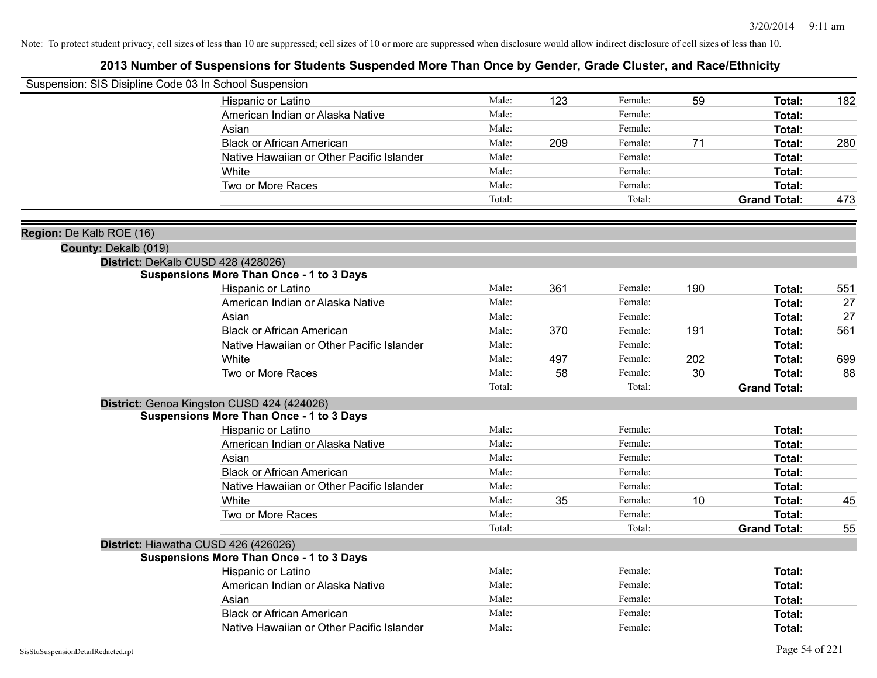| Suspension: SIS Disipline Code 03 In School Suspension |                                                 |        |     |         |     |                     |     |
|--------------------------------------------------------|-------------------------------------------------|--------|-----|---------|-----|---------------------|-----|
|                                                        | Hispanic or Latino                              | Male:  | 123 | Female: | 59  | Total:              | 182 |
|                                                        | American Indian or Alaska Native                | Male:  |     | Female: |     | Total:              |     |
|                                                        | Asian                                           | Male:  |     | Female: |     | Total:              |     |
|                                                        | <b>Black or African American</b>                | Male:  | 209 | Female: | 71  | Total:              | 280 |
|                                                        | Native Hawaiian or Other Pacific Islander       | Male:  |     | Female: |     | <b>Total:</b>       |     |
|                                                        | White                                           | Male:  |     | Female: |     | <b>Total:</b>       |     |
|                                                        | Two or More Races                               | Male:  |     | Female: |     | <b>Total:</b>       |     |
|                                                        |                                                 | Total: |     | Total:  |     | <b>Grand Total:</b> | 473 |
| Region: De Kalb ROE (16)                               |                                                 |        |     |         |     |                     |     |
| County: Dekalb (019)                                   |                                                 |        |     |         |     |                     |     |
|                                                        | District: DeKalb CUSD 428 (428026)              |        |     |         |     |                     |     |
|                                                        | <b>Suspensions More Than Once - 1 to 3 Days</b> |        |     |         |     |                     |     |
|                                                        | Hispanic or Latino                              | Male:  | 361 | Female: | 190 | Total:              | 551 |
|                                                        | American Indian or Alaska Native                | Male:  |     | Female: |     | Total:              | 27  |
|                                                        | Asian                                           | Male:  |     | Female: |     | <b>Total:</b>       | 27  |
|                                                        | <b>Black or African American</b>                | Male:  | 370 | Female: | 191 | <b>Total:</b>       | 561 |
|                                                        | Native Hawaiian or Other Pacific Islander       | Male:  |     | Female: |     | Total:              |     |
|                                                        | White                                           | Male:  | 497 | Female: | 202 | <b>Total:</b>       | 699 |
|                                                        | Two or More Races                               | Male:  | 58  | Female: | 30  | <b>Total:</b>       | 88  |
|                                                        |                                                 | Total: |     | Total:  |     | <b>Grand Total:</b> |     |
|                                                        | District: Genoa Kingston CUSD 424 (424026)      |        |     |         |     |                     |     |
|                                                        | <b>Suspensions More Than Once - 1 to 3 Days</b> |        |     |         |     |                     |     |
|                                                        | Hispanic or Latino                              | Male:  |     | Female: |     | Total:              |     |
|                                                        | American Indian or Alaska Native                | Male:  |     | Female: |     | Total:              |     |
|                                                        | Asian                                           | Male:  |     | Female: |     | <b>Total:</b>       |     |
|                                                        | <b>Black or African American</b>                | Male:  |     | Female: |     | <b>Total:</b>       |     |
|                                                        | Native Hawaiian or Other Pacific Islander       | Male:  |     | Female: |     | <b>Total:</b>       |     |
|                                                        | White                                           | Male:  | 35  | Female: | 10  | <b>Total:</b>       | 45  |
|                                                        | Two or More Races                               | Male:  |     | Female: |     | <b>Total:</b>       |     |
|                                                        |                                                 | Total: |     | Total:  |     | <b>Grand Total:</b> | 55  |
|                                                        | District: Hiawatha CUSD 426 (426026)            |        |     |         |     |                     |     |
|                                                        | <b>Suspensions More Than Once - 1 to 3 Days</b> | Male:  |     | Female: |     |                     |     |
|                                                        | Hispanic or Latino                              | Male:  |     | Female: |     | <b>Total:</b>       |     |
|                                                        | American Indian or Alaska Native                | Male:  |     | Female: |     | Total:              |     |
|                                                        | Asian                                           | Male:  |     | Female: |     | <b>Total:</b>       |     |
|                                                        | <b>Black or African American</b>                |        |     |         |     | <b>Total:</b>       |     |
|                                                        | Native Hawaiian or Other Pacific Islander       | Male:  |     | Female: |     | Total:              |     |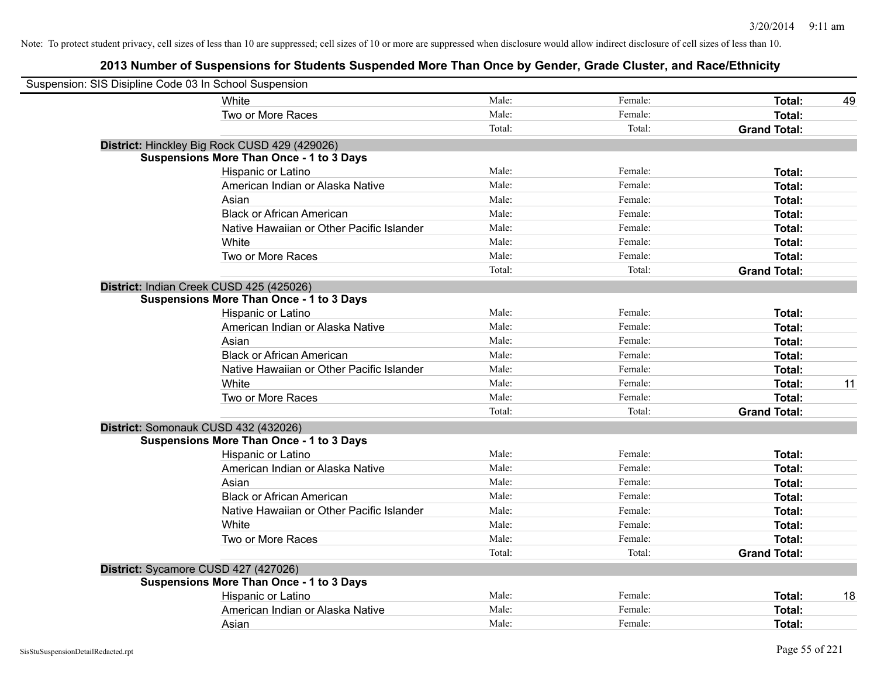| Suspension: SIS Disipline Code 03 In School Suspension |                                           |        |         |                     |    |
|--------------------------------------------------------|-------------------------------------------|--------|---------|---------------------|----|
| White                                                  |                                           | Male:  | Female: | Total:              | 49 |
|                                                        | Two or More Races                         | Male:  | Female: | Total:              |    |
|                                                        |                                           | Total: | Total:  | <b>Grand Total:</b> |    |
| District: Hinckley Big Rock CUSD 429 (429026)          |                                           |        |         |                     |    |
| <b>Suspensions More Than Once - 1 to 3 Days</b>        |                                           |        |         |                     |    |
|                                                        | Hispanic or Latino                        | Male:  | Female: | Total:              |    |
|                                                        | American Indian or Alaska Native          | Male:  | Female: | Total:              |    |
| Asian                                                  |                                           | Male:  | Female: | Total:              |    |
|                                                        | <b>Black or African American</b>          | Male:  | Female: | Total:              |    |
|                                                        | Native Hawaiian or Other Pacific Islander | Male:  | Female: | Total:              |    |
| White                                                  |                                           | Male:  | Female: | Total:              |    |
|                                                        | Two or More Races                         | Male:  | Female: | Total:              |    |
|                                                        |                                           | Total: | Total:  | <b>Grand Total:</b> |    |
| District: Indian Creek CUSD 425 (425026)               |                                           |        |         |                     |    |
| <b>Suspensions More Than Once - 1 to 3 Days</b>        |                                           |        |         |                     |    |
|                                                        | Hispanic or Latino                        | Male:  | Female: | Total:              |    |
|                                                        | American Indian or Alaska Native          | Male:  | Female: | Total:              |    |
| Asian                                                  |                                           | Male:  | Female: | Total:              |    |
|                                                        | <b>Black or African American</b>          | Male:  | Female: | Total:              |    |
|                                                        | Native Hawaiian or Other Pacific Islander | Male:  | Female: | Total:              |    |
| White                                                  |                                           | Male:  | Female: | Total:              | 11 |
|                                                        | Two or More Races                         | Male:  | Female: | Total:              |    |
|                                                        |                                           | Total: | Total:  | <b>Grand Total:</b> |    |
| District: Somonauk CUSD 432 (432026)                   |                                           |        |         |                     |    |
| <b>Suspensions More Than Once - 1 to 3 Days</b>        |                                           |        |         |                     |    |
|                                                        | Hispanic or Latino                        | Male:  | Female: | Total:              |    |
|                                                        | American Indian or Alaska Native          | Male:  | Female: | Total:              |    |
| Asian                                                  |                                           | Male:  | Female: | Total:              |    |
|                                                        | <b>Black or African American</b>          | Male:  | Female: | Total:              |    |
|                                                        | Native Hawaiian or Other Pacific Islander | Male:  | Female: | Total:              |    |
| White                                                  |                                           | Male:  | Female: | Total:              |    |
|                                                        | Two or More Races                         | Male:  | Female: | Total:              |    |
|                                                        |                                           | Total: | Total:  | <b>Grand Total:</b> |    |
| District: Sycamore CUSD 427 (427026)                   |                                           |        |         |                     |    |
| <b>Suspensions More Than Once - 1 to 3 Days</b>        |                                           |        |         |                     |    |
|                                                        | Hispanic or Latino                        | Male:  | Female: | Total:              | 18 |
|                                                        | American Indian or Alaska Native          | Male:  | Female: | Total:              |    |
| Asian                                                  |                                           | Male:  | Female: | Total:              |    |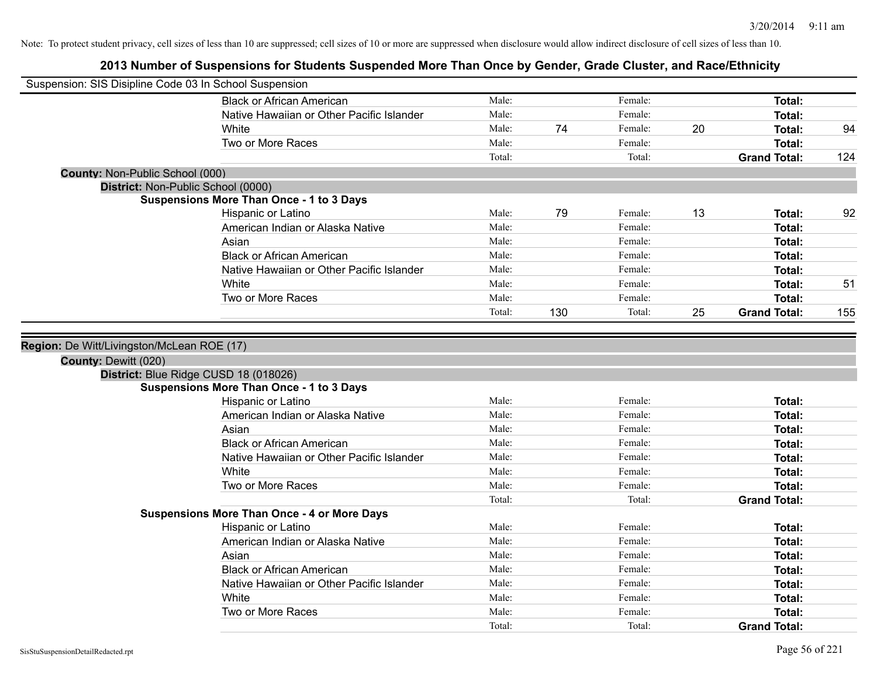| Suspension: SIS Disipline Code 03 In School Suspension |                                                    |                 |     |                   |    |                                      |     |
|--------------------------------------------------------|----------------------------------------------------|-----------------|-----|-------------------|----|--------------------------------------|-----|
|                                                        | <b>Black or African American</b>                   | Male:           |     | Female:           |    | Total:                               |     |
|                                                        | Native Hawaiian or Other Pacific Islander          | Male:           |     | Female:           |    | <b>Total:</b>                        |     |
|                                                        | White                                              | Male:           | 74  | Female:           | 20 | <b>Total:</b>                        | 94  |
|                                                        | Two or More Races                                  | Male:           |     | Female:           |    | <b>Total:</b>                        |     |
|                                                        |                                                    | Total:          |     | Total:            |    | <b>Grand Total:</b>                  | 124 |
| County: Non-Public School (000)                        |                                                    |                 |     |                   |    |                                      |     |
| District: Non-Public School (0000)                     |                                                    |                 |     |                   |    |                                      |     |
|                                                        | <b>Suspensions More Than Once - 1 to 3 Days</b>    |                 |     |                   |    |                                      |     |
|                                                        | Hispanic or Latino                                 | Male:           | 79  | Female:           | 13 | Total:                               | 92  |
|                                                        | American Indian or Alaska Native                   | Male:           |     | Female:           |    | Total:                               |     |
|                                                        | Asian                                              | Male:           |     | Female:           |    | Total:                               |     |
|                                                        | <b>Black or African American</b>                   | Male:           |     | Female:           |    | <b>Total:</b>                        |     |
|                                                        | Native Hawaiian or Other Pacific Islander          | Male:           |     | Female:           |    | <b>Total:</b>                        |     |
|                                                        | White                                              | Male:           |     | Female:           |    | <b>Total:</b>                        | 51  |
|                                                        | Two or More Races                                  | Male:           |     | Female:           |    | <b>Total:</b>                        |     |
|                                                        |                                                    | Total:          | 130 | Total:            | 25 | <b>Grand Total:</b>                  | 155 |
|                                                        | District: Blue Ridge CUSD 18 (018026)              |                 |     |                   |    |                                      |     |
|                                                        | <b>Suspensions More Than Once - 1 to 3 Days</b>    |                 |     |                   |    |                                      |     |
|                                                        | Hispanic or Latino                                 | Male:           |     | Female:           |    | Total:                               |     |
|                                                        | American Indian or Alaska Native                   | Male:           |     | Female:           |    | Total:                               |     |
|                                                        | Asian                                              | Male:           |     | Female:           |    | Total:                               |     |
|                                                        | <b>Black or African American</b>                   | Male:           |     | Female:           |    | Total:                               |     |
|                                                        | Native Hawaiian or Other Pacific Islander          | Male:           |     | Female:           |    | <b>Total:</b>                        |     |
|                                                        | White                                              | Male:           |     | Female:           |    | <b>Total:</b>                        |     |
|                                                        | Two or More Races                                  | Male:           |     | Female:           |    | <b>Total:</b>                        |     |
|                                                        |                                                    | Total:          |     | Total:            |    | <b>Grand Total:</b>                  |     |
|                                                        | <b>Suspensions More Than Once - 4 or More Days</b> |                 |     |                   |    |                                      |     |
|                                                        | Hispanic or Latino                                 | Male:           |     | Female:           |    | Total:                               |     |
|                                                        | American Indian or Alaska Native                   | Male:           |     | Female:           |    | <b>Total:</b>                        |     |
|                                                        |                                                    |                 |     | Female:           |    |                                      |     |
|                                                        | Asian                                              | Male:           |     |                   |    | Total:                               |     |
|                                                        | <b>Black or African American</b>                   | Male:           |     | Female:           |    | Total:                               |     |
|                                                        | Native Hawaiian or Other Pacific Islander          | Male:           |     | Female:           |    | <b>Total:</b>                        |     |
|                                                        | White                                              | Male:           |     | Female:           |    | <b>Total:</b>                        |     |
|                                                        | Two or More Races                                  | Male:<br>Total: |     | Female:<br>Total: |    | <b>Total:</b><br><b>Grand Total:</b> |     |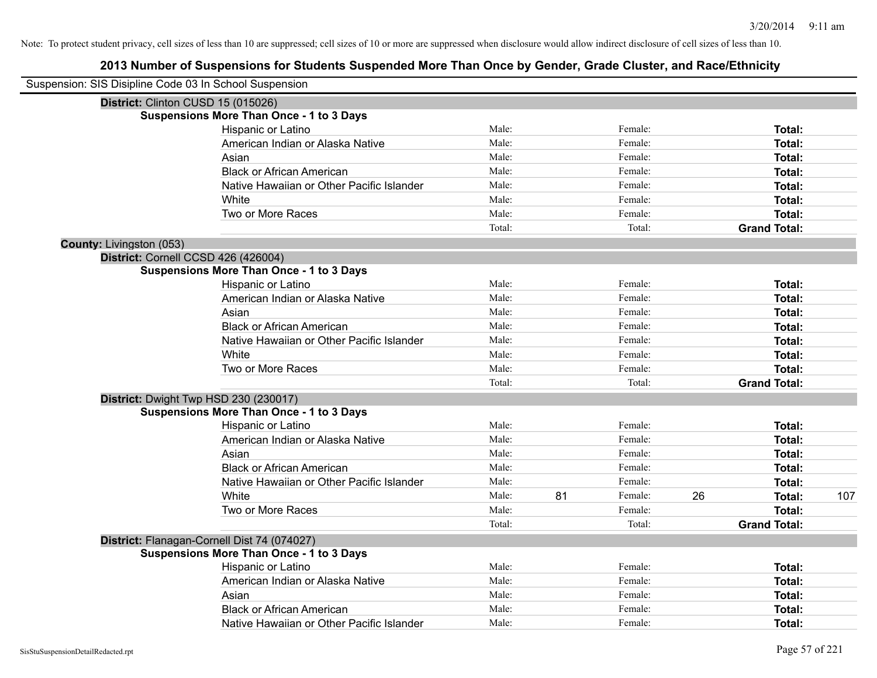| Suspension: SIS Disipline Code 03 In School Suspension |                                                 |        |    |         |    |                     |     |
|--------------------------------------------------------|-------------------------------------------------|--------|----|---------|----|---------------------|-----|
| District: Clinton CUSD 15 (015026)                     |                                                 |        |    |         |    |                     |     |
|                                                        | <b>Suspensions More Than Once - 1 to 3 Days</b> |        |    |         |    |                     |     |
|                                                        | Hispanic or Latino                              | Male:  |    | Female: |    | Total:              |     |
|                                                        | American Indian or Alaska Native                | Male:  |    | Female: |    | Total:              |     |
|                                                        | Asian                                           | Male:  |    | Female: |    | Total:              |     |
|                                                        | <b>Black or African American</b>                | Male:  |    | Female: |    | Total:              |     |
|                                                        | Native Hawaiian or Other Pacific Islander       | Male:  |    | Female: |    | Total:              |     |
|                                                        | White                                           | Male:  |    | Female: |    | Total:              |     |
|                                                        | Two or More Races                               | Male:  |    | Female: |    | Total:              |     |
|                                                        |                                                 | Total: |    | Total:  |    | <b>Grand Total:</b> |     |
| County: Livingston (053)                               |                                                 |        |    |         |    |                     |     |
| District: Cornell CCSD 426 (426004)                    |                                                 |        |    |         |    |                     |     |
|                                                        | <b>Suspensions More Than Once - 1 to 3 Days</b> |        |    |         |    |                     |     |
|                                                        | Hispanic or Latino                              | Male:  |    | Female: |    | Total:              |     |
|                                                        | American Indian or Alaska Native                | Male:  |    | Female: |    | Total:              |     |
|                                                        | Asian                                           | Male:  |    | Female: |    | Total:              |     |
|                                                        | <b>Black or African American</b>                | Male:  |    | Female: |    | Total:              |     |
|                                                        | Native Hawaiian or Other Pacific Islander       | Male:  |    | Female: |    | Total:              |     |
|                                                        | White                                           | Male:  |    | Female: |    | Total:              |     |
|                                                        | Two or More Races                               | Male:  |    | Female: |    | Total:              |     |
|                                                        |                                                 | Total: |    | Total:  |    | <b>Grand Total:</b> |     |
|                                                        | District: Dwight Twp HSD 230 (230017)           |        |    |         |    |                     |     |
|                                                        | <b>Suspensions More Than Once - 1 to 3 Days</b> |        |    |         |    |                     |     |
|                                                        | Hispanic or Latino                              | Male:  |    | Female: |    | Total:              |     |
|                                                        | American Indian or Alaska Native                | Male:  |    | Female: |    | Total:              |     |
|                                                        | Asian                                           | Male:  |    | Female: |    | Total:              |     |
|                                                        | <b>Black or African American</b>                | Male:  |    | Female: |    | Total:              |     |
|                                                        | Native Hawaiian or Other Pacific Islander       | Male:  |    | Female: |    | Total:              |     |
|                                                        | White                                           | Male:  | 81 | Female: | 26 | Total:              | 107 |
|                                                        | Two or More Races                               | Male:  |    | Female: |    | Total:              |     |
|                                                        |                                                 | Total: |    | Total:  |    | <b>Grand Total:</b> |     |
|                                                        | District: Flanagan-Cornell Dist 74 (074027)     |        |    |         |    |                     |     |
|                                                        | <b>Suspensions More Than Once - 1 to 3 Days</b> |        |    |         |    |                     |     |
|                                                        | Hispanic or Latino                              | Male:  |    | Female: |    | Total:              |     |
|                                                        | American Indian or Alaska Native                | Male:  |    | Female: |    | Total:              |     |
|                                                        | Asian                                           | Male:  |    | Female: |    | Total:              |     |
|                                                        | <b>Black or African American</b>                | Male:  |    | Female: |    | Total:              |     |
|                                                        | Native Hawaiian or Other Pacific Islander       | Male:  |    | Female: |    | Total:              |     |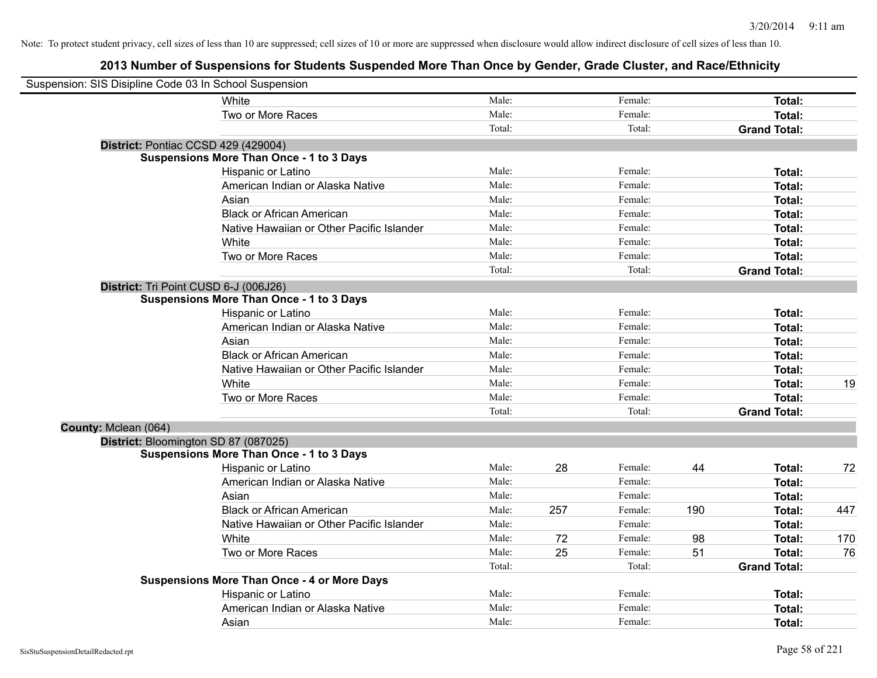| Suspension: SIS Disipline Code 03 In School Suspension |                                                    |        |     |         |     |                     |     |
|--------------------------------------------------------|----------------------------------------------------|--------|-----|---------|-----|---------------------|-----|
|                                                        | <b>White</b>                                       | Male:  |     | Female: |     | Total:              |     |
|                                                        | Two or More Races                                  | Male:  |     | Female: |     | Total:              |     |
|                                                        |                                                    | Total: |     | Total:  |     | <b>Grand Total:</b> |     |
|                                                        | District: Pontiac CCSD 429 (429004)                |        |     |         |     |                     |     |
|                                                        | <b>Suspensions More Than Once - 1 to 3 Days</b>    |        |     |         |     |                     |     |
|                                                        | Hispanic or Latino                                 | Male:  |     | Female: |     | Total:              |     |
|                                                        | American Indian or Alaska Native                   | Male:  |     | Female: |     | Total:              |     |
|                                                        | Asian                                              | Male:  |     | Female: |     | Total:              |     |
|                                                        | <b>Black or African American</b>                   | Male:  |     | Female: |     | Total:              |     |
|                                                        | Native Hawaiian or Other Pacific Islander          | Male:  |     | Female: |     | Total:              |     |
|                                                        | White                                              | Male:  |     | Female: |     | Total:              |     |
|                                                        | Two or More Races                                  | Male:  |     | Female: |     | Total:              |     |
|                                                        |                                                    | Total: |     | Total:  |     | <b>Grand Total:</b> |     |
|                                                        | District: Tri Point CUSD 6-J (006J26)              |        |     |         |     |                     |     |
|                                                        | <b>Suspensions More Than Once - 1 to 3 Days</b>    |        |     |         |     |                     |     |
|                                                        | Hispanic or Latino                                 | Male:  |     | Female: |     | Total:              |     |
|                                                        | American Indian or Alaska Native                   | Male:  |     | Female: |     | Total:              |     |
|                                                        | Asian                                              | Male:  |     | Female: |     | Total:              |     |
|                                                        | <b>Black or African American</b>                   | Male:  |     | Female: |     | Total:              |     |
|                                                        | Native Hawaiian or Other Pacific Islander          | Male:  |     | Female: |     | Total:              |     |
|                                                        | White                                              | Male:  |     | Female: |     | Total:              | 19  |
|                                                        | Two or More Races                                  | Male:  |     | Female: |     | Total:              |     |
|                                                        |                                                    | Total: |     | Total:  |     | <b>Grand Total:</b> |     |
| County: Mclean (064)                                   |                                                    |        |     |         |     |                     |     |
|                                                        | District: Bloomington SD 87 (087025)               |        |     |         |     |                     |     |
|                                                        | <b>Suspensions More Than Once - 1 to 3 Days</b>    |        |     |         |     |                     |     |
|                                                        | Hispanic or Latino                                 | Male:  | 28  | Female: | 44  | Total:              | 72  |
|                                                        | American Indian or Alaska Native                   | Male:  |     | Female: |     | Total:              |     |
|                                                        | Asian                                              | Male:  |     | Female: |     | Total:              |     |
|                                                        | <b>Black or African American</b>                   | Male:  | 257 | Female: | 190 | Total:              | 447 |
|                                                        | Native Hawaiian or Other Pacific Islander          | Male:  |     | Female: |     | Total:              |     |
|                                                        | White                                              | Male:  | 72  | Female: | 98  | Total:              | 170 |
|                                                        | Two or More Races                                  | Male:  | 25  | Female: | 51  | Total:              | 76  |
|                                                        |                                                    | Total: |     | Total:  |     | <b>Grand Total:</b> |     |
|                                                        | <b>Suspensions More Than Once - 4 or More Days</b> |        |     |         |     |                     |     |
|                                                        | Hispanic or Latino                                 | Male:  |     | Female: |     | Total:              |     |
|                                                        | American Indian or Alaska Native                   | Male:  |     | Female: |     | Total:              |     |
|                                                        | Asian                                              | Male:  |     | Female: |     | Total:              |     |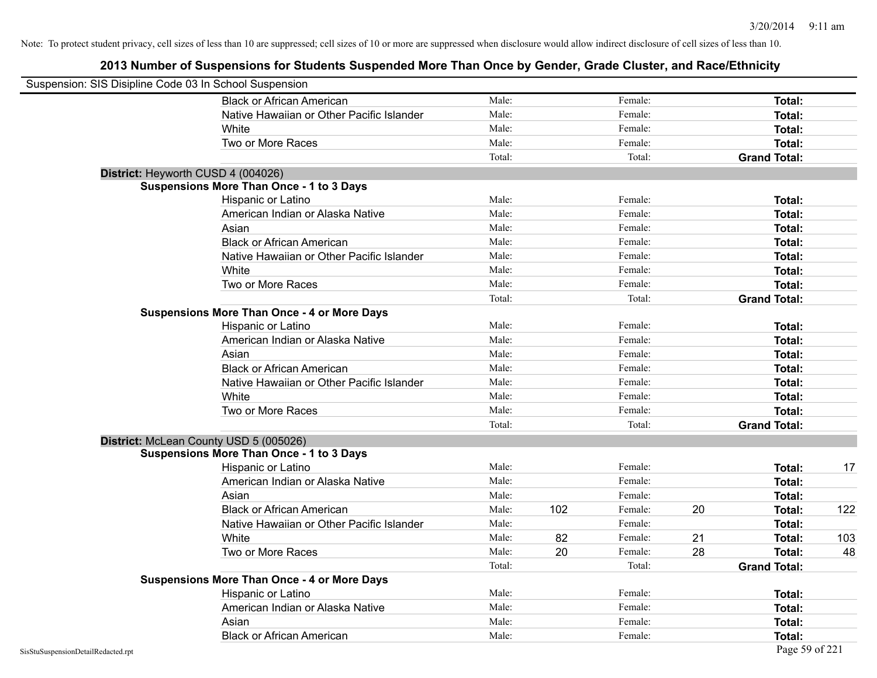| Suspension: SIS Disipline Code 03 In School Suspension |                                                    |        |     |         |    |                     |     |
|--------------------------------------------------------|----------------------------------------------------|--------|-----|---------|----|---------------------|-----|
|                                                        | <b>Black or African American</b>                   | Male:  |     | Female: |    | Total:              |     |
|                                                        | Native Hawaiian or Other Pacific Islander          | Male:  |     | Female: |    | Total:              |     |
|                                                        | White                                              | Male:  |     | Female: |    | Total:              |     |
|                                                        | Two or More Races                                  | Male:  |     | Female: |    | Total:              |     |
|                                                        |                                                    | Total: |     | Total:  |    | <b>Grand Total:</b> |     |
|                                                        | District: Heyworth CUSD 4 (004026)                 |        |     |         |    |                     |     |
|                                                        | <b>Suspensions More Than Once - 1 to 3 Days</b>    |        |     |         |    |                     |     |
|                                                        | Hispanic or Latino                                 | Male:  |     | Female: |    | Total:              |     |
|                                                        | American Indian or Alaska Native                   | Male:  |     | Female: |    | Total:              |     |
|                                                        | Asian                                              | Male:  |     | Female: |    | Total:              |     |
|                                                        | <b>Black or African American</b>                   | Male:  |     | Female: |    | Total:              |     |
|                                                        | Native Hawaiian or Other Pacific Islander          | Male:  |     | Female: |    | Total:              |     |
|                                                        | White                                              | Male:  |     | Female: |    | Total:              |     |
|                                                        | Two or More Races                                  | Male:  |     | Female: |    | Total:              |     |
|                                                        |                                                    | Total: |     | Total:  |    | <b>Grand Total:</b> |     |
|                                                        | <b>Suspensions More Than Once - 4 or More Days</b> |        |     |         |    |                     |     |
|                                                        | Hispanic or Latino                                 | Male:  |     | Female: |    | Total:              |     |
|                                                        | American Indian or Alaska Native                   | Male:  |     | Female: |    | Total:              |     |
|                                                        | Asian                                              | Male:  |     | Female: |    | Total:              |     |
|                                                        | <b>Black or African American</b>                   | Male:  |     | Female: |    | Total:              |     |
|                                                        | Native Hawaiian or Other Pacific Islander          | Male:  |     | Female: |    | Total:              |     |
|                                                        | White                                              | Male:  |     | Female: |    | Total:              |     |
|                                                        | Two or More Races                                  | Male:  |     | Female: |    | Total:              |     |
|                                                        |                                                    | Total: |     | Total:  |    | <b>Grand Total:</b> |     |
|                                                        | District: McLean County USD 5 (005026)             |        |     |         |    |                     |     |
|                                                        | <b>Suspensions More Than Once - 1 to 3 Days</b>    |        |     |         |    |                     |     |
|                                                        | Hispanic or Latino                                 | Male:  |     | Female: |    | Total:              | 17  |
|                                                        | American Indian or Alaska Native                   | Male:  |     | Female: |    | Total:              |     |
|                                                        | Asian                                              | Male:  |     | Female: |    | Total:              |     |
|                                                        | <b>Black or African American</b>                   | Male:  | 102 | Female: | 20 | Total:              | 122 |
|                                                        | Native Hawaiian or Other Pacific Islander          | Male:  |     | Female: |    | Total:              |     |
|                                                        | White                                              | Male:  | 82  | Female: | 21 | Total:              | 103 |
|                                                        | Two or More Races                                  | Male:  | 20  | Female: | 28 | Total:              | 48  |
|                                                        |                                                    | Total: |     | Total:  |    | <b>Grand Total:</b> |     |
|                                                        | <b>Suspensions More Than Once - 4 or More Days</b> |        |     |         |    |                     |     |
|                                                        | Hispanic or Latino                                 | Male:  |     | Female: |    | Total:              |     |
|                                                        | American Indian or Alaska Native                   | Male:  |     | Female: |    | Total:              |     |
|                                                        | Asian                                              | Male:  |     | Female: |    | Total:              |     |
|                                                        | <b>Black or African American</b>                   | Male:  |     | Female: |    | Total:              |     |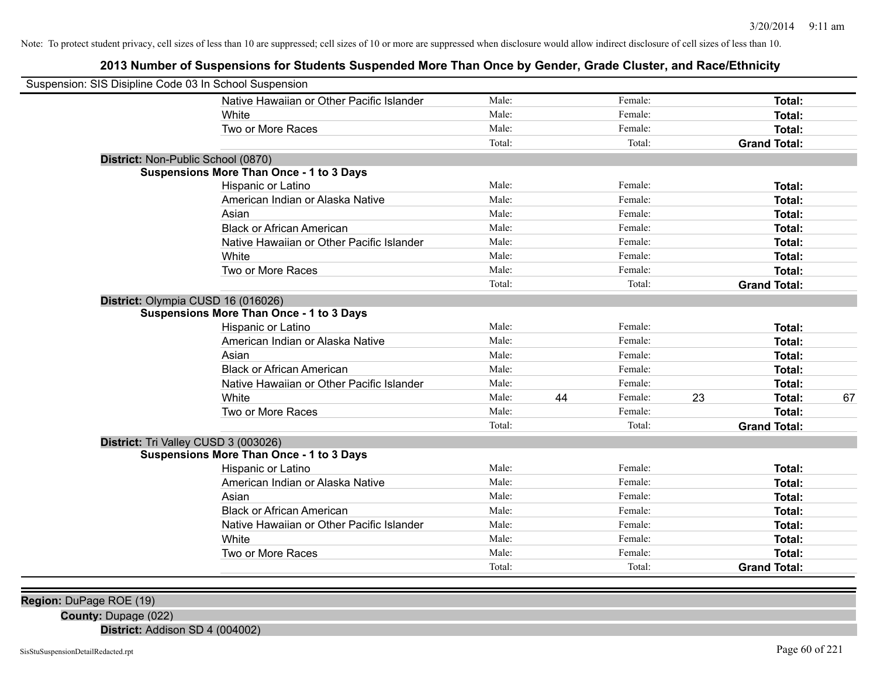# **2013 Number of Suspensions for Students Suspended More Than Once by Gender, Grade Cluster, and Race/Ethnicity**

| Suspension: SIS Disipline Code 03 In School Suspension |                                                 |        |    |         |    |                     |    |
|--------------------------------------------------------|-------------------------------------------------|--------|----|---------|----|---------------------|----|
|                                                        | Native Hawaiian or Other Pacific Islander       | Male:  |    | Female: |    | Total:              |    |
|                                                        | White                                           | Male:  |    | Female: |    | Total:              |    |
|                                                        | Two or More Races                               | Male:  |    | Female: |    | Total:              |    |
|                                                        |                                                 | Total: |    | Total:  |    | <b>Grand Total:</b> |    |
| District: Non-Public School (0870)                     |                                                 |        |    |         |    |                     |    |
|                                                        | <b>Suspensions More Than Once - 1 to 3 Days</b> |        |    |         |    |                     |    |
|                                                        | Hispanic or Latino                              | Male:  |    | Female: |    | Total:              |    |
|                                                        | American Indian or Alaska Native                | Male:  |    | Female: |    | Total:              |    |
|                                                        | Asian                                           | Male:  |    | Female: |    | Total:              |    |
|                                                        | <b>Black or African American</b>                | Male:  |    | Female: |    | Total:              |    |
|                                                        | Native Hawaiian or Other Pacific Islander       | Male:  |    | Female: |    | Total:              |    |
|                                                        | White                                           | Male:  |    | Female: |    | <b>Total:</b>       |    |
|                                                        | Two or More Races                               | Male:  |    | Female: |    | Total:              |    |
|                                                        |                                                 | Total: |    | Total:  |    | <b>Grand Total:</b> |    |
| District: Olympia CUSD 16 (016026)                     |                                                 |        |    |         |    |                     |    |
|                                                        | <b>Suspensions More Than Once - 1 to 3 Days</b> |        |    |         |    |                     |    |
|                                                        | Hispanic or Latino                              | Male:  |    | Female: |    | Total:              |    |
|                                                        | American Indian or Alaska Native                | Male:  |    | Female: |    | Total:              |    |
|                                                        | Asian                                           | Male:  |    | Female: |    | Total:              |    |
|                                                        | <b>Black or African American</b>                | Male:  |    | Female: |    | Total:              |    |
|                                                        | Native Hawaiian or Other Pacific Islander       | Male:  |    | Female: |    | Total:              |    |
|                                                        | White                                           | Male:  | 44 | Female: | 23 | Total:              | 67 |
|                                                        | Two or More Races                               | Male:  |    | Female: |    | Total:              |    |
|                                                        |                                                 | Total: |    | Total:  |    | <b>Grand Total:</b> |    |
| District: Tri Valley CUSD 3 (003026)                   |                                                 |        |    |         |    |                     |    |
|                                                        | <b>Suspensions More Than Once - 1 to 3 Days</b> |        |    |         |    |                     |    |
|                                                        | Hispanic or Latino                              | Male:  |    | Female: |    | Total:              |    |
|                                                        | American Indian or Alaska Native                | Male:  |    | Female: |    | Total:              |    |
|                                                        | Asian                                           | Male:  |    | Female: |    | Total:              |    |
|                                                        | <b>Black or African American</b>                | Male:  |    | Female: |    | Total:              |    |
|                                                        | Native Hawaiian or Other Pacific Islander       | Male:  |    | Female: |    | Total:              |    |
|                                                        | White                                           | Male:  |    | Female: |    | Total:              |    |
|                                                        | Two or More Races                               | Male:  |    | Female: |    | <b>Total:</b>       |    |
|                                                        |                                                 | Total: |    | Total:  |    | <b>Grand Total:</b> |    |
|                                                        |                                                 |        |    |         |    |                     |    |

**Region:** DuPage ROE (19)

**County:** Dupage (022)

**District:** Addison SD 4 (004002)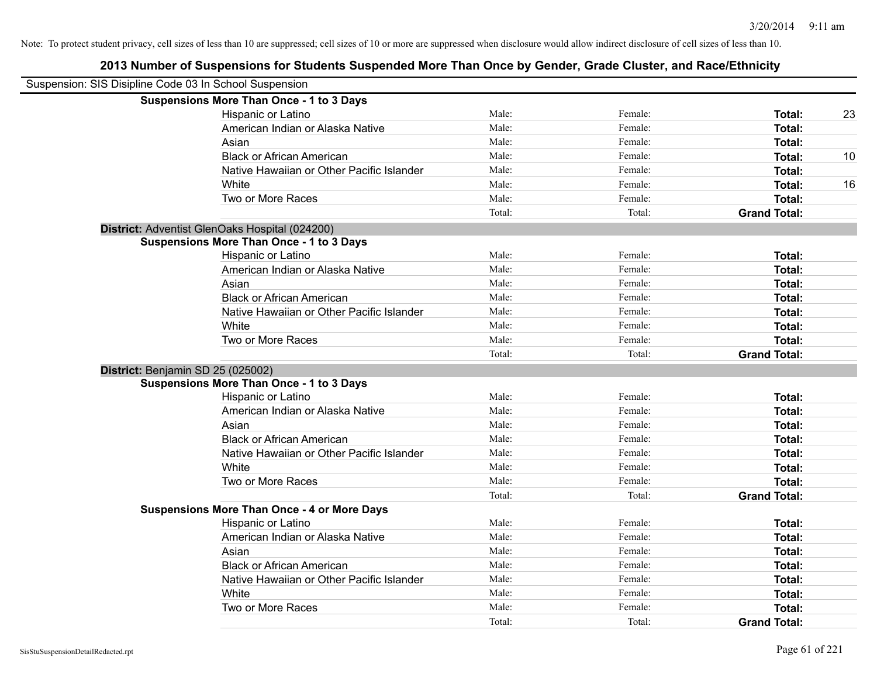| Suspension: SIS Disipline Code 03 In School Suspension |                                                    |        |         |                     |    |
|--------------------------------------------------------|----------------------------------------------------|--------|---------|---------------------|----|
|                                                        | <b>Suspensions More Than Once - 1 to 3 Days</b>    |        |         |                     |    |
|                                                        | Hispanic or Latino                                 | Male:  | Female: | Total:              | 23 |
|                                                        | American Indian or Alaska Native                   | Male:  | Female: | Total:              |    |
|                                                        | Asian                                              | Male:  | Female: | Total:              |    |
|                                                        | <b>Black or African American</b>                   | Male:  | Female: | Total:              | 10 |
|                                                        | Native Hawaiian or Other Pacific Islander          | Male:  | Female: | Total:              |    |
|                                                        | White                                              | Male:  | Female: | Total:              | 16 |
|                                                        | Two or More Races                                  | Male:  | Female: | Total:              |    |
|                                                        |                                                    | Total: | Total:  | <b>Grand Total:</b> |    |
|                                                        | District: Adventist GlenOaks Hospital (024200)     |        |         |                     |    |
|                                                        | <b>Suspensions More Than Once - 1 to 3 Days</b>    |        |         |                     |    |
|                                                        | Hispanic or Latino                                 | Male:  | Female: | Total:              |    |
|                                                        | American Indian or Alaska Native                   | Male:  | Female: | Total:              |    |
|                                                        | Asian                                              | Male:  | Female: | Total:              |    |
|                                                        | <b>Black or African American</b>                   | Male:  | Female: | Total:              |    |
|                                                        | Native Hawaiian or Other Pacific Islander          | Male:  | Female: | Total:              |    |
|                                                        | White                                              | Male:  | Female: | Total:              |    |
|                                                        | Two or More Races                                  | Male:  | Female: | Total:              |    |
|                                                        |                                                    | Total: | Total:  | <b>Grand Total:</b> |    |
|                                                        | District: Benjamin SD 25 (025002)                  |        |         |                     |    |
|                                                        | <b>Suspensions More Than Once - 1 to 3 Days</b>    |        |         |                     |    |
|                                                        | Hispanic or Latino                                 | Male:  | Female: | Total:              |    |
|                                                        | American Indian or Alaska Native                   | Male:  | Female: | Total:              |    |
|                                                        | Asian                                              | Male:  | Female: | Total:              |    |
|                                                        | <b>Black or African American</b>                   | Male:  | Female: | Total:              |    |
|                                                        | Native Hawaiian or Other Pacific Islander          | Male:  | Female: | Total:              |    |
|                                                        | White                                              | Male:  | Female: | Total:              |    |
|                                                        | Two or More Races                                  | Male:  | Female: | Total:              |    |
|                                                        |                                                    | Total: | Total:  | <b>Grand Total:</b> |    |
|                                                        | <b>Suspensions More Than Once - 4 or More Days</b> |        |         |                     |    |
|                                                        | Hispanic or Latino                                 | Male:  | Female: | Total:              |    |
|                                                        | American Indian or Alaska Native                   | Male:  | Female: | Total:              |    |
|                                                        | Asian                                              | Male:  | Female: | Total:              |    |
|                                                        | <b>Black or African American</b>                   | Male:  | Female: | Total:              |    |
|                                                        | Native Hawaiian or Other Pacific Islander          | Male:  | Female: | Total:              |    |
|                                                        | White                                              | Male:  | Female: | Total:              |    |
|                                                        | Two or More Races                                  | Male:  | Female: | Total:              |    |
|                                                        |                                                    | Total: | Total:  | <b>Grand Total:</b> |    |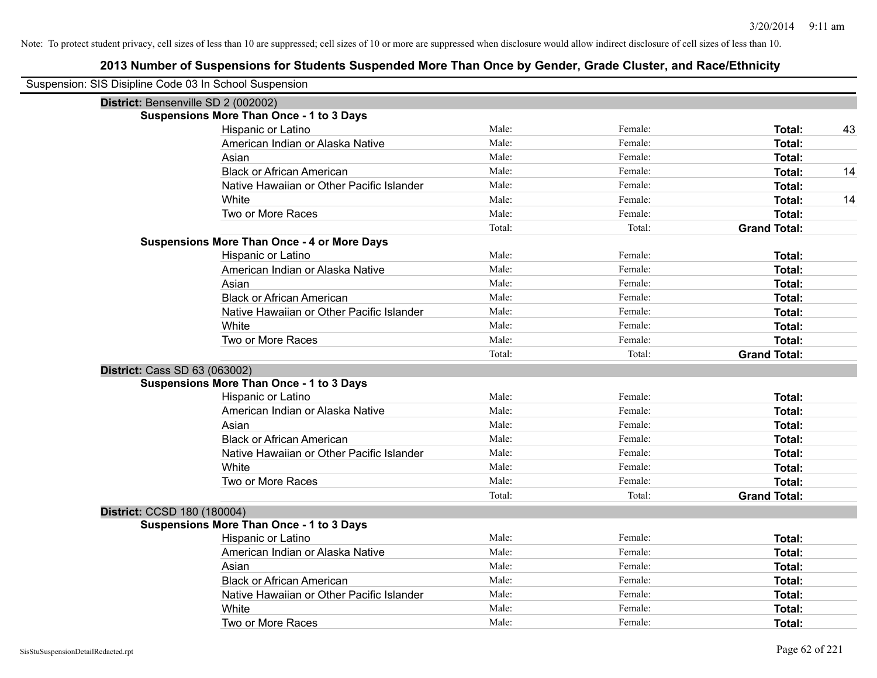| Suspension: SIS Disipline Code 03 In School Suspension |                                                    |        |         |                     |    |
|--------------------------------------------------------|----------------------------------------------------|--------|---------|---------------------|----|
| District: Bensenville SD 2 (002002)                    |                                                    |        |         |                     |    |
|                                                        | <b>Suspensions More Than Once - 1 to 3 Days</b>    |        |         |                     |    |
|                                                        | Hispanic or Latino                                 | Male:  | Female: | Total:              | 43 |
|                                                        | American Indian or Alaska Native                   | Male:  | Female: | Total:              |    |
|                                                        | Asian                                              | Male:  | Female: | Total:              |    |
|                                                        | <b>Black or African American</b>                   | Male:  | Female: | <b>Total:</b>       | 14 |
|                                                        | Native Hawaiian or Other Pacific Islander          | Male:  | Female: | Total:              |    |
|                                                        | White                                              | Male:  | Female: | Total:              | 14 |
|                                                        | Two or More Races                                  | Male:  | Female: | Total:              |    |
|                                                        |                                                    | Total: | Total:  | <b>Grand Total:</b> |    |
|                                                        | <b>Suspensions More Than Once - 4 or More Days</b> |        |         |                     |    |
|                                                        | Hispanic or Latino                                 | Male:  | Female: | Total:              |    |
|                                                        | American Indian or Alaska Native                   | Male:  | Female: | Total:              |    |
|                                                        | Asian                                              | Male:  | Female: | Total:              |    |
|                                                        | <b>Black or African American</b>                   | Male:  | Female: | <b>Total:</b>       |    |
|                                                        | Native Hawaiian or Other Pacific Islander          | Male:  | Female: | <b>Total:</b>       |    |
|                                                        | White                                              | Male:  | Female: | Total:              |    |
|                                                        | Two or More Races                                  | Male:  | Female: | Total:              |    |
|                                                        |                                                    | Total: | Total:  | <b>Grand Total:</b> |    |
| <b>District: Cass SD 63 (063002)</b>                   |                                                    |        |         |                     |    |
|                                                        | <b>Suspensions More Than Once - 1 to 3 Days</b>    |        |         |                     |    |
|                                                        | Hispanic or Latino                                 | Male:  | Female: | Total:              |    |
|                                                        | American Indian or Alaska Native                   | Male:  | Female: | Total:              |    |
|                                                        | Asian                                              | Male:  | Female: | Total:              |    |
|                                                        | <b>Black or African American</b>                   | Male:  | Female: | <b>Total:</b>       |    |
|                                                        | Native Hawaiian or Other Pacific Islander          | Male:  | Female: | Total:              |    |
|                                                        | White                                              | Male:  | Female: | <b>Total:</b>       |    |
|                                                        | Two or More Races                                  | Male:  | Female: | Total:              |    |
|                                                        |                                                    | Total: | Total:  | <b>Grand Total:</b> |    |
| District: CCSD 180 (180004)                            |                                                    |        |         |                     |    |
|                                                        | <b>Suspensions More Than Once - 1 to 3 Days</b>    |        |         |                     |    |
|                                                        | Hispanic or Latino                                 | Male:  | Female: | Total:              |    |
|                                                        | American Indian or Alaska Native                   | Male:  | Female: | Total:              |    |
|                                                        | Asian                                              | Male:  | Female: | Total:              |    |
|                                                        | <b>Black or African American</b>                   | Male:  | Female: | Total:              |    |
|                                                        | Native Hawaiian or Other Pacific Islander          | Male:  | Female: | Total:              |    |
|                                                        | White                                              | Male:  | Female: | <b>Total:</b>       |    |
|                                                        | Two or More Races                                  | Male:  | Female: | Total:              |    |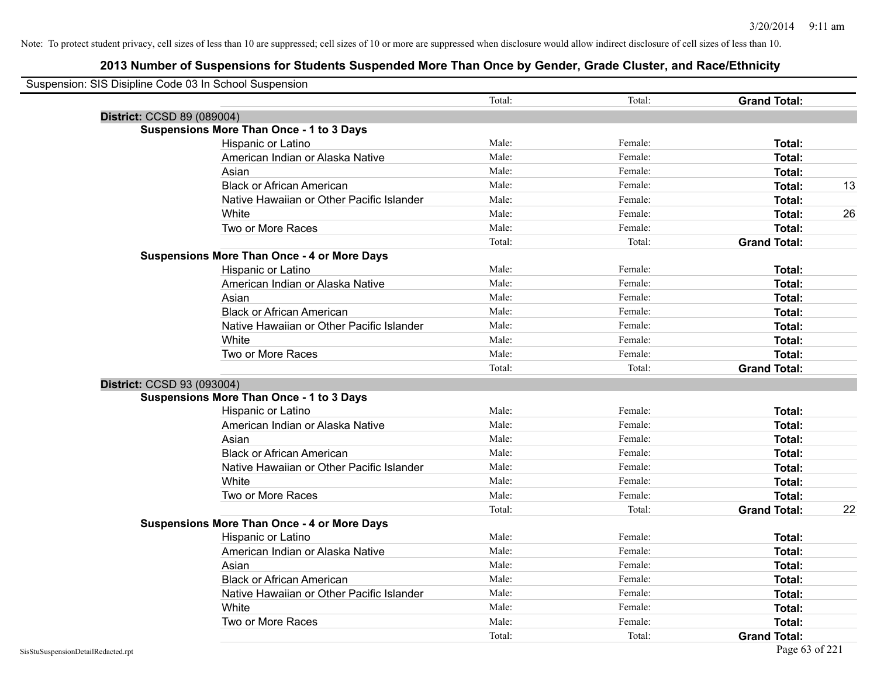| Suspension: SIS Disipline Code 03 In School Suspension |        |         |                     |    |
|--------------------------------------------------------|--------|---------|---------------------|----|
|                                                        | Total: | Total:  | <b>Grand Total:</b> |    |
| District: CCSD 89 (089004)                             |        |         |                     |    |
| <b>Suspensions More Than Once - 1 to 3 Days</b>        |        |         |                     |    |
| Hispanic or Latino                                     | Male:  | Female: | Total:              |    |
| American Indian or Alaska Native                       | Male:  | Female: | Total:              |    |
| Asian                                                  | Male:  | Female: | Total:              |    |
| <b>Black or African American</b>                       | Male:  | Female: | Total:              | 13 |
| Native Hawaiian or Other Pacific Islander              | Male:  | Female: | Total:              |    |
| White                                                  | Male:  | Female: | Total:              | 26 |
| Two or More Races                                      | Male:  | Female: | Total:              |    |
|                                                        | Total: | Total:  | <b>Grand Total:</b> |    |
| <b>Suspensions More Than Once - 4 or More Days</b>     |        |         |                     |    |
| Hispanic or Latino                                     | Male:  | Female: | Total:              |    |
| American Indian or Alaska Native                       | Male:  | Female: | Total:              |    |
| Asian                                                  | Male:  | Female: | Total:              |    |
| <b>Black or African American</b>                       | Male:  | Female: | Total:              |    |
| Native Hawaiian or Other Pacific Islander              | Male:  | Female: | Total:              |    |
| White                                                  | Male:  | Female: | Total:              |    |
| Two or More Races                                      | Male:  | Female: | Total:              |    |
|                                                        | Total: | Total:  | <b>Grand Total:</b> |    |
| District: CCSD 93 (093004)                             |        |         |                     |    |
| <b>Suspensions More Than Once - 1 to 3 Days</b>        |        |         |                     |    |
| Hispanic or Latino                                     | Male:  | Female: | Total:              |    |
| American Indian or Alaska Native                       | Male:  | Female: | Total:              |    |
| Asian                                                  | Male:  | Female: | Total:              |    |
| <b>Black or African American</b>                       | Male:  | Female: | Total:              |    |
| Native Hawaiian or Other Pacific Islander              | Male:  | Female: | Total:              |    |
| White                                                  | Male:  | Female: | Total:              |    |
| Two or More Races                                      | Male:  | Female: | Total:              |    |
|                                                        | Total: | Total:  | <b>Grand Total:</b> | 22 |
| <b>Suspensions More Than Once - 4 or More Days</b>     |        |         |                     |    |
| Hispanic or Latino                                     | Male:  | Female: | Total:              |    |
| American Indian or Alaska Native                       | Male:  | Female: | Total:              |    |
| Asian                                                  | Male:  | Female: | Total:              |    |
| <b>Black or African American</b>                       | Male:  | Female: | Total:              |    |
| Native Hawaiian or Other Pacific Islander              | Male:  | Female: | Total:              |    |
| White                                                  | Male:  | Female: | Total:              |    |
| Two or More Races                                      | Male:  | Female: | Total:              |    |
|                                                        | Total: | Total:  | <b>Grand Total:</b> |    |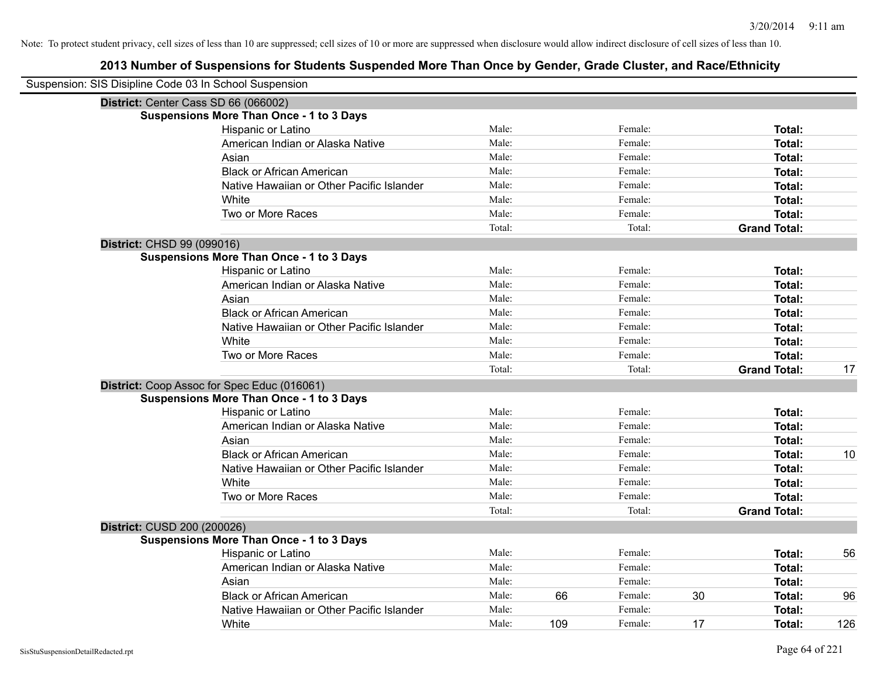| Suspension: SIS Disipline Code 03 In School Suspension |                                                 |        |     |         |    |                     |     |
|--------------------------------------------------------|-------------------------------------------------|--------|-----|---------|----|---------------------|-----|
|                                                        | District: Center Cass SD 66 (066002)            |        |     |         |    |                     |     |
|                                                        | <b>Suspensions More Than Once - 1 to 3 Days</b> |        |     |         |    |                     |     |
|                                                        | Hispanic or Latino                              | Male:  |     | Female: |    | Total:              |     |
|                                                        | American Indian or Alaska Native                | Male:  |     | Female: |    | Total:              |     |
|                                                        | Asian                                           | Male:  |     | Female: |    | Total:              |     |
|                                                        | <b>Black or African American</b>                | Male:  |     | Female: |    | Total:              |     |
|                                                        | Native Hawaiian or Other Pacific Islander       | Male:  |     | Female: |    | Total:              |     |
|                                                        | White                                           | Male:  |     | Female: |    | Total:              |     |
|                                                        | Two or More Races                               | Male:  |     | Female: |    | Total:              |     |
|                                                        |                                                 | Total: |     | Total:  |    | <b>Grand Total:</b> |     |
| District: CHSD 99 (099016)                             |                                                 |        |     |         |    |                     |     |
|                                                        | <b>Suspensions More Than Once - 1 to 3 Days</b> |        |     |         |    |                     |     |
|                                                        | Hispanic or Latino                              | Male:  |     | Female: |    | Total:              |     |
|                                                        | American Indian or Alaska Native                | Male:  |     | Female: |    | Total:              |     |
|                                                        | Asian                                           | Male:  |     | Female: |    | Total:              |     |
|                                                        | <b>Black or African American</b>                | Male:  |     | Female: |    | Total:              |     |
|                                                        | Native Hawaiian or Other Pacific Islander       | Male:  |     | Female: |    | Total:              |     |
|                                                        | White                                           | Male:  |     | Female: |    | Total:              |     |
|                                                        | Two or More Races                               | Male:  |     | Female: |    | Total:              |     |
|                                                        |                                                 | Total: |     | Total:  |    | <b>Grand Total:</b> | 17  |
|                                                        | District: Coop Assoc for Spec Educ (016061)     |        |     |         |    |                     |     |
|                                                        | <b>Suspensions More Than Once - 1 to 3 Days</b> |        |     |         |    |                     |     |
|                                                        | Hispanic or Latino                              | Male:  |     | Female: |    | Total:              |     |
|                                                        | American Indian or Alaska Native                | Male:  |     | Female: |    | Total:              |     |
|                                                        | Asian                                           | Male:  |     | Female: |    | Total:              |     |
|                                                        | <b>Black or African American</b>                | Male:  |     | Female: |    | Total:              | 10  |
|                                                        | Native Hawaiian or Other Pacific Islander       | Male:  |     | Female: |    | Total:              |     |
|                                                        | White                                           | Male:  |     | Female: |    | Total:              |     |
|                                                        | Two or More Races                               | Male:  |     | Female: |    | Total:              |     |
|                                                        |                                                 | Total: |     | Total:  |    | <b>Grand Total:</b> |     |
| District: CUSD 200 (200026)                            |                                                 |        |     |         |    |                     |     |
|                                                        | <b>Suspensions More Than Once - 1 to 3 Days</b> |        |     |         |    |                     |     |
|                                                        | Hispanic or Latino                              | Male:  |     | Female: |    | Total:              | 56  |
|                                                        | American Indian or Alaska Native                | Male:  |     | Female: |    | Total:              |     |
|                                                        | Asian                                           | Male:  |     | Female: |    | Total:              |     |
|                                                        | <b>Black or African American</b>                | Male:  | 66  | Female: | 30 | Total:              | 96  |
|                                                        | Native Hawaiian or Other Pacific Islander       | Male:  |     | Female: |    | Total:              |     |
|                                                        | White                                           | Male:  | 109 | Female: | 17 | Total:              | 126 |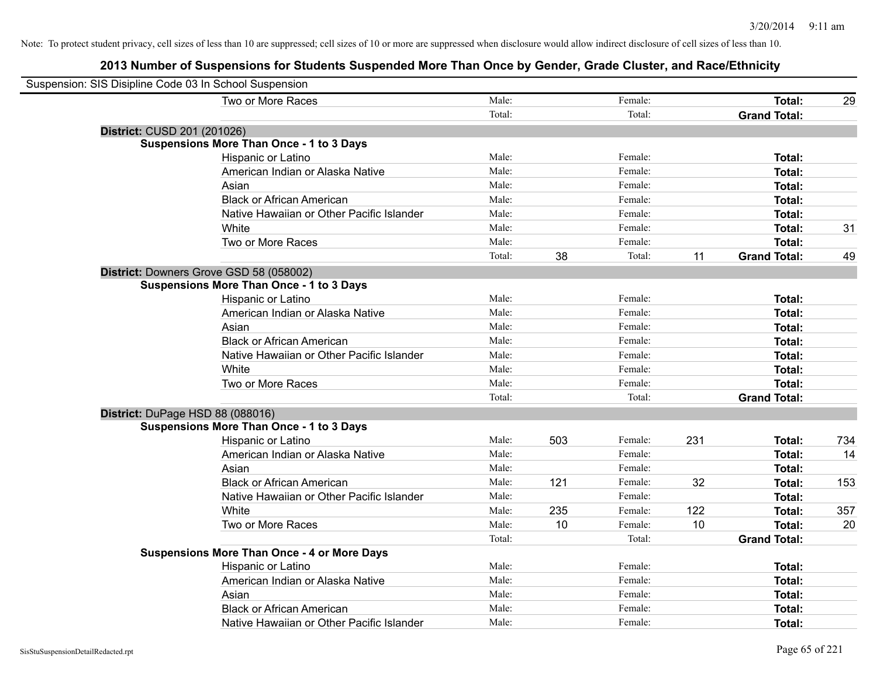| Suspension: SIS Disipline Code 03 In School Suspension |                                                    |        |     |         |     |                     |     |
|--------------------------------------------------------|----------------------------------------------------|--------|-----|---------|-----|---------------------|-----|
|                                                        | Two or More Races                                  | Male:  |     | Female: |     | Total:              | 29  |
|                                                        |                                                    | Total: |     | Total:  |     | <b>Grand Total:</b> |     |
| District: CUSD 201 (201026)                            |                                                    |        |     |         |     |                     |     |
|                                                        | <b>Suspensions More Than Once - 1 to 3 Days</b>    |        |     |         |     |                     |     |
|                                                        | Hispanic or Latino                                 | Male:  |     | Female: |     | <b>Total:</b>       |     |
|                                                        | American Indian or Alaska Native                   | Male:  |     | Female: |     | <b>Total:</b>       |     |
|                                                        | Asian                                              | Male:  |     | Female: |     | Total:              |     |
|                                                        | <b>Black or African American</b>                   | Male:  |     | Female: |     | Total:              |     |
|                                                        | Native Hawaiian or Other Pacific Islander          | Male:  |     | Female: |     | Total:              |     |
|                                                        | White                                              | Male:  |     | Female: |     | <b>Total:</b>       | 31  |
|                                                        | Two or More Races                                  | Male:  |     | Female: |     | <b>Total:</b>       |     |
|                                                        |                                                    | Total: | 38  | Total:  | 11  | <b>Grand Total:</b> | 49  |
| District: Downers Grove GSD 58 (058002)                |                                                    |        |     |         |     |                     |     |
|                                                        | <b>Suspensions More Than Once - 1 to 3 Days</b>    |        |     |         |     |                     |     |
|                                                        | Hispanic or Latino                                 | Male:  |     | Female: |     | Total:              |     |
|                                                        | American Indian or Alaska Native                   | Male:  |     | Female: |     | <b>Total:</b>       |     |
|                                                        | Asian                                              | Male:  |     | Female: |     | <b>Total:</b>       |     |
|                                                        | <b>Black or African American</b>                   | Male:  |     | Female: |     | Total:              |     |
|                                                        | Native Hawaiian or Other Pacific Islander          | Male:  |     | Female: |     | <b>Total:</b>       |     |
|                                                        | White                                              | Male:  |     | Female: |     | Total:              |     |
|                                                        | Two or More Races                                  | Male:  |     | Female: |     | <b>Total:</b>       |     |
|                                                        |                                                    | Total: |     | Total:  |     | <b>Grand Total:</b> |     |
| District: DuPage HSD 88 (088016)                       |                                                    |        |     |         |     |                     |     |
|                                                        | <b>Suspensions More Than Once - 1 to 3 Days</b>    |        |     |         |     |                     |     |
|                                                        | Hispanic or Latino                                 | Male:  | 503 | Female: | 231 | <b>Total:</b>       | 734 |
|                                                        | American Indian or Alaska Native                   | Male:  |     | Female: |     | <b>Total:</b>       | 14  |
|                                                        | Asian                                              | Male:  |     | Female: |     | <b>Total:</b>       |     |
|                                                        | <b>Black or African American</b>                   | Male:  | 121 | Female: | 32  | Total:              | 153 |
|                                                        | Native Hawaiian or Other Pacific Islander          | Male:  |     | Female: |     | <b>Total:</b>       |     |
|                                                        | White                                              | Male:  | 235 | Female: | 122 | <b>Total:</b>       | 357 |
|                                                        | Two or More Races                                  | Male:  | 10  | Female: | 10  | <b>Total:</b>       | 20  |
|                                                        |                                                    | Total: |     | Total:  |     | <b>Grand Total:</b> |     |
|                                                        | <b>Suspensions More Than Once - 4 or More Days</b> |        |     |         |     |                     |     |
|                                                        | Hispanic or Latino                                 | Male:  |     | Female: |     | Total:              |     |
|                                                        | American Indian or Alaska Native                   | Male:  |     | Female: |     | <b>Total:</b>       |     |
|                                                        | Asian                                              | Male:  |     | Female: |     | <b>Total:</b>       |     |
|                                                        | <b>Black or African American</b>                   | Male:  |     | Female: |     | <b>Total:</b>       |     |
|                                                        | Native Hawaiian or Other Pacific Islander          | Male:  |     | Female: |     | Total:              |     |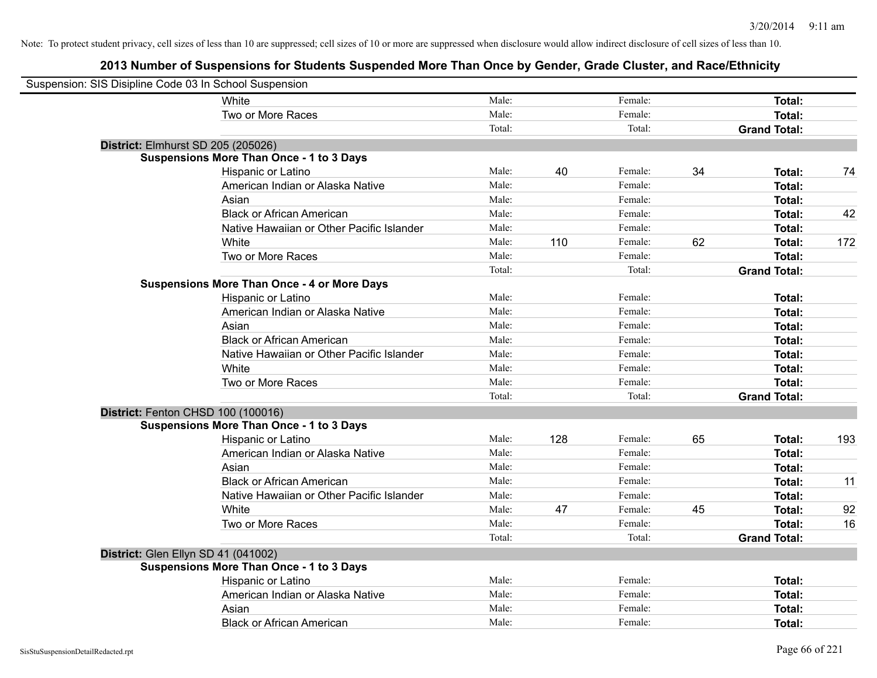| Suspension: SIS Disipline Code 03 In School Suspension |                                                    |        |     |         |    |                     |     |
|--------------------------------------------------------|----------------------------------------------------|--------|-----|---------|----|---------------------|-----|
|                                                        | White                                              | Male:  |     | Female: |    | Total:              |     |
|                                                        | Two or More Races                                  | Male:  |     | Female: |    | Total:              |     |
|                                                        |                                                    | Total: |     | Total:  |    | <b>Grand Total:</b> |     |
| District: Elmhurst SD 205 (205026)                     |                                                    |        |     |         |    |                     |     |
|                                                        | <b>Suspensions More Than Once - 1 to 3 Days</b>    |        |     |         |    |                     |     |
|                                                        | Hispanic or Latino                                 | Male:  | 40  | Female: | 34 | Total:              | 74  |
|                                                        | American Indian or Alaska Native                   | Male:  |     | Female: |    | Total:              |     |
|                                                        | Asian                                              | Male:  |     | Female: |    | Total:              |     |
|                                                        | <b>Black or African American</b>                   | Male:  |     | Female: |    | Total:              | 42  |
|                                                        | Native Hawaiian or Other Pacific Islander          | Male:  |     | Female: |    | Total:              |     |
|                                                        | White                                              | Male:  | 110 | Female: | 62 | Total:              | 172 |
|                                                        | Two or More Races                                  | Male:  |     | Female: |    | Total:              |     |
|                                                        |                                                    | Total: |     | Total:  |    | <b>Grand Total:</b> |     |
|                                                        | <b>Suspensions More Than Once - 4 or More Days</b> |        |     |         |    |                     |     |
|                                                        | Hispanic or Latino                                 | Male:  |     | Female: |    | Total:              |     |
|                                                        | American Indian or Alaska Native                   | Male:  |     | Female: |    | Total:              |     |
|                                                        | Asian                                              | Male:  |     | Female: |    | Total:              |     |
|                                                        | <b>Black or African American</b>                   | Male:  |     | Female: |    | Total:              |     |
|                                                        | Native Hawaiian or Other Pacific Islander          | Male:  |     | Female: |    | Total:              |     |
|                                                        | White                                              | Male:  |     | Female: |    | Total:              |     |
|                                                        | Two or More Races                                  | Male:  |     | Female: |    | Total:              |     |
|                                                        |                                                    | Total: |     | Total:  |    | <b>Grand Total:</b> |     |
| District: Fenton CHSD 100 (100016)                     |                                                    |        |     |         |    |                     |     |
|                                                        | <b>Suspensions More Than Once - 1 to 3 Days</b>    |        |     |         |    |                     |     |
|                                                        | Hispanic or Latino                                 | Male:  | 128 | Female: | 65 | Total:              | 193 |
|                                                        | American Indian or Alaska Native                   | Male:  |     | Female: |    | Total:              |     |
|                                                        | Asian                                              | Male:  |     | Female: |    | Total:              |     |
|                                                        | <b>Black or African American</b>                   | Male:  |     | Female: |    | Total:              | 11  |
|                                                        | Native Hawaiian or Other Pacific Islander          | Male:  |     | Female: |    | Total:              |     |
|                                                        | White                                              | Male:  | 47  | Female: | 45 | Total:              | 92  |
|                                                        | Two or More Races                                  | Male:  |     | Female: |    | Total:              | 16  |
|                                                        |                                                    | Total: |     | Total:  |    | <b>Grand Total:</b> |     |
| District: Glen Ellyn SD 41 (041002)                    |                                                    |        |     |         |    |                     |     |
|                                                        | <b>Suspensions More Than Once - 1 to 3 Days</b>    |        |     |         |    |                     |     |
|                                                        | Hispanic or Latino                                 | Male:  |     | Female: |    | Total:              |     |
|                                                        | American Indian or Alaska Native                   | Male:  |     | Female: |    | Total:              |     |
|                                                        | Asian                                              | Male:  |     | Female: |    | Total:              |     |
|                                                        | <b>Black or African American</b>                   | Male:  |     | Female: |    | Total:              |     |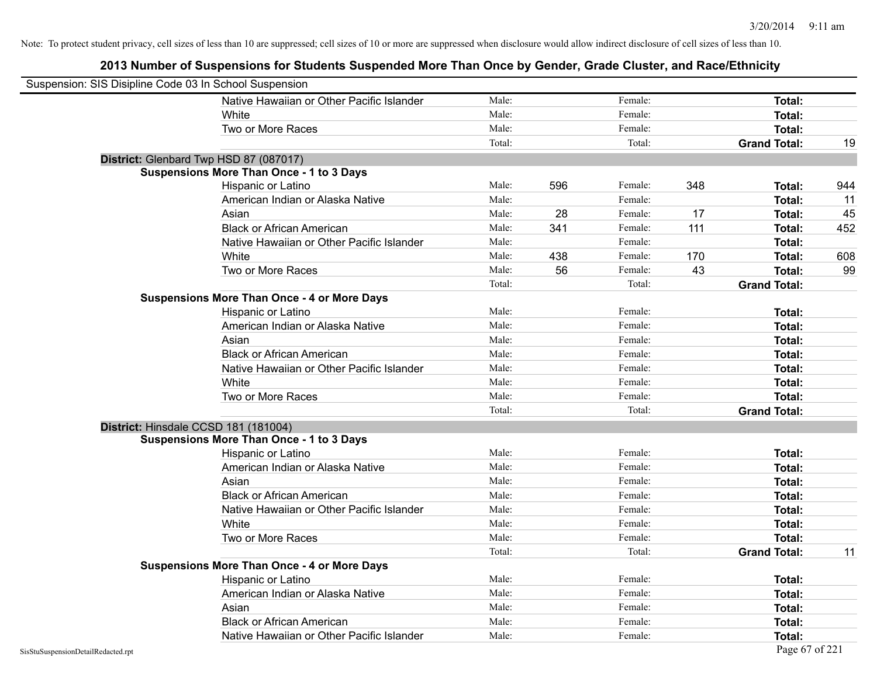| Suspension: SIS Disipline Code 03 In School Suspension |                                                    |        |     |         |     |                     |     |
|--------------------------------------------------------|----------------------------------------------------|--------|-----|---------|-----|---------------------|-----|
|                                                        | Native Hawaiian or Other Pacific Islander          | Male:  |     | Female: |     | <b>Total:</b>       |     |
|                                                        | White                                              | Male:  |     | Female: |     | Total:              |     |
|                                                        | Two or More Races                                  | Male:  |     | Female: |     | Total:              |     |
|                                                        |                                                    | Total: |     | Total:  |     | <b>Grand Total:</b> | 19  |
| District: Glenbard Twp HSD 87 (087017)                 |                                                    |        |     |         |     |                     |     |
|                                                        | <b>Suspensions More Than Once - 1 to 3 Days</b>    |        |     |         |     |                     |     |
|                                                        | Hispanic or Latino                                 | Male:  | 596 | Female: | 348 | Total:              | 944 |
|                                                        | American Indian or Alaska Native                   | Male:  |     | Female: |     | <b>Total:</b>       | 11  |
|                                                        | Asian                                              | Male:  | 28  | Female: | 17  | Total:              | 45  |
|                                                        | <b>Black or African American</b>                   | Male:  | 341 | Female: | 111 | Total:              | 452 |
|                                                        | Native Hawaiian or Other Pacific Islander          | Male:  |     | Female: |     | <b>Total:</b>       |     |
|                                                        | White                                              | Male:  | 438 | Female: | 170 | <b>Total:</b>       | 608 |
|                                                        | Two or More Races                                  | Male:  | 56  | Female: | 43  | Total:              | 99  |
|                                                        |                                                    | Total: |     | Total:  |     | <b>Grand Total:</b> |     |
|                                                        | <b>Suspensions More Than Once - 4 or More Days</b> |        |     |         |     |                     |     |
|                                                        | Hispanic or Latino                                 | Male:  |     | Female: |     | Total:              |     |
|                                                        | American Indian or Alaska Native                   | Male:  |     | Female: |     | <b>Total:</b>       |     |
|                                                        | Asian                                              | Male:  |     | Female: |     | Total:              |     |
|                                                        | <b>Black or African American</b>                   | Male:  |     | Female: |     | <b>Total:</b>       |     |
|                                                        | Native Hawaiian or Other Pacific Islander          | Male:  |     | Female: |     | <b>Total:</b>       |     |
|                                                        | White                                              | Male:  |     | Female: |     | Total:              |     |
|                                                        | Two or More Races                                  | Male:  |     | Female: |     | Total:              |     |
|                                                        |                                                    | Total: |     | Total:  |     | <b>Grand Total:</b> |     |
| District: Hinsdale CCSD 181 (181004)                   |                                                    |        |     |         |     |                     |     |
|                                                        | <b>Suspensions More Than Once - 1 to 3 Days</b>    |        |     |         |     |                     |     |
|                                                        | Hispanic or Latino                                 | Male:  |     | Female: |     | Total:              |     |
|                                                        | American Indian or Alaska Native                   | Male:  |     | Female: |     | <b>Total:</b>       |     |
|                                                        | Asian                                              | Male:  |     | Female: |     | Total:              |     |
|                                                        | <b>Black or African American</b>                   | Male:  |     | Female: |     | <b>Total:</b>       |     |
|                                                        | Native Hawaiian or Other Pacific Islander          | Male:  |     | Female: |     | <b>Total:</b>       |     |
|                                                        | White                                              | Male:  |     | Female: |     | <b>Total:</b>       |     |
|                                                        | Two or More Races                                  | Male:  |     | Female: |     | <b>Total:</b>       |     |
|                                                        |                                                    | Total: |     | Total:  |     | <b>Grand Total:</b> | 11  |
|                                                        | <b>Suspensions More Than Once - 4 or More Days</b> |        |     |         |     |                     |     |
|                                                        | Hispanic or Latino                                 | Male:  |     | Female: |     | Total:              |     |
|                                                        | American Indian or Alaska Native                   | Male:  |     | Female: |     | <b>Total:</b>       |     |
|                                                        | Asian                                              | Male:  |     | Female: |     | Total:              |     |
|                                                        | <b>Black or African American</b>                   | Male:  |     | Female: |     | <b>Total:</b>       |     |
|                                                        | Native Hawaiian or Other Pacific Islander          | Male:  |     | Female: |     | Total:              |     |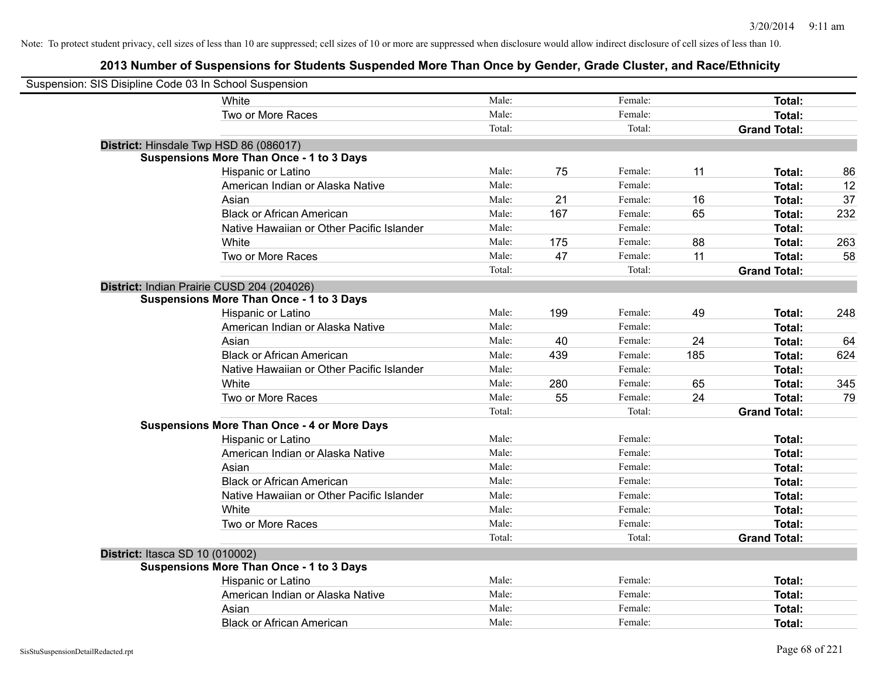| Suspension: SIS Disipline Code 03 In School Suspension |                                                    |        |     |         |     |                     |     |
|--------------------------------------------------------|----------------------------------------------------|--------|-----|---------|-----|---------------------|-----|
|                                                        | White                                              | Male:  |     | Female: |     | Total:              |     |
|                                                        | Two or More Races                                  | Male:  |     | Female: |     | Total:              |     |
|                                                        |                                                    | Total: |     | Total:  |     | <b>Grand Total:</b> |     |
| District: Hinsdale Twp HSD 86 (086017)                 |                                                    |        |     |         |     |                     |     |
|                                                        | <b>Suspensions More Than Once - 1 to 3 Days</b>    |        |     |         |     |                     |     |
|                                                        | Hispanic or Latino                                 | Male:  | 75  | Female: | 11  | Total:              | 86  |
|                                                        | American Indian or Alaska Native                   | Male:  |     | Female: |     | Total:              | 12  |
|                                                        | Asian                                              | Male:  | 21  | Female: | 16  | Total:              | 37  |
|                                                        | <b>Black or African American</b>                   | Male:  | 167 | Female: | 65  | Total:              | 232 |
|                                                        | Native Hawaiian or Other Pacific Islander          | Male:  |     | Female: |     | Total:              |     |
|                                                        | White                                              | Male:  | 175 | Female: | 88  | <b>Total:</b>       | 263 |
|                                                        | Two or More Races                                  | Male:  | 47  | Female: | 11  | <b>Total:</b>       | 58  |
|                                                        |                                                    | Total: |     | Total:  |     | <b>Grand Total:</b> |     |
| District: Indian Prairie CUSD 204 (204026)             |                                                    |        |     |         |     |                     |     |
|                                                        | <b>Suspensions More Than Once - 1 to 3 Days</b>    |        |     |         |     |                     |     |
|                                                        | Hispanic or Latino                                 | Male:  | 199 | Female: | 49  | Total:              | 248 |
|                                                        | American Indian or Alaska Native                   | Male:  |     | Female: |     | Total:              |     |
|                                                        | Asian                                              | Male:  | 40  | Female: | 24  | Total:              | 64  |
|                                                        | <b>Black or African American</b>                   | Male:  | 439 | Female: | 185 | Total:              | 624 |
|                                                        | Native Hawaiian or Other Pacific Islander          | Male:  |     | Female: |     | Total:              |     |
|                                                        | White                                              | Male:  | 280 | Female: | 65  | <b>Total:</b>       | 345 |
|                                                        | Two or More Races                                  | Male:  | 55  | Female: | 24  | <b>Total:</b>       | 79  |
|                                                        |                                                    | Total: |     | Total:  |     | <b>Grand Total:</b> |     |
|                                                        | <b>Suspensions More Than Once - 4 or More Days</b> |        |     |         |     |                     |     |
|                                                        | Hispanic or Latino                                 | Male:  |     | Female: |     | Total:              |     |
|                                                        | American Indian or Alaska Native                   | Male:  |     | Female: |     | <b>Total:</b>       |     |
|                                                        | Asian                                              | Male:  |     | Female: |     | Total:              |     |
|                                                        | <b>Black or African American</b>                   | Male:  |     | Female: |     | Total:              |     |
|                                                        | Native Hawaiian or Other Pacific Islander          | Male:  |     | Female: |     | Total:              |     |
|                                                        | White                                              | Male:  |     | Female: |     | Total:              |     |
|                                                        | Two or More Races                                  | Male:  |     | Female: |     | <b>Total:</b>       |     |
|                                                        |                                                    | Total: |     | Total:  |     | <b>Grand Total:</b> |     |
| District: Itasca SD 10 (010002)                        |                                                    |        |     |         |     |                     |     |
|                                                        | <b>Suspensions More Than Once - 1 to 3 Days</b>    |        |     |         |     |                     |     |
|                                                        | Hispanic or Latino                                 | Male:  |     | Female: |     | Total:              |     |
|                                                        | American Indian or Alaska Native                   | Male:  |     | Female: |     | <b>Total:</b>       |     |
|                                                        | Asian                                              | Male:  |     | Female: |     | <b>Total:</b>       |     |
|                                                        | <b>Black or African American</b>                   | Male:  |     | Female: |     | Total:              |     |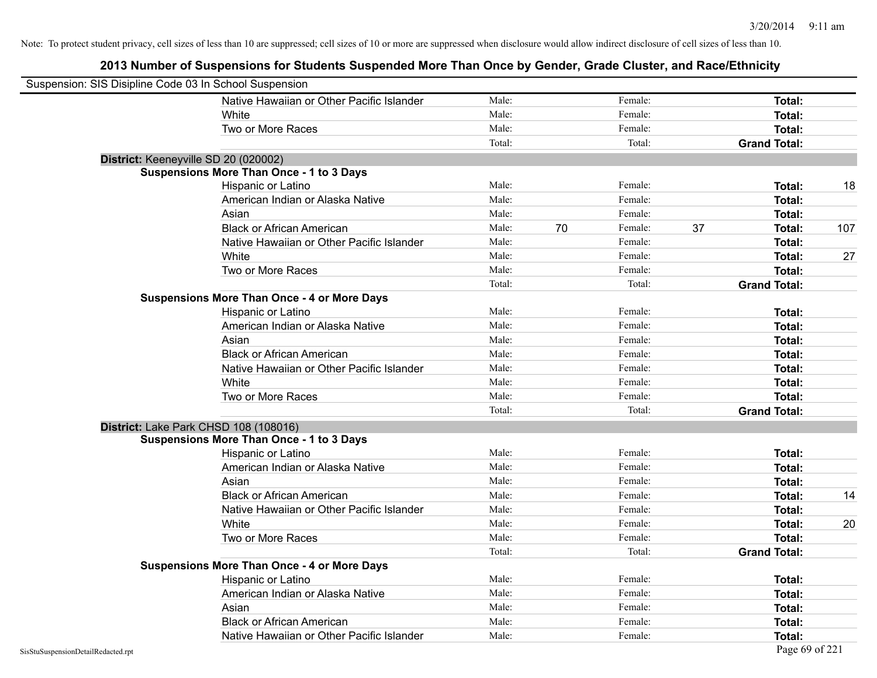| Suspension: SIS Disipline Code 03 In School Suspension |                                                    |        |    |         |    |                     |     |
|--------------------------------------------------------|----------------------------------------------------|--------|----|---------|----|---------------------|-----|
|                                                        | Native Hawaiian or Other Pacific Islander          | Male:  |    | Female: |    | <b>Total:</b>       |     |
|                                                        | White                                              | Male:  |    | Female: |    | Total:              |     |
|                                                        | Two or More Races                                  | Male:  |    | Female: |    | Total:              |     |
|                                                        |                                                    | Total: |    | Total:  |    | <b>Grand Total:</b> |     |
| District: Keeneyville SD 20 (020002)                   |                                                    |        |    |         |    |                     |     |
|                                                        | <b>Suspensions More Than Once - 1 to 3 Days</b>    |        |    |         |    |                     |     |
|                                                        | Hispanic or Latino                                 | Male:  |    | Female: |    | Total:              | 18  |
|                                                        | American Indian or Alaska Native                   | Male:  |    | Female: |    | <b>Total:</b>       |     |
|                                                        | Asian                                              | Male:  |    | Female: |    | Total:              |     |
|                                                        | <b>Black or African American</b>                   | Male:  | 70 | Female: | 37 | Total:              | 107 |
|                                                        | Native Hawaiian or Other Pacific Islander          | Male:  |    | Female: |    | <b>Total:</b>       |     |
|                                                        | White                                              | Male:  |    | Female: |    | <b>Total:</b>       | 27  |
|                                                        | Two or More Races                                  | Male:  |    | Female: |    | Total:              |     |
|                                                        |                                                    | Total: |    | Total:  |    | <b>Grand Total:</b> |     |
|                                                        | <b>Suspensions More Than Once - 4 or More Days</b> |        |    |         |    |                     |     |
|                                                        | Hispanic or Latino                                 | Male:  |    | Female: |    | <b>Total:</b>       |     |
|                                                        | American Indian or Alaska Native                   | Male:  |    | Female: |    | <b>Total:</b>       |     |
|                                                        | Asian                                              | Male:  |    | Female: |    | Total:              |     |
|                                                        | <b>Black or African American</b>                   | Male:  |    | Female: |    | <b>Total:</b>       |     |
|                                                        | Native Hawaiian or Other Pacific Islander          | Male:  |    | Female: |    | <b>Total:</b>       |     |
|                                                        | White                                              | Male:  |    | Female: |    | Total:              |     |
|                                                        | Two or More Races                                  | Male:  |    | Female: |    | Total:              |     |
|                                                        |                                                    | Total: |    | Total:  |    | <b>Grand Total:</b> |     |
| District: Lake Park CHSD 108 (108016)                  |                                                    |        |    |         |    |                     |     |
|                                                        | <b>Suspensions More Than Once - 1 to 3 Days</b>    |        |    |         |    |                     |     |
|                                                        | Hispanic or Latino                                 | Male:  |    | Female: |    | Total:              |     |
|                                                        | American Indian or Alaska Native                   | Male:  |    | Female: |    | <b>Total:</b>       |     |
|                                                        | Asian                                              | Male:  |    | Female: |    | Total:              |     |
|                                                        | <b>Black or African American</b>                   | Male:  |    | Female: |    | Total:              | 14  |
|                                                        | Native Hawaiian or Other Pacific Islander          | Male:  |    | Female: |    | <b>Total:</b>       |     |
|                                                        | White                                              | Male:  |    | Female: |    | <b>Total:</b>       | 20  |
|                                                        | Two or More Races                                  | Male:  |    | Female: |    | <b>Total:</b>       |     |
|                                                        |                                                    | Total: |    | Total:  |    | <b>Grand Total:</b> |     |
|                                                        | <b>Suspensions More Than Once - 4 or More Days</b> |        |    |         |    |                     |     |
|                                                        | Hispanic or Latino                                 | Male:  |    | Female: |    | Total:              |     |
|                                                        | American Indian or Alaska Native                   | Male:  |    | Female: |    | Total:              |     |
|                                                        | Asian                                              | Male:  |    | Female: |    | Total:              |     |
|                                                        | <b>Black or African American</b>                   | Male:  |    | Female: |    | <b>Total:</b>       |     |
|                                                        | Native Hawaiian or Other Pacific Islander          | Male:  |    | Female: |    | Total:              |     |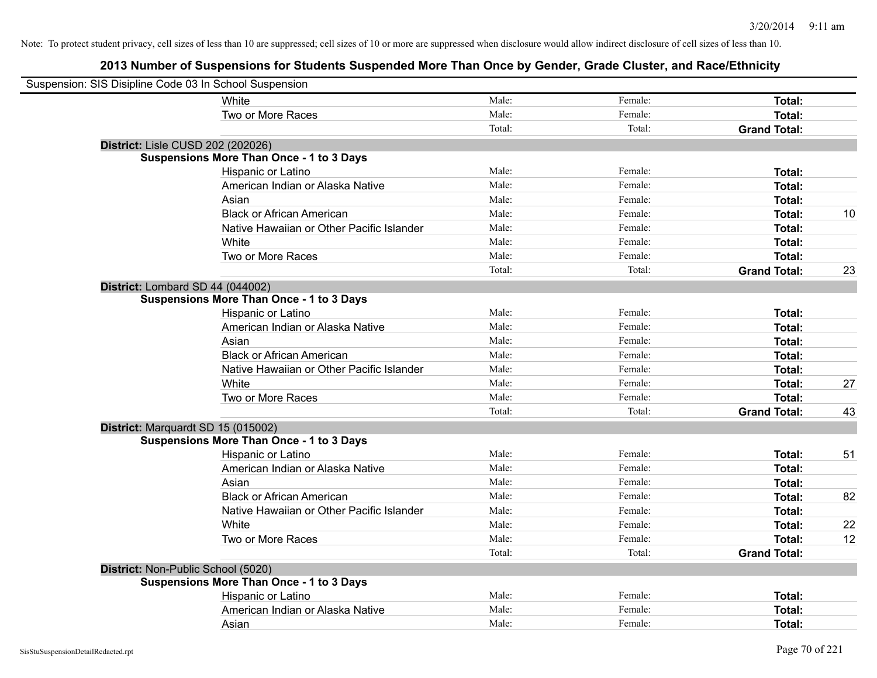| Suspension: SIS Disipline Code 03 In School Suspension |                                                 |        |         |                     |    |
|--------------------------------------------------------|-------------------------------------------------|--------|---------|---------------------|----|
|                                                        | White                                           | Male:  | Female: | Total:              |    |
|                                                        | Two or More Races                               | Male:  | Female: | Total:              |    |
|                                                        |                                                 | Total: | Total:  | <b>Grand Total:</b> |    |
| District: Lisle CUSD 202 (202026)                      |                                                 |        |         |                     |    |
|                                                        | <b>Suspensions More Than Once - 1 to 3 Days</b> |        |         |                     |    |
|                                                        | Hispanic or Latino                              | Male:  | Female: | Total:              |    |
|                                                        | American Indian or Alaska Native                | Male:  | Female: | Total:              |    |
|                                                        | Asian                                           | Male:  | Female: | Total:              |    |
|                                                        | <b>Black or African American</b>                | Male:  | Female: | Total:              | 10 |
|                                                        | Native Hawaiian or Other Pacific Islander       | Male:  | Female: | Total:              |    |
|                                                        | White                                           | Male:  | Female: | Total:              |    |
|                                                        | Two or More Races                               | Male:  | Female: | <b>Total:</b>       |    |
|                                                        |                                                 | Total: | Total:  | <b>Grand Total:</b> | 23 |
| District: Lombard SD 44 (044002)                       |                                                 |        |         |                     |    |
|                                                        | <b>Suspensions More Than Once - 1 to 3 Days</b> |        |         |                     |    |
|                                                        | Hispanic or Latino                              | Male:  | Female: | <b>Total:</b>       |    |
|                                                        | American Indian or Alaska Native                | Male:  | Female: | Total:              |    |
|                                                        | Asian                                           | Male:  | Female: | Total:              |    |
|                                                        | <b>Black or African American</b>                | Male:  | Female: | Total:              |    |
|                                                        | Native Hawaiian or Other Pacific Islander       | Male:  | Female: | Total:              |    |
|                                                        | White                                           | Male:  | Female: | Total:              | 27 |
|                                                        | Two or More Races                               | Male:  | Female: | <b>Total:</b>       |    |
|                                                        |                                                 | Total: | Total:  | <b>Grand Total:</b> | 43 |
| District: Marquardt SD 15 (015002)                     |                                                 |        |         |                     |    |
|                                                        | <b>Suspensions More Than Once - 1 to 3 Days</b> |        |         |                     |    |
|                                                        | Hispanic or Latino                              | Male:  | Female: | Total:              | 51 |
|                                                        | American Indian or Alaska Native                | Male:  | Female: | Total:              |    |
|                                                        | Asian                                           | Male:  | Female: | Total:              |    |
|                                                        | <b>Black or African American</b>                | Male:  | Female: | Total:              | 82 |
|                                                        | Native Hawaiian or Other Pacific Islander       | Male:  | Female: | Total:              |    |
|                                                        | White                                           | Male:  | Female: | Total:              | 22 |
|                                                        | Two or More Races                               | Male:  | Female: | Total:              | 12 |
|                                                        |                                                 | Total: | Total:  | <b>Grand Total:</b> |    |
| District: Non-Public School (5020)                     |                                                 |        |         |                     |    |
|                                                        | <b>Suspensions More Than Once - 1 to 3 Days</b> |        |         |                     |    |
|                                                        | Hispanic or Latino                              | Male:  | Female: | Total:              |    |
|                                                        | American Indian or Alaska Native                | Male:  | Female: | Total:              |    |
|                                                        | Asian                                           | Male:  | Female: | Total:              |    |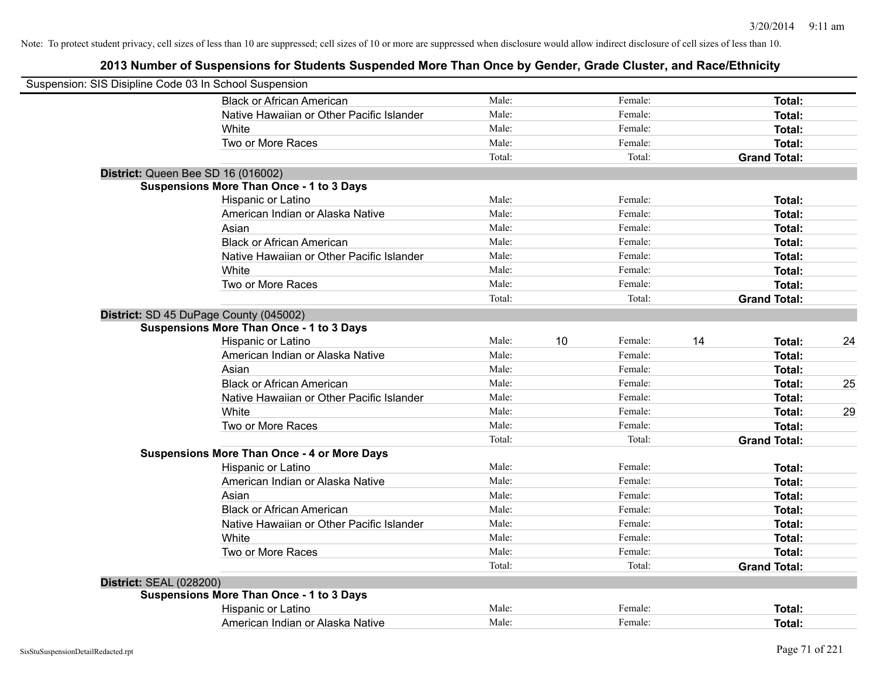|                                | Suspension: SIS Disipline Code 03 In School Suspension |        |    |         |    |                     |    |
|--------------------------------|--------------------------------------------------------|--------|----|---------|----|---------------------|----|
|                                | <b>Black or African American</b>                       | Male:  |    | Female: |    | Total:              |    |
|                                | Native Hawaiian or Other Pacific Islander              | Male:  |    | Female: |    | Total:              |    |
|                                | White                                                  | Male:  |    | Female: |    | Total:              |    |
|                                | Two or More Races                                      | Male:  |    | Female: |    | Total:              |    |
|                                |                                                        | Total: |    | Total:  |    | <b>Grand Total:</b> |    |
|                                | District: Queen Bee SD 16 (016002)                     |        |    |         |    |                     |    |
|                                | <b>Suspensions More Than Once - 1 to 3 Days</b>        |        |    |         |    |                     |    |
|                                | Hispanic or Latino                                     | Male:  |    | Female: |    | Total:              |    |
|                                | American Indian or Alaska Native                       | Male:  |    | Female: |    | Total:              |    |
|                                | Asian                                                  | Male:  |    | Female: |    | Total:              |    |
|                                | <b>Black or African American</b>                       | Male:  |    | Female: |    | Total:              |    |
|                                | Native Hawaiian or Other Pacific Islander              | Male:  |    | Female: |    | Total:              |    |
|                                | White                                                  | Male:  |    | Female: |    | Total:              |    |
|                                | Two or More Races                                      | Male:  |    | Female: |    | Total:              |    |
|                                |                                                        | Total: |    | Total:  |    | <b>Grand Total:</b> |    |
|                                | District: SD 45 DuPage County (045002)                 |        |    |         |    |                     |    |
|                                | <b>Suspensions More Than Once - 1 to 3 Days</b>        |        |    |         |    |                     |    |
|                                | Hispanic or Latino                                     | Male:  | 10 | Female: | 14 | Total:              | 24 |
|                                | American Indian or Alaska Native                       | Male:  |    | Female: |    | Total:              |    |
|                                | Asian                                                  | Male:  |    | Female: |    | Total:              |    |
|                                | <b>Black or African American</b>                       | Male:  |    | Female: |    | Total:              | 25 |
|                                | Native Hawaiian or Other Pacific Islander              | Male:  |    | Female: |    | Total:              |    |
|                                | White                                                  | Male:  |    | Female: |    | Total:              | 29 |
|                                | Two or More Races                                      | Male:  |    | Female: |    | Total:              |    |
|                                |                                                        | Total: |    | Total:  |    | <b>Grand Total:</b> |    |
|                                | <b>Suspensions More Than Once - 4 or More Days</b>     |        |    |         |    |                     |    |
|                                | Hispanic or Latino                                     | Male:  |    | Female: |    | Total:              |    |
|                                | American Indian or Alaska Native                       | Male:  |    | Female: |    | Total:              |    |
|                                | Asian                                                  | Male:  |    | Female: |    | Total:              |    |
|                                | <b>Black or African American</b>                       | Male:  |    | Female: |    | Total:              |    |
|                                | Native Hawaiian or Other Pacific Islander              | Male:  |    | Female: |    | Total:              |    |
|                                | White                                                  | Male:  |    | Female: |    | Total:              |    |
|                                | Two or More Races                                      | Male:  |    | Female: |    | Total:              |    |
|                                |                                                        | Total: |    | Total:  |    | <b>Grand Total:</b> |    |
| <b>District: SEAL (028200)</b> |                                                        |        |    |         |    |                     |    |
|                                | <b>Suspensions More Than Once - 1 to 3 Days</b>        |        |    |         |    |                     |    |
|                                | Hispanic or Latino                                     | Male:  |    | Female: |    | Total:              |    |
|                                | American Indian or Alaska Native                       | Male:  |    | Female: |    | Total:              |    |
|                                |                                                        |        |    |         |    |                     |    |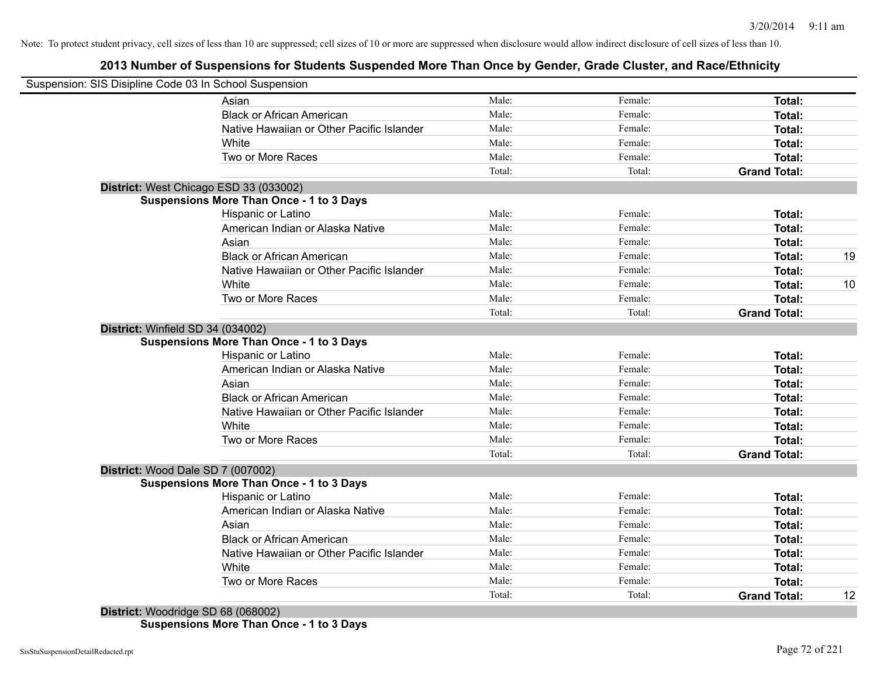# **2013 Number of Suspensions for Students Suspended More Than Once by Gender, Grade Cluster, and Race/Ethnicity**

|                                   | Suspension: SIS Disipline Code 03 In School Suspension |        |         |                     |    |
|-----------------------------------|--------------------------------------------------------|--------|---------|---------------------|----|
|                                   | Asian                                                  | Male:  | Female: | Total:              |    |
|                                   | <b>Black or African American</b>                       | Male:  | Female: | Total:              |    |
|                                   | Native Hawaiian or Other Pacific Islander              | Male:  | Female: | Total:              |    |
|                                   | White                                                  | Male:  | Female: | Total:              |    |
|                                   | Two or More Races                                      | Male:  | Female: | Total:              |    |
|                                   |                                                        | Total: | Total:  | <b>Grand Total:</b> |    |
|                                   | District: West Chicago ESD 33 (033002)                 |        |         |                     |    |
|                                   | <b>Suspensions More Than Once - 1 to 3 Days</b>        |        |         |                     |    |
|                                   | Hispanic or Latino                                     | Male:  | Female: | <b>Total:</b>       |    |
|                                   | American Indian or Alaska Native                       | Male:  | Female: | Total:              |    |
|                                   | Asian                                                  | Male:  | Female: | Total:              |    |
|                                   | <b>Black or African American</b>                       | Male:  | Female: | Total:              | 19 |
|                                   | Native Hawaiian or Other Pacific Islander              | Male:  | Female: | Total:              |    |
|                                   | White                                                  | Male:  | Female: | Total:              | 10 |
|                                   | Two or More Races                                      | Male:  | Female: | Total:              |    |
|                                   |                                                        | Total: | Total:  | <b>Grand Total:</b> |    |
| District: Winfield SD 34 (034002) |                                                        |        |         |                     |    |
|                                   | <b>Suspensions More Than Once - 1 to 3 Days</b>        |        |         |                     |    |
|                                   | Hispanic or Latino                                     | Male:  | Female: | Total:              |    |
|                                   | American Indian or Alaska Native                       | Male:  | Female: | Total:              |    |
|                                   | Asian                                                  | Male:  | Female: | Total:              |    |
|                                   | <b>Black or African American</b>                       | Male:  | Female: | Total:              |    |
|                                   | Native Hawaiian or Other Pacific Islander              | Male:  | Female: | Total:              |    |
|                                   | White                                                  | Male:  | Female: | Total:              |    |
|                                   | Two or More Races                                      | Male:  | Female: | Total:              |    |
|                                   |                                                        | Total: | Total:  | <b>Grand Total:</b> |    |
| District: Wood Dale SD 7 (007002) |                                                        |        |         |                     |    |
|                                   | <b>Suspensions More Than Once - 1 to 3 Days</b>        |        |         |                     |    |
|                                   | Hispanic or Latino                                     | Male:  | Female: | Total:              |    |
|                                   | American Indian or Alaska Native                       | Male:  | Female: | Total:              |    |
|                                   | Asian                                                  | Male:  | Female: | Total:              |    |
|                                   | <b>Black or African American</b>                       | Male:  | Female: | Total:              |    |
|                                   | Native Hawaiian or Other Pacific Islander              | Male:  | Female: | Total:              |    |
|                                   | White                                                  | Male:  | Female: | Total:              |    |
|                                   | Two or More Races                                      | Male:  | Female: | Total:              |    |
|                                   |                                                        | Total: | Total:  | <b>Grand Total:</b> | 12 |

**Suspensions More Than Once - 1 to 3 Days**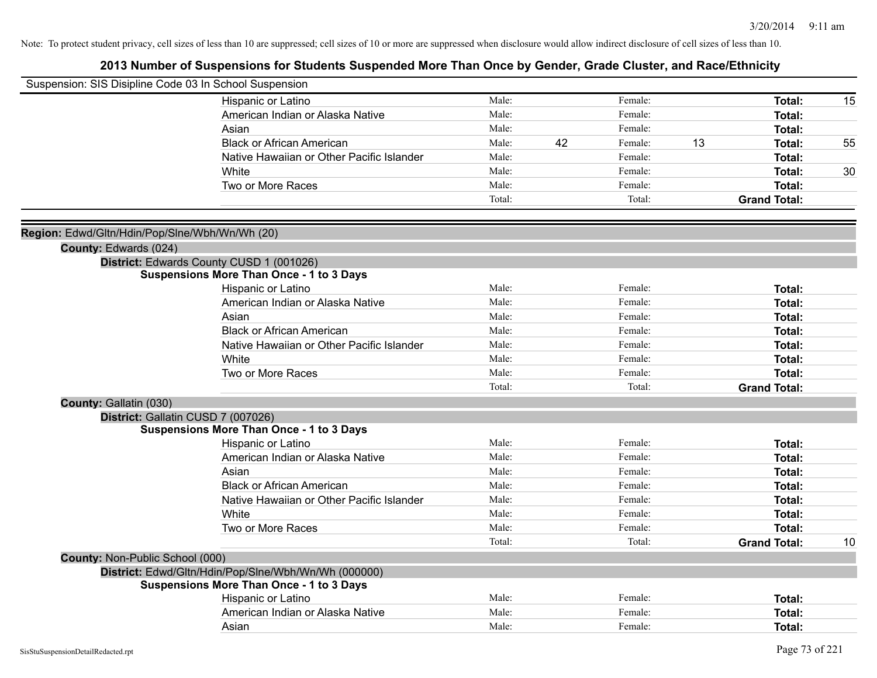| Suspension: SIS Disipline Code 03 In School Suspension |                                                      |        |    |         |    |                     |    |
|--------------------------------------------------------|------------------------------------------------------|--------|----|---------|----|---------------------|----|
|                                                        | Hispanic or Latino                                   | Male:  |    | Female: |    | Total:              | 15 |
|                                                        | American Indian or Alaska Native                     | Male:  |    | Female: |    | Total:              |    |
|                                                        | Asian                                                | Male:  |    | Female: |    | Total:              |    |
|                                                        | <b>Black or African American</b>                     | Male:  | 42 | Female: | 13 | Total:              | 55 |
|                                                        | Native Hawaiian or Other Pacific Islander            | Male:  |    | Female: |    | Total:              |    |
|                                                        | White                                                | Male:  |    | Female: |    | Total:              | 30 |
|                                                        | Two or More Races                                    | Male:  |    | Female: |    | Total:              |    |
|                                                        |                                                      | Total: |    | Total:  |    | <b>Grand Total:</b> |    |
| Region: Edwd/Gltn/Hdin/Pop/Slne/Wbh/Wn/Wh (20)         |                                                      |        |    |         |    |                     |    |
| County: Edwards (024)                                  |                                                      |        |    |         |    |                     |    |
|                                                        | District: Edwards County CUSD 1 (001026)             |        |    |         |    |                     |    |
|                                                        | <b>Suspensions More Than Once - 1 to 3 Days</b>      |        |    |         |    |                     |    |
|                                                        | Hispanic or Latino                                   | Male:  |    | Female: |    | Total:              |    |
|                                                        | American Indian or Alaska Native                     | Male:  |    | Female: |    | Total:              |    |
|                                                        | Asian                                                | Male:  |    | Female: |    | Total:              |    |
|                                                        | <b>Black or African American</b>                     | Male:  |    | Female: |    | Total:              |    |
|                                                        | Native Hawaiian or Other Pacific Islander            | Male:  |    | Female: |    | Total:              |    |
|                                                        | White                                                | Male:  |    | Female: |    | Total:              |    |
|                                                        | Two or More Races                                    | Male:  |    | Female: |    | Total:              |    |
|                                                        |                                                      | Total: |    | Total:  |    | <b>Grand Total:</b> |    |
| County: Gallatin (030)                                 |                                                      |        |    |         |    |                     |    |
|                                                        | District: Gallatin CUSD 7 (007026)                   |        |    |         |    |                     |    |
|                                                        | <b>Suspensions More Than Once - 1 to 3 Days</b>      |        |    |         |    |                     |    |
|                                                        | Hispanic or Latino                                   | Male:  |    | Female: |    | Total:              |    |
|                                                        | American Indian or Alaska Native                     | Male:  |    | Female: |    | Total:              |    |
|                                                        | Asian                                                | Male:  |    | Female: |    | Total:              |    |
|                                                        | <b>Black or African American</b>                     | Male:  |    | Female: |    | Total:              |    |
|                                                        | Native Hawaiian or Other Pacific Islander            | Male:  |    | Female: |    | Total:              |    |
|                                                        | White                                                | Male:  |    | Female: |    | Total:              |    |
|                                                        | Two or More Races                                    | Male:  |    | Female: |    | Total:              |    |
|                                                        |                                                      | Total: |    | Total:  |    | <b>Grand Total:</b> | 10 |
| County: Non-Public School (000)                        |                                                      |        |    |         |    |                     |    |
|                                                        | District: Edwd/Gltn/Hdin/Pop/Slne/Wbh/Wn/Wh (000000) |        |    |         |    |                     |    |
|                                                        | <b>Suspensions More Than Once - 1 to 3 Days</b>      |        |    |         |    |                     |    |
|                                                        | Hispanic or Latino                                   | Male:  |    | Female: |    | Total:              |    |
|                                                        | American Indian or Alaska Native                     | Male:  |    | Female: |    | Total:              |    |
|                                                        | Asian                                                | Male:  |    | Female: |    | Total:              |    |
|                                                        |                                                      |        |    |         |    |                     |    |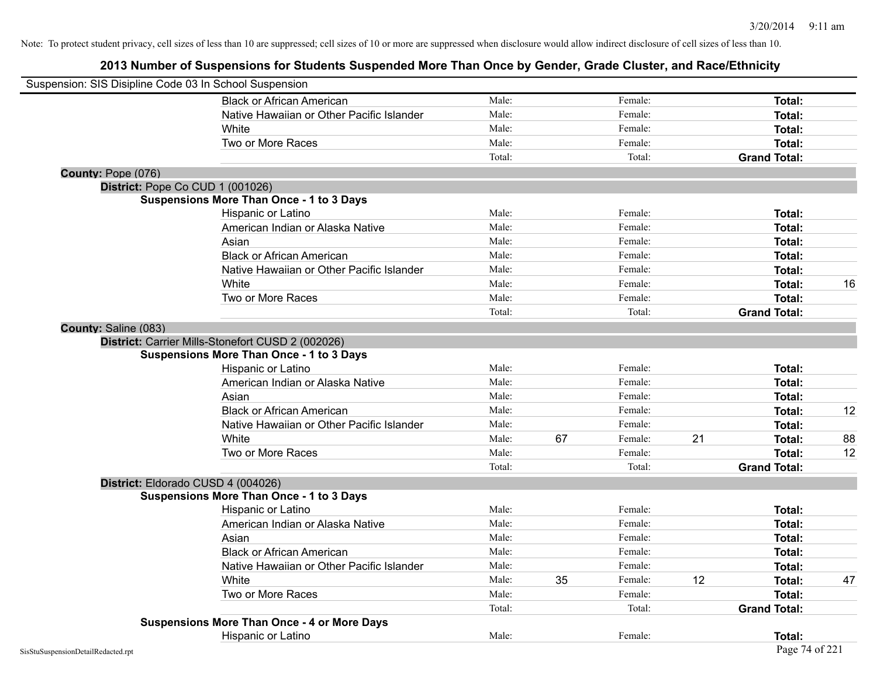| Suspension: SIS Disipline Code 03 In School Suspension |                                                    |        |    |         |    |                     |    |
|--------------------------------------------------------|----------------------------------------------------|--------|----|---------|----|---------------------|----|
|                                                        | <b>Black or African American</b>                   | Male:  |    | Female: |    | Total:              |    |
|                                                        | Native Hawaiian or Other Pacific Islander          | Male:  |    | Female: |    | Total:              |    |
|                                                        | White                                              | Male:  |    | Female: |    | Total:              |    |
|                                                        | Two or More Races                                  | Male:  |    | Female: |    | Total:              |    |
|                                                        |                                                    | Total: |    | Total:  |    | <b>Grand Total:</b> |    |
| County: Pope (076)                                     |                                                    |        |    |         |    |                     |    |
| District: Pope Co CUD 1 (001026)                       |                                                    |        |    |         |    |                     |    |
|                                                        | <b>Suspensions More Than Once - 1 to 3 Days</b>    |        |    |         |    |                     |    |
|                                                        | Hispanic or Latino                                 | Male:  |    | Female: |    | Total:              |    |
|                                                        | American Indian or Alaska Native                   | Male:  |    | Female: |    | Total:              |    |
|                                                        | Asian                                              | Male:  |    | Female: |    | Total:              |    |
|                                                        | <b>Black or African American</b>                   | Male:  |    | Female: |    | Total:              |    |
|                                                        | Native Hawaiian or Other Pacific Islander          | Male:  |    | Female: |    | Total:              |    |
|                                                        | White                                              | Male:  |    | Female: |    | Total:              | 16 |
|                                                        | Two or More Races                                  | Male:  |    | Female: |    | Total:              |    |
|                                                        |                                                    | Total: |    | Total:  |    | <b>Grand Total:</b> |    |
| County: Saline (083)                                   |                                                    |        |    |         |    |                     |    |
|                                                        | District: Carrier Mills-Stonefort CUSD 2 (002026)  |        |    |         |    |                     |    |
|                                                        | <b>Suspensions More Than Once - 1 to 3 Days</b>    |        |    |         |    |                     |    |
|                                                        | Hispanic or Latino                                 | Male:  |    | Female: |    | Total:              |    |
|                                                        | American Indian or Alaska Native                   | Male:  |    | Female: |    | Total:              |    |
|                                                        | Asian                                              | Male:  |    | Female: |    | Total:              |    |
|                                                        | <b>Black or African American</b>                   | Male:  |    | Female: |    | Total:              | 12 |
|                                                        | Native Hawaiian or Other Pacific Islander          | Male:  |    | Female: |    | Total:              |    |
|                                                        | White                                              | Male:  | 67 | Female: | 21 | Total:              | 88 |
|                                                        | Two or More Races                                  | Male:  |    | Female: |    | Total:              | 12 |
|                                                        |                                                    | Total: |    | Total:  |    | <b>Grand Total:</b> |    |
|                                                        | District: Eldorado CUSD 4 (004026)                 |        |    |         |    |                     |    |
|                                                        | <b>Suspensions More Than Once - 1 to 3 Days</b>    |        |    |         |    |                     |    |
|                                                        | Hispanic or Latino                                 | Male:  |    | Female: |    | Total:              |    |
|                                                        | American Indian or Alaska Native                   | Male:  |    | Female: |    | Total:              |    |
|                                                        | Asian                                              | Male:  |    | Female: |    | Total:              |    |
|                                                        | <b>Black or African American</b>                   | Male:  |    | Female: |    | Total:              |    |
|                                                        | Native Hawaiian or Other Pacific Islander          | Male:  |    | Female: |    | Total:              |    |
|                                                        | White                                              | Male:  | 35 | Female: | 12 | Total:              | 47 |
|                                                        | Two or More Races                                  | Male:  |    | Female: |    | Total:              |    |
|                                                        |                                                    | Total: |    | Total:  |    | <b>Grand Total:</b> |    |
|                                                        | <b>Suspensions More Than Once - 4 or More Days</b> |        |    |         |    |                     |    |
|                                                        | Hispanic or Latino                                 | Male:  |    | Female: |    | Total:              |    |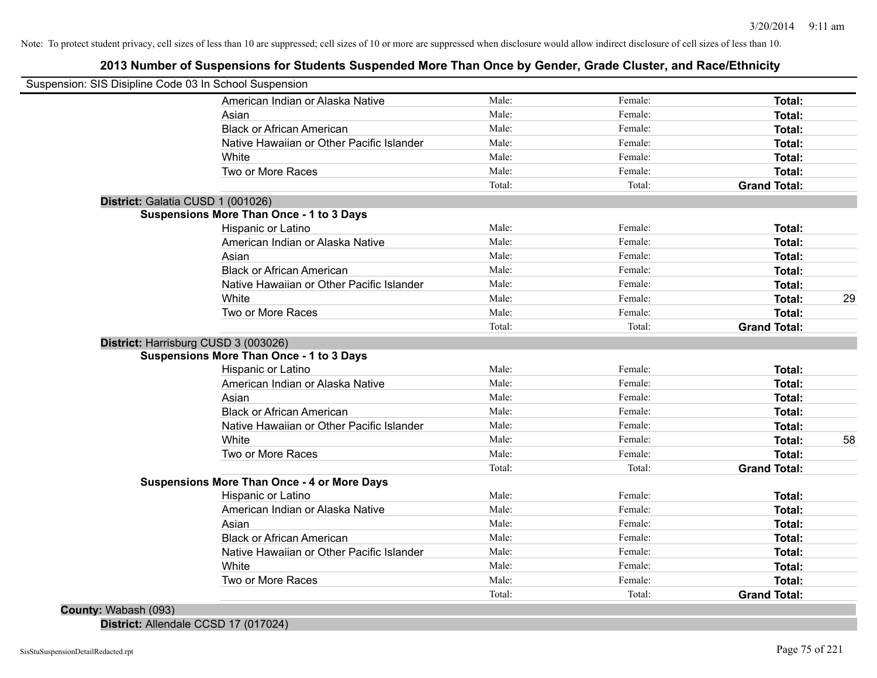## **2013 Number of Suspensions for Students Suspended More Than Once by Gender, Grade Cluster, and Race/Ethnicity**

| Suspension: SIS Disipline Code 03 In School Suspension |                                                                                                                                                                                                                                                                                                                                                                                                                                                                                                                                                                                                                                                                                                                                                                                                                                                 |                                                                                                                    |                                                                          |                                                                                                                                 |
|--------------------------------------------------------|-------------------------------------------------------------------------------------------------------------------------------------------------------------------------------------------------------------------------------------------------------------------------------------------------------------------------------------------------------------------------------------------------------------------------------------------------------------------------------------------------------------------------------------------------------------------------------------------------------------------------------------------------------------------------------------------------------------------------------------------------------------------------------------------------------------------------------------------------|--------------------------------------------------------------------------------------------------------------------|--------------------------------------------------------------------------|---------------------------------------------------------------------------------------------------------------------------------|
|                                                        |                                                                                                                                                                                                                                                                                                                                                                                                                                                                                                                                                                                                                                                                                                                                                                                                                                                 |                                                                                                                    |                                                                          |                                                                                                                                 |
| American Indian or Alaska Native                       | Male:                                                                                                                                                                                                                                                                                                                                                                                                                                                                                                                                                                                                                                                                                                                                                                                                                                           | Female:                                                                                                            | Total:                                                                   |                                                                                                                                 |
|                                                        | Male:                                                                                                                                                                                                                                                                                                                                                                                                                                                                                                                                                                                                                                                                                                                                                                                                                                           | Female:                                                                                                            | Total:                                                                   |                                                                                                                                 |
|                                                        | Male:                                                                                                                                                                                                                                                                                                                                                                                                                                                                                                                                                                                                                                                                                                                                                                                                                                           | Female:                                                                                                            | Total:                                                                   |                                                                                                                                 |
|                                                        | Male:                                                                                                                                                                                                                                                                                                                                                                                                                                                                                                                                                                                                                                                                                                                                                                                                                                           | Female:                                                                                                            | Total:                                                                   |                                                                                                                                 |
|                                                        | Male:                                                                                                                                                                                                                                                                                                                                                                                                                                                                                                                                                                                                                                                                                                                                                                                                                                           | Female:                                                                                                            | Total:                                                                   |                                                                                                                                 |
|                                                        | Male:                                                                                                                                                                                                                                                                                                                                                                                                                                                                                                                                                                                                                                                                                                                                                                                                                                           | Female:                                                                                                            | Total:                                                                   |                                                                                                                                 |
|                                                        | Total:                                                                                                                                                                                                                                                                                                                                                                                                                                                                                                                                                                                                                                                                                                                                                                                                                                          | Total:                                                                                                             | <b>Grand Total:</b>                                                      |                                                                                                                                 |
|                                                        |                                                                                                                                                                                                                                                                                                                                                                                                                                                                                                                                                                                                                                                                                                                                                                                                                                                 |                                                                                                                    |                                                                          |                                                                                                                                 |
|                                                        |                                                                                                                                                                                                                                                                                                                                                                                                                                                                                                                                                                                                                                                                                                                                                                                                                                                 |                                                                                                                    |                                                                          |                                                                                                                                 |
|                                                        | Male:                                                                                                                                                                                                                                                                                                                                                                                                                                                                                                                                                                                                                                                                                                                                                                                                                                           | Female:                                                                                                            | Total:                                                                   |                                                                                                                                 |
|                                                        |                                                                                                                                                                                                                                                                                                                                                                                                                                                                                                                                                                                                                                                                                                                                                                                                                                                 | Female:                                                                                                            | Total:                                                                   |                                                                                                                                 |
|                                                        |                                                                                                                                                                                                                                                                                                                                                                                                                                                                                                                                                                                                                                                                                                                                                                                                                                                 |                                                                                                                    | <b>Total:</b>                                                            |                                                                                                                                 |
|                                                        |                                                                                                                                                                                                                                                                                                                                                                                                                                                                                                                                                                                                                                                                                                                                                                                                                                                 | Female:                                                                                                            | Total:                                                                   |                                                                                                                                 |
|                                                        |                                                                                                                                                                                                                                                                                                                                                                                                                                                                                                                                                                                                                                                                                                                                                                                                                                                 |                                                                                                                    | Total:                                                                   |                                                                                                                                 |
|                                                        | Male:                                                                                                                                                                                                                                                                                                                                                                                                                                                                                                                                                                                                                                                                                                                                                                                                                                           | Female:                                                                                                            | Total:                                                                   | 29                                                                                                                              |
|                                                        | Male:                                                                                                                                                                                                                                                                                                                                                                                                                                                                                                                                                                                                                                                                                                                                                                                                                                           | Female:                                                                                                            | <b>Total:</b>                                                            |                                                                                                                                 |
|                                                        | Total:                                                                                                                                                                                                                                                                                                                                                                                                                                                                                                                                                                                                                                                                                                                                                                                                                                          | Total:                                                                                                             | <b>Grand Total:</b>                                                      |                                                                                                                                 |
|                                                        |                                                                                                                                                                                                                                                                                                                                                                                                                                                                                                                                                                                                                                                                                                                                                                                                                                                 |                                                                                                                    |                                                                          |                                                                                                                                 |
|                                                        |                                                                                                                                                                                                                                                                                                                                                                                                                                                                                                                                                                                                                                                                                                                                                                                                                                                 |                                                                                                                    |                                                                          |                                                                                                                                 |
|                                                        |                                                                                                                                                                                                                                                                                                                                                                                                                                                                                                                                                                                                                                                                                                                                                                                                                                                 |                                                                                                                    |                                                                          |                                                                                                                                 |
|                                                        |                                                                                                                                                                                                                                                                                                                                                                                                                                                                                                                                                                                                                                                                                                                                                                                                                                                 | Female:                                                                                                            |                                                                          |                                                                                                                                 |
|                                                        |                                                                                                                                                                                                                                                                                                                                                                                                                                                                                                                                                                                                                                                                                                                                                                                                                                                 | Female:                                                                                                            |                                                                          |                                                                                                                                 |
|                                                        | Male:                                                                                                                                                                                                                                                                                                                                                                                                                                                                                                                                                                                                                                                                                                                                                                                                                                           | Female:                                                                                                            |                                                                          |                                                                                                                                 |
|                                                        | Male:                                                                                                                                                                                                                                                                                                                                                                                                                                                                                                                                                                                                                                                                                                                                                                                                                                           | Female:                                                                                                            |                                                                          |                                                                                                                                 |
|                                                        |                                                                                                                                                                                                                                                                                                                                                                                                                                                                                                                                                                                                                                                                                                                                                                                                                                                 |                                                                                                                    | Total:                                                                   | 58                                                                                                                              |
|                                                        | Male:                                                                                                                                                                                                                                                                                                                                                                                                                                                                                                                                                                                                                                                                                                                                                                                                                                           | Female:                                                                                                            | Total:                                                                   |                                                                                                                                 |
|                                                        |                                                                                                                                                                                                                                                                                                                                                                                                                                                                                                                                                                                                                                                                                                                                                                                                                                                 |                                                                                                                    |                                                                          |                                                                                                                                 |
|                                                        |                                                                                                                                                                                                                                                                                                                                                                                                                                                                                                                                                                                                                                                                                                                                                                                                                                                 |                                                                                                                    |                                                                          |                                                                                                                                 |
|                                                        |                                                                                                                                                                                                                                                                                                                                                                                                                                                                                                                                                                                                                                                                                                                                                                                                                                                 |                                                                                                                    |                                                                          |                                                                                                                                 |
|                                                        |                                                                                                                                                                                                                                                                                                                                                                                                                                                                                                                                                                                                                                                                                                                                                                                                                                                 |                                                                                                                    |                                                                          |                                                                                                                                 |
|                                                        |                                                                                                                                                                                                                                                                                                                                                                                                                                                                                                                                                                                                                                                                                                                                                                                                                                                 | Female:                                                                                                            |                                                                          |                                                                                                                                 |
|                                                        |                                                                                                                                                                                                                                                                                                                                                                                                                                                                                                                                                                                                                                                                                                                                                                                                                                                 | Female:                                                                                                            | Total:                                                                   |                                                                                                                                 |
| Native Hawaiian or Other Pacific Islander              | Male:                                                                                                                                                                                                                                                                                                                                                                                                                                                                                                                                                                                                                                                                                                                                                                                                                                           | Female:                                                                                                            | Total:                                                                   |                                                                                                                                 |
|                                                        |                                                                                                                                                                                                                                                                                                                                                                                                                                                                                                                                                                                                                                                                                                                                                                                                                                                 | Female:                                                                                                            | Total:                                                                   |                                                                                                                                 |
| White                                                  | Male:                                                                                                                                                                                                                                                                                                                                                                                                                                                                                                                                                                                                                                                                                                                                                                                                                                           |                                                                                                                    |                                                                          |                                                                                                                                 |
| Two or More Races                                      | Male:<br>Total:                                                                                                                                                                                                                                                                                                                                                                                                                                                                                                                                                                                                                                                                                                                                                                                                                                 | Female:<br>Total:                                                                                                  | <b>Total:</b><br><b>Grand Total:</b>                                     |                                                                                                                                 |
|                                                        | Asian<br><b>Black or African American</b><br>Native Hawaiian or Other Pacific Islander<br>White<br>Two or More Races<br>District: Galatia CUSD 1 (001026)<br><b>Suspensions More Than Once - 1 to 3 Days</b><br>Hispanic or Latino<br>American Indian or Alaska Native<br>Asian<br><b>Black or African American</b><br>Native Hawaiian or Other Pacific Islander<br>White<br>Two or More Races<br>District: Harrisburg CUSD 3 (003026)<br><b>Suspensions More Than Once - 1 to 3 Days</b><br>Hispanic or Latino<br>American Indian or Alaska Native<br>Asian<br><b>Black or African American</b><br>Native Hawaiian or Other Pacific Islander<br>White<br>Two or More Races<br><b>Suspensions More Than Once - 4 or More Days</b><br><b>Hispanic or Latino</b><br>American Indian or Alaska Native<br>Asian<br><b>Black or African American</b> | Male:<br>Male:<br>Male:<br>Male:<br>Male:<br>Male:<br>Male:<br>Male:<br>Total:<br>Male:<br>Male:<br>Male:<br>Male: | Female:<br>Female:<br>Female:<br>Female:<br>Total:<br>Female:<br>Female: | <b>Total:</b><br><b>Total:</b><br>Total:<br>Total:<br><b>Total:</b><br><b>Grand Total:</b><br>Total:<br><b>Total:</b><br>Total: |

**District:** Allendale CCSD 17 (017024)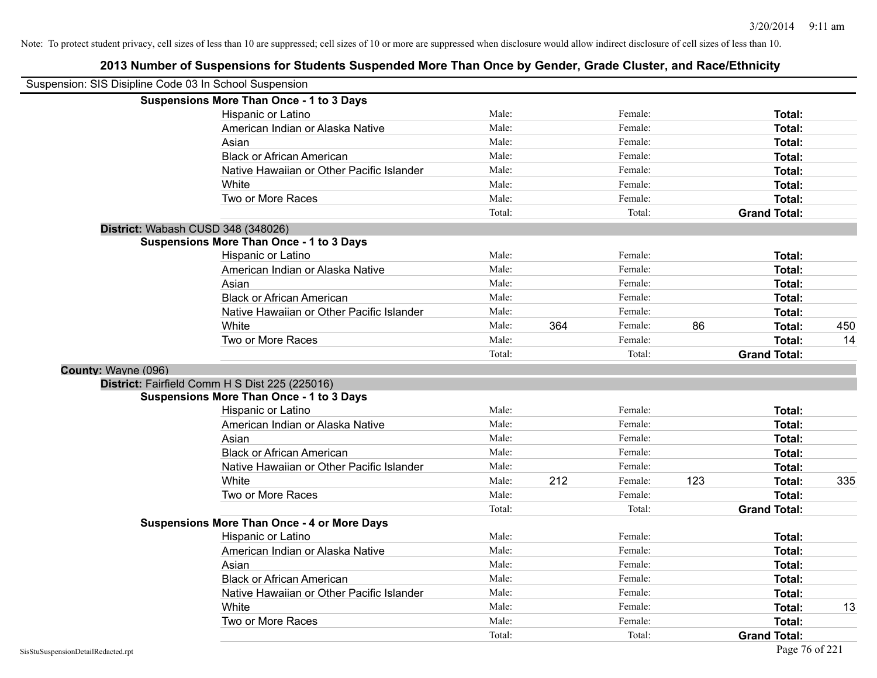| Suspension: SIS Disipline Code 03 In School Suspension |                                                    |        |     |         |     |                     |     |
|--------------------------------------------------------|----------------------------------------------------|--------|-----|---------|-----|---------------------|-----|
|                                                        | <b>Suspensions More Than Once - 1 to 3 Days</b>    |        |     |         |     |                     |     |
|                                                        | Hispanic or Latino                                 | Male:  |     | Female: |     | Total:              |     |
|                                                        | American Indian or Alaska Native                   | Male:  |     | Female: |     | Total:              |     |
|                                                        | Asian                                              | Male:  |     | Female: |     | Total:              |     |
|                                                        | <b>Black or African American</b>                   | Male:  |     | Female: |     | Total:              |     |
|                                                        | Native Hawaiian or Other Pacific Islander          | Male:  |     | Female: |     | Total:              |     |
|                                                        | White                                              | Male:  |     | Female: |     | Total:              |     |
|                                                        | Two or More Races                                  | Male:  |     | Female: |     | Total:              |     |
|                                                        |                                                    | Total: |     | Total:  |     | <b>Grand Total:</b> |     |
| District: Wabash CUSD 348 (348026)                     |                                                    |        |     |         |     |                     |     |
|                                                        | <b>Suspensions More Than Once - 1 to 3 Days</b>    |        |     |         |     |                     |     |
|                                                        | Hispanic or Latino                                 | Male:  |     | Female: |     | Total:              |     |
|                                                        | American Indian or Alaska Native                   | Male:  |     | Female: |     | <b>Total:</b>       |     |
|                                                        | Asian                                              | Male:  |     | Female: |     | Total:              |     |
|                                                        | <b>Black or African American</b>                   | Male:  |     | Female: |     | <b>Total:</b>       |     |
|                                                        | Native Hawaiian or Other Pacific Islander          | Male:  |     | Female: |     | Total:              |     |
|                                                        | White                                              | Male:  | 364 | Female: | 86  | Total:              | 450 |
|                                                        | Two or More Races                                  | Male:  |     | Female: |     | <b>Total:</b>       | 14  |
|                                                        |                                                    | Total: |     | Total:  |     | <b>Grand Total:</b> |     |
| County: Wayne (096)                                    |                                                    |        |     |         |     |                     |     |
|                                                        | District: Fairfield Comm H S Dist 225 (225016)     |        |     |         |     |                     |     |
|                                                        | <b>Suspensions More Than Once - 1 to 3 Days</b>    |        |     |         |     |                     |     |
|                                                        | Hispanic or Latino                                 | Male:  |     | Female: |     | Total:              |     |
|                                                        | American Indian or Alaska Native                   | Male:  |     | Female: |     | Total:              |     |
|                                                        | Asian                                              | Male:  |     | Female: |     | Total:              |     |
|                                                        | <b>Black or African American</b>                   | Male:  |     | Female: |     | Total:              |     |
|                                                        | Native Hawaiian or Other Pacific Islander          | Male:  |     | Female: |     | <b>Total:</b>       |     |
|                                                        | White                                              | Male:  | 212 | Female: | 123 | Total:              | 335 |
|                                                        | Two or More Races                                  | Male:  |     | Female: |     | Total:              |     |
|                                                        |                                                    | Total: |     | Total:  |     | <b>Grand Total:</b> |     |
|                                                        | <b>Suspensions More Than Once - 4 or More Days</b> |        |     |         |     |                     |     |
|                                                        | Hispanic or Latino                                 | Male:  |     | Female: |     | Total:              |     |
|                                                        | American Indian or Alaska Native                   | Male:  |     | Female: |     | Total:              |     |
|                                                        | Asian                                              | Male:  |     | Female: |     | <b>Total:</b>       |     |
|                                                        | <b>Black or African American</b>                   | Male:  |     | Female: |     | Total:              |     |
|                                                        | Native Hawaiian or Other Pacific Islander          | Male:  |     | Female: |     | Total:              |     |
|                                                        | White                                              | Male:  |     | Female: |     | Total:              | 13  |
|                                                        | Two or More Races                                  | Male:  |     | Female: |     | <b>Total:</b>       |     |
|                                                        |                                                    | Total: |     | Total:  |     | <b>Grand Total:</b> |     |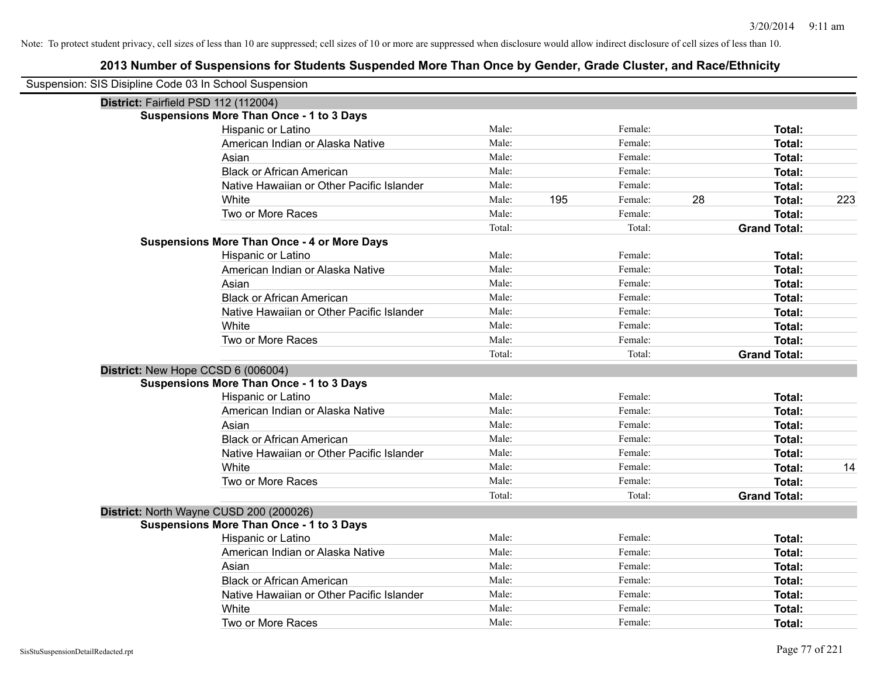| Suspension: SIS Disipline Code 03 In School Suspension |                                                    |        |     |         |    |                     |     |
|--------------------------------------------------------|----------------------------------------------------|--------|-----|---------|----|---------------------|-----|
| District: Fairfield PSD 112 (112004)                   |                                                    |        |     |         |    |                     |     |
|                                                        | <b>Suspensions More Than Once - 1 to 3 Days</b>    |        |     |         |    |                     |     |
|                                                        | Hispanic or Latino                                 | Male:  |     | Female: |    | Total:              |     |
|                                                        | American Indian or Alaska Native                   | Male:  |     | Female: |    | <b>Total:</b>       |     |
|                                                        | Asian                                              | Male:  |     | Female: |    | Total:              |     |
|                                                        | <b>Black or African American</b>                   | Male:  |     | Female: |    | Total:              |     |
|                                                        | Native Hawaiian or Other Pacific Islander          | Male:  |     | Female: |    | Total:              |     |
|                                                        | White                                              | Male:  | 195 | Female: | 28 | <b>Total:</b>       | 223 |
|                                                        | Two or More Races                                  | Male:  |     | Female: |    | <b>Total:</b>       |     |
|                                                        |                                                    | Total: |     | Total:  |    | <b>Grand Total:</b> |     |
|                                                        | <b>Suspensions More Than Once - 4 or More Days</b> |        |     |         |    |                     |     |
|                                                        | Hispanic or Latino                                 | Male:  |     | Female: |    | Total:              |     |
|                                                        | American Indian or Alaska Native                   | Male:  |     | Female: |    | <b>Total:</b>       |     |
|                                                        | Asian                                              | Male:  |     | Female: |    | <b>Total:</b>       |     |
|                                                        | <b>Black or African American</b>                   | Male:  |     | Female: |    | Total:              |     |
|                                                        | Native Hawaiian or Other Pacific Islander          | Male:  |     | Female: |    | <b>Total:</b>       |     |
|                                                        | White                                              | Male:  |     | Female: |    | <b>Total:</b>       |     |
|                                                        | Two or More Races                                  | Male:  |     | Female: |    | <b>Total:</b>       |     |
|                                                        |                                                    | Total: |     | Total:  |    | <b>Grand Total:</b> |     |
| District: New Hope CCSD 6 (006004)                     |                                                    |        |     |         |    |                     |     |
|                                                        | <b>Suspensions More Than Once - 1 to 3 Days</b>    |        |     |         |    |                     |     |
|                                                        | Hispanic or Latino                                 | Male:  |     | Female: |    | Total:              |     |
|                                                        | American Indian or Alaska Native                   | Male:  |     | Female: |    | Total:              |     |
|                                                        | Asian                                              | Male:  |     | Female: |    | <b>Total:</b>       |     |
|                                                        | <b>Black or African American</b>                   | Male:  |     | Female: |    | <b>Total:</b>       |     |
|                                                        | Native Hawaiian or Other Pacific Islander          | Male:  |     | Female: |    | <b>Total:</b>       |     |
|                                                        | White                                              | Male:  |     | Female: |    | <b>Total:</b>       | 14  |
|                                                        | Two or More Races                                  | Male:  |     | Female: |    | <b>Total:</b>       |     |
|                                                        |                                                    | Total: |     | Total:  |    | <b>Grand Total:</b> |     |
| District: North Wayne CUSD 200 (200026)                |                                                    |        |     |         |    |                     |     |
|                                                        | <b>Suspensions More Than Once - 1 to 3 Days</b>    |        |     |         |    |                     |     |
|                                                        | Hispanic or Latino                                 | Male:  |     | Female: |    | Total:              |     |
|                                                        | American Indian or Alaska Native                   | Male:  |     | Female: |    | Total:              |     |
|                                                        | Asian                                              | Male:  |     | Female: |    | Total:              |     |
|                                                        | <b>Black or African American</b>                   | Male:  |     | Female: |    | <b>Total:</b>       |     |
|                                                        | Native Hawaiian or Other Pacific Islander          | Male:  |     | Female: |    | <b>Total:</b>       |     |
|                                                        | White                                              | Male:  |     | Female: |    | <b>Total:</b>       |     |
|                                                        | Two or More Races                                  | Male:  |     | Female: |    | Total:              |     |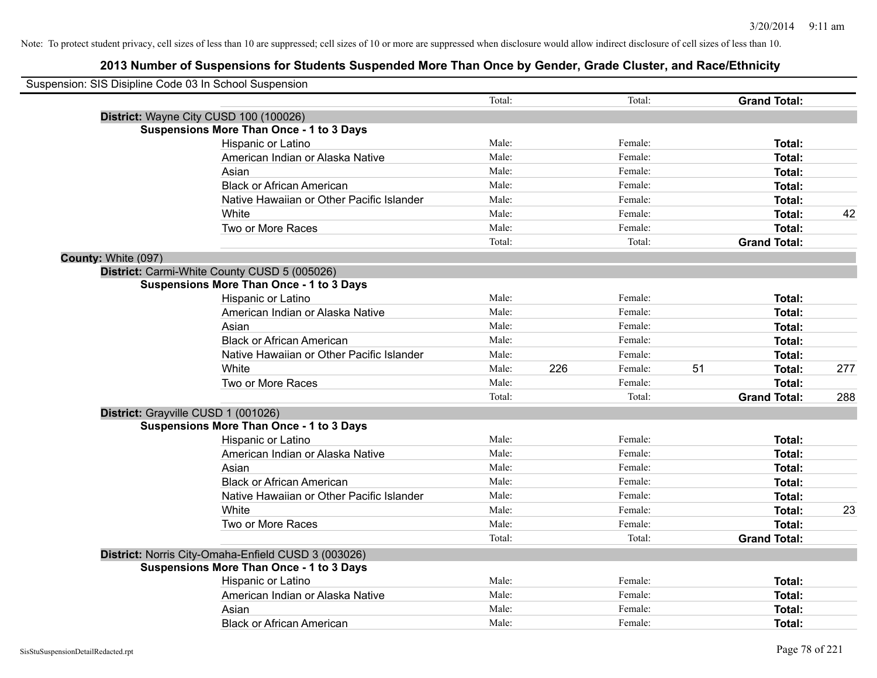| Suspension: SIS Disipline Code 03 In School Suspension |                                                     |        |     |         |    |                     |     |
|--------------------------------------------------------|-----------------------------------------------------|--------|-----|---------|----|---------------------|-----|
|                                                        |                                                     |        |     |         |    |                     |     |
|                                                        |                                                     | Total: |     | Total:  |    | <b>Grand Total:</b> |     |
|                                                        | District: Wayne City CUSD 100 (100026)              |        |     |         |    |                     |     |
|                                                        | <b>Suspensions More Than Once - 1 to 3 Days</b>     |        |     |         |    |                     |     |
|                                                        | Hispanic or Latino                                  | Male:  |     | Female: |    | Total:              |     |
|                                                        | American Indian or Alaska Native                    | Male:  |     | Female: |    | <b>Total:</b>       |     |
|                                                        | Asian                                               | Male:  |     | Female: |    | Total:              |     |
|                                                        | <b>Black or African American</b>                    | Male:  |     | Female: |    | Total:              |     |
|                                                        | Native Hawaiian or Other Pacific Islander           | Male:  |     | Female: |    | Total:              |     |
|                                                        | White                                               | Male:  |     | Female: |    | Total:              | 42  |
|                                                        | Two or More Races                                   | Male:  |     | Female: |    | Total:              |     |
|                                                        |                                                     | Total: |     | Total:  |    | <b>Grand Total:</b> |     |
| County: White (097)                                    |                                                     |        |     |         |    |                     |     |
|                                                        | District: Carmi-White County CUSD 5 (005026)        |        |     |         |    |                     |     |
|                                                        | <b>Suspensions More Than Once - 1 to 3 Days</b>     |        |     |         |    |                     |     |
|                                                        | Hispanic or Latino                                  | Male:  |     | Female: |    | Total:              |     |
|                                                        | American Indian or Alaska Native                    | Male:  |     | Female: |    | Total:              |     |
|                                                        | Asian                                               | Male:  |     | Female: |    | Total:              |     |
|                                                        | <b>Black or African American</b>                    | Male:  |     | Female: |    | Total:              |     |
|                                                        | Native Hawaiian or Other Pacific Islander           | Male:  |     | Female: |    | Total:              |     |
|                                                        | White                                               | Male:  | 226 | Female: | 51 | Total:              | 277 |
|                                                        | Two or More Races                                   | Male:  |     | Female: |    | Total:              |     |
|                                                        |                                                     | Total: |     | Total:  |    | <b>Grand Total:</b> | 288 |
|                                                        | District: Grayville CUSD 1 (001026)                 |        |     |         |    |                     |     |
|                                                        | <b>Suspensions More Than Once - 1 to 3 Days</b>     |        |     |         |    |                     |     |
|                                                        | Hispanic or Latino                                  | Male:  |     | Female: |    | Total:              |     |
|                                                        | American Indian or Alaska Native                    | Male:  |     | Female: |    | Total:              |     |
|                                                        | Asian                                               | Male:  |     | Female: |    | Total:              |     |
|                                                        | <b>Black or African American</b>                    | Male:  |     | Female: |    | Total:              |     |
|                                                        | Native Hawaiian or Other Pacific Islander           | Male:  |     | Female: |    | Total:              |     |
|                                                        | White                                               | Male:  |     | Female: |    | Total:              | 23  |
|                                                        | Two or More Races                                   | Male:  |     | Female: |    | Total:              |     |
|                                                        |                                                     | Total: |     | Total:  |    | <b>Grand Total:</b> |     |
|                                                        | District: Norris City-Omaha-Enfield CUSD 3 (003026) |        |     |         |    |                     |     |
|                                                        | <b>Suspensions More Than Once - 1 to 3 Days</b>     |        |     |         |    |                     |     |
|                                                        | Hispanic or Latino                                  | Male:  |     | Female: |    | Total:              |     |
|                                                        | American Indian or Alaska Native                    | Male:  |     | Female: |    | Total:              |     |
|                                                        | Asian                                               | Male:  |     | Female: |    | Total:              |     |
|                                                        | <b>Black or African American</b>                    | Male:  |     | Female: |    | Total:              |     |
|                                                        |                                                     |        |     |         |    |                     |     |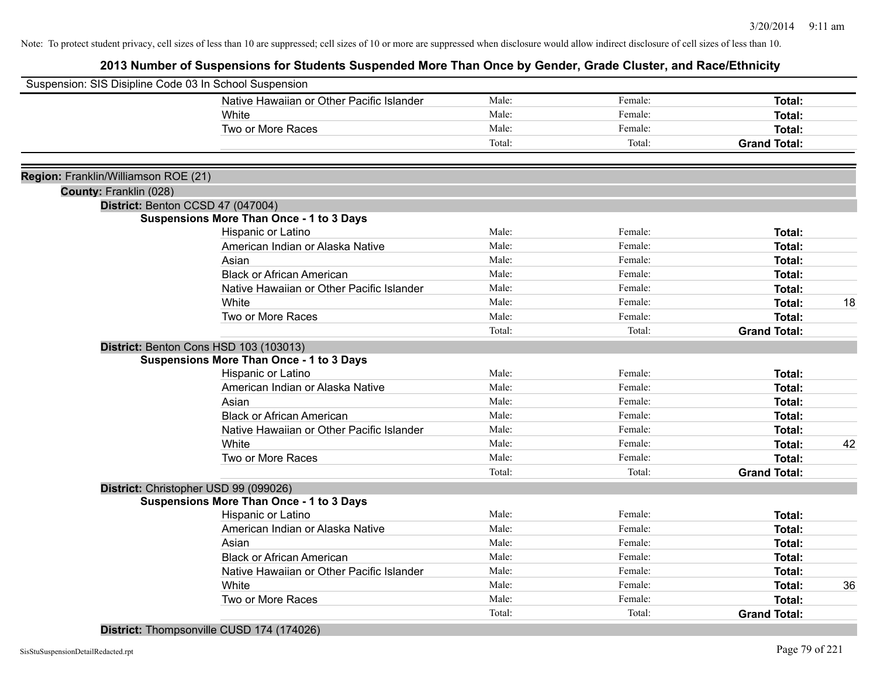## **2013 Number of Suspensions for Students Suspended More Than Once by Gender, Grade Cluster, and Race/Ethnicity**

| Suspension: SIS Disipline Code 03 In School Suspension |                                                 |        |         |                     |    |
|--------------------------------------------------------|-------------------------------------------------|--------|---------|---------------------|----|
|                                                        | Native Hawaiian or Other Pacific Islander       | Male:  | Female: | Total:              |    |
|                                                        | White                                           | Male:  | Female: | Total:              |    |
|                                                        | Two or More Races                               | Male:  | Female: | Total:              |    |
|                                                        |                                                 | Total: | Total:  | <b>Grand Total:</b> |    |
|                                                        |                                                 |        |         |                     |    |
| Region: Franklin/Williamson ROE (21)                   |                                                 |        |         |                     |    |
| County: Franklin (028)                                 |                                                 |        |         |                     |    |
|                                                        | District: Benton CCSD 47 (047004)               |        |         |                     |    |
|                                                        | <b>Suspensions More Than Once - 1 to 3 Days</b> |        |         |                     |    |
|                                                        | Hispanic or Latino                              | Male:  | Female: | Total:              |    |
|                                                        | American Indian or Alaska Native                | Male:  | Female: | Total:              |    |
|                                                        | Asian                                           | Male:  | Female: | Total:              |    |
|                                                        | <b>Black or African American</b>                | Male:  | Female: | Total:              |    |
|                                                        | Native Hawaiian or Other Pacific Islander       | Male:  | Female: | Total:              |    |
|                                                        | White                                           | Male:  | Female: | Total:              | 18 |
|                                                        | Two or More Races                               | Male:  | Female: | Total:              |    |
|                                                        |                                                 | Total: | Total:  | <b>Grand Total:</b> |    |
|                                                        | District: Benton Cons HSD 103 (103013)          |        |         |                     |    |
|                                                        | <b>Suspensions More Than Once - 1 to 3 Days</b> |        |         |                     |    |
|                                                        | Hispanic or Latino                              | Male:  | Female: | Total:              |    |
|                                                        | American Indian or Alaska Native                | Male:  | Female: | Total:              |    |
|                                                        | Asian                                           | Male:  | Female: | Total:              |    |
|                                                        | <b>Black or African American</b>                | Male:  | Female: | Total:              |    |
|                                                        | Native Hawaiian or Other Pacific Islander       | Male:  | Female: | Total:              |    |
|                                                        | White                                           | Male:  | Female: | Total:              | 42 |
|                                                        | Two or More Races                               | Male:  | Female: | Total:              |    |
|                                                        |                                                 | Total: | Total:  | <b>Grand Total:</b> |    |
|                                                        | District: Christopher USD 99 (099026)           |        |         |                     |    |
|                                                        | <b>Suspensions More Than Once - 1 to 3 Days</b> |        |         |                     |    |
|                                                        | Hispanic or Latino                              | Male:  | Female: | Total:              |    |
|                                                        | American Indian or Alaska Native                | Male:  | Female: | Total:              |    |
|                                                        | Asian                                           | Male:  | Female: | Total:              |    |
|                                                        | <b>Black or African American</b>                | Male:  | Female: | Total:              |    |
|                                                        | Native Hawaiian or Other Pacific Islander       | Male:  | Female: | Total:              |    |
|                                                        | White                                           | Male:  | Female: | Total:              | 36 |
|                                                        | Two or More Races                               | Male:  | Female: | Total:              |    |
|                                                        |                                                 | Total: | Total:  | <b>Grand Total:</b> |    |
|                                                        |                                                 |        |         |                     |    |

**District:** Thompsonville CUSD 174 (174026)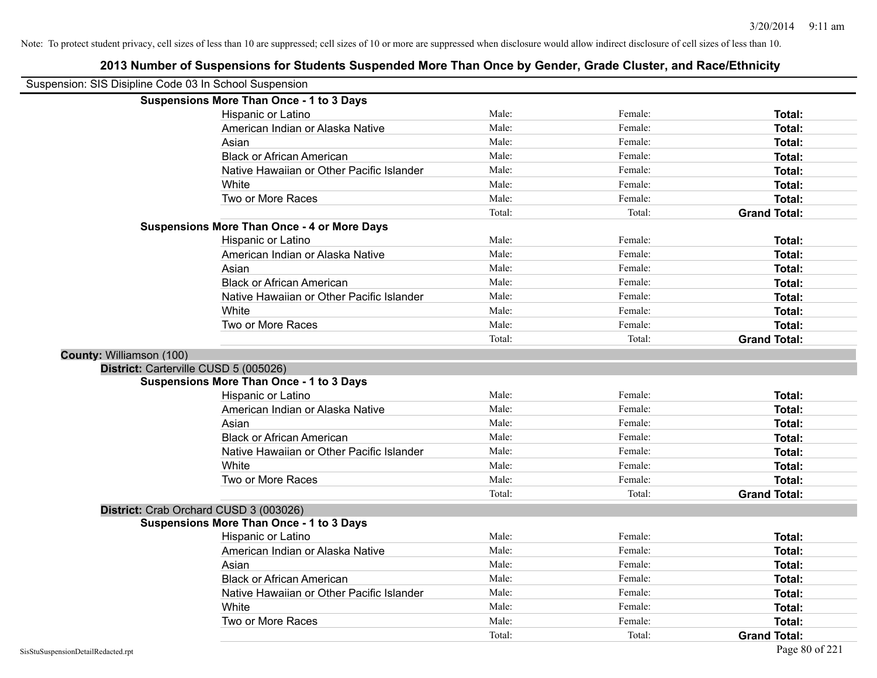| Suspension: SIS Disipline Code 03 In School Suspension |                                                    |        |         |                     |
|--------------------------------------------------------|----------------------------------------------------|--------|---------|---------------------|
|                                                        | <b>Suspensions More Than Once - 1 to 3 Days</b>    |        |         |                     |
|                                                        | <b>Hispanic or Latino</b>                          | Male:  | Female: | Total:              |
|                                                        | American Indian or Alaska Native                   | Male:  | Female: | Total:              |
|                                                        | Asian                                              | Male:  | Female: | <b>Total:</b>       |
|                                                        | <b>Black or African American</b>                   | Male:  | Female: | Total:              |
|                                                        | Native Hawaiian or Other Pacific Islander          | Male:  | Female: | Total:              |
|                                                        | White                                              | Male:  | Female: | Total:              |
|                                                        | Two or More Races                                  | Male:  | Female: | Total:              |
|                                                        |                                                    | Total: | Total:  | <b>Grand Total:</b> |
|                                                        | <b>Suspensions More Than Once - 4 or More Days</b> |        |         |                     |
|                                                        | Hispanic or Latino                                 | Male:  | Female: | Total:              |
|                                                        | American Indian or Alaska Native                   | Male:  | Female: | Total:              |
|                                                        | Asian                                              | Male:  | Female: | Total:              |
|                                                        | <b>Black or African American</b>                   | Male:  | Female: | Total:              |
|                                                        | Native Hawaiian or Other Pacific Islander          | Male:  | Female: | Total:              |
|                                                        | White                                              | Male:  | Female: | Total:              |
|                                                        | Two or More Races                                  | Male:  | Female: | Total:              |
|                                                        |                                                    | Total: | Total:  | <b>Grand Total:</b> |
| County: Williamson (100)                               |                                                    |        |         |                     |
|                                                        | District: Carterville CUSD 5 (005026)              |        |         |                     |
|                                                        | <b>Suspensions More Than Once - 1 to 3 Days</b>    |        |         |                     |
|                                                        | Hispanic or Latino                                 | Male:  | Female: | Total:              |
|                                                        | American Indian or Alaska Native                   | Male:  | Female: | Total:              |
|                                                        | Asian                                              | Male:  | Female: | Total:              |
|                                                        | <b>Black or African American</b>                   | Male:  | Female: | <b>Total:</b>       |
|                                                        | Native Hawaiian or Other Pacific Islander          | Male:  | Female: | Total:              |
|                                                        | White                                              | Male:  | Female: | Total:              |
|                                                        | Two or More Races                                  | Male:  | Female: | Total:              |
|                                                        |                                                    | Total: | Total:  | <b>Grand Total:</b> |
|                                                        | District: Crab Orchard CUSD 3 (003026)             |        |         |                     |
|                                                        | <b>Suspensions More Than Once - 1 to 3 Days</b>    |        |         |                     |
|                                                        | Hispanic or Latino                                 | Male:  | Female: | Total:              |
|                                                        | American Indian or Alaska Native                   | Male:  | Female: | <b>Total:</b>       |
|                                                        | Asian                                              | Male:  | Female: | Total:              |
|                                                        | <b>Black or African American</b>                   | Male:  | Female: | Total:              |
|                                                        | Native Hawaiian or Other Pacific Islander          | Male:  | Female: | Total:              |
|                                                        | White                                              | Male:  | Female: | <b>Total:</b>       |
|                                                        | Two or More Races                                  | Male:  | Female: | <b>Total:</b>       |
|                                                        |                                                    | Total: | Total:  | <b>Grand Total:</b> |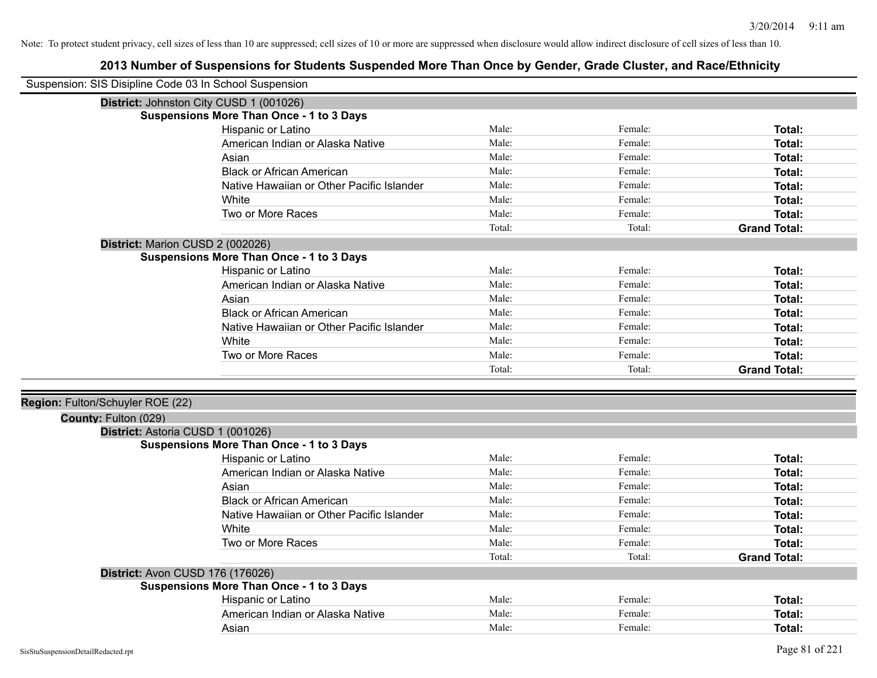| Suspension: SIS Disipline Code 03 In School Suspension |                                                 |        |         |                     |
|--------------------------------------------------------|-------------------------------------------------|--------|---------|---------------------|
| District: Johnston City CUSD 1 (001026)                |                                                 |        |         |                     |
|                                                        | <b>Suspensions More Than Once - 1 to 3 Days</b> |        |         |                     |
|                                                        | Hispanic or Latino                              | Male:  | Female: | Total:              |
|                                                        | American Indian or Alaska Native                | Male:  | Female: | Total:              |
|                                                        | Asian                                           | Male:  | Female: | Total:              |
|                                                        | <b>Black or African American</b>                | Male:  | Female: | Total:              |
|                                                        | Native Hawaiian or Other Pacific Islander       | Male:  | Female: | <b>Total:</b>       |
|                                                        | White                                           | Male:  | Female: | Total:              |
|                                                        | Two or More Races                               | Male:  | Female: | Total:              |
|                                                        |                                                 | Total: | Total:  | <b>Grand Total:</b> |
| District: Marion CUSD 2 (002026)                       |                                                 |        |         |                     |
|                                                        | <b>Suspensions More Than Once - 1 to 3 Days</b> |        |         |                     |
|                                                        | Hispanic or Latino                              | Male:  | Female: | Total:              |
|                                                        | American Indian or Alaska Native                | Male:  | Female: | Total:              |
|                                                        | Asian                                           | Male:  | Female: | Total:              |
|                                                        | <b>Black or African American</b>                | Male:  | Female: | Total:              |
|                                                        | Native Hawaiian or Other Pacific Islander       | Male:  | Female: | Total:              |
|                                                        | White                                           | Male:  | Female: | Total:              |
|                                                        | Two or More Races                               | Male:  | Female: | Total:              |
|                                                        |                                                 | Total: | Total:  | <b>Grand Total:</b> |
|                                                        |                                                 |        |         |                     |
| Region: Fulton/Schuyler ROE (22)                       |                                                 |        |         |                     |
| County: Fulton (029)                                   |                                                 |        |         |                     |
| District: Astoria CUSD 1 (001026)                      |                                                 |        |         |                     |
|                                                        | <b>Suspensions More Than Once - 1 to 3 Days</b> |        |         |                     |
|                                                        | Hispanic or Latino                              | Male:  | Female: | Total:              |
|                                                        | American Indian or Alaska Native                | Male:  | Female: | <b>Total:</b>       |
|                                                        | Asian                                           | Male:  | Female: | <b>Total:</b>       |
|                                                        | <b>Black or African American</b>                | Male:  | Female: | <b>Total:</b>       |
|                                                        | Native Hawaiian or Other Pacific Islander       | Male:  | Female: | Total:              |
|                                                        | White                                           | Male:  | Female: | Total:              |
|                                                        | Two or More Races                               | Male:  | Female: | <b>Total:</b>       |
|                                                        |                                                 | Total: | Total:  | <b>Grand Total:</b> |
| District: Avon CUSD 176 (176026)                       |                                                 |        |         |                     |
|                                                        | <b>Suspensions More Than Once - 1 to 3 Days</b> |        |         |                     |
|                                                        | Hispanic or Latino                              | Male:  | Female: | <b>Total:</b>       |
|                                                        | American Indian or Alaska Native                | Male:  | Female: | <b>Total:</b>       |
|                                                        | Asian                                           | Male:  | Female: |                     |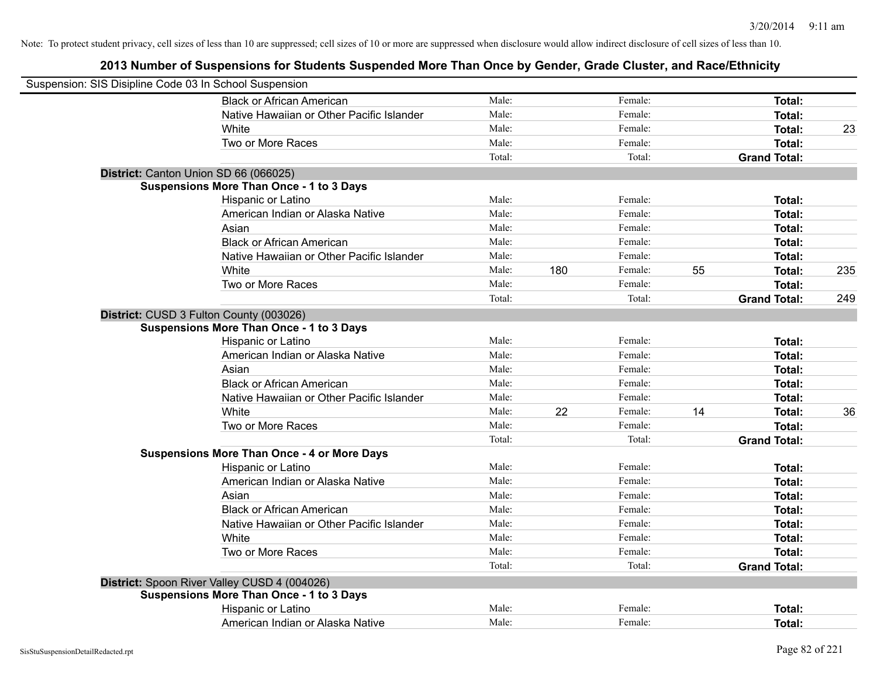| Suspension: SIS Disipline Code 03 In School Suspension |                                                    |        |     |         |    |                     |     |
|--------------------------------------------------------|----------------------------------------------------|--------|-----|---------|----|---------------------|-----|
|                                                        | <b>Black or African American</b>                   | Male:  |     | Female: |    | Total:              |     |
|                                                        | Native Hawaiian or Other Pacific Islander          | Male:  |     | Female: |    | Total:              |     |
|                                                        | White                                              | Male:  |     | Female: |    | Total:              | 23  |
|                                                        | Two or More Races                                  | Male:  |     | Female: |    | <b>Total:</b>       |     |
|                                                        |                                                    | Total: |     | Total:  |    | <b>Grand Total:</b> |     |
|                                                        | District: Canton Union SD 66 (066025)              |        |     |         |    |                     |     |
|                                                        | <b>Suspensions More Than Once - 1 to 3 Days</b>    |        |     |         |    |                     |     |
|                                                        | Hispanic or Latino                                 | Male:  |     | Female: |    | Total:              |     |
|                                                        | American Indian or Alaska Native                   | Male:  |     | Female: |    | Total:              |     |
|                                                        | Asian                                              | Male:  |     | Female: |    | Total:              |     |
|                                                        | <b>Black or African American</b>                   | Male:  |     | Female: |    | Total:              |     |
|                                                        | Native Hawaiian or Other Pacific Islander          | Male:  |     | Female: |    | Total:              |     |
|                                                        | White                                              | Male:  | 180 | Female: | 55 | <b>Total:</b>       | 235 |
|                                                        | Two or More Races                                  | Male:  |     | Female: |    | <b>Total:</b>       |     |
|                                                        |                                                    | Total: |     | Total:  |    | <b>Grand Total:</b> | 249 |
|                                                        | District: CUSD 3 Fulton County (003026)            |        |     |         |    |                     |     |
|                                                        | <b>Suspensions More Than Once - 1 to 3 Days</b>    |        |     |         |    |                     |     |
|                                                        | Hispanic or Latino                                 | Male:  |     | Female: |    | Total:              |     |
|                                                        | American Indian or Alaska Native                   | Male:  |     | Female: |    | Total:              |     |
|                                                        | Asian                                              | Male:  |     | Female: |    | Total:              |     |
|                                                        | <b>Black or African American</b>                   | Male:  |     | Female: |    | Total:              |     |
|                                                        | Native Hawaiian or Other Pacific Islander          | Male:  |     | Female: |    | <b>Total:</b>       |     |
|                                                        | White                                              | Male:  | 22  | Female: | 14 | <b>Total:</b>       | 36  |
|                                                        | Two or More Races                                  | Male:  |     | Female: |    | Total:              |     |
|                                                        |                                                    | Total: |     | Total:  |    | <b>Grand Total:</b> |     |
|                                                        | <b>Suspensions More Than Once - 4 or More Days</b> |        |     |         |    |                     |     |
|                                                        | Hispanic or Latino                                 | Male:  |     | Female: |    | Total:              |     |
|                                                        | American Indian or Alaska Native                   | Male:  |     | Female: |    | <b>Total:</b>       |     |
|                                                        | Asian                                              | Male:  |     | Female: |    | Total:              |     |
|                                                        | <b>Black or African American</b>                   | Male:  |     | Female: |    | Total:              |     |
|                                                        | Native Hawaiian or Other Pacific Islander          | Male:  |     | Female: |    | Total:              |     |
|                                                        | White                                              | Male:  |     | Female: |    | Total:              |     |
|                                                        | Two or More Races                                  | Male:  |     | Female: |    | <b>Total:</b>       |     |
|                                                        |                                                    | Total: |     | Total:  |    | <b>Grand Total:</b> |     |
|                                                        | District: Spoon River Valley CUSD 4 (004026)       |        |     |         |    |                     |     |
|                                                        | <b>Suspensions More Than Once - 1 to 3 Days</b>    |        |     |         |    |                     |     |
|                                                        | Hispanic or Latino                                 | Male:  |     | Female: |    | Total:              |     |
|                                                        | American Indian or Alaska Native                   | Male:  |     | Female: |    | Total:              |     |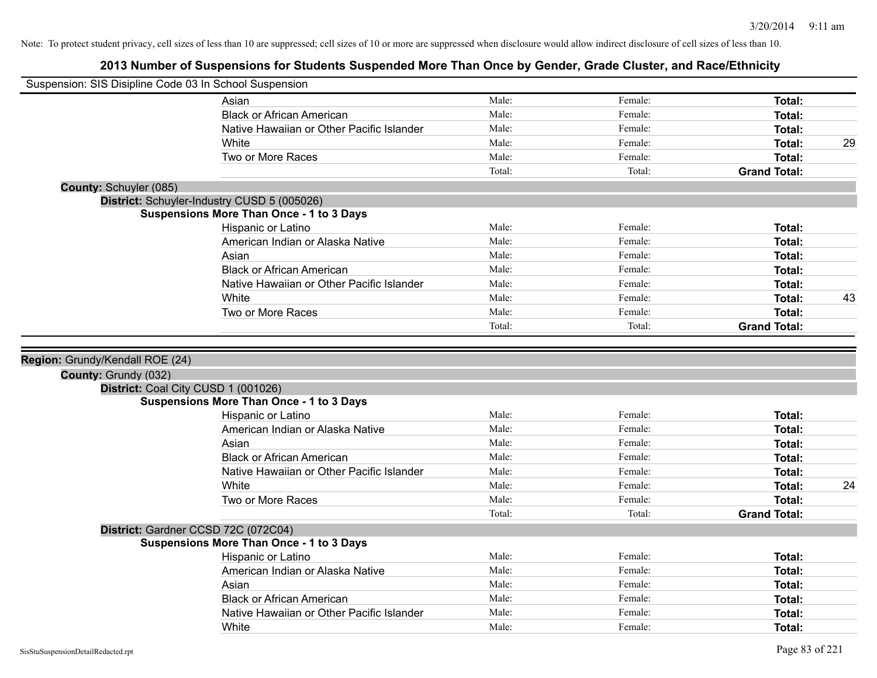| Suspension: SIS Disipline Code 03 In School Suspension |                                                 |        |         |                     |    |
|--------------------------------------------------------|-------------------------------------------------|--------|---------|---------------------|----|
|                                                        | Asian                                           | Male:  | Female: | Total:              |    |
|                                                        | <b>Black or African American</b>                | Male:  | Female: | Total:              |    |
|                                                        | Native Hawaiian or Other Pacific Islander       | Male:  | Female: | Total:              |    |
|                                                        | White                                           | Male:  | Female: | Total:              | 29 |
|                                                        | Two or More Races                               | Male:  | Female: | Total:              |    |
|                                                        |                                                 | Total: | Total:  | <b>Grand Total:</b> |    |
| County: Schuyler (085)                                 |                                                 |        |         |                     |    |
|                                                        | District: Schuyler-Industry CUSD 5 (005026)     |        |         |                     |    |
|                                                        | Suspensions More Than Once - 1 to 3 Days        |        |         |                     |    |
|                                                        | Hispanic or Latino                              | Male:  | Female: | Total:              |    |
|                                                        | American Indian or Alaska Native                | Male:  | Female: | Total:              |    |
|                                                        | Asian                                           | Male:  | Female: | Total:              |    |
|                                                        | <b>Black or African American</b>                | Male:  | Female: | Total:              |    |
|                                                        | Native Hawaiian or Other Pacific Islander       | Male:  | Female: | <b>Total:</b>       |    |
|                                                        | White                                           | Male:  | Female: | <b>Total:</b>       | 43 |
|                                                        | Two or More Races                               | Male:  | Female: | Total:              |    |
|                                                        |                                                 | Total: | Total:  | <b>Grand Total:</b> |    |
|                                                        |                                                 |        |         |                     |    |
| Region: Grundy/Kendall ROE (24)                        |                                                 |        |         |                     |    |
| County: Grundy (032)                                   |                                                 |        |         |                     |    |
|                                                        | District: Coal City CUSD 1 (001026)             |        |         |                     |    |
|                                                        | <b>Suspensions More Than Once - 1 to 3 Days</b> |        |         |                     |    |
|                                                        | Hispanic or Latino                              | Male:  | Female: | Total:              |    |
|                                                        | American Indian or Alaska Native                | Male:  | Female: | Total:              |    |
|                                                        | Asian                                           | Male:  | Female: | Total:              |    |
|                                                        | <b>Black or African American</b>                | Male:  | Female: | Total:              |    |
|                                                        | Native Hawaiian or Other Pacific Islander       | Male:  | Female: | <b>Total:</b>       |    |
|                                                        | White                                           | Male:  | Female: | Total:              | 24 |
|                                                        | Two or More Races                               | Male:  | Female: | Total:              |    |
|                                                        |                                                 | Total: | Total:  | <b>Grand Total:</b> |    |
|                                                        | District: Gardner CCSD 72C (072C04)             |        |         |                     |    |
|                                                        | <b>Suspensions More Than Once - 1 to 3 Days</b> |        |         |                     |    |
|                                                        | Hispanic or Latino                              | Male:  | Female: | Total:              |    |
|                                                        | American Indian or Alaska Native                | Male:  | Female: | Total:              |    |
|                                                        | Asian                                           | Male:  | Female: | Total:              |    |
|                                                        | <b>Black or African American</b>                | Male:  | Female: | <b>Total:</b>       |    |
|                                                        | Native Hawaiian or Other Pacific Islander       | Male:  | Female: | <b>Total:</b>       |    |
|                                                        | White                                           | Male:  | Female: | Total:              |    |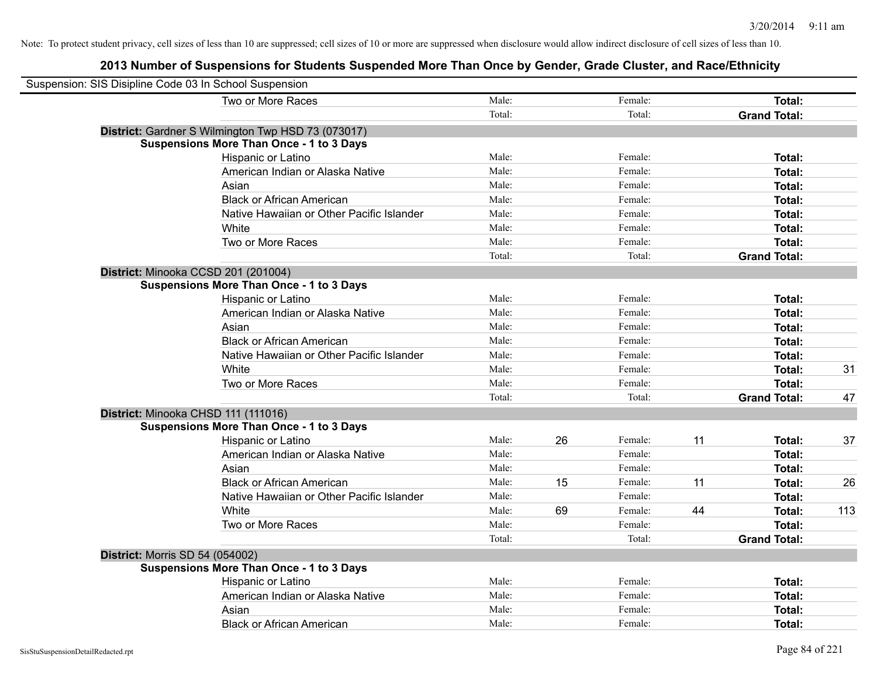| Suspension: SIS Disipline Code 03 In School Suspension |        |    |         |    |                     |     |
|--------------------------------------------------------|--------|----|---------|----|---------------------|-----|
| Two or More Races                                      | Male:  |    | Female: |    | Total:              |     |
|                                                        | Total: |    | Total:  |    | <b>Grand Total:</b> |     |
| District: Gardner S Wilmington Twp HSD 73 (073017)     |        |    |         |    |                     |     |
| <b>Suspensions More Than Once - 1 to 3 Days</b>        |        |    |         |    |                     |     |
| Hispanic or Latino                                     | Male:  |    | Female: |    | Total:              |     |
| American Indian or Alaska Native                       | Male:  |    | Female: |    | Total:              |     |
| Asian                                                  | Male:  |    | Female: |    | Total:              |     |
| <b>Black or African American</b>                       | Male:  |    | Female: |    | Total:              |     |
| Native Hawaiian or Other Pacific Islander              | Male:  |    | Female: |    | Total:              |     |
| White                                                  | Male:  |    | Female: |    | Total:              |     |
| Two or More Races                                      | Male:  |    | Female: |    | Total:              |     |
|                                                        | Total: |    | Total:  |    | <b>Grand Total:</b> |     |
| District: Minooka CCSD 201 (201004)                    |        |    |         |    |                     |     |
| <b>Suspensions More Than Once - 1 to 3 Days</b>        |        |    |         |    |                     |     |
| Hispanic or Latino                                     | Male:  |    | Female: |    | Total:              |     |
| American Indian or Alaska Native                       | Male:  |    | Female: |    | Total:              |     |
| Asian                                                  | Male:  |    | Female: |    | Total:              |     |
| <b>Black or African American</b>                       | Male:  |    | Female: |    | Total:              |     |
| Native Hawaiian or Other Pacific Islander              | Male:  |    | Female: |    | Total:              |     |
| White                                                  | Male:  |    | Female: |    | Total:              | 31  |
| Two or More Races                                      | Male:  |    | Female: |    | Total:              |     |
|                                                        | Total: |    | Total:  |    | <b>Grand Total:</b> | 47  |
| District: Minooka CHSD 111 (111016)                    |        |    |         |    |                     |     |
| <b>Suspensions More Than Once - 1 to 3 Days</b>        |        |    |         |    |                     |     |
| Hispanic or Latino                                     | Male:  | 26 | Female: | 11 | Total:              | 37  |
| American Indian or Alaska Native                       | Male:  |    | Female: |    | Total:              |     |
| Asian                                                  | Male:  |    | Female: |    | Total:              |     |
| <b>Black or African American</b>                       | Male:  | 15 | Female: | 11 | Total:              | 26  |
| Native Hawaiian or Other Pacific Islander              | Male:  |    | Female: |    | Total:              |     |
| White                                                  | Male:  | 69 | Female: | 44 | Total:              | 113 |
| Two or More Races                                      | Male:  |    | Female: |    | Total:              |     |
|                                                        | Total: |    | Total:  |    | <b>Grand Total:</b> |     |
| <b>District: Morris SD 54 (054002)</b>                 |        |    |         |    |                     |     |
| <b>Suspensions More Than Once - 1 to 3 Days</b>        |        |    |         |    |                     |     |
| Hispanic or Latino                                     | Male:  |    | Female: |    | Total:              |     |
| American Indian or Alaska Native                       | Male:  |    | Female: |    | Total:              |     |
| Asian                                                  | Male:  |    | Female: |    | Total:              |     |
| <b>Black or African American</b>                       | Male:  |    | Female: |    | Total:              |     |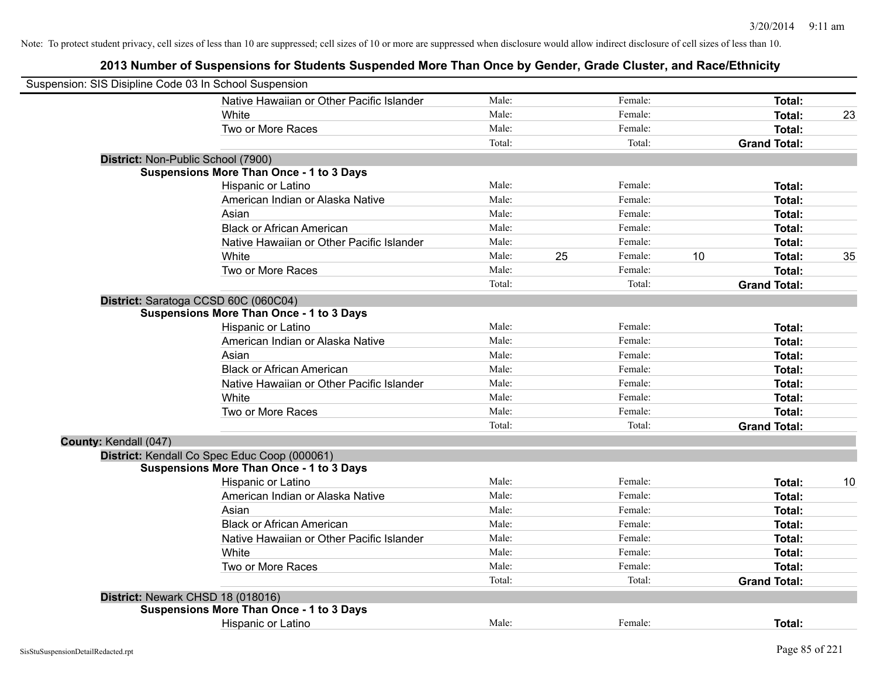| Suspension: SIS Disipline Code 03 In School Suspension |                                                 |        |    |         |    |                     |    |
|--------------------------------------------------------|-------------------------------------------------|--------|----|---------|----|---------------------|----|
|                                                        | Native Hawaiian or Other Pacific Islander       | Male:  |    | Female: |    | Total:              |    |
|                                                        | White                                           | Male:  |    | Female: |    | Total:              | 23 |
|                                                        | Two or More Races                               | Male:  |    | Female: |    | Total:              |    |
|                                                        |                                                 | Total: |    | Total:  |    | <b>Grand Total:</b> |    |
| District: Non-Public School (7900)                     |                                                 |        |    |         |    |                     |    |
|                                                        | <b>Suspensions More Than Once - 1 to 3 Days</b> |        |    |         |    |                     |    |
|                                                        | Hispanic or Latino                              | Male:  |    | Female: |    | Total:              |    |
|                                                        | American Indian or Alaska Native                | Male:  |    | Female: |    | Total:              |    |
|                                                        | Asian                                           | Male:  |    | Female: |    | Total:              |    |
|                                                        | <b>Black or African American</b>                | Male:  |    | Female: |    | Total:              |    |
|                                                        | Native Hawaiian or Other Pacific Islander       | Male:  |    | Female: |    | Total:              |    |
|                                                        | White                                           | Male:  | 25 | Female: | 10 | Total:              | 35 |
|                                                        | Two or More Races                               | Male:  |    | Female: |    | <b>Total:</b>       |    |
|                                                        |                                                 | Total: |    | Total:  |    | <b>Grand Total:</b> |    |
|                                                        | District: Saratoga CCSD 60C (060C04)            |        |    |         |    |                     |    |
|                                                        | <b>Suspensions More Than Once - 1 to 3 Days</b> |        |    |         |    |                     |    |
|                                                        | Hispanic or Latino                              | Male:  |    | Female: |    | Total:              |    |
|                                                        | American Indian or Alaska Native                | Male:  |    | Female: |    | Total:              |    |
|                                                        | Asian                                           | Male:  |    | Female: |    | Total:              |    |
|                                                        | <b>Black or African American</b>                | Male:  |    | Female: |    | Total:              |    |
|                                                        | Native Hawaiian or Other Pacific Islander       | Male:  |    | Female: |    | Total:              |    |
|                                                        | White                                           | Male:  |    | Female: |    | Total:              |    |
|                                                        | Two or More Races                               | Male:  |    | Female: |    | Total:              |    |
|                                                        |                                                 | Total: |    | Total:  |    | <b>Grand Total:</b> |    |
| County: Kendall (047)                                  |                                                 |        |    |         |    |                     |    |
|                                                        | District: Kendall Co Spec Educ Coop (000061)    |        |    |         |    |                     |    |
|                                                        | <b>Suspensions More Than Once - 1 to 3 Days</b> |        |    |         |    |                     |    |
|                                                        | Hispanic or Latino                              | Male:  |    | Female: |    | Total:              | 10 |
|                                                        | American Indian or Alaska Native                | Male:  |    | Female: |    | Total:              |    |
|                                                        | Asian                                           | Male:  |    | Female: |    | Total:              |    |
|                                                        | <b>Black or African American</b>                | Male:  |    | Female: |    | Total:              |    |
|                                                        | Native Hawaiian or Other Pacific Islander       | Male:  |    | Female: |    | Total:              |    |
|                                                        | White                                           | Male:  |    | Female: |    | Total:              |    |
|                                                        | Two or More Races                               | Male:  |    | Female: |    | <b>Total:</b>       |    |
|                                                        |                                                 | Total: |    | Total:  |    | <b>Grand Total:</b> |    |
|                                                        | District: Newark CHSD 18 (018016)               |        |    |         |    |                     |    |
|                                                        | <b>Suspensions More Than Once - 1 to 3 Days</b> |        |    |         |    |                     |    |
|                                                        | Hispanic or Latino                              | Male:  |    | Female: |    | Total:              |    |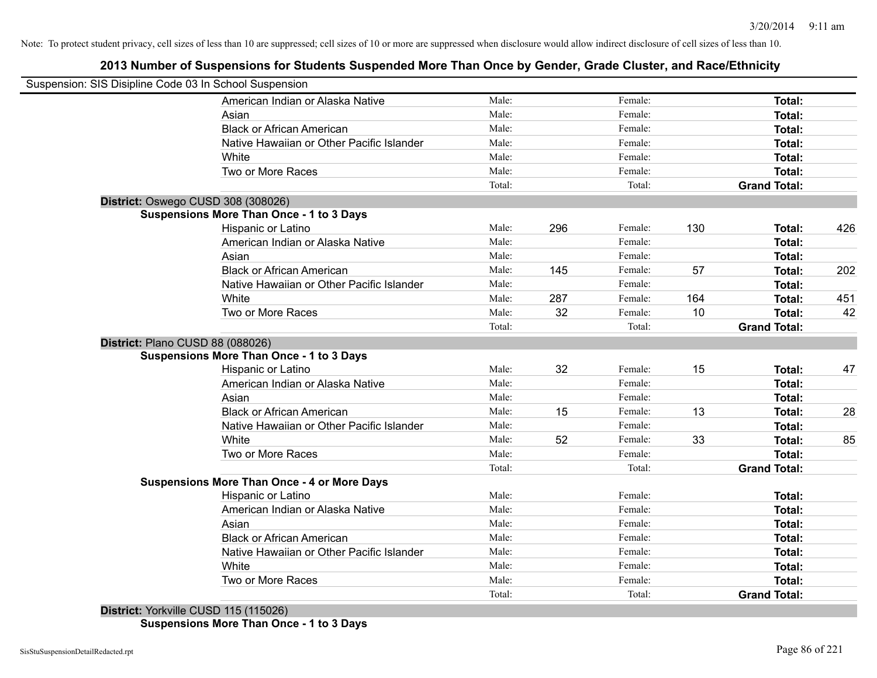## **2013 Number of Suspensions for Students Suspended More Than Once by Gender, Grade Cluster, and Race/Ethnicity**

| Suspension: SIS Disipline Code 03 In School Suspension |        |     |         |     |                     |     |
|--------------------------------------------------------|--------|-----|---------|-----|---------------------|-----|
| American Indian or Alaska Native                       | Male:  |     | Female: |     | Total:              |     |
| Asian                                                  | Male:  |     | Female: |     | Total:              |     |
| <b>Black or African American</b>                       | Male:  |     | Female: |     | Total:              |     |
| Native Hawaiian or Other Pacific Islander              | Male:  |     | Female: |     | Total:              |     |
| White                                                  | Male:  |     | Female: |     | Total:              |     |
| Two or More Races                                      | Male:  |     | Female: |     | Total:              |     |
|                                                        | Total: |     | Total:  |     | <b>Grand Total:</b> |     |
| District: Oswego CUSD 308 (308026)                     |        |     |         |     |                     |     |
| <b>Suspensions More Than Once - 1 to 3 Days</b>        |        |     |         |     |                     |     |
| Hispanic or Latino                                     | Male:  | 296 | Female: | 130 | Total:              | 426 |
| American Indian or Alaska Native                       | Male:  |     | Female: |     | Total:              |     |
| Asian                                                  | Male:  |     | Female: |     | Total:              |     |
| <b>Black or African American</b>                       | Male:  | 145 | Female: | 57  | Total:              | 202 |
| Native Hawaiian or Other Pacific Islander              | Male:  |     | Female: |     | Total:              |     |
| White                                                  | Male:  | 287 | Female: | 164 | Total:              | 451 |
| Two or More Races                                      | Male:  | 32  | Female: | 10  | Total:              | 42  |
|                                                        | Total: |     | Total:  |     | <b>Grand Total:</b> |     |
| District: Plano CUSD 88 (088026)                       |        |     |         |     |                     |     |
| <b>Suspensions More Than Once - 1 to 3 Days</b>        |        |     |         |     |                     |     |
| Hispanic or Latino                                     | Male:  | 32  | Female: | 15  | Total:              | 47  |
| American Indian or Alaska Native                       | Male:  |     | Female: |     | Total:              |     |
| Asian                                                  | Male:  |     | Female: |     | Total:              |     |
| <b>Black or African American</b>                       | Male:  | 15  | Female: | 13  | Total:              | 28  |
| Native Hawaiian or Other Pacific Islander              | Male:  |     | Female: |     | Total:              |     |
| White                                                  | Male:  | 52  | Female: | 33  | Total:              | 85  |
| Two or More Races                                      | Male:  |     | Female: |     | Total:              |     |
|                                                        | Total: |     | Total:  |     | <b>Grand Total:</b> |     |
| <b>Suspensions More Than Once - 4 or More Days</b>     |        |     |         |     |                     |     |
| Hispanic or Latino                                     | Male:  |     | Female: |     | Total:              |     |
| American Indian or Alaska Native                       | Male:  |     | Female: |     | Total:              |     |
| Asian                                                  | Male:  |     | Female: |     | Total:              |     |
| <b>Black or African American</b>                       | Male:  |     | Female: |     | Total:              |     |
| Native Hawaiian or Other Pacific Islander              | Male:  |     | Female: |     | Total:              |     |
| White                                                  | Male:  |     | Female: |     | Total:              |     |
| Two or More Races                                      | Male:  |     | Female: |     | Total:              |     |
|                                                        | Total: |     | Total:  |     | <b>Grand Total:</b> |     |

**District:** Yorkville CUSD 115 (115026) **Suspensions More Than Once - 1 to 3 Days**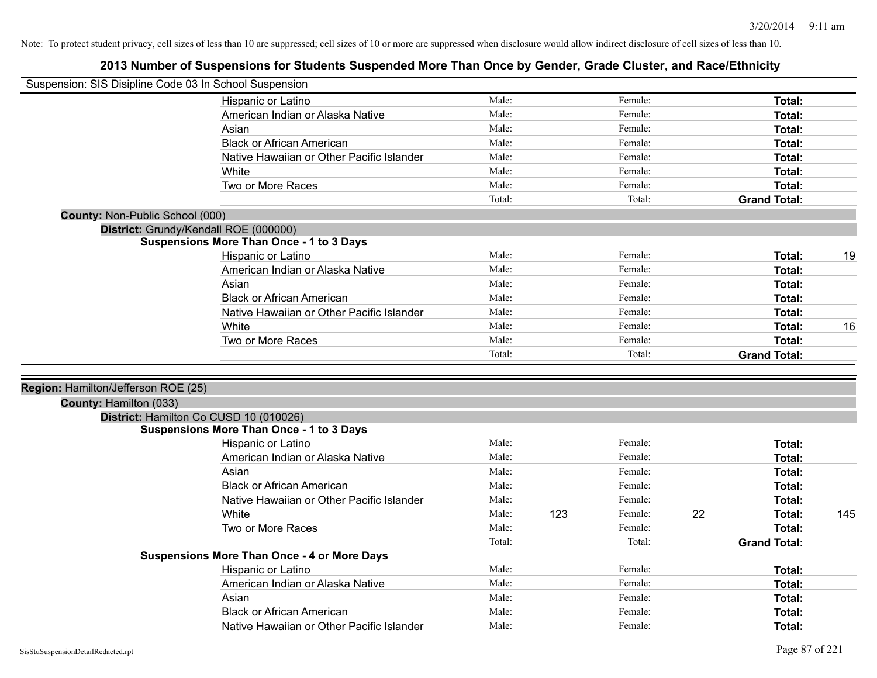| Suspension: SIS Disipline Code 03 In School Suspension |                                                    |        |     |         |    |                     |     |
|--------------------------------------------------------|----------------------------------------------------|--------|-----|---------|----|---------------------|-----|
|                                                        | Hispanic or Latino                                 | Male:  |     | Female: |    | Total:              |     |
|                                                        | American Indian or Alaska Native                   | Male:  |     | Female: |    | Total:              |     |
|                                                        | Asian                                              | Male:  |     | Female: |    | Total:              |     |
|                                                        | <b>Black or African American</b>                   | Male:  |     | Female: |    | Total:              |     |
|                                                        | Native Hawaiian or Other Pacific Islander          | Male:  |     | Female: |    | Total:              |     |
|                                                        | White                                              | Male:  |     | Female: |    | Total:              |     |
|                                                        | Two or More Races                                  | Male:  |     | Female: |    | Total:              |     |
|                                                        |                                                    | Total: |     | Total:  |    | <b>Grand Total:</b> |     |
| County: Non-Public School (000)                        |                                                    |        |     |         |    |                     |     |
|                                                        | District: Grundy/Kendall ROE (000000)              |        |     |         |    |                     |     |
|                                                        | <b>Suspensions More Than Once - 1 to 3 Days</b>    |        |     |         |    |                     |     |
|                                                        | Hispanic or Latino                                 | Male:  |     | Female: |    | Total:              | 19  |
|                                                        | American Indian or Alaska Native                   | Male:  |     | Female: |    | Total:              |     |
|                                                        | Asian                                              | Male:  |     | Female: |    | Total:              |     |
|                                                        | <b>Black or African American</b>                   | Male:  |     | Female: |    | Total:              |     |
|                                                        | Native Hawaiian or Other Pacific Islander          | Male:  |     | Female: |    | Total:              |     |
|                                                        | White                                              | Male:  |     | Female: |    | Total:              | 16  |
|                                                        | Two or More Races                                  | Male:  |     | Female: |    | Total:              |     |
|                                                        |                                                    | Total: |     | Total:  |    | <b>Grand Total:</b> |     |
|                                                        |                                                    |        |     |         |    |                     |     |
| Region: Hamilton/Jefferson ROE (25)                    |                                                    |        |     |         |    |                     |     |
| County: Hamilton (033)                                 |                                                    |        |     |         |    |                     |     |
|                                                        | District: Hamilton Co CUSD 10 (010026)             |        |     |         |    |                     |     |
|                                                        | <b>Suspensions More Than Once - 1 to 3 Days</b>    |        |     |         |    |                     |     |
|                                                        | Hispanic or Latino                                 | Male:  |     | Female: |    | Total:              |     |
|                                                        | American Indian or Alaska Native                   | Male:  |     | Female: |    | Total:              |     |
|                                                        | Asian                                              | Male:  |     | Female: |    | Total:              |     |
|                                                        | <b>Black or African American</b>                   | Male:  |     | Female: |    | Total:              |     |
|                                                        | Native Hawaiian or Other Pacific Islander          | Male:  |     | Female: |    | Total:              |     |
|                                                        | White                                              | Male:  | 123 | Female: | 22 | Total:              | 145 |
|                                                        | Two or More Races                                  | Male:  |     | Female: |    | Total:              |     |
|                                                        |                                                    | Total: |     | Total:  |    | <b>Grand Total:</b> |     |
|                                                        | <b>Suspensions More Than Once - 4 or More Days</b> |        |     |         |    |                     |     |
|                                                        | Hispanic or Latino                                 | Male:  |     | Female: |    | Total:              |     |
|                                                        | American Indian or Alaska Native                   | Male:  |     | Female: |    | Total:              |     |
|                                                        | Asian                                              | Male:  |     | Female: |    | Total:              |     |
|                                                        | <b>Black or African American</b>                   | Male:  |     | Female: |    | Total:              |     |
|                                                        |                                                    |        |     |         |    |                     |     |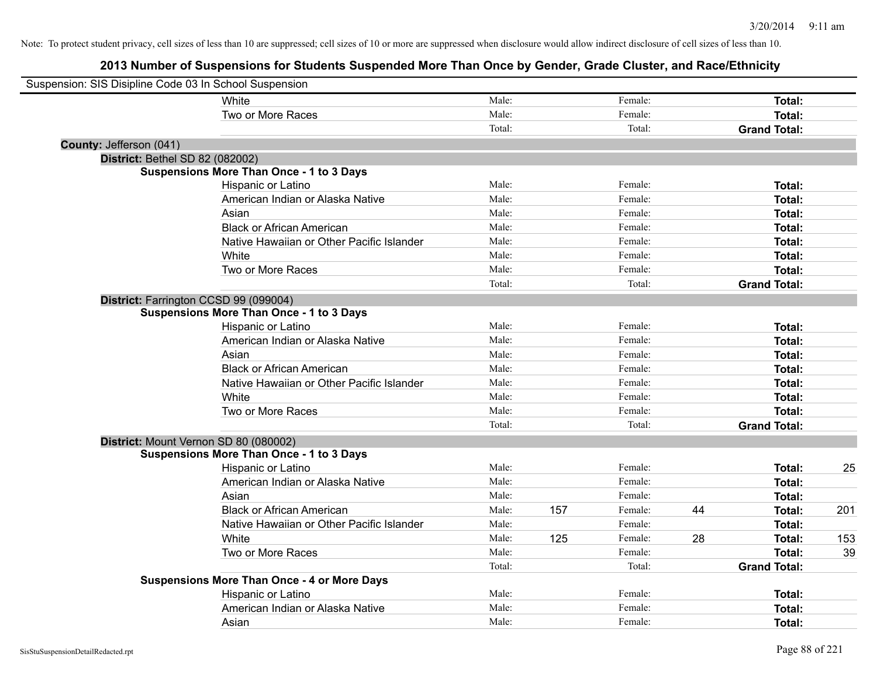| Suspension: SIS Disipline Code 03 In School Suspension |                                                    |        |     |         |    |                     |     |
|--------------------------------------------------------|----------------------------------------------------|--------|-----|---------|----|---------------------|-----|
|                                                        | White                                              | Male:  |     | Female: |    | Total:              |     |
|                                                        | Two or More Races                                  | Male:  |     | Female: |    | Total:              |     |
|                                                        |                                                    | Total: |     | Total:  |    | <b>Grand Total:</b> |     |
| County: Jefferson (041)                                |                                                    |        |     |         |    |                     |     |
| <b>District: Bethel SD 82 (082002)</b>                 |                                                    |        |     |         |    |                     |     |
|                                                        | <b>Suspensions More Than Once - 1 to 3 Days</b>    |        |     |         |    |                     |     |
|                                                        | Hispanic or Latino                                 | Male:  |     | Female: |    | Total:              |     |
|                                                        | American Indian or Alaska Native                   | Male:  |     | Female: |    | Total:              |     |
|                                                        | Asian                                              | Male:  |     | Female: |    | Total:              |     |
|                                                        | <b>Black or African American</b>                   | Male:  |     | Female: |    | Total:              |     |
|                                                        | Native Hawaiian or Other Pacific Islander          | Male:  |     | Female: |    | Total:              |     |
|                                                        | White                                              | Male:  |     | Female: |    | Total:              |     |
|                                                        | Two or More Races                                  | Male:  |     | Female: |    | Total:              |     |
|                                                        |                                                    | Total: |     | Total:  |    | <b>Grand Total:</b> |     |
|                                                        | District: Farrington CCSD 99 (099004)              |        |     |         |    |                     |     |
|                                                        | <b>Suspensions More Than Once - 1 to 3 Days</b>    |        |     |         |    |                     |     |
|                                                        | Hispanic or Latino                                 | Male:  |     | Female: |    | Total:              |     |
|                                                        | American Indian or Alaska Native                   | Male:  |     | Female: |    | Total:              |     |
|                                                        | Asian                                              | Male:  |     | Female: |    | Total:              |     |
|                                                        | <b>Black or African American</b>                   | Male:  |     | Female: |    | Total:              |     |
|                                                        | Native Hawaiian or Other Pacific Islander          | Male:  |     | Female: |    | Total:              |     |
|                                                        | White                                              | Male:  |     | Female: |    | Total:              |     |
|                                                        | Two or More Races                                  | Male:  |     | Female: |    | Total:              |     |
|                                                        |                                                    | Total: |     | Total:  |    | <b>Grand Total:</b> |     |
|                                                        | District: Mount Vernon SD 80 (080002)              |        |     |         |    |                     |     |
|                                                        | <b>Suspensions More Than Once - 1 to 3 Days</b>    |        |     |         |    |                     |     |
|                                                        | Hispanic or Latino                                 | Male:  |     | Female: |    | Total:              | 25  |
|                                                        | American Indian or Alaska Native                   | Male:  |     | Female: |    | Total:              |     |
|                                                        | Asian                                              | Male:  |     | Female: |    | Total:              |     |
|                                                        | <b>Black or African American</b>                   | Male:  | 157 | Female: | 44 | Total:              | 201 |
|                                                        | Native Hawaiian or Other Pacific Islander          | Male:  |     | Female: |    | Total:              |     |
|                                                        | White                                              | Male:  | 125 | Female: | 28 | Total:              | 153 |
|                                                        | Two or More Races                                  | Male:  |     | Female: |    | Total:              | 39  |
|                                                        |                                                    | Total: |     | Total:  |    | <b>Grand Total:</b> |     |
|                                                        | <b>Suspensions More Than Once - 4 or More Days</b> |        |     |         |    |                     |     |
|                                                        | Hispanic or Latino                                 | Male:  |     | Female: |    | Total:              |     |
|                                                        | American Indian or Alaska Native                   | Male:  |     | Female: |    | Total:              |     |
|                                                        | Asian                                              | Male:  |     | Female: |    | Total:              |     |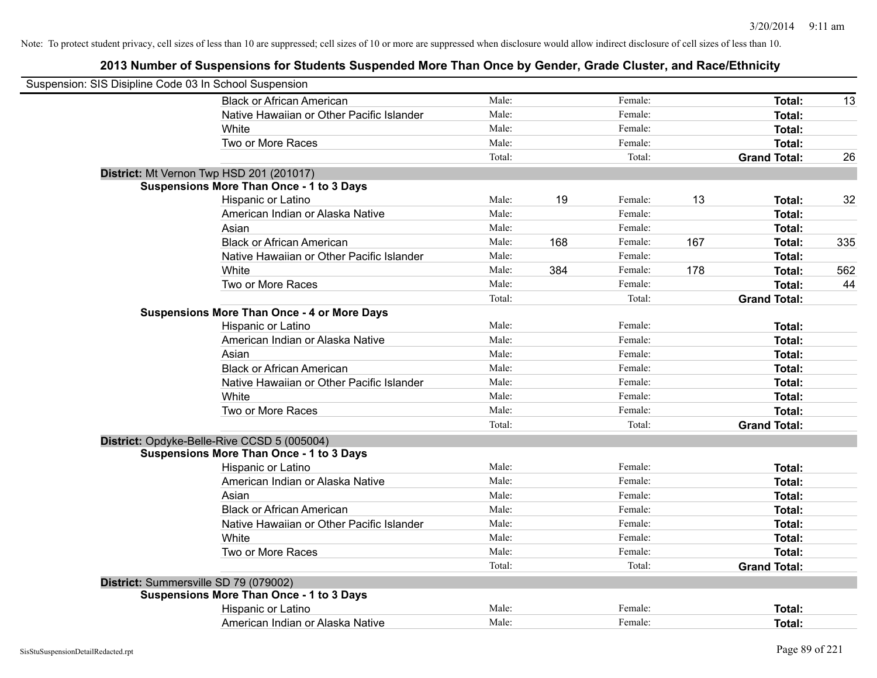| Suspension: SIS Disipline Code 03 In School Suspension |                                                    |        |     |         |     |                     |     |
|--------------------------------------------------------|----------------------------------------------------|--------|-----|---------|-----|---------------------|-----|
|                                                        | <b>Black or African American</b>                   | Male:  |     | Female: |     | Total:              | 13  |
|                                                        | Native Hawaiian or Other Pacific Islander          | Male:  |     | Female: |     | Total:              |     |
|                                                        | White                                              | Male:  |     | Female: |     | <b>Total:</b>       |     |
|                                                        | Two or More Races                                  | Male:  |     | Female: |     | <b>Total:</b>       |     |
|                                                        |                                                    | Total: |     | Total:  |     | <b>Grand Total:</b> | 26  |
|                                                        | District: Mt Vernon Twp HSD 201 (201017)           |        |     |         |     |                     |     |
|                                                        | <b>Suspensions More Than Once - 1 to 3 Days</b>    |        |     |         |     |                     |     |
|                                                        | Hispanic or Latino                                 | Male:  | 19  | Female: | 13  | Total:              | 32  |
|                                                        | American Indian or Alaska Native                   | Male:  |     | Female: |     | Total:              |     |
|                                                        | Asian                                              | Male:  |     | Female: |     | Total:              |     |
|                                                        | <b>Black or African American</b>                   | Male:  | 168 | Female: | 167 | Total:              | 335 |
|                                                        | Native Hawaiian or Other Pacific Islander          | Male:  |     | Female: |     | <b>Total:</b>       |     |
|                                                        | White                                              | Male:  | 384 | Female: | 178 | <b>Total:</b>       | 562 |
|                                                        | Two or More Races                                  | Male:  |     | Female: |     | Total:              | 44  |
|                                                        |                                                    | Total: |     | Total:  |     | <b>Grand Total:</b> |     |
|                                                        | <b>Suspensions More Than Once - 4 or More Days</b> |        |     |         |     |                     |     |
|                                                        | Hispanic or Latino                                 | Male:  |     | Female: |     | Total:              |     |
|                                                        | American Indian or Alaska Native                   | Male:  |     | Female: |     | Total:              |     |
|                                                        | Asian                                              | Male:  |     | Female: |     | <b>Total:</b>       |     |
|                                                        | <b>Black or African American</b>                   | Male:  |     | Female: |     | Total:              |     |
|                                                        | Native Hawaiian or Other Pacific Islander          | Male:  |     | Female: |     | <b>Total:</b>       |     |
|                                                        | White                                              | Male:  |     | Female: |     | Total:              |     |
|                                                        | Two or More Races                                  | Male:  |     | Female: |     | <b>Total:</b>       |     |
|                                                        |                                                    | Total: |     | Total:  |     | <b>Grand Total:</b> |     |
|                                                        | District: Opdyke-Belle-Rive CCSD 5 (005004)        |        |     |         |     |                     |     |
|                                                        | <b>Suspensions More Than Once - 1 to 3 Days</b>    |        |     |         |     |                     |     |
|                                                        | Hispanic or Latino                                 | Male:  |     | Female: |     | Total:              |     |
|                                                        | American Indian or Alaska Native                   | Male:  |     | Female: |     | Total:              |     |
|                                                        | Asian                                              | Male:  |     | Female: |     | Total:              |     |
|                                                        | <b>Black or African American</b>                   | Male:  |     | Female: |     | Total:              |     |
|                                                        | Native Hawaiian or Other Pacific Islander          | Male:  |     | Female: |     | Total:              |     |
|                                                        | White                                              | Male:  |     | Female: |     | Total:              |     |
|                                                        | Two or More Races                                  | Male:  |     | Female: |     | <b>Total:</b>       |     |
|                                                        |                                                    | Total: |     | Total:  |     | <b>Grand Total:</b> |     |
| District: Summersville SD 79 (079002)                  |                                                    |        |     |         |     |                     |     |
|                                                        | Suspensions More Than Once - 1 to 3 Days           |        |     |         |     |                     |     |
|                                                        | Hispanic or Latino                                 | Male:  |     | Female: |     | <b>Total:</b>       |     |
|                                                        | American Indian or Alaska Native                   | Male:  |     | Female: |     | Total:              |     |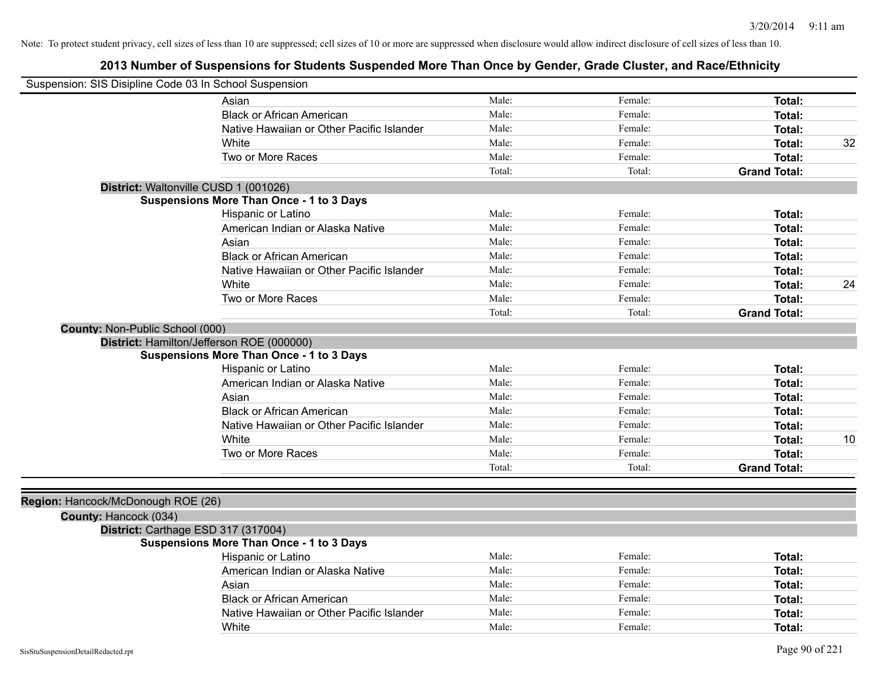| Suspension: SIS Disipline Code 03 In School Suspension |                                                 |        |         |                     |    |
|--------------------------------------------------------|-------------------------------------------------|--------|---------|---------------------|----|
|                                                        | Asian                                           | Male:  | Female: | Total:              |    |
|                                                        | <b>Black or African American</b>                | Male:  | Female: | Total:              |    |
|                                                        | Native Hawaiian or Other Pacific Islander       | Male:  | Female: | Total:              |    |
|                                                        | White                                           | Male:  | Female: | Total:              | 32 |
|                                                        | Two or More Races                               | Male:  | Female: | Total:              |    |
|                                                        |                                                 | Total: | Total:  | <b>Grand Total:</b> |    |
| District: Waltonville CUSD 1 (001026)                  |                                                 |        |         |                     |    |
|                                                        | <b>Suspensions More Than Once - 1 to 3 Days</b> |        |         |                     |    |
|                                                        | Hispanic or Latino                              | Male:  | Female: | Total:              |    |
|                                                        | American Indian or Alaska Native                | Male:  | Female: | Total:              |    |
|                                                        | Asian                                           | Male:  | Female: | Total:              |    |
|                                                        | <b>Black or African American</b>                | Male:  | Female: | Total:              |    |
|                                                        | Native Hawaiian or Other Pacific Islander       | Male:  | Female: | Total:              |    |
|                                                        | White                                           | Male:  | Female: | Total:              | 24 |
|                                                        | Two or More Races                               | Male:  | Female: | Total:              |    |
|                                                        |                                                 | Total: | Total:  | <b>Grand Total:</b> |    |
| County: Non-Public School (000)                        |                                                 |        |         |                     |    |
|                                                        | District: Hamilton/Jefferson ROE (000000)       |        |         |                     |    |
|                                                        | <b>Suspensions More Than Once - 1 to 3 Days</b> |        |         |                     |    |
|                                                        | Hispanic or Latino                              | Male:  | Female: | Total:              |    |
|                                                        | American Indian or Alaska Native                | Male:  | Female: | Total:              |    |
|                                                        | Asian                                           | Male:  | Female: | Total:              |    |
|                                                        | <b>Black or African American</b>                | Male:  | Female: | Total:              |    |
|                                                        | Native Hawaiian or Other Pacific Islander       | Male:  | Female: | Total:              |    |
|                                                        | White                                           | Male:  | Female: | Total:              | 10 |
|                                                        | Two or More Races                               | Male:  | Female: | Total:              |    |
|                                                        |                                                 | Total: | Total:  | <b>Grand Total:</b> |    |
|                                                        |                                                 |        |         |                     |    |
| Region: Hancock/McDonough ROE (26)                     |                                                 |        |         |                     |    |
| County: Hancock (034)                                  |                                                 |        |         |                     |    |
| District: Carthage ESD 317 (317004)                    |                                                 |        |         |                     |    |
|                                                        | <b>Suspensions More Than Once - 1 to 3 Days</b> |        |         |                     |    |
|                                                        | Hispanic or Latino                              | Male:  | Female: | Total:              |    |
|                                                        | American Indian or Alaska Native                | Male:  | Female: | Total:              |    |
|                                                        | Asian                                           | Male:  | Female: | Total:              |    |
|                                                        | <b>Black or African American</b>                | Male:  | Female: | Total:              |    |
|                                                        | Native Hawaiian or Other Pacific Islander       | Male:  | Female: | <b>Total:</b>       |    |
|                                                        | White                                           | Male:  | Female: | Total:              |    |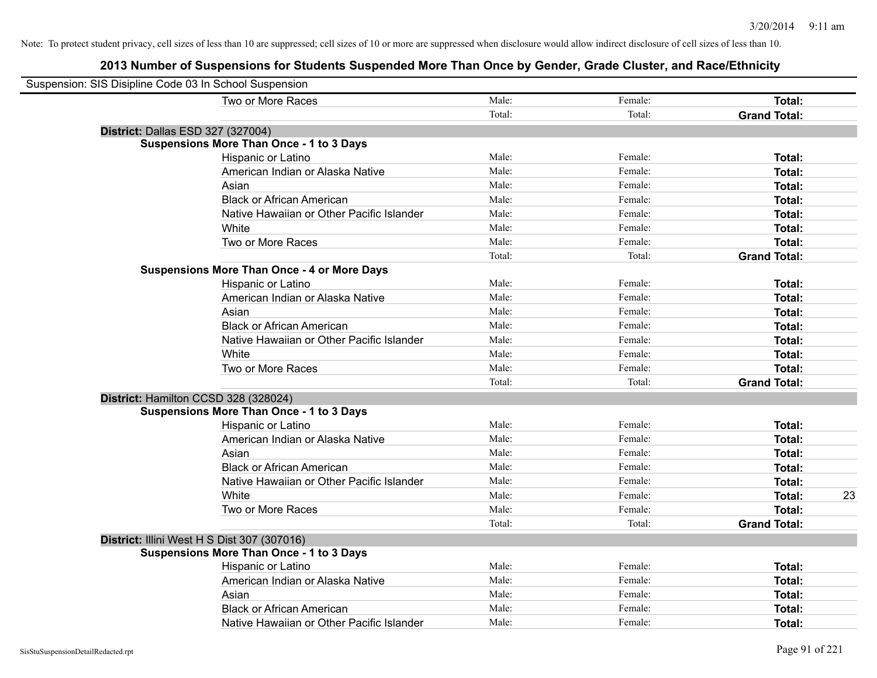| Suspension: SIS Disipline Code 03 In School Suspension |                                                    |        |         |                     |    |
|--------------------------------------------------------|----------------------------------------------------|--------|---------|---------------------|----|
|                                                        | Two or More Races                                  | Male:  | Female: | Total:              |    |
|                                                        |                                                    | Total: | Total:  | <b>Grand Total:</b> |    |
|                                                        | District: Dallas ESD 327 (327004)                  |        |         |                     |    |
|                                                        | <b>Suspensions More Than Once - 1 to 3 Days</b>    |        |         |                     |    |
|                                                        | Hispanic or Latino                                 | Male:  | Female: | Total:              |    |
|                                                        | American Indian or Alaska Native                   | Male:  | Female: | Total:              |    |
|                                                        | Asian                                              | Male:  | Female: | Total:              |    |
|                                                        | <b>Black or African American</b>                   | Male:  | Female: | Total:              |    |
|                                                        | Native Hawaiian or Other Pacific Islander          | Male:  | Female: | Total:              |    |
|                                                        | White                                              | Male:  | Female: | Total:              |    |
|                                                        | Two or More Races                                  | Male:  | Female: | Total:              |    |
|                                                        |                                                    | Total: | Total:  | <b>Grand Total:</b> |    |
|                                                        | <b>Suspensions More Than Once - 4 or More Days</b> |        |         |                     |    |
|                                                        | Hispanic or Latino                                 | Male:  | Female: | Total:              |    |
|                                                        | American Indian or Alaska Native                   | Male:  | Female: | Total:              |    |
|                                                        | Asian                                              | Male:  | Female: | Total:              |    |
|                                                        | <b>Black or African American</b>                   | Male:  | Female: | Total:              |    |
|                                                        | Native Hawaiian or Other Pacific Islander          | Male:  | Female: | Total:              |    |
|                                                        | White                                              | Male:  | Female: | Total:              |    |
|                                                        | Two or More Races                                  | Male:  | Female: | Total:              |    |
|                                                        |                                                    | Total: | Total:  | <b>Grand Total:</b> |    |
|                                                        | District: Hamilton CCSD 328 (328024)               |        |         |                     |    |
|                                                        | <b>Suspensions More Than Once - 1 to 3 Days</b>    |        |         |                     |    |
|                                                        | Hispanic or Latino                                 | Male:  | Female: | Total:              |    |
|                                                        | American Indian or Alaska Native                   | Male:  | Female: | Total:              |    |
|                                                        | Asian                                              | Male:  | Female: | Total:              |    |
|                                                        | <b>Black or African American</b>                   | Male:  | Female: | Total:              |    |
|                                                        | Native Hawaiian or Other Pacific Islander          | Male:  | Female: | Total:              |    |
|                                                        | White                                              | Male:  | Female: | Total:              | 23 |
|                                                        | Two or More Races                                  | Male:  | Female: | Total:              |    |
|                                                        |                                                    | Total: | Total:  | <b>Grand Total:</b> |    |
|                                                        | District: Illini West H S Dist 307 (307016)        |        |         |                     |    |
|                                                        | <b>Suspensions More Than Once - 1 to 3 Days</b>    |        |         |                     |    |
|                                                        | Hispanic or Latino                                 | Male:  | Female: | Total:              |    |
|                                                        | American Indian or Alaska Native                   | Male:  | Female: | Total:              |    |
|                                                        | Asian                                              | Male:  | Female: | Total:              |    |
|                                                        | <b>Black or African American</b>                   | Male:  | Female: | Total:              |    |
|                                                        | Native Hawaiian or Other Pacific Islander          | Male:  | Female: | Total:              |    |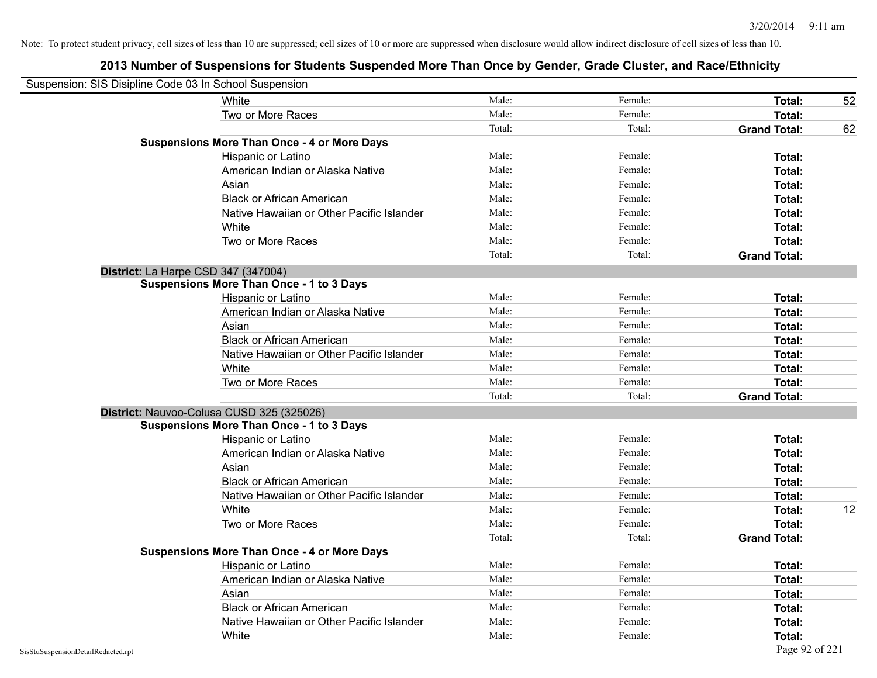| Suspension: SIS Disipline Code 03 In School Suspension |                                                    |        |         |                     |    |
|--------------------------------------------------------|----------------------------------------------------|--------|---------|---------------------|----|
|                                                        | White                                              | Male:  | Female: | <b>Total:</b>       | 52 |
|                                                        | Two or More Races                                  | Male:  | Female: | <b>Total:</b>       |    |
|                                                        |                                                    | Total: | Total:  | <b>Grand Total:</b> | 62 |
|                                                        | <b>Suspensions More Than Once - 4 or More Days</b> |        |         |                     |    |
|                                                        | Hispanic or Latino                                 | Male:  | Female: | Total:              |    |
|                                                        | American Indian or Alaska Native                   | Male:  | Female: | Total:              |    |
|                                                        | Asian                                              | Male:  | Female: | Total:              |    |
|                                                        | <b>Black or African American</b>                   | Male:  | Female: | Total:              |    |
|                                                        | Native Hawaiian or Other Pacific Islander          | Male:  | Female: | Total:              |    |
|                                                        | White                                              | Male:  | Female: | Total:              |    |
|                                                        | Two or More Races                                  | Male:  | Female: | <b>Total:</b>       |    |
|                                                        |                                                    | Total: | Total:  | <b>Grand Total:</b> |    |
|                                                        | District: La Harpe CSD 347 (347004)                |        |         |                     |    |
|                                                        | Suspensions More Than Once - 1 to 3 Days           |        |         |                     |    |
|                                                        | Hispanic or Latino                                 | Male:  | Female: | Total:              |    |
|                                                        | American Indian or Alaska Native                   | Male:  | Female: | <b>Total:</b>       |    |
|                                                        | Asian                                              | Male:  | Female: | Total:              |    |
|                                                        | <b>Black or African American</b>                   | Male:  | Female: | Total:              |    |
|                                                        | Native Hawaiian or Other Pacific Islander          | Male:  | Female: | Total:              |    |
|                                                        | White                                              | Male:  | Female: | Total:              |    |
|                                                        | Two or More Races                                  | Male:  | Female: | <b>Total:</b>       |    |
|                                                        |                                                    | Total: | Total:  | <b>Grand Total:</b> |    |
|                                                        | District: Nauvoo-Colusa CUSD 325 (325026)          |        |         |                     |    |
|                                                        | <b>Suspensions More Than Once - 1 to 3 Days</b>    |        |         |                     |    |
|                                                        | Hispanic or Latino                                 | Male:  | Female: | Total:              |    |
|                                                        | American Indian or Alaska Native                   | Male:  | Female: | <b>Total:</b>       |    |
|                                                        | Asian                                              | Male:  | Female: | Total:              |    |
|                                                        | <b>Black or African American</b>                   | Male:  | Female: | Total:              |    |
|                                                        | Native Hawaiian or Other Pacific Islander          | Male:  | Female: | Total:              |    |
|                                                        | White                                              | Male:  | Female: | Total:              | 12 |
|                                                        | Two or More Races                                  | Male:  | Female: | <b>Total:</b>       |    |
|                                                        |                                                    | Total: | Total:  | <b>Grand Total:</b> |    |
|                                                        | <b>Suspensions More Than Once - 4 or More Days</b> |        |         |                     |    |
|                                                        | Hispanic or Latino                                 | Male:  | Female: | Total:              |    |
|                                                        | American Indian or Alaska Native                   | Male:  | Female: | <b>Total:</b>       |    |
|                                                        | Asian                                              | Male:  | Female: | <b>Total:</b>       |    |
|                                                        | <b>Black or African American</b>                   | Male:  | Female: | Total:              |    |
|                                                        | Native Hawaiian or Other Pacific Islander          | Male:  | Female: | Total:              |    |
|                                                        | White                                              | Male:  | Female: | Total:              |    |
| SisStuSuspensionDetailRedacted.rpt                     |                                                    |        |         | Page 92 of 221      |    |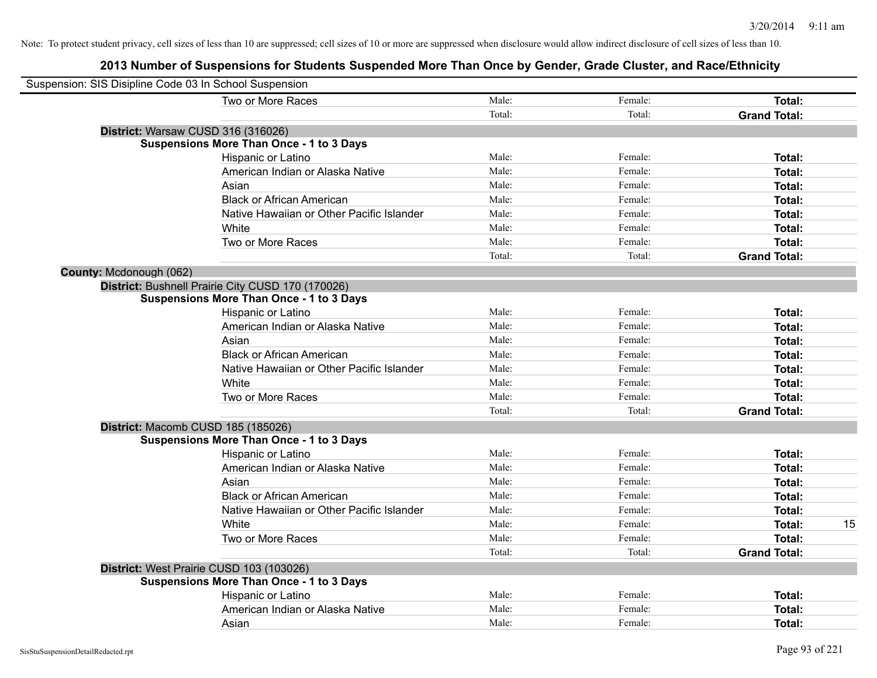| Suspension: SIS Disipline Code 03 In School Suspension |                                                   |        |         |                     |    |
|--------------------------------------------------------|---------------------------------------------------|--------|---------|---------------------|----|
|                                                        | Two or More Races                                 | Male:  | Female: | Total:              |    |
|                                                        |                                                   | Total: | Total:  | <b>Grand Total:</b> |    |
|                                                        | District: Warsaw CUSD 316 (316026)                |        |         |                     |    |
|                                                        | <b>Suspensions More Than Once - 1 to 3 Days</b>   |        |         |                     |    |
|                                                        | Hispanic or Latino                                | Male:  | Female: | Total:              |    |
|                                                        | American Indian or Alaska Native                  | Male:  | Female: | Total:              |    |
|                                                        | Asian                                             | Male:  | Female: | Total:              |    |
|                                                        | <b>Black or African American</b>                  | Male:  | Female: | Total:              |    |
|                                                        | Native Hawaiian or Other Pacific Islander         | Male:  | Female: | Total:              |    |
|                                                        | White                                             | Male:  | Female: | Total:              |    |
|                                                        | Two or More Races                                 | Male:  | Female: | Total:              |    |
|                                                        |                                                   | Total: | Total:  | <b>Grand Total:</b> |    |
| County: Mcdonough (062)                                |                                                   |        |         |                     |    |
|                                                        | District: Bushnell Prairie City CUSD 170 (170026) |        |         |                     |    |
|                                                        | <b>Suspensions More Than Once - 1 to 3 Days</b>   |        |         |                     |    |
|                                                        | Hispanic or Latino                                | Male:  | Female: | Total:              |    |
|                                                        | American Indian or Alaska Native                  | Male:  | Female: | Total:              |    |
|                                                        | Asian                                             | Male:  | Female: | Total:              |    |
|                                                        | <b>Black or African American</b>                  | Male:  | Female: | Total:              |    |
|                                                        | Native Hawaiian or Other Pacific Islander         | Male:  | Female: | Total:              |    |
|                                                        | White                                             | Male:  | Female: | Total:              |    |
|                                                        | Two or More Races                                 | Male:  | Female: | Total:              |    |
|                                                        |                                                   | Total: | Total:  | <b>Grand Total:</b> |    |
|                                                        | District: Macomb CUSD 185 (185026)                |        |         |                     |    |
|                                                        | <b>Suspensions More Than Once - 1 to 3 Days</b>   |        |         |                     |    |
|                                                        | Hispanic or Latino                                | Male:  | Female: | Total:              |    |
|                                                        | American Indian or Alaska Native                  | Male:  | Female: | Total:              |    |
|                                                        | Asian                                             | Male:  | Female: | Total:              |    |
|                                                        | <b>Black or African American</b>                  | Male:  | Female: | Total:              |    |
|                                                        | Native Hawaiian or Other Pacific Islander         | Male:  | Female: | Total:              |    |
|                                                        | White                                             | Male:  | Female: | Total:              | 15 |
|                                                        | Two or More Races                                 | Male:  | Female: | Total:              |    |
|                                                        |                                                   | Total: | Total:  | <b>Grand Total:</b> |    |
|                                                        | District: West Prairie CUSD 103 (103026)          |        |         |                     |    |
|                                                        | <b>Suspensions More Than Once - 1 to 3 Days</b>   |        |         |                     |    |
|                                                        | Hispanic or Latino                                | Male:  | Female: | Total:              |    |
|                                                        | American Indian or Alaska Native                  | Male:  | Female: | Total:              |    |
|                                                        | Asian                                             | Male:  | Female: | Total:              |    |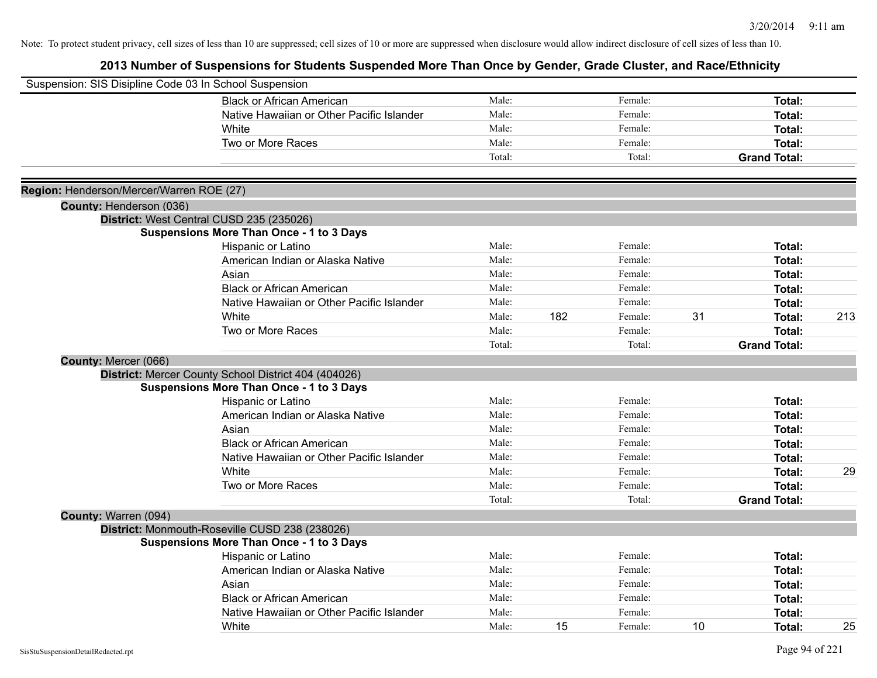| Suspension: SIS Disipline Code 03 In School Suspension |                                                      |        |     |         |    |                     |     |
|--------------------------------------------------------|------------------------------------------------------|--------|-----|---------|----|---------------------|-----|
|                                                        | <b>Black or African American</b>                     | Male:  |     | Female: |    | Total:              |     |
|                                                        | Native Hawaiian or Other Pacific Islander            | Male:  |     | Female: |    | Total:              |     |
|                                                        | White                                                | Male:  |     | Female: |    | Total:              |     |
|                                                        | Two or More Races                                    | Male:  |     | Female: |    | Total:              |     |
|                                                        |                                                      | Total: |     | Total:  |    | <b>Grand Total:</b> |     |
| Region: Henderson/Mercer/Warren ROE (27)               |                                                      |        |     |         |    |                     |     |
| County: Henderson (036)                                |                                                      |        |     |         |    |                     |     |
|                                                        | District: West Central CUSD 235 (235026)             |        |     |         |    |                     |     |
|                                                        | <b>Suspensions More Than Once - 1 to 3 Days</b>      |        |     |         |    |                     |     |
|                                                        | Hispanic or Latino                                   | Male:  |     | Female: |    | Total:              |     |
|                                                        | American Indian or Alaska Native                     | Male:  |     | Female: |    | Total:              |     |
|                                                        | Asian                                                | Male:  |     | Female: |    | Total:              |     |
|                                                        | <b>Black or African American</b>                     | Male:  |     | Female: |    | Total:              |     |
|                                                        | Native Hawaiian or Other Pacific Islander            | Male:  |     | Female: |    | Total:              |     |
|                                                        | White                                                | Male:  | 182 | Female: | 31 | Total:              | 213 |
|                                                        | Two or More Races                                    | Male:  |     | Female: |    | Total:              |     |
|                                                        |                                                      | Total: |     | Total:  |    | <b>Grand Total:</b> |     |
| County: Mercer (066)                                   |                                                      |        |     |         |    |                     |     |
|                                                        | District: Mercer County School District 404 (404026) |        |     |         |    |                     |     |
|                                                        | <b>Suspensions More Than Once - 1 to 3 Days</b>      |        |     |         |    |                     |     |
|                                                        | Hispanic or Latino                                   | Male:  |     | Female: |    | Total:              |     |
|                                                        | American Indian or Alaska Native                     | Male:  |     | Female: |    | Total:              |     |
|                                                        | Asian                                                | Male:  |     | Female: |    | Total:              |     |
|                                                        | <b>Black or African American</b>                     | Male:  |     | Female: |    | Total:              |     |
|                                                        | Native Hawaiian or Other Pacific Islander            | Male:  |     | Female: |    | Total:              |     |
|                                                        | White                                                | Male:  |     | Female: |    | Total:              | 29  |
|                                                        | Two or More Races                                    | Male:  |     | Female: |    | Total:              |     |
|                                                        |                                                      | Total: |     | Total:  |    | <b>Grand Total:</b> |     |
| County: Warren (094)                                   |                                                      |        |     |         |    |                     |     |
|                                                        | District: Monmouth-Roseville CUSD 238 (238026)       |        |     |         |    |                     |     |
|                                                        | <b>Suspensions More Than Once - 1 to 3 Days</b>      |        |     |         |    |                     |     |
|                                                        | Hispanic or Latino                                   | Male:  |     | Female: |    | Total:              |     |
|                                                        | American Indian or Alaska Native                     | Male:  |     | Female: |    | Total:              |     |
|                                                        | Asian                                                | Male:  |     | Female: |    | Total:              |     |
|                                                        | <b>Black or African American</b>                     | Male:  |     | Female: |    | Total:              |     |
|                                                        | Native Hawaiian or Other Pacific Islander            | Male:  |     | Female: |    | Total:              |     |
|                                                        | White                                                | Male:  | 15  | Female: | 10 | Total:              | 25  |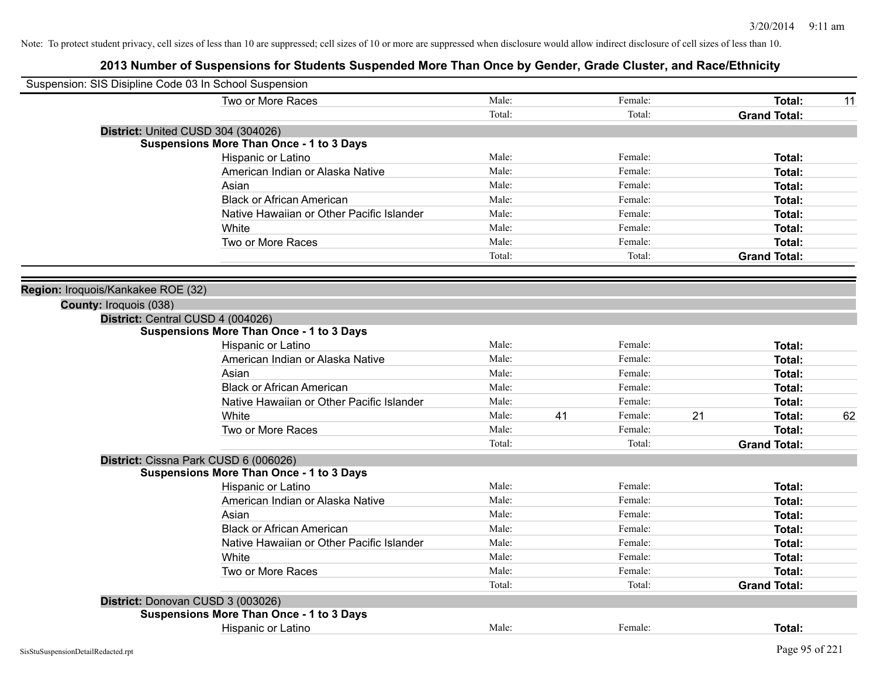| Suspension: SIS Disipline Code 03 In School Suspension |                                                 |        |    |         |    |                     |    |
|--------------------------------------------------------|-------------------------------------------------|--------|----|---------|----|---------------------|----|
|                                                        | Two or More Races                               | Male:  |    | Female: |    | Total:              | 11 |
|                                                        |                                                 | Total: |    | Total:  |    | <b>Grand Total:</b> |    |
|                                                        | District: United CUSD 304 (304026)              |        |    |         |    |                     |    |
|                                                        | <b>Suspensions More Than Once - 1 to 3 Days</b> |        |    |         |    |                     |    |
|                                                        | Hispanic or Latino                              | Male:  |    | Female: |    | Total:              |    |
|                                                        | American Indian or Alaska Native                | Male:  |    | Female: |    | Total:              |    |
|                                                        | Asian                                           | Male:  |    | Female: |    | Total:              |    |
|                                                        | <b>Black or African American</b>                | Male:  |    | Female: |    | Total:              |    |
|                                                        | Native Hawaiian or Other Pacific Islander       | Male:  |    | Female: |    | Total:              |    |
|                                                        | White                                           | Male:  |    | Female: |    | Total:              |    |
|                                                        | Two or More Races                               | Male:  |    | Female: |    | Total:              |    |
|                                                        |                                                 | Total: |    | Total:  |    | <b>Grand Total:</b> |    |
|                                                        |                                                 |        |    |         |    |                     |    |
| Region: Iroquois/Kankakee ROE (32)                     |                                                 |        |    |         |    |                     |    |
| County: Iroquois (038)                                 |                                                 |        |    |         |    |                     |    |
|                                                        | District: Central CUSD 4 (004026)               |        |    |         |    |                     |    |
|                                                        | <b>Suspensions More Than Once - 1 to 3 Days</b> |        |    |         |    |                     |    |
|                                                        | Hispanic or Latino                              | Male:  |    | Female: |    | Total:              |    |
|                                                        | American Indian or Alaska Native                | Male:  |    | Female: |    | Total:              |    |
|                                                        | Asian                                           | Male:  |    | Female: |    | Total:              |    |
|                                                        | <b>Black or African American</b>                | Male:  |    | Female: |    | Total:              |    |
|                                                        | Native Hawaiian or Other Pacific Islander       | Male:  |    | Female: |    | Total:              |    |
|                                                        | White                                           | Male:  | 41 | Female: | 21 | Total:              | 62 |
|                                                        | Two or More Races                               | Male:  |    | Female: |    | Total:              |    |
|                                                        |                                                 | Total: |    | Total:  |    | <b>Grand Total:</b> |    |
|                                                        | District: Cissna Park CUSD 6 (006026)           |        |    |         |    |                     |    |
|                                                        | <b>Suspensions More Than Once - 1 to 3 Days</b> |        |    |         |    |                     |    |
|                                                        | Hispanic or Latino                              | Male:  |    | Female: |    | Total:              |    |
|                                                        | American Indian or Alaska Native                | Male:  |    | Female: |    | Total:              |    |
|                                                        | Asian                                           | Male:  |    | Female: |    | Total:              |    |
|                                                        | <b>Black or African American</b>                | Male:  |    | Female: |    | Total:              |    |
|                                                        | Native Hawaiian or Other Pacific Islander       | Male:  |    | Female: |    | Total:              |    |
|                                                        | White                                           | Male:  |    | Female: |    | Total:              |    |
|                                                        | Two or More Races                               | Male:  |    | Female: |    | Total:              |    |
|                                                        |                                                 | Total: |    | Total:  |    | <b>Grand Total:</b> |    |
|                                                        | District: Donovan CUSD 3 (003026)               |        |    |         |    |                     |    |
|                                                        | <b>Suspensions More Than Once - 1 to 3 Days</b> |        |    |         |    |                     |    |
|                                                        | <b>Hispanic or Latino</b>                       | Male:  |    | Female: |    | Total:              |    |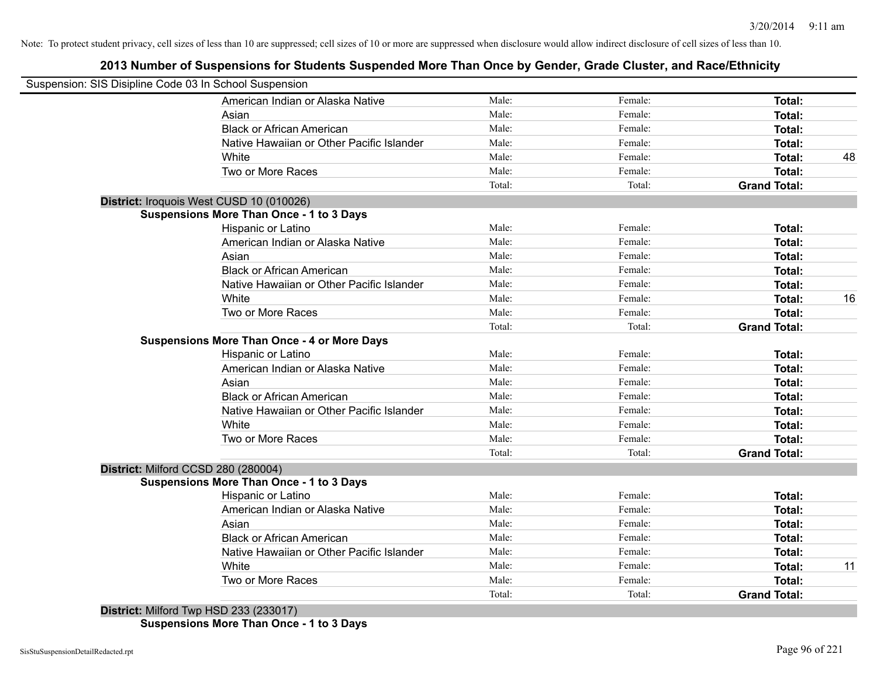## **2013 Number of Suspensions for Students Suspended More Than Once by Gender, Grade Cluster, and Race/Ethnicity**

| Suspension: SIS Disipline Code 03 In School Suspension |        |         |                     |    |
|--------------------------------------------------------|--------|---------|---------------------|----|
| American Indian or Alaska Native                       | Male:  | Female: | <b>Total:</b>       |    |
| Asian                                                  | Male:  | Female: | Total:              |    |
| <b>Black or African American</b>                       | Male:  | Female: | Total:              |    |
| Native Hawaiian or Other Pacific Islander              | Male:  | Female: | Total:              |    |
| White                                                  | Male:  | Female: | Total:              | 48 |
| Two or More Races                                      | Male:  | Female: | Total:              |    |
|                                                        | Total: | Total:  | <b>Grand Total:</b> |    |
| District: Iroquois West CUSD 10 (010026)               |        |         |                     |    |
| <b>Suspensions More Than Once - 1 to 3 Days</b>        |        |         |                     |    |
| Hispanic or Latino                                     | Male:  | Female: | Total:              |    |
| American Indian or Alaska Native                       | Male:  | Female: | <b>Total:</b>       |    |
| Asian                                                  | Male:  | Female: | <b>Total:</b>       |    |
| <b>Black or African American</b>                       | Male:  | Female: | <b>Total:</b>       |    |
| Native Hawaiian or Other Pacific Islander              | Male:  | Female: | <b>Total:</b>       |    |
| White                                                  | Male:  | Female: | <b>Total:</b>       | 16 |
| Two or More Races                                      | Male:  | Female: | Total:              |    |
|                                                        | Total: | Total:  | <b>Grand Total:</b> |    |
| <b>Suspensions More Than Once - 4 or More Days</b>     |        |         |                     |    |
| Hispanic or Latino                                     | Male:  | Female: | Total:              |    |
| American Indian or Alaska Native                       | Male:  | Female: | <b>Total:</b>       |    |
| Asian                                                  | Male:  | Female: | Total:              |    |
| <b>Black or African American</b>                       | Male:  | Female: | Total:              |    |
| Native Hawaiian or Other Pacific Islander              | Male:  | Female: | Total:              |    |
| White                                                  | Male:  | Female: | <b>Total:</b>       |    |
| Two or More Races                                      | Male:  | Female: | <b>Total:</b>       |    |
|                                                        | Total: | Total:  | <b>Grand Total:</b> |    |
| District: Milford CCSD 280 (280004)                    |        |         |                     |    |
| <b>Suspensions More Than Once - 1 to 3 Days</b>        |        |         |                     |    |
| Hispanic or Latino                                     | Male:  | Female: | Total:              |    |
| American Indian or Alaska Native                       | Male:  | Female: | <b>Total:</b>       |    |
| Asian                                                  | Male:  | Female: | <b>Total:</b>       |    |
| <b>Black or African American</b>                       | Male:  | Female: | <b>Total:</b>       |    |
| Native Hawaiian or Other Pacific Islander              | Male:  | Female: | <b>Total:</b>       |    |
| White                                                  | Male:  | Female: | <b>Total:</b>       | 11 |
| Two or More Races                                      | Male:  | Female: | <b>Total:</b>       |    |
|                                                        | Total: |         | <b>Grand Total:</b> |    |

**Suspensions More Than Once - 1 to 3 Days**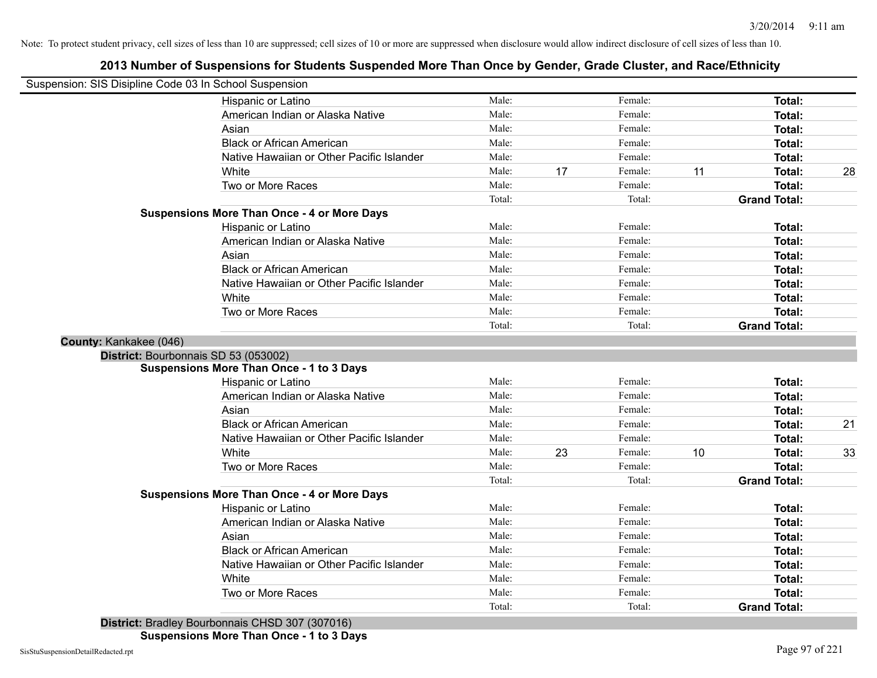## **2013 Number of Suspensions for Students Suspended More Than Once by Gender, Grade Cluster, and Race/Ethnicity**

|                        | Suspension: SIS Disipline Code 03 In School Suspension |        |    |         |    |                     |    |
|------------------------|--------------------------------------------------------|--------|----|---------|----|---------------------|----|
|                        | Hispanic or Latino                                     | Male:  |    | Female: |    | Total:              |    |
|                        | American Indian or Alaska Native                       | Male:  |    | Female: |    | Total:              |    |
|                        | Asian                                                  | Male:  |    | Female: |    | Total:              |    |
|                        | <b>Black or African American</b>                       | Male:  |    | Female: |    | Total:              |    |
|                        | Native Hawaiian or Other Pacific Islander              | Male:  |    | Female: |    | Total:              |    |
|                        | White                                                  | Male:  | 17 | Female: | 11 | Total:              | 28 |
|                        | Two or More Races                                      | Male:  |    | Female: |    | Total:              |    |
|                        |                                                        | Total: |    | Total:  |    | <b>Grand Total:</b> |    |
|                        | <b>Suspensions More Than Once - 4 or More Days</b>     |        |    |         |    |                     |    |
|                        | Hispanic or Latino                                     | Male:  |    | Female: |    | <b>Total:</b>       |    |
|                        | American Indian or Alaska Native                       | Male:  |    | Female: |    | Total:              |    |
|                        | Asian                                                  | Male:  |    | Female: |    | Total:              |    |
|                        | <b>Black or African American</b>                       | Male:  |    | Female: |    | Total:              |    |
|                        | Native Hawaiian or Other Pacific Islander              | Male:  |    | Female: |    | Total:              |    |
|                        | White                                                  | Male:  |    | Female: |    | Total:              |    |
|                        | Two or More Races                                      | Male:  |    | Female: |    | Total:              |    |
|                        |                                                        | Total: |    | Total:  |    | <b>Grand Total:</b> |    |
| County: Kankakee (046) |                                                        |        |    |         |    |                     |    |
|                        | District: Bourbonnais SD 53 (053002)                   |        |    |         |    |                     |    |
|                        | <b>Suspensions More Than Once - 1 to 3 Days</b>        |        |    |         |    |                     |    |
|                        | Hispanic or Latino                                     | Male:  |    | Female: |    | Total:              |    |
|                        | American Indian or Alaska Native                       | Male:  |    | Female: |    | Total:              |    |
|                        | Asian                                                  | Male:  |    | Female: |    | Total:              |    |
|                        | <b>Black or African American</b>                       | Male:  |    | Female: |    | Total:              | 21 |
|                        | Native Hawaiian or Other Pacific Islander              | Male:  |    | Female: |    | Total:              |    |
|                        | White                                                  | Male:  | 23 | Female: | 10 | Total:              | 33 |
|                        | Two or More Races                                      | Male:  |    | Female: |    | Total:              |    |
|                        |                                                        | Total: |    | Total:  |    | <b>Grand Total:</b> |    |
|                        | <b>Suspensions More Than Once - 4 or More Days</b>     |        |    |         |    |                     |    |
|                        | Hispanic or Latino                                     | Male:  |    | Female: |    | Total:              |    |
|                        | American Indian or Alaska Native                       | Male:  |    | Female: |    | Total:              |    |
|                        | Asian                                                  | Male:  |    | Female: |    | Total:              |    |
|                        | <b>Black or African American</b>                       | Male:  |    | Female: |    | Total:              |    |
|                        | Native Hawaiian or Other Pacific Islander              | Male:  |    | Female: |    | Total:              |    |
|                        | White                                                  | Male:  |    | Female: |    | Total:              |    |
|                        | Two or More Races                                      | Male:  |    | Female: |    | Total:              |    |
|                        |                                                        | Total: |    | Total:  |    | <b>Grand Total:</b> |    |
|                        | .<br>(0.105.007)(0.070.40)                             |        |    |         |    |                     |    |

**District:** Bradley Bourbonnais CHSD 307 (307016)

**Suspensions More Than Once - 1 to 3 Days**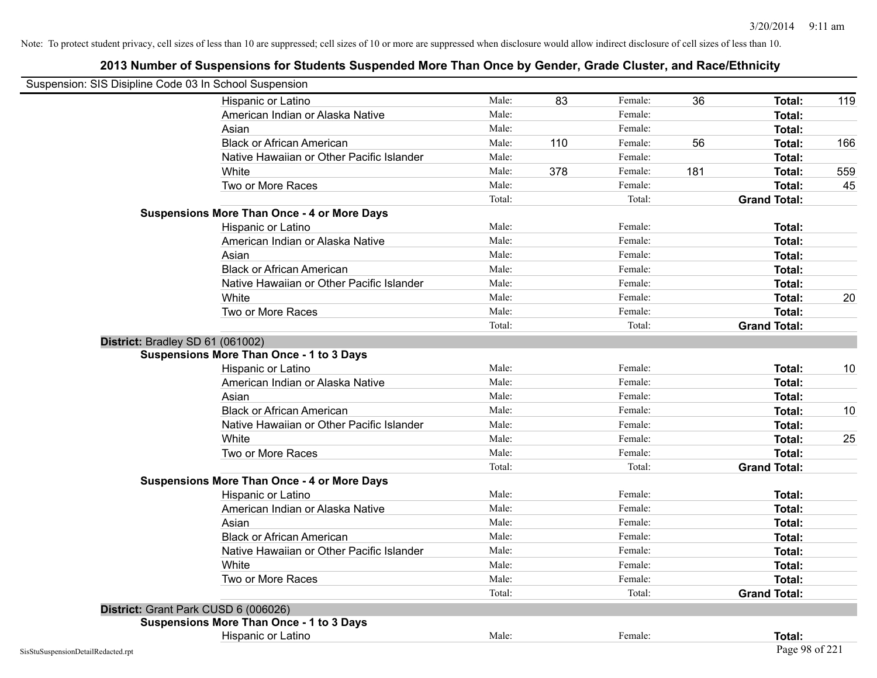| Suspension: SIS Disipline Code 03 In School Suspension |                                                    |        |     |         |     |                     |     |
|--------------------------------------------------------|----------------------------------------------------|--------|-----|---------|-----|---------------------|-----|
|                                                        | Hispanic or Latino                                 | Male:  | 83  | Female: | 36  | Total:              | 119 |
|                                                        | American Indian or Alaska Native                   | Male:  |     | Female: |     | Total:              |     |
|                                                        | Asian                                              | Male:  |     | Female: |     | Total:              |     |
|                                                        | <b>Black or African American</b>                   | Male:  | 110 | Female: | 56  | Total:              | 166 |
|                                                        | Native Hawaiian or Other Pacific Islander          | Male:  |     | Female: |     | Total:              |     |
|                                                        | White                                              | Male:  | 378 | Female: | 181 | Total:              | 559 |
|                                                        | Two or More Races                                  | Male:  |     | Female: |     | Total:              | 45  |
|                                                        |                                                    | Total: |     | Total:  |     | <b>Grand Total:</b> |     |
|                                                        | <b>Suspensions More Than Once - 4 or More Days</b> |        |     |         |     |                     |     |
|                                                        | Hispanic or Latino                                 | Male:  |     | Female: |     | Total:              |     |
|                                                        | American Indian or Alaska Native                   | Male:  |     | Female: |     | Total:              |     |
|                                                        | Asian                                              | Male:  |     | Female: |     | Total:              |     |
|                                                        | <b>Black or African American</b>                   | Male:  |     | Female: |     | Total:              |     |
|                                                        | Native Hawaiian or Other Pacific Islander          | Male:  |     | Female: |     | Total:              |     |
|                                                        | White                                              | Male:  |     | Female: |     | Total:              | 20  |
|                                                        | Two or More Races                                  | Male:  |     | Female: |     | Total:              |     |
|                                                        |                                                    | Total: |     | Total:  |     | <b>Grand Total:</b> |     |
|                                                        | District: Bradley SD 61 (061002)                   |        |     |         |     |                     |     |
|                                                        | <b>Suspensions More Than Once - 1 to 3 Days</b>    |        |     |         |     |                     |     |
|                                                        | Hispanic or Latino                                 | Male:  |     | Female: |     | Total:              | 10  |
|                                                        | American Indian or Alaska Native                   | Male:  |     | Female: |     | Total:              |     |
|                                                        | Asian                                              | Male:  |     | Female: |     | Total:              |     |
|                                                        | <b>Black or African American</b>                   | Male:  |     | Female: |     | Total:              | 10  |
|                                                        | Native Hawaiian or Other Pacific Islander          | Male:  |     | Female: |     | Total:              |     |
|                                                        | White                                              | Male:  |     | Female: |     | Total:              | 25  |
|                                                        | Two or More Races                                  | Male:  |     | Female: |     | Total:              |     |
|                                                        |                                                    | Total: |     | Total:  |     | <b>Grand Total:</b> |     |
|                                                        | <b>Suspensions More Than Once - 4 or More Days</b> |        |     |         |     |                     |     |
|                                                        | Hispanic or Latino                                 | Male:  |     | Female: |     | Total:              |     |
|                                                        | American Indian or Alaska Native                   | Male:  |     | Female: |     | Total:              |     |
|                                                        | Asian                                              | Male:  |     | Female: |     | Total:              |     |
|                                                        | <b>Black or African American</b>                   | Male:  |     | Female: |     | Total:              |     |
|                                                        | Native Hawaiian or Other Pacific Islander          | Male:  |     | Female: |     | Total:              |     |
|                                                        | White                                              | Male:  |     | Female: |     | Total:              |     |
|                                                        | Two or More Races                                  | Male:  |     | Female: |     | Total:              |     |
|                                                        |                                                    | Total: |     | Total:  |     | <b>Grand Total:</b> |     |
|                                                        | District: Grant Park CUSD 6 (006026)               |        |     |         |     |                     |     |
|                                                        | <b>Suspensions More Than Once - 1 to 3 Days</b>    |        |     |         |     |                     |     |
|                                                        | Hispanic or Latino                                 | Male:  |     | Female: |     | Total:              |     |
| SisStuSuspensionDetailRedacted.rpt                     |                                                    |        |     |         |     | Page 98 of 221      |     |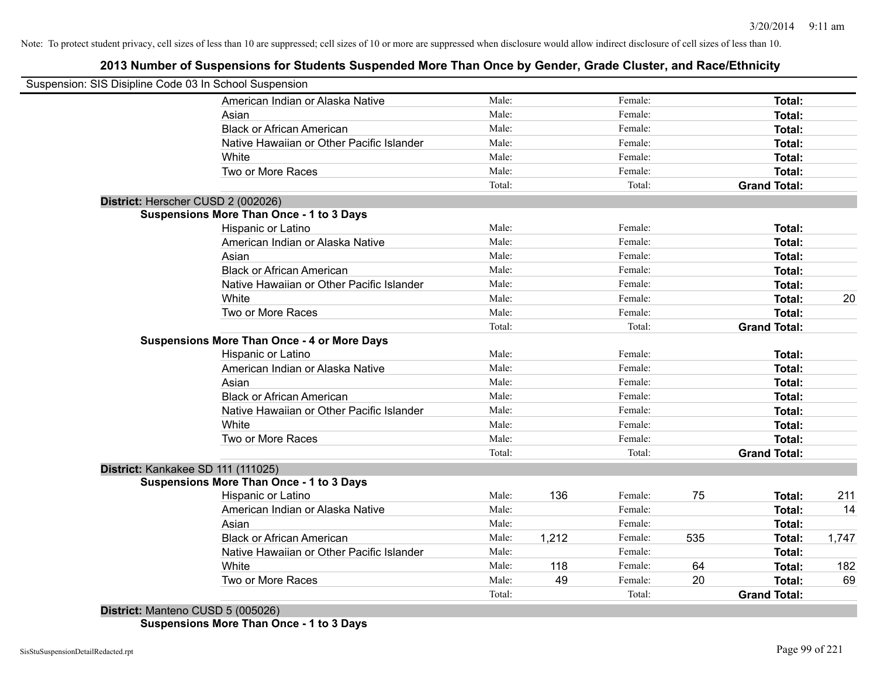## **2013 Number of Suspensions for Students Suspended More Than Once by Gender, Grade Cluster, and Race/Ethnicity**

|                                   | Suspension: SIS Disipline Code 03 In School Suspension |        |       |         |     |                     |       |
|-----------------------------------|--------------------------------------------------------|--------|-------|---------|-----|---------------------|-------|
|                                   | American Indian or Alaska Native                       | Male:  |       | Female: |     | Total:              |       |
|                                   | Asian                                                  | Male:  |       | Female: |     | Total:              |       |
|                                   | <b>Black or African American</b>                       | Male:  |       | Female: |     | Total:              |       |
|                                   | Native Hawaiian or Other Pacific Islander              | Male:  |       | Female: |     | Total:              |       |
|                                   | White                                                  | Male:  |       | Female: |     | Total:              |       |
|                                   | Two or More Races                                      | Male:  |       | Female: |     | Total:              |       |
|                                   |                                                        | Total: |       | Total:  |     | <b>Grand Total:</b> |       |
|                                   | District: Herscher CUSD 2 (002026)                     |        |       |         |     |                     |       |
|                                   | <b>Suspensions More Than Once - 1 to 3 Days</b>        |        |       |         |     |                     |       |
|                                   | Hispanic or Latino                                     | Male:  |       | Female: |     | Total:              |       |
|                                   | American Indian or Alaska Native                       | Male:  |       | Female: |     | Total:              |       |
|                                   | Asian                                                  | Male:  |       | Female: |     | Total:              |       |
|                                   | <b>Black or African American</b>                       | Male:  |       | Female: |     | Total:              |       |
|                                   | Native Hawaiian or Other Pacific Islander              | Male:  |       | Female: |     | Total:              |       |
|                                   | White                                                  | Male:  |       | Female: |     | Total:              | 20    |
|                                   | Two or More Races                                      | Male:  |       | Female: |     | Total:              |       |
|                                   |                                                        | Total: |       | Total:  |     | <b>Grand Total:</b> |       |
|                                   | <b>Suspensions More Than Once - 4 or More Days</b>     |        |       |         |     |                     |       |
|                                   | Hispanic or Latino                                     | Male:  |       | Female: |     | Total:              |       |
|                                   | American Indian or Alaska Native                       | Male:  |       | Female: |     | Total:              |       |
|                                   | Asian                                                  | Male:  |       | Female: |     | Total:              |       |
|                                   | <b>Black or African American</b>                       | Male:  |       | Female: |     | Total:              |       |
|                                   | Native Hawaiian or Other Pacific Islander              | Male:  |       | Female: |     | Total:              |       |
|                                   | White                                                  | Male:  |       | Female: |     | Total:              |       |
|                                   | Two or More Races                                      | Male:  |       | Female: |     | Total:              |       |
|                                   |                                                        | Total: |       | Total:  |     | <b>Grand Total:</b> |       |
|                                   | District: Kankakee SD 111 (111025)                     |        |       |         |     |                     |       |
|                                   | <b>Suspensions More Than Once - 1 to 3 Days</b>        |        |       |         |     |                     |       |
|                                   | Hispanic or Latino                                     | Male:  | 136   | Female: | 75  | Total:              | 211   |
|                                   | American Indian or Alaska Native                       | Male:  |       | Female: |     | Total:              | 14    |
|                                   | Asian                                                  | Male:  |       | Female: |     | Total:              |       |
|                                   | <b>Black or African American</b>                       | Male:  | 1,212 | Female: | 535 | Total:              | 1,747 |
|                                   | Native Hawaiian or Other Pacific Islander              | Male:  |       | Female: |     | Total:              |       |
|                                   | White                                                  | Male:  | 118   | Female: | 64  | Total:              | 182   |
|                                   | Two or More Races                                      | Male:  | 49    | Female: | 20  | Total:              | 69    |
|                                   |                                                        | Total: |       | Total:  |     | <b>Grand Total:</b> |       |
| District: Manteno CUSD 5 (005026) |                                                        |        |       |         |     |                     |       |

**Suspensions More Than Once - 1 to 3 Days**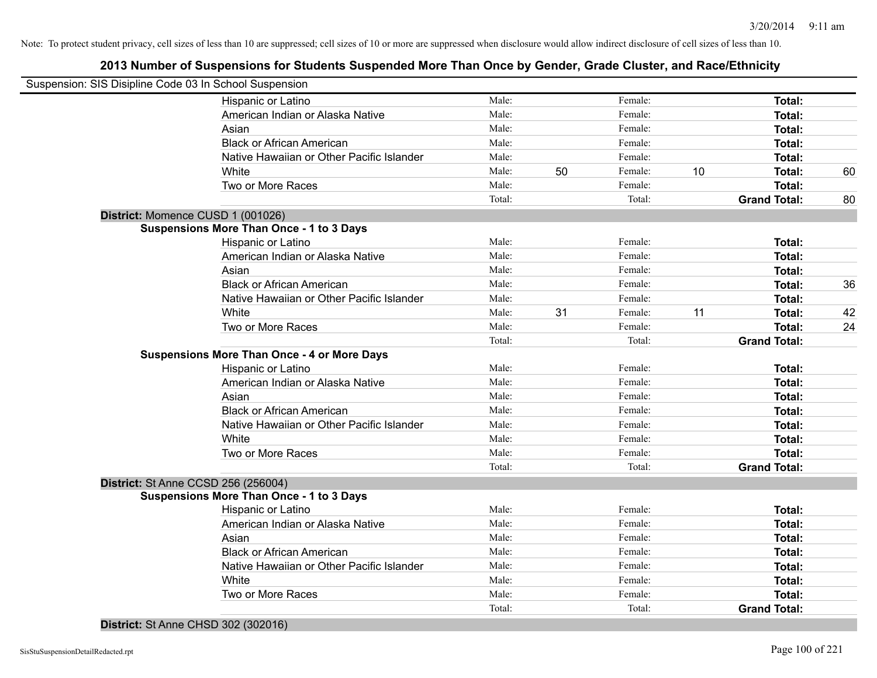## **2013 Number of Suspensions for Students Suspended More Than Once by Gender, Grade Cluster, and Race/Ethnicity**

|                                   | Suspension: SIS Disipline Code 03 In School Suspension |        |    |         |    |                     |    |
|-----------------------------------|--------------------------------------------------------|--------|----|---------|----|---------------------|----|
|                                   | Hispanic or Latino                                     | Male:  |    | Female: |    | Total:              |    |
|                                   | American Indian or Alaska Native                       | Male:  |    | Female: |    | Total:              |    |
|                                   | Asian                                                  | Male:  |    | Female: |    | Total:              |    |
|                                   | <b>Black or African American</b>                       | Male:  |    | Female: |    | Total:              |    |
|                                   | Native Hawaiian or Other Pacific Islander              | Male:  |    | Female: |    | Total:              |    |
|                                   | White                                                  | Male:  | 50 | Female: | 10 | Total:              | 60 |
|                                   | Two or More Races                                      | Male:  |    | Female: |    | Total:              |    |
|                                   |                                                        | Total: |    | Total:  |    | <b>Grand Total:</b> | 80 |
| District: Momence CUSD 1 (001026) |                                                        |        |    |         |    |                     |    |
|                                   | <b>Suspensions More Than Once - 1 to 3 Days</b>        |        |    |         |    |                     |    |
|                                   | Hispanic or Latino                                     | Male:  |    | Female: |    | Total:              |    |
|                                   | American Indian or Alaska Native                       | Male:  |    | Female: |    | Total:              |    |
|                                   | Asian                                                  | Male:  |    | Female: |    | Total:              |    |
|                                   | <b>Black or African American</b>                       | Male:  |    | Female: |    | Total:              | 36 |
|                                   | Native Hawaiian or Other Pacific Islander              | Male:  |    | Female: |    | Total:              |    |
|                                   | White                                                  | Male:  | 31 | Female: | 11 | Total:              | 42 |
|                                   | Two or More Races                                      | Male:  |    | Female: |    | Total:              | 24 |
|                                   |                                                        | Total: |    | Total:  |    | <b>Grand Total:</b> |    |
|                                   | <b>Suspensions More Than Once - 4 or More Days</b>     |        |    |         |    |                     |    |
|                                   | Hispanic or Latino                                     | Male:  |    | Female: |    | Total:              |    |
|                                   | American Indian or Alaska Native                       | Male:  |    | Female: |    | Total:              |    |
|                                   | Asian                                                  | Male:  |    | Female: |    | Total:              |    |
|                                   | <b>Black or African American</b>                       | Male:  |    | Female: |    | Total:              |    |
|                                   | Native Hawaiian or Other Pacific Islander              | Male:  |    | Female: |    | Total:              |    |
|                                   | White                                                  | Male:  |    | Female: |    | Total:              |    |
|                                   | Two or More Races                                      | Male:  |    | Female: |    | Total:              |    |
|                                   |                                                        | Total: |    | Total:  |    | <b>Grand Total:</b> |    |
|                                   | District: St Anne CCSD 256 (256004)                    |        |    |         |    |                     |    |
|                                   | <b>Suspensions More Than Once - 1 to 3 Days</b>        |        |    |         |    |                     |    |
|                                   | Hispanic or Latino                                     | Male:  |    | Female: |    | Total:              |    |
|                                   | American Indian or Alaska Native                       | Male:  |    | Female: |    | Total:              |    |
|                                   | Asian                                                  | Male:  |    | Female: |    | Total:              |    |
|                                   | <b>Black or African American</b>                       | Male:  |    | Female: |    | Total:              |    |
|                                   | Native Hawaiian or Other Pacific Islander              | Male:  |    | Female: |    | Total:              |    |
|                                   | White                                                  | Male:  |    | Female: |    | Total:              |    |
|                                   | Two or More Races                                      | Male:  |    | Female: |    | Total:              |    |
|                                   |                                                        | Total: |    | Total:  |    | <b>Grand Total:</b> |    |

**District:** St Anne CHSD 302 (302016)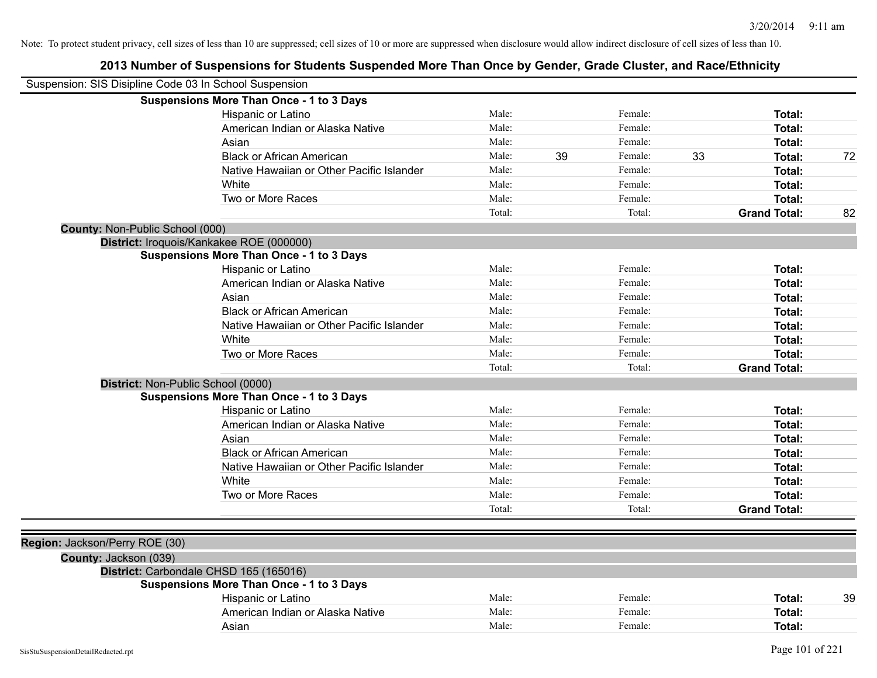|                                 | Suspension: SIS Disipline Code 03 In School Suspension |        |    |         |    |                     |    |
|---------------------------------|--------------------------------------------------------|--------|----|---------|----|---------------------|----|
|                                 | <b>Suspensions More Than Once - 1 to 3 Days</b>        |        |    |         |    |                     |    |
|                                 | Hispanic or Latino                                     | Male:  |    | Female: |    | Total:              |    |
|                                 | American Indian or Alaska Native                       | Male:  |    | Female: |    | Total:              |    |
|                                 | Asian                                                  | Male:  |    | Female: |    | Total:              |    |
|                                 | <b>Black or African American</b>                       | Male:  | 39 | Female: | 33 | Total:              | 72 |
|                                 | Native Hawaiian or Other Pacific Islander              | Male:  |    | Female: |    | Total:              |    |
|                                 | White                                                  | Male:  |    | Female: |    | Total:              |    |
|                                 | Two or More Races                                      | Male:  |    | Female: |    | Total:              |    |
|                                 |                                                        | Total: |    | Total:  |    | <b>Grand Total:</b> | 82 |
| County: Non-Public School (000) |                                                        |        |    |         |    |                     |    |
|                                 | District: Iroquois/Kankakee ROE (000000)               |        |    |         |    |                     |    |
|                                 | <b>Suspensions More Than Once - 1 to 3 Days</b>        |        |    |         |    |                     |    |
|                                 | Hispanic or Latino                                     | Male:  |    | Female: |    | Total:              |    |
|                                 | American Indian or Alaska Native                       | Male:  |    | Female: |    | Total:              |    |
|                                 | Asian                                                  | Male:  |    | Female: |    | Total:              |    |
|                                 | <b>Black or African American</b>                       | Male:  |    | Female: |    | Total:              |    |
|                                 | Native Hawaiian or Other Pacific Islander              | Male:  |    | Female: |    | Total:              |    |
|                                 | White                                                  | Male:  |    | Female: |    | Total:              |    |
|                                 | Two or More Races                                      | Male:  |    | Female: |    | <b>Total:</b>       |    |
|                                 |                                                        | Total: |    | Total:  |    | <b>Grand Total:</b> |    |
|                                 | District: Non-Public School (0000)                     |        |    |         |    |                     |    |
|                                 | <b>Suspensions More Than Once - 1 to 3 Days</b>        |        |    |         |    |                     |    |
|                                 | Hispanic or Latino                                     | Male:  |    | Female: |    | Total:              |    |
|                                 | American Indian or Alaska Native                       | Male:  |    | Female: |    | Total:              |    |
|                                 | Asian                                                  | Male:  |    | Female: |    | Total:              |    |
|                                 | <b>Black or African American</b>                       | Male:  |    | Female: |    | Total:              |    |
|                                 | Native Hawaiian or Other Pacific Islander              | Male:  |    | Female: |    | Total:              |    |
|                                 | White                                                  | Male:  |    | Female: |    | Total:              |    |
|                                 | Two or More Races                                      | Male:  |    | Female: |    | Total:              |    |
|                                 |                                                        | Total: |    | Total:  |    | <b>Grand Total:</b> |    |
|                                 |                                                        |        |    |         |    |                     |    |
| Region: Jackson/Perry ROE (30)  |                                                        |        |    |         |    |                     |    |
| County: Jackson (039)           |                                                        |        |    |         |    |                     |    |
|                                 | District: Carbondale CHSD 165 (165016)                 |        |    |         |    |                     |    |
|                                 | <b>Suspensions More Than Once - 1 to 3 Days</b>        |        |    |         |    |                     |    |
|                                 | Hispanic or Latino                                     | Male:  |    | Female: |    | Total:              | 39 |
|                                 | American Indian or Alaska Native                       | Male:  |    | Female: |    | Total:              |    |
|                                 | Asian                                                  | Male:  |    | Female: |    | Total:              |    |
|                                 |                                                        |        |    |         |    |                     |    |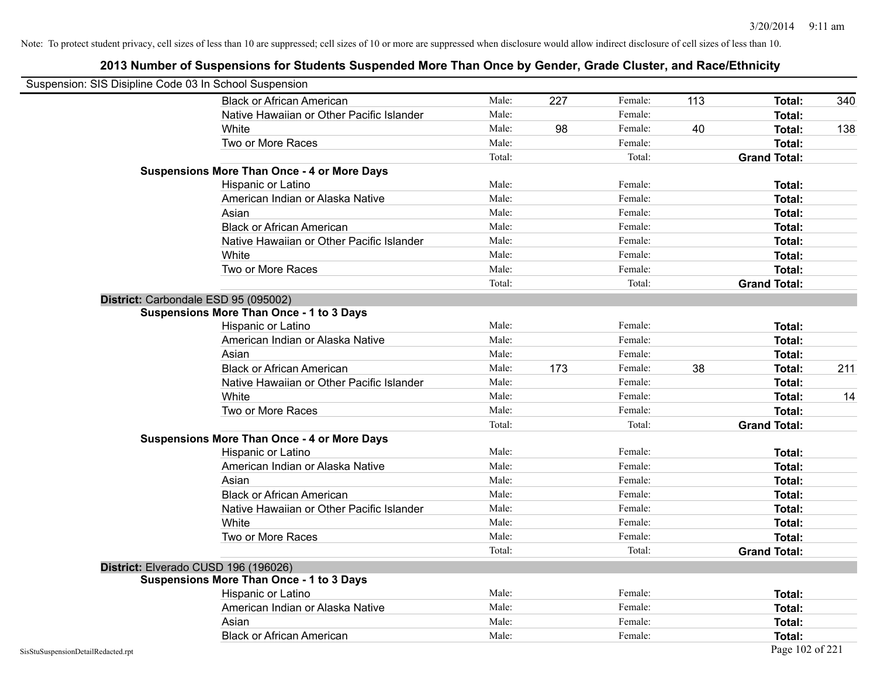| Suspension: SIS Disipline Code 03 In School Suspension |                                                    |        |     |         |     |                     |     |
|--------------------------------------------------------|----------------------------------------------------|--------|-----|---------|-----|---------------------|-----|
|                                                        | <b>Black or African American</b>                   | Male:  | 227 | Female: | 113 | Total:              | 340 |
|                                                        | Native Hawaiian or Other Pacific Islander          | Male:  |     | Female: |     | Total:              |     |
|                                                        | White                                              | Male:  | 98  | Female: | 40  | Total:              | 138 |
|                                                        | Two or More Races                                  | Male:  |     | Female: |     | Total:              |     |
|                                                        |                                                    | Total: |     | Total:  |     | <b>Grand Total:</b> |     |
|                                                        | <b>Suspensions More Than Once - 4 or More Days</b> |        |     |         |     |                     |     |
|                                                        | Hispanic or Latino                                 | Male:  |     | Female: |     | Total:              |     |
|                                                        | American Indian or Alaska Native                   | Male:  |     | Female: |     | Total:              |     |
|                                                        | Asian                                              | Male:  |     | Female: |     | Total:              |     |
|                                                        | <b>Black or African American</b>                   | Male:  |     | Female: |     | <b>Total:</b>       |     |
|                                                        | Native Hawaiian or Other Pacific Islander          | Male:  |     | Female: |     | Total:              |     |
|                                                        | White                                              | Male:  |     | Female: |     | <b>Total:</b>       |     |
|                                                        | Two or More Races                                  | Male:  |     | Female: |     | <b>Total:</b>       |     |
|                                                        |                                                    | Total: |     | Total:  |     | <b>Grand Total:</b> |     |
|                                                        | District: Carbondale ESD 95 (095002)               |        |     |         |     |                     |     |
|                                                        | <b>Suspensions More Than Once - 1 to 3 Days</b>    |        |     |         |     |                     |     |
|                                                        | Hispanic or Latino                                 | Male:  |     | Female: |     | Total:              |     |
|                                                        | American Indian or Alaska Native                   | Male:  |     | Female: |     | <b>Total:</b>       |     |
|                                                        | Asian                                              | Male:  |     | Female: |     | Total:              |     |
|                                                        | <b>Black or African American</b>                   | Male:  | 173 | Female: | 38  | Total:              | 211 |
|                                                        | Native Hawaiian or Other Pacific Islander          | Male:  |     | Female: |     | Total:              |     |
|                                                        | White                                              | Male:  |     | Female: |     | Total:              | 14  |
|                                                        | Two or More Races                                  | Male:  |     | Female: |     | Total:              |     |
|                                                        |                                                    | Total: |     | Total:  |     | <b>Grand Total:</b> |     |
|                                                        | <b>Suspensions More Than Once - 4 or More Days</b> |        |     |         |     |                     |     |
|                                                        | Hispanic or Latino                                 | Male:  |     | Female: |     | Total:              |     |
|                                                        | American Indian or Alaska Native                   | Male:  |     | Female: |     | Total:              |     |
|                                                        | Asian                                              | Male:  |     | Female: |     | Total:              |     |
|                                                        | <b>Black or African American</b>                   | Male:  |     | Female: |     | Total:              |     |
|                                                        | Native Hawaiian or Other Pacific Islander          | Male:  |     | Female: |     | Total:              |     |
|                                                        | White                                              | Male:  |     | Female: |     | Total:              |     |
|                                                        | Two or More Races                                  | Male:  |     | Female: |     | <b>Total:</b>       |     |
|                                                        |                                                    | Total: |     | Total:  |     | <b>Grand Total:</b> |     |
|                                                        | District: Elverado CUSD 196 (196026)               |        |     |         |     |                     |     |
|                                                        | <b>Suspensions More Than Once - 1 to 3 Days</b>    |        |     |         |     |                     |     |
|                                                        | Hispanic or Latino                                 | Male:  |     | Female: |     | Total:              |     |
|                                                        | American Indian or Alaska Native                   | Male:  |     | Female: |     | <b>Total:</b>       |     |
|                                                        | Asian                                              | Male:  |     | Female: |     | Total:              |     |
|                                                        | <b>Black or African American</b>                   | Male:  |     | Female: |     | <b>Total:</b>       |     |
| SisStuSuspensionDetailRedacted.rpt                     |                                                    |        |     |         |     | Page 102 of 221     |     |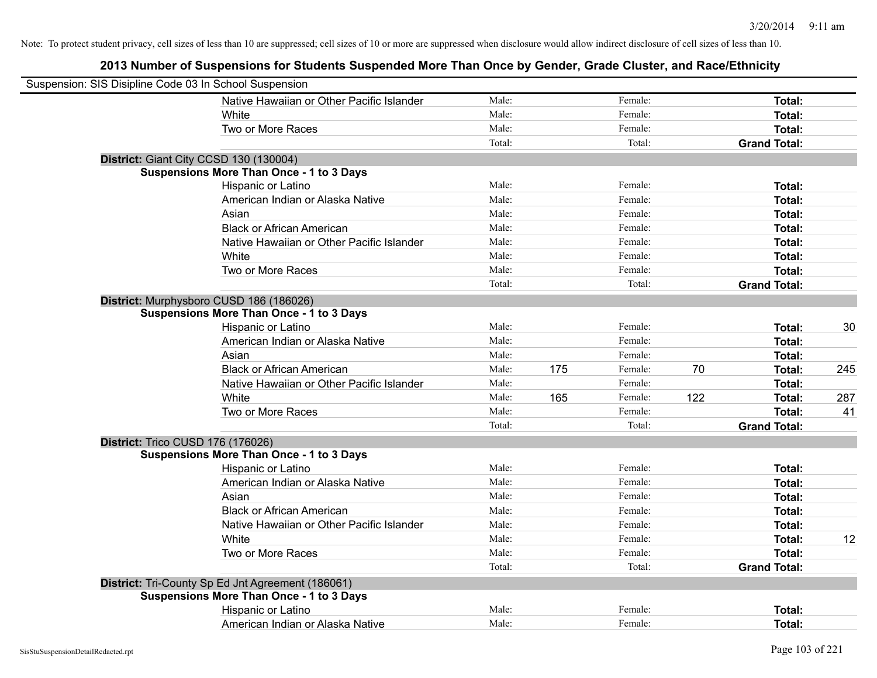| Suspension: SIS Disipline Code 03 In School Suspension |                                                   |        |     |         |     |                     |     |
|--------------------------------------------------------|---------------------------------------------------|--------|-----|---------|-----|---------------------|-----|
|                                                        | Native Hawaiian or Other Pacific Islander         | Male:  |     | Female: |     | Total:              |     |
|                                                        | White                                             | Male:  |     | Female: |     | Total:              |     |
|                                                        | Two or More Races                                 | Male:  |     | Female: |     | Total:              |     |
|                                                        |                                                   | Total: |     | Total:  |     | <b>Grand Total:</b> |     |
|                                                        | District: Giant City CCSD 130 (130004)            |        |     |         |     |                     |     |
|                                                        | <b>Suspensions More Than Once - 1 to 3 Days</b>   |        |     |         |     |                     |     |
|                                                        | Hispanic or Latino                                | Male:  |     | Female: |     | Total:              |     |
|                                                        | American Indian or Alaska Native                  | Male:  |     | Female: |     | Total:              |     |
|                                                        | Asian                                             | Male:  |     | Female: |     | Total:              |     |
|                                                        | <b>Black or African American</b>                  | Male:  |     | Female: |     | Total:              |     |
|                                                        | Native Hawaiian or Other Pacific Islander         | Male:  |     | Female: |     | Total:              |     |
|                                                        | White                                             | Male:  |     | Female: |     | Total:              |     |
|                                                        | Two or More Races                                 | Male:  |     | Female: |     | Total:              |     |
|                                                        |                                                   | Total: |     | Total:  |     | <b>Grand Total:</b> |     |
|                                                        | District: Murphysboro CUSD 186 (186026)           |        |     |         |     |                     |     |
|                                                        | <b>Suspensions More Than Once - 1 to 3 Days</b>   |        |     |         |     |                     |     |
|                                                        | Hispanic or Latino                                | Male:  |     | Female: |     | Total:              | 30  |
|                                                        | American Indian or Alaska Native                  | Male:  |     | Female: |     | Total:              |     |
|                                                        | Asian                                             | Male:  |     | Female: |     | Total:              |     |
|                                                        | <b>Black or African American</b>                  | Male:  | 175 | Female: | 70  | Total:              | 245 |
|                                                        | Native Hawaiian or Other Pacific Islander         | Male:  |     | Female: |     | Total:              |     |
|                                                        | White                                             | Male:  | 165 | Female: | 122 | Total:              | 287 |
|                                                        | Two or More Races                                 | Male:  |     | Female: |     | Total:              | 41  |
|                                                        |                                                   | Total: |     | Total:  |     | <b>Grand Total:</b> |     |
|                                                        | District: Trico CUSD 176 (176026)                 |        |     |         |     |                     |     |
|                                                        | <b>Suspensions More Than Once - 1 to 3 Days</b>   |        |     |         |     |                     |     |
|                                                        | Hispanic or Latino                                | Male:  |     | Female: |     | Total:              |     |
|                                                        | American Indian or Alaska Native                  | Male:  |     | Female: |     | Total:              |     |
|                                                        | Asian                                             | Male:  |     | Female: |     | Total:              |     |
|                                                        | <b>Black or African American</b>                  | Male:  |     | Female: |     | Total:              |     |
|                                                        | Native Hawaiian or Other Pacific Islander         | Male:  |     | Female: |     | Total:              |     |
|                                                        | White                                             | Male:  |     | Female: |     | Total:              | 12  |
|                                                        | Two or More Races                                 | Male:  |     | Female: |     | Total:              |     |
|                                                        |                                                   | Total: |     | Total:  |     | <b>Grand Total:</b> |     |
|                                                        | District: Tri-County Sp Ed Jnt Agreement (186061) |        |     |         |     |                     |     |
|                                                        | <b>Suspensions More Than Once - 1 to 3 Days</b>   |        |     |         |     |                     |     |
|                                                        | Hispanic or Latino                                | Male:  |     | Female: |     | Total:              |     |
|                                                        | American Indian or Alaska Native                  | Male:  |     | Female: |     | Total:              |     |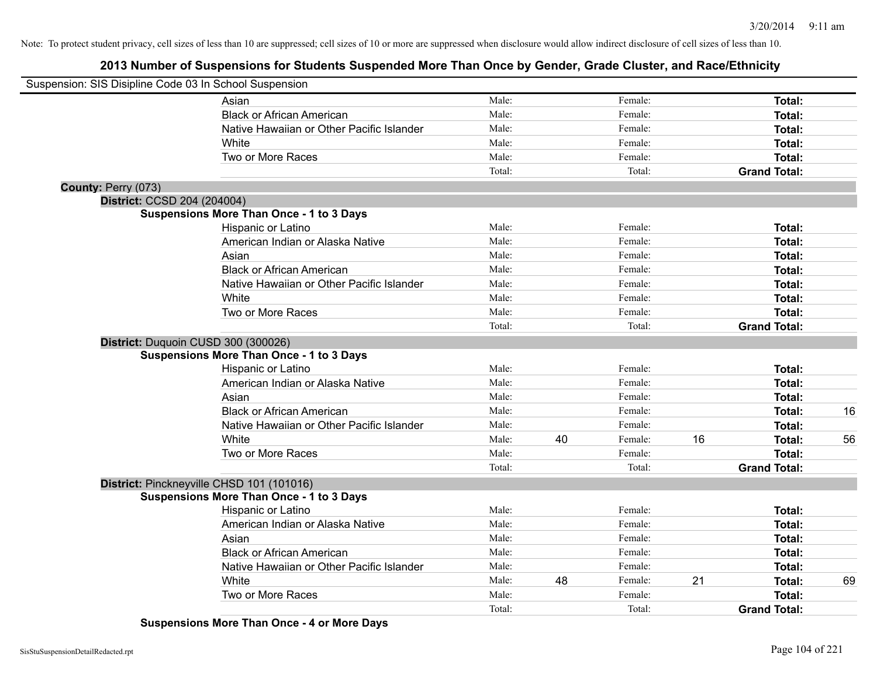## **2013 Number of Suspensions for Students Suspended More Than Once by Gender, Grade Cluster, and Race/Ethnicity**

| Suspension: SIS Disipline Code 03 In School Suspension |                                                 |        |    |         |    |                     |    |
|--------------------------------------------------------|-------------------------------------------------|--------|----|---------|----|---------------------|----|
|                                                        | Asian                                           | Male:  |    | Female: |    | Total:              |    |
|                                                        | <b>Black or African American</b>                | Male:  |    | Female: |    | Total:              |    |
|                                                        | Native Hawaiian or Other Pacific Islander       | Male:  |    | Female: |    | Total:              |    |
|                                                        | White                                           | Male:  |    | Female: |    | Total:              |    |
|                                                        | Two or More Races                               | Male:  |    | Female: |    | Total:              |    |
|                                                        |                                                 | Total: |    | Total:  |    | <b>Grand Total:</b> |    |
| County: Perry (073)                                    |                                                 |        |    |         |    |                     |    |
| District: CCSD 204 (204004)                            |                                                 |        |    |         |    |                     |    |
|                                                        | <b>Suspensions More Than Once - 1 to 3 Days</b> |        |    |         |    |                     |    |
|                                                        | Hispanic or Latino                              | Male:  |    | Female: |    | Total:              |    |
|                                                        | American Indian or Alaska Native                | Male:  |    | Female: |    | <b>Total:</b>       |    |
|                                                        | Asian                                           | Male:  |    | Female: |    | <b>Total:</b>       |    |
|                                                        | <b>Black or African American</b>                | Male:  |    | Female: |    | <b>Total:</b>       |    |
|                                                        | Native Hawaiian or Other Pacific Islander       | Male:  |    | Female: |    | <b>Total:</b>       |    |
|                                                        | White                                           | Male:  |    | Female: |    | Total:              |    |
|                                                        | Two or More Races                               | Male:  |    | Female: |    | <b>Total:</b>       |    |
|                                                        |                                                 | Total: |    | Total:  |    | <b>Grand Total:</b> |    |
|                                                        | District: Duquoin CUSD 300 (300026)             |        |    |         |    |                     |    |
|                                                        | <b>Suspensions More Than Once - 1 to 3 Days</b> |        |    |         |    |                     |    |
|                                                        | Hispanic or Latino                              | Male:  |    | Female: |    | Total:              |    |
|                                                        | American Indian or Alaska Native                | Male:  |    | Female: |    | Total:              |    |
|                                                        | Asian                                           | Male:  |    | Female: |    | Total:              |    |
|                                                        | <b>Black or African American</b>                | Male:  |    | Female: |    | <b>Total:</b>       | 16 |
|                                                        | Native Hawaiian or Other Pacific Islander       | Male:  |    | Female: |    | <b>Total:</b>       |    |
|                                                        | White                                           | Male:  | 40 | Female: | 16 | Total:              | 56 |
|                                                        | Two or More Races                               | Male:  |    | Female: |    | <b>Total:</b>       |    |
|                                                        |                                                 | Total: |    | Total:  |    | <b>Grand Total:</b> |    |
|                                                        | District: Pinckneyville CHSD 101 (101016)       |        |    |         |    |                     |    |
|                                                        | <b>Suspensions More Than Once - 1 to 3 Days</b> |        |    |         |    |                     |    |
|                                                        | Hispanic or Latino                              | Male:  |    | Female: |    | <b>Total:</b>       |    |
|                                                        | American Indian or Alaska Native                | Male:  |    | Female: |    | <b>Total:</b>       |    |
|                                                        | Asian                                           | Male:  |    | Female: |    | <b>Total:</b>       |    |
|                                                        | <b>Black or African American</b>                | Male:  |    | Female: |    | <b>Total:</b>       |    |
|                                                        | Native Hawaiian or Other Pacific Islander       | Male:  |    | Female: |    | <b>Total:</b>       |    |
|                                                        | White                                           | Male:  | 48 | Female: | 21 | <b>Total:</b>       | 69 |
|                                                        | Two or More Races                               | Male:  |    | Female: |    | <b>Total:</b>       |    |
|                                                        |                                                 | Total: |    | Total:  |    | <b>Grand Total:</b> |    |

**Suspensions More Than Once - 4 or More Days**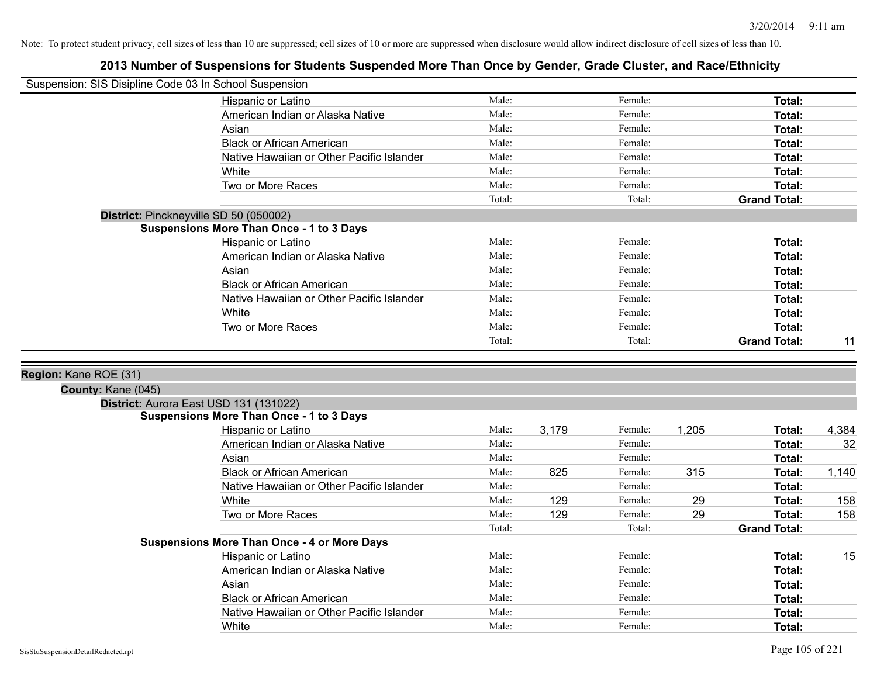|                                             | Suspension: SIS Disipline Code 03 In School Suspension |                |       |                    |       |                                |       |
|---------------------------------------------|--------------------------------------------------------|----------------|-------|--------------------|-------|--------------------------------|-------|
|                                             | Hispanic or Latino                                     | Male:          |       | Female:            |       | <b>Total:</b>                  |       |
|                                             | American Indian or Alaska Native                       | Male:          |       | Female:            |       | <b>Total:</b>                  |       |
|                                             | Asian                                                  | Male:          |       | Female:            |       | <b>Total:</b>                  |       |
|                                             | <b>Black or African American</b>                       | Male:          |       | Female:            |       | <b>Total:</b>                  |       |
|                                             | Native Hawaiian or Other Pacific Islander              | Male:          |       | Female:            |       | <b>Total:</b>                  |       |
|                                             | White                                                  | Male:          |       | Female:            |       | <b>Total:</b>                  |       |
|                                             | Two or More Races                                      | Male:          |       | Female:            |       | <b>Total:</b>                  |       |
|                                             |                                                        | Total:         |       | Total:             |       | <b>Grand Total:</b>            |       |
|                                             | District: Pinckneyville SD 50 (050002)                 |                |       |                    |       |                                |       |
|                                             | <b>Suspensions More Than Once - 1 to 3 Days</b>        |                |       |                    |       |                                |       |
|                                             | Hispanic or Latino                                     | Male:          |       | Female:            |       | <b>Total:</b>                  |       |
|                                             | American Indian or Alaska Native                       | Male:          |       | Female:            |       | Total:                         |       |
|                                             | Asian                                                  | Male:          |       | Female:            |       | <b>Total:</b>                  |       |
|                                             | <b>Black or African American</b>                       | Male:          |       | Female:            |       | <b>Total:</b>                  |       |
|                                             | Native Hawaiian or Other Pacific Islander              | Male:          |       | Female:            |       | <b>Total:</b>                  |       |
|                                             | White                                                  | Male:          |       | Female:            |       | <b>Total:</b>                  |       |
|                                             | Two or More Races                                      | Male:          |       | Female:            |       | <b>Total:</b>                  |       |
|                                             |                                                        | Total:         |       | Total:             |       | <b>Grand Total:</b>            | 11    |
|                                             |                                                        |                |       |                    |       |                                |       |
| Region: Kane ROE (31)<br>County: Kane (045) |                                                        |                |       |                    |       |                                |       |
|                                             | District: Aurora East USD 131 (131022)                 |                |       |                    |       |                                |       |
|                                             | <b>Suspensions More Than Once - 1 to 3 Days</b>        |                |       |                    |       |                                |       |
|                                             | Hispanic or Latino                                     | Male:<br>Male: | 3,179 | Female:<br>Female: | 1,205 | Total:                         | 4,384 |
|                                             | American Indian or Alaska Native                       |                |       |                    |       | Total:                         | 32    |
|                                             | Asian<br><b>Black or African American</b>              | Male:<br>Male: |       | Female:<br>Female: | 315   | Total:                         |       |
|                                             | Native Hawaiian or Other Pacific Islander              | Male:          | 825   | Female:            |       | <b>Total:</b><br><b>Total:</b> | 1,140 |
|                                             | White                                                  | Male:          | 129   | Female:            | 29    | Total:                         | 158   |
|                                             | Two or More Races                                      | Male:          | 129   | Female:            | 29    | Total:                         | 158   |
|                                             |                                                        | Total:         |       | Total:             |       | <b>Grand Total:</b>            |       |
|                                             | <b>Suspensions More Than Once - 4 or More Days</b>     |                |       |                    |       |                                |       |
|                                             | Hispanic or Latino                                     | Male:          |       | Female:            |       | Total:                         | 15    |
|                                             | American Indian or Alaska Native                       | Male:          |       | Female:            |       | Total:                         |       |
|                                             | Asian                                                  | Male:          |       | Female:            |       | Total:                         |       |
|                                             | <b>Black or African American</b>                       | Male:          |       | Female:            |       | <b>Total:</b>                  |       |
|                                             | Native Hawaiian or Other Pacific Islander<br>White     | Male:          |       | Female:            |       | <b>Total:</b>                  |       |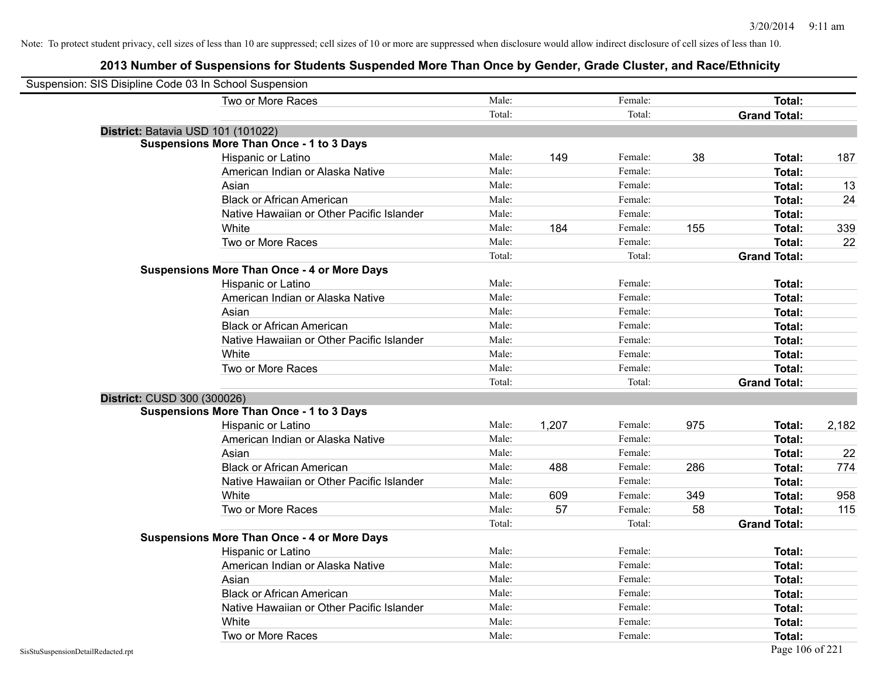| Suspension: SIS Disipline Code 03 In School Suspension |                                                    |        |       |         |     |                     |       |
|--------------------------------------------------------|----------------------------------------------------|--------|-------|---------|-----|---------------------|-------|
|                                                        | Two or More Races                                  | Male:  |       | Female: |     | Total:              |       |
|                                                        |                                                    | Total: |       | Total:  |     | <b>Grand Total:</b> |       |
| District: Batavia USD 101 (101022)                     |                                                    |        |       |         |     |                     |       |
|                                                        | <b>Suspensions More Than Once - 1 to 3 Days</b>    |        |       |         |     |                     |       |
|                                                        | Hispanic or Latino                                 | Male:  | 149   | Female: | 38  | Total:              | 187   |
|                                                        | American Indian or Alaska Native                   | Male:  |       | Female: |     | <b>Total:</b>       |       |
|                                                        | Asian                                              | Male:  |       | Female: |     | Total:              | 13    |
|                                                        | <b>Black or African American</b>                   | Male:  |       | Female: |     | Total:              | 24    |
|                                                        | Native Hawaiian or Other Pacific Islander          | Male:  |       | Female: |     | Total:              |       |
|                                                        | White                                              | Male:  | 184   | Female: | 155 | Total:              | 339   |
|                                                        | Two or More Races                                  | Male:  |       | Female: |     | <b>Total:</b>       | 22    |
|                                                        |                                                    | Total: |       | Total:  |     | <b>Grand Total:</b> |       |
|                                                        | <b>Suspensions More Than Once - 4 or More Days</b> |        |       |         |     |                     |       |
|                                                        | Hispanic or Latino                                 | Male:  |       | Female: |     | Total:              |       |
|                                                        | American Indian or Alaska Native                   | Male:  |       | Female: |     | Total:              |       |
|                                                        | Asian                                              | Male:  |       | Female: |     | Total:              |       |
|                                                        | <b>Black or African American</b>                   | Male:  |       | Female: |     | Total:              |       |
|                                                        | Native Hawaiian or Other Pacific Islander          | Male:  |       | Female: |     | Total:              |       |
|                                                        | White                                              | Male:  |       | Female: |     | <b>Total:</b>       |       |
|                                                        | Two or More Races                                  | Male:  |       | Female: |     | <b>Total:</b>       |       |
|                                                        |                                                    | Total: |       | Total:  |     | <b>Grand Total:</b> |       |
| District: CUSD 300 (300026)                            |                                                    |        |       |         |     |                     |       |
|                                                        | <b>Suspensions More Than Once - 1 to 3 Days</b>    |        |       |         |     |                     |       |
|                                                        | Hispanic or Latino                                 | Male:  | 1,207 | Female: | 975 | Total:              | 2,182 |
|                                                        | American Indian or Alaska Native                   | Male:  |       | Female: |     | Total:              |       |
|                                                        | Asian                                              | Male:  |       | Female: |     | Total:              | 22    |
|                                                        | <b>Black or African American</b>                   | Male:  | 488   | Female: | 286 | Total:              | 774   |
|                                                        | Native Hawaiian or Other Pacific Islander          | Male:  |       | Female: |     | Total:              |       |
|                                                        | White                                              | Male:  | 609   | Female: | 349 | Total:              | 958   |
|                                                        | Two or More Races                                  | Male:  | 57    | Female: | 58  | <b>Total:</b>       | 115   |
|                                                        |                                                    | Total: |       | Total:  |     | <b>Grand Total:</b> |       |
|                                                        | <b>Suspensions More Than Once - 4 or More Days</b> |        |       |         |     |                     |       |
|                                                        | Hispanic or Latino                                 | Male:  |       | Female: |     | Total:              |       |
|                                                        | American Indian or Alaska Native                   | Male:  |       | Female: |     | Total:              |       |
|                                                        | Asian                                              | Male:  |       | Female: |     | Total:              |       |
|                                                        | <b>Black or African American</b>                   | Male:  |       | Female: |     | Total:              |       |
|                                                        | Native Hawaiian or Other Pacific Islander          | Male:  |       | Female: |     | Total:              |       |
|                                                        | White                                              | Male:  |       | Female: |     | <b>Total:</b>       |       |
|                                                        | Two or More Races                                  | Male:  |       | Female: |     | Total:              |       |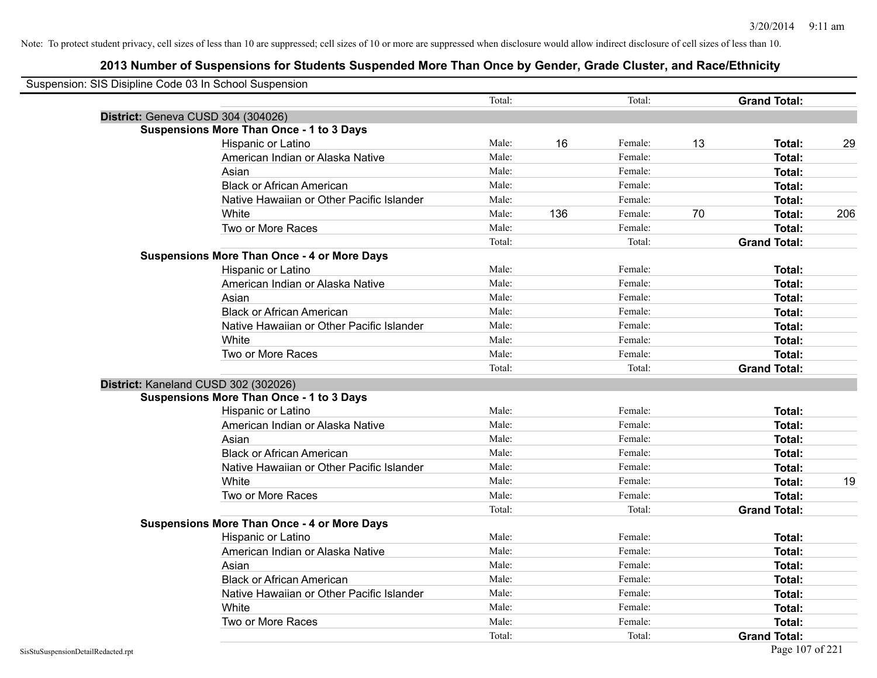| Suspension: SIS Disipline Code 03 In School Suspension |                                                    |        |     |         |    |                     |     |
|--------------------------------------------------------|----------------------------------------------------|--------|-----|---------|----|---------------------|-----|
|                                                        |                                                    | Total: |     | Total:  |    | <b>Grand Total:</b> |     |
|                                                        | District: Geneva CUSD 304 (304026)                 |        |     |         |    |                     |     |
|                                                        | <b>Suspensions More Than Once - 1 to 3 Days</b>    |        |     |         |    |                     |     |
|                                                        | Hispanic or Latino                                 | Male:  | 16  | Female: | 13 | Total:              | 29  |
|                                                        | American Indian or Alaska Native                   | Male:  |     | Female: |    | Total:              |     |
|                                                        | Asian                                              | Male:  |     | Female: |    | <b>Total:</b>       |     |
|                                                        | <b>Black or African American</b>                   | Male:  |     | Female: |    | <b>Total:</b>       |     |
|                                                        | Native Hawaiian or Other Pacific Islander          | Male:  |     | Female: |    | <b>Total:</b>       |     |
|                                                        | White                                              | Male:  | 136 | Female: | 70 | <b>Total:</b>       | 206 |
|                                                        | Two or More Races                                  | Male:  |     | Female: |    | <b>Total:</b>       |     |
|                                                        |                                                    | Total: |     | Total:  |    | <b>Grand Total:</b> |     |
|                                                        | <b>Suspensions More Than Once - 4 or More Days</b> |        |     |         |    |                     |     |
|                                                        | Hispanic or Latino                                 | Male:  |     | Female: |    | Total:              |     |
|                                                        | American Indian or Alaska Native                   | Male:  |     | Female: |    | Total:              |     |
|                                                        | Asian                                              | Male:  |     | Female: |    | <b>Total:</b>       |     |
|                                                        | <b>Black or African American</b>                   | Male:  |     | Female: |    | Total:              |     |
|                                                        | Native Hawaiian or Other Pacific Islander          | Male:  |     | Female: |    | <b>Total:</b>       |     |
|                                                        | White                                              | Male:  |     | Female: |    | <b>Total:</b>       |     |
|                                                        | Two or More Races                                  | Male:  |     | Female: |    | <b>Total:</b>       |     |
|                                                        |                                                    | Total: |     | Total:  |    | <b>Grand Total:</b> |     |
|                                                        | District: Kaneland CUSD 302 (302026)               |        |     |         |    |                     |     |
|                                                        | <b>Suspensions More Than Once - 1 to 3 Days</b>    |        |     |         |    |                     |     |
|                                                        | Hispanic or Latino                                 | Male:  |     | Female: |    | Total:              |     |
|                                                        | American Indian or Alaska Native                   | Male:  |     | Female: |    | <b>Total:</b>       |     |
|                                                        | Asian                                              | Male:  |     | Female: |    | <b>Total:</b>       |     |
|                                                        | <b>Black or African American</b>                   | Male:  |     | Female: |    | <b>Total:</b>       |     |
|                                                        | Native Hawaiian or Other Pacific Islander          | Male:  |     | Female: |    | Total:              |     |
|                                                        | White                                              | Male:  |     | Female: |    | Total:              | 19  |
|                                                        | Two or More Races                                  | Male:  |     | Female: |    | Total:              |     |
|                                                        |                                                    | Total: |     | Total:  |    | <b>Grand Total:</b> |     |
|                                                        | <b>Suspensions More Than Once - 4 or More Days</b> |        |     |         |    |                     |     |
|                                                        | Hispanic or Latino                                 | Male:  |     | Female: |    | Total:              |     |
|                                                        | American Indian or Alaska Native                   | Male:  |     | Female: |    | <b>Total:</b>       |     |
|                                                        | Asian                                              | Male:  |     | Female: |    | Total:              |     |
|                                                        | <b>Black or African American</b>                   | Male:  |     | Female: |    | <b>Total:</b>       |     |
|                                                        | Native Hawaiian or Other Pacific Islander          | Male:  |     | Female: |    | <b>Total:</b>       |     |
|                                                        | White                                              | Male:  |     | Female: |    | Total:              |     |
|                                                        | Two or More Races                                  | Male:  |     | Female: |    | Total:              |     |
|                                                        |                                                    | Total: |     | Total:  |    | <b>Grand Total:</b> |     |
| SisStuSuspensionDetailRedacted.rpt                     |                                                    |        |     |         |    | Page 107 of 221     |     |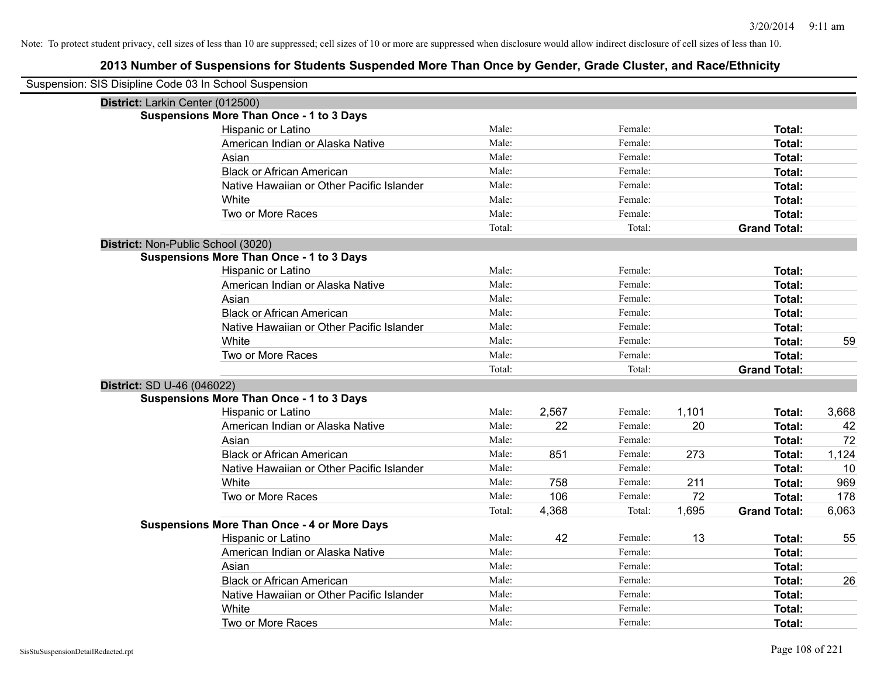| Suspension: SIS Disipline Code 03 In School Suspension |                                                    |        |       |         |       |                     |       |
|--------------------------------------------------------|----------------------------------------------------|--------|-------|---------|-------|---------------------|-------|
| District: Larkin Center (012500)                       |                                                    |        |       |         |       |                     |       |
|                                                        | <b>Suspensions More Than Once - 1 to 3 Days</b>    |        |       |         |       |                     |       |
|                                                        | Hispanic or Latino                                 | Male:  |       | Female: |       | Total:              |       |
|                                                        | American Indian or Alaska Native                   | Male:  |       | Female: |       | <b>Total:</b>       |       |
|                                                        | Asian                                              | Male:  |       | Female: |       | <b>Total:</b>       |       |
|                                                        | <b>Black or African American</b>                   | Male:  |       | Female: |       | <b>Total:</b>       |       |
|                                                        | Native Hawaiian or Other Pacific Islander          | Male:  |       | Female: |       | <b>Total:</b>       |       |
|                                                        | White                                              | Male:  |       | Female: |       | <b>Total:</b>       |       |
|                                                        | Two or More Races                                  | Male:  |       | Female: |       | <b>Total:</b>       |       |
|                                                        |                                                    | Total: |       | Total:  |       | <b>Grand Total:</b> |       |
| District: Non-Public School (3020)                     |                                                    |        |       |         |       |                     |       |
|                                                        | <b>Suspensions More Than Once - 1 to 3 Days</b>    |        |       |         |       |                     |       |
|                                                        | Hispanic or Latino                                 | Male:  |       | Female: |       | Total:              |       |
|                                                        | American Indian or Alaska Native                   | Male:  |       | Female: |       | <b>Total:</b>       |       |
|                                                        | Asian                                              | Male:  |       | Female: |       | <b>Total:</b>       |       |
|                                                        | <b>Black or African American</b>                   | Male:  |       | Female: |       | <b>Total:</b>       |       |
|                                                        | Native Hawaiian or Other Pacific Islander          | Male:  |       | Female: |       | Total:              |       |
|                                                        | White                                              | Male:  |       | Female: |       | <b>Total:</b>       | 59    |
|                                                        | Two or More Races                                  | Male:  |       | Female: |       | <b>Total:</b>       |       |
|                                                        |                                                    | Total: |       | Total:  |       | <b>Grand Total:</b> |       |
| District: SD U-46 (046022)                             |                                                    |        |       |         |       |                     |       |
|                                                        | <b>Suspensions More Than Once - 1 to 3 Days</b>    |        |       |         |       |                     |       |
|                                                        | Hispanic or Latino                                 | Male:  | 2,567 | Female: | 1,101 | Total:              | 3,668 |
|                                                        | American Indian or Alaska Native                   | Male:  | 22    | Female: | 20    | Total:              | 42    |
|                                                        | Asian                                              | Male:  |       | Female: |       | Total:              | 72    |
|                                                        | <b>Black or African American</b>                   | Male:  | 851   | Female: | 273   | <b>Total:</b>       | 1,124 |
|                                                        | Native Hawaiian or Other Pacific Islander          | Male:  |       | Female: |       | <b>Total:</b>       | 10    |
|                                                        | White                                              | Male:  | 758   | Female: | 211   | <b>Total:</b>       | 969   |
|                                                        | Two or More Races                                  | Male:  | 106   | Female: | 72    | <b>Total:</b>       | 178   |
|                                                        |                                                    | Total: | 4,368 | Total:  | 1,695 | <b>Grand Total:</b> | 6,063 |
|                                                        | <b>Suspensions More Than Once - 4 or More Days</b> |        |       |         |       |                     |       |
|                                                        | Hispanic or Latino                                 | Male:  | 42    | Female: | 13    | Total:              | 55    |
|                                                        | American Indian or Alaska Native                   | Male:  |       | Female: |       | <b>Total:</b>       |       |
|                                                        | Asian                                              | Male:  |       | Female: |       | Total:              |       |
|                                                        | <b>Black or African American</b>                   | Male:  |       | Female: |       | <b>Total:</b>       | 26    |
|                                                        | Native Hawaiian or Other Pacific Islander          | Male:  |       | Female: |       | <b>Total:</b>       |       |
|                                                        | White                                              | Male:  |       | Female: |       | <b>Total:</b>       |       |
|                                                        | Two or More Races                                  | Male:  |       | Female: |       | Total:              |       |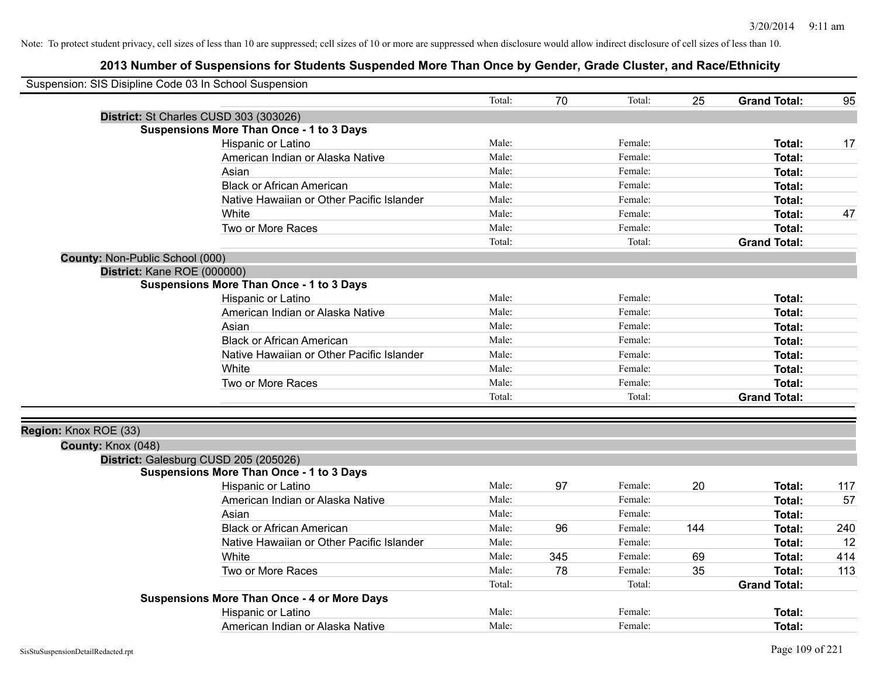| Suspension: SIS Disipline Code 03 In School Suspension |                                                    |        |     |         |     |                     |     |
|--------------------------------------------------------|----------------------------------------------------|--------|-----|---------|-----|---------------------|-----|
|                                                        |                                                    | Total: | 70  | Total:  | 25  | <b>Grand Total:</b> | 95  |
|                                                        | District: St Charles CUSD 303 (303026)             |        |     |         |     |                     |     |
|                                                        | <b>Suspensions More Than Once - 1 to 3 Days</b>    |        |     |         |     |                     |     |
|                                                        | Hispanic or Latino                                 | Male:  |     | Female: |     | <b>Total:</b>       | 17  |
|                                                        | American Indian or Alaska Native                   | Male:  |     | Female: |     | Total:              |     |
|                                                        | Asian                                              | Male:  |     | Female: |     | Total:              |     |
|                                                        | <b>Black or African American</b>                   | Male:  |     | Female: |     | <b>Total:</b>       |     |
|                                                        | Native Hawaiian or Other Pacific Islander          | Male:  |     | Female: |     | <b>Total:</b>       |     |
|                                                        | White                                              | Male:  |     | Female: |     | <b>Total:</b>       | 47  |
|                                                        | Two or More Races                                  | Male:  |     | Female: |     | <b>Total:</b>       |     |
|                                                        |                                                    | Total: |     | Total:  |     | <b>Grand Total:</b> |     |
| County: Non-Public School (000)                        |                                                    |        |     |         |     |                     |     |
| District: Kane ROE (000000)                            |                                                    |        |     |         |     |                     |     |
|                                                        | <b>Suspensions More Than Once - 1 to 3 Days</b>    |        |     |         |     |                     |     |
|                                                        | Hispanic or Latino                                 | Male:  |     | Female: |     | Total:              |     |
|                                                        | American Indian or Alaska Native                   | Male:  |     | Female: |     | <b>Total:</b>       |     |
|                                                        | Asian                                              | Male:  |     | Female: |     | Total:              |     |
|                                                        | <b>Black or African American</b>                   | Male:  |     | Female: |     | <b>Total:</b>       |     |
|                                                        | Native Hawaiian or Other Pacific Islander          | Male:  |     | Female: |     | <b>Total:</b>       |     |
|                                                        | White                                              | Male:  |     | Female: |     | Total:              |     |
|                                                        | Two or More Races                                  | Male:  |     | Female: |     | Total:              |     |
|                                                        |                                                    | Total: |     | Total:  |     | <b>Grand Total:</b> |     |
|                                                        |                                                    |        |     |         |     |                     |     |
| Region: Knox ROE (33)                                  |                                                    |        |     |         |     |                     |     |
| County: Knox (048)                                     |                                                    |        |     |         |     |                     |     |
|                                                        | District: Galesburg CUSD 205 (205026)              |        |     |         |     |                     |     |
|                                                        | <b>Suspensions More Than Once - 1 to 3 Days</b>    |        |     |         |     |                     |     |
|                                                        | Hispanic or Latino                                 | Male:  | 97  | Female: | 20  | <b>Total:</b>       | 117 |
|                                                        | American Indian or Alaska Native                   | Male:  |     | Female: |     | <b>Total:</b>       | 57  |
|                                                        | Asian                                              | Male:  |     | Female: |     | Total:              |     |
|                                                        | <b>Black or African American</b>                   | Male:  | 96  | Female: | 144 | Total:              | 240 |
|                                                        | Native Hawaiian or Other Pacific Islander          | Male:  |     | Female: |     | <b>Total:</b>       | 12  |
|                                                        | White                                              | Male:  | 345 | Female: | 69  | Total:              | 414 |
|                                                        | Two or More Races                                  | Male:  | 78  | Female: | 35  | <b>Total:</b>       | 113 |
|                                                        |                                                    | Total: |     | Total:  |     | <b>Grand Total:</b> |     |
|                                                        | <b>Suspensions More Than Once - 4 or More Days</b> |        |     |         |     |                     |     |
|                                                        | Hispanic or Latino                                 | Male:  |     | Female: |     | <b>Total:</b>       |     |
|                                                        | American Indian or Alaska Native                   | Male:  |     | Female: |     | Total:              |     |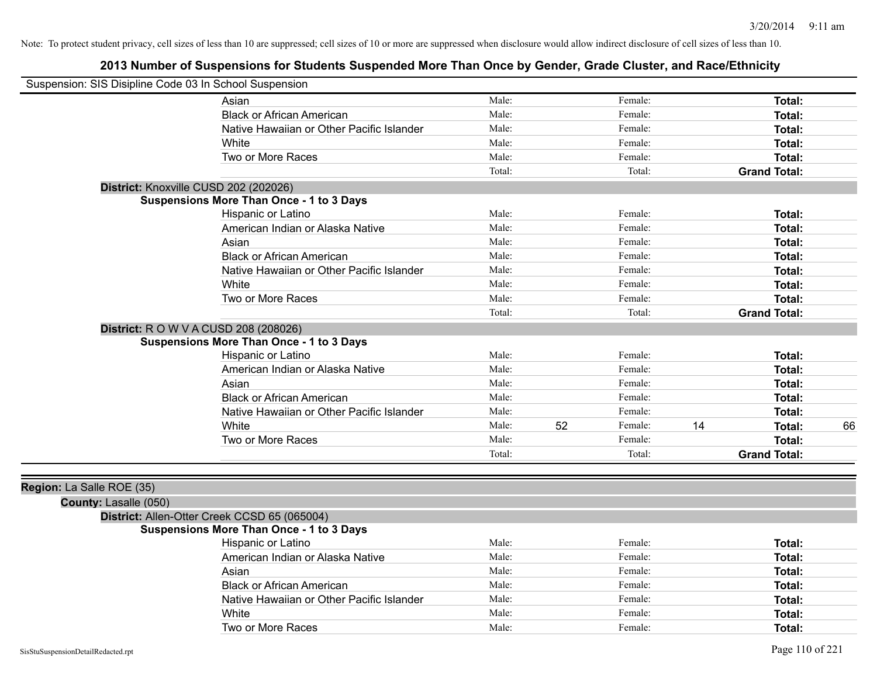| Suspension: SIS Disipline Code 03 In School Suspension |                                                                                          |        |    |         |    |                     |    |
|--------------------------------------------------------|------------------------------------------------------------------------------------------|--------|----|---------|----|---------------------|----|
|                                                        | Asian                                                                                    | Male:  |    | Female: |    | <b>Total:</b>       |    |
|                                                        | <b>Black or African American</b>                                                         | Male:  |    | Female: |    | Total:              |    |
|                                                        | Native Hawaiian or Other Pacific Islander                                                | Male:  |    | Female: |    | <b>Total:</b>       |    |
|                                                        | White                                                                                    | Male:  |    | Female: |    | Total:              |    |
|                                                        | Two or More Races                                                                        | Male:  |    | Female: |    | Total:              |    |
|                                                        |                                                                                          | Total: |    | Total:  |    | <b>Grand Total:</b> |    |
| District: Knoxville CUSD 202 (202026)                  |                                                                                          |        |    |         |    |                     |    |
|                                                        | <b>Suspensions More Than Once - 1 to 3 Days</b>                                          |        |    |         |    |                     |    |
|                                                        | Hispanic or Latino                                                                       | Male:  |    | Female: |    | Total:              |    |
|                                                        | American Indian or Alaska Native                                                         | Male:  |    | Female: |    | Total:              |    |
|                                                        | Asian                                                                                    | Male:  |    | Female: |    | Total:              |    |
|                                                        | <b>Black or African American</b>                                                         | Male:  |    | Female: |    | Total:              |    |
|                                                        | Native Hawaiian or Other Pacific Islander                                                | Male:  |    | Female: |    | Total:              |    |
|                                                        | White                                                                                    | Male:  |    | Female: |    | Total:              |    |
|                                                        | Two or More Races                                                                        | Male:  |    | Female: |    | Total:              |    |
|                                                        |                                                                                          | Total: |    | Total:  |    | <b>Grand Total:</b> |    |
|                                                        | District: R O W V A CUSD 208 (208026)<br><b>Suspensions More Than Once - 1 to 3 Days</b> |        |    |         |    |                     |    |
|                                                        | Hispanic or Latino                                                                       | Male:  |    | Female: |    | Total:              |    |
|                                                        | American Indian or Alaska Native                                                         | Male:  |    | Female: |    | Total:              |    |
|                                                        | Asian                                                                                    | Male:  |    | Female: |    | <b>Total:</b>       |    |
|                                                        | <b>Black or African American</b>                                                         | Male:  |    | Female: |    | Total:              |    |
|                                                        | Native Hawaiian or Other Pacific Islander                                                | Male:  |    | Female: |    | <b>Total:</b>       |    |
|                                                        | White                                                                                    | Male:  | 52 | Female: | 14 | Total:              | 66 |
|                                                        | Two or More Races                                                                        | Male:  |    | Female: |    | Total:              |    |
|                                                        |                                                                                          | Total: |    | Total:  |    | <b>Grand Total:</b> |    |
| Region: La Salle ROE (35)<br>County: Lasalle (050)     |                                                                                          |        |    |         |    |                     |    |
|                                                        | District: Allen-Otter Creek CCSD 65 (065004)                                             |        |    |         |    |                     |    |
|                                                        | <b>Suspensions More Than Once - 1 to 3 Days</b>                                          |        |    |         |    |                     |    |
|                                                        | Hispanic or Latino                                                                       | Male:  |    | Female: |    | Total:              |    |
|                                                        | American Indian or Alaska Native                                                         | Male:  |    | Female: |    | <b>Total:</b>       |    |
|                                                        | Asian                                                                                    | Male:  |    | Female: |    | Total:              |    |
|                                                        | <b>Black or African American</b>                                                         | Male:  |    | Female: |    | Total:              |    |
|                                                        | Native Hawaiian or Other Pacific Islander                                                | Male:  |    | Female: |    | Total:              |    |
|                                                        | White                                                                                    | Male:  |    | Female: |    | Total:              |    |
|                                                        | Two or More Races                                                                        | Male:  |    | Female: |    | Total:              |    |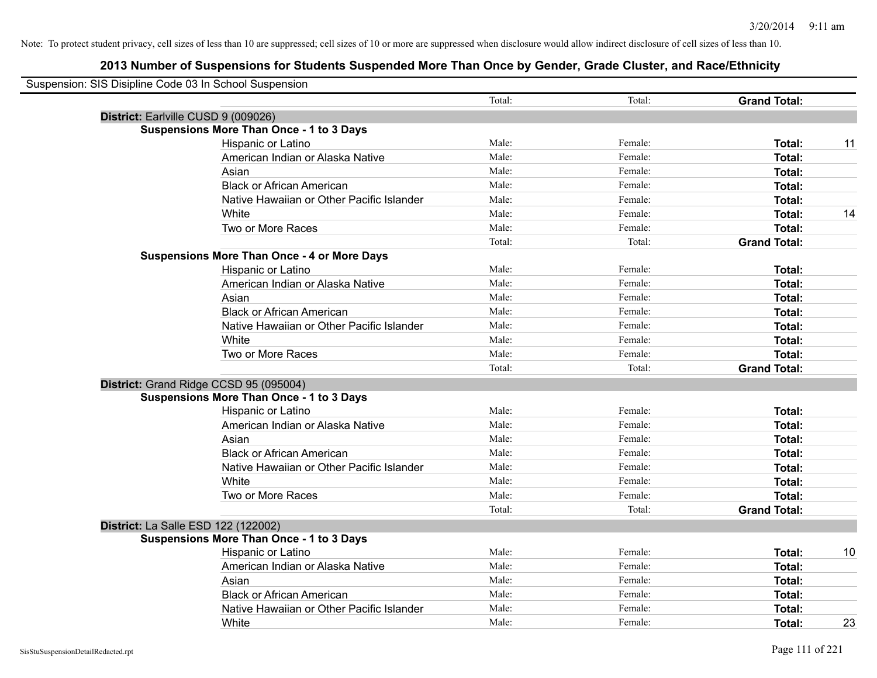| Suspension: SIS Disipline Code 03 In School Suspension |                                                    |        |         |                     |    |
|--------------------------------------------------------|----------------------------------------------------|--------|---------|---------------------|----|
|                                                        |                                                    | Total: | Total:  | <b>Grand Total:</b> |    |
|                                                        | District: Earlville CUSD 9 (009026)                |        |         |                     |    |
|                                                        | <b>Suspensions More Than Once - 1 to 3 Days</b>    |        |         |                     |    |
|                                                        | Hispanic or Latino                                 | Male:  | Female: | Total:              | 11 |
|                                                        | American Indian or Alaska Native                   | Male:  | Female: | Total:              |    |
|                                                        | Asian                                              | Male:  | Female: | Total:              |    |
|                                                        | <b>Black or African American</b>                   | Male:  | Female: | Total:              |    |
|                                                        | Native Hawaiian or Other Pacific Islander          | Male:  | Female: | Total:              |    |
|                                                        | White                                              | Male:  | Female: | Total:              | 14 |
|                                                        | Two or More Races                                  | Male:  | Female: | Total:              |    |
|                                                        |                                                    | Total: | Total:  | <b>Grand Total:</b> |    |
|                                                        | <b>Suspensions More Than Once - 4 or More Days</b> |        |         |                     |    |
|                                                        | Hispanic or Latino                                 | Male:  | Female: | Total:              |    |
|                                                        | American Indian or Alaska Native                   | Male:  | Female: | Total:              |    |
|                                                        | Asian                                              | Male:  | Female: | Total:              |    |
|                                                        | <b>Black or African American</b>                   | Male:  | Female: | Total:              |    |
|                                                        | Native Hawaiian or Other Pacific Islander          | Male:  | Female: | Total:              |    |
|                                                        | White                                              | Male:  | Female: | Total:              |    |
|                                                        | Two or More Races                                  | Male:  | Female: | Total:              |    |
|                                                        |                                                    | Total: | Total:  | <b>Grand Total:</b> |    |
|                                                        | District: Grand Ridge CCSD 95 (095004)             |        |         |                     |    |
|                                                        | <b>Suspensions More Than Once - 1 to 3 Days</b>    |        |         |                     |    |
|                                                        | Hispanic or Latino                                 | Male:  | Female: | Total:              |    |
|                                                        | American Indian or Alaska Native                   | Male:  | Female: | Total:              |    |
|                                                        | Asian                                              | Male:  | Female: | Total:              |    |
|                                                        | <b>Black or African American</b>                   | Male:  | Female: | Total:              |    |
|                                                        | Native Hawaiian or Other Pacific Islander          | Male:  | Female: | Total:              |    |
|                                                        | <b>White</b>                                       | Male:  | Female: | Total:              |    |
|                                                        | Two or More Races                                  | Male:  | Female: | Total:              |    |
|                                                        |                                                    | Total: | Total:  | <b>Grand Total:</b> |    |
|                                                        | <b>District: La Salle ESD 122 (122002)</b>         |        |         |                     |    |
|                                                        | <b>Suspensions More Than Once - 1 to 3 Days</b>    |        |         |                     |    |
|                                                        | Hispanic or Latino                                 | Male:  | Female: | Total:              | 10 |
|                                                        | American Indian or Alaska Native                   | Male:  | Female: | Total:              |    |
|                                                        | Asian                                              | Male:  | Female: | Total:              |    |
|                                                        | <b>Black or African American</b>                   | Male:  | Female: | Total:              |    |
|                                                        | Native Hawaiian or Other Pacific Islander          | Male:  | Female: | Total:              |    |
|                                                        | White                                              | Male:  | Female: | Total:              | 23 |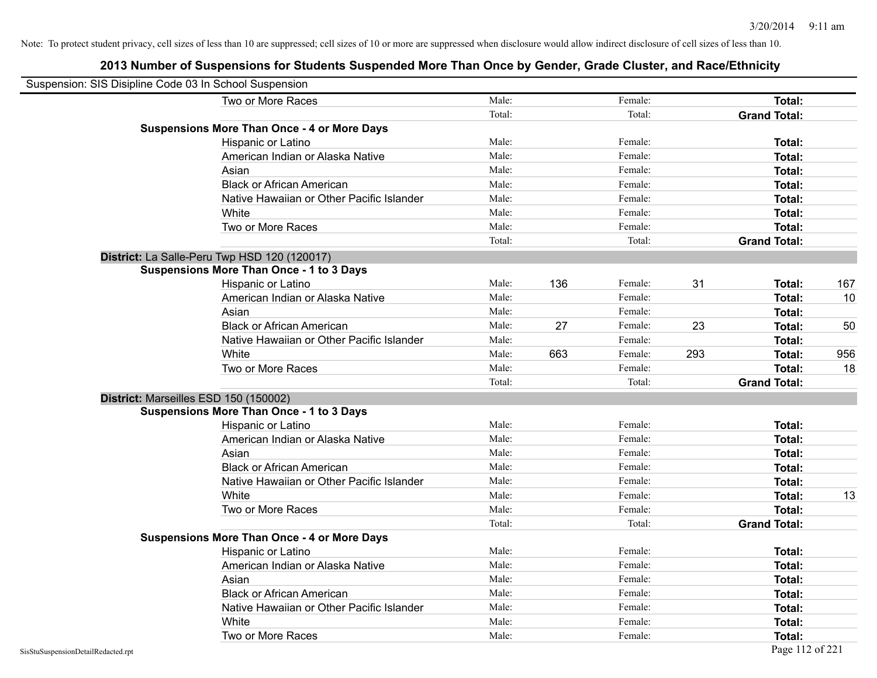| Suspension: SIS Disipline Code 03 In School Suspension |                                                    |        |     |         |     |                     |                 |
|--------------------------------------------------------|----------------------------------------------------|--------|-----|---------|-----|---------------------|-----------------|
|                                                        | Two or More Races                                  | Male:  |     | Female: |     | Total:              |                 |
|                                                        |                                                    | Total: |     | Total:  |     | <b>Grand Total:</b> |                 |
|                                                        | <b>Suspensions More Than Once - 4 or More Days</b> |        |     |         |     |                     |                 |
|                                                        | Hispanic or Latino                                 | Male:  |     | Female: |     | Total:              |                 |
|                                                        | American Indian or Alaska Native                   | Male:  |     | Female: |     | Total:              |                 |
|                                                        | Asian                                              | Male:  |     | Female: |     | Total:              |                 |
|                                                        | <b>Black or African American</b>                   | Male:  |     | Female: |     | Total:              |                 |
|                                                        | Native Hawaiian or Other Pacific Islander          | Male:  |     | Female: |     | Total:              |                 |
|                                                        | White                                              | Male:  |     | Female: |     | Total:              |                 |
|                                                        | Two or More Races                                  | Male:  |     | Female: |     | Total:              |                 |
|                                                        |                                                    | Total: |     | Total:  |     | <b>Grand Total:</b> |                 |
|                                                        | District: La Salle-Peru Twp HSD 120 (120017)       |        |     |         |     |                     |                 |
|                                                        | <b>Suspensions More Than Once - 1 to 3 Days</b>    |        |     |         |     |                     |                 |
|                                                        | Hispanic or Latino                                 | Male:  | 136 | Female: | 31  | Total:              | 167             |
|                                                        | American Indian or Alaska Native                   | Male:  |     | Female: |     | Total:              | 10 <sup>°</sup> |
|                                                        | Asian                                              | Male:  |     | Female: |     | Total:              |                 |
|                                                        | <b>Black or African American</b>                   | Male:  | 27  | Female: | 23  | Total:              | 50              |
|                                                        | Native Hawaiian or Other Pacific Islander          | Male:  |     | Female: |     | Total:              |                 |
|                                                        | White                                              | Male:  | 663 | Female: | 293 | Total:              | 956             |
|                                                        | Two or More Races                                  | Male:  |     | Female: |     | Total:              | 18              |
|                                                        |                                                    | Total: |     | Total:  |     | <b>Grand Total:</b> |                 |
|                                                        | District: Marseilles ESD 150 (150002)              |        |     |         |     |                     |                 |
|                                                        | <b>Suspensions More Than Once - 1 to 3 Days</b>    |        |     |         |     |                     |                 |
|                                                        | Hispanic or Latino                                 | Male:  |     | Female: |     | Total:              |                 |
|                                                        | American Indian or Alaska Native                   | Male:  |     | Female: |     | Total:              |                 |
|                                                        | Asian                                              | Male:  |     | Female: |     | Total:              |                 |
|                                                        | <b>Black or African American</b>                   | Male:  |     | Female: |     | Total:              |                 |
|                                                        | Native Hawaiian or Other Pacific Islander          | Male:  |     | Female: |     | Total:              |                 |
|                                                        | White                                              | Male:  |     | Female: |     | Total:              | 13              |
|                                                        | Two or More Races                                  | Male:  |     | Female: |     | Total:              |                 |
|                                                        |                                                    | Total: |     | Total:  |     | <b>Grand Total:</b> |                 |
|                                                        | <b>Suspensions More Than Once - 4 or More Days</b> |        |     |         |     |                     |                 |
|                                                        | Hispanic or Latino                                 | Male:  |     | Female: |     | Total:              |                 |
|                                                        | American Indian or Alaska Native                   | Male:  |     | Female: |     | Total:              |                 |
|                                                        | Asian                                              | Male:  |     | Female: |     | Total:              |                 |
|                                                        | <b>Black or African American</b>                   | Male:  |     | Female: |     | Total:              |                 |
|                                                        | Native Hawaiian or Other Pacific Islander          | Male:  |     | Female: |     | Total:              |                 |
|                                                        | White                                              | Male:  |     | Female: |     | Total:              |                 |
|                                                        | Two or More Races                                  | Male:  |     | Female: |     | Total:              |                 |
| SisStuSuspensionDetailRedacted.rpt                     |                                                    |        |     |         |     | Page 112 of 221     |                 |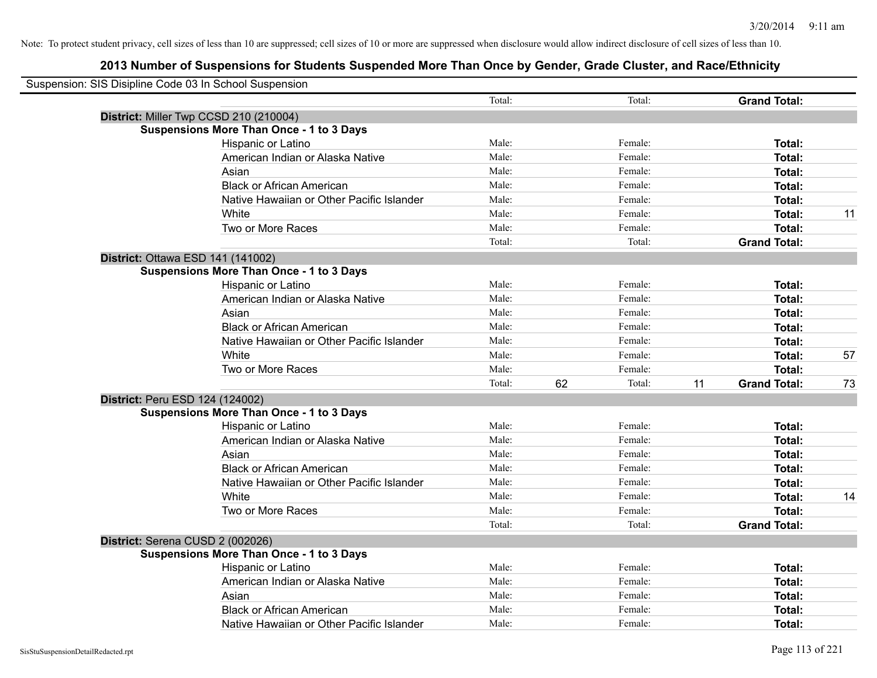| Suspension: SIS Disipline Code 03 In School Suspension |                                                 |        |              |    |                     |    |
|--------------------------------------------------------|-------------------------------------------------|--------|--------------|----|---------------------|----|
|                                                        |                                                 | Total: | Total:       |    | <b>Grand Total:</b> |    |
| District: Miller Twp CCSD 210 (210004)                 |                                                 |        |              |    |                     |    |
|                                                        | <b>Suspensions More Than Once - 1 to 3 Days</b> |        |              |    |                     |    |
|                                                        | Hispanic or Latino                              | Male:  | Female:      |    | Total:              |    |
|                                                        | American Indian or Alaska Native                | Male:  | Female:      |    | Total:              |    |
|                                                        | Asian                                           | Male:  | Female:      |    | Total:              |    |
|                                                        | <b>Black or African American</b>                | Male:  | Female:      |    | Total:              |    |
|                                                        | Native Hawaiian or Other Pacific Islander       | Male:  | Female:      |    | Total:              |    |
|                                                        | White                                           | Male:  | Female:      |    | Total:              | 11 |
|                                                        | Two or More Races                               | Male:  | Female:      |    | Total:              |    |
|                                                        |                                                 | Total: | Total:       |    | <b>Grand Total:</b> |    |
| District: Ottawa ESD 141 (141002)                      |                                                 |        |              |    |                     |    |
|                                                        | <b>Suspensions More Than Once - 1 to 3 Days</b> |        |              |    |                     |    |
|                                                        | Hispanic or Latino                              | Male:  | Female:      |    | Total:              |    |
|                                                        | American Indian or Alaska Native                | Male:  | Female:      |    | Total:              |    |
|                                                        | Asian                                           | Male:  | Female:      |    | Total:              |    |
|                                                        | <b>Black or African American</b>                | Male:  | Female:      |    | Total:              |    |
|                                                        | Native Hawaiian or Other Pacific Islander       | Male:  | Female:      |    | Total:              |    |
|                                                        | White                                           | Male:  | Female:      |    | Total:              | 57 |
|                                                        | Two or More Races                               | Male:  | Female:      |    | Total:              |    |
|                                                        |                                                 | Total: | Total:<br>62 | 11 | <b>Grand Total:</b> | 73 |
| District: Peru ESD 124 (124002)                        |                                                 |        |              |    |                     |    |
|                                                        | <b>Suspensions More Than Once - 1 to 3 Days</b> |        |              |    |                     |    |
|                                                        | Hispanic or Latino                              | Male:  | Female:      |    | Total:              |    |
|                                                        | American Indian or Alaska Native                | Male:  | Female:      |    | Total:              |    |
|                                                        | Asian                                           | Male:  | Female:      |    | Total:              |    |
|                                                        | <b>Black or African American</b>                | Male:  | Female:      |    | Total:              |    |
|                                                        | Native Hawaiian or Other Pacific Islander       | Male:  | Female:      |    | Total:              |    |
|                                                        | White                                           | Male:  | Female:      |    | Total:              | 14 |
|                                                        | Two or More Races                               | Male:  | Female:      |    | Total:              |    |
|                                                        |                                                 | Total: | Total:       |    | <b>Grand Total:</b> |    |
| District: Serena CUSD 2 (002026)                       |                                                 |        |              |    |                     |    |
|                                                        | <b>Suspensions More Than Once - 1 to 3 Days</b> |        |              |    |                     |    |
|                                                        | Hispanic or Latino                              | Male:  | Female:      |    | Total:              |    |
|                                                        | American Indian or Alaska Native                | Male:  | Female:      |    | Total:              |    |
|                                                        | Asian                                           | Male:  | Female:      |    | Total:              |    |
|                                                        | <b>Black or African American</b>                | Male:  | Female:      |    | Total:              |    |
|                                                        | Native Hawaiian or Other Pacific Islander       | Male:  | Female:      |    | Total:              |    |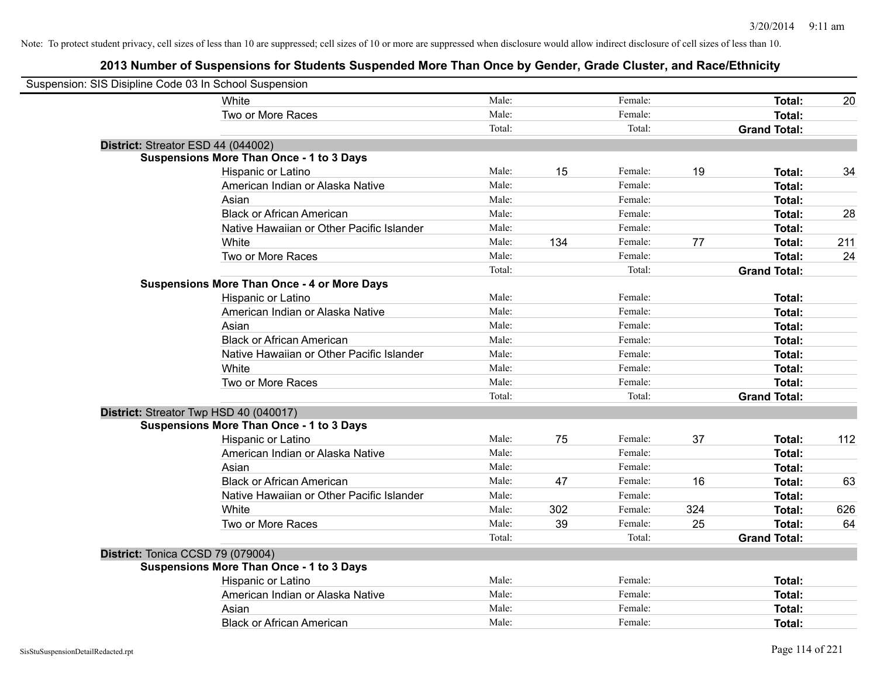| Suspension: SIS Disipline Code 03 In School Suspension |                                                    |        |     |         |     |                     |     |
|--------------------------------------------------------|----------------------------------------------------|--------|-----|---------|-----|---------------------|-----|
|                                                        | White                                              | Male:  |     | Female: |     | Total:              | 20  |
|                                                        | Two or More Races                                  | Male:  |     | Female: |     | Total:              |     |
|                                                        |                                                    | Total: |     | Total:  |     | <b>Grand Total:</b> |     |
| District: Streator ESD 44 (044002)                     |                                                    |        |     |         |     |                     |     |
|                                                        | <b>Suspensions More Than Once - 1 to 3 Days</b>    |        |     |         |     |                     |     |
|                                                        | Hispanic or Latino                                 | Male:  | 15  | Female: | 19  | Total:              | 34  |
|                                                        | American Indian or Alaska Native                   | Male:  |     | Female: |     | Total:              |     |
|                                                        | Asian                                              | Male:  |     | Female: |     | Total:              |     |
|                                                        | <b>Black or African American</b>                   | Male:  |     | Female: |     | Total:              | 28  |
|                                                        | Native Hawaiian or Other Pacific Islander          | Male:  |     | Female: |     | Total:              |     |
|                                                        | White                                              | Male:  | 134 | Female: | 77  | <b>Total:</b>       | 211 |
|                                                        | Two or More Races                                  | Male:  |     | Female: |     | <b>Total:</b>       | 24  |
|                                                        |                                                    | Total: |     | Total:  |     | <b>Grand Total:</b> |     |
|                                                        | <b>Suspensions More Than Once - 4 or More Days</b> |        |     |         |     |                     |     |
|                                                        | Hispanic or Latino                                 | Male:  |     | Female: |     | <b>Total:</b>       |     |
|                                                        | American Indian or Alaska Native                   | Male:  |     | Female: |     | <b>Total:</b>       |     |
|                                                        | Asian                                              | Male:  |     | Female: |     | Total:              |     |
|                                                        | <b>Black or African American</b>                   | Male:  |     | Female: |     | Total:              |     |
|                                                        | Native Hawaiian or Other Pacific Islander          | Male:  |     | Female: |     | Total:              |     |
|                                                        | White                                              | Male:  |     | Female: |     | Total:              |     |
|                                                        | Two or More Races                                  | Male:  |     | Female: |     | Total:              |     |
|                                                        |                                                    | Total: |     | Total:  |     | <b>Grand Total:</b> |     |
| District: Streator Twp HSD 40 (040017)                 |                                                    |        |     |         |     |                     |     |
|                                                        | <b>Suspensions More Than Once - 1 to 3 Days</b>    |        |     |         |     |                     |     |
|                                                        | Hispanic or Latino                                 | Male:  | 75  | Female: | 37  | Total:              | 112 |
|                                                        | American Indian or Alaska Native                   | Male:  |     | Female: |     | <b>Total:</b>       |     |
|                                                        | Asian                                              | Male:  |     | Female: |     | Total:              |     |
|                                                        | <b>Black or African American</b>                   | Male:  | 47  | Female: | 16  | Total:              | 63  |
|                                                        | Native Hawaiian or Other Pacific Islander          | Male:  |     | Female: |     | Total:              |     |
|                                                        | White                                              | Male:  | 302 | Female: | 324 | Total:              | 626 |
|                                                        | Two or More Races                                  | Male:  | 39  | Female: | 25  | <b>Total:</b>       | 64  |
|                                                        |                                                    | Total: |     | Total:  |     | <b>Grand Total:</b> |     |
| District: Tonica CCSD 79 (079004)                      |                                                    |        |     |         |     |                     |     |
|                                                        | <b>Suspensions More Than Once - 1 to 3 Days</b>    |        |     |         |     |                     |     |
|                                                        | Hispanic or Latino                                 | Male:  |     | Female: |     | Total:              |     |
|                                                        | American Indian or Alaska Native                   | Male:  |     | Female: |     | <b>Total:</b>       |     |
|                                                        | Asian                                              | Male:  |     | Female: |     | <b>Total:</b>       |     |
|                                                        | <b>Black or African American</b>                   | Male:  |     | Female: |     | Total:              |     |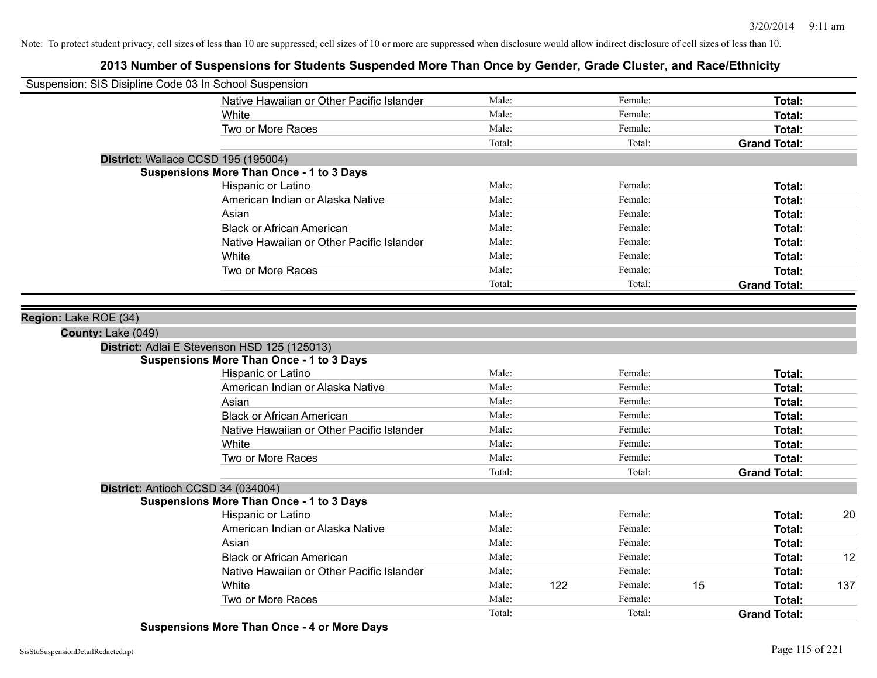# **2013 Number of Suspensions for Students Suspended More Than Once by Gender, Grade Cluster, and Race/Ethnicity**

| Suspension: SIS Disipline Code 03 In School Suspension |        |     |         |    |                     |     |
|--------------------------------------------------------|--------|-----|---------|----|---------------------|-----|
| Native Hawaiian or Other Pacific Islander              | Male:  |     | Female: |    | Total:              |     |
| <b>White</b>                                           | Male:  |     | Female: |    | Total:              |     |
| Two or More Races                                      | Male:  |     | Female: |    | Total:              |     |
|                                                        | Total: |     | Total:  |    | <b>Grand Total:</b> |     |
| District: Wallace CCSD 195 (195004)                    |        |     |         |    |                     |     |
| <b>Suspensions More Than Once - 1 to 3 Days</b>        |        |     |         |    |                     |     |
| Hispanic or Latino                                     | Male:  |     | Female: |    | Total:              |     |
| American Indian or Alaska Native                       | Male:  |     | Female: |    | Total:              |     |
| Asian                                                  | Male:  |     | Female: |    | Total:              |     |
| <b>Black or African American</b>                       | Male:  |     | Female: |    | Total:              |     |
| Native Hawaiian or Other Pacific Islander              | Male:  |     | Female: |    | Total:              |     |
| White                                                  | Male:  |     | Female: |    | Total:              |     |
| Two or More Races                                      | Male:  |     | Female: |    | Total:              |     |
|                                                        | Total: |     | Total:  |    | <b>Grand Total:</b> |     |
|                                                        |        |     |         |    |                     |     |
| Region: Lake ROE (34)                                  |        |     |         |    |                     |     |
| County: Lake (049)                                     |        |     |         |    |                     |     |
| District: Adlai E Stevenson HSD 125 (125013)           |        |     |         |    |                     |     |
| <b>Suspensions More Than Once - 1 to 3 Days</b>        |        |     |         |    |                     |     |
| Hispanic or Latino                                     | Male:  |     | Female: |    | Total:              |     |
| American Indian or Alaska Native                       | Male:  |     | Female: |    | Total:              |     |
| Asian                                                  | Male:  |     | Female: |    | Total:              |     |
| <b>Black or African American</b>                       | Male:  |     | Female: |    | Total:              |     |
| Native Hawaiian or Other Pacific Islander              | Male:  |     | Female: |    | Total:              |     |
| White                                                  | Male:  |     | Female: |    | Total:              |     |
| Two or More Races                                      | Male:  |     | Female: |    | Total:              |     |
|                                                        | Total: |     | Total:  |    | <b>Grand Total:</b> |     |
| District: Antioch CCSD 34 (034004)                     |        |     |         |    |                     |     |
| <b>Suspensions More Than Once - 1 to 3 Days</b>        |        |     |         |    |                     |     |
| Hispanic or Latino                                     | Male:  |     | Female: |    | Total:              | 20  |
| American Indian or Alaska Native                       | Male:  |     | Female: |    | Total:              |     |
| Asian                                                  | Male:  |     | Female: |    | Total:              |     |
| <b>Black or African American</b>                       | Male:  |     | Female: |    | Total:              | 12  |
| Native Hawaiian or Other Pacific Islander              | Male:  |     | Female: |    | Total:              |     |
| White                                                  | Male:  | 122 | Female: | 15 | Total:              | 137 |
| Two or More Races                                      | Male:  |     | Female: |    | Total:              |     |
|                                                        | Total: |     | Total:  |    | <b>Grand Total:</b> |     |

**Suspensions More Than Once - 4 or More Days**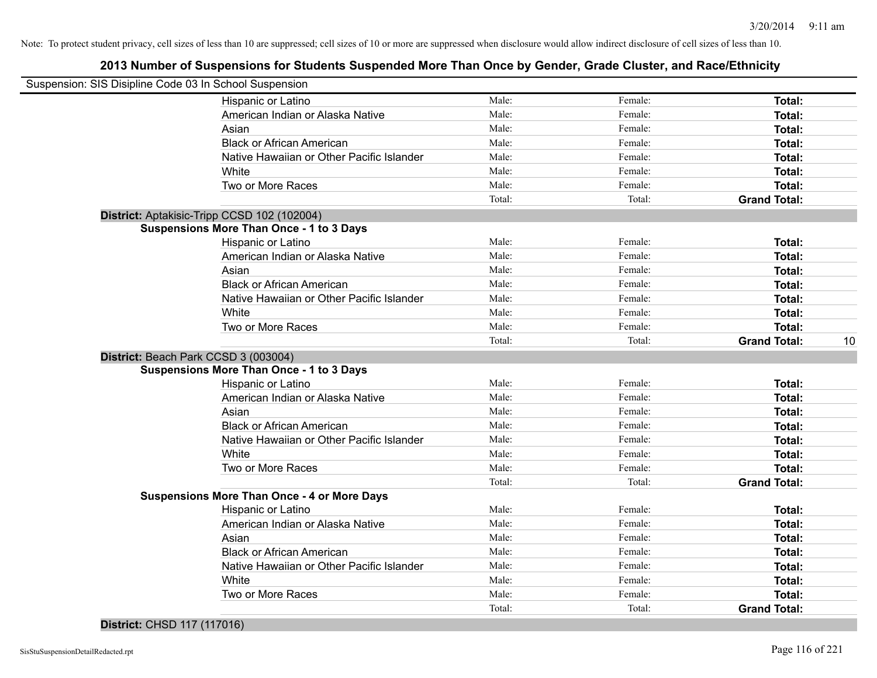# **2013 Number of Suspensions for Students Suspended More Than Once by Gender, Grade Cluster, and Race/Ethnicity**

| Suspension: SIS Disipline Code 03 In School Suspension |                                                    |                 |                   |                               |    |
|--------------------------------------------------------|----------------------------------------------------|-----------------|-------------------|-------------------------------|----|
|                                                        | Hispanic or Latino                                 | Male:           | Female:           | Total:                        |    |
|                                                        | American Indian or Alaska Native                   | Male:           | Female:           | Total:                        |    |
|                                                        | Asian                                              | Male:           | Female:           | Total:                        |    |
|                                                        | <b>Black or African American</b>                   | Male:           | Female:           | Total:                        |    |
|                                                        | Native Hawaiian or Other Pacific Islander          | Male:           | Female:           | Total:                        |    |
|                                                        | White                                              | Male:           | Female:           | Total:                        |    |
|                                                        | Two or More Races                                  | Male:           | Female:           | Total:                        |    |
|                                                        |                                                    | Total:          | Total:            | <b>Grand Total:</b>           |    |
|                                                        | District: Aptakisic-Tripp CCSD 102 (102004)        |                 |                   |                               |    |
|                                                        | <b>Suspensions More Than Once - 1 to 3 Days</b>    |                 |                   |                               |    |
|                                                        | Hispanic or Latino                                 | Male:           | Female:           | Total:                        |    |
|                                                        | American Indian or Alaska Native                   | Male:           | Female:           | Total:                        |    |
|                                                        | Asian                                              | Male:           | Female:           | Total:                        |    |
|                                                        | <b>Black or African American</b>                   | Male:           | Female:           | Total:                        |    |
|                                                        | Native Hawaiian or Other Pacific Islander          | Male:           | Female:           | Total:                        |    |
|                                                        | White                                              | Male:           | Female:           | Total:                        |    |
|                                                        | Two or More Races                                  | Male:           | Female:           | Total:                        |    |
|                                                        |                                                    | Total:          | Total:            | <b>Grand Total:</b>           | 10 |
|                                                        |                                                    |                 |                   |                               |    |
| District: Beach Park CCSD 3 (003004)                   |                                                    |                 |                   |                               |    |
|                                                        | <b>Suspensions More Than Once - 1 to 3 Days</b>    |                 |                   |                               |    |
|                                                        | Hispanic or Latino                                 | Male:           | Female:           | Total:                        |    |
|                                                        | American Indian or Alaska Native                   | Male:           | Female:           | Total:                        |    |
|                                                        | Asian                                              | Male:           | Female:           | Total:                        |    |
|                                                        | <b>Black or African American</b>                   | Male:           | Female:           | Total:                        |    |
|                                                        | Native Hawaiian or Other Pacific Islander          | Male:           | Female:           | Total:                        |    |
|                                                        | White                                              | Male:           | Female:           | Total:                        |    |
|                                                        | Two or More Races                                  | Male:           | Female:           | Total:                        |    |
|                                                        |                                                    | Total:          | Total:            | <b>Grand Total:</b>           |    |
|                                                        | <b>Suspensions More Than Once - 4 or More Days</b> |                 |                   |                               |    |
|                                                        | Hispanic or Latino                                 | Male:           | Female:           | Total:                        |    |
|                                                        | American Indian or Alaska Native                   | Male:           | Female:           | Total:                        |    |
|                                                        | Asian                                              | Male:           | Female:           | Total:                        |    |
|                                                        | <b>Black or African American</b>                   | Male:           | Female:           | Total:                        |    |
|                                                        | Native Hawaiian or Other Pacific Islander          | Male:           | Female:           | Total:                        |    |
|                                                        | White                                              | Male:           | Female:           | Total:                        |    |
|                                                        | Two or More Races                                  | Male:<br>Total: | Female:<br>Total: | Total:<br><b>Grand Total:</b> |    |

## **District:** CHSD 117 (117016)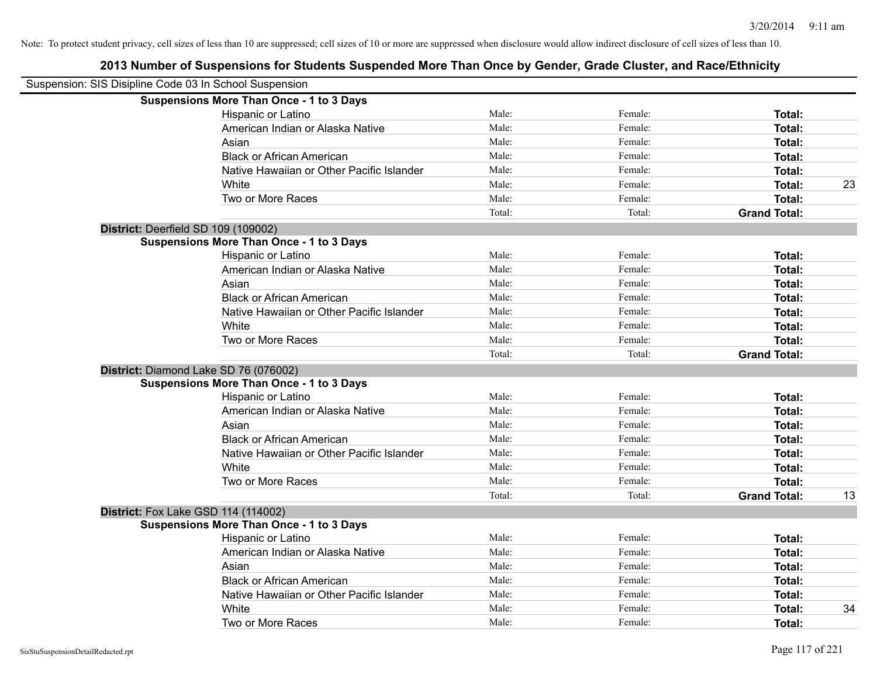| Suspension: SIS Disipline Code 03 In School Suspension |                                                 |        |         |                     |    |
|--------------------------------------------------------|-------------------------------------------------|--------|---------|---------------------|----|
|                                                        | <b>Suspensions More Than Once - 1 to 3 Days</b> |        |         |                     |    |
|                                                        | Hispanic or Latino                              | Male:  | Female: | Total:              |    |
|                                                        | American Indian or Alaska Native                | Male:  | Female: | <b>Total:</b>       |    |
|                                                        | Asian                                           | Male:  | Female: | <b>Total:</b>       |    |
|                                                        | <b>Black or African American</b>                | Male:  | Female: | <b>Total:</b>       |    |
|                                                        | Native Hawaiian or Other Pacific Islander       | Male:  | Female: | <b>Total:</b>       |    |
|                                                        | White                                           | Male:  | Female: | Total:              | 23 |
|                                                        | Two or More Races                               | Male:  | Female: | <b>Total:</b>       |    |
|                                                        |                                                 | Total: | Total:  | <b>Grand Total:</b> |    |
|                                                        | District: Deerfield SD 109 (109002)             |        |         |                     |    |
|                                                        | <b>Suspensions More Than Once - 1 to 3 Days</b> |        |         |                     |    |
|                                                        | Hispanic or Latino                              | Male:  | Female: | <b>Total:</b>       |    |
|                                                        | American Indian or Alaska Native                | Male:  | Female: | <b>Total:</b>       |    |
|                                                        | Asian                                           | Male:  | Female: | <b>Total:</b>       |    |
|                                                        | <b>Black or African American</b>                | Male:  | Female: | <b>Total:</b>       |    |
|                                                        | Native Hawaiian or Other Pacific Islander       | Male:  | Female: | <b>Total:</b>       |    |
|                                                        | White                                           | Male:  | Female: | Total:              |    |
|                                                        | Two or More Races                               | Male:  | Female: | <b>Total:</b>       |    |
|                                                        |                                                 | Total: | Total:  | <b>Grand Total:</b> |    |
|                                                        | District: Diamond Lake SD 76 (076002)           |        |         |                     |    |
|                                                        | <b>Suspensions More Than Once - 1 to 3 Days</b> |        |         |                     |    |
|                                                        | Hispanic or Latino                              | Male:  | Female: | <b>Total:</b>       |    |
|                                                        | American Indian or Alaska Native                | Male:  | Female: | <b>Total:</b>       |    |
|                                                        | Asian                                           | Male:  | Female: | Total:              |    |
|                                                        | <b>Black or African American</b>                | Male:  | Female: | Total:              |    |
|                                                        | Native Hawaiian or Other Pacific Islander       | Male:  | Female: | <b>Total:</b>       |    |
|                                                        | White                                           | Male:  | Female: | <b>Total:</b>       |    |
|                                                        | Two or More Races                               | Male:  | Female: | <b>Total:</b>       |    |
|                                                        |                                                 | Total: | Total:  | <b>Grand Total:</b> | 13 |
|                                                        | District: Fox Lake GSD 114 (114002)             |        |         |                     |    |
|                                                        | <b>Suspensions More Than Once - 1 to 3 Days</b> |        |         |                     |    |
|                                                        | Hispanic or Latino                              | Male:  | Female: | Total:              |    |
|                                                        | American Indian or Alaska Native                | Male:  | Female: | Total:              |    |
|                                                        | Asian                                           | Male:  | Female: | <b>Total:</b>       |    |
|                                                        | <b>Black or African American</b>                | Male:  | Female: | <b>Total:</b>       |    |
|                                                        | Native Hawaiian or Other Pacific Islander       | Male:  | Female: | <b>Total:</b>       |    |
|                                                        | White                                           | Male:  | Female: | <b>Total:</b>       | 34 |
|                                                        | Two or More Races                               | Male:  | Female: | Total:              |    |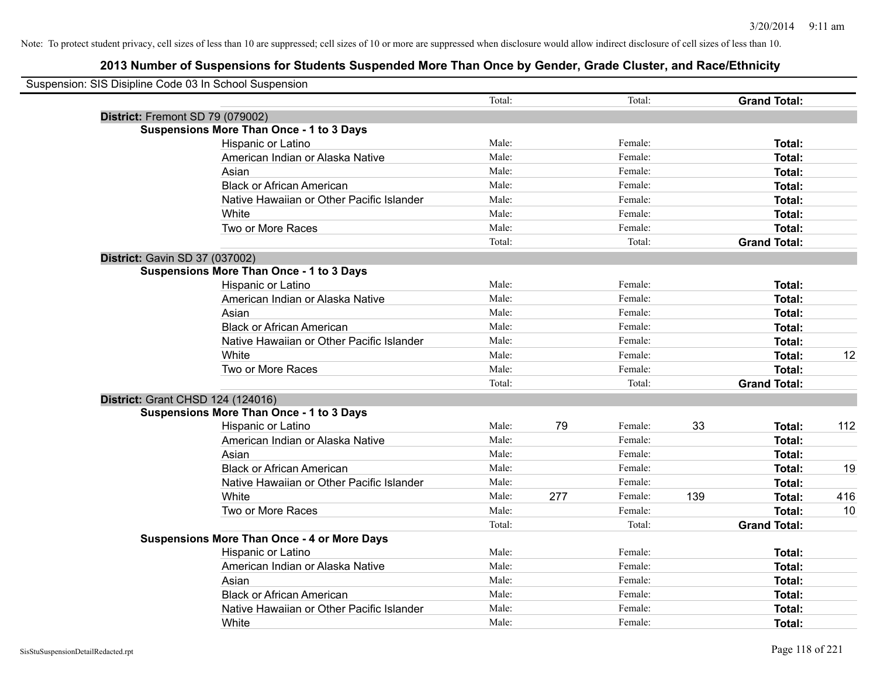| Suspension: SIS Disipline Code 03 In School Suspension |                                                    |        |     |         |     |                     |     |
|--------------------------------------------------------|----------------------------------------------------|--------|-----|---------|-----|---------------------|-----|
|                                                        |                                                    | Total: |     | Total:  |     | <b>Grand Total:</b> |     |
|                                                        | District: Fremont SD 79 (079002)                   |        |     |         |     |                     |     |
|                                                        | <b>Suspensions More Than Once - 1 to 3 Days</b>    |        |     |         |     |                     |     |
|                                                        | Hispanic or Latino                                 | Male:  |     | Female: |     | Total:              |     |
|                                                        | American Indian or Alaska Native                   | Male:  |     | Female: |     | Total:              |     |
|                                                        | Asian                                              | Male:  |     | Female: |     | <b>Total:</b>       |     |
|                                                        | <b>Black or African American</b>                   | Male:  |     | Female: |     | Total:              |     |
|                                                        | Native Hawaiian or Other Pacific Islander          | Male:  |     | Female: |     | Total:              |     |
|                                                        | White                                              | Male:  |     | Female: |     | Total:              |     |
|                                                        | Two or More Races                                  | Male:  |     | Female: |     | Total:              |     |
|                                                        |                                                    | Total: |     | Total:  |     | <b>Grand Total:</b> |     |
|                                                        | District: Gavin SD 37 (037002)                     |        |     |         |     |                     |     |
|                                                        | <b>Suspensions More Than Once - 1 to 3 Days</b>    |        |     |         |     |                     |     |
|                                                        | Hispanic or Latino                                 | Male:  |     | Female: |     | Total:              |     |
|                                                        | American Indian or Alaska Native                   | Male:  |     | Female: |     | Total:              |     |
|                                                        | Asian                                              | Male:  |     | Female: |     | Total:              |     |
|                                                        | <b>Black or African American</b>                   | Male:  |     | Female: |     | Total:              |     |
|                                                        | Native Hawaiian or Other Pacific Islander          | Male:  |     | Female: |     | Total:              |     |
|                                                        | White                                              | Male:  |     | Female: |     | Total:              | 12  |
|                                                        | Two or More Races                                  | Male:  |     | Female: |     | Total:              |     |
|                                                        |                                                    | Total: |     | Total:  |     | <b>Grand Total:</b> |     |
|                                                        | District: Grant CHSD 124 (124016)                  |        |     |         |     |                     |     |
|                                                        | <b>Suspensions More Than Once - 1 to 3 Days</b>    |        |     |         |     |                     |     |
|                                                        | Hispanic or Latino                                 | Male:  | 79  | Female: | 33  | Total:              | 112 |
|                                                        | American Indian or Alaska Native                   | Male:  |     | Female: |     | Total:              |     |
|                                                        | Asian                                              | Male:  |     | Female: |     | Total:              |     |
|                                                        | <b>Black or African American</b>                   | Male:  |     | Female: |     | Total:              | 19  |
|                                                        | Native Hawaiian or Other Pacific Islander          | Male:  |     | Female: |     | Total:              |     |
|                                                        | White                                              | Male:  | 277 | Female: | 139 | Total:              | 416 |
|                                                        | Two or More Races                                  | Male:  |     | Female: |     | Total:              | 10  |
|                                                        |                                                    | Total: |     | Total:  |     | <b>Grand Total:</b> |     |
|                                                        | <b>Suspensions More Than Once - 4 or More Days</b> |        |     |         |     |                     |     |
|                                                        | Hispanic or Latino                                 | Male:  |     | Female: |     | Total:              |     |
|                                                        | American Indian or Alaska Native                   | Male:  |     | Female: |     | <b>Total:</b>       |     |
|                                                        | Asian                                              | Male:  |     | Female: |     | Total:              |     |
|                                                        | <b>Black or African American</b>                   | Male:  |     | Female: |     | Total:              |     |
|                                                        | Native Hawaiian or Other Pacific Islander          | Male:  |     | Female: |     | <b>Total:</b>       |     |
|                                                        | White                                              | Male:  |     | Female: |     | Total:              |     |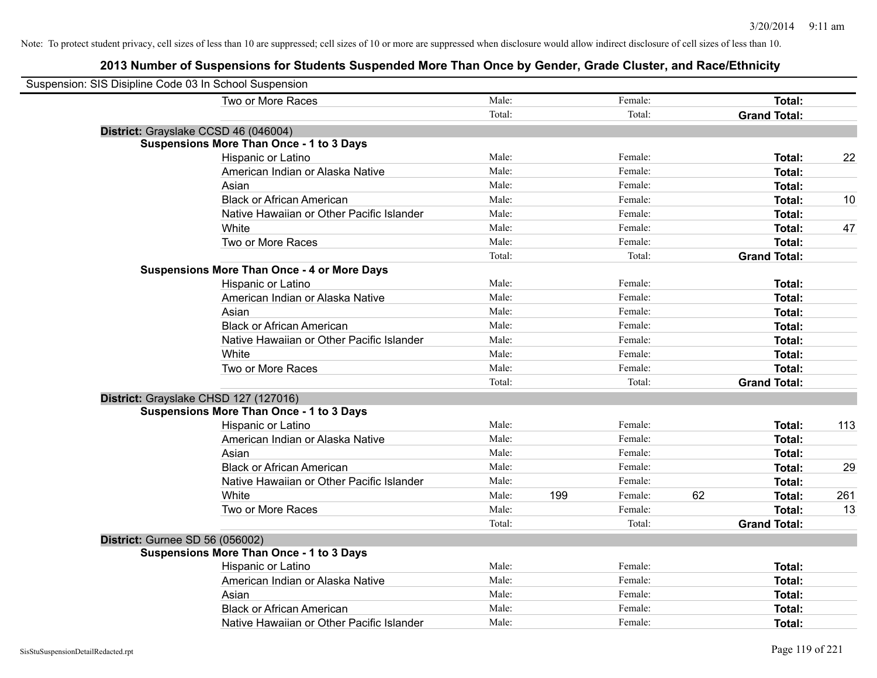| Suspension: SIS Disipline Code 03 In School Suspension |                                                    |        |     |         |    |                     |     |
|--------------------------------------------------------|----------------------------------------------------|--------|-----|---------|----|---------------------|-----|
|                                                        | Two or More Races                                  | Male:  |     | Female: |    | Total:              |     |
|                                                        |                                                    | Total: |     | Total:  |    | <b>Grand Total:</b> |     |
|                                                        | District: Grayslake CCSD 46 (046004)               |        |     |         |    |                     |     |
|                                                        | <b>Suspensions More Than Once - 1 to 3 Days</b>    |        |     |         |    |                     |     |
|                                                        | Hispanic or Latino                                 | Male:  |     | Female: |    | Total:              | 22  |
|                                                        | American Indian or Alaska Native                   | Male:  |     | Female: |    | Total:              |     |
|                                                        | Asian                                              | Male:  |     | Female: |    | Total:              |     |
|                                                        | <b>Black or African American</b>                   | Male:  |     | Female: |    | Total:              | 10  |
|                                                        | Native Hawaiian or Other Pacific Islander          | Male:  |     | Female: |    | Total:              |     |
|                                                        | White                                              | Male:  |     | Female: |    | Total:              | 47  |
|                                                        | Two or More Races                                  | Male:  |     | Female: |    | Total:              |     |
|                                                        |                                                    | Total: |     | Total:  |    | <b>Grand Total:</b> |     |
|                                                        | <b>Suspensions More Than Once - 4 or More Days</b> |        |     |         |    |                     |     |
|                                                        | Hispanic or Latino                                 | Male:  |     | Female: |    | Total:              |     |
|                                                        | American Indian or Alaska Native                   | Male:  |     | Female: |    | Total:              |     |
|                                                        | Asian                                              | Male:  |     | Female: |    | Total:              |     |
|                                                        | <b>Black or African American</b>                   | Male:  |     | Female: |    | Total:              |     |
|                                                        | Native Hawaiian or Other Pacific Islander          | Male:  |     | Female: |    | Total:              |     |
|                                                        | White                                              | Male:  |     | Female: |    | Total:              |     |
|                                                        | Two or More Races                                  | Male:  |     | Female: |    | Total:              |     |
|                                                        |                                                    | Total: |     | Total:  |    | <b>Grand Total:</b> |     |
|                                                        | District: Grayslake CHSD 127 (127016)              |        |     |         |    |                     |     |
|                                                        | <b>Suspensions More Than Once - 1 to 3 Days</b>    |        |     |         |    |                     |     |
|                                                        | Hispanic or Latino                                 | Male:  |     | Female: |    | Total:              | 113 |
|                                                        | American Indian or Alaska Native                   | Male:  |     | Female: |    | Total:              |     |
|                                                        | Asian                                              | Male:  |     | Female: |    | Total:              |     |
|                                                        | <b>Black or African American</b>                   | Male:  |     | Female: |    | Total:              | 29  |
|                                                        | Native Hawaiian or Other Pacific Islander          | Male:  |     | Female: |    | Total:              |     |
|                                                        | White                                              | Male:  | 199 | Female: | 62 | Total:              | 261 |
|                                                        | Two or More Races                                  | Male:  |     | Female: |    | Total:              | 13  |
|                                                        |                                                    | Total: |     | Total:  |    | <b>Grand Total:</b> |     |
| <b>District: Gurnee SD 56 (056002)</b>                 |                                                    |        |     |         |    |                     |     |
|                                                        | <b>Suspensions More Than Once - 1 to 3 Days</b>    |        |     |         |    |                     |     |
|                                                        | Hispanic or Latino                                 | Male:  |     | Female: |    | Total:              |     |
|                                                        | American Indian or Alaska Native                   | Male:  |     | Female: |    | Total:              |     |
|                                                        | Asian                                              | Male:  |     | Female: |    | Total:              |     |
|                                                        | <b>Black or African American</b>                   | Male:  |     | Female: |    | Total:              |     |
|                                                        | Native Hawaiian or Other Pacific Islander          | Male:  |     | Female: |    | Total:              |     |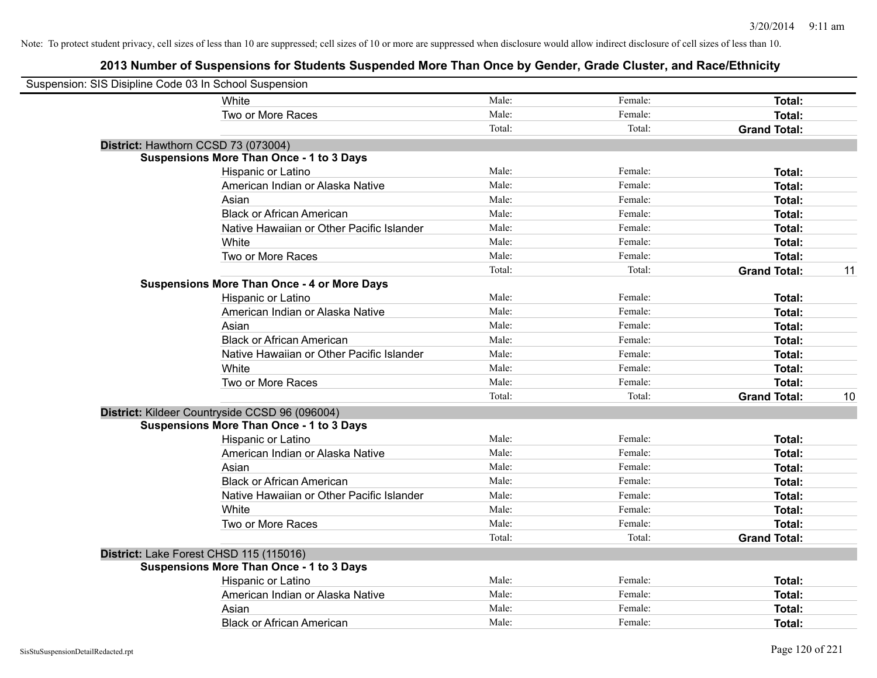| Suspension: SIS Disipline Code 03 In School Suspension |                                                    |        |         |                     |    |
|--------------------------------------------------------|----------------------------------------------------|--------|---------|---------------------|----|
|                                                        | White                                              | Male:  | Female: | Total:              |    |
|                                                        | Two or More Races                                  | Male:  | Female: | Total:              |    |
|                                                        |                                                    | Total: | Total:  | <b>Grand Total:</b> |    |
| District: Hawthorn CCSD 73 (073004)                    |                                                    |        |         |                     |    |
|                                                        | <b>Suspensions More Than Once - 1 to 3 Days</b>    |        |         |                     |    |
|                                                        | Hispanic or Latino                                 | Male:  | Female: | Total:              |    |
|                                                        | American Indian or Alaska Native                   | Male:  | Female: | Total:              |    |
|                                                        | Asian                                              | Male:  | Female: | Total:              |    |
|                                                        | <b>Black or African American</b>                   | Male:  | Female: | Total:              |    |
|                                                        | Native Hawaiian or Other Pacific Islander          | Male:  | Female: | Total:              |    |
|                                                        | White                                              | Male:  | Female: | Total:              |    |
|                                                        | Two or More Races                                  | Male:  | Female: | Total:              |    |
|                                                        |                                                    | Total: | Total:  | <b>Grand Total:</b> | 11 |
|                                                        | <b>Suspensions More Than Once - 4 or More Days</b> |        |         |                     |    |
|                                                        | Hispanic or Latino                                 | Male:  | Female: | Total:              |    |
|                                                        | American Indian or Alaska Native                   | Male:  | Female: | Total:              |    |
|                                                        | Asian                                              | Male:  | Female: | Total:              |    |
|                                                        | <b>Black or African American</b>                   | Male:  | Female: | Total:              |    |
|                                                        | Native Hawaiian or Other Pacific Islander          | Male:  | Female: | Total:              |    |
|                                                        | White                                              | Male:  | Female: | Total:              |    |
|                                                        | Two or More Races                                  | Male:  | Female: | Total:              |    |
|                                                        |                                                    | Total: | Total:  | <b>Grand Total:</b> | 10 |
|                                                        | District: Kildeer Countryside CCSD 96 (096004)     |        |         |                     |    |
|                                                        | <b>Suspensions More Than Once - 1 to 3 Days</b>    |        |         |                     |    |
|                                                        | Hispanic or Latino                                 | Male:  | Female: | Total:              |    |
|                                                        | American Indian or Alaska Native                   | Male:  | Female: | Total:              |    |
|                                                        | Asian                                              | Male:  | Female: | Total:              |    |
|                                                        | <b>Black or African American</b>                   | Male:  | Female: | Total:              |    |
|                                                        | Native Hawaiian or Other Pacific Islander          | Male:  | Female: | Total:              |    |
|                                                        | <b>White</b>                                       | Male:  | Female: | Total:              |    |
|                                                        | Two or More Races                                  | Male:  | Female: | Total:              |    |
|                                                        |                                                    | Total: | Total:  | <b>Grand Total:</b> |    |
| District: Lake Forest CHSD 115 (115016)                |                                                    |        |         |                     |    |
|                                                        | <b>Suspensions More Than Once - 1 to 3 Days</b>    |        |         |                     |    |
|                                                        | Hispanic or Latino                                 | Male:  | Female: | Total:              |    |
|                                                        | American Indian or Alaska Native                   | Male:  | Female: | Total:              |    |
|                                                        | Asian                                              | Male:  | Female: | Total:              |    |
|                                                        | <b>Black or African American</b>                   | Male:  | Female: | Total:              |    |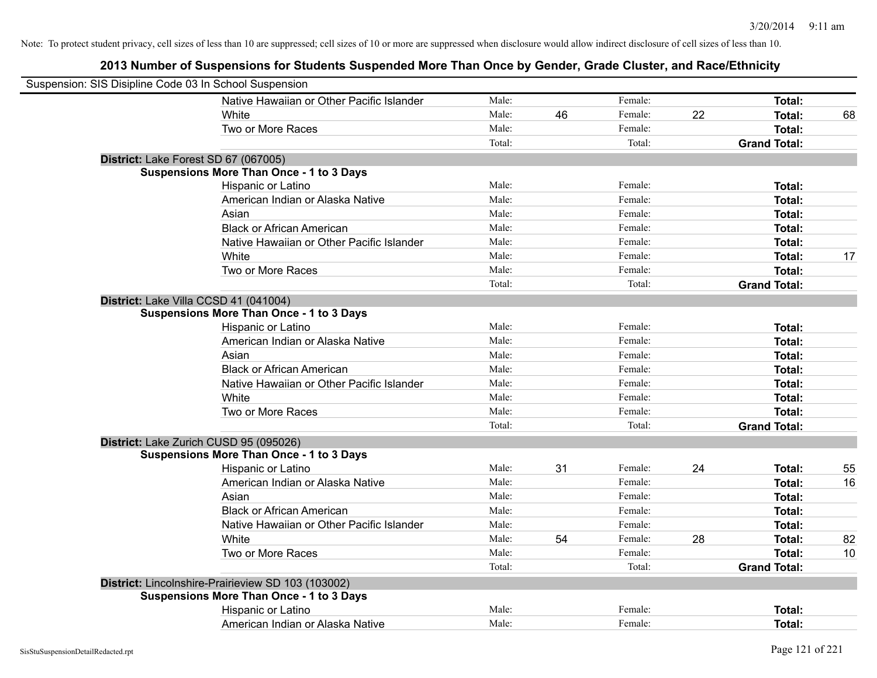| Suspension: SIS Disipline Code 03 In School Suspension |                                                    |        |    |         |    |                     |    |
|--------------------------------------------------------|----------------------------------------------------|--------|----|---------|----|---------------------|----|
|                                                        | Native Hawaiian or Other Pacific Islander          | Male:  |    | Female: |    | Total:              |    |
|                                                        | White                                              | Male:  | 46 | Female: | 22 | Total:              | 68 |
|                                                        | Two or More Races                                  | Male:  |    | Female: |    | <b>Total:</b>       |    |
|                                                        |                                                    | Total: |    | Total:  |    | <b>Grand Total:</b> |    |
|                                                        | District: Lake Forest SD 67 (067005)               |        |    |         |    |                     |    |
|                                                        | <b>Suspensions More Than Once - 1 to 3 Days</b>    |        |    |         |    |                     |    |
|                                                        | Hispanic or Latino                                 | Male:  |    | Female: |    | Total:              |    |
|                                                        | American Indian or Alaska Native                   | Male:  |    | Female: |    | Total:              |    |
|                                                        | Asian                                              | Male:  |    | Female: |    | Total:              |    |
|                                                        | <b>Black or African American</b>                   | Male:  |    | Female: |    | Total:              |    |
|                                                        | Native Hawaiian or Other Pacific Islander          | Male:  |    | Female: |    | Total:              |    |
|                                                        | White                                              | Male:  |    | Female: |    | <b>Total:</b>       | 17 |
|                                                        | Two or More Races                                  | Male:  |    | Female: |    | <b>Total:</b>       |    |
|                                                        |                                                    | Total: |    | Total:  |    | <b>Grand Total:</b> |    |
|                                                        | District: Lake Villa CCSD 41 (041004)              |        |    |         |    |                     |    |
|                                                        | <b>Suspensions More Than Once - 1 to 3 Days</b>    |        |    |         |    |                     |    |
|                                                        | Hispanic or Latino                                 | Male:  |    | Female: |    | <b>Total:</b>       |    |
|                                                        | American Indian or Alaska Native                   | Male:  |    | Female: |    | <b>Total:</b>       |    |
|                                                        | Asian                                              | Male:  |    | Female: |    | <b>Total:</b>       |    |
|                                                        | <b>Black or African American</b>                   | Male:  |    | Female: |    | Total:              |    |
|                                                        | Native Hawaiian or Other Pacific Islander          | Male:  |    | Female: |    | <b>Total:</b>       |    |
|                                                        | White                                              | Male:  |    | Female: |    | Total:              |    |
|                                                        | Two or More Races                                  | Male:  |    | Female: |    | Total:              |    |
|                                                        |                                                    | Total: |    | Total:  |    | <b>Grand Total:</b> |    |
|                                                        | District: Lake Zurich CUSD 95 (095026)             |        |    |         |    |                     |    |
|                                                        | <b>Suspensions More Than Once - 1 to 3 Days</b>    |        |    |         |    |                     |    |
|                                                        | Hispanic or Latino                                 | Male:  | 31 | Female: | 24 | <b>Total:</b>       | 55 |
|                                                        | American Indian or Alaska Native                   | Male:  |    | Female: |    | <b>Total:</b>       | 16 |
|                                                        | Asian                                              | Male:  |    | Female: |    | <b>Total:</b>       |    |
|                                                        | <b>Black or African American</b>                   | Male:  |    | Female: |    | Total:              |    |
|                                                        | Native Hawaiian or Other Pacific Islander          | Male:  |    | Female: |    | <b>Total:</b>       |    |
|                                                        | White                                              | Male:  | 54 | Female: | 28 | Total:              | 82 |
|                                                        | Two or More Races                                  | Male:  |    | Female: |    | Total:              | 10 |
|                                                        |                                                    | Total: |    | Total:  |    | <b>Grand Total:</b> |    |
|                                                        | District: Lincolnshire-Prairieview SD 103 (103002) |        |    |         |    |                     |    |
|                                                        | <b>Suspensions More Than Once - 1 to 3 Days</b>    |        |    |         |    |                     |    |
|                                                        | Hispanic or Latino                                 | Male:  |    | Female: |    | Total:              |    |
|                                                        | American Indian or Alaska Native                   | Male:  |    | Female: |    | Total:              |    |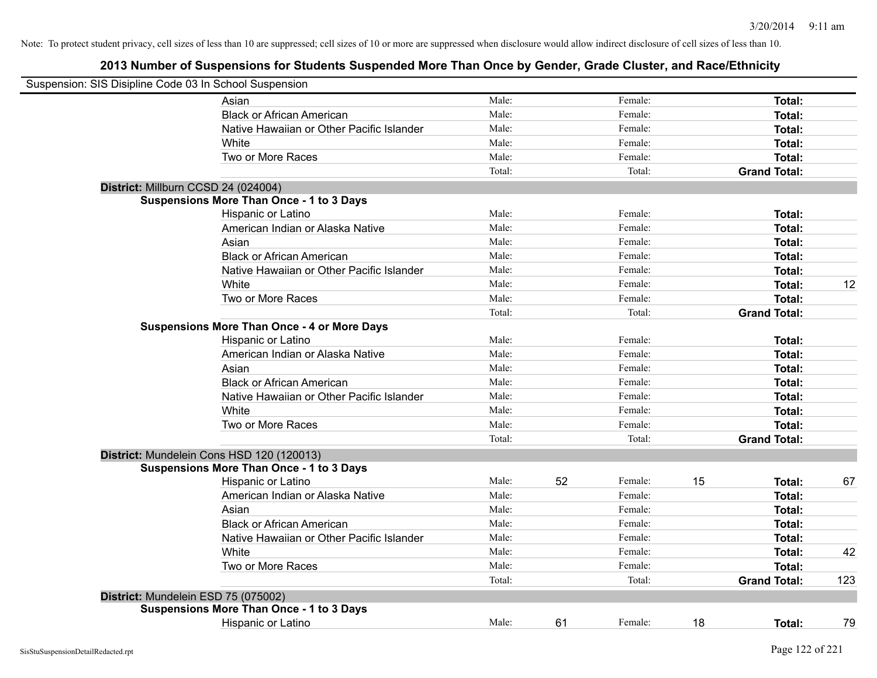| Suspension: SIS Disipline Code 03 In School Suspension |                                                    |        |    |         |    |                     |     |
|--------------------------------------------------------|----------------------------------------------------|--------|----|---------|----|---------------------|-----|
|                                                        | Asian                                              | Male:  |    | Female: |    | Total:              |     |
|                                                        | <b>Black or African American</b>                   | Male:  |    | Female: |    | Total:              |     |
|                                                        | Native Hawaiian or Other Pacific Islander          | Male:  |    | Female: |    | Total:              |     |
|                                                        | White                                              | Male:  |    | Female: |    | Total:              |     |
|                                                        | Two or More Races                                  | Male:  |    | Female: |    | Total:              |     |
|                                                        |                                                    | Total: |    | Total:  |    | <b>Grand Total:</b> |     |
|                                                        | District: Millburn CCSD 24 (024004)                |        |    |         |    |                     |     |
|                                                        | <b>Suspensions More Than Once - 1 to 3 Days</b>    |        |    |         |    |                     |     |
|                                                        | Hispanic or Latino                                 | Male:  |    | Female: |    | Total:              |     |
|                                                        | American Indian or Alaska Native                   | Male:  |    | Female: |    | Total:              |     |
|                                                        | Asian                                              | Male:  |    | Female: |    | Total:              |     |
|                                                        | <b>Black or African American</b>                   | Male:  |    | Female: |    | Total:              |     |
|                                                        | Native Hawaiian or Other Pacific Islander          | Male:  |    | Female: |    | Total:              |     |
|                                                        | White                                              | Male:  |    | Female: |    | Total:              | 12  |
|                                                        | Two or More Races                                  | Male:  |    | Female: |    | Total:              |     |
|                                                        |                                                    | Total: |    | Total:  |    | <b>Grand Total:</b> |     |
|                                                        | <b>Suspensions More Than Once - 4 or More Days</b> |        |    |         |    |                     |     |
|                                                        | Hispanic or Latino                                 | Male:  |    | Female: |    | Total:              |     |
|                                                        | American Indian or Alaska Native                   | Male:  |    | Female: |    | Total:              |     |
|                                                        | Asian                                              | Male:  |    | Female: |    | Total:              |     |
|                                                        | <b>Black or African American</b>                   | Male:  |    | Female: |    | Total:              |     |
|                                                        | Native Hawaiian or Other Pacific Islander          | Male:  |    | Female: |    | Total:              |     |
|                                                        | White                                              | Male:  |    | Female: |    | Total:              |     |
|                                                        | Two or More Races                                  | Male:  |    | Female: |    | Total:              |     |
|                                                        |                                                    | Total: |    | Total:  |    | <b>Grand Total:</b> |     |
|                                                        | District: Mundelein Cons HSD 120 (120013)          |        |    |         |    |                     |     |
|                                                        | <b>Suspensions More Than Once - 1 to 3 Days</b>    |        |    |         |    |                     |     |
|                                                        | Hispanic or Latino                                 | Male:  | 52 | Female: | 15 | Total:              | 67  |
|                                                        | American Indian or Alaska Native                   | Male:  |    | Female: |    | Total:              |     |
|                                                        | Asian                                              | Male:  |    | Female: |    | Total:              |     |
|                                                        | <b>Black or African American</b>                   | Male:  |    | Female: |    | Total:              |     |
|                                                        | Native Hawaiian or Other Pacific Islander          | Male:  |    | Female: |    | Total:              |     |
|                                                        | White                                              | Male:  |    | Female: |    | Total:              | 42  |
|                                                        | Two or More Races                                  | Male:  |    | Female: |    | <b>Total:</b>       |     |
|                                                        |                                                    | Total: |    | Total:  |    | <b>Grand Total:</b> | 123 |
|                                                        | District: Mundelein ESD 75 (075002)                |        |    |         |    |                     |     |
|                                                        | <b>Suspensions More Than Once - 1 to 3 Days</b>    |        |    |         |    |                     |     |
|                                                        | <b>Hispanic or Latino</b>                          | Male:  | 61 | Female: | 18 | Total:              | 79  |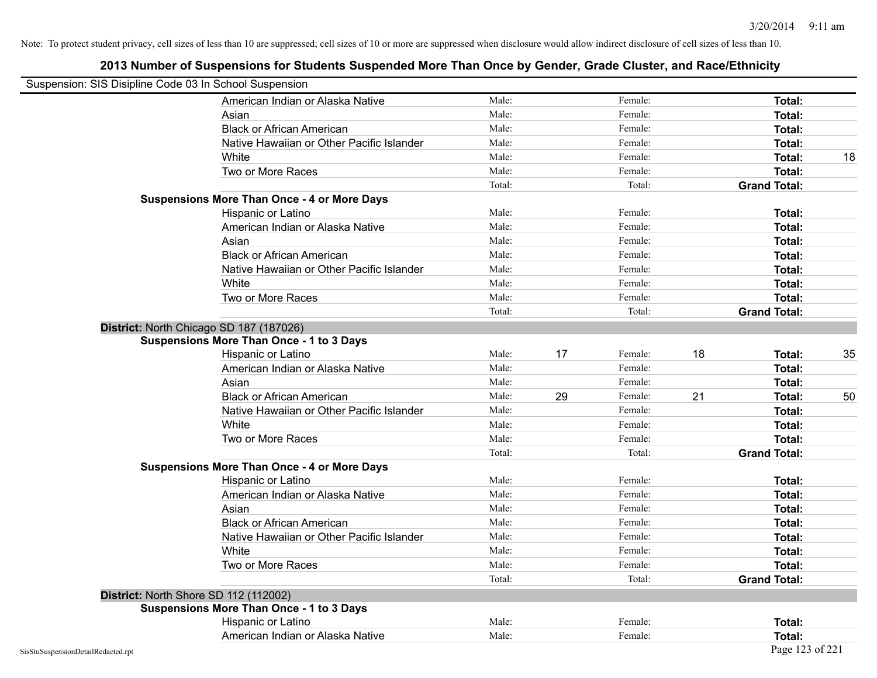| Suspension: SIS Disipline Code 03 In School Suspension |                                                    |        |    |         |    |                     |    |
|--------------------------------------------------------|----------------------------------------------------|--------|----|---------|----|---------------------|----|
|                                                        | American Indian or Alaska Native                   | Male:  |    | Female: |    | Total:              |    |
|                                                        | Asian                                              | Male:  |    | Female: |    | Total:              |    |
|                                                        | <b>Black or African American</b>                   | Male:  |    | Female: |    | Total:              |    |
|                                                        | Native Hawaiian or Other Pacific Islander          | Male:  |    | Female: |    | Total:              |    |
|                                                        | White                                              | Male:  |    | Female: |    | Total:              | 18 |
|                                                        | Two or More Races                                  | Male:  |    | Female: |    | <b>Total:</b>       |    |
|                                                        |                                                    | Total: |    | Total:  |    | <b>Grand Total:</b> |    |
|                                                        | <b>Suspensions More Than Once - 4 or More Days</b> |        |    |         |    |                     |    |
|                                                        | Hispanic or Latino                                 | Male:  |    | Female: |    | Total:              |    |
|                                                        | American Indian or Alaska Native                   | Male:  |    | Female: |    | <b>Total:</b>       |    |
|                                                        | Asian                                              | Male:  |    | Female: |    | Total:              |    |
|                                                        | <b>Black or African American</b>                   | Male:  |    | Female: |    | Total:              |    |
|                                                        | Native Hawaiian or Other Pacific Islander          | Male:  |    | Female: |    | Total:              |    |
|                                                        | White                                              | Male:  |    | Female: |    | Total:              |    |
|                                                        | Two or More Races                                  | Male:  |    | Female: |    | Total:              |    |
|                                                        |                                                    | Total: |    | Total:  |    | <b>Grand Total:</b> |    |
|                                                        | District: North Chicago SD 187 (187026)            |        |    |         |    |                     |    |
|                                                        | <b>Suspensions More Than Once - 1 to 3 Days</b>    |        |    |         |    |                     |    |
|                                                        | Hispanic or Latino                                 | Male:  | 17 | Female: | 18 | Total:              | 35 |
|                                                        | American Indian or Alaska Native                   | Male:  |    | Female: |    | Total:              |    |
|                                                        | Asian                                              | Male:  |    | Female: |    | Total:              |    |
|                                                        | <b>Black or African American</b>                   | Male:  | 29 | Female: | 21 | Total:              | 50 |
|                                                        | Native Hawaiian or Other Pacific Islander          | Male:  |    | Female: |    | <b>Total:</b>       |    |
|                                                        | White                                              | Male:  |    | Female: |    | <b>Total:</b>       |    |
|                                                        | Two or More Races                                  | Male:  |    | Female: |    | <b>Total:</b>       |    |
|                                                        |                                                    | Total: |    | Total:  |    | <b>Grand Total:</b> |    |
|                                                        | <b>Suspensions More Than Once - 4 or More Days</b> |        |    |         |    |                     |    |
|                                                        | Hispanic or Latino                                 | Male:  |    | Female: |    | Total:              |    |
|                                                        | American Indian or Alaska Native                   | Male:  |    | Female: |    | Total:              |    |
|                                                        | Asian                                              | Male:  |    | Female: |    | Total:              |    |
|                                                        | <b>Black or African American</b>                   | Male:  |    | Female: |    | Total:              |    |
|                                                        | Native Hawaiian or Other Pacific Islander          | Male:  |    | Female: |    | <b>Total:</b>       |    |
|                                                        | White                                              | Male:  |    | Female: |    | <b>Total:</b>       |    |
|                                                        | Two or More Races                                  | Male:  |    | Female: |    | Total:              |    |
|                                                        |                                                    | Total: |    | Total:  |    | <b>Grand Total:</b> |    |
|                                                        | District: North Shore SD 112 (112002)              |        |    |         |    |                     |    |
|                                                        | <b>Suspensions More Than Once - 1 to 3 Days</b>    |        |    |         |    |                     |    |
|                                                        | Hispanic or Latino                                 | Male:  |    | Female: |    | Total:              |    |
|                                                        | American Indian or Alaska Native                   | Male:  |    | Female: |    | Total:              |    |
| SisStuSuspensionDetailRedacted.rpt                     |                                                    |        |    |         |    | Page 123 of 221     |    |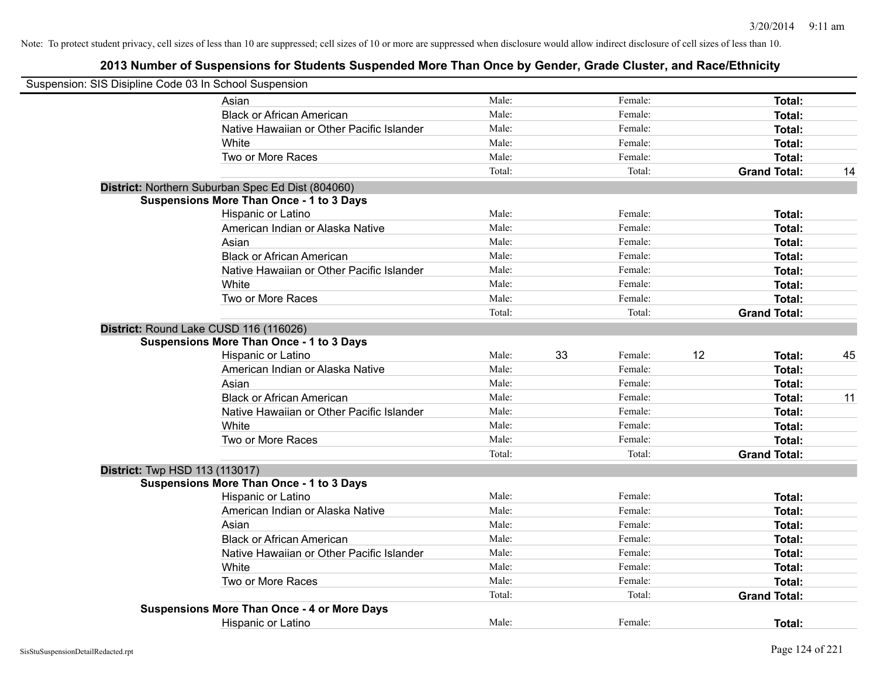| Suspension: SIS Disipline Code 03 In School Suspension |                                                    |        |    |         |    |                     |    |
|--------------------------------------------------------|----------------------------------------------------|--------|----|---------|----|---------------------|----|
|                                                        | Asian                                              | Male:  |    | Female: |    | Total:              |    |
|                                                        | <b>Black or African American</b>                   | Male:  |    | Female: |    | Total:              |    |
|                                                        | Native Hawaiian or Other Pacific Islander          | Male:  |    | Female: |    | Total:              |    |
|                                                        | White                                              | Male:  |    | Female: |    | Total:              |    |
|                                                        | Two or More Races                                  | Male:  |    | Female: |    | Total:              |    |
|                                                        |                                                    | Total: |    | Total:  |    | <b>Grand Total:</b> | 14 |
|                                                        | District: Northern Suburban Spec Ed Dist (804060)  |        |    |         |    |                     |    |
|                                                        | <b>Suspensions More Than Once - 1 to 3 Days</b>    |        |    |         |    |                     |    |
|                                                        | Hispanic or Latino                                 | Male:  |    | Female: |    | Total:              |    |
|                                                        | American Indian or Alaska Native                   | Male:  |    | Female: |    | Total:              |    |
|                                                        | Asian                                              | Male:  |    | Female: |    | Total:              |    |
|                                                        | <b>Black or African American</b>                   | Male:  |    | Female: |    | Total:              |    |
|                                                        | Native Hawaiian or Other Pacific Islander          | Male:  |    | Female: |    | Total:              |    |
|                                                        | White                                              | Male:  |    | Female: |    | Total:              |    |
|                                                        | Two or More Races                                  | Male:  |    | Female: |    | Total:              |    |
|                                                        |                                                    | Total: |    | Total:  |    | <b>Grand Total:</b> |    |
| District: Round Lake CUSD 116 (116026)                 |                                                    |        |    |         |    |                     |    |
|                                                        | <b>Suspensions More Than Once - 1 to 3 Days</b>    |        |    |         |    |                     |    |
|                                                        | Hispanic or Latino                                 | Male:  | 33 | Female: | 12 | Total:              | 45 |
|                                                        | American Indian or Alaska Native                   | Male:  |    | Female: |    | Total:              |    |
|                                                        | Asian                                              | Male:  |    | Female: |    | Total:              |    |
|                                                        | <b>Black or African American</b>                   | Male:  |    | Female: |    | Total:              | 11 |
|                                                        | Native Hawaiian or Other Pacific Islander          | Male:  |    | Female: |    | Total:              |    |
|                                                        | White                                              | Male:  |    | Female: |    | Total:              |    |
|                                                        | Two or More Races                                  | Male:  |    | Female: |    | Total:              |    |
|                                                        |                                                    | Total: |    | Total:  |    | <b>Grand Total:</b> |    |
| <b>District:</b> Twp HSD 113 (113017)                  |                                                    |        |    |         |    |                     |    |
|                                                        | <b>Suspensions More Than Once - 1 to 3 Days</b>    |        |    |         |    |                     |    |
|                                                        | Hispanic or Latino                                 | Male:  |    | Female: |    | Total:              |    |
|                                                        | American Indian or Alaska Native                   | Male:  |    | Female: |    | Total:              |    |
|                                                        | Asian                                              | Male:  |    | Female: |    | Total:              |    |
|                                                        | <b>Black or African American</b>                   | Male:  |    | Female: |    | Total:              |    |
|                                                        | Native Hawaiian or Other Pacific Islander          | Male:  |    | Female: |    | Total:              |    |
|                                                        | White                                              | Male:  |    | Female: |    | Total:              |    |
|                                                        | Two or More Races                                  | Male:  |    | Female: |    | Total:              |    |
|                                                        |                                                    | Total: |    | Total:  |    | <b>Grand Total:</b> |    |
|                                                        | <b>Suspensions More Than Once - 4 or More Days</b> |        |    |         |    |                     |    |
|                                                        | <b>Hispanic or Latino</b>                          | Male:  |    | Female: |    | Total:              |    |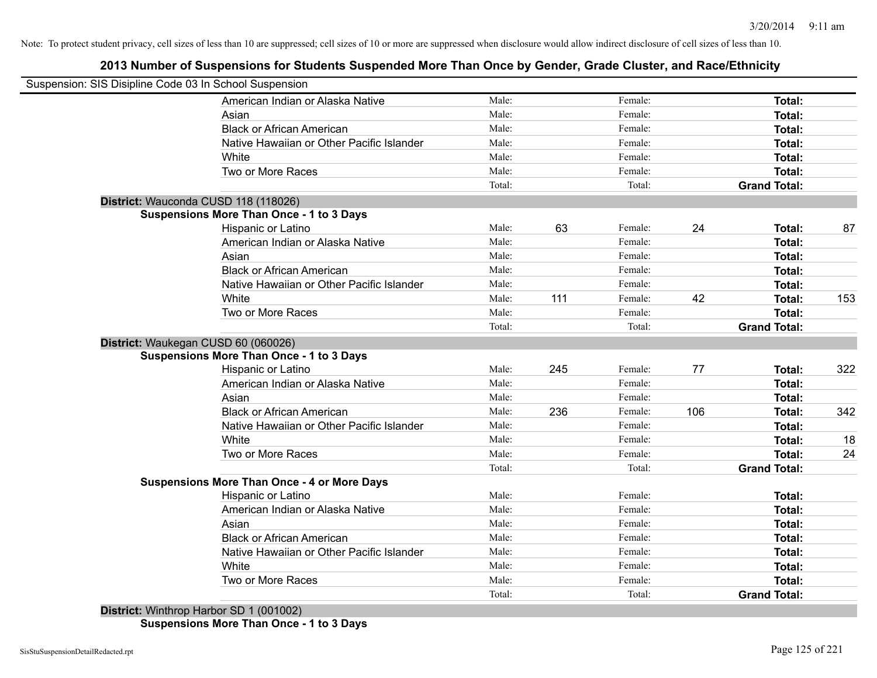# **2013 Number of Suspensions for Students Suspended More Than Once by Gender, Grade Cluster, and Race/Ethnicity**

| Suspension: SIS Disipline Code 03 In School Suspension |                                                    |        |     |         |     |                     |     |
|--------------------------------------------------------|----------------------------------------------------|--------|-----|---------|-----|---------------------|-----|
|                                                        | American Indian or Alaska Native                   | Male:  |     | Female: |     | Total:              |     |
|                                                        | Asian                                              | Male:  |     | Female: |     | Total:              |     |
|                                                        | <b>Black or African American</b>                   | Male:  |     | Female: |     | Total:              |     |
|                                                        | Native Hawaiian or Other Pacific Islander          | Male:  |     | Female: |     | Total:              |     |
|                                                        | White                                              | Male:  |     | Female: |     | Total:              |     |
|                                                        | Two or More Races                                  | Male:  |     | Female: |     | Total:              |     |
|                                                        |                                                    | Total: |     | Total:  |     | <b>Grand Total:</b> |     |
|                                                        | District: Wauconda CUSD 118 (118026)               |        |     |         |     |                     |     |
|                                                        | <b>Suspensions More Than Once - 1 to 3 Days</b>    |        |     |         |     |                     |     |
|                                                        | Hispanic or Latino                                 | Male:  | 63  | Female: | 24  | Total:              | 87  |
|                                                        | American Indian or Alaska Native                   | Male:  |     | Female: |     | Total:              |     |
|                                                        | Asian                                              | Male:  |     | Female: |     | Total:              |     |
|                                                        | <b>Black or African American</b>                   | Male:  |     | Female: |     | Total:              |     |
|                                                        | Native Hawaiian or Other Pacific Islander          | Male:  |     | Female: |     | Total:              |     |
|                                                        | White                                              | Male:  | 111 | Female: | 42  | Total:              | 153 |
|                                                        | Two or More Races                                  | Male:  |     | Female: |     | Total:              |     |
|                                                        |                                                    | Total: |     | Total:  |     | <b>Grand Total:</b> |     |
|                                                        | District: Waukegan CUSD 60 (060026)                |        |     |         |     |                     |     |
|                                                        | <b>Suspensions More Than Once - 1 to 3 Days</b>    |        |     |         |     |                     |     |
|                                                        | <b>Hispanic or Latino</b>                          | Male:  | 245 | Female: | 77  | Total:              | 322 |
|                                                        | American Indian or Alaska Native                   | Male:  |     | Female: |     | Total:              |     |
|                                                        | Asian                                              | Male:  |     | Female: |     | Total:              |     |
|                                                        | <b>Black or African American</b>                   | Male:  | 236 | Female: | 106 | Total:              | 342 |
|                                                        | Native Hawaiian or Other Pacific Islander          | Male:  |     | Female: |     | Total:              |     |
|                                                        | White                                              | Male:  |     | Female: |     | Total:              | 18  |
|                                                        | Two or More Races                                  | Male:  |     | Female: |     | Total:              | 24  |
|                                                        |                                                    | Total: |     | Total:  |     | <b>Grand Total:</b> |     |
|                                                        | <b>Suspensions More Than Once - 4 or More Days</b> |        |     |         |     |                     |     |
|                                                        | Hispanic or Latino                                 | Male:  |     | Female: |     | Total:              |     |
|                                                        | American Indian or Alaska Native                   | Male:  |     | Female: |     | Total:              |     |
|                                                        | Asian                                              | Male:  |     | Female: |     | Total:              |     |
|                                                        | <b>Black or African American</b>                   | Male:  |     | Female: |     | Total:              |     |
|                                                        | Native Hawaiian or Other Pacific Islander          | Male:  |     | Female: |     | Total:              |     |
|                                                        | White                                              | Male:  |     | Female: |     | Total:              |     |
|                                                        | Two or More Races                                  | Male:  |     | Female: |     | Total:              |     |
|                                                        |                                                    | Total: |     | Total:  |     | <b>Grand Total:</b> |     |
| <b>BELLET LATING ALL</b>                               | $-0.001(0.0100)$                                   |        |     |         |     |                     |     |

**District:** Winthrop Harbor SD 1 (001002) **Suspensions More Than Once - 1 to 3 Days**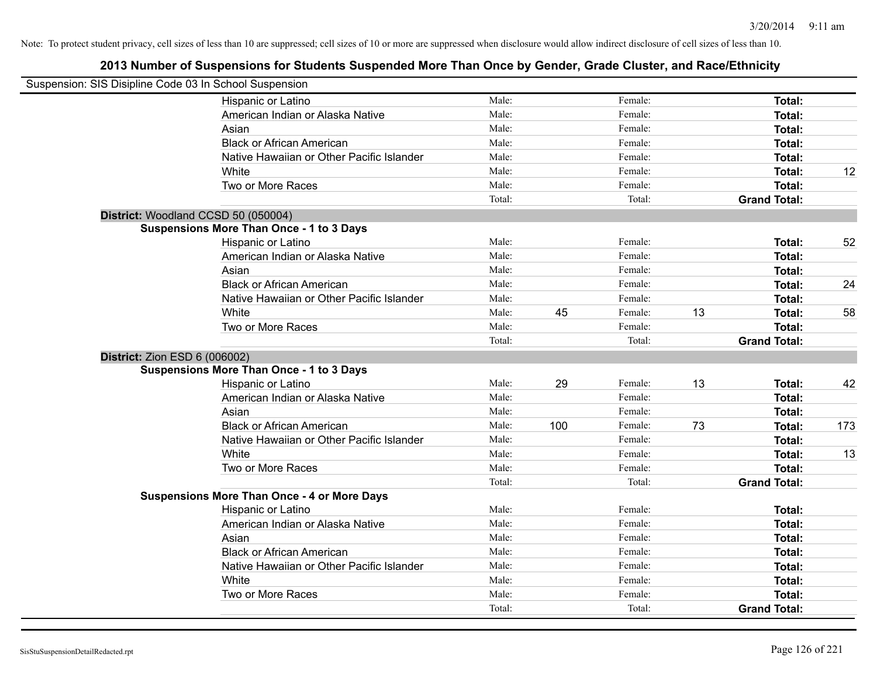| Suspension: SIS Disipline Code 03 In School Suspension |                                                    |                 |     |                   |    |                                      |     |
|--------------------------------------------------------|----------------------------------------------------|-----------------|-----|-------------------|----|--------------------------------------|-----|
|                                                        | Hispanic or Latino                                 | Male:           |     | Female:           |    | Total:                               |     |
|                                                        | American Indian or Alaska Native                   | Male:           |     | Female:           |    | Total:                               |     |
|                                                        | Asian                                              | Male:           |     | Female:           |    | Total:                               |     |
|                                                        | <b>Black or African American</b>                   | Male:           |     | Female:           |    | <b>Total:</b>                        |     |
|                                                        | Native Hawaiian or Other Pacific Islander          | Male:           |     | Female:           |    | <b>Total:</b>                        |     |
|                                                        | White                                              | Male:           |     | Female:           |    | <b>Total:</b>                        | 12  |
|                                                        | Two or More Races                                  | Male:           |     | Female:           |    | <b>Total:</b>                        |     |
|                                                        |                                                    | Total:          |     | Total:            |    | <b>Grand Total:</b>                  |     |
| District: Woodland CCSD 50 (050004)                    |                                                    |                 |     |                   |    |                                      |     |
|                                                        | <b>Suspensions More Than Once - 1 to 3 Days</b>    |                 |     |                   |    |                                      |     |
|                                                        | Hispanic or Latino                                 | Male:           |     | Female:           |    | <b>Total:</b>                        | 52  |
|                                                        | American Indian or Alaska Native                   | Male:           |     | Female:           |    | <b>Total:</b>                        |     |
|                                                        | Asian                                              | Male:           |     | Female:           |    | <b>Total:</b>                        |     |
|                                                        | <b>Black or African American</b>                   | Male:           |     | Female:           |    | <b>Total:</b>                        | 24  |
|                                                        | Native Hawaiian or Other Pacific Islander          | Male:           |     | Female:           |    | <b>Total:</b>                        |     |
|                                                        | White                                              | Male:           | 45  | Female:           | 13 | <b>Total:</b>                        | 58  |
|                                                        | Two or More Races                                  | Male:           |     | Female:           |    | Total:                               |     |
|                                                        |                                                    | Total:          |     | Total:            |    | <b>Grand Total:</b>                  |     |
| <b>District: Zion ESD 6 (006002)</b>                   |                                                    |                 |     |                   |    |                                      |     |
|                                                        | <b>Suspensions More Than Once - 1 to 3 Days</b>    |                 |     |                   |    |                                      |     |
|                                                        | Hispanic or Latino                                 | Male:           | 29  | Female:           | 13 | Total:                               | 42  |
|                                                        | American Indian or Alaska Native                   | Male:           |     | Female:           |    | <b>Total:</b>                        |     |
|                                                        | Asian                                              | Male:           |     | Female:           |    | Total:                               |     |
|                                                        | <b>Black or African American</b>                   | Male:           | 100 | Female:           | 73 | <b>Total:</b>                        | 173 |
|                                                        | Native Hawaiian or Other Pacific Islander          | Male:           |     | Female:           |    | <b>Total:</b>                        |     |
|                                                        | White                                              | Male:           |     | Female:           |    | <b>Total:</b>                        | 13  |
|                                                        | Two or More Races                                  | Male:           |     | Female:           |    | <b>Total:</b>                        |     |
|                                                        |                                                    | Total:          |     | Total:            |    | <b>Grand Total:</b>                  |     |
|                                                        | <b>Suspensions More Than Once - 4 or More Days</b> |                 |     |                   |    |                                      |     |
|                                                        | Hispanic or Latino                                 | Male:           |     | Female:           |    | <b>Total:</b>                        |     |
|                                                        | American Indian or Alaska Native                   | Male:           |     | Female:           |    | <b>Total:</b>                        |     |
|                                                        | Asian                                              | Male:           |     | Female:           |    | <b>Total:</b>                        |     |
|                                                        | <b>Black or African American</b>                   | Male:           |     | Female:           |    | <b>Total:</b>                        |     |
|                                                        | Native Hawaiian or Other Pacific Islander          | Male:           |     | Female:           |    | <b>Total:</b>                        |     |
|                                                        | White                                              | Male:           |     | Female:           |    | <b>Total:</b>                        |     |
|                                                        | Two or More Races                                  | Male:<br>Total: |     | Female:<br>Total: |    | <b>Total:</b><br><b>Grand Total:</b> |     |
|                                                        |                                                    |                 |     |                   |    |                                      |     |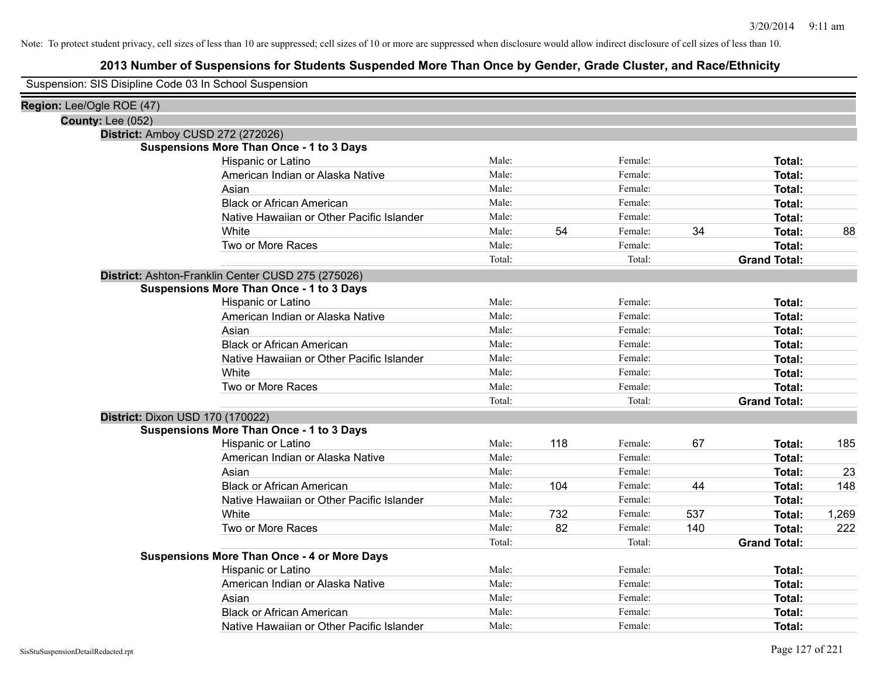| Suspension: SIS Disipline Code 03 In School Suspension |                                                    |        |     |         |     |                     |       |
|--------------------------------------------------------|----------------------------------------------------|--------|-----|---------|-----|---------------------|-------|
| Region: Lee/Ogle ROE (47)                              |                                                    |        |     |         |     |                     |       |
| County: Lee (052)                                      |                                                    |        |     |         |     |                     |       |
|                                                        | District: Amboy CUSD 272 (272026)                  |        |     |         |     |                     |       |
|                                                        | <b>Suspensions More Than Once - 1 to 3 Days</b>    |        |     |         |     |                     |       |
|                                                        | Hispanic or Latino                                 | Male:  |     | Female: |     | Total:              |       |
|                                                        | American Indian or Alaska Native                   | Male:  |     | Female: |     | Total:              |       |
|                                                        | Asian                                              | Male:  |     | Female: |     | Total:              |       |
|                                                        | <b>Black or African American</b>                   | Male:  |     | Female: |     | Total:              |       |
|                                                        | Native Hawaiian or Other Pacific Islander          | Male:  |     | Female: |     | Total:              |       |
|                                                        | White                                              | Male:  | 54  | Female: | 34  | Total:              | 88    |
|                                                        | Two or More Races                                  | Male:  |     | Female: |     | Total:              |       |
|                                                        |                                                    | Total: |     | Total:  |     | <b>Grand Total:</b> |       |
|                                                        | District: Ashton-Franklin Center CUSD 275 (275026) |        |     |         |     |                     |       |
|                                                        | <b>Suspensions More Than Once - 1 to 3 Days</b>    |        |     |         |     |                     |       |
|                                                        | Hispanic or Latino                                 | Male:  |     | Female: |     | Total:              |       |
|                                                        | American Indian or Alaska Native                   | Male:  |     | Female: |     | Total:              |       |
|                                                        | Asian                                              | Male:  |     | Female: |     | Total:              |       |
|                                                        | <b>Black or African American</b>                   | Male:  |     | Female: |     | Total:              |       |
|                                                        | Native Hawaiian or Other Pacific Islander          | Male:  |     | Female: |     | Total:              |       |
|                                                        | White                                              | Male:  |     | Female: |     | Total:              |       |
|                                                        | Two or More Races                                  | Male:  |     | Female: |     | Total:              |       |
|                                                        |                                                    | Total: |     | Total:  |     | <b>Grand Total:</b> |       |
|                                                        | District: Dixon USD 170 (170022)                   |        |     |         |     |                     |       |
|                                                        | <b>Suspensions More Than Once - 1 to 3 Days</b>    |        |     |         |     |                     |       |
|                                                        | Hispanic or Latino                                 | Male:  | 118 | Female: | 67  | Total:              | 185   |
|                                                        | American Indian or Alaska Native                   | Male:  |     | Female: |     | Total:              |       |
|                                                        | Asian                                              | Male:  |     | Female: |     | Total:              | 23    |
|                                                        | <b>Black or African American</b>                   | Male:  | 104 | Female: | 44  | Total:              | 148   |
|                                                        | Native Hawaiian or Other Pacific Islander          | Male:  |     | Female: |     | Total:              |       |
|                                                        | White                                              | Male:  | 732 | Female: | 537 | Total:              | 1,269 |
|                                                        | Two or More Races                                  | Male:  | 82  | Female: | 140 | Total:              | 222   |
|                                                        |                                                    | Total: |     | Total:  |     | <b>Grand Total:</b> |       |
|                                                        | <b>Suspensions More Than Once - 4 or More Days</b> |        |     |         |     |                     |       |
|                                                        | Hispanic or Latino                                 | Male:  |     | Female: |     | Total:              |       |
|                                                        | American Indian or Alaska Native                   | Male:  |     | Female: |     | Total:              |       |
|                                                        | Asian                                              | Male:  |     | Female: |     | Total:              |       |
|                                                        | <b>Black or African American</b>                   | Male:  |     | Female: |     | Total:              |       |
|                                                        | Native Hawaiian or Other Pacific Islander          | Male:  |     | Female: |     | Total:              |       |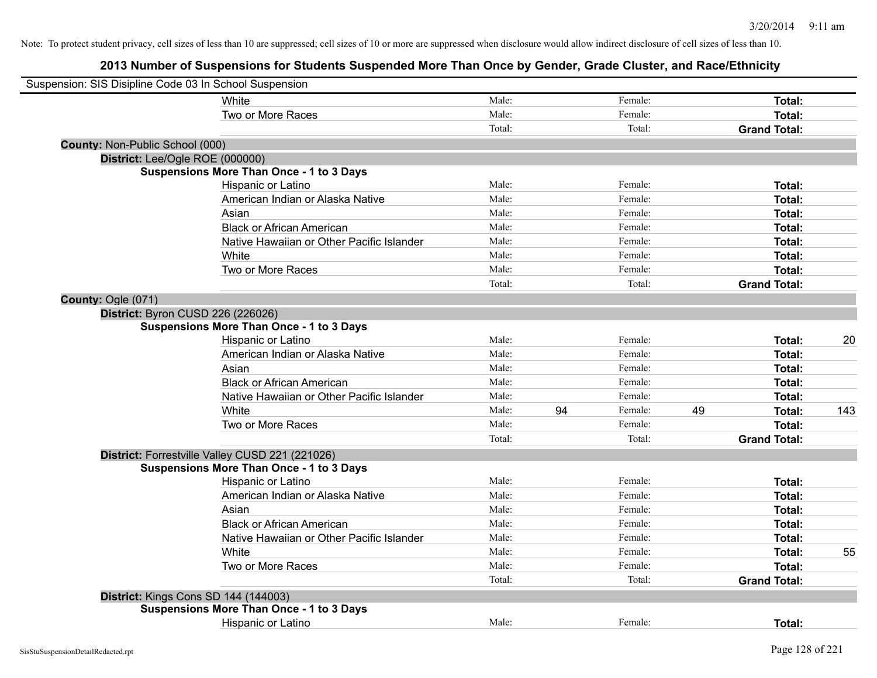| Suspension: SIS Disipline Code 03 In School Suspension |                                                 |        |    |         |    |                     |     |
|--------------------------------------------------------|-------------------------------------------------|--------|----|---------|----|---------------------|-----|
|                                                        | White                                           | Male:  |    | Female: |    | Total:              |     |
|                                                        | Two or More Races                               | Male:  |    | Female: |    | Total:              |     |
|                                                        |                                                 | Total: |    | Total:  |    | <b>Grand Total:</b> |     |
| County: Non-Public School (000)                        |                                                 |        |    |         |    |                     |     |
|                                                        | District: Lee/Ogle ROE (000000)                 |        |    |         |    |                     |     |
|                                                        | <b>Suspensions More Than Once - 1 to 3 Days</b> |        |    |         |    |                     |     |
|                                                        | Hispanic or Latino                              | Male:  |    | Female: |    | Total:              |     |
|                                                        | American Indian or Alaska Native                | Male:  |    | Female: |    | Total:              |     |
|                                                        | Asian                                           | Male:  |    | Female: |    | Total:              |     |
|                                                        | <b>Black or African American</b>                | Male:  |    | Female: |    | Total:              |     |
|                                                        | Native Hawaiian or Other Pacific Islander       | Male:  |    | Female: |    | Total:              |     |
|                                                        | White                                           | Male:  |    | Female: |    | Total:              |     |
|                                                        | Two or More Races                               | Male:  |    | Female: |    | Total:              |     |
|                                                        |                                                 | Total: |    | Total:  |    | <b>Grand Total:</b> |     |
| County: Ogle (071)                                     |                                                 |        |    |         |    |                     |     |
|                                                        | District: Byron CUSD 226 (226026)               |        |    |         |    |                     |     |
|                                                        | <b>Suspensions More Than Once - 1 to 3 Days</b> |        |    |         |    |                     |     |
|                                                        | Hispanic or Latino                              | Male:  |    | Female: |    | Total:              | 20  |
|                                                        | American Indian or Alaska Native                | Male:  |    | Female: |    | Total:              |     |
|                                                        | Asian                                           | Male:  |    | Female: |    | Total:              |     |
|                                                        | <b>Black or African American</b>                | Male:  |    | Female: |    | Total:              |     |
|                                                        | Native Hawaiian or Other Pacific Islander       | Male:  |    | Female: |    | Total:              |     |
|                                                        | White                                           | Male:  | 94 | Female: | 49 | Total:              | 143 |
|                                                        | Two or More Races                               | Male:  |    | Female: |    | Total:              |     |
|                                                        |                                                 | Total: |    | Total:  |    | <b>Grand Total:</b> |     |
|                                                        | District: Forrestville Valley CUSD 221 (221026) |        |    |         |    |                     |     |
|                                                        | <b>Suspensions More Than Once - 1 to 3 Days</b> |        |    |         |    |                     |     |
|                                                        | Hispanic or Latino                              | Male:  |    | Female: |    | Total:              |     |
|                                                        | American Indian or Alaska Native                | Male:  |    | Female: |    | Total:              |     |
|                                                        | Asian                                           | Male:  |    | Female: |    | Total:              |     |
|                                                        | <b>Black or African American</b>                | Male:  |    | Female: |    | Total:              |     |
|                                                        | Native Hawaiian or Other Pacific Islander       | Male:  |    | Female: |    | Total:              |     |
|                                                        | White                                           | Male:  |    | Female: |    | Total:              | 55  |
|                                                        | Two or More Races                               | Male:  |    | Female: |    | Total:              |     |
|                                                        |                                                 | Total: |    | Total:  |    | <b>Grand Total:</b> |     |
|                                                        | District: Kings Cons SD 144 (144003)            |        |    |         |    |                     |     |
|                                                        | <b>Suspensions More Than Once - 1 to 3 Days</b> |        |    |         |    |                     |     |
|                                                        | <b>Hispanic or Latino</b>                       | Male:  |    | Female: |    | Total:              |     |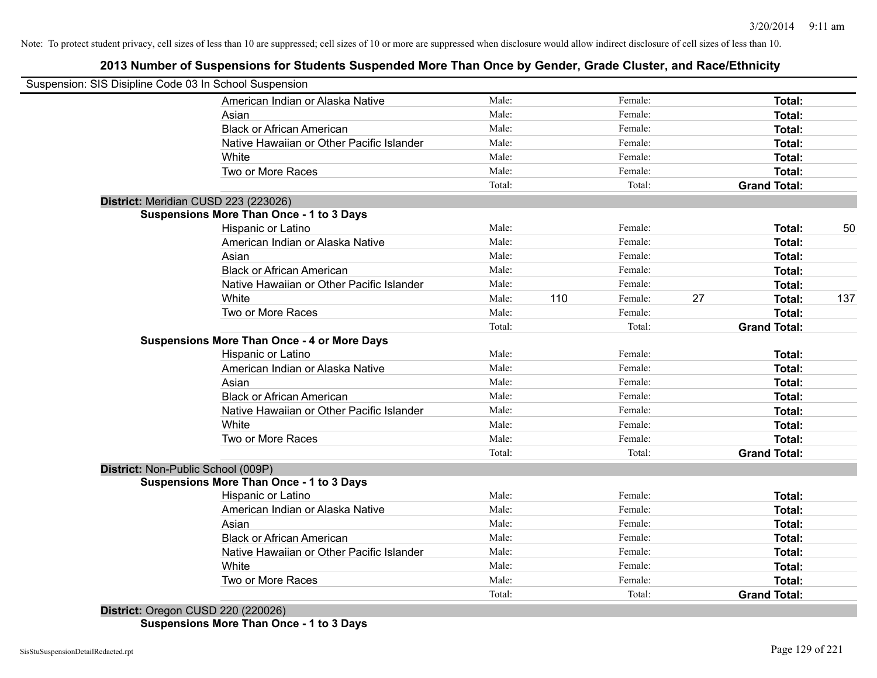# **2013 Number of Suspensions for Students Suspended More Than Once by Gender, Grade Cluster, and Race/Ethnicity**

|                                    | Suspension: SIS Disipline Code 03 In School Suspension |        |     |         |    |                     |     |
|------------------------------------|--------------------------------------------------------|--------|-----|---------|----|---------------------|-----|
|                                    | American Indian or Alaska Native                       | Male:  |     | Female: |    | Total:              |     |
|                                    | Asian                                                  | Male:  |     | Female: |    | Total:              |     |
|                                    | <b>Black or African American</b>                       | Male:  |     | Female: |    | Total:              |     |
|                                    | Native Hawaiian or Other Pacific Islander              | Male:  |     | Female: |    | Total:              |     |
|                                    | White                                                  | Male:  |     | Female: |    | Total:              |     |
|                                    | Two or More Races                                      | Male:  |     | Female: |    | Total:              |     |
|                                    |                                                        | Total: |     | Total:  |    | <b>Grand Total:</b> |     |
|                                    | District: Meridian CUSD 223 (223026)                   |        |     |         |    |                     |     |
|                                    | <b>Suspensions More Than Once - 1 to 3 Days</b>        |        |     |         |    |                     |     |
|                                    | Hispanic or Latino                                     | Male:  |     | Female: |    | Total:              | 50  |
|                                    | American Indian or Alaska Native                       | Male:  |     | Female: |    | Total:              |     |
|                                    | Asian                                                  | Male:  |     | Female: |    | Total:              |     |
|                                    | <b>Black or African American</b>                       | Male:  |     | Female: |    | Total:              |     |
|                                    | Native Hawaiian or Other Pacific Islander              | Male:  |     | Female: |    | Total:              |     |
|                                    | White                                                  | Male:  | 110 | Female: | 27 | Total:              | 137 |
|                                    | Two or More Races                                      | Male:  |     | Female: |    | Total:              |     |
|                                    |                                                        | Total: |     | Total:  |    | <b>Grand Total:</b> |     |
|                                    | <b>Suspensions More Than Once - 4 or More Days</b>     |        |     |         |    |                     |     |
|                                    | Hispanic or Latino                                     | Male:  |     | Female: |    | Total:              |     |
|                                    | American Indian or Alaska Native                       | Male:  |     | Female: |    | Total:              |     |
|                                    | Asian                                                  | Male:  |     | Female: |    | Total:              |     |
|                                    | <b>Black or African American</b>                       | Male:  |     | Female: |    | Total:              |     |
|                                    | Native Hawaiian or Other Pacific Islander              | Male:  |     | Female: |    | Total:              |     |
|                                    | White                                                  | Male:  |     | Female: |    | Total:              |     |
|                                    | Two or More Races                                      | Male:  |     | Female: |    | Total:              |     |
|                                    |                                                        | Total: |     | Total:  |    | <b>Grand Total:</b> |     |
| District: Non-Public School (009P) |                                                        |        |     |         |    |                     |     |
|                                    | <b>Suspensions More Than Once - 1 to 3 Days</b>        |        |     |         |    |                     |     |
|                                    | Hispanic or Latino                                     | Male:  |     | Female: |    | Total:              |     |
|                                    | American Indian or Alaska Native                       | Male:  |     | Female: |    | Total:              |     |
|                                    | Asian                                                  | Male:  |     | Female: |    | Total:              |     |
|                                    | <b>Black or African American</b>                       | Male:  |     | Female: |    | Total:              |     |
|                                    | Native Hawaiian or Other Pacific Islander              | Male:  |     | Female: |    | Total:              |     |
|                                    | White                                                  | Male:  |     | Female: |    | Total:              |     |
|                                    | Two or More Races                                      | Male:  |     | Female: |    | Total:              |     |
|                                    |                                                        | Total: |     | Total:  |    | <b>Grand Total:</b> |     |

**Suspensions More Than Once - 1 to 3 Days**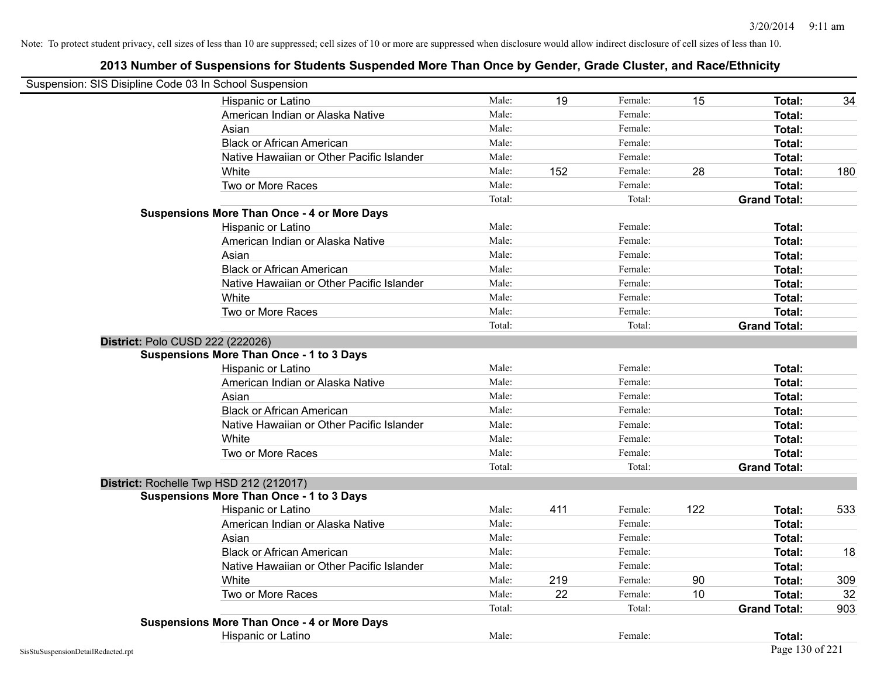| Suspension: SIS Disipline Code 03 In School Suspension |                                                    |        |     |         |     |                     |     |
|--------------------------------------------------------|----------------------------------------------------|--------|-----|---------|-----|---------------------|-----|
|                                                        | Hispanic or Latino                                 | Male:  | 19  | Female: | 15  | Total:              | 34  |
|                                                        | American Indian or Alaska Native                   | Male:  |     | Female: |     | Total:              |     |
|                                                        | Asian                                              | Male:  |     | Female: |     | Total:              |     |
|                                                        | <b>Black or African American</b>                   | Male:  |     | Female: |     | Total:              |     |
|                                                        | Native Hawaiian or Other Pacific Islander          | Male:  |     | Female: |     | Total:              |     |
|                                                        | White                                              | Male:  | 152 | Female: | 28  | Total:              | 180 |
|                                                        | Two or More Races                                  | Male:  |     | Female: |     | <b>Total:</b>       |     |
|                                                        |                                                    | Total: |     | Total:  |     | <b>Grand Total:</b> |     |
|                                                        | <b>Suspensions More Than Once - 4 or More Days</b> |        |     |         |     |                     |     |
|                                                        | Hispanic or Latino                                 | Male:  |     | Female: |     | Total:              |     |
|                                                        | American Indian or Alaska Native                   | Male:  |     | Female: |     | Total:              |     |
|                                                        | Asian                                              | Male:  |     | Female: |     | Total:              |     |
|                                                        | <b>Black or African American</b>                   | Male:  |     | Female: |     | <b>Total:</b>       |     |
|                                                        | Native Hawaiian or Other Pacific Islander          | Male:  |     | Female: |     | Total:              |     |
|                                                        | White                                              | Male:  |     | Female: |     | Total:              |     |
|                                                        | Two or More Races                                  | Male:  |     | Female: |     | Total:              |     |
|                                                        |                                                    | Total: |     | Total:  |     | <b>Grand Total:</b> |     |
| District: Polo CUSD 222 (222026)                       |                                                    |        |     |         |     |                     |     |
|                                                        | <b>Suspensions More Than Once - 1 to 3 Days</b>    |        |     |         |     |                     |     |
|                                                        | Hispanic or Latino                                 | Male:  |     | Female: |     | Total:              |     |
|                                                        | American Indian or Alaska Native                   | Male:  |     | Female: |     | Total:              |     |
|                                                        | Asian                                              | Male:  |     | Female: |     | Total:              |     |
|                                                        | <b>Black or African American</b>                   | Male:  |     | Female: |     | Total:              |     |
|                                                        | Native Hawaiian or Other Pacific Islander          | Male:  |     | Female: |     | <b>Total:</b>       |     |
|                                                        | White                                              | Male:  |     | Female: |     | Total:              |     |
|                                                        | Two or More Races                                  | Male:  |     | Female: |     | <b>Total:</b>       |     |
|                                                        |                                                    | Total: |     | Total:  |     | <b>Grand Total:</b> |     |
|                                                        | District: Rochelle Twp HSD 212 (212017)            |        |     |         |     |                     |     |
|                                                        | <b>Suspensions More Than Once - 1 to 3 Days</b>    |        |     |         |     |                     |     |
|                                                        | Hispanic or Latino                                 | Male:  | 411 | Female: | 122 | Total:              | 533 |
|                                                        | American Indian or Alaska Native                   | Male:  |     | Female: |     | <b>Total:</b>       |     |
|                                                        | Asian                                              | Male:  |     | Female: |     | Total:              |     |
|                                                        | <b>Black or African American</b>                   | Male:  |     | Female: |     | Total:              | 18  |
|                                                        | Native Hawaiian or Other Pacific Islander          | Male:  |     | Female: |     | Total:              |     |
|                                                        | White                                              | Male:  | 219 | Female: | 90  | <b>Total:</b>       | 309 |
|                                                        | Two or More Races                                  | Male:  | 22  | Female: | 10  | Total:              | 32  |
|                                                        |                                                    | Total: |     | Total:  |     | <b>Grand Total:</b> | 903 |
|                                                        | <b>Suspensions More Than Once - 4 or More Days</b> |        |     |         |     |                     |     |
|                                                        | Hispanic or Latino                                 | Male:  |     | Female: |     | Total:              |     |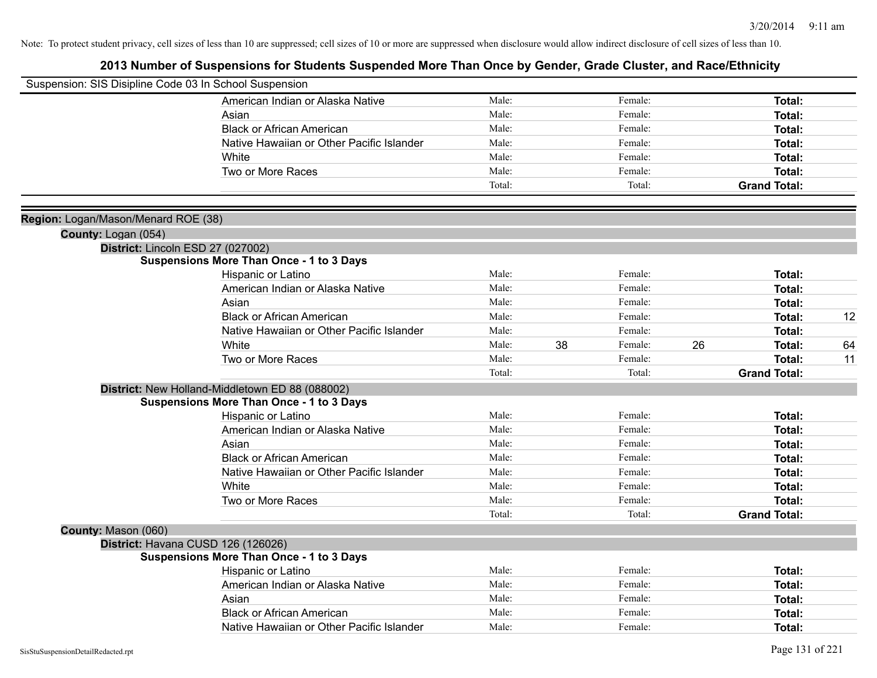| Suspension: SIS Disipline Code 03 In School Suspension |                                                 |        |    |         |    |                     |    |
|--------------------------------------------------------|-------------------------------------------------|--------|----|---------|----|---------------------|----|
|                                                        | American Indian or Alaska Native                | Male:  |    | Female: |    | <b>Total:</b>       |    |
|                                                        | Asian                                           | Male:  |    | Female: |    | Total:              |    |
|                                                        | <b>Black or African American</b>                | Male:  |    | Female: |    | Total:              |    |
|                                                        | Native Hawaiian or Other Pacific Islander       | Male:  |    | Female: |    | <b>Total:</b>       |    |
|                                                        | White                                           | Male:  |    | Female: |    | <b>Total:</b>       |    |
|                                                        | Two or More Races                               | Male:  |    | Female: |    | Total:              |    |
|                                                        |                                                 | Total: |    | Total:  |    | <b>Grand Total:</b> |    |
|                                                        |                                                 |        |    |         |    |                     |    |
| Region: Logan/Mason/Menard ROE (38)                    |                                                 |        |    |         |    |                     |    |
| County: Logan (054)                                    |                                                 |        |    |         |    |                     |    |
|                                                        | District: Lincoln ESD 27 (027002)               |        |    |         |    |                     |    |
|                                                        | <b>Suspensions More Than Once - 1 to 3 Days</b> |        |    |         |    |                     |    |
|                                                        | Hispanic or Latino                              | Male:  |    | Female: |    | Total:              |    |
|                                                        | American Indian or Alaska Native                | Male:  |    | Female: |    | Total:              |    |
|                                                        | Asian                                           | Male:  |    | Female: |    | Total:              |    |
|                                                        | <b>Black or African American</b>                | Male:  |    | Female: |    | <b>Total:</b>       | 12 |
|                                                        | Native Hawaiian or Other Pacific Islander       | Male:  |    | Female: |    | <b>Total:</b>       |    |
|                                                        | White                                           | Male:  | 38 | Female: | 26 | Total:              | 64 |
|                                                        | Two or More Races                               | Male:  |    | Female: |    | Total:              | 11 |
|                                                        |                                                 | Total: |    | Total:  |    | <b>Grand Total:</b> |    |
|                                                        | District: New Holland-Middletown ED 88 (088002) |        |    |         |    |                     |    |
|                                                        | <b>Suspensions More Than Once - 1 to 3 Days</b> |        |    |         |    |                     |    |
|                                                        | Hispanic or Latino                              | Male:  |    | Female: |    | Total:              |    |
|                                                        | American Indian or Alaska Native                | Male:  |    | Female: |    | Total:              |    |
|                                                        | Asian                                           | Male:  |    | Female: |    | Total:              |    |
|                                                        | <b>Black or African American</b>                | Male:  |    | Female: |    | <b>Total:</b>       |    |
|                                                        | Native Hawaiian or Other Pacific Islander       | Male:  |    | Female: |    | <b>Total:</b>       |    |
|                                                        | White                                           | Male:  |    | Female: |    | Total:              |    |
|                                                        | Two or More Races                               | Male:  |    | Female: |    | Total:              |    |
|                                                        |                                                 | Total: |    | Total:  |    | <b>Grand Total:</b> |    |
| County: Mason (060)                                    |                                                 |        |    |         |    |                     |    |
|                                                        | District: Havana CUSD 126 (126026)              |        |    |         |    |                     |    |
|                                                        | <b>Suspensions More Than Once - 1 to 3 Days</b> |        |    |         |    |                     |    |
|                                                        | Hispanic or Latino                              | Male:  |    | Female: |    | Total:              |    |
|                                                        | American Indian or Alaska Native                | Male:  |    | Female: |    | <b>Total:</b>       |    |
|                                                        | Asian                                           | Male:  |    | Female: |    | Total:              |    |
|                                                        | <b>Black or African American</b>                | Male:  |    | Female: |    | <b>Total:</b>       |    |
|                                                        | Native Hawaiian or Other Pacific Islander       | Male:  |    | Female: |    | Total:              |    |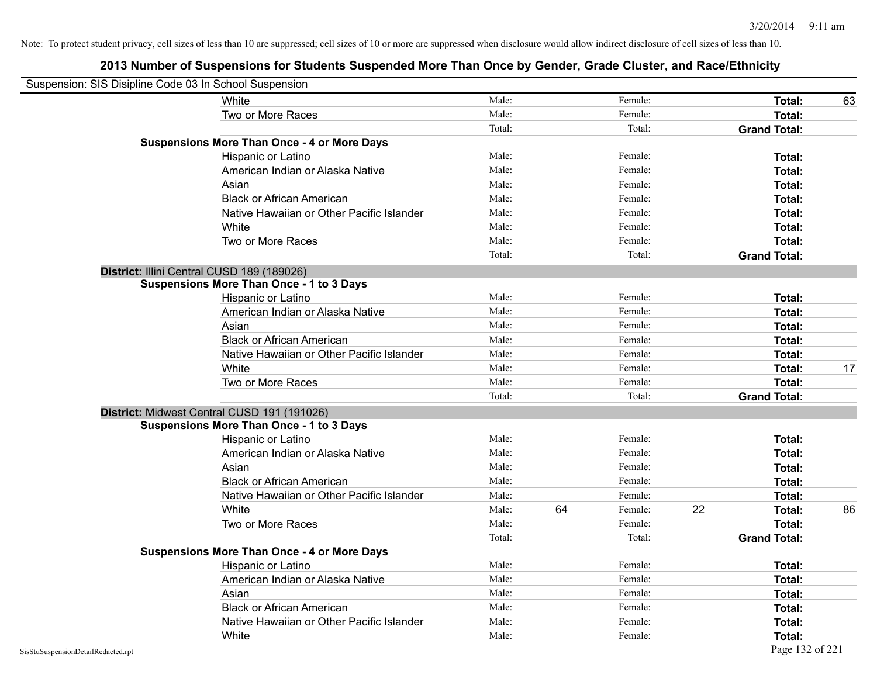| Suspension: SIS Disipline Code 03 In School Suspension |                                                    |        |    |         |    |                     |    |
|--------------------------------------------------------|----------------------------------------------------|--------|----|---------|----|---------------------|----|
|                                                        | White                                              | Male:  |    | Female: |    | Total:              | 63 |
|                                                        | Two or More Races                                  | Male:  |    | Female: |    | Total:              |    |
|                                                        |                                                    | Total: |    | Total:  |    | <b>Grand Total:</b> |    |
|                                                        | <b>Suspensions More Than Once - 4 or More Days</b> |        |    |         |    |                     |    |
|                                                        | Hispanic or Latino                                 | Male:  |    | Female: |    | Total:              |    |
|                                                        | American Indian or Alaska Native                   | Male:  |    | Female: |    | Total:              |    |
|                                                        | Asian                                              | Male:  |    | Female: |    | Total:              |    |
|                                                        | <b>Black or African American</b>                   | Male:  |    | Female: |    | Total:              |    |
|                                                        | Native Hawaiian or Other Pacific Islander          | Male:  |    | Female: |    | Total:              |    |
|                                                        | White                                              | Male:  |    | Female: |    | Total:              |    |
|                                                        | Two or More Races                                  | Male:  |    | Female: |    | <b>Total:</b>       |    |
|                                                        |                                                    | Total: |    | Total:  |    | <b>Grand Total:</b> |    |
|                                                        | District: Illini Central CUSD 189 (189026)         |        |    |         |    |                     |    |
|                                                        | <b>Suspensions More Than Once - 1 to 3 Days</b>    |        |    |         |    |                     |    |
|                                                        | Hispanic or Latino                                 | Male:  |    | Female: |    | Total:              |    |
|                                                        | American Indian or Alaska Native                   | Male:  |    | Female: |    | Total:              |    |
|                                                        | Asian                                              | Male:  |    | Female: |    | Total:              |    |
|                                                        | <b>Black or African American</b>                   | Male:  |    | Female: |    | Total:              |    |
|                                                        | Native Hawaiian or Other Pacific Islander          | Male:  |    | Female: |    | Total:              |    |
|                                                        | White                                              | Male:  |    | Female: |    | Total:              | 17 |
|                                                        | Two or More Races                                  | Male:  |    | Female: |    | Total:              |    |
|                                                        |                                                    | Total: |    | Total:  |    | <b>Grand Total:</b> |    |
|                                                        | District: Midwest Central CUSD 191 (191026)        |        |    |         |    |                     |    |
|                                                        | <b>Suspensions More Than Once - 1 to 3 Days</b>    |        |    |         |    |                     |    |
|                                                        | Hispanic or Latino                                 | Male:  |    | Female: |    | Total:              |    |
|                                                        | American Indian or Alaska Native                   | Male:  |    | Female: |    | <b>Total:</b>       |    |
|                                                        | Asian                                              | Male:  |    | Female: |    | Total:              |    |
|                                                        | <b>Black or African American</b>                   | Male:  |    | Female: |    | Total:              |    |
|                                                        | Native Hawaiian or Other Pacific Islander          | Male:  |    | Female: |    | Total:              |    |
|                                                        | White                                              | Male:  | 64 | Female: | 22 | Total:              | 86 |
|                                                        | Two or More Races                                  | Male:  |    | Female: |    | <b>Total:</b>       |    |
|                                                        |                                                    | Total: |    | Total:  |    | <b>Grand Total:</b> |    |
|                                                        | <b>Suspensions More Than Once - 4 or More Days</b> |        |    |         |    |                     |    |
|                                                        | Hispanic or Latino                                 | Male:  |    | Female: |    | Total:              |    |
|                                                        | American Indian or Alaska Native                   | Male:  |    | Female: |    | Total:              |    |
|                                                        | Asian                                              | Male:  |    | Female: |    | Total:              |    |
|                                                        | <b>Black or African American</b>                   | Male:  |    | Female: |    | Total:              |    |
|                                                        | Native Hawaiian or Other Pacific Islander          | Male:  |    | Female: |    | Total:              |    |
|                                                        | White                                              | Male:  |    | Female: |    | Total:              |    |
| SisStuSuspensionDetailRedacted.rpt                     |                                                    |        |    |         |    | Page 132 of 221     |    |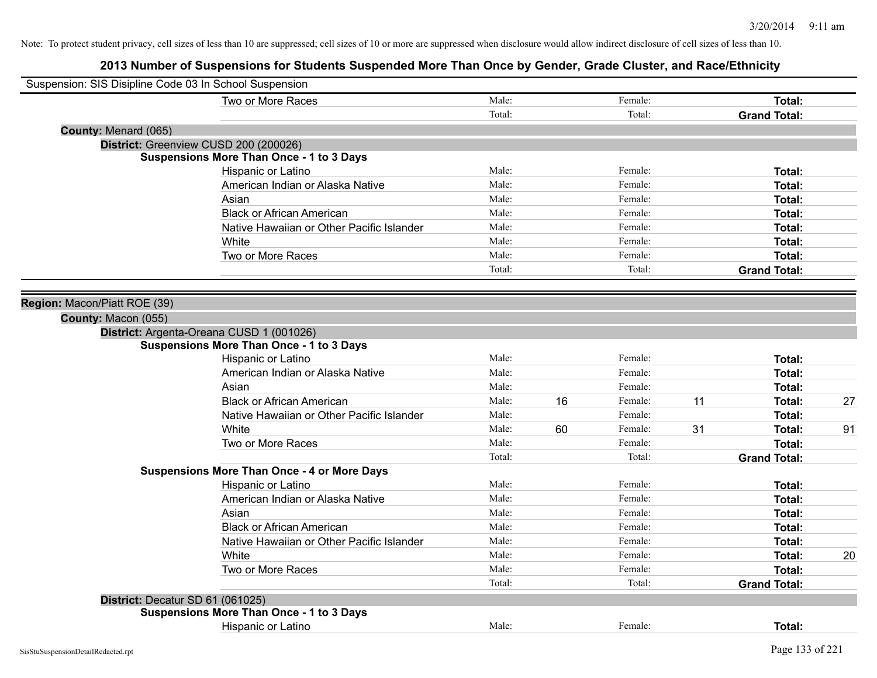| Suspension: SIS Disipline Code 03 In School Suspension |                                                    |        |    |         |    |                     |    |
|--------------------------------------------------------|----------------------------------------------------|--------|----|---------|----|---------------------|----|
|                                                        | Two or More Races                                  | Male:  |    | Female: |    | Total:              |    |
|                                                        |                                                    | Total: |    | Total:  |    | <b>Grand Total:</b> |    |
| County: Menard (065)                                   |                                                    |        |    |         |    |                     |    |
|                                                        | District: Greenview CUSD 200 (200026)              |        |    |         |    |                     |    |
|                                                        | <b>Suspensions More Than Once - 1 to 3 Days</b>    |        |    |         |    |                     |    |
|                                                        | Hispanic or Latino                                 | Male:  |    | Female: |    | Total:              |    |
|                                                        | American Indian or Alaska Native                   | Male:  |    | Female: |    | Total:              |    |
|                                                        | Asian                                              | Male:  |    | Female: |    | Total:              |    |
|                                                        | <b>Black or African American</b>                   | Male:  |    | Female: |    | Total:              |    |
|                                                        | Native Hawaiian or Other Pacific Islander          | Male:  |    | Female: |    | Total:              |    |
|                                                        | White                                              | Male:  |    | Female: |    | Total:              |    |
|                                                        | Two or More Races                                  | Male:  |    | Female: |    | Total:              |    |
|                                                        |                                                    | Total: |    | Total:  |    | <b>Grand Total:</b> |    |
|                                                        |                                                    |        |    |         |    |                     |    |
| Region: Macon/Piatt ROE (39)                           |                                                    |        |    |         |    |                     |    |
| County: Macon (055)                                    |                                                    |        |    |         |    |                     |    |
|                                                        | District: Argenta-Oreana CUSD 1 (001026)           |        |    |         |    |                     |    |
|                                                        | <b>Suspensions More Than Once - 1 to 3 Days</b>    |        |    |         |    |                     |    |
|                                                        | Hispanic or Latino                                 | Male:  |    | Female: |    | Total:              |    |
|                                                        | American Indian or Alaska Native                   | Male:  |    | Female: |    | Total:              |    |
|                                                        | Asian                                              | Male:  |    | Female: |    | Total:              |    |
|                                                        | <b>Black or African American</b>                   | Male:  | 16 | Female: | 11 | Total:              | 27 |
|                                                        | Native Hawaiian or Other Pacific Islander          | Male:  |    | Female: |    | Total:              |    |
|                                                        | White                                              | Male:  | 60 | Female: | 31 | Total:              | 91 |
|                                                        | Two or More Races                                  | Male:  |    | Female: |    | Total:              |    |
|                                                        |                                                    | Total: |    | Total:  |    | <b>Grand Total:</b> |    |
|                                                        | <b>Suspensions More Than Once - 4 or More Days</b> |        |    |         |    |                     |    |
|                                                        | Hispanic or Latino                                 | Male:  |    | Female: |    | Total:              |    |
|                                                        | American Indian or Alaska Native                   | Male:  |    | Female: |    | Total:              |    |
|                                                        | Asian                                              | Male:  |    | Female: |    | Total:              |    |
|                                                        | <b>Black or African American</b>                   | Male:  |    | Female: |    | Total:              |    |
|                                                        | Native Hawaiian or Other Pacific Islander          | Male:  |    | Female: |    | Total:              |    |
|                                                        | White                                              | Male:  |    | Female: |    | Total:              | 20 |
|                                                        | Two or More Races                                  | Male:  |    | Female: |    | Total:              |    |
|                                                        |                                                    | Total: |    | Total:  |    | <b>Grand Total:</b> |    |
| District: Decatur SD 61 (061025)                       |                                                    |        |    |         |    |                     |    |
|                                                        | <b>Suspensions More Than Once - 1 to 3 Days</b>    |        |    |         |    |                     |    |
|                                                        | Hispanic or Latino                                 | Male:  |    | Female: |    | Total:              |    |
|                                                        |                                                    |        |    |         |    |                     |    |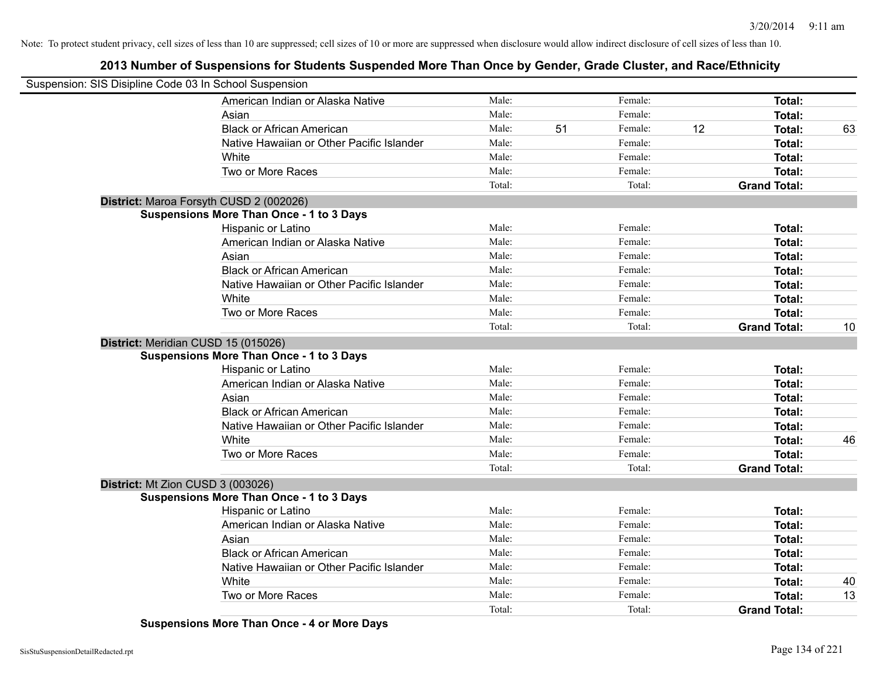# **2013 Number of Suspensions for Students Suspended More Than Once by Gender, Grade Cluster, and Race/Ethnicity**

| Suspension: SIS Disipline Code 03 In School Suspension |                                                 |        |    |         |    |                     |    |
|--------------------------------------------------------|-------------------------------------------------|--------|----|---------|----|---------------------|----|
|                                                        | American Indian or Alaska Native                | Male:  |    | Female: |    | Total:              |    |
|                                                        | Asian                                           | Male:  |    | Female: |    | Total:              |    |
|                                                        | <b>Black or African American</b>                | Male:  | 51 | Female: | 12 | Total:              | 63 |
|                                                        | Native Hawaiian or Other Pacific Islander       | Male:  |    | Female: |    | Total:              |    |
|                                                        | White                                           | Male:  |    | Female: |    | Total:              |    |
|                                                        | Two or More Races                               | Male:  |    | Female: |    | Total:              |    |
|                                                        |                                                 | Total: |    | Total:  |    | <b>Grand Total:</b> |    |
|                                                        | District: Maroa Forsyth CUSD 2 (002026)         |        |    |         |    |                     |    |
|                                                        | <b>Suspensions More Than Once - 1 to 3 Days</b> |        |    |         |    |                     |    |
|                                                        | Hispanic or Latino                              | Male:  |    | Female: |    | Total:              |    |
|                                                        | American Indian or Alaska Native                | Male:  |    | Female: |    | Total:              |    |
|                                                        | Asian                                           | Male:  |    | Female: |    | Total:              |    |
|                                                        | <b>Black or African American</b>                | Male:  |    | Female: |    | Total:              |    |
|                                                        | Native Hawaiian or Other Pacific Islander       | Male:  |    | Female: |    | Total:              |    |
|                                                        | White                                           | Male:  |    | Female: |    | Total:              |    |
|                                                        | Two or More Races                               | Male:  |    | Female: |    | Total:              |    |
|                                                        |                                                 | Total: |    | Total:  |    | <b>Grand Total:</b> | 10 |
|                                                        | District: Meridian CUSD 15 (015026)             |        |    |         |    |                     |    |
|                                                        | <b>Suspensions More Than Once - 1 to 3 Days</b> |        |    |         |    |                     |    |
|                                                        | Hispanic or Latino                              | Male:  |    | Female: |    | Total:              |    |
|                                                        | American Indian or Alaska Native                | Male:  |    | Female: |    | Total:              |    |
|                                                        | Asian                                           | Male:  |    | Female: |    | Total:              |    |
|                                                        | <b>Black or African American</b>                | Male:  |    | Female: |    | Total:              |    |
|                                                        | Native Hawaiian or Other Pacific Islander       | Male:  |    | Female: |    | Total:              |    |
|                                                        | White                                           | Male:  |    | Female: |    | Total:              | 46 |
|                                                        | Two or More Races                               | Male:  |    | Female: |    | Total:              |    |
|                                                        |                                                 | Total: |    | Total:  |    | <b>Grand Total:</b> |    |
|                                                        | District: Mt Zion CUSD 3 (003026)               |        |    |         |    |                     |    |
|                                                        | <b>Suspensions More Than Once - 1 to 3 Days</b> |        |    |         |    |                     |    |
|                                                        | Hispanic or Latino                              | Male:  |    | Female: |    | Total:              |    |
|                                                        | American Indian or Alaska Native                | Male:  |    | Female: |    | Total:              |    |
|                                                        | Asian                                           | Male:  |    | Female: |    | Total:              |    |
|                                                        | <b>Black or African American</b>                | Male:  |    | Female: |    | Total:              |    |
|                                                        | Native Hawaiian or Other Pacific Islander       | Male:  |    | Female: |    | Total:              |    |
|                                                        | White                                           | Male:  |    | Female: |    | Total:              | 40 |
|                                                        | Two or More Races                               | Male:  |    | Female: |    | Total:              | 13 |
|                                                        |                                                 | Total: |    | Total:  |    | <b>Grand Total:</b> |    |

**Suspensions More Than Once - 4 or More Days**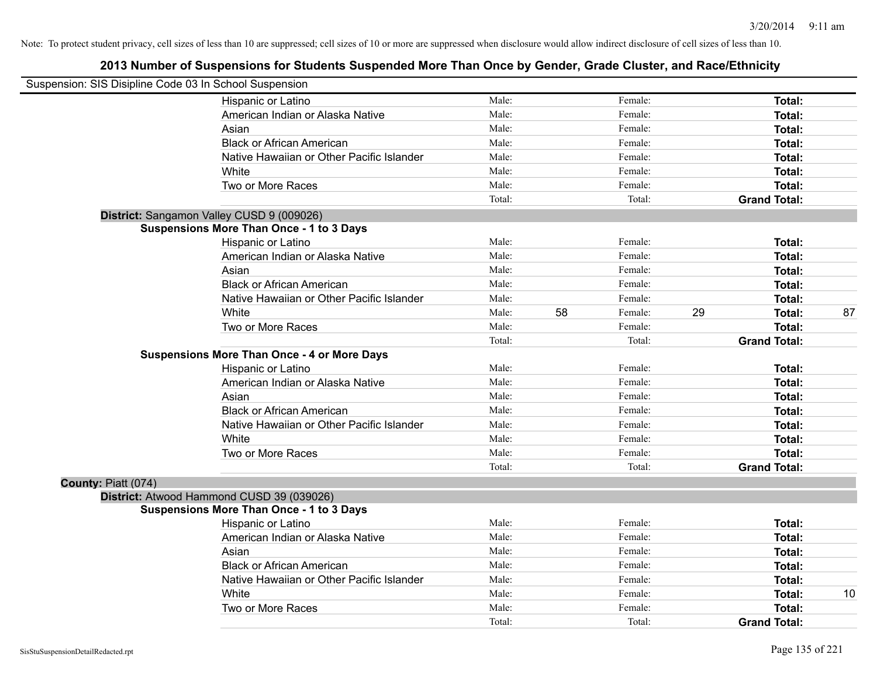| Suspension: SIS Disipline Code 03 In School Suspension |                                                    |        |    |         |    |                     |    |
|--------------------------------------------------------|----------------------------------------------------|--------|----|---------|----|---------------------|----|
|                                                        | Hispanic or Latino                                 | Male:  |    | Female: |    | Total:              |    |
|                                                        | American Indian or Alaska Native                   | Male:  |    | Female: |    | Total:              |    |
|                                                        | Asian                                              | Male:  |    | Female: |    | Total:              |    |
|                                                        | <b>Black or African American</b>                   | Male:  |    | Female: |    | Total:              |    |
|                                                        | Native Hawaiian or Other Pacific Islander          | Male:  |    | Female: |    | Total:              |    |
|                                                        | White                                              | Male:  |    | Female: |    | Total:              |    |
|                                                        | Two or More Races                                  | Male:  |    | Female: |    | <b>Total:</b>       |    |
|                                                        |                                                    | Total: |    | Total:  |    | <b>Grand Total:</b> |    |
|                                                        | District: Sangamon Valley CUSD 9 (009026)          |        |    |         |    |                     |    |
|                                                        | <b>Suspensions More Than Once - 1 to 3 Days</b>    |        |    |         |    |                     |    |
|                                                        | Hispanic or Latino                                 | Male:  |    | Female: |    | Total:              |    |
|                                                        | American Indian or Alaska Native                   | Male:  |    | Female: |    | Total:              |    |
|                                                        | Asian                                              | Male:  |    | Female: |    | Total:              |    |
|                                                        | <b>Black or African American</b>                   | Male:  |    | Female: |    | Total:              |    |
|                                                        | Native Hawaiian or Other Pacific Islander          | Male:  |    | Female: |    | Total:              |    |
|                                                        | White                                              | Male:  | 58 | Female: | 29 | Total:              | 87 |
|                                                        | Two or More Races                                  | Male:  |    | Female: |    | <b>Total:</b>       |    |
|                                                        |                                                    | Total: |    | Total:  |    | <b>Grand Total:</b> |    |
|                                                        | <b>Suspensions More Than Once - 4 or More Days</b> |        |    |         |    |                     |    |
|                                                        | Hispanic or Latino                                 | Male:  |    | Female: |    | Total:              |    |
|                                                        | American Indian or Alaska Native                   | Male:  |    | Female: |    | Total:              |    |
|                                                        | Asian                                              | Male:  |    | Female: |    | Total:              |    |
|                                                        | <b>Black or African American</b>                   | Male:  |    | Female: |    | Total:              |    |
|                                                        | Native Hawaiian or Other Pacific Islander          | Male:  |    | Female: |    | Total:              |    |
|                                                        | White                                              | Male:  |    | Female: |    | Total:              |    |
|                                                        | Two or More Races                                  | Male:  |    | Female: |    | <b>Total:</b>       |    |
|                                                        |                                                    | Total: |    | Total:  |    | <b>Grand Total:</b> |    |
| County: Piatt (074)                                    |                                                    |        |    |         |    |                     |    |
|                                                        | District: Atwood Hammond CUSD 39 (039026)          |        |    |         |    |                     |    |
|                                                        | <b>Suspensions More Than Once - 1 to 3 Days</b>    |        |    |         |    |                     |    |
|                                                        | Hispanic or Latino                                 | Male:  |    | Female: |    | Total:              |    |
|                                                        | American Indian or Alaska Native                   | Male:  |    | Female: |    | Total:              |    |
|                                                        | Asian                                              | Male:  |    | Female: |    | Total:              |    |
|                                                        | <b>Black or African American</b>                   | Male:  |    | Female: |    | Total:              |    |
|                                                        | Native Hawaiian or Other Pacific Islander          | Male:  |    | Female: |    | Total:              |    |
|                                                        | White                                              | Male:  |    | Female: |    | <b>Total:</b>       | 10 |
|                                                        | Two or More Races                                  | Male:  |    | Female: |    | <b>Total:</b>       |    |
|                                                        |                                                    | Total: |    | Total:  |    | <b>Grand Total:</b> |    |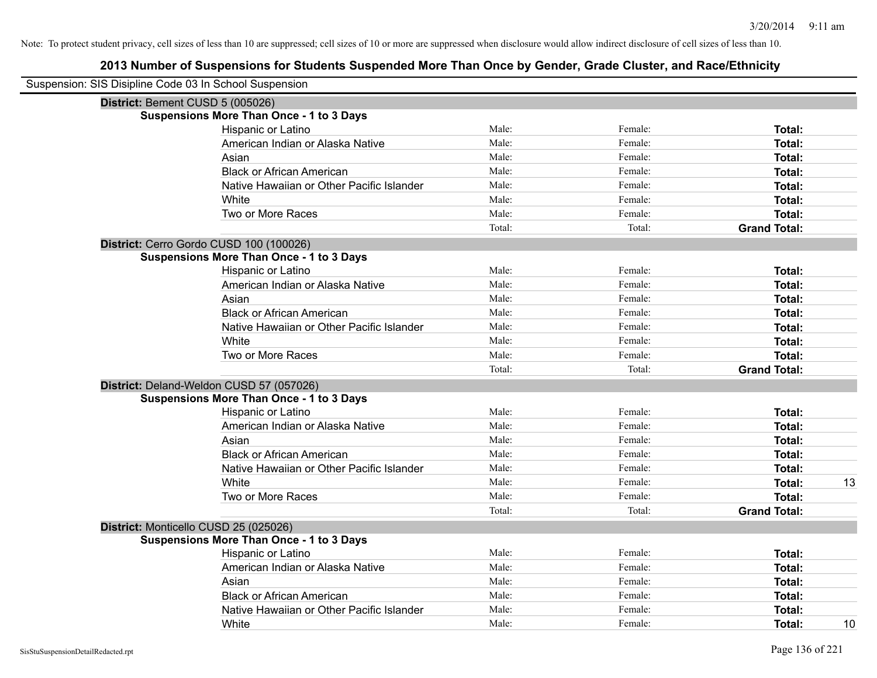| Suspension: SIS Disipline Code 03 In School Suspension |        |         |                     |
|--------------------------------------------------------|--------|---------|---------------------|
| District: Bement CUSD 5 (005026)                       |        |         |                     |
| <b>Suspensions More Than Once - 1 to 3 Days</b>        |        |         |                     |
| Hispanic or Latino                                     | Male:  | Female: | Total:              |
| American Indian or Alaska Native                       | Male:  | Female: | Total:              |
| Asian                                                  | Male:  | Female: | <b>Total:</b>       |
| <b>Black or African American</b>                       | Male:  | Female: | Total:              |
| Native Hawaiian or Other Pacific Islander              | Male:  | Female: | Total:              |
| White                                                  | Male:  | Female: | Total:              |
| Two or More Races                                      | Male:  | Female: | <b>Total:</b>       |
|                                                        | Total: | Total:  | <b>Grand Total:</b> |
| District: Cerro Gordo CUSD 100 (100026)                |        |         |                     |
| <b>Suspensions More Than Once - 1 to 3 Days</b>        |        |         |                     |
| Hispanic or Latino                                     | Male:  | Female: | Total:              |
| American Indian or Alaska Native                       | Male:  | Female: | Total:              |
| Asian                                                  | Male:  | Female: | Total:              |
| <b>Black or African American</b>                       | Male:  | Female: | <b>Total:</b>       |
| Native Hawaiian or Other Pacific Islander              | Male:  | Female: | Total:              |
| White                                                  | Male:  | Female: | <b>Total:</b>       |
| Two or More Races                                      | Male:  | Female: | <b>Total:</b>       |
|                                                        | Total: | Total:  | <b>Grand Total:</b> |
| District: Deland-Weldon CUSD 57 (057026)               |        |         |                     |
| <b>Suspensions More Than Once - 1 to 3 Days</b>        |        |         |                     |
| Hispanic or Latino                                     | Male:  | Female: | Total:              |
| American Indian or Alaska Native                       | Male:  | Female: | <b>Total:</b>       |
| Asian                                                  | Male:  | Female: | Total:              |
| <b>Black or African American</b>                       | Male:  | Female: | Total:              |
| Native Hawaiian or Other Pacific Islander              | Male:  | Female: | <b>Total:</b>       |
| White                                                  | Male:  | Female: | Total:<br>13        |
| Two or More Races                                      | Male:  | Female: | <b>Total:</b>       |
|                                                        | Total: | Total:  | <b>Grand Total:</b> |
| District: Monticello CUSD 25 (025026)                  |        |         |                     |
| <b>Suspensions More Than Once - 1 to 3 Days</b>        |        |         |                     |
| Hispanic or Latino                                     | Male:  | Female: | Total:              |
| American Indian or Alaska Native                       | Male:  | Female: | <b>Total:</b>       |
| Asian                                                  | Male:  | Female: | <b>Total:</b>       |
| <b>Black or African American</b>                       | Male:  | Female: | <b>Total:</b>       |
| Native Hawaiian or Other Pacific Islander              | Male:  | Female: | <b>Total:</b>       |
| White                                                  | Male:  | Female: | 10<br>Total:        |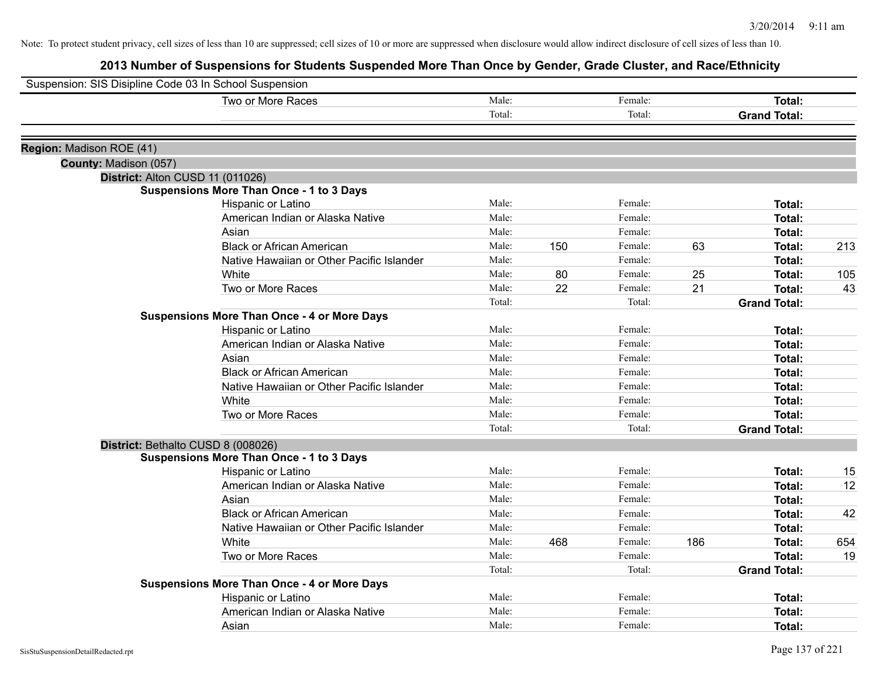|                          | Suspension: SIS Disipline Code 03 In School Suspension |        |     |         |     |                     |     |
|--------------------------|--------------------------------------------------------|--------|-----|---------|-----|---------------------|-----|
|                          | Two or More Races                                      | Male:  |     | Female: |     | <b>Total:</b>       |     |
|                          |                                                        | Total: |     | Total:  |     | <b>Grand Total:</b> |     |
| Region: Madison ROE (41) |                                                        |        |     |         |     |                     |     |
| County: Madison (057)    |                                                        |        |     |         |     |                     |     |
|                          | District: Alton CUSD 11 (011026)                       |        |     |         |     |                     |     |
|                          | <b>Suspensions More Than Once - 1 to 3 Days</b>        |        |     |         |     |                     |     |
|                          | Hispanic or Latino                                     | Male:  |     | Female: |     | Total:              |     |
|                          | American Indian or Alaska Native                       | Male:  |     | Female: |     | Total:              |     |
|                          | Asian                                                  | Male:  |     | Female: |     | Total:              |     |
|                          | <b>Black or African American</b>                       | Male:  | 150 | Female: | 63  | Total:              | 213 |
|                          | Native Hawaiian or Other Pacific Islander              | Male:  |     | Female: |     | <b>Total:</b>       |     |
|                          | White                                                  | Male:  | 80  | Female: | 25  | Total:              | 105 |
|                          | Two or More Races                                      | Male:  | 22  | Female: | 21  | Total:              | 43  |
|                          |                                                        | Total: |     | Total:  |     | <b>Grand Total:</b> |     |
|                          | <b>Suspensions More Than Once - 4 or More Days</b>     |        |     |         |     |                     |     |
|                          | Hispanic or Latino                                     | Male:  |     | Female: |     | Total:              |     |
|                          | American Indian or Alaska Native                       | Male:  |     | Female: |     | Total:              |     |
|                          | Asian                                                  | Male:  |     | Female: |     | Total:              |     |
|                          | <b>Black or African American</b>                       | Male:  |     | Female: |     | Total:              |     |
|                          | Native Hawaiian or Other Pacific Islander              | Male:  |     | Female: |     | Total:              |     |
|                          | White                                                  | Male:  |     | Female: |     | Total:              |     |
|                          | Two or More Races                                      | Male:  |     | Female: |     | Total:              |     |
|                          |                                                        | Total: |     | Total:  |     | <b>Grand Total:</b> |     |
|                          | District: Bethalto CUSD 8 (008026)                     |        |     |         |     |                     |     |
|                          | <b>Suspensions More Than Once - 1 to 3 Days</b>        |        |     |         |     |                     |     |
|                          | Hispanic or Latino                                     | Male:  |     | Female: |     | Total:              | 15  |
|                          | American Indian or Alaska Native                       | Male:  |     | Female: |     | Total:              | 12  |
|                          | Asian                                                  | Male:  |     | Female: |     | Total:              |     |
|                          | <b>Black or African American</b>                       | Male:  |     | Female: |     | Total:              | 42  |
|                          | Native Hawaiian or Other Pacific Islander              | Male:  |     | Female: |     | Total:              |     |
|                          | White                                                  | Male:  | 468 | Female: | 186 | <b>Total:</b>       | 654 |
|                          | Two or More Races                                      | Male:  |     | Female: |     | <b>Total:</b>       | 19  |
|                          |                                                        | Total: |     | Total:  |     | <b>Grand Total:</b> |     |
|                          | <b>Suspensions More Than Once - 4 or More Days</b>     |        |     |         |     |                     |     |
|                          | Hispanic or Latino                                     | Male:  |     | Female: |     | Total:              |     |
|                          | American Indian or Alaska Native                       | Male:  |     | Female: |     | Total:              |     |
|                          | Asian                                                  | Male:  |     | Female: |     | Total:              |     |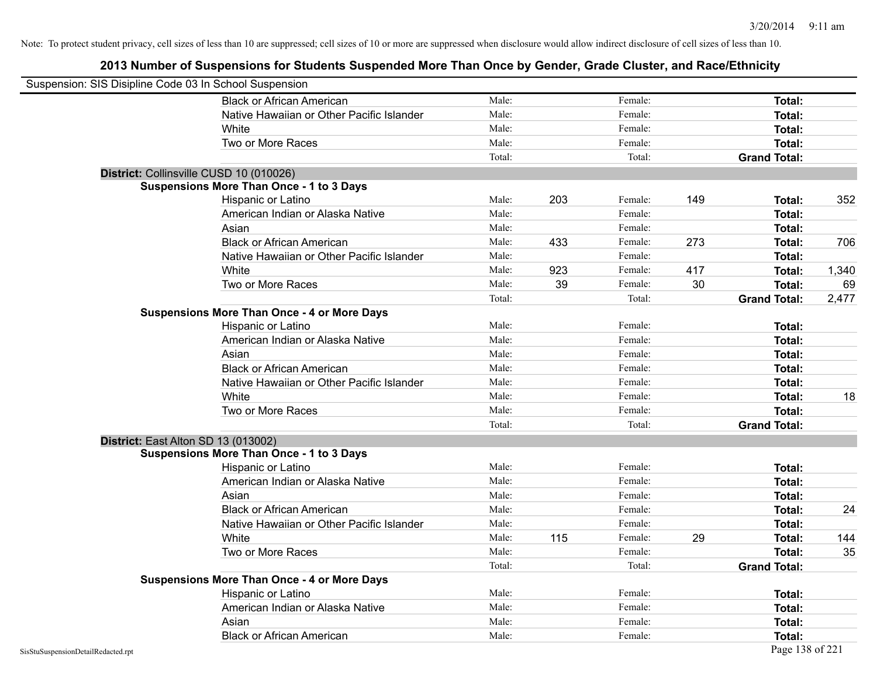| Suspension: SIS Disipline Code 03 In School Suspension |                                                    |        |     |         |     |                     |       |
|--------------------------------------------------------|----------------------------------------------------|--------|-----|---------|-----|---------------------|-------|
|                                                        | <b>Black or African American</b>                   | Male:  |     | Female: |     | Total:              |       |
|                                                        | Native Hawaiian or Other Pacific Islander          | Male:  |     | Female: |     | Total:              |       |
|                                                        | White                                              | Male:  |     | Female: |     | Total:              |       |
|                                                        | Two or More Races                                  | Male:  |     | Female: |     | Total:              |       |
|                                                        |                                                    | Total: |     | Total:  |     | <b>Grand Total:</b> |       |
| District: Collinsville CUSD 10 (010026)                |                                                    |        |     |         |     |                     |       |
|                                                        | <b>Suspensions More Than Once - 1 to 3 Days</b>    |        |     |         |     |                     |       |
|                                                        | Hispanic or Latino                                 | Male:  | 203 | Female: | 149 | Total:              | 352   |
|                                                        | American Indian or Alaska Native                   | Male:  |     | Female: |     | Total:              |       |
|                                                        | Asian                                              | Male:  |     | Female: |     | Total:              |       |
|                                                        | <b>Black or African American</b>                   | Male:  | 433 | Female: | 273 | Total:              | 706   |
|                                                        | Native Hawaiian or Other Pacific Islander          | Male:  |     | Female: |     | Total:              |       |
|                                                        | White                                              | Male:  | 923 | Female: | 417 | Total:              | 1,340 |
|                                                        | Two or More Races                                  | Male:  | 39  | Female: | 30  | Total:              | 69    |
|                                                        |                                                    | Total: |     | Total:  |     | <b>Grand Total:</b> | 2,477 |
|                                                        | <b>Suspensions More Than Once - 4 or More Days</b> |        |     |         |     |                     |       |
|                                                        | Hispanic or Latino                                 | Male:  |     | Female: |     | Total:              |       |
|                                                        | American Indian or Alaska Native                   | Male:  |     | Female: |     | Total:              |       |
|                                                        | Asian                                              | Male:  |     | Female: |     | Total:              |       |
|                                                        | <b>Black or African American</b>                   | Male:  |     | Female: |     | Total:              |       |
|                                                        | Native Hawaiian or Other Pacific Islander          | Male:  |     | Female: |     | Total:              |       |
|                                                        | White                                              | Male:  |     | Female: |     | Total:              | 18    |
|                                                        | Two or More Races                                  | Male:  |     | Female: |     | Total:              |       |
|                                                        |                                                    | Total: |     | Total:  |     | <b>Grand Total:</b> |       |
| District: East Alton SD 13 (013002)                    |                                                    |        |     |         |     |                     |       |
|                                                        | <b>Suspensions More Than Once - 1 to 3 Days</b>    |        |     |         |     |                     |       |
|                                                        | Hispanic or Latino                                 | Male:  |     | Female: |     | Total:              |       |
|                                                        | American Indian or Alaska Native                   | Male:  |     | Female: |     | Total:              |       |
|                                                        | Asian                                              | Male:  |     | Female: |     | Total:              |       |
|                                                        | <b>Black or African American</b>                   | Male:  |     | Female: |     | Total:              | 24    |
|                                                        | Native Hawaiian or Other Pacific Islander          | Male:  |     | Female: |     | Total:              |       |
|                                                        | White                                              | Male:  | 115 | Female: | 29  | Total:              | 144   |
|                                                        | Two or More Races                                  | Male:  |     | Female: |     | Total:              | 35    |
|                                                        |                                                    | Total: |     | Total:  |     | <b>Grand Total:</b> |       |
|                                                        | <b>Suspensions More Than Once - 4 or More Days</b> |        |     |         |     |                     |       |
|                                                        | Hispanic or Latino                                 | Male:  |     | Female: |     | Total:              |       |
|                                                        | American Indian or Alaska Native                   | Male:  |     | Female: |     | Total:              |       |
|                                                        | Asian                                              | Male:  |     | Female: |     | Total:              |       |
|                                                        | <b>Black or African American</b>                   | Male:  |     | Female: |     | Total:              |       |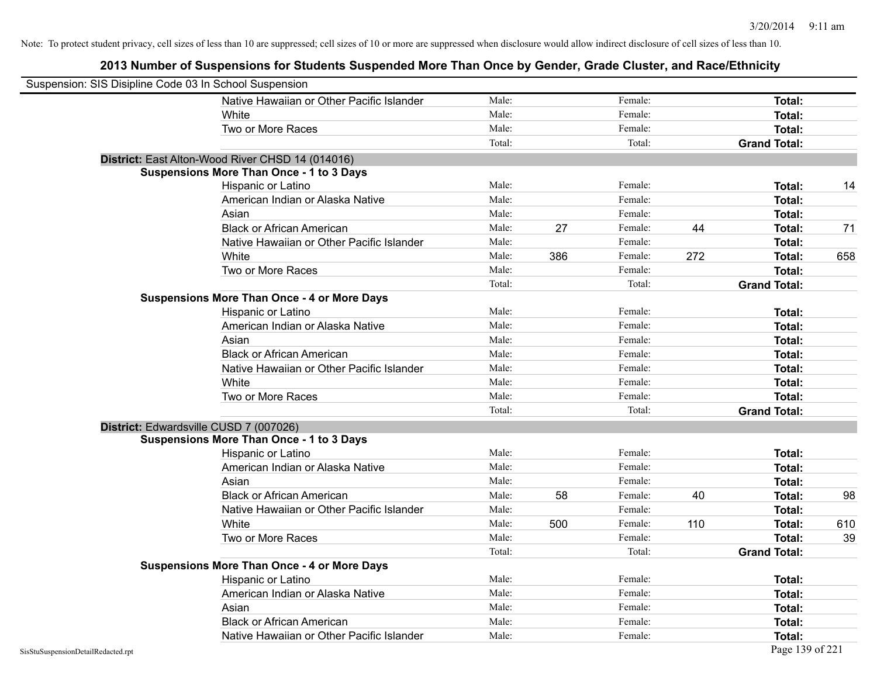|                                    | Suspension: SIS Disipline Code 03 In School Suspension |        |     |         |     |                     |     |
|------------------------------------|--------------------------------------------------------|--------|-----|---------|-----|---------------------|-----|
|                                    | Native Hawaiian or Other Pacific Islander              | Male:  |     | Female: |     | Total:              |     |
|                                    | White                                                  | Male:  |     | Female: |     | Total:              |     |
|                                    | Two or More Races                                      | Male:  |     | Female: |     | Total:              |     |
|                                    |                                                        | Total: |     | Total:  |     | <b>Grand Total:</b> |     |
|                                    | District: East Alton-Wood River CHSD 14 (014016)       |        |     |         |     |                     |     |
|                                    | <b>Suspensions More Than Once - 1 to 3 Days</b>        |        |     |         |     |                     |     |
|                                    | Hispanic or Latino                                     | Male:  |     | Female: |     | Total:              | 14  |
|                                    | American Indian or Alaska Native                       | Male:  |     | Female: |     | Total:              |     |
|                                    | Asian                                                  | Male:  |     | Female: |     | Total:              |     |
|                                    | <b>Black or African American</b>                       | Male:  | 27  | Female: | 44  | Total:              | 71  |
|                                    | Native Hawaiian or Other Pacific Islander              | Male:  |     | Female: |     | Total:              |     |
|                                    | White                                                  | Male:  | 386 | Female: | 272 | Total:              | 658 |
|                                    | Two or More Races                                      | Male:  |     | Female: |     | Total:              |     |
|                                    |                                                        | Total: |     | Total:  |     | <b>Grand Total:</b> |     |
|                                    | <b>Suspensions More Than Once - 4 or More Days</b>     |        |     |         |     |                     |     |
|                                    | Hispanic or Latino                                     | Male:  |     | Female: |     | Total:              |     |
|                                    | American Indian or Alaska Native                       | Male:  |     | Female: |     | Total:              |     |
|                                    | Asian                                                  | Male:  |     | Female: |     | Total:              |     |
|                                    | <b>Black or African American</b>                       | Male:  |     | Female: |     | Total:              |     |
|                                    | Native Hawaiian or Other Pacific Islander              | Male:  |     | Female: |     | Total:              |     |
|                                    | White                                                  | Male:  |     | Female: |     | Total:              |     |
|                                    | Two or More Races                                      | Male:  |     | Female: |     | Total:              |     |
|                                    |                                                        | Total: |     | Total:  |     | <b>Grand Total:</b> |     |
|                                    | District: Edwardsville CUSD 7 (007026)                 |        |     |         |     |                     |     |
|                                    | <b>Suspensions More Than Once - 1 to 3 Days</b>        |        |     |         |     |                     |     |
|                                    | Hispanic or Latino                                     | Male:  |     | Female: |     | Total:              |     |
|                                    | American Indian or Alaska Native                       | Male:  |     | Female: |     | Total:              |     |
|                                    | Asian                                                  | Male:  |     | Female: |     | Total:              |     |
|                                    | <b>Black or African American</b>                       | Male:  | 58  | Female: | 40  | Total:              | 98  |
|                                    | Native Hawaiian or Other Pacific Islander              | Male:  |     | Female: |     | Total:              |     |
|                                    | White                                                  | Male:  | 500 | Female: | 110 | Total:              | 610 |
|                                    | Two or More Races                                      | Male:  |     | Female: |     | <b>Total:</b>       | 39  |
|                                    |                                                        | Total: |     | Total:  |     | <b>Grand Total:</b> |     |
|                                    | <b>Suspensions More Than Once - 4 or More Days</b>     |        |     |         |     |                     |     |
|                                    | Hispanic or Latino                                     | Male:  |     | Female: |     | Total:              |     |
|                                    | American Indian or Alaska Native                       | Male:  |     | Female: |     | Total:              |     |
|                                    | Asian                                                  | Male:  |     | Female: |     | Total:              |     |
|                                    | <b>Black or African American</b>                       | Male:  |     | Female: |     | Total:              |     |
|                                    | Native Hawaiian or Other Pacific Islander              | Male:  |     | Female: |     | Total:              |     |
| SisStuSuspensionDetailRedacted.rpt |                                                        |        |     |         |     | Page 139 of 221     |     |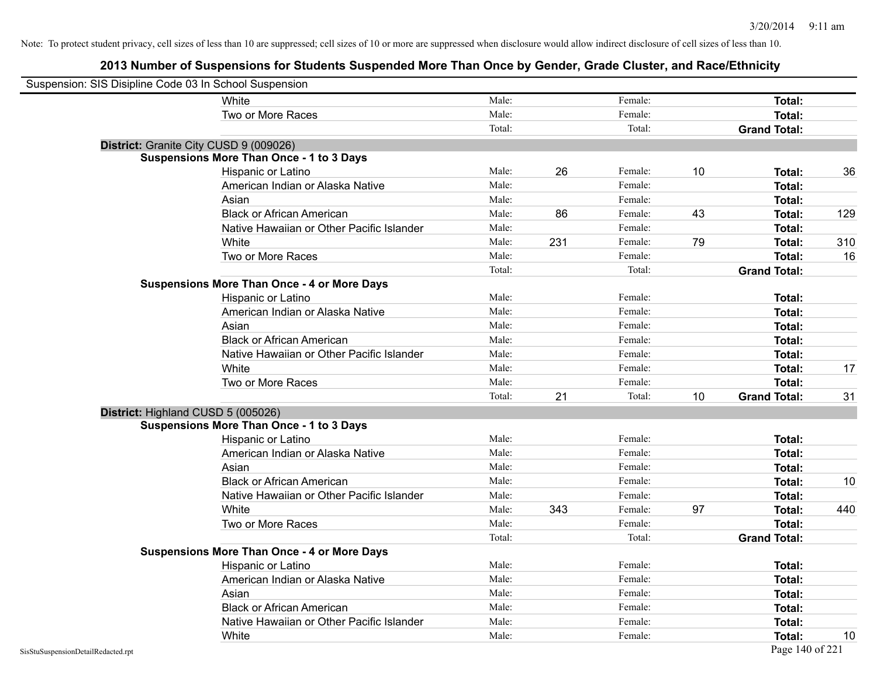| Suspension: SIS Disipline Code 03 In School Suspension |                                                    |        |     |         |    |                     |     |
|--------------------------------------------------------|----------------------------------------------------|--------|-----|---------|----|---------------------|-----|
|                                                        | White                                              | Male:  |     | Female: |    | Total:              |     |
|                                                        | Two or More Races                                  | Male:  |     | Female: |    | Total:              |     |
|                                                        |                                                    | Total: |     | Total:  |    | <b>Grand Total:</b> |     |
|                                                        | District: Granite City CUSD 9 (009026)             |        |     |         |    |                     |     |
|                                                        | <b>Suspensions More Than Once - 1 to 3 Days</b>    |        |     |         |    |                     |     |
|                                                        | Hispanic or Latino                                 | Male:  | 26  | Female: | 10 | Total:              | 36  |
|                                                        | American Indian or Alaska Native                   | Male:  |     | Female: |    | Total:              |     |
|                                                        | Asian                                              | Male:  |     | Female: |    | Total:              |     |
|                                                        | <b>Black or African American</b>                   | Male:  | 86  | Female: | 43 | Total:              | 129 |
|                                                        | Native Hawaiian or Other Pacific Islander          | Male:  |     | Female: |    | Total:              |     |
|                                                        | White                                              | Male:  | 231 | Female: | 79 | Total:              | 310 |
|                                                        | Two or More Races                                  | Male:  |     | Female: |    | <b>Total:</b>       | 16  |
|                                                        |                                                    | Total: |     | Total:  |    | <b>Grand Total:</b> |     |
|                                                        | <b>Suspensions More Than Once - 4 or More Days</b> |        |     |         |    |                     |     |
|                                                        | Hispanic or Latino                                 | Male:  |     | Female: |    | Total:              |     |
|                                                        | American Indian or Alaska Native                   | Male:  |     | Female: |    | Total:              |     |
|                                                        | Asian                                              | Male:  |     | Female: |    | Total:              |     |
|                                                        | <b>Black or African American</b>                   | Male:  |     | Female: |    | Total:              |     |
|                                                        | Native Hawaiian or Other Pacific Islander          | Male:  |     | Female: |    | Total:              |     |
|                                                        | White                                              | Male:  |     | Female: |    | <b>Total:</b>       | 17  |
|                                                        | Two or More Races                                  | Male:  |     | Female: |    | <b>Total:</b>       |     |
|                                                        |                                                    | Total: | 21  | Total:  | 10 | <b>Grand Total:</b> | 31  |
| District: Highland CUSD 5 (005026)                     |                                                    |        |     |         |    |                     |     |
|                                                        | <b>Suspensions More Than Once - 1 to 3 Days</b>    |        |     |         |    |                     |     |
|                                                        | Hispanic or Latino                                 | Male:  |     | Female: |    | Total:              |     |
|                                                        | American Indian or Alaska Native                   | Male:  |     | Female: |    | <b>Total:</b>       |     |
|                                                        | Asian                                              | Male:  |     | Female: |    | <b>Total:</b>       |     |
|                                                        | <b>Black or African American</b>                   | Male:  |     | Female: |    | Total:              | 10  |
|                                                        | Native Hawaiian or Other Pacific Islander          | Male:  |     | Female: |    | Total:              |     |
|                                                        | White                                              | Male:  | 343 | Female: | 97 | Total:              | 440 |
|                                                        | Two or More Races                                  | Male:  |     | Female: |    | Total:              |     |
|                                                        |                                                    | Total: |     | Total:  |    | <b>Grand Total:</b> |     |
|                                                        | <b>Suspensions More Than Once - 4 or More Days</b> |        |     |         |    |                     |     |
|                                                        | Hispanic or Latino                                 | Male:  |     | Female: |    | Total:              |     |
|                                                        | American Indian or Alaska Native                   | Male:  |     | Female: |    | Total:              |     |
|                                                        | Asian                                              | Male:  |     | Female: |    | Total:              |     |
|                                                        | <b>Black or African American</b>                   | Male:  |     | Female: |    | <b>Total:</b>       |     |
|                                                        | Native Hawaiian or Other Pacific Islander          | Male:  |     | Female: |    | Total:              |     |
|                                                        | White                                              | Male:  |     | Female: |    | <b>Total:</b>       | 10  |
| SisStuSuspensionDetailRedacted.rpt                     |                                                    |        |     |         |    | Page 140 of 221     |     |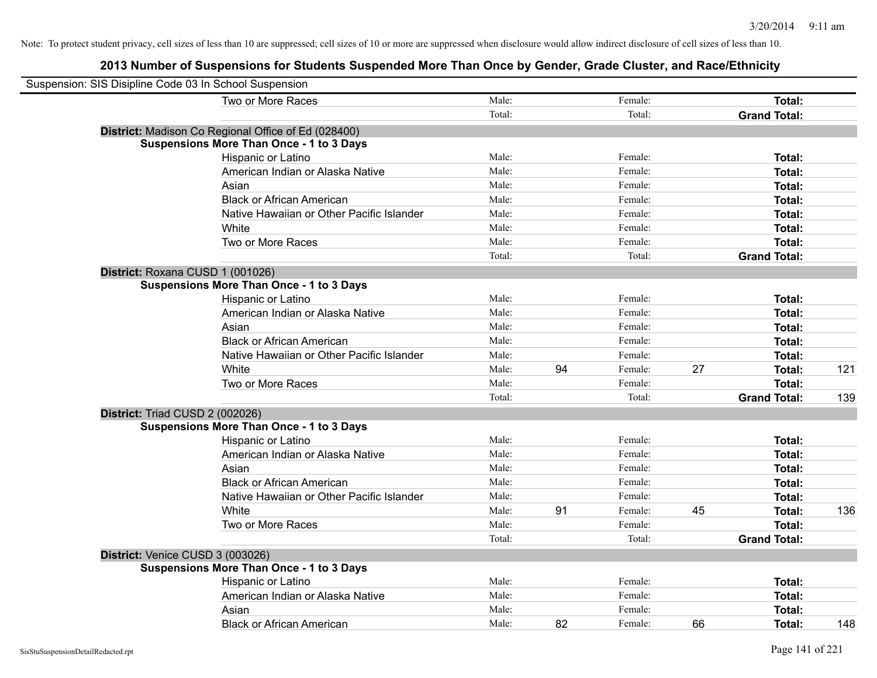| Suspension: SIS Disipline Code 03 In School Suspension |                                                     |        |    |         |    |                     |     |
|--------------------------------------------------------|-----------------------------------------------------|--------|----|---------|----|---------------------|-----|
|                                                        | Two or More Races                                   | Male:  |    | Female: |    | Total:              |     |
|                                                        |                                                     | Total: |    | Total:  |    | <b>Grand Total:</b> |     |
|                                                        | District: Madison Co Regional Office of Ed (028400) |        |    |         |    |                     |     |
|                                                        | <b>Suspensions More Than Once - 1 to 3 Days</b>     |        |    |         |    |                     |     |
|                                                        | Hispanic or Latino                                  | Male:  |    | Female: |    | Total:              |     |
|                                                        | American Indian or Alaska Native                    | Male:  |    | Female: |    | Total:              |     |
|                                                        | Asian                                               | Male:  |    | Female: |    | Total:              |     |
|                                                        | <b>Black or African American</b>                    | Male:  |    | Female: |    | Total:              |     |
|                                                        | Native Hawaiian or Other Pacific Islander           | Male:  |    | Female: |    | Total:              |     |
|                                                        | White                                               | Male:  |    | Female: |    | Total:              |     |
|                                                        | Two or More Races                                   | Male:  |    | Female: |    | Total:              |     |
|                                                        |                                                     | Total: |    | Total:  |    | <b>Grand Total:</b> |     |
|                                                        | District: Roxana CUSD 1 (001026)                    |        |    |         |    |                     |     |
|                                                        | <b>Suspensions More Than Once - 1 to 3 Days</b>     |        |    |         |    |                     |     |
|                                                        | Hispanic or Latino                                  | Male:  |    | Female: |    | Total:              |     |
|                                                        | American Indian or Alaska Native                    | Male:  |    | Female: |    | Total:              |     |
|                                                        | Asian                                               | Male:  |    | Female: |    | Total:              |     |
|                                                        | <b>Black or African American</b>                    | Male:  |    | Female: |    | Total:              |     |
|                                                        | Native Hawaiian or Other Pacific Islander           | Male:  |    | Female: |    | Total:              |     |
|                                                        | White                                               | Male:  | 94 | Female: | 27 | Total:              | 121 |
|                                                        | Two or More Races                                   | Male:  |    | Female: |    | Total:              |     |
|                                                        |                                                     | Total: |    | Total:  |    | <b>Grand Total:</b> | 139 |
|                                                        | District: Triad CUSD 2 (002026)                     |        |    |         |    |                     |     |
|                                                        | <b>Suspensions More Than Once - 1 to 3 Days</b>     |        |    |         |    |                     |     |
|                                                        | Hispanic or Latino                                  | Male:  |    | Female: |    | Total:              |     |
|                                                        | American Indian or Alaska Native                    | Male:  |    | Female: |    | Total:              |     |
|                                                        | Asian                                               | Male:  |    | Female: |    | Total:              |     |
|                                                        | <b>Black or African American</b>                    | Male:  |    | Female: |    | Total:              |     |
|                                                        | Native Hawaiian or Other Pacific Islander           | Male:  |    | Female: |    | Total:              |     |
|                                                        | White                                               | Male:  | 91 | Female: | 45 | Total:              | 136 |
|                                                        | Two or More Races                                   | Male:  |    | Female: |    | Total:              |     |
|                                                        |                                                     | Total: |    | Total:  |    | <b>Grand Total:</b> |     |
|                                                        | District: Venice CUSD 3 (003026)                    |        |    |         |    |                     |     |
|                                                        | <b>Suspensions More Than Once - 1 to 3 Days</b>     |        |    |         |    |                     |     |
|                                                        | Hispanic or Latino                                  | Male:  |    | Female: |    | Total:              |     |
|                                                        | American Indian or Alaska Native                    | Male:  |    | Female: |    | Total:              |     |
|                                                        | Asian                                               | Male:  |    | Female: |    | Total:              |     |
|                                                        | <b>Black or African American</b>                    | Male:  | 82 | Female: | 66 | Total:              | 148 |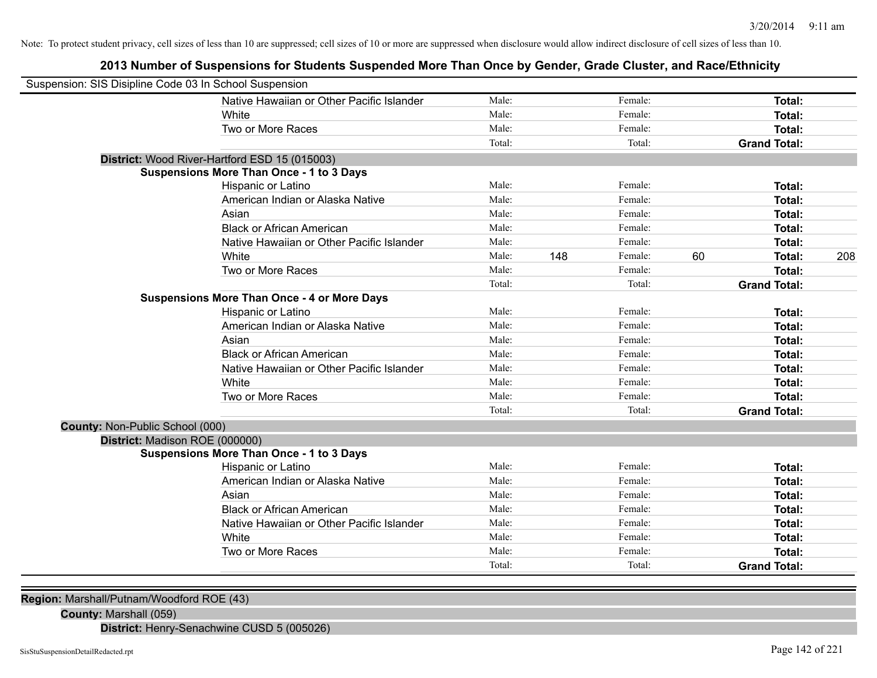# **2013 Number of Suspensions for Students Suspended More Than Once by Gender, Grade Cluster, and Race/Ethnicity**

| Suspension: SIS Disipline Code 03 In School Suspension |                                                    |        |     |         |    |                     |     |
|--------------------------------------------------------|----------------------------------------------------|--------|-----|---------|----|---------------------|-----|
|                                                        | Native Hawaiian or Other Pacific Islander          | Male:  |     | Female: |    | Total:              |     |
|                                                        | White                                              | Male:  |     | Female: |    | Total:              |     |
|                                                        | Two or More Races                                  | Male:  |     | Female: |    | Total:              |     |
|                                                        |                                                    | Total: |     | Total:  |    | <b>Grand Total:</b> |     |
|                                                        | District: Wood River-Hartford ESD 15 (015003)      |        |     |         |    |                     |     |
|                                                        | <b>Suspensions More Than Once - 1 to 3 Days</b>    |        |     |         |    |                     |     |
|                                                        | Hispanic or Latino                                 | Male:  |     | Female: |    | Total:              |     |
|                                                        | American Indian or Alaska Native                   | Male:  |     | Female: |    | Total:              |     |
|                                                        | Asian                                              | Male:  |     | Female: |    | Total:              |     |
|                                                        | <b>Black or African American</b>                   | Male:  |     | Female: |    | Total:              |     |
|                                                        | Native Hawaiian or Other Pacific Islander          | Male:  |     | Female: |    | Total:              |     |
|                                                        | White                                              | Male:  | 148 | Female: | 60 | Total:              | 208 |
|                                                        | Two or More Races                                  | Male:  |     | Female: |    | Total:              |     |
|                                                        |                                                    | Total: |     | Total:  |    | <b>Grand Total:</b> |     |
|                                                        | <b>Suspensions More Than Once - 4 or More Days</b> |        |     |         |    |                     |     |
|                                                        | Hispanic or Latino                                 | Male:  |     | Female: |    | Total:              |     |
|                                                        | American Indian or Alaska Native                   | Male:  |     | Female: |    | Total:              |     |
|                                                        | Asian                                              | Male:  |     | Female: |    | Total:              |     |
|                                                        | <b>Black or African American</b>                   | Male:  |     | Female: |    | Total:              |     |
|                                                        | Native Hawaiian or Other Pacific Islander          | Male:  |     | Female: |    | Total:              |     |
|                                                        | White                                              | Male:  |     | Female: |    | Total:              |     |
|                                                        | Two or More Races                                  | Male:  |     | Female: |    | Total:              |     |
|                                                        |                                                    | Total: |     | Total:  |    | <b>Grand Total:</b> |     |
| County: Non-Public School (000)                        |                                                    |        |     |         |    |                     |     |
| District: Madison ROE (000000)                         |                                                    |        |     |         |    |                     |     |
|                                                        | <b>Suspensions More Than Once - 1 to 3 Days</b>    |        |     |         |    |                     |     |
|                                                        | Hispanic or Latino                                 | Male:  |     | Female: |    | Total:              |     |
|                                                        | American Indian or Alaska Native                   | Male:  |     | Female: |    | Total:              |     |
|                                                        | Asian                                              | Male:  |     | Female: |    | Total:              |     |
|                                                        | <b>Black or African American</b>                   | Male:  |     | Female: |    | Total:              |     |
|                                                        | Native Hawaiian or Other Pacific Islander          | Male:  |     | Female: |    | Total:              |     |
|                                                        | White                                              | Male:  |     | Female: |    | Total:              |     |
|                                                        | Two or More Races                                  | Male:  |     | Female: |    | Total:              |     |
|                                                        |                                                    | Total: |     | Total:  |    | <b>Grand Total:</b> |     |
|                                                        |                                                    |        |     |         |    |                     |     |

**Region:** Marshall/Putnam/Woodford ROE (43)

**County:** Marshall (059)

**District:** Henry-Senachwine CUSD 5 (005026)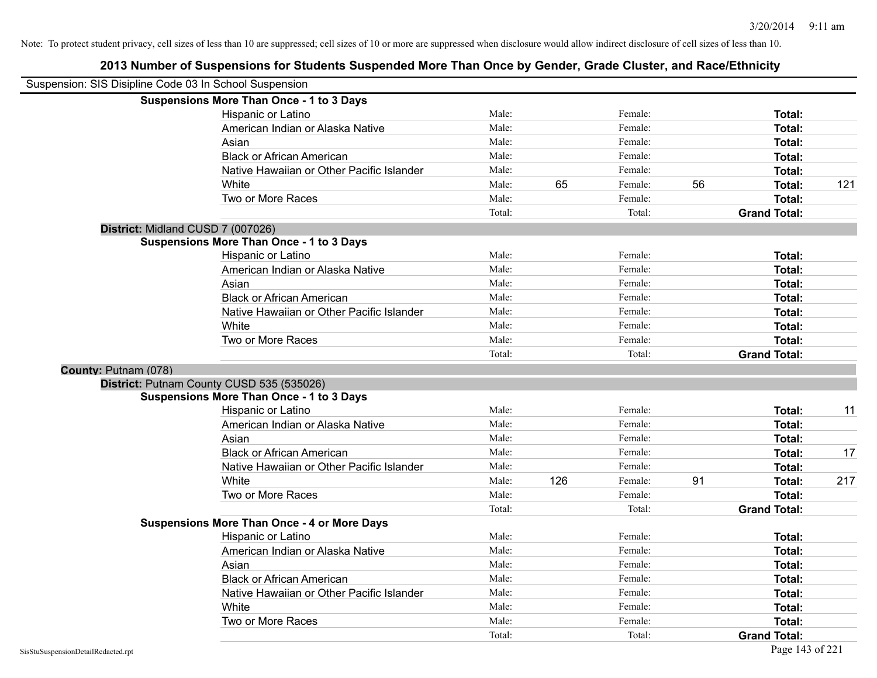| Suspension: SIS Disipline Code 03 In School Suspension |                                                    |        |     |         |    |                     |     |
|--------------------------------------------------------|----------------------------------------------------|--------|-----|---------|----|---------------------|-----|
|                                                        | <b>Suspensions More Than Once - 1 to 3 Days</b>    |        |     |         |    |                     |     |
|                                                        | Hispanic or Latino                                 | Male:  |     | Female: |    | Total:              |     |
|                                                        | American Indian or Alaska Native                   | Male:  |     | Female: |    | <b>Total:</b>       |     |
|                                                        | Asian                                              | Male:  |     | Female: |    | <b>Total:</b>       |     |
|                                                        | <b>Black or African American</b>                   | Male:  |     | Female: |    | <b>Total:</b>       |     |
|                                                        | Native Hawaiian or Other Pacific Islander          | Male:  |     | Female: |    | <b>Total:</b>       |     |
|                                                        | White                                              | Male:  | 65  | Female: | 56 | Total:              | 121 |
|                                                        | Two or More Races                                  | Male:  |     | Female: |    | Total:              |     |
|                                                        |                                                    | Total: |     | Total:  |    | <b>Grand Total:</b> |     |
| District: Midland CUSD 7 (007026)                      |                                                    |        |     |         |    |                     |     |
|                                                        | <b>Suspensions More Than Once - 1 to 3 Days</b>    |        |     |         |    |                     |     |
|                                                        | Hispanic or Latino                                 | Male:  |     | Female: |    | Total:              |     |
|                                                        | American Indian or Alaska Native                   | Male:  |     | Female: |    | <b>Total:</b>       |     |
|                                                        | Asian                                              | Male:  |     | Female: |    | Total:              |     |
|                                                        | <b>Black or African American</b>                   | Male:  |     | Female: |    | Total:              |     |
|                                                        | Native Hawaiian or Other Pacific Islander          | Male:  |     | Female: |    | <b>Total:</b>       |     |
|                                                        | White                                              | Male:  |     | Female: |    | Total:              |     |
|                                                        | Two or More Races                                  | Male:  |     | Female: |    | <b>Total:</b>       |     |
|                                                        |                                                    | Total: |     | Total:  |    | <b>Grand Total:</b> |     |
| County: Putnam (078)                                   |                                                    |        |     |         |    |                     |     |
|                                                        | District: Putnam County CUSD 535 (535026)          |        |     |         |    |                     |     |
|                                                        | <b>Suspensions More Than Once - 1 to 3 Days</b>    |        |     |         |    |                     |     |
|                                                        | Hispanic or Latino                                 | Male:  |     | Female: |    | Total:              | 11  |
|                                                        | American Indian or Alaska Native                   | Male:  |     | Female: |    | Total:              |     |
|                                                        | Asian                                              | Male:  |     | Female: |    | Total:              |     |
|                                                        | <b>Black or African American</b>                   | Male:  |     | Female: |    | Total:              | 17  |
|                                                        | Native Hawaiian or Other Pacific Islander          | Male:  |     | Female: |    | <b>Total:</b>       |     |
|                                                        | White                                              | Male:  | 126 | Female: | 91 | <b>Total:</b>       | 217 |
|                                                        | Two or More Races                                  | Male:  |     | Female: |    | Total:              |     |
|                                                        |                                                    | Total: |     | Total:  |    | <b>Grand Total:</b> |     |
|                                                        | <b>Suspensions More Than Once - 4 or More Days</b> |        |     |         |    |                     |     |
|                                                        | Hispanic or Latino                                 | Male:  |     | Female: |    | Total:              |     |
|                                                        | American Indian or Alaska Native                   | Male:  |     | Female: |    | <b>Total:</b>       |     |
|                                                        | Asian                                              | Male:  |     | Female: |    | <b>Total:</b>       |     |
|                                                        | <b>Black or African American</b>                   | Male:  |     | Female: |    | <b>Total:</b>       |     |
|                                                        | Native Hawaiian or Other Pacific Islander          | Male:  |     | Female: |    | Total:              |     |
|                                                        | White                                              | Male:  |     | Female: |    | <b>Total:</b>       |     |
|                                                        | Two or More Races                                  | Male:  |     | Female: |    | <b>Total:</b>       |     |
|                                                        |                                                    | Total: |     | Total:  |    | <b>Grand Total:</b> |     |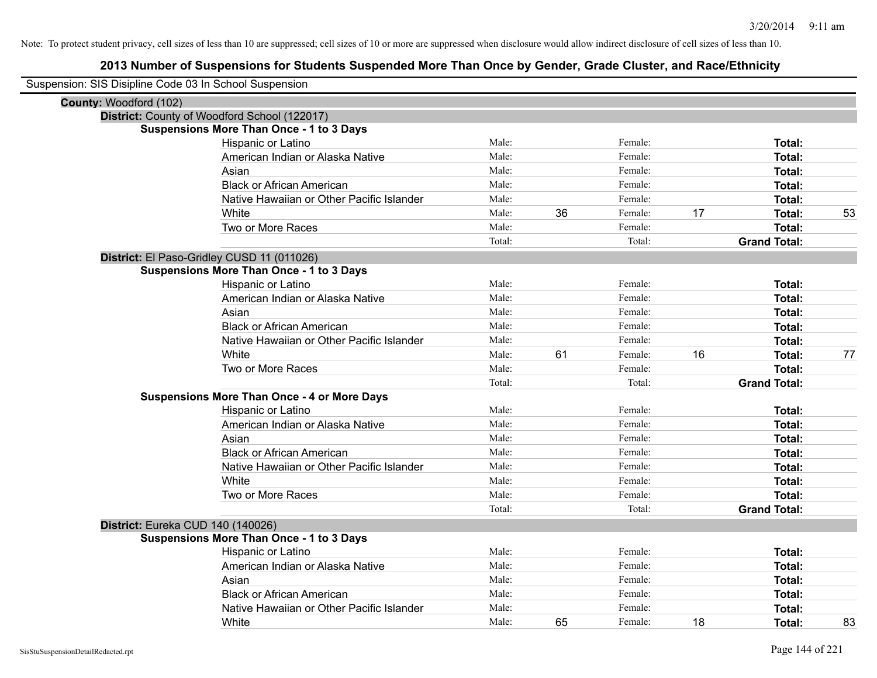| Suspension: SIS Disipline Code 03 In School Suspension |                                                    |        |    |         |    |                     |    |
|--------------------------------------------------------|----------------------------------------------------|--------|----|---------|----|---------------------|----|
| County: Woodford (102)                                 |                                                    |        |    |         |    |                     |    |
|                                                        | District: County of Woodford School (122017)       |        |    |         |    |                     |    |
|                                                        | <b>Suspensions More Than Once - 1 to 3 Days</b>    |        |    |         |    |                     |    |
|                                                        | Hispanic or Latino                                 | Male:  |    | Female: |    | Total:              |    |
|                                                        | American Indian or Alaska Native                   | Male:  |    | Female: |    | Total:              |    |
|                                                        | Asian                                              | Male:  |    | Female: |    | Total:              |    |
|                                                        | <b>Black or African American</b>                   | Male:  |    | Female: |    | Total:              |    |
|                                                        | Native Hawaiian or Other Pacific Islander          | Male:  |    | Female: |    | Total:              |    |
|                                                        | White                                              | Male:  | 36 | Female: | 17 | Total:              | 53 |
|                                                        | Two or More Races                                  | Male:  |    | Female: |    | <b>Total:</b>       |    |
|                                                        |                                                    | Total: |    | Total:  |    | <b>Grand Total:</b> |    |
|                                                        | District: El Paso-Gridley CUSD 11 (011026)         |        |    |         |    |                     |    |
|                                                        | <b>Suspensions More Than Once - 1 to 3 Days</b>    |        |    |         |    |                     |    |
|                                                        | Hispanic or Latino                                 | Male:  |    | Female: |    | Total:              |    |
|                                                        | American Indian or Alaska Native                   | Male:  |    | Female: |    | Total:              |    |
|                                                        | Asian                                              | Male:  |    | Female: |    | Total:              |    |
|                                                        | <b>Black or African American</b>                   | Male:  |    | Female: |    | <b>Total:</b>       |    |
|                                                        | Native Hawaiian or Other Pacific Islander          | Male:  |    | Female: |    | Total:              |    |
|                                                        | White                                              | Male:  | 61 | Female: | 16 | Total:              | 77 |
|                                                        | Two or More Races                                  | Male:  |    | Female: |    | <b>Total:</b>       |    |
|                                                        |                                                    | Total: |    | Total:  |    | <b>Grand Total:</b> |    |
|                                                        | <b>Suspensions More Than Once - 4 or More Days</b> |        |    |         |    |                     |    |
|                                                        | Hispanic or Latino                                 | Male:  |    | Female: |    | Total:              |    |
|                                                        | American Indian or Alaska Native                   | Male:  |    | Female: |    | Total:              |    |
|                                                        | Asian                                              | Male:  |    | Female: |    | Total:              |    |
|                                                        | <b>Black or African American</b>                   | Male:  |    | Female: |    | <b>Total:</b>       |    |
|                                                        | Native Hawaiian or Other Pacific Islander          | Male:  |    | Female: |    | Total:              |    |
|                                                        | White                                              | Male:  |    | Female: |    | Total:              |    |
|                                                        | Two or More Races                                  | Male:  |    | Female: |    | Total:              |    |
|                                                        |                                                    | Total: |    | Total:  |    | <b>Grand Total:</b> |    |
| District: Eureka CUD 140 (140026)                      |                                                    |        |    |         |    |                     |    |
|                                                        | Suspensions More Than Once - 1 to 3 Days           |        |    |         |    |                     |    |
|                                                        | Hispanic or Latino                                 | Male:  |    | Female: |    | Total:              |    |
|                                                        | American Indian or Alaska Native                   | Male:  |    | Female: |    | Total:              |    |
|                                                        | Asian                                              | Male:  |    | Female: |    | Total:              |    |
|                                                        | <b>Black or African American</b>                   | Male:  |    | Female: |    | Total:              |    |
|                                                        | Native Hawaiian or Other Pacific Islander          | Male:  |    | Female: |    | <b>Total:</b>       |    |
|                                                        | White                                              | Male:  | 65 | Female: | 18 | Total:              | 83 |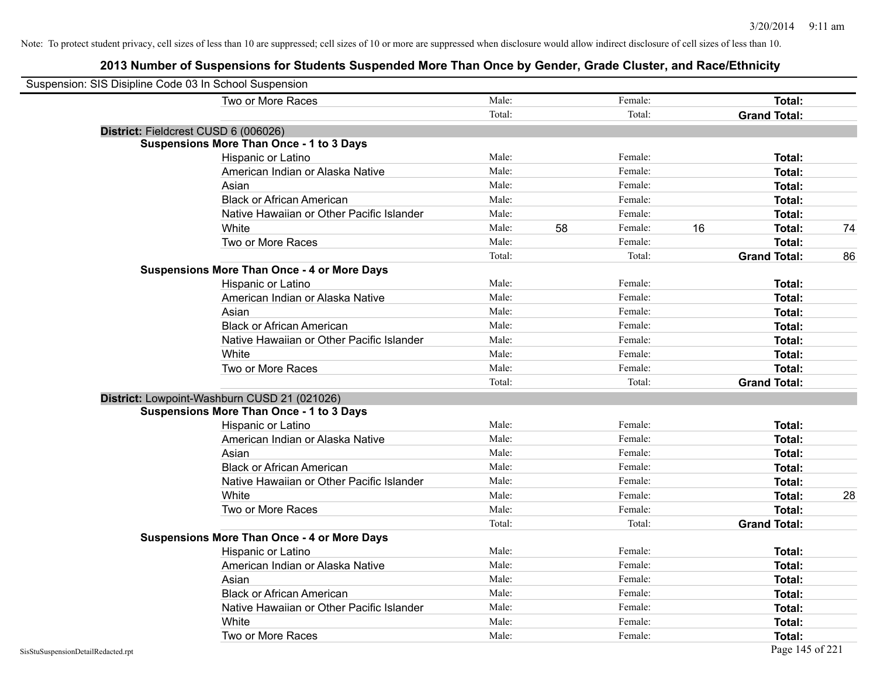| Suspension: SIS Disipline Code 03 In School Suspension |                                                    |        |    |         |    |                     |    |
|--------------------------------------------------------|----------------------------------------------------|--------|----|---------|----|---------------------|----|
|                                                        | Two or More Races                                  | Male:  |    | Female: |    | Total:              |    |
|                                                        |                                                    | Total: |    | Total:  |    | <b>Grand Total:</b> |    |
|                                                        | District: Fieldcrest CUSD 6 (006026)               |        |    |         |    |                     |    |
|                                                        | <b>Suspensions More Than Once - 1 to 3 Days</b>    |        |    |         |    |                     |    |
|                                                        | Hispanic or Latino                                 | Male:  |    | Female: |    | Total:              |    |
|                                                        | American Indian or Alaska Native                   | Male:  |    | Female: |    | Total:              |    |
|                                                        | Asian                                              | Male:  |    | Female: |    | Total:              |    |
|                                                        | <b>Black or African American</b>                   | Male:  |    | Female: |    | Total:              |    |
|                                                        | Native Hawaiian or Other Pacific Islander          | Male:  |    | Female: |    | Total:              |    |
|                                                        | White                                              | Male:  | 58 | Female: | 16 | Total:              | 74 |
|                                                        | Two or More Races                                  | Male:  |    | Female: |    | Total:              |    |
|                                                        |                                                    | Total: |    | Total:  |    | <b>Grand Total:</b> | 86 |
|                                                        | <b>Suspensions More Than Once - 4 or More Days</b> |        |    |         |    |                     |    |
|                                                        | Hispanic or Latino                                 | Male:  |    | Female: |    | Total:              |    |
|                                                        | American Indian or Alaska Native                   | Male:  |    | Female: |    | Total:              |    |
|                                                        | Asian                                              | Male:  |    | Female: |    | Total:              |    |
|                                                        | <b>Black or African American</b>                   | Male:  |    | Female: |    | Total:              |    |
|                                                        | Native Hawaiian or Other Pacific Islander          | Male:  |    | Female: |    | Total:              |    |
|                                                        | White                                              | Male:  |    | Female: |    | Total:              |    |
|                                                        | Two or More Races                                  | Male:  |    | Female: |    | Total:              |    |
|                                                        |                                                    | Total: |    | Total:  |    | <b>Grand Total:</b> |    |
|                                                        | District: Lowpoint-Washburn CUSD 21 (021026)       |        |    |         |    |                     |    |
|                                                        | <b>Suspensions More Than Once - 1 to 3 Days</b>    |        |    |         |    |                     |    |
|                                                        | Hispanic or Latino                                 | Male:  |    | Female: |    | Total:              |    |
|                                                        | American Indian or Alaska Native                   | Male:  |    | Female: |    | Total:              |    |
|                                                        | Asian                                              | Male:  |    | Female: |    | Total:              |    |
|                                                        | <b>Black or African American</b>                   | Male:  |    | Female: |    | Total:              |    |
|                                                        | Native Hawaiian or Other Pacific Islander          | Male:  |    | Female: |    | Total:              |    |
|                                                        | White                                              | Male:  |    | Female: |    | Total:              | 28 |
|                                                        | Two or More Races                                  | Male:  |    | Female: |    | Total:              |    |
|                                                        |                                                    | Total: |    | Total:  |    | <b>Grand Total:</b> |    |
|                                                        | <b>Suspensions More Than Once - 4 or More Days</b> |        |    |         |    |                     |    |
|                                                        | Hispanic or Latino                                 | Male:  |    | Female: |    | Total:              |    |
|                                                        | American Indian or Alaska Native                   | Male:  |    | Female: |    | Total:              |    |
|                                                        | Asian                                              | Male:  |    | Female: |    | Total:              |    |
|                                                        | <b>Black or African American</b>                   | Male:  |    | Female: |    | Total:              |    |
|                                                        | Native Hawaiian or Other Pacific Islander          | Male:  |    | Female: |    | Total:              |    |
|                                                        | White                                              | Male:  |    | Female: |    | Total:              |    |
|                                                        | Two or More Races                                  | Male:  |    | Female: |    | Total:              |    |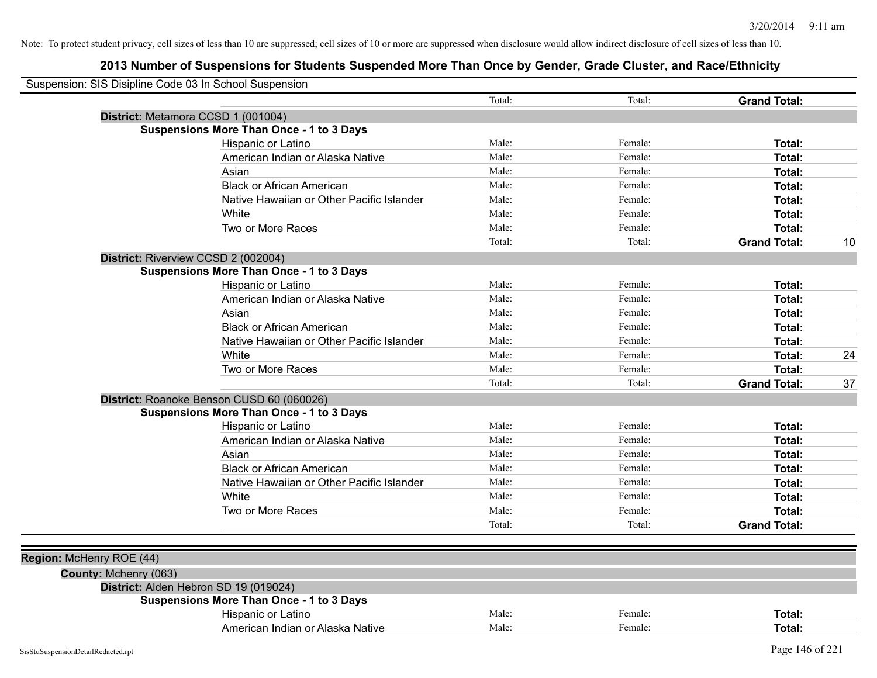| Suspension: SIS Disipline Code 03 In School Suspension |                                                 |        |         |                     |    |
|--------------------------------------------------------|-------------------------------------------------|--------|---------|---------------------|----|
|                                                        |                                                 | Total: | Total:  | <b>Grand Total:</b> |    |
|                                                        | District: Metamora CCSD 1 (001004)              |        |         |                     |    |
|                                                        | <b>Suspensions More Than Once - 1 to 3 Days</b> |        |         |                     |    |
|                                                        | Hispanic or Latino                              | Male:  | Female: | Total:              |    |
|                                                        | American Indian or Alaska Native                | Male:  | Female: | Total:              |    |
|                                                        | Asian                                           | Male:  | Female: | Total:              |    |
|                                                        | <b>Black or African American</b>                | Male:  | Female: | Total:              |    |
|                                                        | Native Hawaiian or Other Pacific Islander       | Male:  | Female: | Total:              |    |
|                                                        | White                                           | Male:  | Female: | Total:              |    |
|                                                        | Two or More Races                               | Male:  | Female: | Total:              |    |
|                                                        |                                                 | Total: | Total:  | <b>Grand Total:</b> | 10 |
|                                                        | District: Riverview CCSD 2 (002004)             |        |         |                     |    |
|                                                        | <b>Suspensions More Than Once - 1 to 3 Days</b> |        |         |                     |    |
|                                                        | Hispanic or Latino                              | Male:  | Female: | Total:              |    |
|                                                        | American Indian or Alaska Native                | Male:  | Female: | Total:              |    |
|                                                        | Asian                                           | Male:  | Female: | Total:              |    |
|                                                        | <b>Black or African American</b>                | Male:  | Female: | Total:              |    |
|                                                        | Native Hawaiian or Other Pacific Islander       | Male:  | Female: | Total:              |    |
|                                                        | White                                           | Male:  | Female: | Total:              | 24 |
|                                                        | Two or More Races                               | Male:  | Female: | Total:              |    |
|                                                        |                                                 | Total: | Total:  | <b>Grand Total:</b> | 37 |
|                                                        | District: Roanoke Benson CUSD 60 (060026)       |        |         |                     |    |
|                                                        | <b>Suspensions More Than Once - 1 to 3 Days</b> |        |         |                     |    |
|                                                        | Hispanic or Latino                              | Male:  | Female: | Total:              |    |
|                                                        | American Indian or Alaska Native                | Male:  | Female: | Total:              |    |
|                                                        | Asian                                           | Male:  | Female: | Total:              |    |
|                                                        | <b>Black or African American</b>                | Male:  | Female: | Total:              |    |
|                                                        | Native Hawaiian or Other Pacific Islander       | Male:  | Female: | Total:              |    |
|                                                        | White                                           | Male:  | Female: | Total:              |    |
|                                                        | Two or More Races                               | Male:  | Female: | Total:              |    |
|                                                        |                                                 | Total: | Total:  | <b>Grand Total:</b> |    |
|                                                        |                                                 |        |         |                     |    |
| Region: McHenry ROE (44)                               |                                                 |        |         |                     |    |
| County: Mchenry (063)                                  |                                                 |        |         |                     |    |
|                                                        | District: Alden Hebron SD 19 (019024)           |        |         |                     |    |
|                                                        | <b>Suspensions More Than Once - 1 to 3 Days</b> |        |         |                     |    |
|                                                        | Hispanic or Latino                              | Male:  | Female: | Total:              |    |
|                                                        | American Indian or Alaska Native                | Male:  | Female: | Total:              |    |
|                                                        |                                                 |        |         |                     |    |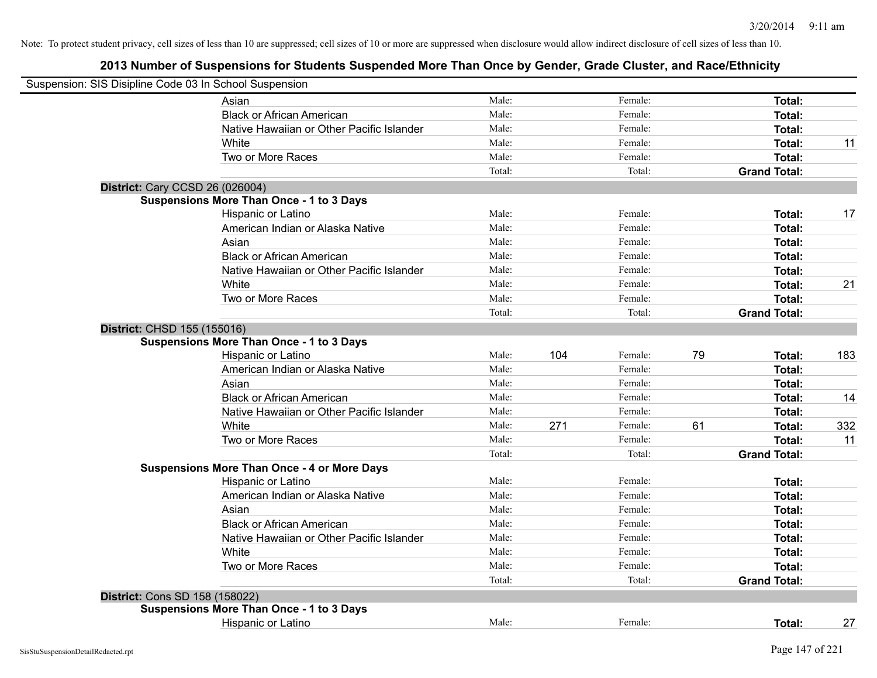| Suspension: SIS Disipline Code 03 In School Suspension |                                                    |        |     |         |    |                     |     |
|--------------------------------------------------------|----------------------------------------------------|--------|-----|---------|----|---------------------|-----|
|                                                        | Asian                                              | Male:  |     | Female: |    | Total:              |     |
|                                                        | <b>Black or African American</b>                   | Male:  |     | Female: |    | Total:              |     |
|                                                        | Native Hawaiian or Other Pacific Islander          | Male:  |     | Female: |    | Total:              |     |
|                                                        | White                                              | Male:  |     | Female: |    | Total:              | 11  |
|                                                        | Two or More Races                                  | Male:  |     | Female: |    | Total:              |     |
|                                                        |                                                    | Total: |     | Total:  |    | <b>Grand Total:</b> |     |
|                                                        | <b>District: Cary CCSD 26 (026004)</b>             |        |     |         |    |                     |     |
|                                                        | <b>Suspensions More Than Once - 1 to 3 Days</b>    |        |     |         |    |                     |     |
|                                                        | Hispanic or Latino                                 | Male:  |     | Female: |    | Total:              | 17  |
|                                                        | American Indian or Alaska Native                   | Male:  |     | Female: |    | Total:              |     |
|                                                        | Asian                                              | Male:  |     | Female: |    | Total:              |     |
|                                                        | <b>Black or African American</b>                   | Male:  |     | Female: |    | Total:              |     |
|                                                        | Native Hawaiian or Other Pacific Islander          | Male:  |     | Female: |    | Total:              |     |
|                                                        | White                                              | Male:  |     | Female: |    | Total:              | 21  |
|                                                        | Two or More Races                                  | Male:  |     | Female: |    | Total:              |     |
|                                                        |                                                    | Total: |     | Total:  |    | <b>Grand Total:</b> |     |
|                                                        | District: CHSD 155 (155016)                        |        |     |         |    |                     |     |
|                                                        | <b>Suspensions More Than Once - 1 to 3 Days</b>    | Male:  | 104 | Female: | 79 |                     | 183 |
|                                                        | Hispanic or Latino                                 | Male:  |     | Female: |    | Total:              |     |
|                                                        | American Indian or Alaska Native<br>Asian          | Male:  |     | Female: |    | Total:<br>Total:    |     |
|                                                        | <b>Black or African American</b>                   | Male:  |     | Female: |    | Total:              |     |
|                                                        |                                                    | Male:  |     | Female: |    |                     | 14  |
|                                                        | Native Hawaiian or Other Pacific Islander          | Male:  |     | Female: |    | Total:              |     |
|                                                        | White                                              | Male:  | 271 | Female: | 61 | Total:<br>Total:    | 332 |
|                                                        | Two or More Races                                  | Total: |     | Total:  |    | <b>Grand Total:</b> | 11  |
|                                                        | <b>Suspensions More Than Once - 4 or More Days</b> |        |     |         |    |                     |     |
|                                                        | Hispanic or Latino                                 | Male:  |     | Female: |    | Total:              |     |
|                                                        | American Indian or Alaska Native                   | Male:  |     | Female: |    | Total:              |     |
|                                                        | Asian                                              | Male:  |     | Female: |    | Total:              |     |
|                                                        | <b>Black or African American</b>                   | Male:  |     | Female: |    | Total:              |     |
|                                                        | Native Hawaiian or Other Pacific Islander          | Male:  |     | Female: |    | Total:              |     |
|                                                        | White                                              | Male:  |     | Female: |    | Total:              |     |
|                                                        | Two or More Races                                  | Male:  |     | Female: |    | Total:              |     |
|                                                        |                                                    | Total: |     | Total:  |    | <b>Grand Total:</b> |     |
|                                                        | District: Cons SD 158 (158022)                     |        |     |         |    |                     |     |
|                                                        | <b>Suspensions More Than Once - 1 to 3 Days</b>    |        |     |         |    |                     |     |
|                                                        | Hispanic or Latino                                 | Male:  |     | Female: |    | Total:              | 27  |
|                                                        |                                                    |        |     |         |    |                     |     |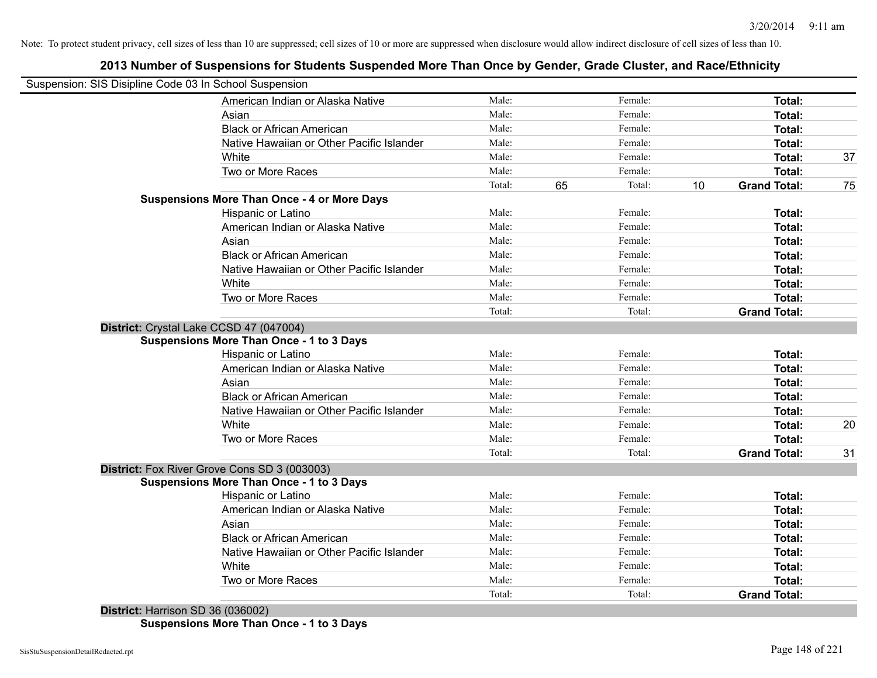### **2013 Number of Suspensions for Students Suspended More Than Once by Gender, Grade Cluster, and Race/Ethnicity**

| Suspension: SIS Disipline Code 03 In School Suspension                                                                                                                                                                                                                                |                 |                    |                           |    |
|---------------------------------------------------------------------------------------------------------------------------------------------------------------------------------------------------------------------------------------------------------------------------------------|-----------------|--------------------|---------------------------|----|
| American Indian or Alaska Native                                                                                                                                                                                                                                                      | Male:           | Female:            | Total:                    |    |
| Asian                                                                                                                                                                                                                                                                                 | Male:           | Female:            | Total:                    |    |
| <b>Black or African American</b>                                                                                                                                                                                                                                                      | Male:           | Female:            | Total:                    |    |
| Native Hawaiian or Other Pacific Islander                                                                                                                                                                                                                                             | Male:           | Female:            | Total:                    |    |
| White                                                                                                                                                                                                                                                                                 | Male:           | Female:            | Total:                    | 37 |
| Two or More Races                                                                                                                                                                                                                                                                     | Male:           | Female:            | Total:                    |    |
|                                                                                                                                                                                                                                                                                       | Total:          | 65<br>Total:       | 10<br><b>Grand Total:</b> | 75 |
| <b>Suspensions More Than Once - 4 or More Days</b>                                                                                                                                                                                                                                    |                 |                    |                           |    |
| Hispanic or Latino                                                                                                                                                                                                                                                                    | Male:           | Female:            | Total:                    |    |
| American Indian or Alaska Native                                                                                                                                                                                                                                                      | Male:           | Female:            | Total:                    |    |
| Asian                                                                                                                                                                                                                                                                                 | Male:           | Female:            | Total:                    |    |
| <b>Black or African American</b>                                                                                                                                                                                                                                                      | Male:           | Female:            | Total:                    |    |
| Native Hawaiian or Other Pacific Islander                                                                                                                                                                                                                                             | Male:           | Female:            | Total:                    |    |
| White                                                                                                                                                                                                                                                                                 | Male:           | Female:            | Total:                    |    |
| Two or More Races                                                                                                                                                                                                                                                                     | Male:           | Female:            | Total:                    |    |
|                                                                                                                                                                                                                                                                                       | Total:          | Total:             | <b>Grand Total:</b>       |    |
| District: Crystal Lake CCSD 47 (047004)                                                                                                                                                                                                                                               |                 |                    |                           |    |
| <b>Suspensions More Than Once - 1 to 3 Days</b>                                                                                                                                                                                                                                       |                 |                    |                           |    |
| Hispanic or Latino                                                                                                                                                                                                                                                                    | Male:           | Female:            | Total:                    |    |
| American Indian or Alaska Native                                                                                                                                                                                                                                                      | Male:           | Female:            | Total:                    |    |
| Asian                                                                                                                                                                                                                                                                                 | Male:           | Female:            | Total:                    |    |
| <b>Black or African American</b>                                                                                                                                                                                                                                                      | Male:           | Female:            | Total:                    |    |
| Native Hawaiian or Other Pacific Islander                                                                                                                                                                                                                                             | Male:           | Female:            | Total:                    |    |
| White                                                                                                                                                                                                                                                                                 | Male:           | Female:            | Total:                    | 20 |
| Two or More Races                                                                                                                                                                                                                                                                     | Male:           | Female:            | Total:                    |    |
|                                                                                                                                                                                                                                                                                       | Total:          | Total:             | <b>Grand Total:</b>       | 31 |
| District: Fox River Grove Cons SD 3 (003003)                                                                                                                                                                                                                                          |                 |                    |                           |    |
| <b>Suspensions More Than Once - 1 to 3 Days</b>                                                                                                                                                                                                                                       |                 |                    |                           |    |
| Hispanic or Latino                                                                                                                                                                                                                                                                    | Male:           | Female:            | Total:                    |    |
| American Indian or Alaska Native                                                                                                                                                                                                                                                      | Male:           | Female:            | Total:                    |    |
| Asian                                                                                                                                                                                                                                                                                 | Male:<br>Male:  | Female:            | Total:                    |    |
| <b>Black or African American</b>                                                                                                                                                                                                                                                      |                 | Female:            | Total:                    |    |
| Native Hawaiian or Other Pacific Islander                                                                                                                                                                                                                                             | Male:<br>Male:  | Female:<br>Female: | Total:                    |    |
| White                                                                                                                                                                                                                                                                                 |                 |                    | Total:                    |    |
| Two or More Races                                                                                                                                                                                                                                                                     | Male:<br>Total: | Female:            | Total:                    |    |
| $D_{i}$ , $L_{i}$ , $L_{i}$ , $L_{i}$ , $L_{i}$ , $L_{i}$ , $L_{i}$ , $L_{i}$ , $L_{i}$ , $L_{i}$ , $L_{i}$ , $L_{i}$ , $L_{i}$ , $L_{i}$ , $L_{i}$ , $L_{i}$ , $L_{i}$ , $L_{i}$ , $L_{i}$ , $L_{i}$ , $L_{i}$ , $L_{i}$ , $L_{i}$ , $L_{i}$ , $L_{i}$ , $L_{i}$ , $L_{i}$ , $L_{i}$ |                 | Total:             | <b>Grand Total:</b>       |    |

**District:** Harrison SD 36 (036002) **Suspensions More Than Once - 1 to 3 Days**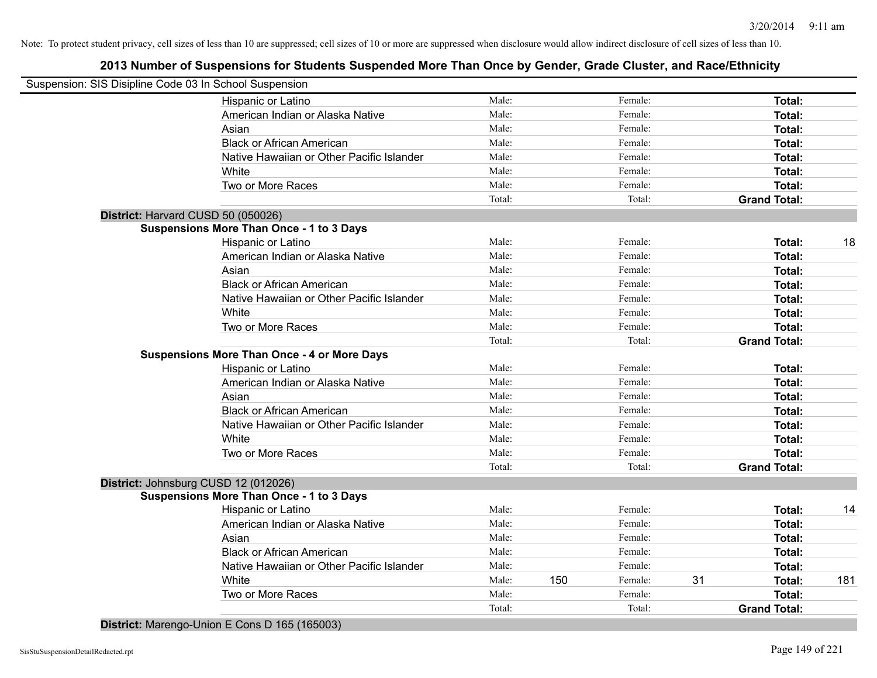### **2013 Number of Suspensions for Students Suspended More Than Once by Gender, Grade Cluster, and Race/Ethnicity**

|   | Suspension: SIS Disipline Code 03 In School Suspension                                                                                                                                                                                                                                                                                                                               |        |     |         |    |                     |     |
|---|--------------------------------------------------------------------------------------------------------------------------------------------------------------------------------------------------------------------------------------------------------------------------------------------------------------------------------------------------------------------------------------|--------|-----|---------|----|---------------------|-----|
|   | Hispanic or Latino                                                                                                                                                                                                                                                                                                                                                                   | Male:  |     | Female: |    | Total:              |     |
|   | American Indian or Alaska Native                                                                                                                                                                                                                                                                                                                                                     | Male:  |     | Female: |    | Total:              |     |
|   | Asian                                                                                                                                                                                                                                                                                                                                                                                | Male:  |     | Female: |    | Total:              |     |
|   | <b>Black or African American</b>                                                                                                                                                                                                                                                                                                                                                     | Male:  |     | Female: |    | Total:              |     |
|   | Native Hawaiian or Other Pacific Islander                                                                                                                                                                                                                                                                                                                                            | Male:  |     | Female: |    | Total:              |     |
|   | White                                                                                                                                                                                                                                                                                                                                                                                | Male:  |     | Female: |    | Total:              |     |
|   | Two or More Races                                                                                                                                                                                                                                                                                                                                                                    | Male:  |     | Female: |    | Total:              |     |
|   |                                                                                                                                                                                                                                                                                                                                                                                      | Total: |     | Total:  |    | <b>Grand Total:</b> |     |
|   | District: Harvard CUSD 50 (050026)                                                                                                                                                                                                                                                                                                                                                   |        |     |         |    |                     |     |
|   | <b>Suspensions More Than Once - 1 to 3 Days</b>                                                                                                                                                                                                                                                                                                                                      |        |     |         |    |                     |     |
|   | Hispanic or Latino                                                                                                                                                                                                                                                                                                                                                                   | Male:  |     | Female: |    | Total:              | 18  |
|   | American Indian or Alaska Native                                                                                                                                                                                                                                                                                                                                                     | Male:  |     | Female: |    | Total:              |     |
|   | Asian                                                                                                                                                                                                                                                                                                                                                                                | Male:  |     | Female: |    | Total:              |     |
|   | <b>Black or African American</b>                                                                                                                                                                                                                                                                                                                                                     | Male:  |     | Female: |    | Total:              |     |
|   | Native Hawaiian or Other Pacific Islander                                                                                                                                                                                                                                                                                                                                            | Male:  |     | Female: |    | Total:              |     |
|   | White                                                                                                                                                                                                                                                                                                                                                                                | Male:  |     | Female: |    | Total:              |     |
|   | Two or More Races                                                                                                                                                                                                                                                                                                                                                                    | Male:  |     | Female: |    | Total:              |     |
|   |                                                                                                                                                                                                                                                                                                                                                                                      | Total: |     | Total:  |    | <b>Grand Total:</b> |     |
|   | <b>Suspensions More Than Once - 4 or More Days</b>                                                                                                                                                                                                                                                                                                                                   |        |     |         |    |                     |     |
|   | Hispanic or Latino                                                                                                                                                                                                                                                                                                                                                                   | Male:  |     | Female: |    | Total:              |     |
|   | American Indian or Alaska Native                                                                                                                                                                                                                                                                                                                                                     | Male:  |     | Female: |    | Total:              |     |
|   | Asian                                                                                                                                                                                                                                                                                                                                                                                | Male:  |     | Female: |    | Total:              |     |
|   | <b>Black or African American</b>                                                                                                                                                                                                                                                                                                                                                     | Male:  |     | Female: |    | Total:              |     |
|   | Native Hawaiian or Other Pacific Islander                                                                                                                                                                                                                                                                                                                                            | Male:  |     | Female: |    | Total:              |     |
|   | White                                                                                                                                                                                                                                                                                                                                                                                | Male:  |     | Female: |    | Total:              |     |
|   | Two or More Races                                                                                                                                                                                                                                                                                                                                                                    | Male:  |     | Female: |    | Total:              |     |
|   |                                                                                                                                                                                                                                                                                                                                                                                      | Total: |     | Total:  |    | <b>Grand Total:</b> |     |
|   | District: Johnsburg CUSD 12 (012026)                                                                                                                                                                                                                                                                                                                                                 |        |     |         |    |                     |     |
|   | <b>Suspensions More Than Once - 1 to 3 Days</b>                                                                                                                                                                                                                                                                                                                                      |        |     |         |    |                     |     |
|   | Hispanic or Latino                                                                                                                                                                                                                                                                                                                                                                   | Male:  |     | Female: |    | Total:              | 14  |
|   | American Indian or Alaska Native                                                                                                                                                                                                                                                                                                                                                     | Male:  |     | Female: |    | Total:              |     |
|   | Asian                                                                                                                                                                                                                                                                                                                                                                                | Male:  |     | Female: |    | Total:              |     |
|   | <b>Black or African American</b>                                                                                                                                                                                                                                                                                                                                                     | Male:  |     | Female: |    | Total:              |     |
|   | Native Hawaiian or Other Pacific Islander                                                                                                                                                                                                                                                                                                                                            | Male:  |     | Female: |    | Total:              |     |
|   | White                                                                                                                                                                                                                                                                                                                                                                                | Male:  | 150 | Female: | 31 | Total:              | 181 |
|   | Two or More Races                                                                                                                                                                                                                                                                                                                                                                    | Male:  |     | Female: |    | Total:              |     |
|   |                                                                                                                                                                                                                                                                                                                                                                                      | Total: |     | Total:  |    | <b>Grand Total:</b> |     |
| . | $\overline{a}$ $\overline{a}$ $\overline{a}$ $\overline{a}$ $\overline{a}$ $\overline{a}$ $\overline{a}$ $\overline{a}$ $\overline{a}$ $\overline{a}$ $\overline{a}$ $\overline{a}$ $\overline{a}$ $\overline{a}$ $\overline{a}$ $\overline{a}$ $\overline{a}$ $\overline{a}$ $\overline{a}$ $\overline{a}$ $\overline{a}$ $\overline{a}$ $\overline{a}$ $\overline{a}$ $\overline{$ |        |     |         |    |                     |     |

**District:** Marengo-Union E Cons D 165 (165003)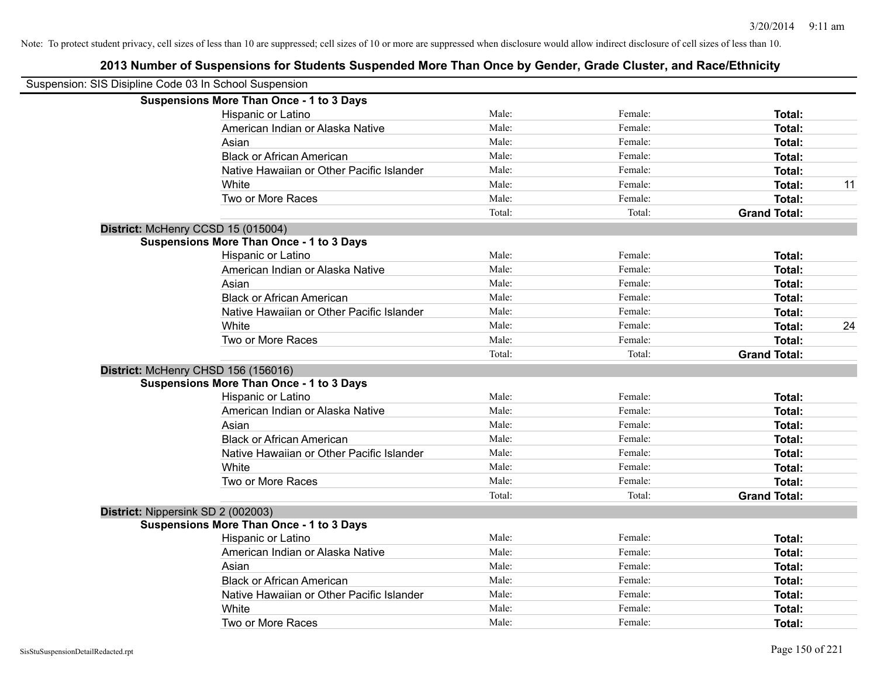| Suspension: SIS Disipline Code 03 In School Suspension |                                                 |        |         |                     |    |
|--------------------------------------------------------|-------------------------------------------------|--------|---------|---------------------|----|
|                                                        | <b>Suspensions More Than Once - 1 to 3 Days</b> |        |         |                     |    |
|                                                        | Hispanic or Latino                              | Male:  | Female: | Total:              |    |
|                                                        | American Indian or Alaska Native                | Male:  | Female: | Total:              |    |
|                                                        | Asian                                           | Male:  | Female: | Total:              |    |
|                                                        | <b>Black or African American</b>                | Male:  | Female: | Total:              |    |
|                                                        | Native Hawaiian or Other Pacific Islander       | Male:  | Female: | Total:              |    |
|                                                        | White                                           | Male:  | Female: | Total:              | 11 |
|                                                        | Two or More Races                               | Male:  | Female: | <b>Total:</b>       |    |
|                                                        |                                                 | Total: | Total:  | <b>Grand Total:</b> |    |
|                                                        | District: McHenry CCSD 15 (015004)              |        |         |                     |    |
|                                                        | <b>Suspensions More Than Once - 1 to 3 Days</b> |        |         |                     |    |
|                                                        | Hispanic or Latino                              | Male:  | Female: | Total:              |    |
|                                                        | American Indian or Alaska Native                | Male:  | Female: | Total:              |    |
|                                                        | Asian                                           | Male:  | Female: | Total:              |    |
|                                                        | <b>Black or African American</b>                | Male:  | Female: | Total:              |    |
|                                                        | Native Hawaiian or Other Pacific Islander       | Male:  | Female: | Total:              |    |
|                                                        | White                                           | Male:  | Female: | Total:              | 24 |
|                                                        | Two or More Races                               | Male:  | Female: | Total:              |    |
|                                                        |                                                 | Total: | Total:  | <b>Grand Total:</b> |    |
|                                                        | District: McHenry CHSD 156 (156016)             |        |         |                     |    |
|                                                        | <b>Suspensions More Than Once - 1 to 3 Days</b> |        |         |                     |    |
|                                                        | Hispanic or Latino                              | Male:  | Female: | Total:              |    |
|                                                        | American Indian or Alaska Native                | Male:  | Female: | Total:              |    |
|                                                        | Asian                                           | Male:  | Female: | Total:              |    |
|                                                        | <b>Black or African American</b>                | Male:  | Female: | Total:              |    |
|                                                        | Native Hawaiian or Other Pacific Islander       | Male:  | Female: | Total:              |    |
|                                                        | White                                           | Male:  | Female: | Total:              |    |
|                                                        | Two or More Races                               | Male:  | Female: | Total:              |    |
|                                                        |                                                 | Total: | Total:  | <b>Grand Total:</b> |    |
|                                                        | District: Nippersink SD 2 (002003)              |        |         |                     |    |
|                                                        | <b>Suspensions More Than Once - 1 to 3 Days</b> |        |         |                     |    |
|                                                        | Hispanic or Latino                              | Male:  | Female: | Total:              |    |
|                                                        | American Indian or Alaska Native                | Male:  | Female: | Total:              |    |
|                                                        | Asian                                           | Male:  | Female: | Total:              |    |
|                                                        | <b>Black or African American</b>                | Male:  | Female: | Total:              |    |
|                                                        | Native Hawaiian or Other Pacific Islander       | Male:  | Female: | Total:              |    |
|                                                        | White                                           | Male:  | Female: | <b>Total:</b>       |    |
|                                                        | Two or More Races                               | Male:  | Female: | Total:              |    |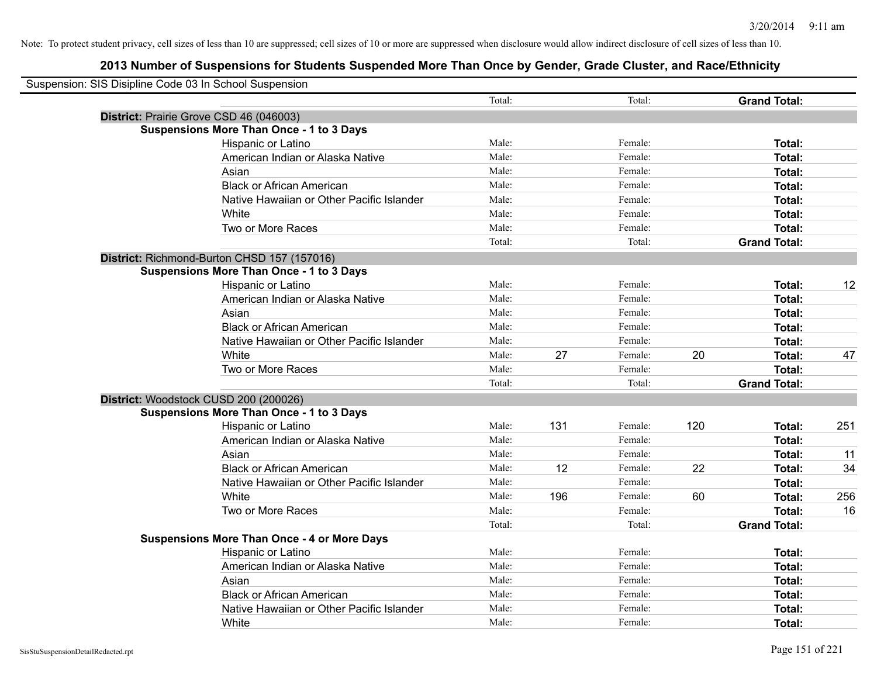| Suspension: SIS Disipline Code 03 In School Suspension |                                                    |                |     |         |     |                     |     |
|--------------------------------------------------------|----------------------------------------------------|----------------|-----|---------|-----|---------------------|-----|
|                                                        |                                                    | Total:         |     | Total:  |     | <b>Grand Total:</b> |     |
|                                                        | District: Prairie Grove CSD 46 (046003)            |                |     |         |     |                     |     |
|                                                        | <b>Suspensions More Than Once - 1 to 3 Days</b>    |                |     |         |     |                     |     |
|                                                        | Hispanic or Latino                                 | Male:          |     | Female: |     | Total:              |     |
|                                                        | American Indian or Alaska Native                   | Male:          |     | Female: |     | Total:              |     |
|                                                        | Asian                                              | Male:          |     | Female: |     | Total:              |     |
|                                                        | <b>Black or African American</b>                   | Male:          |     | Female: |     | Total:              |     |
|                                                        | Native Hawaiian or Other Pacific Islander          | Male:          |     | Female: |     | Total:              |     |
|                                                        | White                                              | Male:          |     | Female: |     | <b>Total:</b>       |     |
|                                                        | Two or More Races                                  | Male:          |     | Female: |     | Total:              |     |
|                                                        |                                                    | Total:         |     | Total:  |     | <b>Grand Total:</b> |     |
|                                                        | District: Richmond-Burton CHSD 157 (157016)        |                |     |         |     |                     |     |
|                                                        | <b>Suspensions More Than Once - 1 to 3 Days</b>    |                |     |         |     |                     |     |
|                                                        | Hispanic or Latino                                 | Male:          |     | Female: |     | Total:              | 12  |
|                                                        | American Indian or Alaska Native                   | Male:          |     | Female: |     | Total:              |     |
|                                                        | Asian                                              | Male:          |     | Female: |     | Total:              |     |
|                                                        | <b>Black or African American</b>                   | Male:          |     | Female: |     | Total:              |     |
|                                                        | Native Hawaiian or Other Pacific Islander          | Male:          |     | Female: |     | Total:              |     |
|                                                        | White                                              | Male:          | 27  | Female: | 20  | <b>Total:</b>       | 47  |
|                                                        | Two or More Races                                  | Male:          |     | Female: |     | Total:              |     |
|                                                        |                                                    | Total:         |     | Total:  |     | <b>Grand Total:</b> |     |
|                                                        | District: Woodstock CUSD 200 (200026)              |                |     |         |     |                     |     |
|                                                        | <b>Suspensions More Than Once - 1 to 3 Days</b>    |                |     |         |     |                     |     |
|                                                        | Hispanic or Latino                                 | Male:          | 131 | Female: | 120 | <b>Total:</b>       | 251 |
|                                                        | American Indian or Alaska Native                   | Male:          |     | Female: |     | Total:              |     |
|                                                        | Asian                                              | Male:          |     | Female: |     | Total:              | 11  |
|                                                        | <b>Black or African American</b>                   | Male:          | 12  | Female: | 22  | Total:              | 34  |
|                                                        | Native Hawaiian or Other Pacific Islander          | Male:          |     | Female: |     | Total:              |     |
|                                                        | White                                              | Male:          | 196 | Female: | 60  | <b>Total:</b>       | 256 |
|                                                        | Two or More Races                                  | Male:          |     | Female: |     | Total:              | 16  |
|                                                        |                                                    | Total:         |     | Total:  |     | <b>Grand Total:</b> |     |
|                                                        | <b>Suspensions More Than Once - 4 or More Days</b> |                |     |         |     |                     |     |
|                                                        | <b>Hispanic or Latino</b>                          | Male:          |     | Female: |     | Total:              |     |
|                                                        | American Indian or Alaska Native                   | Male:          |     | Female: |     | Total:              |     |
|                                                        | Asian                                              | Male:<br>Male: |     | Female: |     | Total:              |     |
|                                                        | <b>Black or African American</b>                   | Male:          |     | Female: |     | Total:              |     |
|                                                        | Native Hawaiian or Other Pacific Islander          |                |     | Female: |     | Total:              |     |
|                                                        | White                                              | Male:          |     | Female: |     | Total:              |     |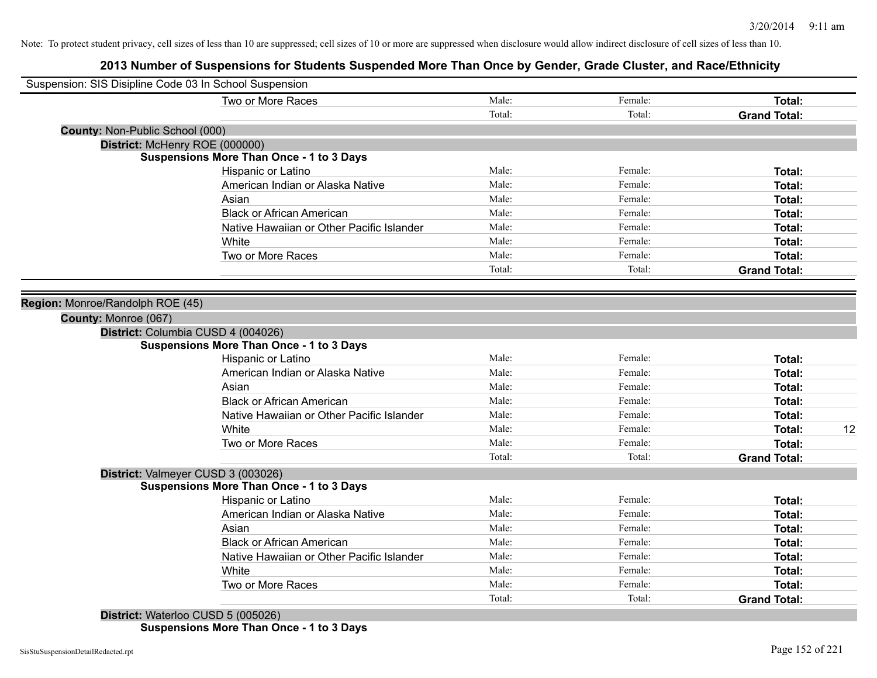### **2013 Number of Suspensions for Students Suspended More Than Once by Gender, Grade Cluster, and Race/Ethnicity**

| Suspension: SIS Disipline Code 03 In School Suspension |                                                 |        |         |                     |    |
|--------------------------------------------------------|-------------------------------------------------|--------|---------|---------------------|----|
|                                                        | Two or More Races                               | Male:  | Female: | Total:              |    |
|                                                        |                                                 | Total: | Total:  | <b>Grand Total:</b> |    |
| County: Non-Public School (000)                        |                                                 |        |         |                     |    |
| District: McHenry ROE (000000)                         |                                                 |        |         |                     |    |
|                                                        | <b>Suspensions More Than Once - 1 to 3 Days</b> |        |         |                     |    |
|                                                        | Hispanic or Latino                              | Male:  | Female: | Total:              |    |
|                                                        | American Indian or Alaska Native                | Male:  | Female: | Total:              |    |
|                                                        | Asian                                           | Male:  | Female: | Total:              |    |
|                                                        | <b>Black or African American</b>                | Male:  | Female: | Total:              |    |
|                                                        | Native Hawaiian or Other Pacific Islander       | Male:  | Female: | Total:              |    |
|                                                        | White                                           | Male:  | Female: | Total:              |    |
|                                                        | Two or More Races                               | Male:  | Female: | Total:              |    |
|                                                        |                                                 | Total: | Total:  | <b>Grand Total:</b> |    |
|                                                        |                                                 |        |         |                     |    |
| Region: Monroe/Randolph ROE (45)                       |                                                 |        |         |                     |    |
| County: Monroe (067)                                   |                                                 |        |         |                     |    |
| District: Columbia CUSD 4 (004026)                     |                                                 |        |         |                     |    |
|                                                        | <b>Suspensions More Than Once - 1 to 3 Days</b> |        |         |                     |    |
|                                                        | Hispanic or Latino                              | Male:  | Female: | Total:              |    |
|                                                        | American Indian or Alaska Native                | Male:  | Female: | Total:              |    |
|                                                        | Asian                                           | Male:  | Female: | Total:              |    |
|                                                        | <b>Black or African American</b>                | Male:  | Female: | Total:              |    |
|                                                        | Native Hawaiian or Other Pacific Islander       | Male:  | Female: | Total:              |    |
|                                                        | White                                           | Male:  | Female: | Total:              | 12 |
|                                                        | Two or More Races                               | Male:  | Female: | Total:              |    |
|                                                        |                                                 | Total: | Total:  | <b>Grand Total:</b> |    |
| District: Valmeyer CUSD 3 (003026)                     |                                                 |        |         |                     |    |
|                                                        | <b>Suspensions More Than Once - 1 to 3 Days</b> |        |         |                     |    |
|                                                        | Hispanic or Latino                              | Male:  | Female: | Total:              |    |
|                                                        | American Indian or Alaska Native                | Male:  | Female: | Total:              |    |
|                                                        | Asian                                           | Male:  | Female: | Total:              |    |
|                                                        | <b>Black or African American</b>                | Male:  | Female: | Total:              |    |
|                                                        | Native Hawaiian or Other Pacific Islander       | Male:  | Female: | Total:              |    |
|                                                        | White                                           | Male:  | Female: | Total:              |    |
|                                                        | Two or More Races                               | Male:  | Female: | Total:              |    |
|                                                        |                                                 | Total: | Total:  | <b>Grand Total:</b> |    |
| District: Waterloo CUSD 5 (005026)                     |                                                 |        |         |                     |    |

**Suspensions More Than Once - 1 to 3 Days**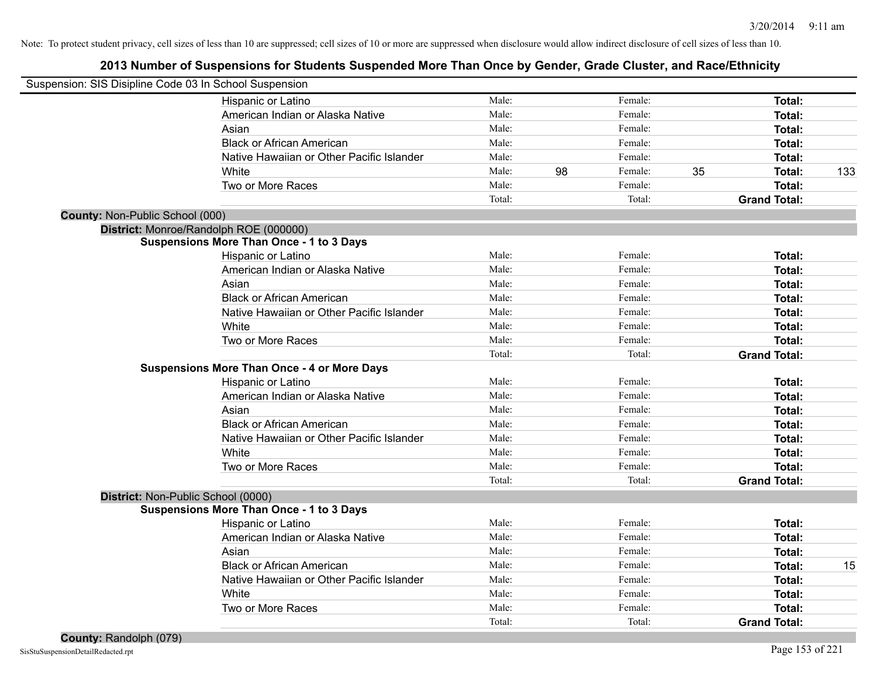| Suspension: SIS Disipline Code 03 In School Suspension |                                                    |        |    |         |    |                     |     |
|--------------------------------------------------------|----------------------------------------------------|--------|----|---------|----|---------------------|-----|
|                                                        | Hispanic or Latino                                 | Male:  |    | Female: |    | Total:              |     |
|                                                        | American Indian or Alaska Native                   | Male:  |    | Female: |    | <b>Total:</b>       |     |
|                                                        | Asian                                              | Male:  |    | Female: |    | <b>Total:</b>       |     |
|                                                        | <b>Black or African American</b>                   | Male:  |    | Female: |    | <b>Total:</b>       |     |
|                                                        | Native Hawaiian or Other Pacific Islander          | Male:  |    | Female: |    | <b>Total:</b>       |     |
|                                                        | White                                              | Male:  | 98 | Female: | 35 | <b>Total:</b>       | 133 |
|                                                        | Two or More Races                                  | Male:  |    | Female: |    | <b>Total:</b>       |     |
|                                                        |                                                    | Total: |    | Total:  |    | <b>Grand Total:</b> |     |
| County: Non-Public School (000)                        |                                                    |        |    |         |    |                     |     |
| District: Monroe/Randolph ROE (000000)                 |                                                    |        |    |         |    |                     |     |
|                                                        | <b>Suspensions More Than Once - 1 to 3 Days</b>    |        |    |         |    |                     |     |
|                                                        | Hispanic or Latino                                 | Male:  |    | Female: |    | Total:              |     |
|                                                        | American Indian or Alaska Native                   | Male:  |    | Female: |    | <b>Total:</b>       |     |
|                                                        | Asian                                              | Male:  |    | Female: |    | <b>Total:</b>       |     |
|                                                        | <b>Black or African American</b>                   | Male:  |    | Female: |    | <b>Total:</b>       |     |
|                                                        | Native Hawaiian or Other Pacific Islander          | Male:  |    | Female: |    | <b>Total:</b>       |     |
|                                                        | White                                              | Male:  |    | Female: |    | Total:              |     |
|                                                        | Two or More Races                                  | Male:  |    | Female: |    | Total:              |     |
|                                                        |                                                    | Total: |    | Total:  |    | <b>Grand Total:</b> |     |
|                                                        | <b>Suspensions More Than Once - 4 or More Days</b> |        |    |         |    |                     |     |
|                                                        | Hispanic or Latino                                 | Male:  |    | Female: |    | Total:              |     |
|                                                        | American Indian or Alaska Native                   | Male:  |    | Female: |    | Total:              |     |
|                                                        | Asian                                              | Male:  |    | Female: |    | Total:              |     |
|                                                        | <b>Black or African American</b>                   | Male:  |    | Female: |    | Total:              |     |
|                                                        | Native Hawaiian or Other Pacific Islander          | Male:  |    | Female: |    | Total:              |     |
|                                                        | White                                              | Male:  |    | Female: |    | <b>Total:</b>       |     |
|                                                        | Two or More Races                                  | Male:  |    | Female: |    | <b>Total:</b>       |     |
|                                                        |                                                    | Total: |    | Total:  |    | <b>Grand Total:</b> |     |
| District: Non-Public School (0000)                     |                                                    |        |    |         |    |                     |     |
|                                                        | <b>Suspensions More Than Once - 1 to 3 Days</b>    |        |    |         |    |                     |     |
|                                                        | Hispanic or Latino                                 | Male:  |    | Female: |    | <b>Total:</b>       |     |
|                                                        | American Indian or Alaska Native                   | Male:  |    | Female: |    | Total:              |     |
|                                                        | Asian                                              | Male:  |    | Female: |    | <b>Total:</b>       |     |
|                                                        | <b>Black or African American</b>                   | Male:  |    | Female: |    | Total:              | 15  |
|                                                        | Native Hawaiian or Other Pacific Islander          | Male:  |    | Female: |    | Total:              |     |
|                                                        | White                                              | Male:  |    | Female: |    | <b>Total:</b>       |     |
|                                                        | Two or More Races                                  | Male:  |    | Female: |    | <b>Total:</b>       |     |
|                                                        |                                                    | Total: |    | Total:  |    | <b>Grand Total:</b> |     |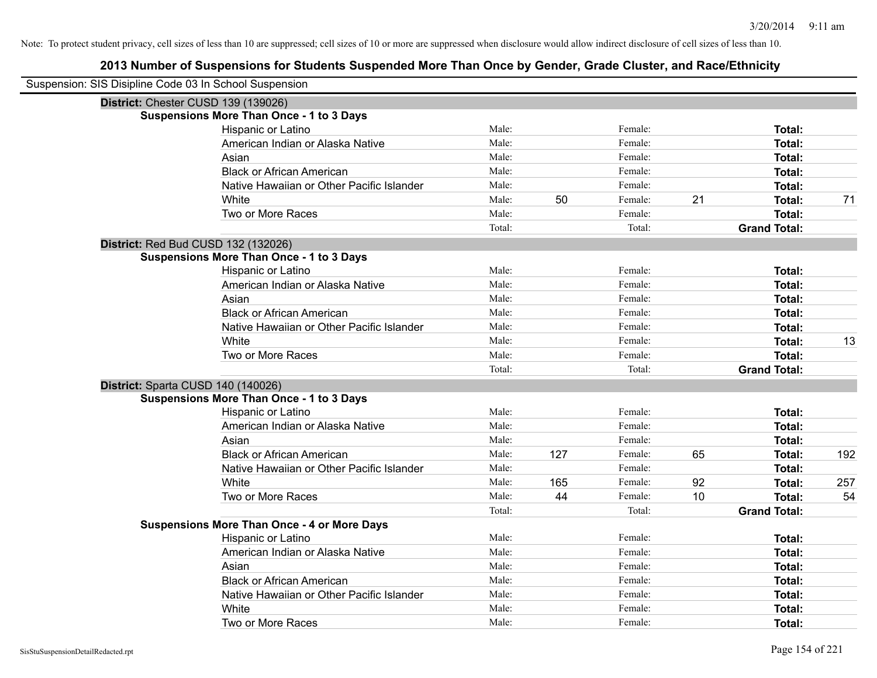| Suspension: SIS Disipline Code 03 In School Suspension |        |     |         |    |                     |     |
|--------------------------------------------------------|--------|-----|---------|----|---------------------|-----|
| District: Chester CUSD 139 (139026)                    |        |     |         |    |                     |     |
| <b>Suspensions More Than Once - 1 to 3 Days</b>        |        |     |         |    |                     |     |
| Hispanic or Latino                                     | Male:  |     | Female: |    | Total:              |     |
| American Indian or Alaska Native                       | Male:  |     | Female: |    | Total:              |     |
| Asian                                                  | Male:  |     | Female: |    | Total:              |     |
| <b>Black or African American</b>                       | Male:  |     | Female: |    | Total:              |     |
| Native Hawaiian or Other Pacific Islander              | Male:  |     | Female: |    | Total:              |     |
| White                                                  | Male:  | 50  | Female: | 21 | Total:              | 71  |
| Two or More Races                                      | Male:  |     | Female: |    | Total:              |     |
|                                                        | Total: |     | Total:  |    | <b>Grand Total:</b> |     |
| District: Red Bud CUSD 132 (132026)                    |        |     |         |    |                     |     |
| <b>Suspensions More Than Once - 1 to 3 Days</b>        |        |     |         |    |                     |     |
| Hispanic or Latino                                     | Male:  |     | Female: |    | Total:              |     |
| American Indian or Alaska Native                       | Male:  |     | Female: |    | Total:              |     |
| Asian                                                  | Male:  |     | Female: |    | Total:              |     |
| <b>Black or African American</b>                       | Male:  |     | Female: |    | Total:              |     |
| Native Hawaiian or Other Pacific Islander              | Male:  |     | Female: |    | Total:              |     |
| White                                                  | Male:  |     | Female: |    | Total:              | 13  |
| Two or More Races                                      | Male:  |     | Female: |    | Total:              |     |
|                                                        | Total: |     | Total:  |    | <b>Grand Total:</b> |     |
| District: Sparta CUSD 140 (140026)                     |        |     |         |    |                     |     |
| <b>Suspensions More Than Once - 1 to 3 Days</b>        |        |     |         |    |                     |     |
| Hispanic or Latino                                     | Male:  |     | Female: |    | Total:              |     |
| American Indian or Alaska Native                       | Male:  |     | Female: |    | Total:              |     |
| Asian                                                  | Male:  |     | Female: |    | Total:              |     |
| <b>Black or African American</b>                       | Male:  | 127 | Female: | 65 | Total:              | 192 |
| Native Hawaiian or Other Pacific Islander              | Male:  |     | Female: |    | Total:              |     |
| White                                                  | Male:  | 165 | Female: | 92 | Total:              | 257 |
| Two or More Races                                      | Male:  | 44  | Female: | 10 | Total:              | 54  |
|                                                        | Total: |     | Total:  |    | <b>Grand Total:</b> |     |
| <b>Suspensions More Than Once - 4 or More Days</b>     |        |     |         |    |                     |     |
| Hispanic or Latino                                     | Male:  |     | Female: |    | Total:              |     |
| American Indian or Alaska Native                       | Male:  |     | Female: |    | Total:              |     |
| Asian                                                  | Male:  |     | Female: |    | Total:              |     |
| <b>Black or African American</b>                       | Male:  |     | Female: |    | Total:              |     |
| Native Hawaiian or Other Pacific Islander              | Male:  |     | Female: |    | Total:              |     |
| White                                                  | Male:  |     | Female: |    | Total:              |     |
| Two or More Races                                      | Male:  |     | Female: |    | Total:              |     |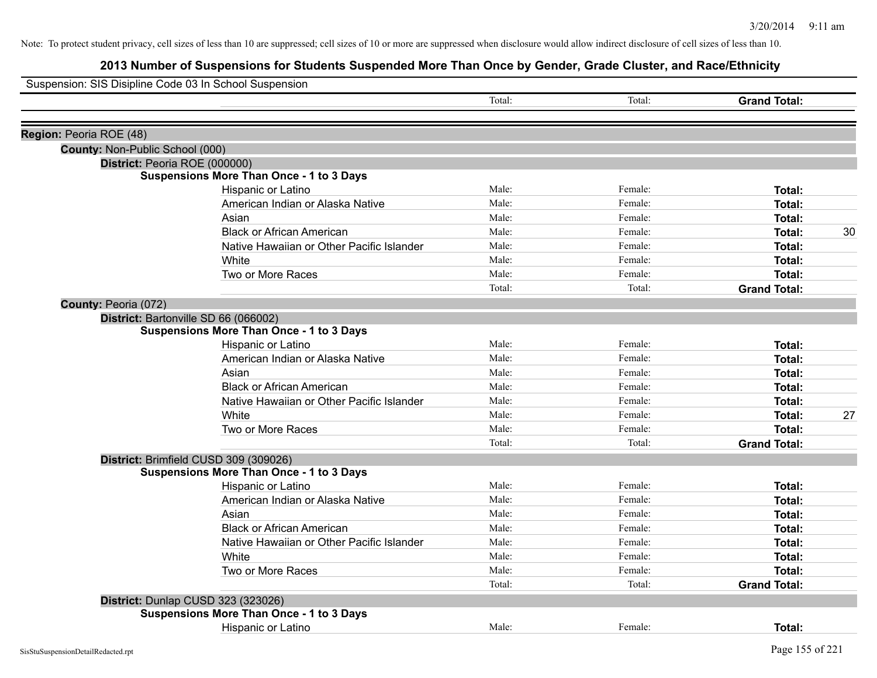| Suspension: SIS Disipline Code 03 In School Suspension |                                                 |        |         |                     |    |
|--------------------------------------------------------|-------------------------------------------------|--------|---------|---------------------|----|
|                                                        |                                                 | Total: | Total:  | <b>Grand Total:</b> |    |
|                                                        |                                                 |        |         |                     |    |
| Region: Peoria ROE (48)                                |                                                 |        |         |                     |    |
| County: Non-Public School (000)                        |                                                 |        |         |                     |    |
|                                                        | District: Peoria ROE (000000)                   |        |         |                     |    |
|                                                        | <b>Suspensions More Than Once - 1 to 3 Days</b> |        |         |                     |    |
|                                                        | Hispanic or Latino                              | Male:  | Female: | Total:              |    |
|                                                        | American Indian or Alaska Native                | Male:  | Female: | <b>Total:</b>       |    |
|                                                        | Asian                                           | Male:  | Female: | <b>Total:</b>       |    |
|                                                        | <b>Black or African American</b>                | Male:  | Female: | <b>Total:</b>       | 30 |
|                                                        | Native Hawaiian or Other Pacific Islander       | Male:  | Female: | Total:              |    |
|                                                        | White                                           | Male:  | Female: | <b>Total:</b>       |    |
|                                                        | Two or More Races                               | Male:  | Female: | Total:              |    |
|                                                        |                                                 | Total: | Total:  | <b>Grand Total:</b> |    |
| County: Peoria (072)                                   |                                                 |        |         |                     |    |
|                                                        | District: Bartonville SD 66 (066002)            |        |         |                     |    |
|                                                        | <b>Suspensions More Than Once - 1 to 3 Days</b> |        |         |                     |    |
|                                                        | Hispanic or Latino                              | Male:  | Female: | Total:              |    |
|                                                        | American Indian or Alaska Native                | Male:  | Female: | <b>Total:</b>       |    |
|                                                        | Asian                                           | Male:  | Female: | Total:              |    |
|                                                        | <b>Black or African American</b>                | Male:  | Female: | <b>Total:</b>       |    |
|                                                        | Native Hawaiian or Other Pacific Islander       | Male:  | Female: | Total:              |    |
|                                                        | White                                           | Male:  | Female: | Total:              | 27 |
|                                                        | Two or More Races                               | Male:  | Female: | <b>Total:</b>       |    |
|                                                        |                                                 | Total: | Total:  | <b>Grand Total:</b> |    |
|                                                        | District: Brimfield CUSD 309 (309026)           |        |         |                     |    |
|                                                        | <b>Suspensions More Than Once - 1 to 3 Days</b> |        |         |                     |    |
|                                                        | Hispanic or Latino                              | Male:  | Female: | Total:              |    |
|                                                        | American Indian or Alaska Native                | Male:  | Female: | Total:              |    |
|                                                        | Asian                                           | Male:  | Female: | Total:              |    |
|                                                        | <b>Black or African American</b>                | Male:  | Female: | Total:              |    |
|                                                        | Native Hawaiian or Other Pacific Islander       | Male:  | Female: | <b>Total:</b>       |    |
|                                                        | White                                           | Male:  | Female: | Total:              |    |
|                                                        | Two or More Races                               | Male:  | Female: | Total:              |    |
|                                                        |                                                 | Total: | Total:  | <b>Grand Total:</b> |    |
|                                                        | District: Dunlap CUSD 323 (323026)              |        |         |                     |    |
|                                                        | <b>Suspensions More Than Once - 1 to 3 Days</b> |        |         |                     |    |
|                                                        | <b>Hispanic or Latino</b>                       | Male:  | Female: | Total:              |    |
|                                                        |                                                 |        |         |                     |    |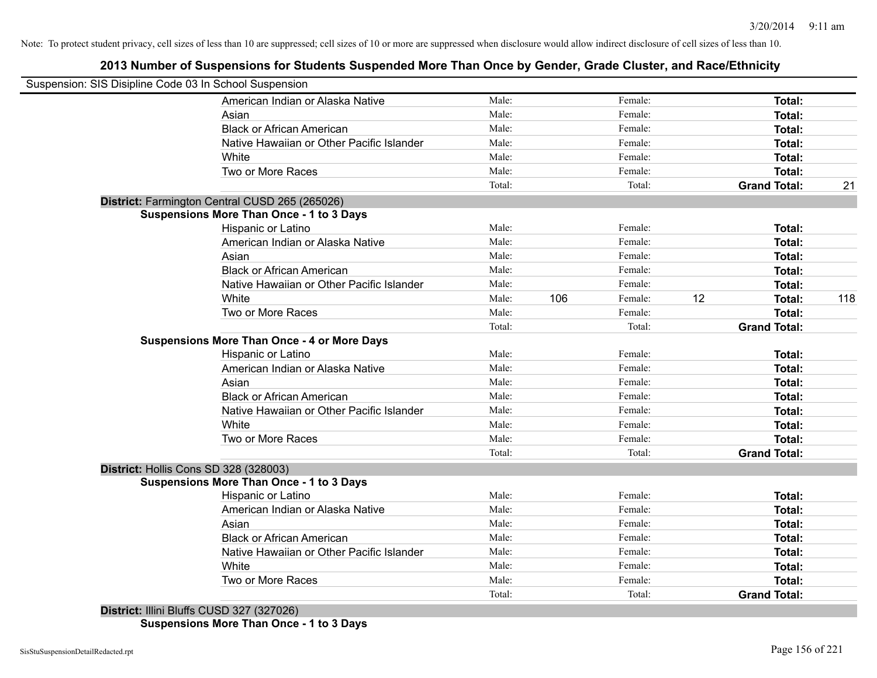### **2013 Number of Suspensions for Students Suspended More Than Once by Gender, Grade Cluster, and Race/Ethnicity**

| Suspension: SIS Disipline Code 03 In School Suspension |        |     |         |    |                     |     |
|--------------------------------------------------------|--------|-----|---------|----|---------------------|-----|
| American Indian or Alaska Native                       | Male:  |     | Female: |    | Total:              |     |
| Asian                                                  | Male:  |     | Female: |    | Total:              |     |
| <b>Black or African American</b>                       | Male:  |     | Female: |    | Total:              |     |
| Native Hawaiian or Other Pacific Islander              | Male:  |     | Female: |    | Total:              |     |
| White                                                  | Male:  |     | Female: |    | Total:              |     |
| Two or More Races                                      | Male:  |     | Female: |    | Total:              |     |
|                                                        | Total: |     | Total:  |    | <b>Grand Total:</b> | 21  |
| District: Farmington Central CUSD 265 (265026)         |        |     |         |    |                     |     |
| <b>Suspensions More Than Once - 1 to 3 Days</b>        |        |     |         |    |                     |     |
| Hispanic or Latino                                     | Male:  |     | Female: |    | Total:              |     |
| American Indian or Alaska Native                       | Male:  |     | Female: |    | Total:              |     |
| Asian                                                  | Male:  |     | Female: |    | Total:              |     |
| <b>Black or African American</b>                       | Male:  |     | Female: |    | Total:              |     |
| Native Hawaiian or Other Pacific Islander              | Male:  |     | Female: |    | Total:              |     |
| White                                                  | Male:  | 106 | Female: | 12 | Total:              | 118 |
| Two or More Races                                      | Male:  |     | Female: |    | Total:              |     |
|                                                        | Total: |     | Total:  |    | <b>Grand Total:</b> |     |
| <b>Suspensions More Than Once - 4 or More Days</b>     |        |     |         |    |                     |     |
| Hispanic or Latino                                     | Male:  |     | Female: |    | Total:              |     |
| American Indian or Alaska Native                       | Male:  |     | Female: |    | Total:              |     |
| Asian                                                  | Male:  |     | Female: |    | Total:              |     |
| <b>Black or African American</b>                       | Male:  |     | Female: |    | Total:              |     |
| Native Hawaiian or Other Pacific Islander              | Male:  |     | Female: |    | Total:              |     |
| White                                                  | Male:  |     | Female: |    | Total:              |     |
| Two or More Races                                      | Male:  |     | Female: |    | Total:              |     |
|                                                        | Total: |     | Total:  |    | <b>Grand Total:</b> |     |
| District: Hollis Cons SD 328 (328003)                  |        |     |         |    |                     |     |
| <b>Suspensions More Than Once - 1 to 3 Days</b>        |        |     |         |    |                     |     |
| Hispanic or Latino                                     | Male:  |     | Female: |    | Total:              |     |
| American Indian or Alaska Native                       | Male:  |     | Female: |    | Total:              |     |
| Asian                                                  | Male:  |     | Female: |    | Total:              |     |
| <b>Black or African American</b>                       | Male:  |     | Female: |    | Total:              |     |
| Native Hawaiian or Other Pacific Islander              | Male:  |     | Female: |    | Total:              |     |
| White                                                  | Male:  |     | Female: |    | Total:              |     |
| Two or More Races                                      | Male:  |     | Female: |    | Total:              |     |
|                                                        | Total: |     | Total:  |    | <b>Grand Total:</b> |     |

**Suspensions More Than Once - 1 to 3 Days**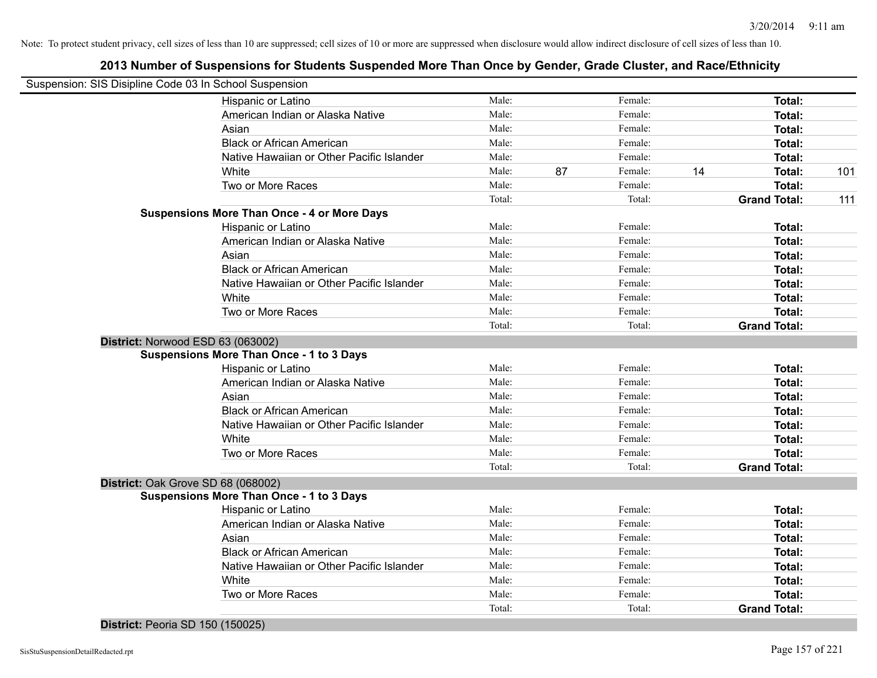### **2013 Number of Suspensions for Students Suspended More Than Once by Gender, Grade Cluster, and Race/Ethnicity**

| Suspension: SIS Disipline Code 03 In School Suspension |                 |               |                               |     |
|--------------------------------------------------------|-----------------|---------------|-------------------------------|-----|
| Hispanic or Latino                                     | Male:           | Female:       | Total:                        |     |
| American Indian or Alaska Native                       | Male:           | Female:       | Total:                        |     |
| Asian                                                  | Male:           | Female:       | Total:                        |     |
| <b>Black or African American</b>                       | Male:           | Female:       | Total:                        |     |
| Native Hawaiian or Other Pacific Islander              | Male:           | Female:       | Total:                        |     |
| White                                                  | Male:           | 87<br>Female: | 14<br>Total:                  | 101 |
| Two or More Races                                      | Male:           | Female:       | <b>Total:</b>                 |     |
|                                                        | Total:          | Total:        | <b>Grand Total:</b>           | 111 |
| <b>Suspensions More Than Once - 4 or More Days</b>     |                 |               |                               |     |
| Hispanic or Latino                                     | Male:           | Female:       | Total:                        |     |
| American Indian or Alaska Native                       | Male:           | Female:       | Total:                        |     |
| Asian                                                  | Male:           | Female:       | Total:                        |     |
| <b>Black or African American</b>                       | Male:           | Female:       | Total:                        |     |
| Native Hawaiian or Other Pacific Islander              | Male:           | Female:       | Total:                        |     |
| White                                                  | Male:           | Female:       | Total:                        |     |
| Two or More Races                                      | Male:           | Female:       | Total:                        |     |
|                                                        | Total:          | Total:        | <b>Grand Total:</b>           |     |
| District: Norwood ESD 63 (063002)                      |                 |               |                               |     |
| <b>Suspensions More Than Once - 1 to 3 Days</b>        |                 |               |                               |     |
| Hispanic or Latino                                     | Male:           | Female:       | Total:                        |     |
| American Indian or Alaska Native                       | Male:           | Female:       | Total:                        |     |
| Asian                                                  | Male:           | Female:       | Total:                        |     |
| <b>Black or African American</b>                       | Male:           | Female:       | Total:                        |     |
| Native Hawaiian or Other Pacific Islander              | Male:           | Female:       | Total:                        |     |
| White                                                  | Male:           | Female:       | Total:                        |     |
| Two or More Races                                      | Male:           | Female:       | Total:                        |     |
|                                                        | Total:          | Total:        | <b>Grand Total:</b>           |     |
| District: Oak Grove SD 68 (068002)                     |                 |               |                               |     |
| <b>Suspensions More Than Once - 1 to 3 Days</b>        |                 |               |                               |     |
| Hispanic or Latino                                     | Male:           | Female:       | Total:                        |     |
| American Indian or Alaska Native                       | Male:           | Female:       | Total:                        |     |
| Asian                                                  | Male:           | Female:       | Total:                        |     |
| <b>Black or African American</b>                       | Male:           | Female:       | Total:                        |     |
| Native Hawaiian or Other Pacific Islander              | Male:           | Female:       | Total:                        |     |
| White                                                  | Male:           | Female:       | Total:                        |     |
|                                                        |                 |               |                               |     |
| Two or More Races                                      | Male:<br>Total: | Female:       | Total:<br><b>Grand Total:</b> |     |

**District:** Peoria SD 150 (150025)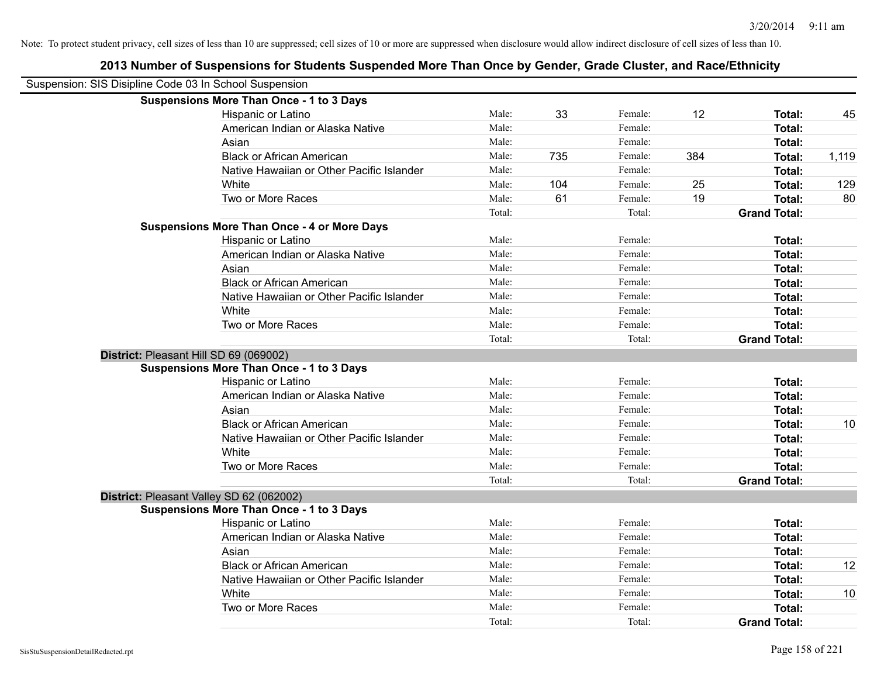|                                        | Suspension: SIS Disipline Code 03 In School Suspension |        |     |         |     |                     |       |
|----------------------------------------|--------------------------------------------------------|--------|-----|---------|-----|---------------------|-------|
|                                        | <b>Suspensions More Than Once - 1 to 3 Days</b>        |        |     |         |     |                     |       |
|                                        | Hispanic or Latino                                     | Male:  | 33  | Female: | 12  | Total:              | 45    |
|                                        | American Indian or Alaska Native                       | Male:  |     | Female: |     | Total:              |       |
|                                        | Asian                                                  | Male:  |     | Female: |     | Total:              |       |
|                                        | <b>Black or African American</b>                       | Male:  | 735 | Female: | 384 | Total:              | 1,119 |
|                                        | Native Hawaiian or Other Pacific Islander              | Male:  |     | Female: |     | Total:              |       |
|                                        | White                                                  | Male:  | 104 | Female: | 25  | Total:              | 129   |
|                                        | Two or More Races                                      | Male:  | 61  | Female: | 19  | Total:              | 80    |
|                                        |                                                        | Total: |     | Total:  |     | <b>Grand Total:</b> |       |
|                                        | <b>Suspensions More Than Once - 4 or More Days</b>     |        |     |         |     |                     |       |
|                                        | Hispanic or Latino                                     | Male:  |     | Female: |     | Total:              |       |
|                                        | American Indian or Alaska Native                       | Male:  |     | Female: |     | Total:              |       |
|                                        | Asian                                                  | Male:  |     | Female: |     | Total:              |       |
|                                        | <b>Black or African American</b>                       | Male:  |     | Female: |     | Total:              |       |
|                                        | Native Hawaiian or Other Pacific Islander              | Male:  |     | Female: |     | Total:              |       |
|                                        | White                                                  | Male:  |     | Female: |     | Total:              |       |
|                                        | Two or More Races                                      | Male:  |     | Female: |     | Total:              |       |
|                                        |                                                        | Total: |     | Total:  |     | <b>Grand Total:</b> |       |
| District: Pleasant Hill SD 69 (069002) |                                                        |        |     |         |     |                     |       |
|                                        | <b>Suspensions More Than Once - 1 to 3 Days</b>        |        |     |         |     |                     |       |
|                                        | Hispanic or Latino                                     | Male:  |     | Female: |     | Total:              |       |
|                                        | American Indian or Alaska Native                       | Male:  |     | Female: |     | Total:              |       |
|                                        | Asian                                                  | Male:  |     | Female: |     | Total:              |       |
|                                        | <b>Black or African American</b>                       | Male:  |     | Female: |     | Total:              | 10    |
|                                        | Native Hawaiian or Other Pacific Islander              | Male:  |     | Female: |     | Total:              |       |
|                                        | White                                                  | Male:  |     | Female: |     | Total:              |       |
|                                        | Two or More Races                                      | Male:  |     | Female: |     | Total:              |       |
|                                        |                                                        | Total: |     | Total:  |     | <b>Grand Total:</b> |       |
|                                        | District: Pleasant Valley SD 62 (062002)               |        |     |         |     |                     |       |
|                                        | <b>Suspensions More Than Once - 1 to 3 Days</b>        |        |     |         |     |                     |       |
|                                        | Hispanic or Latino                                     | Male:  |     | Female: |     | Total:              |       |
|                                        | American Indian or Alaska Native                       | Male:  |     | Female: |     | Total:              |       |
|                                        | Asian                                                  | Male:  |     | Female: |     | Total:              |       |
|                                        | <b>Black or African American</b>                       | Male:  |     | Female: |     | Total:              | 12    |
|                                        | Native Hawaiian or Other Pacific Islander              | Male:  |     | Female: |     | Total:              |       |
|                                        | White                                                  | Male:  |     | Female: |     | Total:              | 10    |
|                                        | Two or More Races                                      | Male:  |     | Female: |     | Total:              |       |
|                                        |                                                        | Total: |     | Total:  |     | <b>Grand Total:</b> |       |
|                                        |                                                        |        |     |         |     |                     |       |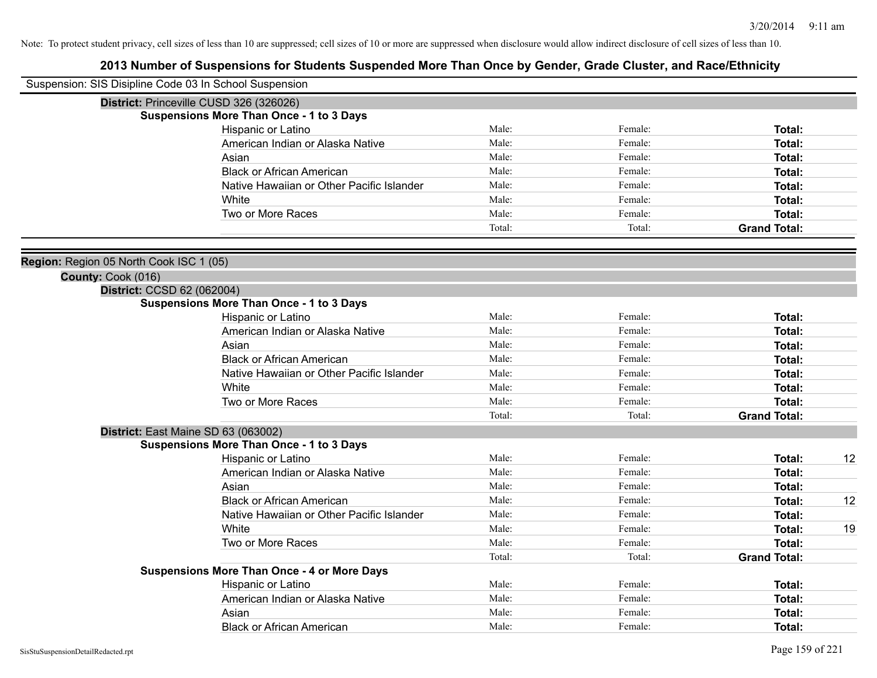| Suspension: SIS Disipline Code 03 In School Suspension |                                                    |        |         |                     |    |
|--------------------------------------------------------|----------------------------------------------------|--------|---------|---------------------|----|
|                                                        | District: Princeville CUSD 326 (326026)            |        |         |                     |    |
|                                                        | <b>Suspensions More Than Once - 1 to 3 Days</b>    |        |         |                     |    |
|                                                        | Hispanic or Latino                                 | Male:  | Female: | Total:              |    |
|                                                        | American Indian or Alaska Native                   | Male:  | Female: | Total:              |    |
|                                                        | Asian                                              | Male:  | Female: | <b>Total:</b>       |    |
|                                                        | <b>Black or African American</b>                   | Male:  | Female: | Total:              |    |
|                                                        | Native Hawaiian or Other Pacific Islander          | Male:  | Female: | Total:              |    |
|                                                        | White                                              | Male:  | Female: | Total:              |    |
|                                                        | Two or More Races                                  | Male:  | Female: | Total:              |    |
|                                                        |                                                    | Total: | Total:  | <b>Grand Total:</b> |    |
| Region: Region 05 North Cook ISC 1 (05)                |                                                    |        |         |                     |    |
| County: Cook (016)                                     |                                                    |        |         |                     |    |
| District: CCSD 62 (062004)                             |                                                    |        |         |                     |    |
|                                                        | <b>Suspensions More Than Once - 1 to 3 Days</b>    |        |         |                     |    |
|                                                        | Hispanic or Latino                                 | Male:  | Female: | Total:              |    |
|                                                        | American Indian or Alaska Native                   | Male:  | Female: | Total:              |    |
|                                                        | Asian                                              | Male:  | Female: | Total:              |    |
|                                                        | <b>Black or African American</b>                   | Male:  | Female: | Total:              |    |
|                                                        | Native Hawaiian or Other Pacific Islander          | Male:  | Female: | Total:              |    |
|                                                        | White                                              | Male:  | Female: | Total:              |    |
|                                                        | Two or More Races                                  | Male:  | Female: | Total:              |    |
|                                                        |                                                    | Total: | Total:  | <b>Grand Total:</b> |    |
|                                                        | District: East Maine SD 63 (063002)                |        |         |                     |    |
|                                                        | <b>Suspensions More Than Once - 1 to 3 Days</b>    |        |         |                     |    |
|                                                        | Hispanic or Latino                                 | Male:  | Female: | Total:              | 12 |
|                                                        | American Indian or Alaska Native                   | Male:  | Female: | Total:              |    |
|                                                        | Asian                                              | Male:  | Female: | Total:              |    |
|                                                        | <b>Black or African American</b>                   | Male:  | Female: | Total:              | 12 |
|                                                        | Native Hawaiian or Other Pacific Islander          | Male:  | Female: | Total:              |    |
|                                                        | White                                              | Male:  | Female: | Total:              | 19 |
|                                                        | Two or More Races                                  | Male:  | Female: | Total:              |    |
|                                                        |                                                    | Total: | Total:  | <b>Grand Total:</b> |    |
|                                                        | <b>Suspensions More Than Once - 4 or More Days</b> |        |         |                     |    |
|                                                        | Hispanic or Latino                                 | Male:  | Female: | Total:              |    |
|                                                        | American Indian or Alaska Native                   | Male:  | Female: | Total:              |    |
|                                                        | Asian                                              | Male:  | Female: | Total:              |    |
|                                                        | <b>Black or African American</b>                   | Male:  | Female: | Total:              |    |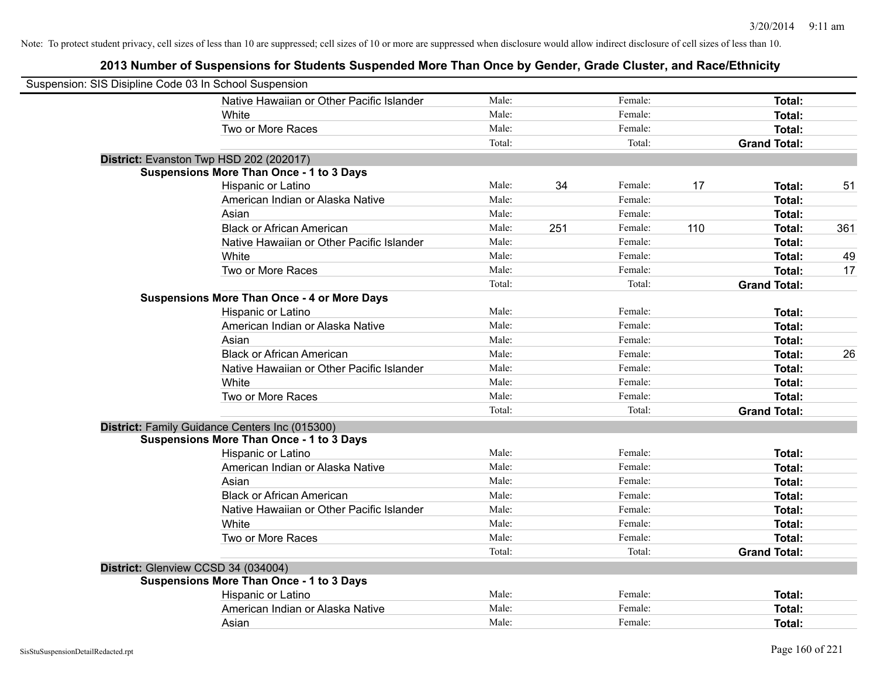| Suspension: SIS Disipline Code 03 In School Suspension |                                                    |        |     |         |     |                     |     |
|--------------------------------------------------------|----------------------------------------------------|--------|-----|---------|-----|---------------------|-----|
|                                                        | Native Hawaiian or Other Pacific Islander          | Male:  |     | Female: |     | Total:              |     |
|                                                        | White                                              | Male:  |     | Female: |     | Total:              |     |
|                                                        | Two or More Races                                  | Male:  |     | Female: |     | Total:              |     |
|                                                        |                                                    | Total: |     | Total:  |     | <b>Grand Total:</b> |     |
|                                                        | District: Evanston Twp HSD 202 (202017)            |        |     |         |     |                     |     |
|                                                        | <b>Suspensions More Than Once - 1 to 3 Days</b>    |        |     |         |     |                     |     |
|                                                        | Hispanic or Latino                                 | Male:  | 34  | Female: | 17  | Total:              | 51  |
|                                                        | American Indian or Alaska Native                   | Male:  |     | Female: |     | Total:              |     |
|                                                        | Asian                                              | Male:  |     | Female: |     | Total:              |     |
|                                                        | <b>Black or African American</b>                   | Male:  | 251 | Female: | 110 | Total:              | 361 |
|                                                        | Native Hawaiian or Other Pacific Islander          | Male:  |     | Female: |     | Total:              |     |
|                                                        | White                                              | Male:  |     | Female: |     | Total:              | 49  |
|                                                        | Two or More Races                                  | Male:  |     | Female: |     | Total:              | 17  |
|                                                        |                                                    | Total: |     | Total:  |     | <b>Grand Total:</b> |     |
|                                                        | <b>Suspensions More Than Once - 4 or More Days</b> |        |     |         |     |                     |     |
|                                                        | Hispanic or Latino                                 | Male:  |     | Female: |     | Total:              |     |
|                                                        | American Indian or Alaska Native                   | Male:  |     | Female: |     | Total:              |     |
|                                                        | Asian                                              | Male:  |     | Female: |     | Total:              |     |
|                                                        | <b>Black or African American</b>                   | Male:  |     | Female: |     | Total:              | 26  |
|                                                        | Native Hawaiian or Other Pacific Islander          | Male:  |     | Female: |     | Total:              |     |
|                                                        | White                                              | Male:  |     | Female: |     | Total:              |     |
|                                                        | Two or More Races                                  | Male:  |     | Female: |     | Total:              |     |
|                                                        |                                                    | Total: |     | Total:  |     | <b>Grand Total:</b> |     |
|                                                        | District: Family Guidance Centers Inc (015300)     |        |     |         |     |                     |     |
|                                                        | <b>Suspensions More Than Once - 1 to 3 Days</b>    |        |     |         |     |                     |     |
|                                                        | Hispanic or Latino                                 | Male:  |     | Female: |     | Total:              |     |
|                                                        | American Indian or Alaska Native                   | Male:  |     | Female: |     | Total:              |     |
|                                                        | Asian                                              | Male:  |     | Female: |     | Total:              |     |
|                                                        | <b>Black or African American</b>                   | Male:  |     | Female: |     | Total:              |     |
|                                                        | Native Hawaiian or Other Pacific Islander          | Male:  |     | Female: |     | Total:              |     |
|                                                        | White                                              | Male:  |     | Female: |     | Total:              |     |
|                                                        | Two or More Races                                  | Male:  |     | Female: |     | Total:              |     |
|                                                        |                                                    | Total: |     | Total:  |     | <b>Grand Total:</b> |     |
|                                                        | District: Glenview CCSD 34 (034004)                |        |     |         |     |                     |     |
|                                                        | <b>Suspensions More Than Once - 1 to 3 Days</b>    |        |     |         |     |                     |     |
|                                                        | Hispanic or Latino                                 | Male:  |     | Female: |     | Total:              |     |
|                                                        | American Indian or Alaska Native                   | Male:  |     | Female: |     | Total:              |     |
|                                                        | Asian                                              | Male:  |     | Female: |     | Total:              |     |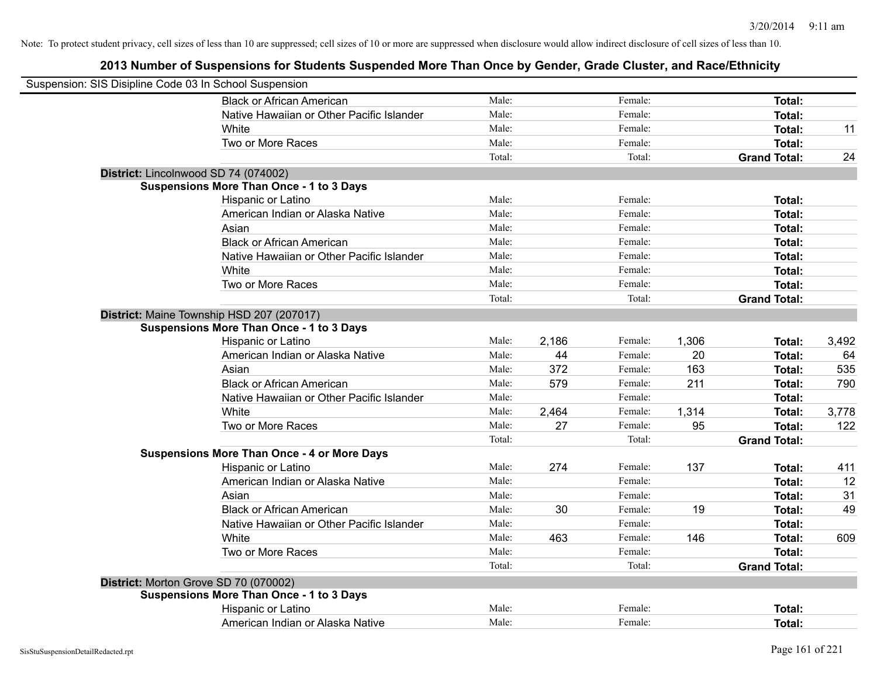| Suspension: SIS Disipline Code 03 In School Suspension |                                                    |        |       |         |       |                     |       |
|--------------------------------------------------------|----------------------------------------------------|--------|-------|---------|-------|---------------------|-------|
|                                                        | <b>Black or African American</b>                   | Male:  |       | Female: |       | Total:              |       |
|                                                        | Native Hawaiian or Other Pacific Islander          | Male:  |       | Female: |       | Total:              |       |
|                                                        | White                                              | Male:  |       | Female: |       | Total:              | 11    |
|                                                        | Two or More Races                                  | Male:  |       | Female: |       | Total:              |       |
|                                                        |                                                    | Total: |       | Total:  |       | <b>Grand Total:</b> | 24    |
| District: Lincolnwood SD 74 (074002)                   |                                                    |        |       |         |       |                     |       |
|                                                        | <b>Suspensions More Than Once - 1 to 3 Days</b>    |        |       |         |       |                     |       |
|                                                        | Hispanic or Latino                                 | Male:  |       | Female: |       | Total:              |       |
|                                                        | American Indian or Alaska Native                   | Male:  |       | Female: |       | Total:              |       |
|                                                        | Asian                                              | Male:  |       | Female: |       | Total:              |       |
|                                                        | <b>Black or African American</b>                   | Male:  |       | Female: |       | Total:              |       |
|                                                        | Native Hawaiian or Other Pacific Islander          | Male:  |       | Female: |       | <b>Total:</b>       |       |
|                                                        | White                                              | Male:  |       | Female: |       | <b>Total:</b>       |       |
|                                                        | Two or More Races                                  | Male:  |       | Female: |       | <b>Total:</b>       |       |
|                                                        |                                                    | Total: |       | Total:  |       | <b>Grand Total:</b> |       |
| District: Maine Township HSD 207 (207017)              |                                                    |        |       |         |       |                     |       |
|                                                        | <b>Suspensions More Than Once - 1 to 3 Days</b>    |        |       |         |       |                     |       |
|                                                        | Hispanic or Latino                                 | Male:  | 2,186 | Female: | 1,306 | <b>Total:</b>       | 3,492 |
|                                                        | American Indian or Alaska Native                   | Male:  | 44    | Female: | 20    | Total:              | 64    |
|                                                        | Asian                                              | Male:  | 372   | Female: | 163   | Total:              | 535   |
|                                                        | <b>Black or African American</b>                   | Male:  | 579   | Female: | 211   | Total:              | 790   |
|                                                        | Native Hawaiian or Other Pacific Islander          | Male:  |       | Female: |       | Total:              |       |
|                                                        | White                                              | Male:  | 2,464 | Female: | 1,314 | <b>Total:</b>       | 3,778 |
|                                                        | Two or More Races                                  | Male:  | 27    | Female: | 95    | <b>Total:</b>       | 122   |
|                                                        |                                                    | Total: |       | Total:  |       | <b>Grand Total:</b> |       |
|                                                        | <b>Suspensions More Than Once - 4 or More Days</b> |        |       |         |       |                     |       |
|                                                        | Hispanic or Latino                                 | Male:  | 274   | Female: | 137   | Total:              | 411   |
|                                                        | American Indian or Alaska Native                   | Male:  |       | Female: |       | <b>Total:</b>       | 12    |
|                                                        | Asian                                              | Male:  |       | Female: |       | Total:              | 31    |
|                                                        | <b>Black or African American</b>                   | Male:  | 30    | Female: | 19    | Total:              | 49    |
|                                                        | Native Hawaiian or Other Pacific Islander          | Male:  |       | Female: |       | <b>Total:</b>       |       |
|                                                        | White                                              | Male:  | 463   | Female: | 146   | <b>Total:</b>       | 609   |
|                                                        | Two or More Races                                  | Male:  |       | Female: |       | <b>Total:</b>       |       |
|                                                        |                                                    | Total: |       | Total:  |       | <b>Grand Total:</b> |       |
| District: Morton Grove SD 70 (070002)                  |                                                    |        |       |         |       |                     |       |
|                                                        | <b>Suspensions More Than Once - 1 to 3 Days</b>    |        |       |         |       |                     |       |
|                                                        | Hispanic or Latino                                 | Male:  |       | Female: |       | <b>Total:</b>       |       |
|                                                        | American Indian or Alaska Native                   | Male:  |       | Female: |       | Total:              |       |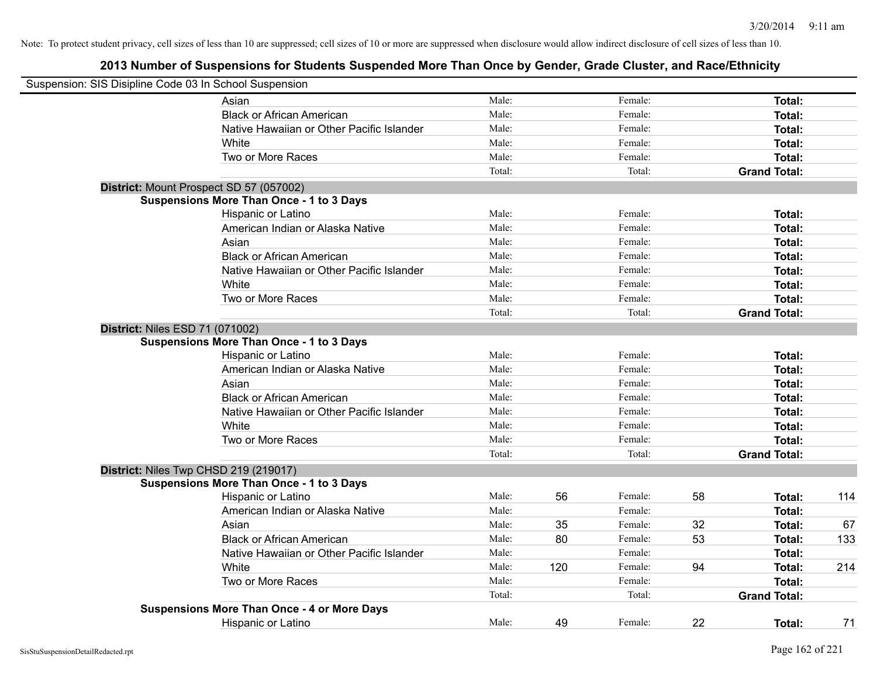| Suspension: SIS Disipline Code 03 In School Suspension |                                                    |        |     |         |    |                     |     |
|--------------------------------------------------------|----------------------------------------------------|--------|-----|---------|----|---------------------|-----|
|                                                        | Asian                                              | Male:  |     | Female: |    | Total:              |     |
|                                                        | <b>Black or African American</b>                   | Male:  |     | Female: |    | Total:              |     |
|                                                        | Native Hawaiian or Other Pacific Islander          | Male:  |     | Female: |    | Total:              |     |
|                                                        | White                                              | Male:  |     | Female: |    | Total:              |     |
|                                                        | Two or More Races                                  | Male:  |     | Female: |    | Total:              |     |
|                                                        |                                                    | Total: |     | Total:  |    | <b>Grand Total:</b> |     |
|                                                        | District: Mount Prospect SD 57 (057002)            |        |     |         |    |                     |     |
|                                                        | <b>Suspensions More Than Once - 1 to 3 Days</b>    |        |     |         |    |                     |     |
|                                                        | Hispanic or Latino                                 | Male:  |     | Female: |    | Total:              |     |
|                                                        | American Indian or Alaska Native                   | Male:  |     | Female: |    | Total:              |     |
|                                                        | Asian                                              | Male:  |     | Female: |    | Total:              |     |
|                                                        | <b>Black or African American</b>                   | Male:  |     | Female: |    | Total:              |     |
|                                                        | Native Hawaiian or Other Pacific Islander          | Male:  |     | Female: |    | Total:              |     |
|                                                        | White                                              | Male:  |     | Female: |    | Total:              |     |
|                                                        | Two or More Races                                  | Male:  |     | Female: |    | Total:              |     |
|                                                        |                                                    | Total: |     | Total:  |    | <b>Grand Total:</b> |     |
| <b>District: Niles ESD 71 (071002)</b>                 |                                                    |        |     |         |    |                     |     |
|                                                        | <b>Suspensions More Than Once - 1 to 3 Days</b>    |        |     |         |    |                     |     |
|                                                        | Hispanic or Latino                                 | Male:  |     | Female: |    | <b>Total:</b>       |     |
|                                                        | American Indian or Alaska Native                   | Male:  |     | Female: |    | Total:              |     |
|                                                        | Asian                                              | Male:  |     | Female: |    | Total:              |     |
|                                                        | <b>Black or African American</b>                   | Male:  |     | Female: |    | Total:              |     |
|                                                        | Native Hawaiian or Other Pacific Islander          | Male:  |     | Female: |    | Total:              |     |
|                                                        | White                                              | Male:  |     | Female: |    | Total:              |     |
|                                                        | Two or More Races                                  | Male:  |     | Female: |    | Total:              |     |
|                                                        |                                                    | Total: |     | Total:  |    | <b>Grand Total:</b> |     |
|                                                        | District: Niles Twp CHSD 219 (219017)              |        |     |         |    |                     |     |
|                                                        | <b>Suspensions More Than Once - 1 to 3 Days</b>    |        |     |         |    |                     |     |
|                                                        | Hispanic or Latino                                 | Male:  | 56  | Female: | 58 | Total:              | 114 |
|                                                        | American Indian or Alaska Native                   | Male:  |     | Female: |    | Total:              |     |
|                                                        | Asian                                              | Male:  | 35  | Female: | 32 | Total:              | 67  |
|                                                        | <b>Black or African American</b>                   | Male:  | 80  | Female: | 53 | Total:              | 133 |
|                                                        | Native Hawaiian or Other Pacific Islander          | Male:  |     | Female: |    | Total:              |     |
|                                                        | White                                              | Male:  | 120 | Female: | 94 | Total:              | 214 |
|                                                        | Two or More Races                                  | Male:  |     | Female: |    | Total:              |     |
|                                                        |                                                    | Total: |     | Total:  |    | <b>Grand Total:</b> |     |
|                                                        | <b>Suspensions More Than Once - 4 or More Days</b> |        |     |         |    |                     |     |
|                                                        | <b>Hispanic or Latino</b>                          | Male:  | 49  | Female: | 22 | Total:              | 71  |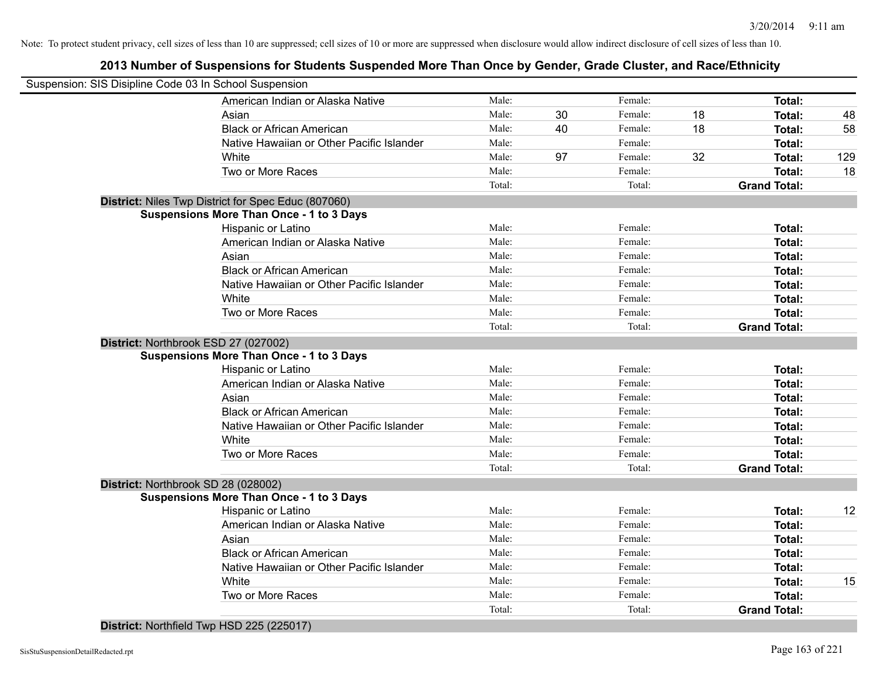### **2013 Number of Suspensions for Students Suspended More Than Once by Gender, Grade Cluster, and Race/Ethnicity**

| Suspension: SIS Disipline Code 03 In School Suspension |                                                            |        |    |         |    |                     |     |
|--------------------------------------------------------|------------------------------------------------------------|--------|----|---------|----|---------------------|-----|
|                                                        | American Indian or Alaska Native                           | Male:  |    | Female: |    | <b>Total:</b>       |     |
|                                                        | Asian                                                      | Male:  | 30 | Female: | 18 | Total:              | 48  |
|                                                        | <b>Black or African American</b>                           | Male:  | 40 | Female: | 18 | Total:              | 58  |
|                                                        | Native Hawaiian or Other Pacific Islander                  | Male:  |    | Female: |    | <b>Total:</b>       |     |
|                                                        | White                                                      | Male:  | 97 | Female: | 32 | <b>Total:</b>       | 129 |
|                                                        | Two or More Races                                          | Male:  |    | Female: |    | <b>Total:</b>       | 18  |
|                                                        |                                                            | Total: |    | Total:  |    | <b>Grand Total:</b> |     |
|                                                        | <b>District: Niles Twp District for Spec Educ (807060)</b> |        |    |         |    |                     |     |
|                                                        | <b>Suspensions More Than Once - 1 to 3 Days</b>            |        |    |         |    |                     |     |
|                                                        | Hispanic or Latino                                         | Male:  |    | Female: |    | Total:              |     |
|                                                        | American Indian or Alaska Native                           | Male:  |    | Female: |    | <b>Total:</b>       |     |
|                                                        | Asian                                                      | Male:  |    | Female: |    | <b>Total:</b>       |     |
|                                                        | <b>Black or African American</b>                           | Male:  |    | Female: |    | <b>Total:</b>       |     |
|                                                        | Native Hawaiian or Other Pacific Islander                  | Male:  |    | Female: |    | Total:              |     |
|                                                        | White                                                      | Male:  |    | Female: |    | Total:              |     |
|                                                        | Two or More Races                                          | Male:  |    | Female: |    | Total:              |     |
|                                                        |                                                            | Total: |    | Total:  |    | <b>Grand Total:</b> |     |
| District: Northbrook ESD 27 (027002)                   |                                                            |        |    |         |    |                     |     |
|                                                        | <b>Suspensions More Than Once - 1 to 3 Days</b>            |        |    |         |    |                     |     |
|                                                        | Hispanic or Latino                                         | Male:  |    | Female: |    | Total:              |     |
|                                                        | American Indian or Alaska Native                           | Male:  |    | Female: |    | Total:              |     |
|                                                        | Asian                                                      | Male:  |    | Female: |    | Total:              |     |
|                                                        | <b>Black or African American</b>                           | Male:  |    | Female: |    | <b>Total:</b>       |     |
|                                                        | Native Hawaiian or Other Pacific Islander                  | Male:  |    | Female: |    | <b>Total:</b>       |     |
|                                                        | White                                                      | Male:  |    | Female: |    | <b>Total:</b>       |     |
|                                                        | Two or More Races                                          | Male:  |    | Female: |    | <b>Total:</b>       |     |
|                                                        |                                                            | Total: |    | Total:  |    | <b>Grand Total:</b> |     |
| District: Northbrook SD 28 (028002)                    |                                                            |        |    |         |    |                     |     |
|                                                        | <b>Suspensions More Than Once - 1 to 3 Days</b>            |        |    |         |    |                     |     |
|                                                        | Hispanic or Latino                                         | Male:  |    | Female: |    | Total:              | 12  |
|                                                        | American Indian or Alaska Native                           | Male:  |    | Female: |    | Total:              |     |
|                                                        | Asian                                                      | Male:  |    | Female: |    | Total:              |     |
|                                                        | <b>Black or African American</b>                           | Male:  |    | Female: |    | Total:              |     |
|                                                        | Native Hawaiian or Other Pacific Islander                  | Male:  |    | Female: |    | Total:              |     |
|                                                        | White                                                      | Male:  |    | Female: |    | <b>Total:</b>       | 15  |
|                                                        | Two or More Races                                          | Male:  |    | Female: |    | <b>Total:</b>       |     |
|                                                        |                                                            | Total: |    | Total:  |    | <b>Grand Total:</b> |     |

**District:** Northfield Twp HSD 225 (225017)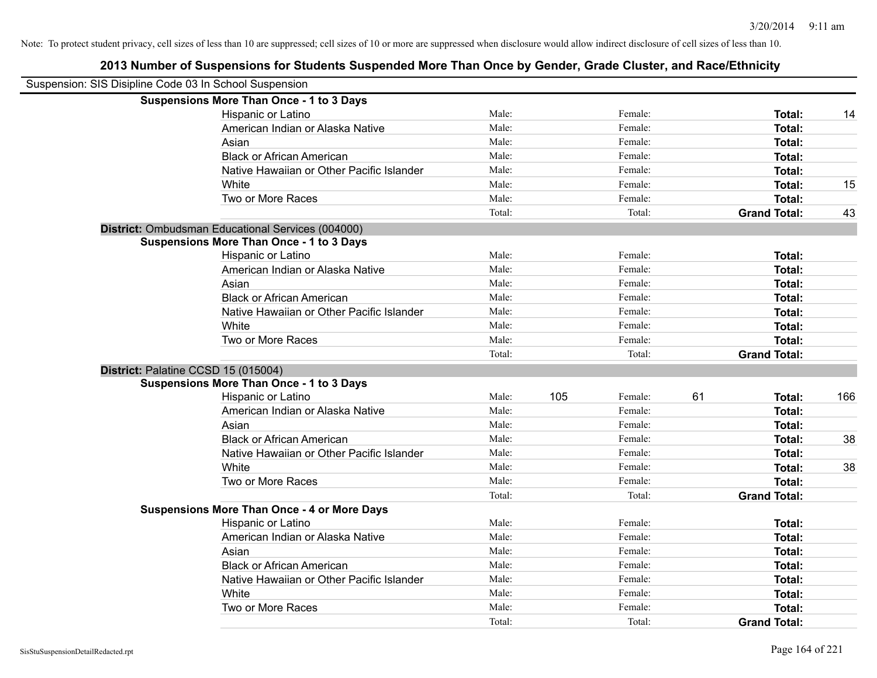| Suspension: SIS Disipline Code 03 In School Suspension |                                                    |        |     |         |    |                     |     |
|--------------------------------------------------------|----------------------------------------------------|--------|-----|---------|----|---------------------|-----|
|                                                        | <b>Suspensions More Than Once - 1 to 3 Days</b>    |        |     |         |    |                     |     |
|                                                        | Hispanic or Latino                                 | Male:  |     | Female: |    | Total:              | 14  |
|                                                        | American Indian or Alaska Native                   | Male:  |     | Female: |    | Total:              |     |
|                                                        | Asian                                              | Male:  |     | Female: |    | Total:              |     |
|                                                        | <b>Black or African American</b>                   | Male:  |     | Female: |    | Total:              |     |
|                                                        | Native Hawaiian or Other Pacific Islander          | Male:  |     | Female: |    | Total:              |     |
|                                                        | White                                              | Male:  |     | Female: |    | Total:              | 15  |
|                                                        | Two or More Races                                  | Male:  |     | Female: |    | Total:              |     |
|                                                        |                                                    | Total: |     | Total:  |    | <b>Grand Total:</b> | 43  |
|                                                        | District: Ombudsman Educational Services (004000)  |        |     |         |    |                     |     |
|                                                        | <b>Suspensions More Than Once - 1 to 3 Days</b>    |        |     |         |    |                     |     |
|                                                        | Hispanic or Latino                                 | Male:  |     | Female: |    | Total:              |     |
|                                                        | American Indian or Alaska Native                   | Male:  |     | Female: |    | Total:              |     |
|                                                        | Asian                                              | Male:  |     | Female: |    | Total:              |     |
|                                                        | <b>Black or African American</b>                   | Male:  |     | Female: |    | Total:              |     |
|                                                        | Native Hawaiian or Other Pacific Islander          | Male:  |     | Female: |    | Total:              |     |
|                                                        | White                                              | Male:  |     | Female: |    | Total:              |     |
|                                                        | Two or More Races                                  | Male:  |     | Female: |    | Total:              |     |
|                                                        |                                                    | Total: |     | Total:  |    | <b>Grand Total:</b> |     |
| District: Palatine CCSD 15 (015004)                    |                                                    |        |     |         |    |                     |     |
|                                                        | <b>Suspensions More Than Once - 1 to 3 Days</b>    |        |     |         |    |                     |     |
|                                                        | Hispanic or Latino                                 | Male:  | 105 | Female: | 61 | Total:              | 166 |
|                                                        | American Indian or Alaska Native                   | Male:  |     | Female: |    | Total:              |     |
|                                                        | Asian                                              | Male:  |     | Female: |    | Total:              |     |
|                                                        | <b>Black or African American</b>                   | Male:  |     | Female: |    | Total:              | 38  |
|                                                        | Native Hawaiian or Other Pacific Islander          | Male:  |     | Female: |    | Total:              |     |
|                                                        | White                                              | Male:  |     | Female: |    | Total:              | 38  |
|                                                        | Two or More Races                                  | Male:  |     | Female: |    | Total:              |     |
|                                                        |                                                    | Total: |     | Total:  |    | <b>Grand Total:</b> |     |
|                                                        | <b>Suspensions More Than Once - 4 or More Days</b> |        |     |         |    |                     |     |
|                                                        | Hispanic or Latino                                 | Male:  |     | Female: |    | Total:              |     |
|                                                        | American Indian or Alaska Native                   | Male:  |     | Female: |    | Total:              |     |
|                                                        | Asian                                              | Male:  |     | Female: |    | Total:              |     |
|                                                        | <b>Black or African American</b>                   | Male:  |     | Female: |    | Total:              |     |
|                                                        | Native Hawaiian or Other Pacific Islander          | Male:  |     | Female: |    | Total:              |     |
|                                                        | White                                              | Male:  |     | Female: |    | Total:              |     |
|                                                        | Two or More Races                                  | Male:  |     | Female: |    | Total:              |     |
|                                                        |                                                    | Total: |     | Total:  |    | <b>Grand Total:</b> |     |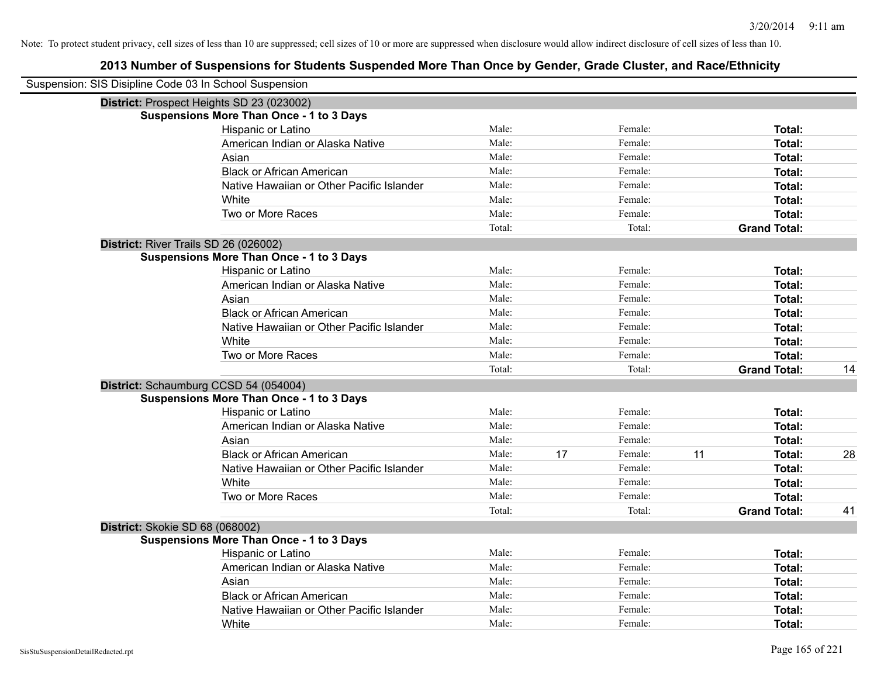| Suspension: SIS Disipline Code 03 In School Suspension |                                                 |        |    |         |    |                     |    |
|--------------------------------------------------------|-------------------------------------------------|--------|----|---------|----|---------------------|----|
|                                                        | District: Prospect Heights SD 23 (023002)       |        |    |         |    |                     |    |
|                                                        | <b>Suspensions More Than Once - 1 to 3 Days</b> |        |    |         |    |                     |    |
|                                                        | Hispanic or Latino                              | Male:  |    | Female: |    | Total:              |    |
|                                                        | American Indian or Alaska Native                | Male:  |    | Female: |    | Total:              |    |
|                                                        | Asian                                           | Male:  |    | Female: |    | Total:              |    |
|                                                        | <b>Black or African American</b>                | Male:  |    | Female: |    | Total:              |    |
|                                                        | Native Hawaiian or Other Pacific Islander       | Male:  |    | Female: |    | Total:              |    |
|                                                        | White                                           | Male:  |    | Female: |    | Total:              |    |
|                                                        | Two or More Races                               | Male:  |    | Female: |    | Total:              |    |
|                                                        |                                                 | Total: |    | Total:  |    | <b>Grand Total:</b> |    |
| District: River Trails SD 26 (026002)                  |                                                 |        |    |         |    |                     |    |
|                                                        | <b>Suspensions More Than Once - 1 to 3 Days</b> |        |    |         |    |                     |    |
|                                                        | Hispanic or Latino                              | Male:  |    | Female: |    | Total:              |    |
|                                                        | American Indian or Alaska Native                | Male:  |    | Female: |    | Total:              |    |
|                                                        | Asian                                           | Male:  |    | Female: |    | Total:              |    |
|                                                        | <b>Black or African American</b>                | Male:  |    | Female: |    | Total:              |    |
|                                                        | Native Hawaiian or Other Pacific Islander       | Male:  |    | Female: |    | Total:              |    |
|                                                        | White                                           | Male:  |    | Female: |    | Total:              |    |
|                                                        | Two or More Races                               | Male:  |    | Female: |    | Total:              |    |
|                                                        |                                                 | Total: |    | Total:  |    | <b>Grand Total:</b> | 14 |
|                                                        | District: Schaumburg CCSD 54 (054004)           |        |    |         |    |                     |    |
|                                                        | <b>Suspensions More Than Once - 1 to 3 Days</b> |        |    |         |    |                     |    |
|                                                        | Hispanic or Latino                              | Male:  |    | Female: |    | Total:              |    |
|                                                        | American Indian or Alaska Native                | Male:  |    | Female: |    | Total:              |    |
|                                                        | Asian                                           | Male:  |    | Female: |    | Total:              |    |
|                                                        | <b>Black or African American</b>                | Male:  | 17 | Female: | 11 | Total:              | 28 |
|                                                        | Native Hawaiian or Other Pacific Islander       | Male:  |    | Female: |    | Total:              |    |
|                                                        | White                                           | Male:  |    | Female: |    | Total:              |    |
|                                                        | Two or More Races                               | Male:  |    | Female: |    | Total:              |    |
|                                                        |                                                 | Total: |    | Total:  |    | <b>Grand Total:</b> | 41 |
| District: Skokie SD 68 (068002)                        |                                                 |        |    |         |    |                     |    |
|                                                        | <b>Suspensions More Than Once - 1 to 3 Days</b> |        |    |         |    |                     |    |
|                                                        | Hispanic or Latino                              | Male:  |    | Female: |    | Total:              |    |
|                                                        | American Indian or Alaska Native                | Male:  |    | Female: |    | Total:              |    |
|                                                        | Asian                                           | Male:  |    | Female: |    | Total:              |    |
|                                                        | <b>Black or African American</b>                | Male:  |    | Female: |    | Total:              |    |
|                                                        | Native Hawaiian or Other Pacific Islander       | Male:  |    | Female: |    | Total:              |    |
|                                                        | White                                           | Male:  |    | Female: |    | Total:              |    |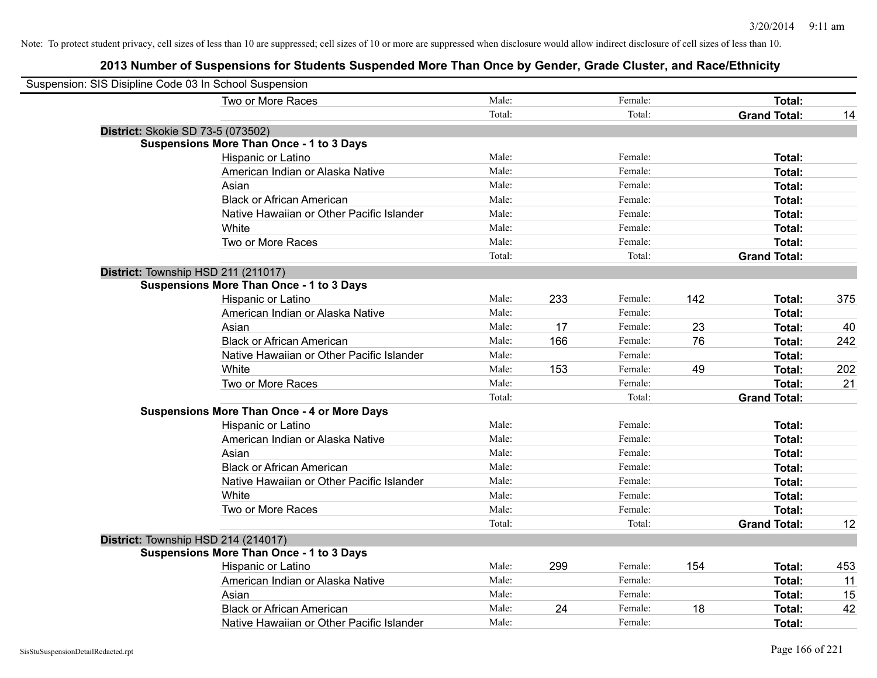| Suspension: SIS Disipline Code 03 In School Suspension |                                                    |        |     |         |     |                     |     |
|--------------------------------------------------------|----------------------------------------------------|--------|-----|---------|-----|---------------------|-----|
|                                                        | Two or More Races                                  | Male:  |     | Female: |     | Total:              |     |
|                                                        |                                                    | Total: |     | Total:  |     | <b>Grand Total:</b> | 14  |
| District: Skokie SD 73-5 (073502)                      |                                                    |        |     |         |     |                     |     |
|                                                        | <b>Suspensions More Than Once - 1 to 3 Days</b>    |        |     |         |     |                     |     |
|                                                        | Hispanic or Latino                                 | Male:  |     | Female: |     | Total:              |     |
|                                                        | American Indian or Alaska Native                   | Male:  |     | Female: |     | Total:              |     |
|                                                        | Asian                                              | Male:  |     | Female: |     | Total:              |     |
|                                                        | <b>Black or African American</b>                   | Male:  |     | Female: |     | Total:              |     |
|                                                        | Native Hawaiian or Other Pacific Islander          | Male:  |     | Female: |     | Total:              |     |
|                                                        | White                                              | Male:  |     | Female: |     | Total:              |     |
|                                                        | Two or More Races                                  | Male:  |     | Female: |     | Total:              |     |
|                                                        |                                                    | Total: |     | Total:  |     | <b>Grand Total:</b> |     |
|                                                        | District: Township HSD 211 (211017)                |        |     |         |     |                     |     |
|                                                        | <b>Suspensions More Than Once - 1 to 3 Days</b>    |        |     |         |     |                     |     |
|                                                        | Hispanic or Latino                                 | Male:  | 233 | Female: | 142 | Total:              | 375 |
|                                                        | American Indian or Alaska Native                   | Male:  |     | Female: |     | Total:              |     |
|                                                        | Asian                                              | Male:  | 17  | Female: | 23  | Total:              | 40  |
|                                                        | <b>Black or African American</b>                   | Male:  | 166 | Female: | 76  | Total:              | 242 |
|                                                        | Native Hawaiian or Other Pacific Islander          | Male:  |     | Female: |     | Total:              |     |
|                                                        | White                                              | Male:  | 153 | Female: | 49  | Total:              | 202 |
|                                                        | Two or More Races                                  | Male:  |     | Female: |     | Total:              | 21  |
|                                                        |                                                    | Total: |     | Total:  |     | <b>Grand Total:</b> |     |
|                                                        | <b>Suspensions More Than Once - 4 or More Days</b> |        |     |         |     |                     |     |
|                                                        | Hispanic or Latino                                 | Male:  |     | Female: |     | Total:              |     |
|                                                        | American Indian or Alaska Native                   | Male:  |     | Female: |     | Total:              |     |
|                                                        | Asian                                              | Male:  |     | Female: |     | Total:              |     |
|                                                        | <b>Black or African American</b>                   | Male:  |     | Female: |     | Total:              |     |
|                                                        | Native Hawaiian or Other Pacific Islander          | Male:  |     | Female: |     | Total:              |     |
|                                                        | White                                              | Male:  |     | Female: |     | Total:              |     |
|                                                        | Two or More Races                                  | Male:  |     | Female: |     | Total:              |     |
|                                                        |                                                    | Total: |     | Total:  |     | <b>Grand Total:</b> | 12  |
|                                                        | District: Township HSD 214 (214017)                |        |     |         |     |                     |     |
|                                                        | <b>Suspensions More Than Once - 1 to 3 Days</b>    |        |     |         |     |                     |     |
|                                                        | Hispanic or Latino                                 | Male:  | 299 | Female: | 154 | Total:              | 453 |
|                                                        | American Indian or Alaska Native                   | Male:  |     | Female: |     | Total:              | 11  |
|                                                        | Asian                                              | Male:  |     | Female: |     | Total:              | 15  |
|                                                        | <b>Black or African American</b>                   | Male:  | 24  | Female: | 18  | Total:              | 42  |
|                                                        | Native Hawaiian or Other Pacific Islander          | Male:  |     | Female: |     | Total:              |     |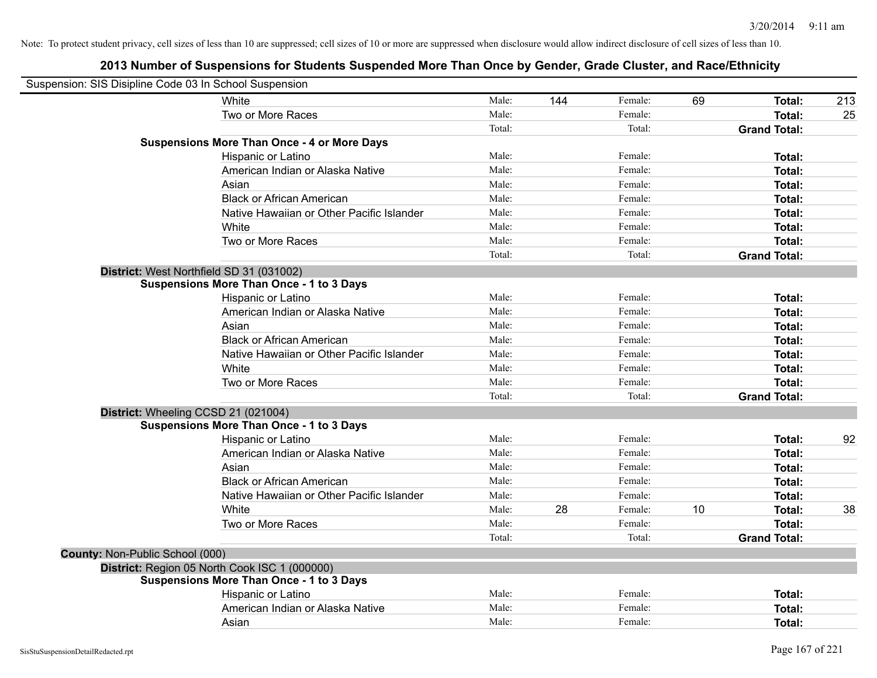| Suspension: SIS Disipline Code 03 In School Suspension |                                                    |        |     |         |    |                     |     |
|--------------------------------------------------------|----------------------------------------------------|--------|-----|---------|----|---------------------|-----|
|                                                        | White                                              | Male:  | 144 | Female: | 69 | Total:              | 213 |
|                                                        | Two or More Races                                  | Male:  |     | Female: |    | Total:              | 25  |
|                                                        |                                                    | Total: |     | Total:  |    | <b>Grand Total:</b> |     |
|                                                        | <b>Suspensions More Than Once - 4 or More Days</b> |        |     |         |    |                     |     |
|                                                        | Hispanic or Latino                                 | Male:  |     | Female: |    | Total:              |     |
|                                                        | American Indian or Alaska Native                   | Male:  |     | Female: |    | Total:              |     |
|                                                        | Asian                                              | Male:  |     | Female: |    | Total:              |     |
|                                                        | <b>Black or African American</b>                   | Male:  |     | Female: |    | Total:              |     |
|                                                        | Native Hawaiian or Other Pacific Islander          | Male:  |     | Female: |    | Total:              |     |
|                                                        | White                                              | Male:  |     | Female: |    | Total:              |     |
|                                                        | Two or More Races                                  | Male:  |     | Female: |    | Total:              |     |
|                                                        |                                                    | Total: |     | Total:  |    | <b>Grand Total:</b> |     |
| District: West Northfield SD 31 (031002)               |                                                    |        |     |         |    |                     |     |
|                                                        | <b>Suspensions More Than Once - 1 to 3 Days</b>    |        |     |         |    |                     |     |
|                                                        | Hispanic or Latino                                 | Male:  |     | Female: |    | Total:              |     |
|                                                        | American Indian or Alaska Native                   | Male:  |     | Female: |    | Total:              |     |
|                                                        | Asian                                              | Male:  |     | Female: |    | Total:              |     |
|                                                        | <b>Black or African American</b>                   | Male:  |     | Female: |    | Total:              |     |
|                                                        | Native Hawaiian or Other Pacific Islander          | Male:  |     | Female: |    | Total:              |     |
|                                                        | White                                              | Male:  |     | Female: |    | Total:              |     |
|                                                        | Two or More Races                                  | Male:  |     | Female: |    | Total:              |     |
|                                                        |                                                    | Total: |     | Total:  |    | <b>Grand Total:</b> |     |
| District: Wheeling CCSD 21 (021004)                    |                                                    |        |     |         |    |                     |     |
|                                                        | <b>Suspensions More Than Once - 1 to 3 Days</b>    |        |     |         |    |                     |     |
|                                                        | Hispanic or Latino                                 | Male:  |     | Female: |    | Total:              | 92  |
|                                                        | American Indian or Alaska Native                   | Male:  |     | Female: |    | Total:              |     |
|                                                        | Asian                                              | Male:  |     | Female: |    | Total:              |     |
|                                                        | <b>Black or African American</b>                   | Male:  |     | Female: |    | Total:              |     |
|                                                        | Native Hawaiian or Other Pacific Islander          | Male:  |     | Female: |    | Total:              |     |
|                                                        | <b>White</b>                                       | Male:  | 28  | Female: | 10 | Total:              | 38  |
|                                                        | Two or More Races                                  | Male:  |     | Female: |    | Total:              |     |
|                                                        |                                                    | Total: |     | Total:  |    | <b>Grand Total:</b> |     |
| County: Non-Public School (000)                        |                                                    |        |     |         |    |                     |     |
| District: Region 05 North Cook ISC 1 (000000)          |                                                    |        |     |         |    |                     |     |
|                                                        | <b>Suspensions More Than Once - 1 to 3 Days</b>    |        |     |         |    |                     |     |
|                                                        | Hispanic or Latino                                 | Male:  |     | Female: |    | <b>Total:</b>       |     |
|                                                        | American Indian or Alaska Native                   | Male:  |     | Female: |    | Total:              |     |
|                                                        | Asian                                              | Male:  |     | Female: |    | Total:              |     |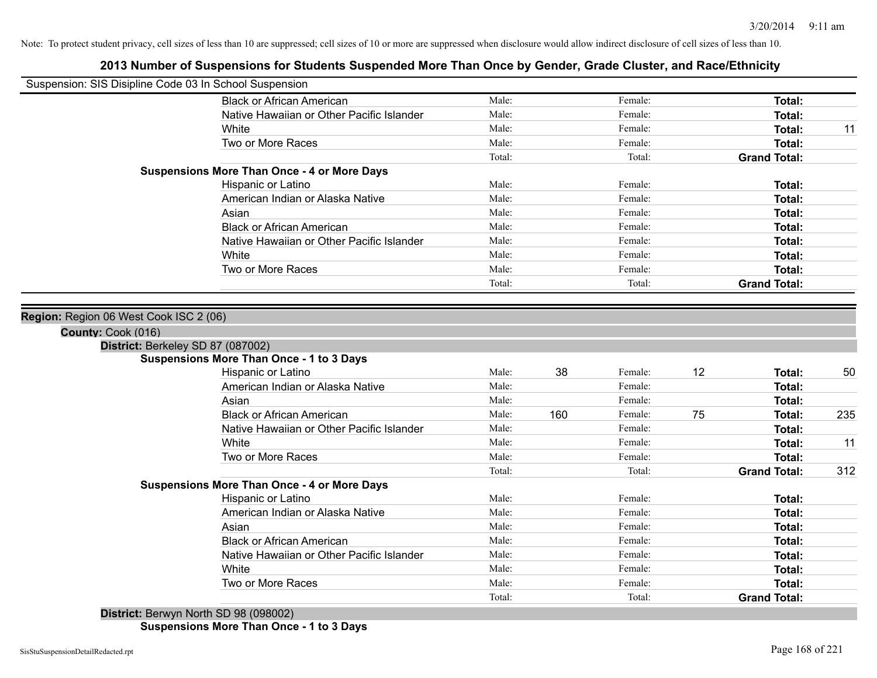# **2013 Number of Suspensions for Students Suspended More Than Once by Gender, Grade Cluster, and Race/Ethnicity**

| Suspension: SIS Disipline Code 03 In School Suspension  |                                                    |        |     |         |    |                     |     |
|---------------------------------------------------------|----------------------------------------------------|--------|-----|---------|----|---------------------|-----|
|                                                         | <b>Black or African American</b>                   | Male:  |     | Female: |    | Total:              |     |
|                                                         | Native Hawaiian or Other Pacific Islander          | Male:  |     | Female: |    | <b>Total:</b>       |     |
|                                                         | White                                              | Male:  |     | Female: |    | <b>Total:</b>       | 11  |
|                                                         | Two or More Races                                  | Male:  |     | Female: |    | Total:              |     |
|                                                         |                                                    | Total: |     | Total:  |    | <b>Grand Total:</b> |     |
|                                                         | <b>Suspensions More Than Once - 4 or More Days</b> |        |     |         |    |                     |     |
|                                                         | Hispanic or Latino                                 | Male:  |     | Female: |    | Total:              |     |
|                                                         | American Indian or Alaska Native                   | Male:  |     | Female: |    | <b>Total:</b>       |     |
|                                                         | Asian                                              | Male:  |     | Female: |    | <b>Total:</b>       |     |
|                                                         | <b>Black or African American</b>                   | Male:  |     | Female: |    | <b>Total:</b>       |     |
|                                                         | Native Hawaiian or Other Pacific Islander          | Male:  |     | Female: |    | <b>Total:</b>       |     |
|                                                         | White                                              | Male:  |     | Female: |    | <b>Total:</b>       |     |
|                                                         | Two or More Races                                  | Male:  |     | Female: |    | Total:              |     |
|                                                         |                                                    | Total: |     | Total:  |    | <b>Grand Total:</b> |     |
| County: Cook (016)<br>District: Berkeley SD 87 (087002) | <b>Suspensions More Than Once - 1 to 3 Days</b>    |        |     |         |    |                     |     |
|                                                         | Hispanic or Latino                                 | Male:  | 38  | Female: | 12 | Total:              | 50  |
|                                                         | American Indian or Alaska Native                   | Male:  |     | Female: |    | <b>Total:</b>       |     |
|                                                         | Asian                                              | Male:  |     | Female: |    | <b>Total:</b>       |     |
|                                                         | <b>Black or African American</b>                   | Male:  | 160 | Female: | 75 | Total:              | 235 |
|                                                         | Native Hawaiian or Other Pacific Islander          | Male:  |     | Female: |    | Total:              |     |
|                                                         | White                                              | Male:  |     | Female: |    | Total:              | 11  |
|                                                         | Two or More Races                                  | Male:  |     | Female: |    | <b>Total:</b>       |     |
|                                                         |                                                    | Total: |     | Total:  |    | <b>Grand Total:</b> | 312 |
|                                                         | <b>Suspensions More Than Once - 4 or More Days</b> |        |     |         |    |                     |     |
|                                                         | Hispanic or Latino                                 | Male:  |     | Female: |    | <b>Total:</b>       |     |
|                                                         | American Indian or Alaska Native                   | Male:  |     | Female: |    | <b>Total:</b>       |     |
|                                                         | Asian                                              | Male:  |     | Female: |    | <b>Total:</b>       |     |
|                                                         | <b>Black or African American</b>                   | Male:  |     | Female: |    | Total:              |     |
|                                                         | Native Hawaiian or Other Pacific Islander          | Male:  |     | Female: |    | Total:              |     |
|                                                         | White                                              | Male:  |     | Female: |    | Total:              |     |
|                                                         | Two or More Races                                  | Male:  |     | Female: |    | <b>Total:</b>       |     |
|                                                         |                                                    | Total: |     | Total:  |    | <b>Grand Total:</b> |     |
|                                                         | District: Berwyn North SD 98 (098002)              |        |     |         |    |                     |     |

**Suspensions More Than Once - 1 to 3 Days**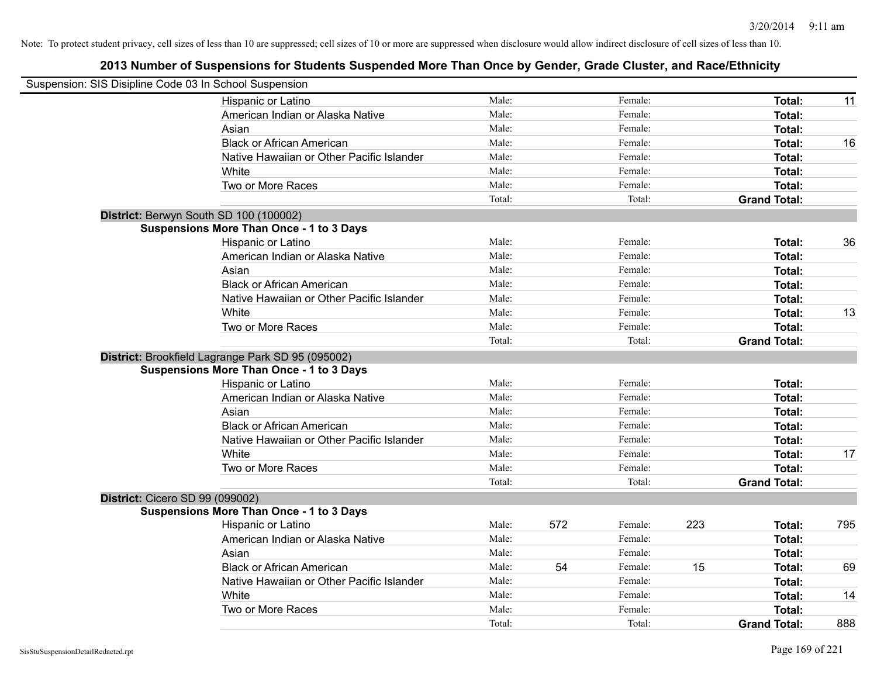| Male:<br>Female:<br><b>Total:</b><br>Hispanic or Latino<br>11<br>American Indian or Alaska Native<br>Male:<br>Female:<br>Total:<br>Male:<br>Female:<br>Asian<br>Total:<br>Male:<br><b>Black or African American</b><br>Female:<br><b>Total:</b><br>16<br>Male:<br>Female:<br>Native Hawaiian or Other Pacific Islander<br><b>Total:</b><br>Male:<br>Female:<br>White<br><b>Total:</b><br>Two or More Races<br>Male:<br>Female:<br>Total:<br>Total:<br>Total:<br><b>Grand Total:</b><br>District: Berwyn South SD 100 (100002)<br><b>Suspensions More Than Once - 1 to 3 Days</b><br>Hispanic or Latino<br>Male:<br>36<br>Female:<br>Total:<br>American Indian or Alaska Native<br>Male:<br>Female:<br>Total:<br>Asian<br>Male:<br>Female:<br>Total:<br><b>Black or African American</b><br>Male:<br>Female:<br><b>Total:</b><br>Native Hawaiian or Other Pacific Islander<br>Male:<br>Female:<br><b>Total:</b><br>White<br>Male:<br>Female:<br>13<br><b>Total:</b><br>Male:<br>Two or More Races<br>Female:<br><b>Total:</b><br>Total:<br>Total:<br><b>Grand Total:</b><br>District: Brookfield Lagrange Park SD 95 (095002)<br><b>Suspensions More Than Once - 1 to 3 Days</b><br>Male:<br>Hispanic or Latino<br>Female:<br>Total:<br>Male:<br>Female:<br>American Indian or Alaska Native<br>Total:<br>Male:<br>Female:<br>Asian<br><b>Total:</b><br>Male:<br><b>Black or African American</b><br>Female:<br><b>Total:</b><br>Male:<br>Female:<br>Native Hawaiian or Other Pacific Islander<br><b>Total:</b><br>Male:<br>Female:<br>White<br><b>Total:</b><br>17<br>Male:<br>Two or More Races<br>Female:<br>Total:<br>Total:<br>Total:<br><b>Grand Total:</b><br><b>District: Cicero SD 99 (099002)</b><br><b>Suspensions More Than Once - 1 to 3 Days</b><br>223<br>Male:<br>572<br>Female:<br>795<br>Hispanic or Latino<br>Total:<br>American Indian or Alaska Native<br>Male:<br>Female:<br>Total:<br>Asian<br>Male:<br>Female:<br><b>Total:</b><br><b>Black or African American</b><br>54<br>15<br>69<br>Male:<br>Female:<br><b>Total:</b><br>Native Hawaiian or Other Pacific Islander<br>Male:<br>Female:<br><b>Total:</b><br>White<br>Male:<br>Female:<br>14<br><b>Total:</b><br>Two or More Races<br>Male:<br>Female:<br><b>Total:</b> | Suspension: SIS Disipline Code 03 In School Suspension |  |  |                     |     |
|---------------------------------------------------------------------------------------------------------------------------------------------------------------------------------------------------------------------------------------------------------------------------------------------------------------------------------------------------------------------------------------------------------------------------------------------------------------------------------------------------------------------------------------------------------------------------------------------------------------------------------------------------------------------------------------------------------------------------------------------------------------------------------------------------------------------------------------------------------------------------------------------------------------------------------------------------------------------------------------------------------------------------------------------------------------------------------------------------------------------------------------------------------------------------------------------------------------------------------------------------------------------------------------------------------------------------------------------------------------------------------------------------------------------------------------------------------------------------------------------------------------------------------------------------------------------------------------------------------------------------------------------------------------------------------------------------------------------------------------------------------------------------------------------------------------------------------------------------------------------------------------------------------------------------------------------------------------------------------------------------------------------------------------------------------------------------------------------------------------------------------------------------------------------------------------------------------------------------------------------------|--------------------------------------------------------|--|--|---------------------|-----|
|                                                                                                                                                                                                                                                                                                                                                                                                                                                                                                                                                                                                                                                                                                                                                                                                                                                                                                                                                                                                                                                                                                                                                                                                                                                                                                                                                                                                                                                                                                                                                                                                                                                                                                                                                                                                                                                                                                                                                                                                                                                                                                                                                                                                                                                   |                                                        |  |  |                     |     |
|                                                                                                                                                                                                                                                                                                                                                                                                                                                                                                                                                                                                                                                                                                                                                                                                                                                                                                                                                                                                                                                                                                                                                                                                                                                                                                                                                                                                                                                                                                                                                                                                                                                                                                                                                                                                                                                                                                                                                                                                                                                                                                                                                                                                                                                   |                                                        |  |  |                     |     |
|                                                                                                                                                                                                                                                                                                                                                                                                                                                                                                                                                                                                                                                                                                                                                                                                                                                                                                                                                                                                                                                                                                                                                                                                                                                                                                                                                                                                                                                                                                                                                                                                                                                                                                                                                                                                                                                                                                                                                                                                                                                                                                                                                                                                                                                   |                                                        |  |  |                     |     |
|                                                                                                                                                                                                                                                                                                                                                                                                                                                                                                                                                                                                                                                                                                                                                                                                                                                                                                                                                                                                                                                                                                                                                                                                                                                                                                                                                                                                                                                                                                                                                                                                                                                                                                                                                                                                                                                                                                                                                                                                                                                                                                                                                                                                                                                   |                                                        |  |  |                     |     |
|                                                                                                                                                                                                                                                                                                                                                                                                                                                                                                                                                                                                                                                                                                                                                                                                                                                                                                                                                                                                                                                                                                                                                                                                                                                                                                                                                                                                                                                                                                                                                                                                                                                                                                                                                                                                                                                                                                                                                                                                                                                                                                                                                                                                                                                   |                                                        |  |  |                     |     |
|                                                                                                                                                                                                                                                                                                                                                                                                                                                                                                                                                                                                                                                                                                                                                                                                                                                                                                                                                                                                                                                                                                                                                                                                                                                                                                                                                                                                                                                                                                                                                                                                                                                                                                                                                                                                                                                                                                                                                                                                                                                                                                                                                                                                                                                   |                                                        |  |  |                     |     |
|                                                                                                                                                                                                                                                                                                                                                                                                                                                                                                                                                                                                                                                                                                                                                                                                                                                                                                                                                                                                                                                                                                                                                                                                                                                                                                                                                                                                                                                                                                                                                                                                                                                                                                                                                                                                                                                                                                                                                                                                                                                                                                                                                                                                                                                   |                                                        |  |  |                     |     |
|                                                                                                                                                                                                                                                                                                                                                                                                                                                                                                                                                                                                                                                                                                                                                                                                                                                                                                                                                                                                                                                                                                                                                                                                                                                                                                                                                                                                                                                                                                                                                                                                                                                                                                                                                                                                                                                                                                                                                                                                                                                                                                                                                                                                                                                   |                                                        |  |  |                     |     |
|                                                                                                                                                                                                                                                                                                                                                                                                                                                                                                                                                                                                                                                                                                                                                                                                                                                                                                                                                                                                                                                                                                                                                                                                                                                                                                                                                                                                                                                                                                                                                                                                                                                                                                                                                                                                                                                                                                                                                                                                                                                                                                                                                                                                                                                   |                                                        |  |  |                     |     |
|                                                                                                                                                                                                                                                                                                                                                                                                                                                                                                                                                                                                                                                                                                                                                                                                                                                                                                                                                                                                                                                                                                                                                                                                                                                                                                                                                                                                                                                                                                                                                                                                                                                                                                                                                                                                                                                                                                                                                                                                                                                                                                                                                                                                                                                   |                                                        |  |  |                     |     |
|                                                                                                                                                                                                                                                                                                                                                                                                                                                                                                                                                                                                                                                                                                                                                                                                                                                                                                                                                                                                                                                                                                                                                                                                                                                                                                                                                                                                                                                                                                                                                                                                                                                                                                                                                                                                                                                                                                                                                                                                                                                                                                                                                                                                                                                   |                                                        |  |  |                     |     |
|                                                                                                                                                                                                                                                                                                                                                                                                                                                                                                                                                                                                                                                                                                                                                                                                                                                                                                                                                                                                                                                                                                                                                                                                                                                                                                                                                                                                                                                                                                                                                                                                                                                                                                                                                                                                                                                                                                                                                                                                                                                                                                                                                                                                                                                   |                                                        |  |  |                     |     |
|                                                                                                                                                                                                                                                                                                                                                                                                                                                                                                                                                                                                                                                                                                                                                                                                                                                                                                                                                                                                                                                                                                                                                                                                                                                                                                                                                                                                                                                                                                                                                                                                                                                                                                                                                                                                                                                                                                                                                                                                                                                                                                                                                                                                                                                   |                                                        |  |  |                     |     |
|                                                                                                                                                                                                                                                                                                                                                                                                                                                                                                                                                                                                                                                                                                                                                                                                                                                                                                                                                                                                                                                                                                                                                                                                                                                                                                                                                                                                                                                                                                                                                                                                                                                                                                                                                                                                                                                                                                                                                                                                                                                                                                                                                                                                                                                   |                                                        |  |  |                     |     |
|                                                                                                                                                                                                                                                                                                                                                                                                                                                                                                                                                                                                                                                                                                                                                                                                                                                                                                                                                                                                                                                                                                                                                                                                                                                                                                                                                                                                                                                                                                                                                                                                                                                                                                                                                                                                                                                                                                                                                                                                                                                                                                                                                                                                                                                   |                                                        |  |  |                     |     |
|                                                                                                                                                                                                                                                                                                                                                                                                                                                                                                                                                                                                                                                                                                                                                                                                                                                                                                                                                                                                                                                                                                                                                                                                                                                                                                                                                                                                                                                                                                                                                                                                                                                                                                                                                                                                                                                                                                                                                                                                                                                                                                                                                                                                                                                   |                                                        |  |  |                     |     |
|                                                                                                                                                                                                                                                                                                                                                                                                                                                                                                                                                                                                                                                                                                                                                                                                                                                                                                                                                                                                                                                                                                                                                                                                                                                                                                                                                                                                                                                                                                                                                                                                                                                                                                                                                                                                                                                                                                                                                                                                                                                                                                                                                                                                                                                   |                                                        |  |  |                     |     |
|                                                                                                                                                                                                                                                                                                                                                                                                                                                                                                                                                                                                                                                                                                                                                                                                                                                                                                                                                                                                                                                                                                                                                                                                                                                                                                                                                                                                                                                                                                                                                                                                                                                                                                                                                                                                                                                                                                                                                                                                                                                                                                                                                                                                                                                   |                                                        |  |  |                     |     |
|                                                                                                                                                                                                                                                                                                                                                                                                                                                                                                                                                                                                                                                                                                                                                                                                                                                                                                                                                                                                                                                                                                                                                                                                                                                                                                                                                                                                                                                                                                                                                                                                                                                                                                                                                                                                                                                                                                                                                                                                                                                                                                                                                                                                                                                   |                                                        |  |  |                     |     |
|                                                                                                                                                                                                                                                                                                                                                                                                                                                                                                                                                                                                                                                                                                                                                                                                                                                                                                                                                                                                                                                                                                                                                                                                                                                                                                                                                                                                                                                                                                                                                                                                                                                                                                                                                                                                                                                                                                                                                                                                                                                                                                                                                                                                                                                   |                                                        |  |  |                     |     |
|                                                                                                                                                                                                                                                                                                                                                                                                                                                                                                                                                                                                                                                                                                                                                                                                                                                                                                                                                                                                                                                                                                                                                                                                                                                                                                                                                                                                                                                                                                                                                                                                                                                                                                                                                                                                                                                                                                                                                                                                                                                                                                                                                                                                                                                   |                                                        |  |  |                     |     |
|                                                                                                                                                                                                                                                                                                                                                                                                                                                                                                                                                                                                                                                                                                                                                                                                                                                                                                                                                                                                                                                                                                                                                                                                                                                                                                                                                                                                                                                                                                                                                                                                                                                                                                                                                                                                                                                                                                                                                                                                                                                                                                                                                                                                                                                   |                                                        |  |  |                     |     |
|                                                                                                                                                                                                                                                                                                                                                                                                                                                                                                                                                                                                                                                                                                                                                                                                                                                                                                                                                                                                                                                                                                                                                                                                                                                                                                                                                                                                                                                                                                                                                                                                                                                                                                                                                                                                                                                                                                                                                                                                                                                                                                                                                                                                                                                   |                                                        |  |  |                     |     |
|                                                                                                                                                                                                                                                                                                                                                                                                                                                                                                                                                                                                                                                                                                                                                                                                                                                                                                                                                                                                                                                                                                                                                                                                                                                                                                                                                                                                                                                                                                                                                                                                                                                                                                                                                                                                                                                                                                                                                                                                                                                                                                                                                                                                                                                   |                                                        |  |  |                     |     |
|                                                                                                                                                                                                                                                                                                                                                                                                                                                                                                                                                                                                                                                                                                                                                                                                                                                                                                                                                                                                                                                                                                                                                                                                                                                                                                                                                                                                                                                                                                                                                                                                                                                                                                                                                                                                                                                                                                                                                                                                                                                                                                                                                                                                                                                   |                                                        |  |  |                     |     |
|                                                                                                                                                                                                                                                                                                                                                                                                                                                                                                                                                                                                                                                                                                                                                                                                                                                                                                                                                                                                                                                                                                                                                                                                                                                                                                                                                                                                                                                                                                                                                                                                                                                                                                                                                                                                                                                                                                                                                                                                                                                                                                                                                                                                                                                   |                                                        |  |  |                     |     |
|                                                                                                                                                                                                                                                                                                                                                                                                                                                                                                                                                                                                                                                                                                                                                                                                                                                                                                                                                                                                                                                                                                                                                                                                                                                                                                                                                                                                                                                                                                                                                                                                                                                                                                                                                                                                                                                                                                                                                                                                                                                                                                                                                                                                                                                   |                                                        |  |  |                     |     |
|                                                                                                                                                                                                                                                                                                                                                                                                                                                                                                                                                                                                                                                                                                                                                                                                                                                                                                                                                                                                                                                                                                                                                                                                                                                                                                                                                                                                                                                                                                                                                                                                                                                                                                                                                                                                                                                                                                                                                                                                                                                                                                                                                                                                                                                   |                                                        |  |  |                     |     |
|                                                                                                                                                                                                                                                                                                                                                                                                                                                                                                                                                                                                                                                                                                                                                                                                                                                                                                                                                                                                                                                                                                                                                                                                                                                                                                                                                                                                                                                                                                                                                                                                                                                                                                                                                                                                                                                                                                                                                                                                                                                                                                                                                                                                                                                   |                                                        |  |  |                     |     |
|                                                                                                                                                                                                                                                                                                                                                                                                                                                                                                                                                                                                                                                                                                                                                                                                                                                                                                                                                                                                                                                                                                                                                                                                                                                                                                                                                                                                                                                                                                                                                                                                                                                                                                                                                                                                                                                                                                                                                                                                                                                                                                                                                                                                                                                   |                                                        |  |  |                     |     |
|                                                                                                                                                                                                                                                                                                                                                                                                                                                                                                                                                                                                                                                                                                                                                                                                                                                                                                                                                                                                                                                                                                                                                                                                                                                                                                                                                                                                                                                                                                                                                                                                                                                                                                                                                                                                                                                                                                                                                                                                                                                                                                                                                                                                                                                   |                                                        |  |  |                     |     |
|                                                                                                                                                                                                                                                                                                                                                                                                                                                                                                                                                                                                                                                                                                                                                                                                                                                                                                                                                                                                                                                                                                                                                                                                                                                                                                                                                                                                                                                                                                                                                                                                                                                                                                                                                                                                                                                                                                                                                                                                                                                                                                                                                                                                                                                   |                                                        |  |  |                     |     |
|                                                                                                                                                                                                                                                                                                                                                                                                                                                                                                                                                                                                                                                                                                                                                                                                                                                                                                                                                                                                                                                                                                                                                                                                                                                                                                                                                                                                                                                                                                                                                                                                                                                                                                                                                                                                                                                                                                                                                                                                                                                                                                                                                                                                                                                   |                                                        |  |  |                     |     |
|                                                                                                                                                                                                                                                                                                                                                                                                                                                                                                                                                                                                                                                                                                                                                                                                                                                                                                                                                                                                                                                                                                                                                                                                                                                                                                                                                                                                                                                                                                                                                                                                                                                                                                                                                                                                                                                                                                                                                                                                                                                                                                                                                                                                                                                   |                                                        |  |  |                     |     |
|                                                                                                                                                                                                                                                                                                                                                                                                                                                                                                                                                                                                                                                                                                                                                                                                                                                                                                                                                                                                                                                                                                                                                                                                                                                                                                                                                                                                                                                                                                                                                                                                                                                                                                                                                                                                                                                                                                                                                                                                                                                                                                                                                                                                                                                   |                                                        |  |  |                     |     |
|                                                                                                                                                                                                                                                                                                                                                                                                                                                                                                                                                                                                                                                                                                                                                                                                                                                                                                                                                                                                                                                                                                                                                                                                                                                                                                                                                                                                                                                                                                                                                                                                                                                                                                                                                                                                                                                                                                                                                                                                                                                                                                                                                                                                                                                   |                                                        |  |  |                     |     |
| Total:<br>Total:                                                                                                                                                                                                                                                                                                                                                                                                                                                                                                                                                                                                                                                                                                                                                                                                                                                                                                                                                                                                                                                                                                                                                                                                                                                                                                                                                                                                                                                                                                                                                                                                                                                                                                                                                                                                                                                                                                                                                                                                                                                                                                                                                                                                                                  |                                                        |  |  | <b>Grand Total:</b> | 888 |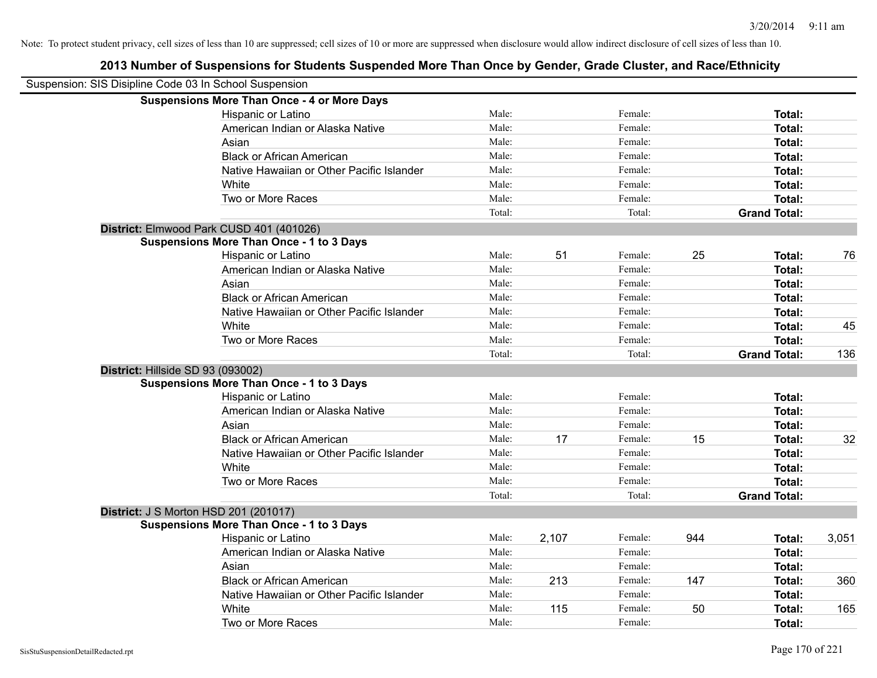| Suspension: SIS Disipline Code 03 In School Suspension |                                                    |        |       |         |     |                     |       |
|--------------------------------------------------------|----------------------------------------------------|--------|-------|---------|-----|---------------------|-------|
|                                                        | <b>Suspensions More Than Once - 4 or More Days</b> |        |       |         |     |                     |       |
|                                                        | Hispanic or Latino                                 | Male:  |       | Female: |     | Total:              |       |
|                                                        | American Indian or Alaska Native                   | Male:  |       | Female: |     | <b>Total:</b>       |       |
|                                                        | Asian                                              | Male:  |       | Female: |     | <b>Total:</b>       |       |
|                                                        | <b>Black or African American</b>                   | Male:  |       | Female: |     | <b>Total:</b>       |       |
|                                                        | Native Hawaiian or Other Pacific Islander          | Male:  |       | Female: |     | <b>Total:</b>       |       |
|                                                        | White                                              | Male:  |       | Female: |     | Total:              |       |
|                                                        | Two or More Races                                  | Male:  |       | Female: |     | <b>Total:</b>       |       |
|                                                        |                                                    | Total: |       | Total:  |     | <b>Grand Total:</b> |       |
|                                                        | District: Elmwood Park CUSD 401 (401026)           |        |       |         |     |                     |       |
|                                                        | <b>Suspensions More Than Once - 1 to 3 Days</b>    |        |       |         |     |                     |       |
|                                                        | Hispanic or Latino                                 | Male:  | 51    | Female: | 25  | <b>Total:</b>       | 76    |
|                                                        | American Indian or Alaska Native                   | Male:  |       | Female: |     | <b>Total:</b>       |       |
|                                                        | Asian                                              | Male:  |       | Female: |     | <b>Total:</b>       |       |
|                                                        | <b>Black or African American</b>                   | Male:  |       | Female: |     | <b>Total:</b>       |       |
|                                                        | Native Hawaiian or Other Pacific Islander          | Male:  |       | Female: |     | <b>Total:</b>       |       |
|                                                        | White                                              | Male:  |       | Female: |     | <b>Total:</b>       | 45    |
|                                                        | Two or More Races                                  | Male:  |       | Female: |     | <b>Total:</b>       |       |
|                                                        |                                                    | Total: |       | Total:  |     | <b>Grand Total:</b> | 136   |
| District: Hillside SD 93 (093002)                      |                                                    |        |       |         |     |                     |       |
|                                                        | <b>Suspensions More Than Once - 1 to 3 Days</b>    |        |       |         |     |                     |       |
|                                                        | Hispanic or Latino                                 | Male:  |       | Female: |     | <b>Total:</b>       |       |
|                                                        | American Indian or Alaska Native                   | Male:  |       | Female: |     | <b>Total:</b>       |       |
|                                                        | Asian                                              | Male:  |       | Female: |     | <b>Total:</b>       |       |
|                                                        | <b>Black or African American</b>                   | Male:  | 17    | Female: | 15  | Total:              | 32    |
|                                                        | Native Hawaiian or Other Pacific Islander          | Male:  |       | Female: |     | <b>Total:</b>       |       |
|                                                        | White                                              | Male:  |       | Female: |     | <b>Total:</b>       |       |
|                                                        | Two or More Races                                  | Male:  |       | Female: |     | <b>Total:</b>       |       |
|                                                        |                                                    | Total: |       | Total:  |     | <b>Grand Total:</b> |       |
| <b>District: J S Morton HSD 201 (201017)</b>           |                                                    |        |       |         |     |                     |       |
|                                                        | <b>Suspensions More Than Once - 1 to 3 Days</b>    |        |       |         |     |                     |       |
|                                                        | Hispanic or Latino                                 | Male:  | 2,107 | Female: | 944 | <b>Total:</b>       | 3,051 |
|                                                        | American Indian or Alaska Native                   | Male:  |       | Female: |     | Total:              |       |
|                                                        | Asian                                              | Male:  |       | Female: |     | <b>Total:</b>       |       |
|                                                        | <b>Black or African American</b>                   | Male:  | 213   | Female: | 147 | <b>Total:</b>       | 360   |
|                                                        | Native Hawaiian or Other Pacific Islander          | Male:  |       | Female: |     | <b>Total:</b>       |       |
|                                                        | White                                              | Male:  | 115   | Female: | 50  | <b>Total:</b>       | 165   |
|                                                        | Two or More Races                                  | Male:  |       | Female: |     | <b>Total:</b>       |       |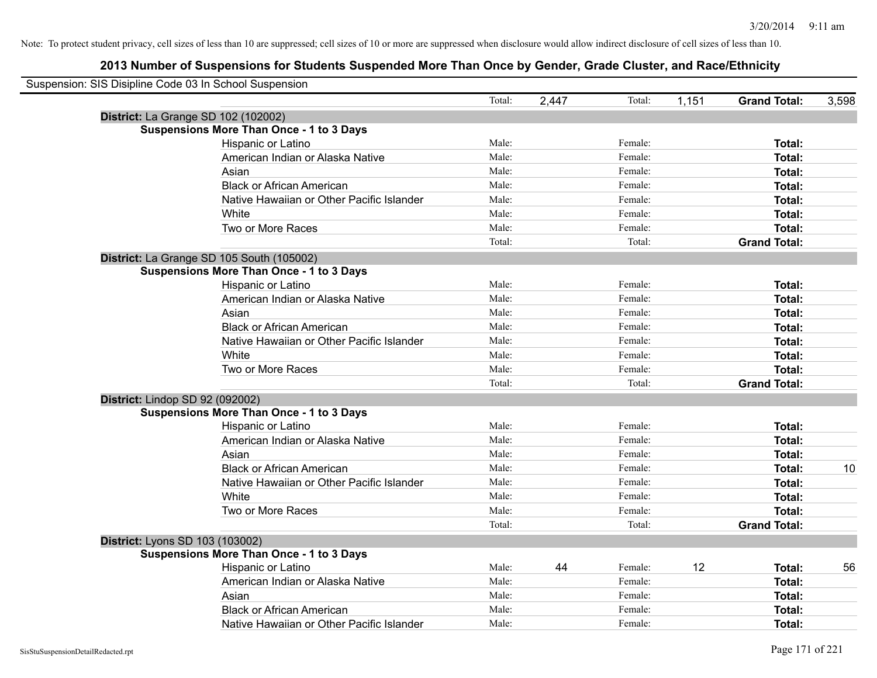| Suspension: SIS Disipline Code 03 In School Suspension |                                                 |        |       |         |       |                     |       |
|--------------------------------------------------------|-------------------------------------------------|--------|-------|---------|-------|---------------------|-------|
|                                                        |                                                 | Total: | 2,447 | Total:  | 1,151 | <b>Grand Total:</b> | 3,598 |
|                                                        | District: La Grange SD 102 (102002)             |        |       |         |       |                     |       |
|                                                        | <b>Suspensions More Than Once - 1 to 3 Days</b> |        |       |         |       |                     |       |
|                                                        | Hispanic or Latino                              | Male:  |       | Female: |       | Total:              |       |
|                                                        | American Indian or Alaska Native                | Male:  |       | Female: |       | Total:              |       |
|                                                        | Asian                                           | Male:  |       | Female: |       | Total:              |       |
|                                                        | <b>Black or African American</b>                | Male:  |       | Female: |       | Total:              |       |
|                                                        | Native Hawaiian or Other Pacific Islander       | Male:  |       | Female: |       | Total:              |       |
|                                                        | White                                           | Male:  |       | Female: |       | Total:              |       |
|                                                        | Two or More Races                               | Male:  |       | Female: |       | Total:              |       |
|                                                        |                                                 | Total: |       | Total:  |       | <b>Grand Total:</b> |       |
|                                                        | District: La Grange SD 105 South (105002)       |        |       |         |       |                     |       |
|                                                        | <b>Suspensions More Than Once - 1 to 3 Days</b> |        |       |         |       |                     |       |
|                                                        | Hispanic or Latino                              | Male:  |       | Female: |       | Total:              |       |
|                                                        | American Indian or Alaska Native                | Male:  |       | Female: |       | Total:              |       |
|                                                        | Asian                                           | Male:  |       | Female: |       | Total:              |       |
|                                                        | <b>Black or African American</b>                | Male:  |       | Female: |       | Total:              |       |
|                                                        | Native Hawaiian or Other Pacific Islander       | Male:  |       | Female: |       | Total:              |       |
|                                                        | White                                           | Male:  |       | Female: |       | Total:              |       |
|                                                        | Two or More Races                               | Male:  |       | Female: |       | Total:              |       |
|                                                        |                                                 | Total: |       | Total:  |       | <b>Grand Total:</b> |       |
|                                                        | District: Lindop SD 92 (092002)                 |        |       |         |       |                     |       |
|                                                        | <b>Suspensions More Than Once - 1 to 3 Days</b> |        |       |         |       |                     |       |
|                                                        | Hispanic or Latino                              | Male:  |       | Female: |       | Total:              |       |
|                                                        | American Indian or Alaska Native                | Male:  |       | Female: |       | Total:              |       |
|                                                        | Asian                                           | Male:  |       | Female: |       | Total:              |       |
|                                                        | <b>Black or African American</b>                | Male:  |       | Female: |       | Total:              | 10    |
|                                                        | Native Hawaiian or Other Pacific Islander       | Male:  |       | Female: |       | Total:              |       |
|                                                        | White                                           | Male:  |       | Female: |       | Total:              |       |
|                                                        | Two or More Races                               | Male:  |       | Female: |       | Total:              |       |
|                                                        |                                                 | Total: |       | Total:  |       | <b>Grand Total:</b> |       |
|                                                        | District: Lyons SD 103 (103002)                 |        |       |         |       |                     |       |
|                                                        | <b>Suspensions More Than Once - 1 to 3 Days</b> |        |       |         |       |                     |       |
|                                                        | Hispanic or Latino                              | Male:  | 44    | Female: | 12    | Total:              | 56    |
|                                                        | American Indian or Alaska Native                | Male:  |       | Female: |       | Total:              |       |
|                                                        | Asian                                           | Male:  |       | Female: |       | Total:              |       |
|                                                        | <b>Black or African American</b>                | Male:  |       | Female: |       | Total:              |       |
|                                                        | Native Hawaiian or Other Pacific Islander       | Male:  |       | Female: |       | Total:              |       |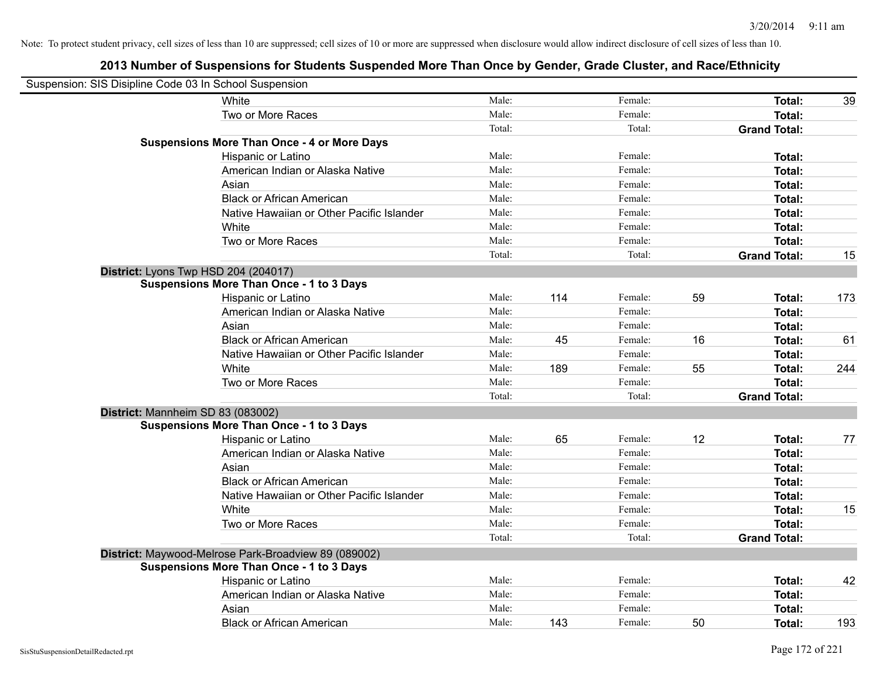| Suspension: SIS Disipline Code 03 In School Suspension |                                                      |        |     |         |    |                     |     |
|--------------------------------------------------------|------------------------------------------------------|--------|-----|---------|----|---------------------|-----|
|                                                        | White                                                | Male:  |     | Female: |    | Total:              | 39  |
|                                                        | Two or More Races                                    | Male:  |     | Female: |    | Total:              |     |
|                                                        |                                                      | Total: |     | Total:  |    | <b>Grand Total:</b> |     |
|                                                        | <b>Suspensions More Than Once - 4 or More Days</b>   |        |     |         |    |                     |     |
|                                                        | Hispanic or Latino                                   | Male:  |     | Female: |    | Total:              |     |
|                                                        | American Indian or Alaska Native                     | Male:  |     | Female: |    | Total:              |     |
|                                                        | Asian                                                | Male:  |     | Female: |    | Total:              |     |
|                                                        | <b>Black or African American</b>                     | Male:  |     | Female: |    | Total:              |     |
|                                                        | Native Hawaiian or Other Pacific Islander            | Male:  |     | Female: |    | Total:              |     |
|                                                        | White                                                | Male:  |     | Female: |    | Total:              |     |
|                                                        | Two or More Races                                    | Male:  |     | Female: |    | Total:              |     |
|                                                        |                                                      | Total: |     | Total:  |    | <b>Grand Total:</b> | 15  |
| District: Lyons Twp HSD 204 (204017)                   |                                                      |        |     |         |    |                     |     |
|                                                        | <b>Suspensions More Than Once - 1 to 3 Days</b>      |        |     |         |    |                     |     |
|                                                        | Hispanic or Latino                                   | Male:  | 114 | Female: | 59 | Total:              | 173 |
|                                                        | American Indian or Alaska Native                     | Male:  |     | Female: |    | Total:              |     |
|                                                        | Asian                                                | Male:  |     | Female: |    | Total:              |     |
|                                                        | <b>Black or African American</b>                     | Male:  | 45  | Female: | 16 | Total:              | 61  |
|                                                        | Native Hawaiian or Other Pacific Islander            | Male:  |     | Female: |    | Total:              |     |
|                                                        | White                                                | Male:  | 189 | Female: | 55 | Total:              | 244 |
|                                                        | Two or More Races                                    | Male:  |     | Female: |    | Total:              |     |
|                                                        |                                                      | Total: |     | Total:  |    | <b>Grand Total:</b> |     |
| District: Mannheim SD 83 (083002)                      |                                                      |        |     |         |    |                     |     |
|                                                        | <b>Suspensions More Than Once - 1 to 3 Days</b>      |        |     |         |    |                     |     |
|                                                        | Hispanic or Latino                                   | Male:  | 65  | Female: | 12 | Total:              | 77  |
|                                                        | American Indian or Alaska Native                     | Male:  |     | Female: |    | Total:              |     |
|                                                        | Asian                                                | Male:  |     | Female: |    | Total:              |     |
|                                                        | <b>Black or African American</b>                     | Male:  |     | Female: |    | Total:              |     |
|                                                        | Native Hawaiian or Other Pacific Islander            | Male:  |     | Female: |    | Total:              |     |
|                                                        | White                                                | Male:  |     | Female: |    | Total:              | 15  |
|                                                        | Two or More Races                                    | Male:  |     | Female: |    | Total:              |     |
|                                                        |                                                      | Total: |     | Total:  |    | <b>Grand Total:</b> |     |
|                                                        | District: Maywood-Melrose Park-Broadview 89 (089002) |        |     |         |    |                     |     |
|                                                        | <b>Suspensions More Than Once - 1 to 3 Days</b>      |        |     |         |    |                     |     |
|                                                        | Hispanic or Latino                                   | Male:  |     | Female: |    | Total:              | 42  |
|                                                        | American Indian or Alaska Native                     | Male:  |     | Female: |    | Total:              |     |
|                                                        | Asian                                                | Male:  |     | Female: |    | Total:              |     |
|                                                        | <b>Black or African American</b>                     | Male:  | 143 | Female: | 50 | Total:              | 193 |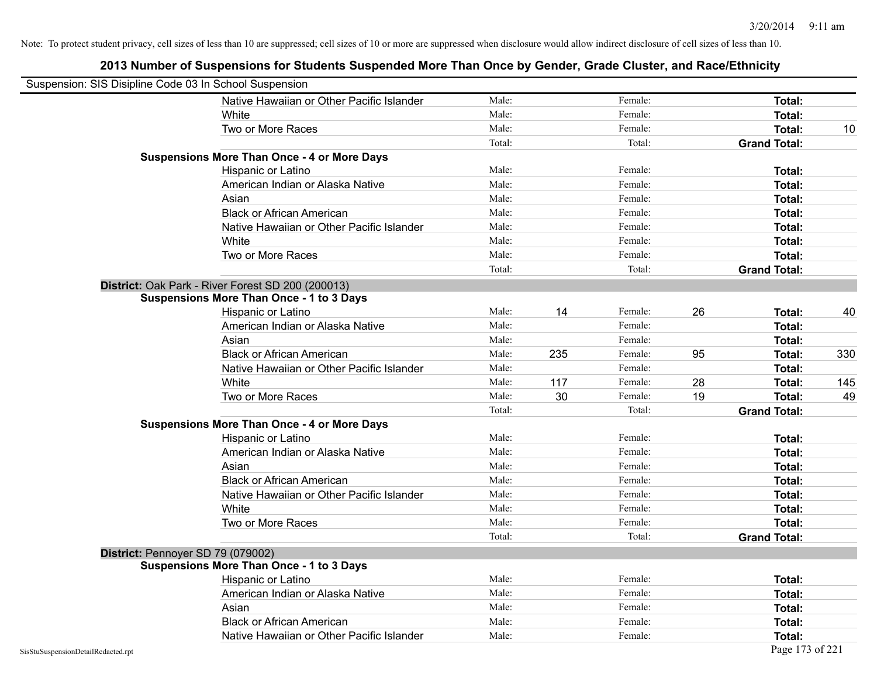| Suspension: SIS Disipline Code 03 In School Suspension |                                                    |        |     |         |    |                     |     |
|--------------------------------------------------------|----------------------------------------------------|--------|-----|---------|----|---------------------|-----|
|                                                        | Native Hawaiian or Other Pacific Islander          | Male:  |     | Female: |    | Total:              |     |
|                                                        | White                                              | Male:  |     | Female: |    | <b>Total:</b>       |     |
|                                                        | Two or More Races                                  | Male:  |     | Female: |    | Total:              | 10  |
|                                                        |                                                    | Total: |     | Total:  |    | <b>Grand Total:</b> |     |
|                                                        | <b>Suspensions More Than Once - 4 or More Days</b> |        |     |         |    |                     |     |
|                                                        | Hispanic or Latino                                 | Male:  |     | Female: |    | Total:              |     |
|                                                        | American Indian or Alaska Native                   | Male:  |     | Female: |    | Total:              |     |
|                                                        | Asian                                              | Male:  |     | Female: |    | Total:              |     |
|                                                        | <b>Black or African American</b>                   | Male:  |     | Female: |    | Total:              |     |
|                                                        | Native Hawaiian or Other Pacific Islander          | Male:  |     | Female: |    | Total:              |     |
|                                                        | White                                              | Male:  |     | Female: |    | Total:              |     |
|                                                        | Two or More Races                                  | Male:  |     | Female: |    | Total:              |     |
|                                                        |                                                    | Total: |     | Total:  |    | <b>Grand Total:</b> |     |
|                                                        | District: Oak Park - River Forest SD 200 (200013)  |        |     |         |    |                     |     |
|                                                        | <b>Suspensions More Than Once - 1 to 3 Days</b>    |        |     |         |    |                     |     |
|                                                        | Hispanic or Latino                                 | Male:  | 14  | Female: | 26 | Total:              | 40  |
|                                                        | American Indian or Alaska Native                   | Male:  |     | Female: |    | Total:              |     |
|                                                        | Asian                                              | Male:  |     | Female: |    | Total:              |     |
|                                                        | <b>Black or African American</b>                   | Male:  | 235 | Female: | 95 | Total:              | 330 |
|                                                        | Native Hawaiian or Other Pacific Islander          | Male:  |     | Female: |    | Total:              |     |
|                                                        | White                                              | Male:  | 117 | Female: | 28 | Total:              | 145 |
|                                                        | Two or More Races                                  | Male:  | 30  | Female: | 19 | Total:              | 49  |
|                                                        |                                                    | Total: |     | Total:  |    | <b>Grand Total:</b> |     |
|                                                        | <b>Suspensions More Than Once - 4 or More Days</b> |        |     |         |    |                     |     |
|                                                        | Hispanic or Latino                                 | Male:  |     | Female: |    | Total:              |     |
|                                                        | American Indian or Alaska Native                   | Male:  |     | Female: |    | Total:              |     |
|                                                        | Asian                                              | Male:  |     | Female: |    | Total:              |     |
|                                                        | <b>Black or African American</b>                   | Male:  |     | Female: |    | Total:              |     |
|                                                        | Native Hawaiian or Other Pacific Islander          | Male:  |     | Female: |    | Total:              |     |
|                                                        | White                                              | Male:  |     | Female: |    | Total:              |     |
|                                                        | Two or More Races                                  | Male:  |     | Female: |    | Total:              |     |
|                                                        |                                                    | Total: |     | Total:  |    | <b>Grand Total:</b> |     |
| District: Pennoyer SD 79 (079002)                      |                                                    |        |     |         |    |                     |     |
|                                                        | <b>Suspensions More Than Once - 1 to 3 Days</b>    |        |     |         |    |                     |     |
|                                                        | Hispanic or Latino                                 | Male:  |     | Female: |    | Total:              |     |
|                                                        | American Indian or Alaska Native                   | Male:  |     | Female: |    | Total:              |     |
|                                                        | Asian                                              | Male:  |     | Female: |    | Total:              |     |
|                                                        | <b>Black or African American</b>                   | Male:  |     | Female: |    | Total:              |     |
|                                                        | Native Hawaiian or Other Pacific Islander          | Male:  |     | Female: |    | Total:              |     |
| SisStuSuspensionDetailRedacted.rpt                     |                                                    |        |     |         |    | Page 173 of 221     |     |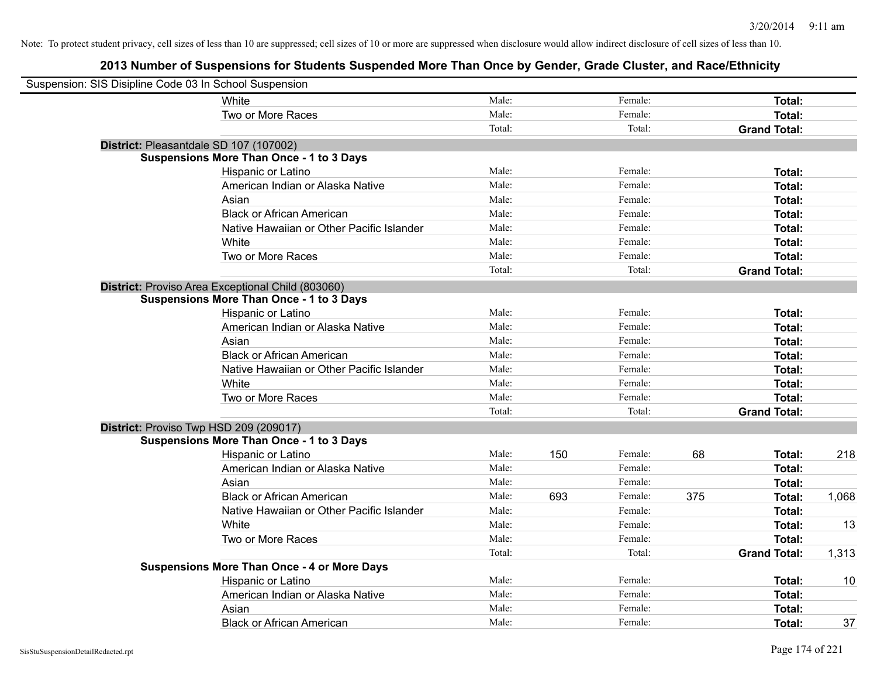| Suspension: SIS Disipline Code 03 In School Suspension |                                                    |        |     |         |     |                     |       |
|--------------------------------------------------------|----------------------------------------------------|--------|-----|---------|-----|---------------------|-------|
|                                                        | White                                              | Male:  |     | Female: |     | Total:              |       |
|                                                        | Two or More Races                                  | Male:  |     | Female: |     | <b>Total:</b>       |       |
|                                                        |                                                    | Total: |     | Total:  |     | <b>Grand Total:</b> |       |
| District: Pleasantdale SD 107 (107002)                 |                                                    |        |     |         |     |                     |       |
|                                                        | <b>Suspensions More Than Once - 1 to 3 Days</b>    |        |     |         |     |                     |       |
|                                                        | Hispanic or Latino                                 | Male:  |     | Female: |     | Total:              |       |
|                                                        | American Indian or Alaska Native                   | Male:  |     | Female: |     | Total:              |       |
|                                                        | Asian                                              | Male:  |     | Female: |     | Total:              |       |
|                                                        | <b>Black or African American</b>                   | Male:  |     | Female: |     | Total:              |       |
|                                                        | Native Hawaiian or Other Pacific Islander          | Male:  |     | Female: |     | Total:              |       |
|                                                        | White                                              | Male:  |     | Female: |     | Total:              |       |
|                                                        | Two or More Races                                  | Male:  |     | Female: |     | Total:              |       |
|                                                        |                                                    | Total: |     | Total:  |     | <b>Grand Total:</b> |       |
|                                                        | District: Proviso Area Exceptional Child (803060)  |        |     |         |     |                     |       |
|                                                        | <b>Suspensions More Than Once - 1 to 3 Days</b>    |        |     |         |     |                     |       |
|                                                        | Hispanic or Latino                                 | Male:  |     | Female: |     | Total:              |       |
|                                                        | American Indian or Alaska Native                   | Male:  |     | Female: |     | Total:              |       |
|                                                        | Asian                                              | Male:  |     | Female: |     | Total:              |       |
|                                                        | <b>Black or African American</b>                   | Male:  |     | Female: |     | Total:              |       |
|                                                        | Native Hawaiian or Other Pacific Islander          | Male:  |     | Female: |     | Total:              |       |
|                                                        | White                                              | Male:  |     | Female: |     | Total:              |       |
|                                                        | Two or More Races                                  | Male:  |     | Female: |     | Total:              |       |
|                                                        |                                                    | Total: |     | Total:  |     | <b>Grand Total:</b> |       |
| District: Proviso Twp HSD 209 (209017)                 |                                                    |        |     |         |     |                     |       |
|                                                        | <b>Suspensions More Than Once - 1 to 3 Days</b>    |        |     |         |     |                     |       |
|                                                        | Hispanic or Latino                                 | Male:  | 150 | Female: | 68  | Total:              | 218   |
|                                                        | American Indian or Alaska Native                   | Male:  |     | Female: |     | Total:              |       |
|                                                        | Asian                                              | Male:  |     | Female: |     | Total:              |       |
|                                                        | <b>Black or African American</b>                   | Male:  | 693 | Female: | 375 | Total:              | 1,068 |
|                                                        | Native Hawaiian or Other Pacific Islander          | Male:  |     | Female: |     | Total:              |       |
|                                                        | White                                              | Male:  |     | Female: |     | Total:              | 13    |
|                                                        | Two or More Races                                  | Male:  |     | Female: |     | Total:              |       |
|                                                        |                                                    | Total: |     | Total:  |     | <b>Grand Total:</b> | 1,313 |
|                                                        | <b>Suspensions More Than Once - 4 or More Days</b> |        |     |         |     |                     |       |
|                                                        | Hispanic or Latino                                 | Male:  |     | Female: |     | Total:              | 10    |
|                                                        | American Indian or Alaska Native                   | Male:  |     | Female: |     | Total:              |       |
|                                                        | Asian                                              | Male:  |     | Female: |     | Total:              |       |
|                                                        | <b>Black or African American</b>                   | Male:  |     | Female: |     | Total:              | 37    |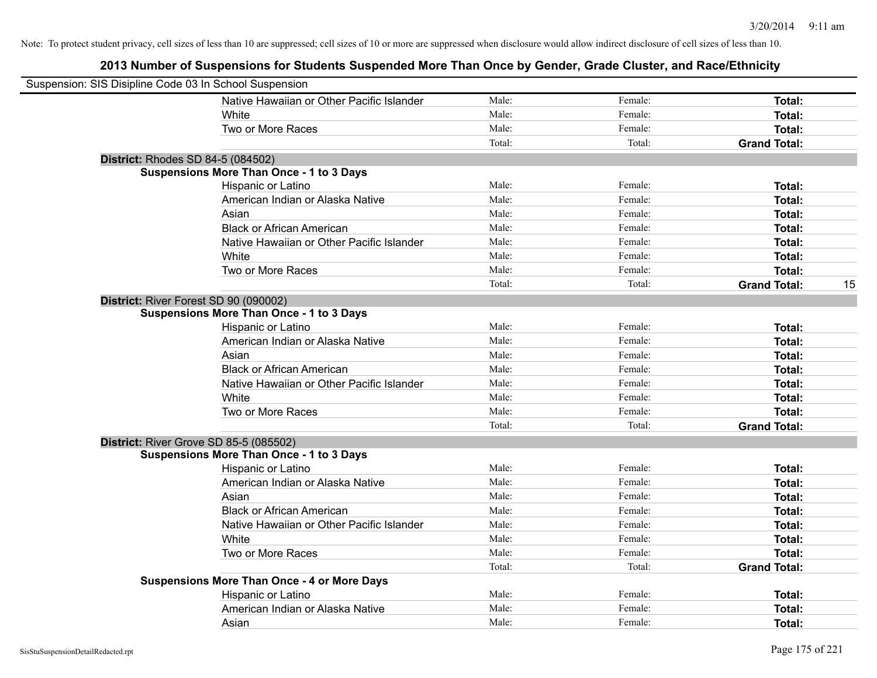| Suspension: SIS Disipline Code 03 In School Suspension |                                                    |        |         |                     |    |
|--------------------------------------------------------|----------------------------------------------------|--------|---------|---------------------|----|
|                                                        | Native Hawaiian or Other Pacific Islander          | Male:  | Female: | Total:              |    |
|                                                        | White                                              | Male:  | Female: | Total:              |    |
|                                                        | Two or More Races                                  | Male:  | Female: | Total:              |    |
|                                                        |                                                    | Total: | Total:  | <b>Grand Total:</b> |    |
| <b>District: Rhodes SD 84-5 (084502)</b>               |                                                    |        |         |                     |    |
|                                                        | <b>Suspensions More Than Once - 1 to 3 Days</b>    |        |         |                     |    |
|                                                        | Hispanic or Latino                                 | Male:  | Female: | Total:              |    |
|                                                        | American Indian or Alaska Native                   | Male:  | Female: | Total:              |    |
|                                                        | Asian                                              | Male:  | Female: | Total:              |    |
|                                                        | <b>Black or African American</b>                   | Male:  | Female: | Total:              |    |
|                                                        | Native Hawaiian or Other Pacific Islander          | Male:  | Female: | Total:              |    |
|                                                        | White                                              | Male:  | Female: | Total:              |    |
|                                                        | Two or More Races                                  | Male:  | Female: | Total:              |    |
|                                                        |                                                    | Total: | Total:  | <b>Grand Total:</b> | 15 |
| District: River Forest SD 90 (090002)                  |                                                    |        |         |                     |    |
|                                                        | <b>Suspensions More Than Once - 1 to 3 Days</b>    |        |         |                     |    |
|                                                        | Hispanic or Latino                                 | Male:  | Female: | Total:              |    |
|                                                        | American Indian or Alaska Native                   | Male:  | Female: | Total:              |    |
|                                                        | Asian                                              | Male:  | Female: | Total:              |    |
|                                                        | <b>Black or African American</b>                   | Male:  | Female: | Total:              |    |
|                                                        | Native Hawaiian or Other Pacific Islander          | Male:  | Female: | Total:              |    |
|                                                        | White                                              | Male:  | Female: | Total:              |    |
|                                                        | Two or More Races                                  | Male:  | Female: | Total:              |    |
|                                                        |                                                    | Total: | Total:  | <b>Grand Total:</b> |    |
| District: River Grove SD 85-5 (085502)                 |                                                    |        |         |                     |    |
|                                                        | <b>Suspensions More Than Once - 1 to 3 Days</b>    |        |         |                     |    |
|                                                        | Hispanic or Latino                                 | Male:  | Female: | Total:              |    |
|                                                        | American Indian or Alaska Native                   | Male:  | Female: | Total:              |    |
|                                                        | Asian                                              | Male:  | Female: | Total:              |    |
|                                                        | <b>Black or African American</b>                   | Male:  | Female: | Total:              |    |
|                                                        | Native Hawaiian or Other Pacific Islander          | Male:  | Female: | Total:              |    |
|                                                        | White                                              | Male:  | Female: | Total:              |    |
|                                                        | Two or More Races                                  | Male:  | Female: | Total:              |    |
|                                                        |                                                    | Total: | Total:  | <b>Grand Total:</b> |    |
|                                                        | <b>Suspensions More Than Once - 4 or More Days</b> |        |         |                     |    |
|                                                        | Hispanic or Latino                                 | Male:  | Female: | Total:              |    |
|                                                        | American Indian or Alaska Native                   | Male:  | Female: | Total:              |    |
|                                                        | Asian                                              | Male:  | Female: | Total:              |    |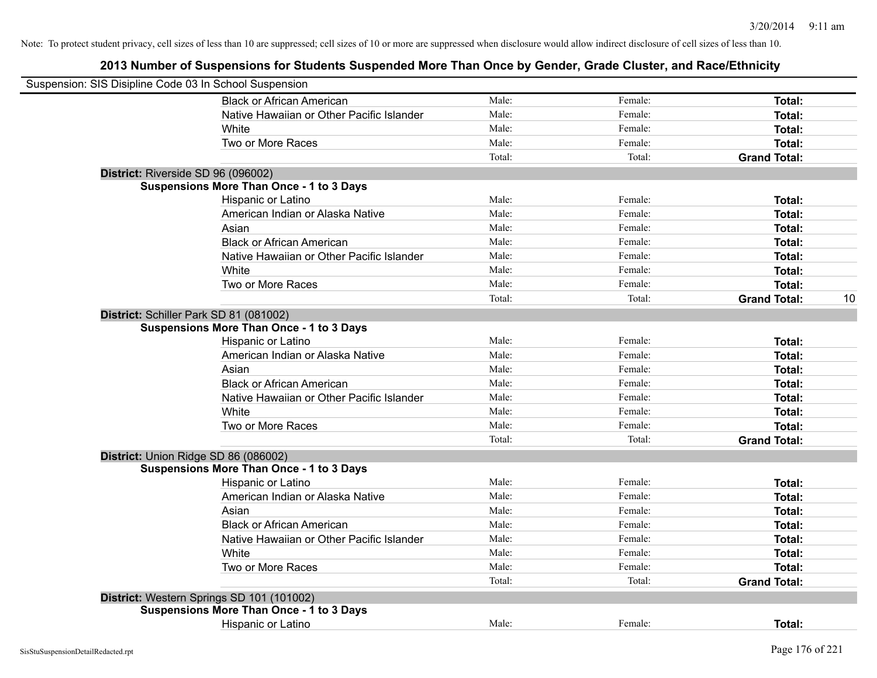| Suspension: SIS Disipline Code 03 In School Suspension |                                                 |        |         |                     |    |
|--------------------------------------------------------|-------------------------------------------------|--------|---------|---------------------|----|
|                                                        | <b>Black or African American</b>                | Male:  | Female: | Total:              |    |
|                                                        | Native Hawaiian or Other Pacific Islander       | Male:  | Female: | Total:              |    |
|                                                        | White                                           | Male:  | Female: | Total:              |    |
|                                                        | Two or More Races                               | Male:  | Female: | Total:              |    |
|                                                        |                                                 | Total: | Total:  | <b>Grand Total:</b> |    |
| District: Riverside SD 96 (096002)                     |                                                 |        |         |                     |    |
|                                                        | <b>Suspensions More Than Once - 1 to 3 Days</b> |        |         |                     |    |
|                                                        | Hispanic or Latino                              | Male:  | Female: | Total:              |    |
|                                                        | American Indian or Alaska Native                | Male:  | Female: | Total:              |    |
|                                                        | Asian                                           | Male:  | Female: | Total:              |    |
|                                                        | <b>Black or African American</b>                | Male:  | Female: | Total:              |    |
|                                                        | Native Hawaiian or Other Pacific Islander       | Male:  | Female: | Total:              |    |
|                                                        | White                                           | Male:  | Female: | Total:              |    |
|                                                        | Two or More Races                               | Male:  | Female: | Total:              |    |
|                                                        |                                                 | Total: | Total:  | <b>Grand Total:</b> | 10 |
|                                                        | District: Schiller Park SD 81 (081002)          |        |         |                     |    |
|                                                        | <b>Suspensions More Than Once - 1 to 3 Days</b> |        |         |                     |    |
|                                                        | Hispanic or Latino                              | Male:  | Female: | Total:              |    |
|                                                        | American Indian or Alaska Native                | Male:  | Female: | Total:              |    |
|                                                        | Asian                                           | Male:  | Female: | Total:              |    |
|                                                        | <b>Black or African American</b>                | Male:  | Female: | Total:              |    |
|                                                        | Native Hawaiian or Other Pacific Islander       | Male:  | Female: | Total:              |    |
|                                                        | White                                           | Male:  | Female: | Total:              |    |
|                                                        | Two or More Races                               | Male:  | Female: | Total:              |    |
|                                                        |                                                 | Total: | Total:  | <b>Grand Total:</b> |    |
|                                                        | District: Union Ridge SD 86 (086002)            |        |         |                     |    |
|                                                        | <b>Suspensions More Than Once - 1 to 3 Days</b> |        |         |                     |    |
|                                                        | Hispanic or Latino                              | Male:  | Female: | Total:              |    |
|                                                        | American Indian or Alaska Native                | Male:  | Female: | Total:              |    |
|                                                        | Asian                                           | Male:  | Female: | Total:              |    |
|                                                        | <b>Black or African American</b>                | Male:  | Female: | Total:              |    |
|                                                        | Native Hawaiian or Other Pacific Islander       | Male:  | Female: | Total:              |    |
|                                                        | White                                           | Male:  | Female: | Total:              |    |
|                                                        | Two or More Races                               | Male:  | Female: | Total:              |    |
|                                                        |                                                 | Total: | Total:  | <b>Grand Total:</b> |    |
|                                                        | District: Western Springs SD 101 (101002)       |        |         |                     |    |
|                                                        | <b>Suspensions More Than Once - 1 to 3 Days</b> |        |         |                     |    |
|                                                        | <b>Hispanic or Latino</b>                       | Male:  | Female: | Total:              |    |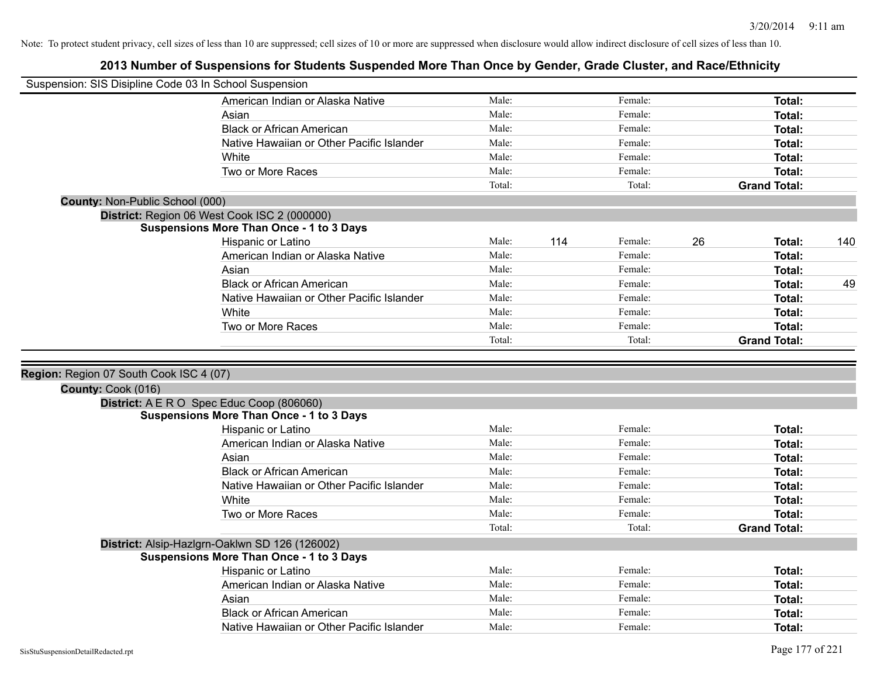| Suspension: SIS Disipline Code 03 In School Suspension |                                                 |                |     |         |    |                                |     |
|--------------------------------------------------------|-------------------------------------------------|----------------|-----|---------|----|--------------------------------|-----|
|                                                        | American Indian or Alaska Native                | Male:          |     | Female: |    | Total:                         |     |
|                                                        | Asian                                           | Male:          |     | Female: |    | Total:                         |     |
|                                                        | <b>Black or African American</b>                | Male:          |     | Female: |    | Total:                         |     |
|                                                        | Native Hawaiian or Other Pacific Islander       | Male:          |     | Female: |    | <b>Total:</b>                  |     |
|                                                        | White                                           | Male:          |     | Female: |    | Total:                         |     |
|                                                        | Two or More Races                               | Male:          |     | Female: |    | Total:                         |     |
|                                                        |                                                 | Total:         |     | Total:  |    | <b>Grand Total:</b>            |     |
| <b>County: Non-Public School (000)</b>                 |                                                 |                |     |         |    |                                |     |
|                                                        | District: Region 06 West Cook ISC 2 (000000)    |                |     |         |    |                                |     |
|                                                        | <b>Suspensions More Than Once - 1 to 3 Days</b> |                |     |         |    |                                |     |
|                                                        | Hispanic or Latino                              | Male:          | 114 | Female: | 26 | Total:                         | 140 |
|                                                        | American Indian or Alaska Native                | Male:          |     | Female: |    | Total:                         |     |
|                                                        | Asian                                           | Male:          |     | Female: |    | <b>Total:</b>                  |     |
|                                                        | <b>Black or African American</b>                | Male:          |     | Female: |    | Total:                         | 49  |
|                                                        | Native Hawaiian or Other Pacific Islander       | Male:          |     | Female: |    | <b>Total:</b>                  |     |
|                                                        | White                                           | Male:          |     | Female: |    | <b>Total:</b>                  |     |
|                                                        | Two or More Races                               | Male:          |     | Female: |    | <b>Total:</b>                  |     |
|                                                        |                                                 |                |     |         |    |                                |     |
|                                                        |                                                 | Total:         |     | Total:  |    | <b>Grand Total:</b>            |     |
|                                                        |                                                 |                |     |         |    |                                |     |
| Region: Region 07 South Cook ISC 4 (07)                |                                                 |                |     |         |    |                                |     |
| County: Cook (016)                                     |                                                 |                |     |         |    |                                |     |
|                                                        | District: A E R O Spec Educ Coop (806060)       |                |     |         |    |                                |     |
|                                                        | <b>Suspensions More Than Once - 1 to 3 Days</b> |                |     |         |    |                                |     |
|                                                        | Hispanic or Latino                              | Male:          |     | Female: |    | Total:                         |     |
|                                                        | American Indian or Alaska Native                | Male:          |     | Female: |    | Total:                         |     |
|                                                        | Asian                                           | Male:          |     | Female: |    | Total:                         |     |
|                                                        | <b>Black or African American</b>                | Male:          |     | Female: |    | Total:                         |     |
|                                                        | Native Hawaiian or Other Pacific Islander       | Male:          |     | Female: |    | <b>Total:</b>                  |     |
|                                                        | White                                           | Male:          |     | Female: |    | <b>Total:</b>                  |     |
|                                                        | Two or More Races                               | Male:          |     | Female: |    | <b>Total:</b>                  |     |
|                                                        |                                                 | Total:         |     | Total:  |    | <b>Grand Total:</b>            |     |
|                                                        | District: Alsip-Hazlgrn-Oaklwn SD 126 (126002)  |                |     |         |    |                                |     |
|                                                        | <b>Suspensions More Than Once - 1 to 3 Days</b> |                |     | Female: |    |                                |     |
|                                                        | Hispanic or Latino                              | Male:<br>Male: |     | Female: |    | Total:                         |     |
|                                                        | American Indian or Alaska Native<br>Asian       | Male:          |     | Female: |    | Total:                         |     |
|                                                        | <b>Black or African American</b>                | Male:          |     | Female: |    | <b>Total:</b><br><b>Total:</b> |     |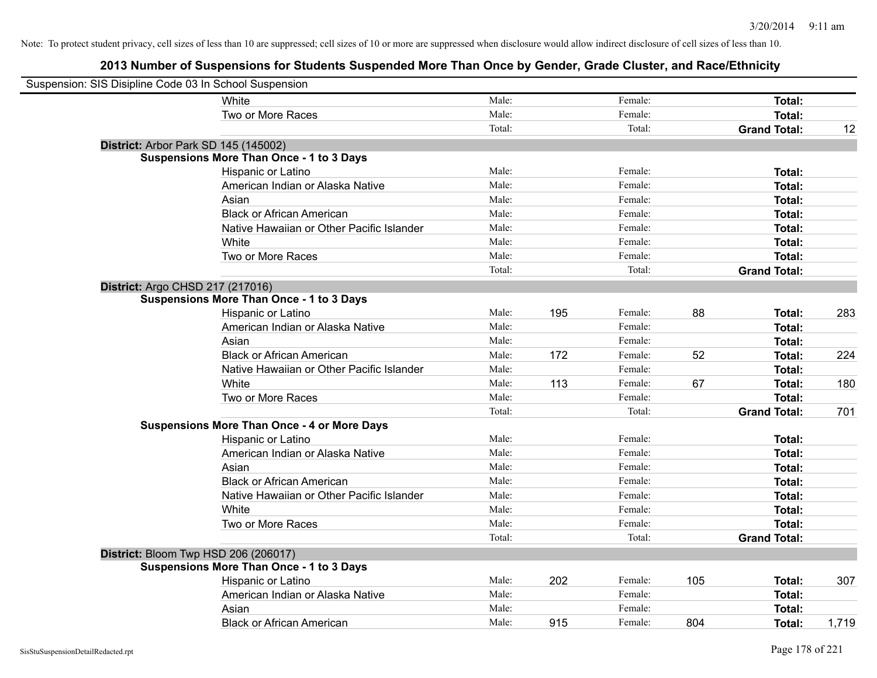| Suspension: SIS Disipline Code 03 In School Suspension |                                                    |        |     |         |     |                     |       |
|--------------------------------------------------------|----------------------------------------------------|--------|-----|---------|-----|---------------------|-------|
|                                                        | <b>White</b>                                       | Male:  |     | Female: |     | Total:              |       |
|                                                        | Two or More Races                                  | Male:  |     | Female: |     | Total:              |       |
|                                                        |                                                    | Total: |     | Total:  |     | <b>Grand Total:</b> | 12    |
|                                                        | District: Arbor Park SD 145 (145002)               |        |     |         |     |                     |       |
|                                                        | <b>Suspensions More Than Once - 1 to 3 Days</b>    |        |     |         |     |                     |       |
|                                                        | Hispanic or Latino                                 | Male:  |     | Female: |     | Total:              |       |
|                                                        | American Indian or Alaska Native                   | Male:  |     | Female: |     | Total:              |       |
|                                                        | Asian                                              | Male:  |     | Female: |     | Total:              |       |
|                                                        | <b>Black or African American</b>                   | Male:  |     | Female: |     | Total:              |       |
|                                                        | Native Hawaiian or Other Pacific Islander          | Male:  |     | Female: |     | Total:              |       |
|                                                        | White                                              | Male:  |     | Female: |     | Total:              |       |
|                                                        | Two or More Races                                  | Male:  |     | Female: |     | Total:              |       |
|                                                        |                                                    | Total: |     | Total:  |     | <b>Grand Total:</b> |       |
|                                                        | District: Argo CHSD 217 (217016)                   |        |     |         |     |                     |       |
|                                                        | <b>Suspensions More Than Once - 1 to 3 Days</b>    |        |     |         |     |                     |       |
|                                                        | Hispanic or Latino                                 | Male:  | 195 | Female: | 88  | Total:              | 283   |
|                                                        | American Indian or Alaska Native                   | Male:  |     | Female: |     | Total:              |       |
|                                                        | Asian                                              | Male:  |     | Female: |     | Total:              |       |
|                                                        | <b>Black or African American</b>                   | Male:  | 172 | Female: | 52  | Total:              | 224   |
|                                                        | Native Hawaiian or Other Pacific Islander          | Male:  |     | Female: |     | Total:              |       |
|                                                        | White                                              | Male:  | 113 | Female: | 67  | Total:              | 180   |
|                                                        | Two or More Races                                  | Male:  |     | Female: |     | Total:              |       |
|                                                        |                                                    | Total: |     | Total:  |     | <b>Grand Total:</b> | 701   |
|                                                        | <b>Suspensions More Than Once - 4 or More Days</b> |        |     |         |     |                     |       |
|                                                        | Hispanic or Latino                                 | Male:  |     | Female: |     | Total:              |       |
|                                                        | American Indian or Alaska Native                   | Male:  |     | Female: |     | Total:              |       |
|                                                        | Asian                                              | Male:  |     | Female: |     | Total:              |       |
|                                                        | <b>Black or African American</b>                   | Male:  |     | Female: |     | Total:              |       |
|                                                        | Native Hawaiian or Other Pacific Islander          | Male:  |     | Female: |     | Total:              |       |
|                                                        | White                                              | Male:  |     | Female: |     | Total:              |       |
|                                                        | Two or More Races                                  | Male:  |     | Female: |     | Total:              |       |
|                                                        |                                                    | Total: |     | Total:  |     | <b>Grand Total:</b> |       |
|                                                        | District: Bloom Twp HSD 206 (206017)               |        |     |         |     |                     |       |
|                                                        | <b>Suspensions More Than Once - 1 to 3 Days</b>    |        |     |         |     |                     |       |
|                                                        | Hispanic or Latino                                 | Male:  | 202 | Female: | 105 | Total:              | 307   |
|                                                        | American Indian or Alaska Native                   | Male:  |     | Female: |     | Total:              |       |
|                                                        | Asian                                              | Male:  |     | Female: |     | Total:              |       |
|                                                        | <b>Black or African American</b>                   | Male:  | 915 | Female: | 804 | Total:              | 1,719 |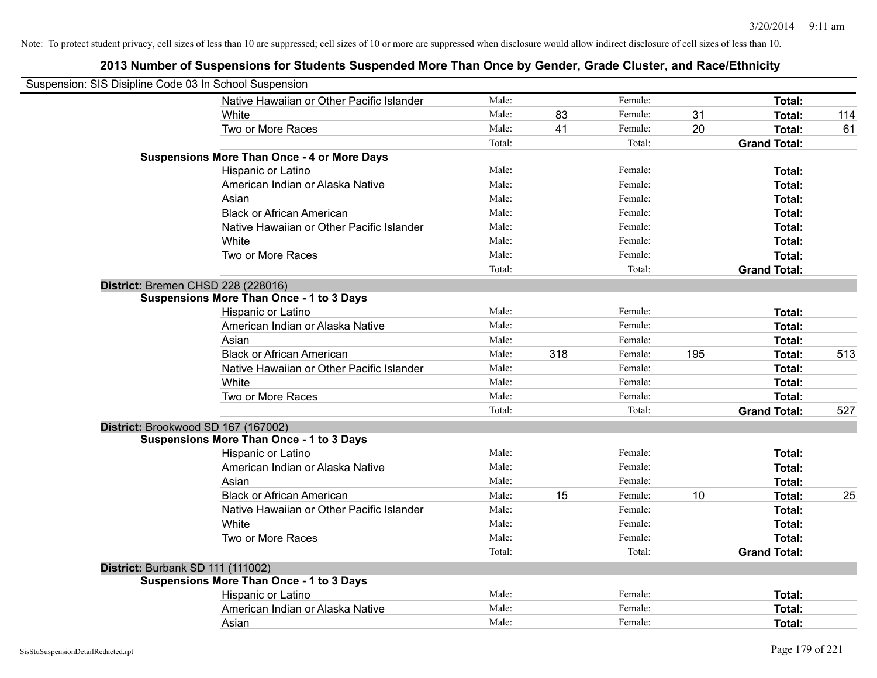| Suspension: SIS Disipline Code 03 In School Suspension |                                                    |        |     |         |     |                     |     |
|--------------------------------------------------------|----------------------------------------------------|--------|-----|---------|-----|---------------------|-----|
|                                                        | Native Hawaiian or Other Pacific Islander          | Male:  |     | Female: |     | Total:              |     |
|                                                        | White                                              | Male:  | 83  | Female: | 31  | Total:              | 114 |
|                                                        | Two or More Races                                  | Male:  | 41  | Female: | 20  | Total:              | 61  |
|                                                        |                                                    | Total: |     | Total:  |     | <b>Grand Total:</b> |     |
|                                                        | <b>Suspensions More Than Once - 4 or More Days</b> |        |     |         |     |                     |     |
|                                                        | Hispanic or Latino                                 | Male:  |     | Female: |     | Total:              |     |
|                                                        | American Indian or Alaska Native                   | Male:  |     | Female: |     | Total:              |     |
|                                                        | Asian                                              | Male:  |     | Female: |     | Total:              |     |
|                                                        | <b>Black or African American</b>                   | Male:  |     | Female: |     | Total:              |     |
|                                                        | Native Hawaiian or Other Pacific Islander          | Male:  |     | Female: |     | Total:              |     |
|                                                        | White                                              | Male:  |     | Female: |     | Total:              |     |
|                                                        | Two or More Races                                  | Male:  |     | Female: |     | Total:              |     |
|                                                        |                                                    | Total: |     | Total:  |     | <b>Grand Total:</b> |     |
|                                                        | District: Bremen CHSD 228 (228016)                 |        |     |         |     |                     |     |
|                                                        | <b>Suspensions More Than Once - 1 to 3 Days</b>    |        |     |         |     |                     |     |
|                                                        | Hispanic or Latino                                 | Male:  |     | Female: |     | Total:              |     |
|                                                        | American Indian or Alaska Native                   | Male:  |     | Female: |     | Total:              |     |
|                                                        | Asian                                              | Male:  |     | Female: |     | Total:              |     |
|                                                        | <b>Black or African American</b>                   | Male:  | 318 | Female: | 195 | Total:              | 513 |
|                                                        | Native Hawaiian or Other Pacific Islander          | Male:  |     | Female: |     | Total:              |     |
|                                                        | White                                              | Male:  |     | Female: |     | Total:              |     |
|                                                        | Two or More Races                                  | Male:  |     | Female: |     | Total:              |     |
|                                                        |                                                    | Total: |     | Total:  |     | <b>Grand Total:</b> | 527 |
|                                                        | District: Brookwood SD 167 (167002)                |        |     |         |     |                     |     |
|                                                        | <b>Suspensions More Than Once - 1 to 3 Days</b>    |        |     |         |     |                     |     |
|                                                        | Hispanic or Latino                                 | Male:  |     | Female: |     | Total:              |     |
|                                                        | American Indian or Alaska Native                   | Male:  |     | Female: |     | Total:              |     |
|                                                        | Asian                                              | Male:  |     | Female: |     | Total:              |     |
|                                                        | <b>Black or African American</b>                   | Male:  | 15  | Female: | 10  | Total:              | 25  |
|                                                        | Native Hawaiian or Other Pacific Islander          | Male:  |     | Female: |     | Total:              |     |
|                                                        | White                                              | Male:  |     | Female: |     | Total:              |     |
|                                                        | Two or More Races                                  | Male:  |     | Female: |     | Total:              |     |
|                                                        |                                                    | Total: |     | Total:  |     | <b>Grand Total:</b> |     |
| District: Burbank SD 111 (111002)                      |                                                    |        |     |         |     |                     |     |
|                                                        | <b>Suspensions More Than Once - 1 to 3 Days</b>    |        |     |         |     |                     |     |
|                                                        | Hispanic or Latino                                 | Male:  |     | Female: |     | Total:              |     |
|                                                        | American Indian or Alaska Native                   | Male:  |     | Female: |     | Total:              |     |
|                                                        | Asian                                              | Male:  |     | Female: |     | Total:              |     |
|                                                        |                                                    |        |     |         |     |                     |     |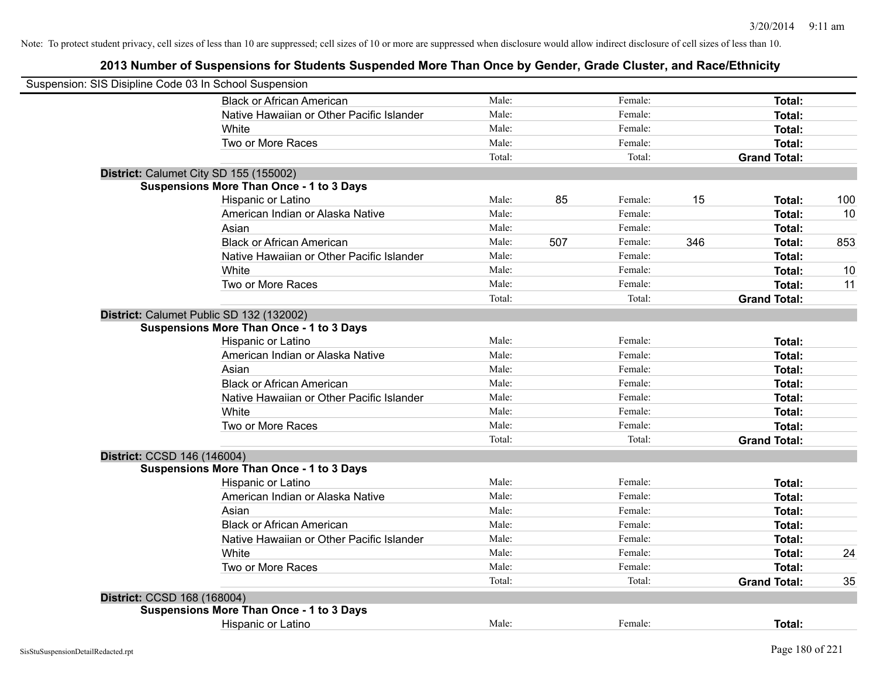| Suspension: SIS Disipline Code 03 In School Suspension |                                                 |        |     |         |     |                     |     |
|--------------------------------------------------------|-------------------------------------------------|--------|-----|---------|-----|---------------------|-----|
|                                                        | <b>Black or African American</b>                | Male:  |     | Female: |     | Total:              |     |
|                                                        | Native Hawaiian or Other Pacific Islander       | Male:  |     | Female: |     | Total:              |     |
|                                                        | White                                           | Male:  |     | Female: |     | Total:              |     |
|                                                        | Two or More Races                               | Male:  |     | Female: |     | <b>Total:</b>       |     |
|                                                        |                                                 | Total: |     | Total:  |     | <b>Grand Total:</b> |     |
| District: Calumet City SD 155 (155002)                 |                                                 |        |     |         |     |                     |     |
|                                                        | <b>Suspensions More Than Once - 1 to 3 Days</b> |        |     |         |     |                     |     |
|                                                        | Hispanic or Latino                              | Male:  | 85  | Female: | 15  | Total:              | 100 |
|                                                        | American Indian or Alaska Native                | Male:  |     | Female: |     | Total:              | 10  |
|                                                        | Asian                                           | Male:  |     | Female: |     | Total:              |     |
|                                                        | <b>Black or African American</b>                | Male:  | 507 | Female: | 346 | Total:              | 853 |
|                                                        | Native Hawaiian or Other Pacific Islander       | Male:  |     | Female: |     | Total:              |     |
|                                                        | White                                           | Male:  |     | Female: |     | Total:              | 10  |
|                                                        | Two or More Races                               | Male:  |     | Female: |     | Total:              | 11  |
|                                                        |                                                 | Total: |     | Total:  |     | <b>Grand Total:</b> |     |
| District: Calumet Public SD 132 (132002)               |                                                 |        |     |         |     |                     |     |
|                                                        | <b>Suspensions More Than Once - 1 to 3 Days</b> |        |     |         |     |                     |     |
|                                                        | Hispanic or Latino                              | Male:  |     | Female: |     | Total:              |     |
|                                                        | American Indian or Alaska Native                | Male:  |     | Female: |     | Total:              |     |
|                                                        | Asian                                           | Male:  |     | Female: |     | Total:              |     |
|                                                        | <b>Black or African American</b>                | Male:  |     | Female: |     | Total:              |     |
|                                                        | Native Hawaiian or Other Pacific Islander       | Male:  |     | Female: |     | Total:              |     |
|                                                        | White                                           | Male:  |     | Female: |     | Total:              |     |
|                                                        | Two or More Races                               | Male:  |     | Female: |     | Total:              |     |
|                                                        |                                                 | Total: |     | Total:  |     | <b>Grand Total:</b> |     |
| District: CCSD 146 (146004)                            |                                                 |        |     |         |     |                     |     |
|                                                        | <b>Suspensions More Than Once - 1 to 3 Days</b> |        |     |         |     |                     |     |
|                                                        | Hispanic or Latino                              | Male:  |     | Female: |     | Total:              |     |
|                                                        | American Indian or Alaska Native                | Male:  |     | Female: |     | Total:              |     |
|                                                        | Asian                                           | Male:  |     | Female: |     | Total:              |     |
|                                                        | <b>Black or African American</b>                | Male:  |     | Female: |     | Total:              |     |
|                                                        | Native Hawaiian or Other Pacific Islander       | Male:  |     | Female: |     | Total:              |     |
|                                                        | White                                           | Male:  |     | Female: |     | Total:              | 24  |
|                                                        | Two or More Races                               | Male:  |     | Female: |     | <b>Total:</b>       |     |
|                                                        |                                                 | Total: |     | Total:  |     | <b>Grand Total:</b> | 35  |
| District: CCSD 168 (168004)                            |                                                 |        |     |         |     |                     |     |
|                                                        | <b>Suspensions More Than Once - 1 to 3 Days</b> |        |     |         |     |                     |     |
|                                                        | Hispanic or Latino                              | Male:  |     | Female: |     | Total:              |     |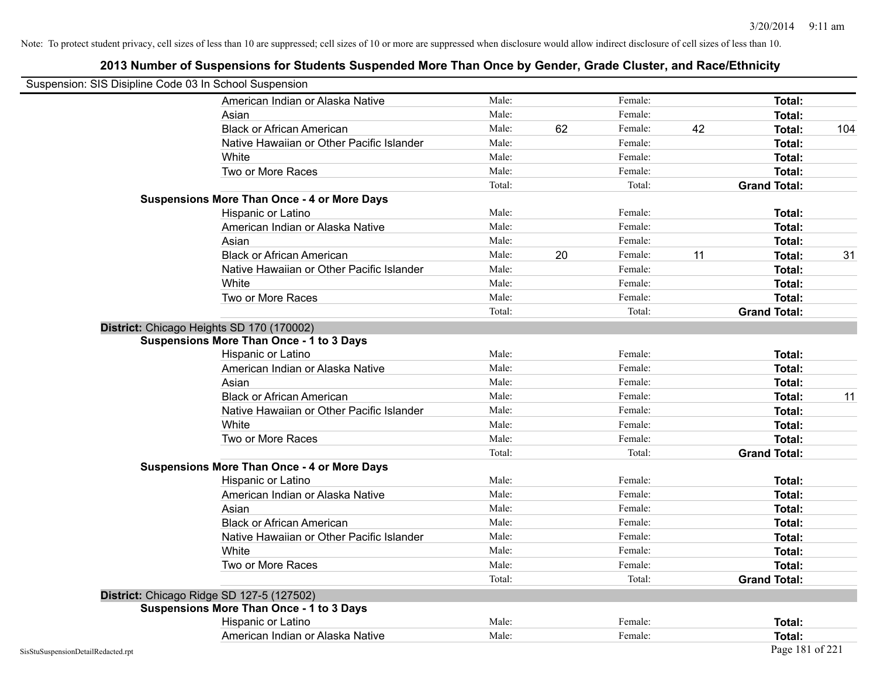| Suspension: SIS Disipline Code 03 In School Suspension |                                                    |        |    |         |    |                     |     |
|--------------------------------------------------------|----------------------------------------------------|--------|----|---------|----|---------------------|-----|
|                                                        | American Indian or Alaska Native                   | Male:  |    | Female: |    | <b>Total:</b>       |     |
|                                                        | Asian                                              | Male:  |    | Female: |    | Total:              |     |
|                                                        | <b>Black or African American</b>                   | Male:  | 62 | Female: | 42 | Total:              | 104 |
|                                                        | Native Hawaiian or Other Pacific Islander          | Male:  |    | Female: |    | Total:              |     |
|                                                        | White                                              | Male:  |    | Female: |    | Total:              |     |
|                                                        | Two or More Races                                  | Male:  |    | Female: |    | Total:              |     |
|                                                        |                                                    | Total: |    | Total:  |    | <b>Grand Total:</b> |     |
|                                                        | <b>Suspensions More Than Once - 4 or More Days</b> |        |    |         |    |                     |     |
|                                                        | Hispanic or Latino                                 | Male:  |    | Female: |    | Total:              |     |
|                                                        | American Indian or Alaska Native                   | Male:  |    | Female: |    | Total:              |     |
|                                                        | Asian                                              | Male:  |    | Female: |    | Total:              |     |
|                                                        | <b>Black or African American</b>                   | Male:  | 20 | Female: | 11 | Total:              | 31  |
|                                                        | Native Hawaiian or Other Pacific Islander          | Male:  |    | Female: |    | Total:              |     |
|                                                        | White                                              | Male:  |    | Female: |    | Total:              |     |
|                                                        | Two or More Races                                  | Male:  |    | Female: |    | Total:              |     |
|                                                        |                                                    | Total: |    | Total:  |    | <b>Grand Total:</b> |     |
|                                                        | District: Chicago Heights SD 170 (170002)          |        |    |         |    |                     |     |
|                                                        | <b>Suspensions More Than Once - 1 to 3 Days</b>    |        |    |         |    |                     |     |
|                                                        | Hispanic or Latino                                 | Male:  |    | Female: |    | <b>Total:</b>       |     |
|                                                        | American Indian or Alaska Native                   | Male:  |    | Female: |    | Total:              |     |
|                                                        | Asian                                              | Male:  |    | Female: |    | Total:              |     |
|                                                        | <b>Black or African American</b>                   | Male:  |    | Female: |    | Total:              | 11  |
|                                                        | Native Hawaiian or Other Pacific Islander          | Male:  |    | Female: |    | Total:              |     |
|                                                        | White                                              | Male:  |    | Female: |    | Total:              |     |
|                                                        | Two or More Races                                  | Male:  |    | Female: |    | Total:              |     |
|                                                        |                                                    | Total: |    | Total:  |    | <b>Grand Total:</b> |     |
|                                                        | <b>Suspensions More Than Once - 4 or More Days</b> |        |    |         |    |                     |     |
|                                                        | Hispanic or Latino                                 | Male:  |    | Female: |    | Total:              |     |
|                                                        | American Indian or Alaska Native                   | Male:  |    | Female: |    | Total:              |     |
|                                                        | Asian                                              | Male:  |    | Female: |    | Total:              |     |
|                                                        | <b>Black or African American</b>                   | Male:  |    | Female: |    | Total:              |     |
|                                                        | Native Hawaiian or Other Pacific Islander          | Male:  |    | Female: |    | Total:              |     |
|                                                        | White                                              | Male:  |    | Female: |    | Total:              |     |
|                                                        | Two or More Races                                  | Male:  |    | Female: |    | Total:              |     |
|                                                        |                                                    | Total: |    | Total:  |    | <b>Grand Total:</b> |     |
|                                                        | District: Chicago Ridge SD 127-5 (127502)          |        |    |         |    |                     |     |
|                                                        | <b>Suspensions More Than Once - 1 to 3 Days</b>    |        |    |         |    |                     |     |
|                                                        | Hispanic or Latino                                 | Male:  |    | Female: |    | Total:              |     |
|                                                        | American Indian or Alaska Native                   | Male:  |    | Female: |    | Total:              |     |
| SisStuSuspensionDetailRedacted.rpt                     |                                                    |        |    |         |    | Page 181 of 221     |     |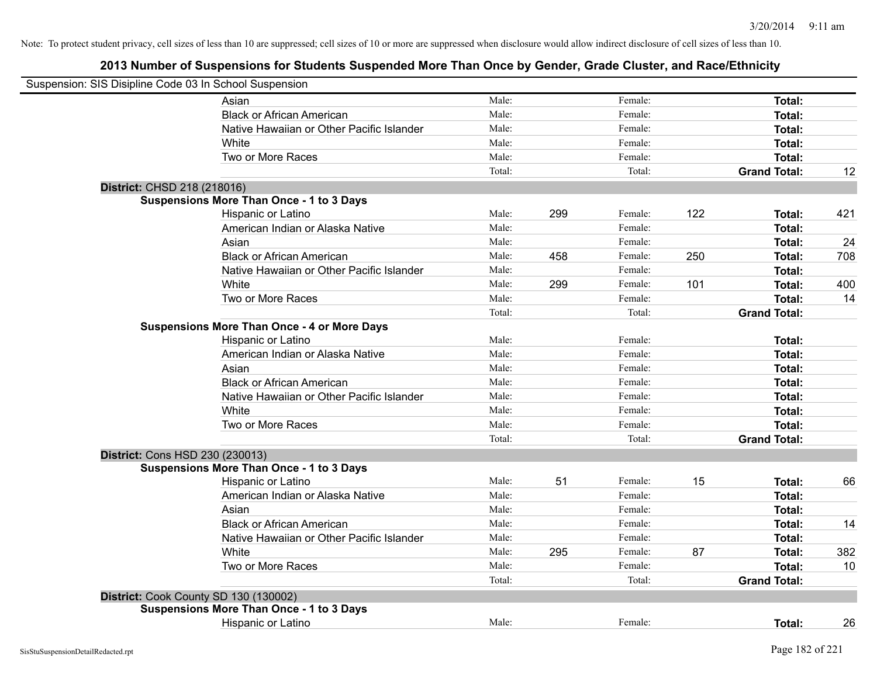| Suspension: SIS Disipline Code 03 In School Suspension |                                                    |        |     |         |     |                     |     |
|--------------------------------------------------------|----------------------------------------------------|--------|-----|---------|-----|---------------------|-----|
|                                                        | Asian                                              | Male:  |     | Female: |     | Total:              |     |
|                                                        | <b>Black or African American</b>                   | Male:  |     | Female: |     | Total:              |     |
|                                                        | Native Hawaiian or Other Pacific Islander          | Male:  |     | Female: |     | Total:              |     |
|                                                        | White                                              | Male:  |     | Female: |     | Total:              |     |
|                                                        | Two or More Races                                  | Male:  |     | Female: |     | Total:              |     |
|                                                        |                                                    | Total: |     | Total:  |     | <b>Grand Total:</b> | 12  |
| District: CHSD 218 (218016)                            |                                                    |        |     |         |     |                     |     |
|                                                        | <b>Suspensions More Than Once - 1 to 3 Days</b>    |        |     |         |     |                     |     |
|                                                        | Hispanic or Latino                                 | Male:  | 299 | Female: | 122 | Total:              | 421 |
|                                                        | American Indian or Alaska Native                   | Male:  |     | Female: |     | Total:              |     |
|                                                        | Asian                                              | Male:  |     | Female: |     | Total:              | 24  |
|                                                        | <b>Black or African American</b>                   | Male:  | 458 | Female: | 250 | Total:              | 708 |
|                                                        | Native Hawaiian or Other Pacific Islander          | Male:  |     | Female: |     | Total:              |     |
|                                                        | White                                              | Male:  | 299 | Female: | 101 | Total:              | 400 |
|                                                        | Two or More Races                                  | Male:  |     | Female: |     | Total:              | 14  |
|                                                        |                                                    | Total: |     | Total:  |     | <b>Grand Total:</b> |     |
|                                                        | <b>Suspensions More Than Once - 4 or More Days</b> |        |     |         |     |                     |     |
|                                                        | Hispanic or Latino                                 | Male:  |     | Female: |     | Total:              |     |
|                                                        | American Indian or Alaska Native                   | Male:  |     | Female: |     | Total:              |     |
|                                                        | Asian                                              | Male:  |     | Female: |     | Total:              |     |
|                                                        | <b>Black or African American</b>                   | Male:  |     | Female: |     | Total:              |     |
|                                                        | Native Hawaiian or Other Pacific Islander          | Male:  |     | Female: |     | Total:              |     |
|                                                        | White                                              | Male:  |     | Female: |     | Total:              |     |
|                                                        | Two or More Races                                  | Male:  |     | Female: |     | Total:              |     |
|                                                        |                                                    | Total: |     | Total:  |     | <b>Grand Total:</b> |     |
| District: Cons HSD 230 (230013)                        |                                                    |        |     |         |     |                     |     |
|                                                        | <b>Suspensions More Than Once - 1 to 3 Days</b>    |        |     |         |     |                     |     |
|                                                        | Hispanic or Latino                                 | Male:  | 51  | Female: | 15  | Total:              | 66  |
|                                                        | American Indian or Alaska Native                   | Male:  |     | Female: |     | Total:              |     |
|                                                        | Asian                                              | Male:  |     | Female: |     | Total:              |     |
|                                                        | <b>Black or African American</b>                   | Male:  |     | Female: |     | Total:              | 14  |
|                                                        | Native Hawaiian or Other Pacific Islander          | Male:  |     | Female: |     | Total:              |     |
|                                                        | <b>White</b>                                       | Male:  | 295 | Female: | 87  | Total:              | 382 |
|                                                        | Two or More Races                                  | Male:  |     | Female: |     | Total:              | 10  |
|                                                        |                                                    | Total: |     | Total:  |     | <b>Grand Total:</b> |     |
|                                                        | District: Cook County SD 130 (130002)              |        |     |         |     |                     |     |
|                                                        | <b>Suspensions More Than Once - 1 to 3 Days</b>    |        |     |         |     |                     |     |
|                                                        | Hispanic or Latino                                 | Male:  |     | Female: |     | Total:              | 26  |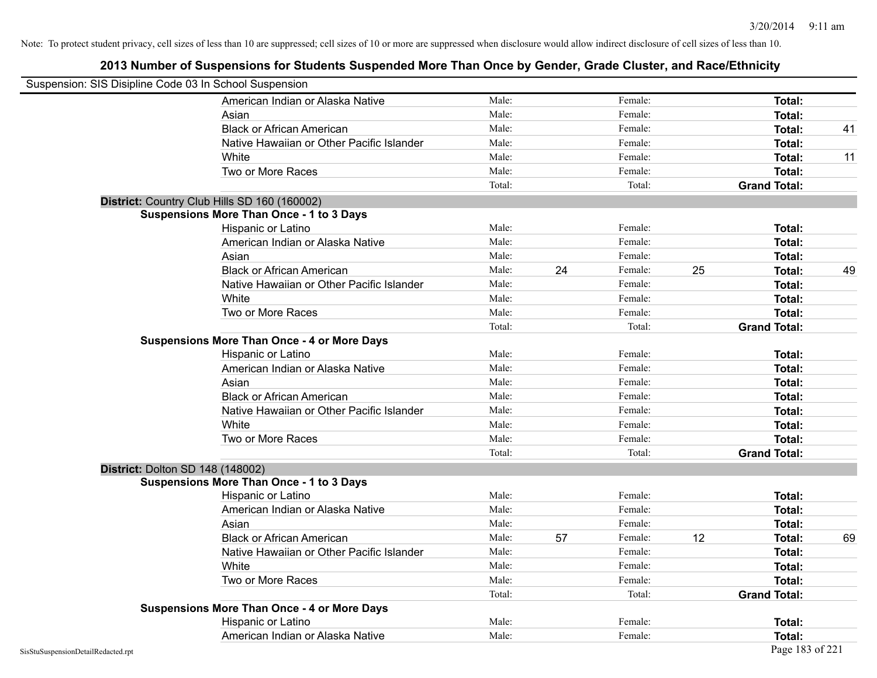|                                    | Suspension: SIS Disipline Code 03 In School Suspension |        |    |         |    |                     |    |
|------------------------------------|--------------------------------------------------------|--------|----|---------|----|---------------------|----|
|                                    | American Indian or Alaska Native                       | Male:  |    | Female: |    | Total:              |    |
|                                    | Asian                                                  | Male:  |    | Female: |    | Total:              |    |
|                                    | <b>Black or African American</b>                       | Male:  |    | Female: |    | <b>Total:</b>       | 41 |
|                                    | Native Hawaiian or Other Pacific Islander              | Male:  |    | Female: |    | Total:              |    |
|                                    | White                                                  | Male:  |    | Female: |    | <b>Total:</b>       | 11 |
|                                    | Two or More Races                                      | Male:  |    | Female: |    | <b>Total:</b>       |    |
|                                    |                                                        | Total: |    | Total:  |    | <b>Grand Total:</b> |    |
|                                    | District: Country Club Hills SD 160 (160002)           |        |    |         |    |                     |    |
|                                    | <b>Suspensions More Than Once - 1 to 3 Days</b>        |        |    |         |    |                     |    |
|                                    | Hispanic or Latino                                     | Male:  |    | Female: |    | Total:              |    |
|                                    | American Indian or Alaska Native                       | Male:  |    | Female: |    | Total:              |    |
|                                    | Asian                                                  | Male:  |    | Female: |    | Total:              |    |
|                                    | <b>Black or African American</b>                       | Male:  | 24 | Female: | 25 | Total:              | 49 |
|                                    | Native Hawaiian or Other Pacific Islander              | Male:  |    | Female: |    | Total:              |    |
|                                    | White                                                  | Male:  |    | Female: |    | Total:              |    |
|                                    | Two or More Races                                      | Male:  |    | Female: |    | Total:              |    |
|                                    |                                                        | Total: |    | Total:  |    | <b>Grand Total:</b> |    |
|                                    | <b>Suspensions More Than Once - 4 or More Days</b>     |        |    |         |    |                     |    |
|                                    | Hispanic or Latino                                     | Male:  |    | Female: |    | Total:              |    |
|                                    | American Indian or Alaska Native                       | Male:  |    | Female: |    | Total:              |    |
|                                    | Asian                                                  | Male:  |    | Female: |    | <b>Total:</b>       |    |
|                                    | <b>Black or African American</b>                       | Male:  |    | Female: |    | Total:              |    |
|                                    | Native Hawaiian or Other Pacific Islander              | Male:  |    | Female: |    | <b>Total:</b>       |    |
|                                    | White                                                  | Male:  |    | Female: |    | Total:              |    |
|                                    | Two or More Races                                      | Male:  |    | Female: |    | Total:              |    |
|                                    |                                                        | Total: |    | Total:  |    | <b>Grand Total:</b> |    |
|                                    | <b>District: Dolton SD 148 (148002)</b>                |        |    |         |    |                     |    |
|                                    | <b>Suspensions More Than Once - 1 to 3 Days</b>        |        |    |         |    |                     |    |
|                                    | Hispanic or Latino                                     | Male:  |    | Female: |    | <b>Total:</b>       |    |
|                                    | American Indian or Alaska Native                       | Male:  |    | Female: |    | Total:              |    |
|                                    | Asian                                                  | Male:  |    | Female: |    | Total:              |    |
|                                    | <b>Black or African American</b>                       | Male:  | 57 | Female: | 12 | <b>Total:</b>       | 69 |
|                                    | Native Hawaiian or Other Pacific Islander              | Male:  |    | Female: |    | Total:              |    |
|                                    | White                                                  | Male:  |    | Female: |    | <b>Total:</b>       |    |
|                                    | Two or More Races                                      | Male:  |    | Female: |    | <b>Total:</b>       |    |
|                                    |                                                        | Total: |    | Total:  |    | <b>Grand Total:</b> |    |
|                                    | <b>Suspensions More Than Once - 4 or More Days</b>     |        |    |         |    |                     |    |
|                                    | Hispanic or Latino                                     | Male:  |    | Female: |    | Total:              |    |
|                                    | American Indian or Alaska Native                       | Male:  |    | Female: |    | Total:              |    |
| SisStuSuspensionDetailRedacted.rpt |                                                        |        |    |         |    | Page 183 of 221     |    |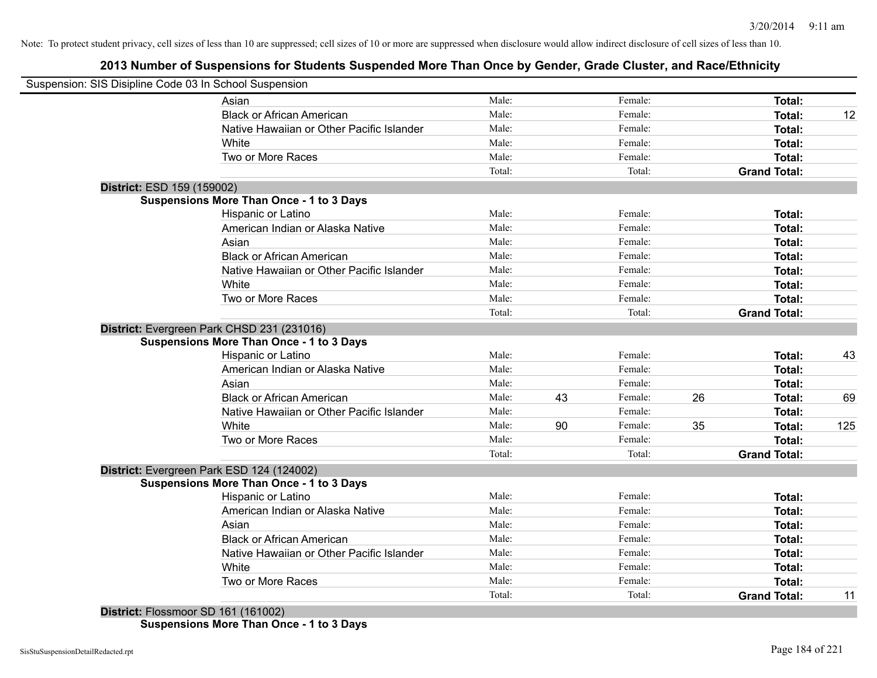# **2013 Number of Suspensions for Students Suspended More Than Once by Gender, Grade Cluster, and Race/Ethnicity**

|                            | Suspension: SIS Disipline Code 03 In School Suspension |        |    |         |    |                     |     |
|----------------------------|--------------------------------------------------------|--------|----|---------|----|---------------------|-----|
|                            | Asian                                                  | Male:  |    | Female: |    | Total:              |     |
|                            | <b>Black or African American</b>                       | Male:  |    | Female: |    | Total:              | 12  |
|                            | Native Hawaiian or Other Pacific Islander              | Male:  |    | Female: |    | Total:              |     |
|                            | White                                                  | Male:  |    | Female: |    | Total:              |     |
|                            | Two or More Races                                      | Male:  |    | Female: |    | Total:              |     |
|                            |                                                        | Total: |    | Total:  |    | <b>Grand Total:</b> |     |
| District: ESD 159 (159002) |                                                        |        |    |         |    |                     |     |
|                            | <b>Suspensions More Than Once - 1 to 3 Days</b>        |        |    |         |    |                     |     |
|                            | <b>Hispanic or Latino</b>                              | Male:  |    | Female: |    | Total:              |     |
|                            | American Indian or Alaska Native                       | Male:  |    | Female: |    | Total:              |     |
|                            | Asian                                                  | Male:  |    | Female: |    | Total:              |     |
|                            | <b>Black or African American</b>                       | Male:  |    | Female: |    | Total:              |     |
|                            | Native Hawaiian or Other Pacific Islander              | Male:  |    | Female: |    | Total:              |     |
|                            | White                                                  | Male:  |    | Female: |    | Total:              |     |
|                            | Two or More Races                                      | Male:  |    | Female: |    | Total:              |     |
|                            |                                                        | Total: |    | Total:  |    | <b>Grand Total:</b> |     |
|                            | District: Evergreen Park CHSD 231 (231016)             |        |    |         |    |                     |     |
|                            | <b>Suspensions More Than Once - 1 to 3 Days</b>        |        |    |         |    |                     |     |
|                            | Hispanic or Latino                                     | Male:  |    | Female: |    | Total:              | 43  |
|                            | American Indian or Alaska Native                       | Male:  |    | Female: |    | Total:              |     |
|                            | Asian                                                  | Male:  |    | Female: |    | Total:              |     |
|                            | <b>Black or African American</b>                       | Male:  | 43 | Female: | 26 | Total:              | 69  |
|                            | Native Hawaiian or Other Pacific Islander              | Male:  |    | Female: |    | Total:              |     |
|                            | White                                                  | Male:  | 90 | Female: | 35 | Total:              | 125 |
|                            | Two or More Races                                      | Male:  |    | Female: |    | Total:              |     |
|                            |                                                        | Total: |    | Total:  |    | <b>Grand Total:</b> |     |
|                            | District: Evergreen Park ESD 124 (124002)              |        |    |         |    |                     |     |
|                            | <b>Suspensions More Than Once - 1 to 3 Days</b>        |        |    |         |    |                     |     |
|                            | Hispanic or Latino                                     | Male:  |    | Female: |    | Total:              |     |
|                            | American Indian or Alaska Native                       | Male:  |    | Female: |    | Total:              |     |
|                            | Asian                                                  | Male:  |    | Female: |    | Total:              |     |
|                            | <b>Black or African American</b>                       | Male:  |    | Female: |    | Total:              |     |
|                            | Native Hawaiian or Other Pacific Islander              | Male:  |    | Female: |    | Total:              |     |
|                            | White                                                  | Male:  |    | Female: |    | Total:              |     |
|                            | Two or More Races                                      | Male:  |    | Female: |    | Total:              |     |
|                            |                                                        | Total: |    | Total:  |    | <b>Grand Total:</b> | 11  |

**Suspensions More Than Once - 1 to 3 Days**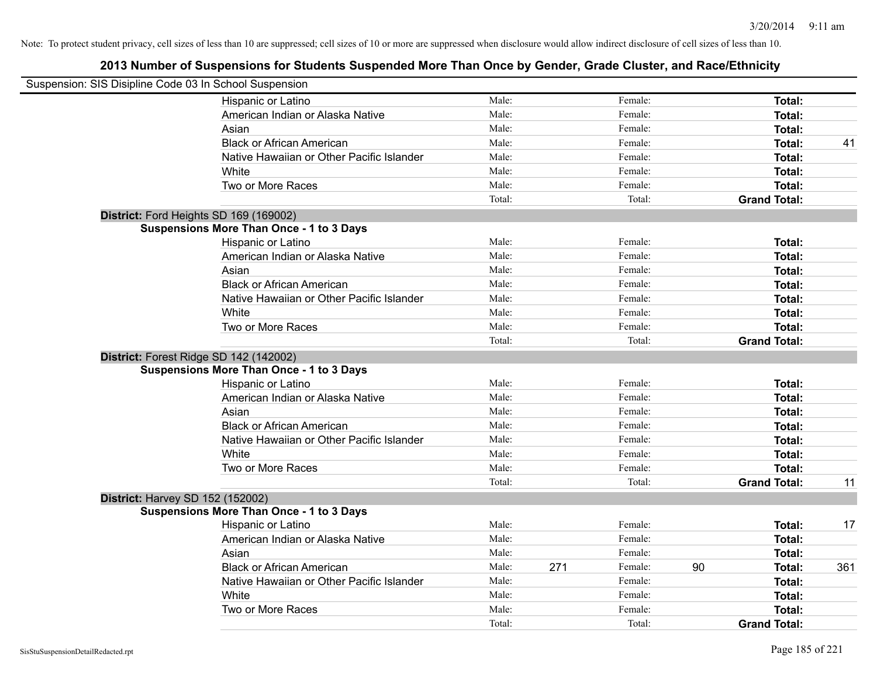| Suspension: SIS Disipline Code 03 In School Suspension |                                                 |        |     |         |    |                     |     |
|--------------------------------------------------------|-------------------------------------------------|--------|-----|---------|----|---------------------|-----|
|                                                        | Hispanic or Latino                              | Male:  |     | Female: |    | Total:              |     |
|                                                        | American Indian or Alaska Native                | Male:  |     | Female: |    | Total:              |     |
|                                                        | Asian                                           | Male:  |     | Female: |    | Total:              |     |
|                                                        | <b>Black or African American</b>                | Male:  |     | Female: |    | <b>Total:</b>       | 41  |
|                                                        | Native Hawaiian or Other Pacific Islander       | Male:  |     | Female: |    | <b>Total:</b>       |     |
|                                                        | White                                           | Male:  |     | Female: |    | <b>Total:</b>       |     |
|                                                        | Two or More Races                               | Male:  |     | Female: |    | Total:              |     |
|                                                        |                                                 | Total: |     | Total:  |    | <b>Grand Total:</b> |     |
| District: Ford Heights SD 169 (169002)                 |                                                 |        |     |         |    |                     |     |
|                                                        | <b>Suspensions More Than Once - 1 to 3 Days</b> |        |     |         |    |                     |     |
|                                                        | Hispanic or Latino                              | Male:  |     | Female: |    | Total:              |     |
|                                                        | American Indian or Alaska Native                | Male:  |     | Female: |    | Total:              |     |
|                                                        | Asian                                           | Male:  |     | Female: |    | Total:              |     |
|                                                        | <b>Black or African American</b>                | Male:  |     | Female: |    | <b>Total:</b>       |     |
|                                                        | Native Hawaiian or Other Pacific Islander       | Male:  |     | Female: |    | Total:              |     |
|                                                        | White                                           | Male:  |     | Female: |    | <b>Total:</b>       |     |
|                                                        | Two or More Races                               | Male:  |     | Female: |    | <b>Total:</b>       |     |
|                                                        |                                                 | Total: |     | Total:  |    | <b>Grand Total:</b> |     |
| District: Forest Ridge SD 142 (142002)                 |                                                 |        |     |         |    |                     |     |
|                                                        | <b>Suspensions More Than Once - 1 to 3 Days</b> |        |     |         |    |                     |     |
|                                                        | Hispanic or Latino                              | Male:  |     | Female: |    | Total:              |     |
|                                                        | American Indian or Alaska Native                | Male:  |     | Female: |    | Total:              |     |
|                                                        | Asian                                           | Male:  |     | Female: |    | <b>Total:</b>       |     |
|                                                        | <b>Black or African American</b>                | Male:  |     | Female: |    | <b>Total:</b>       |     |
|                                                        | Native Hawaiian or Other Pacific Islander       | Male:  |     | Female: |    | <b>Total:</b>       |     |
|                                                        | White                                           | Male:  |     | Female: |    | <b>Total:</b>       |     |
|                                                        | Two or More Races                               | Male:  |     | Female: |    | Total:              |     |
|                                                        |                                                 | Total: |     | Total:  |    | <b>Grand Total:</b> | 11  |
| <b>District: Harvey SD 152 (152002)</b>                |                                                 |        |     |         |    |                     |     |
|                                                        | <b>Suspensions More Than Once - 1 to 3 Days</b> |        |     |         |    |                     |     |
|                                                        | Hispanic or Latino                              | Male:  |     | Female: |    | <b>Total:</b>       | 17  |
|                                                        | American Indian or Alaska Native                | Male:  |     | Female: |    | <b>Total:</b>       |     |
|                                                        | Asian                                           | Male:  |     | Female: |    | Total:              |     |
|                                                        | <b>Black or African American</b>                | Male:  | 271 | Female: | 90 | <b>Total:</b>       | 361 |
|                                                        | Native Hawaiian or Other Pacific Islander       | Male:  |     | Female: |    | <b>Total:</b>       |     |
|                                                        | White                                           | Male:  |     | Female: |    | <b>Total:</b>       |     |
|                                                        | Two or More Races                               | Male:  |     | Female: |    | <b>Total:</b>       |     |
|                                                        |                                                 | Total: |     | Total:  |    | <b>Grand Total:</b> |     |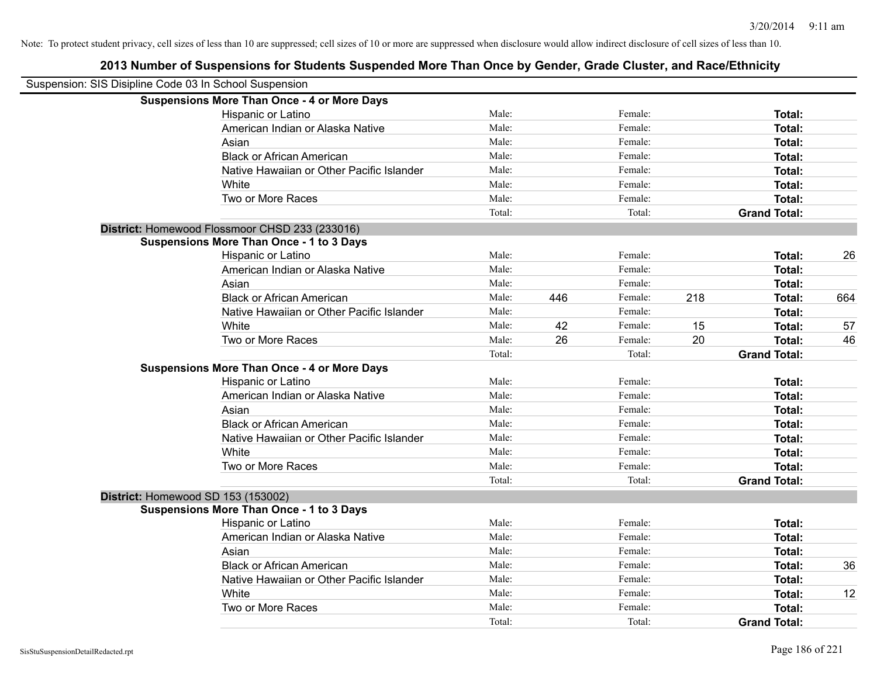| Suspension: SIS Disipline Code 03 In School Suspension |                                                    |        |     |         |     |                     |     |
|--------------------------------------------------------|----------------------------------------------------|--------|-----|---------|-----|---------------------|-----|
|                                                        | <b>Suspensions More Than Once - 4 or More Days</b> |        |     |         |     |                     |     |
|                                                        | Hispanic or Latino                                 | Male:  |     | Female: |     | Total:              |     |
|                                                        | American Indian or Alaska Native                   | Male:  |     | Female: |     | Total:              |     |
|                                                        | Asian                                              | Male:  |     | Female: |     | Total:              |     |
|                                                        | <b>Black or African American</b>                   | Male:  |     | Female: |     | Total:              |     |
|                                                        | Native Hawaiian or Other Pacific Islander          | Male:  |     | Female: |     | Total:              |     |
|                                                        | White                                              | Male:  |     | Female: |     | Total:              |     |
|                                                        | Two or More Races                                  | Male:  |     | Female: |     | Total:              |     |
|                                                        |                                                    | Total: |     | Total:  |     | <b>Grand Total:</b> |     |
|                                                        | District: Homewood Flossmoor CHSD 233 (233016)     |        |     |         |     |                     |     |
|                                                        | <b>Suspensions More Than Once - 1 to 3 Days</b>    |        |     |         |     |                     |     |
|                                                        | Hispanic or Latino                                 | Male:  |     | Female: |     | Total:              | 26  |
|                                                        | American Indian or Alaska Native                   | Male:  |     | Female: |     | Total:              |     |
|                                                        | Asian                                              | Male:  |     | Female: |     | Total:              |     |
|                                                        | <b>Black or African American</b>                   | Male:  | 446 | Female: | 218 | Total:              | 664 |
|                                                        | Native Hawaiian or Other Pacific Islander          | Male:  |     | Female: |     | Total:              |     |
|                                                        | White                                              | Male:  | 42  | Female: | 15  | Total:              | 57  |
|                                                        | Two or More Races                                  | Male:  | 26  | Female: | 20  | Total:              | 46  |
|                                                        |                                                    | Total: |     | Total:  |     | <b>Grand Total:</b> |     |
|                                                        | <b>Suspensions More Than Once - 4 or More Days</b> |        |     |         |     |                     |     |
|                                                        | Hispanic or Latino                                 | Male:  |     | Female: |     | Total:              |     |
|                                                        | American Indian or Alaska Native                   | Male:  |     | Female: |     | Total:              |     |
|                                                        | Asian                                              | Male:  |     | Female: |     | Total:              |     |
|                                                        | <b>Black or African American</b>                   | Male:  |     | Female: |     | Total:              |     |
|                                                        | Native Hawaiian or Other Pacific Islander          | Male:  |     | Female: |     | Total:              |     |
|                                                        | White                                              | Male:  |     | Female: |     | Total:              |     |
|                                                        | Two or More Races                                  | Male:  |     | Female: |     | Total:              |     |
|                                                        |                                                    | Total: |     | Total:  |     | <b>Grand Total:</b> |     |
| District: Homewood SD 153 (153002)                     |                                                    |        |     |         |     |                     |     |
|                                                        | <b>Suspensions More Than Once - 1 to 3 Days</b>    |        |     |         |     |                     |     |
|                                                        | Hispanic or Latino                                 | Male:  |     | Female: |     | Total:              |     |
|                                                        | American Indian or Alaska Native                   | Male:  |     | Female: |     | Total:              |     |
|                                                        | Asian                                              | Male:  |     | Female: |     | Total:              |     |
|                                                        | <b>Black or African American</b>                   | Male:  |     | Female: |     | Total:              | 36  |
|                                                        | Native Hawaiian or Other Pacific Islander          | Male:  |     | Female: |     | Total:              |     |
|                                                        | White                                              | Male:  |     | Female: |     | Total:              | 12  |
|                                                        | Two or More Races                                  | Male:  |     | Female: |     | Total:              |     |
|                                                        |                                                    | Total: |     | Total:  |     | <b>Grand Total:</b> |     |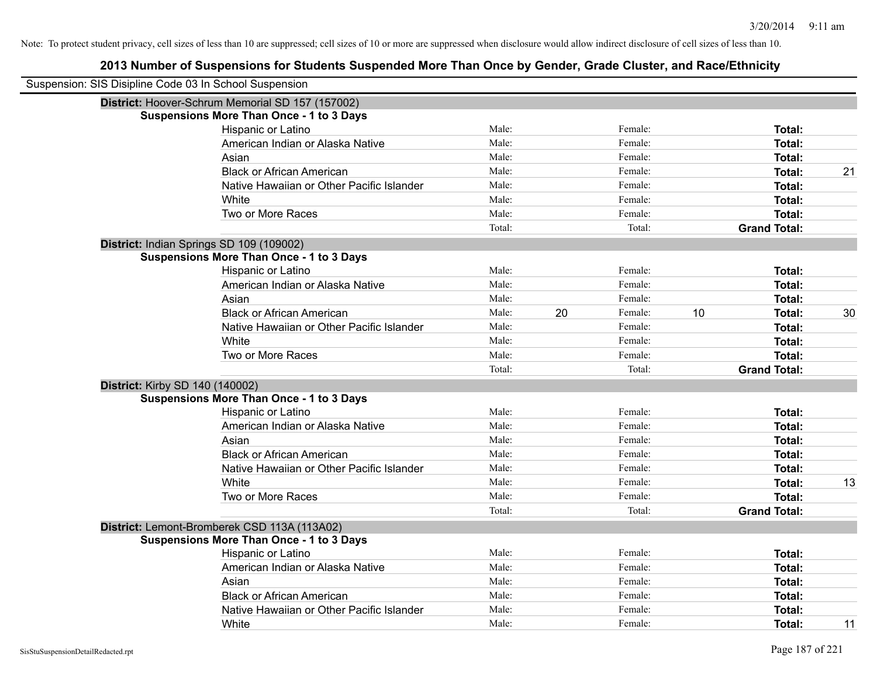| Suspension: SIS Disipline Code 03 In School Suspension |                                                  |        |    |         |    |                     |    |
|--------------------------------------------------------|--------------------------------------------------|--------|----|---------|----|---------------------|----|
|                                                        | District: Hoover-Schrum Memorial SD 157 (157002) |        |    |         |    |                     |    |
|                                                        | <b>Suspensions More Than Once - 1 to 3 Days</b>  |        |    |         |    |                     |    |
|                                                        | Hispanic or Latino                               | Male:  |    | Female: |    | Total:              |    |
|                                                        | American Indian or Alaska Native                 | Male:  |    | Female: |    | Total:              |    |
|                                                        | Asian                                            | Male:  |    | Female: |    | Total:              |    |
|                                                        | <b>Black or African American</b>                 | Male:  |    | Female: |    | Total:              | 21 |
|                                                        | Native Hawaiian or Other Pacific Islander        | Male:  |    | Female: |    | Total:              |    |
|                                                        | White                                            | Male:  |    | Female: |    | Total:              |    |
|                                                        | Two or More Races                                | Male:  |    | Female: |    | Total:              |    |
|                                                        |                                                  | Total: |    | Total:  |    | <b>Grand Total:</b> |    |
|                                                        | District: Indian Springs SD 109 (109002)         |        |    |         |    |                     |    |
|                                                        | <b>Suspensions More Than Once - 1 to 3 Days</b>  |        |    |         |    |                     |    |
|                                                        | Hispanic or Latino                               | Male:  |    | Female: |    | Total:              |    |
|                                                        | American Indian or Alaska Native                 | Male:  |    | Female: |    | Total:              |    |
|                                                        | Asian                                            | Male:  |    | Female: |    | Total:              |    |
|                                                        | <b>Black or African American</b>                 | Male:  | 20 | Female: | 10 | Total:              | 30 |
|                                                        | Native Hawaiian or Other Pacific Islander        | Male:  |    | Female: |    | Total:              |    |
|                                                        | White                                            | Male:  |    | Female: |    | Total:              |    |
|                                                        | Two or More Races                                | Male:  |    | Female: |    | Total:              |    |
|                                                        |                                                  | Total: |    | Total:  |    | <b>Grand Total:</b> |    |
|                                                        | <b>District: Kirby SD 140 (140002)</b>           |        |    |         |    |                     |    |
|                                                        | <b>Suspensions More Than Once - 1 to 3 Days</b>  |        |    |         |    |                     |    |
|                                                        | Hispanic or Latino                               | Male:  |    | Female: |    | Total:              |    |
|                                                        | American Indian or Alaska Native                 | Male:  |    | Female: |    | Total:              |    |
|                                                        | Asian                                            | Male:  |    | Female: |    | Total:              |    |
|                                                        | <b>Black or African American</b>                 | Male:  |    | Female: |    | Total:              |    |
|                                                        | Native Hawaiian or Other Pacific Islander        | Male:  |    | Female: |    | Total:              |    |
|                                                        | White                                            | Male:  |    | Female: |    | Total:              | 13 |
|                                                        | Two or More Races                                | Male:  |    | Female: |    | Total:              |    |
|                                                        |                                                  | Total: |    | Total:  |    | <b>Grand Total:</b> |    |
|                                                        | District: Lemont-Bromberek CSD 113A (113A02)     |        |    |         |    |                     |    |
|                                                        | <b>Suspensions More Than Once - 1 to 3 Days</b>  |        |    |         |    |                     |    |
|                                                        | Hispanic or Latino                               | Male:  |    | Female: |    | Total:              |    |
|                                                        | American Indian or Alaska Native                 | Male:  |    | Female: |    | Total:              |    |
|                                                        | Asian                                            | Male:  |    | Female: |    | Total:              |    |
|                                                        | <b>Black or African American</b>                 | Male:  |    | Female: |    | Total:              |    |
|                                                        | Native Hawaiian or Other Pacific Islander        | Male:  |    | Female: |    | Total:              |    |
|                                                        | White                                            | Male:  |    | Female: |    | Total:              | 11 |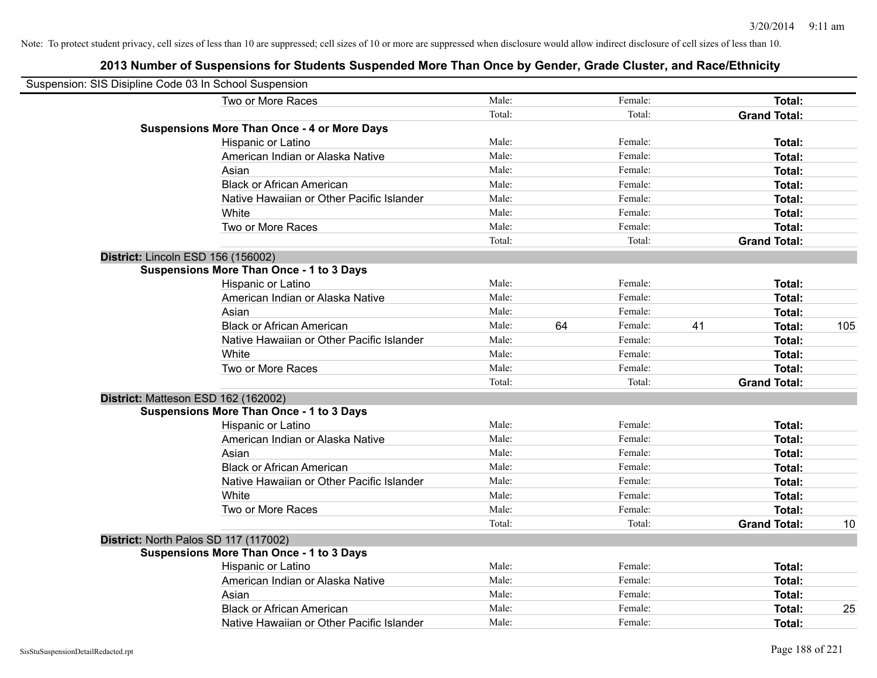| Suspension: SIS Disipline Code 03 In School Suspension |                                                    |        |    |         |    |                     |     |
|--------------------------------------------------------|----------------------------------------------------|--------|----|---------|----|---------------------|-----|
|                                                        | Two or More Races                                  | Male:  |    | Female: |    | Total:              |     |
|                                                        |                                                    | Total: |    | Total:  |    | <b>Grand Total:</b> |     |
|                                                        | <b>Suspensions More Than Once - 4 or More Days</b> |        |    |         |    |                     |     |
|                                                        | Hispanic or Latino                                 | Male:  |    | Female: |    | Total:              |     |
|                                                        | American Indian or Alaska Native                   | Male:  |    | Female: |    | Total:              |     |
|                                                        | Asian                                              | Male:  |    | Female: |    | Total:              |     |
|                                                        | <b>Black or African American</b>                   | Male:  |    | Female: |    | Total:              |     |
|                                                        | Native Hawaiian or Other Pacific Islander          | Male:  |    | Female: |    | Total:              |     |
|                                                        | White                                              | Male:  |    | Female: |    | Total:              |     |
|                                                        | Two or More Races                                  | Male:  |    | Female: |    | Total:              |     |
|                                                        |                                                    | Total: |    | Total:  |    | <b>Grand Total:</b> |     |
| District: Lincoln ESD 156 (156002)                     |                                                    |        |    |         |    |                     |     |
|                                                        | <b>Suspensions More Than Once - 1 to 3 Days</b>    |        |    |         |    |                     |     |
|                                                        | Hispanic or Latino                                 | Male:  |    | Female: |    | Total:              |     |
|                                                        | American Indian or Alaska Native                   | Male:  |    | Female: |    | Total:              |     |
|                                                        | Asian                                              | Male:  |    | Female: |    | Total:              |     |
|                                                        | <b>Black or African American</b>                   | Male:  | 64 | Female: | 41 | Total:              | 105 |
|                                                        | Native Hawaiian or Other Pacific Islander          | Male:  |    | Female: |    | Total:              |     |
|                                                        | White                                              | Male:  |    | Female: |    | Total:              |     |
|                                                        | Two or More Races                                  | Male:  |    | Female: |    | Total:              |     |
|                                                        |                                                    | Total: |    | Total:  |    | <b>Grand Total:</b> |     |
|                                                        | District: Matteson ESD 162 (162002)                |        |    |         |    |                     |     |
|                                                        | <b>Suspensions More Than Once - 1 to 3 Days</b>    |        |    |         |    |                     |     |
|                                                        | Hispanic or Latino                                 | Male:  |    | Female: |    | Total:              |     |
|                                                        | American Indian or Alaska Native                   | Male:  |    | Female: |    | Total:              |     |
|                                                        | Asian                                              | Male:  |    | Female: |    | Total:              |     |
|                                                        | <b>Black or African American</b>                   | Male:  |    | Female: |    | Total:              |     |
|                                                        | Native Hawaiian or Other Pacific Islander          | Male:  |    | Female: |    | Total:              |     |
|                                                        | White                                              | Male:  |    | Female: |    | Total:              |     |
|                                                        | Two or More Races                                  | Male:  |    | Female: |    | Total:              |     |
|                                                        |                                                    | Total: |    | Total:  |    | <b>Grand Total:</b> | 10  |
|                                                        | District: North Palos SD 117 (117002)              |        |    |         |    |                     |     |
|                                                        | <b>Suspensions More Than Once - 1 to 3 Days</b>    |        |    |         |    |                     |     |
|                                                        | Hispanic or Latino                                 | Male:  |    | Female: |    | Total:              |     |
|                                                        | American Indian or Alaska Native                   | Male:  |    | Female: |    | Total:              |     |
|                                                        | Asian                                              | Male:  |    | Female: |    | Total:              |     |
|                                                        | <b>Black or African American</b>                   | Male:  |    | Female: |    | Total:              | 25  |
|                                                        | Native Hawaiian or Other Pacific Islander          | Male:  |    | Female: |    | Total:              |     |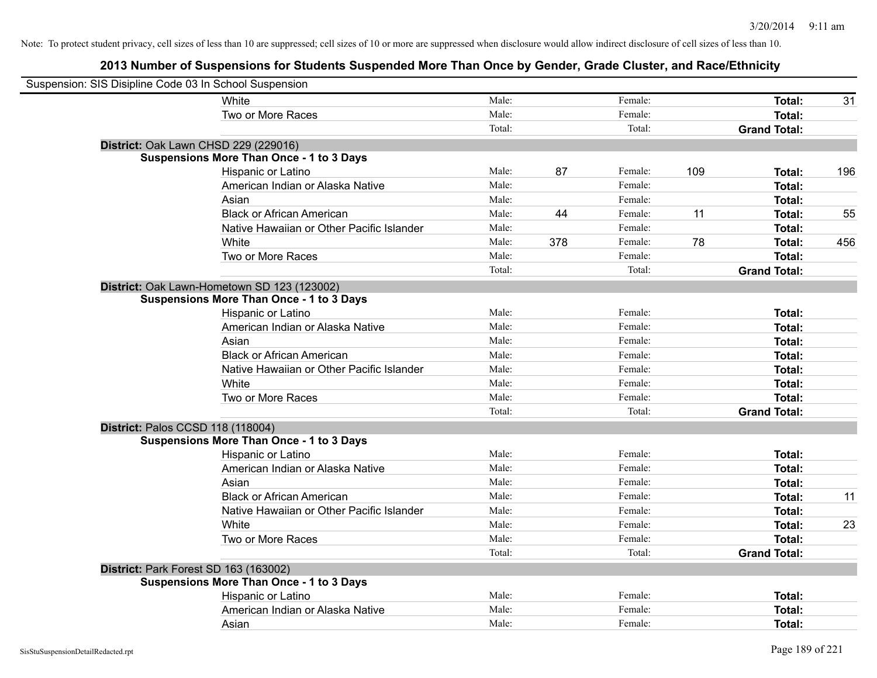| Suspension: SIS Disipline Code 03 In School Suspension |                                                 |        |     |         |     |                     |     |
|--------------------------------------------------------|-------------------------------------------------|--------|-----|---------|-----|---------------------|-----|
|                                                        | <b>White</b>                                    | Male:  |     | Female: |     | Total:              | 31  |
|                                                        | Two or More Races                               | Male:  |     | Female: |     | <b>Total:</b>       |     |
|                                                        |                                                 | Total: |     | Total:  |     | <b>Grand Total:</b> |     |
| District: Oak Lawn CHSD 229 (229016)                   |                                                 |        |     |         |     |                     |     |
|                                                        | <b>Suspensions More Than Once - 1 to 3 Days</b> |        |     |         |     |                     |     |
|                                                        | Hispanic or Latino                              | Male:  | 87  | Female: | 109 | Total:              | 196 |
|                                                        | American Indian or Alaska Native                | Male:  |     | Female: |     | <b>Total:</b>       |     |
|                                                        | Asian                                           | Male:  |     | Female: |     | Total:              |     |
|                                                        | <b>Black or African American</b>                | Male:  | 44  | Female: | 11  | Total:              | 55  |
|                                                        | Native Hawaiian or Other Pacific Islander       | Male:  |     | Female: |     | Total:              |     |
|                                                        | White                                           | Male:  | 378 | Female: | 78  | Total:              | 456 |
|                                                        | Two or More Races                               | Male:  |     | Female: |     | Total:              |     |
|                                                        |                                                 | Total: |     | Total:  |     | <b>Grand Total:</b> |     |
|                                                        | District: Oak Lawn-Hometown SD 123 (123002)     |        |     |         |     |                     |     |
|                                                        | <b>Suspensions More Than Once - 1 to 3 Days</b> |        |     |         |     |                     |     |
|                                                        | Hispanic or Latino                              | Male:  |     | Female: |     | <b>Total:</b>       |     |
|                                                        | American Indian or Alaska Native                | Male:  |     | Female: |     | <b>Total:</b>       |     |
|                                                        | Asian                                           | Male:  |     | Female: |     | Total:              |     |
|                                                        | <b>Black or African American</b>                | Male:  |     | Female: |     | Total:              |     |
|                                                        | Native Hawaiian or Other Pacific Islander       | Male:  |     | Female: |     | <b>Total:</b>       |     |
|                                                        | White                                           | Male:  |     | Female: |     | <b>Total:</b>       |     |
|                                                        | Two or More Races                               | Male:  |     | Female: |     | Total:              |     |
|                                                        |                                                 | Total: |     | Total:  |     | <b>Grand Total:</b> |     |
| District: Palos CCSD 118 (118004)                      |                                                 |        |     |         |     |                     |     |
|                                                        | <b>Suspensions More Than Once - 1 to 3 Days</b> |        |     |         |     |                     |     |
|                                                        | Hispanic or Latino                              | Male:  |     | Female: |     | <b>Total:</b>       |     |
|                                                        | American Indian or Alaska Native                | Male:  |     | Female: |     | Total:              |     |
|                                                        | Asian                                           | Male:  |     | Female: |     | <b>Total:</b>       |     |
|                                                        | <b>Black or African American</b>                | Male:  |     | Female: |     | Total:              | 11  |
|                                                        | Native Hawaiian or Other Pacific Islander       | Male:  |     | Female: |     | Total:              |     |
|                                                        | White                                           | Male:  |     | Female: |     | Total:              | 23  |
|                                                        | Two or More Races                               | Male:  |     | Female: |     | <b>Total:</b>       |     |
|                                                        |                                                 | Total: |     | Total:  |     | <b>Grand Total:</b> |     |
| District: Park Forest SD 163 (163002)                  |                                                 |        |     |         |     |                     |     |
|                                                        | <b>Suspensions More Than Once - 1 to 3 Days</b> |        |     |         |     |                     |     |
|                                                        | Hispanic or Latino                              | Male:  |     | Female: |     | Total:              |     |
|                                                        | American Indian or Alaska Native                | Male:  |     | Female: |     | <b>Total:</b>       |     |
|                                                        | Asian                                           | Male:  |     | Female: |     | Total:              |     |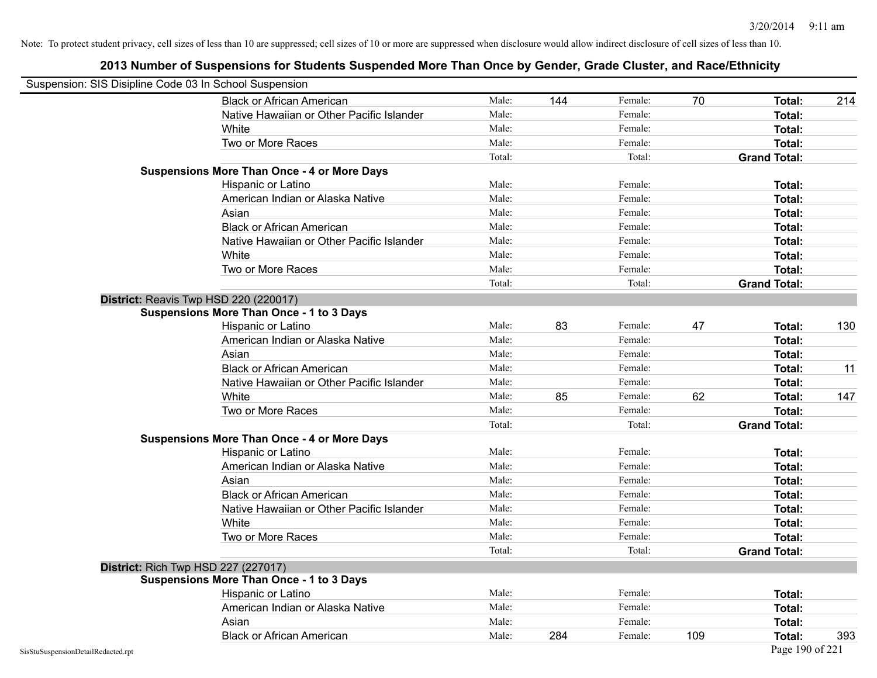| Suspension: SIS Disipline Code 03 In School Suspension |                                                    |        |     |         |     |                     |     |
|--------------------------------------------------------|----------------------------------------------------|--------|-----|---------|-----|---------------------|-----|
|                                                        | <b>Black or African American</b>                   | Male:  | 144 | Female: | 70  | Total:              | 214 |
|                                                        | Native Hawaiian or Other Pacific Islander          | Male:  |     | Female: |     | <b>Total:</b>       |     |
|                                                        | White                                              | Male:  |     | Female: |     | Total:              |     |
|                                                        | Two or More Races                                  | Male:  |     | Female: |     | Total:              |     |
|                                                        |                                                    | Total: |     | Total:  |     | <b>Grand Total:</b> |     |
|                                                        | <b>Suspensions More Than Once - 4 or More Days</b> |        |     |         |     |                     |     |
|                                                        | Hispanic or Latino                                 | Male:  |     | Female: |     | Total:              |     |
|                                                        | American Indian or Alaska Native                   | Male:  |     | Female: |     | Total:              |     |
|                                                        | Asian                                              | Male:  |     | Female: |     | Total:              |     |
|                                                        | <b>Black or African American</b>                   | Male:  |     | Female: |     | Total:              |     |
|                                                        | Native Hawaiian or Other Pacific Islander          | Male:  |     | Female: |     | Total:              |     |
|                                                        | White                                              | Male:  |     | Female: |     | <b>Total:</b>       |     |
|                                                        | Two or More Races                                  | Male:  |     | Female: |     | Total:              |     |
|                                                        |                                                    | Total: |     | Total:  |     | <b>Grand Total:</b> |     |
|                                                        | District: Reavis Twp HSD 220 (220017)              |        |     |         |     |                     |     |
|                                                        | <b>Suspensions More Than Once - 1 to 3 Days</b>    |        |     |         |     |                     |     |
|                                                        | Hispanic or Latino                                 | Male:  | 83  | Female: | 47  | Total:              | 130 |
|                                                        | American Indian or Alaska Native                   | Male:  |     | Female: |     | <b>Total:</b>       |     |
|                                                        | Asian                                              | Male:  |     | Female: |     | <b>Total:</b>       |     |
|                                                        | <b>Black or African American</b>                   | Male:  |     | Female: |     | Total:              | 11  |
|                                                        | Native Hawaiian or Other Pacific Islander          | Male:  |     | Female: |     | Total:              |     |
|                                                        | White                                              | Male:  | 85  | Female: | 62  | Total:              | 147 |
|                                                        | Two or More Races                                  | Male:  |     | Female: |     | Total:              |     |
|                                                        |                                                    | Total: |     | Total:  |     | <b>Grand Total:</b> |     |
|                                                        | <b>Suspensions More Than Once - 4 or More Days</b> |        |     |         |     |                     |     |
|                                                        | Hispanic or Latino                                 | Male:  |     | Female: |     | Total:              |     |
|                                                        | American Indian or Alaska Native                   | Male:  |     | Female: |     | <b>Total:</b>       |     |
|                                                        | Asian                                              | Male:  |     | Female: |     | Total:              |     |
|                                                        | <b>Black or African American</b>                   | Male:  |     | Female: |     | Total:              |     |
|                                                        | Native Hawaiian or Other Pacific Islander          | Male:  |     | Female: |     | Total:              |     |
|                                                        | White                                              | Male:  |     | Female: |     | Total:              |     |
|                                                        | Two or More Races                                  | Male:  |     | Female: |     | Total:              |     |
|                                                        |                                                    | Total: |     | Total:  |     | <b>Grand Total:</b> |     |
|                                                        | <b>District: Rich Twp HSD 227 (227017)</b>         |        |     |         |     |                     |     |
|                                                        | <b>Suspensions More Than Once - 1 to 3 Days</b>    |        |     |         |     |                     |     |
|                                                        | Hispanic or Latino                                 | Male:  |     | Female: |     | Total:              |     |
|                                                        | American Indian or Alaska Native                   | Male:  |     | Female: |     | Total:              |     |
|                                                        | Asian                                              | Male:  |     | Female: |     | Total:              |     |
|                                                        | <b>Black or African American</b>                   | Male:  | 284 | Female: | 109 | <b>Total:</b>       | 393 |
| SisStuSuspensionDetailRedacted.rpt                     |                                                    |        |     |         |     | Page 190 of 221     |     |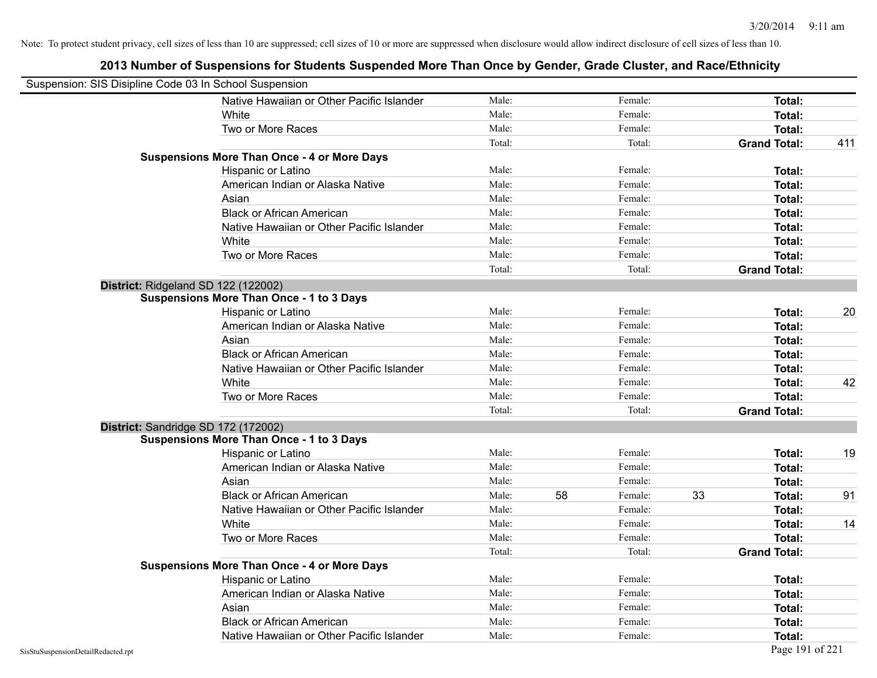| Suspension: SIS Disipline Code 03 In School Suspension |                                                    |        |    |         |    |                     |     |
|--------------------------------------------------------|----------------------------------------------------|--------|----|---------|----|---------------------|-----|
|                                                        | Native Hawaiian or Other Pacific Islander          | Male:  |    | Female: |    | Total:              |     |
|                                                        | White                                              | Male:  |    | Female: |    | Total:              |     |
|                                                        | Two or More Races                                  | Male:  |    | Female: |    | Total:              |     |
|                                                        |                                                    | Total: |    | Total:  |    | <b>Grand Total:</b> | 411 |
|                                                        | <b>Suspensions More Than Once - 4 or More Days</b> |        |    |         |    |                     |     |
|                                                        | Hispanic or Latino                                 | Male:  |    | Female: |    | Total:              |     |
|                                                        | American Indian or Alaska Native                   | Male:  |    | Female: |    | Total:              |     |
|                                                        | Asian                                              | Male:  |    | Female: |    | Total:              |     |
|                                                        | <b>Black or African American</b>                   | Male:  |    | Female: |    | Total:              |     |
|                                                        | Native Hawaiian or Other Pacific Islander          | Male:  |    | Female: |    | Total:              |     |
|                                                        | White                                              | Male:  |    | Female: |    | Total:              |     |
|                                                        | Two or More Races                                  | Male:  |    | Female: |    | Total:              |     |
|                                                        |                                                    | Total: |    | Total:  |    | <b>Grand Total:</b> |     |
|                                                        | District: Ridgeland SD 122 (122002)                |        |    |         |    |                     |     |
|                                                        | <b>Suspensions More Than Once - 1 to 3 Days</b>    |        |    |         |    |                     |     |
|                                                        | Hispanic or Latino                                 | Male:  |    | Female: |    | Total:              | 20  |
|                                                        | American Indian or Alaska Native                   | Male:  |    | Female: |    | Total:              |     |
|                                                        | Asian                                              | Male:  |    | Female: |    | Total:              |     |
|                                                        | <b>Black or African American</b>                   | Male:  |    | Female: |    | Total:              |     |
|                                                        | Native Hawaiian or Other Pacific Islander          | Male:  |    | Female: |    | Total:              |     |
|                                                        | White                                              | Male:  |    | Female: |    | Total:              | 42  |
|                                                        | Two or More Races                                  | Male:  |    | Female: |    | Total:              |     |
|                                                        |                                                    | Total: |    | Total:  |    | <b>Grand Total:</b> |     |
|                                                        | District: Sandridge SD 172 (172002)                |        |    |         |    |                     |     |
|                                                        | <b>Suspensions More Than Once - 1 to 3 Days</b>    |        |    |         |    |                     |     |
|                                                        | Hispanic or Latino                                 | Male:  |    | Female: |    | Total:              | 19  |
|                                                        | American Indian or Alaska Native                   | Male:  |    | Female: |    | Total:              |     |
|                                                        | Asian                                              | Male:  |    | Female: |    | Total:              |     |
|                                                        | <b>Black or African American</b>                   | Male:  | 58 | Female: | 33 | Total:              | 91  |
|                                                        | Native Hawaiian or Other Pacific Islander          | Male:  |    | Female: |    | Total:              |     |
|                                                        | White                                              | Male:  |    | Female: |    | Total:              | 14  |
|                                                        | Two or More Races                                  | Male:  |    | Female: |    | Total:              |     |
|                                                        |                                                    | Total: |    | Total:  |    | <b>Grand Total:</b> |     |
|                                                        | <b>Suspensions More Than Once - 4 or More Days</b> |        |    |         |    |                     |     |
|                                                        | Hispanic or Latino                                 | Male:  |    | Female: |    | Total:              |     |
|                                                        | American Indian or Alaska Native                   | Male:  |    | Female: |    | Total:              |     |
|                                                        | Asian                                              | Male:  |    | Female: |    | Total:              |     |
|                                                        | <b>Black or African American</b>                   | Male:  |    | Female: |    | Total:              |     |
|                                                        | Native Hawaiian or Other Pacific Islander          | Male:  |    | Female: |    | Total:              |     |
| SisStuSuspensionDetailRedacted.rpt                     |                                                    |        |    |         |    | Page 191 of 221     |     |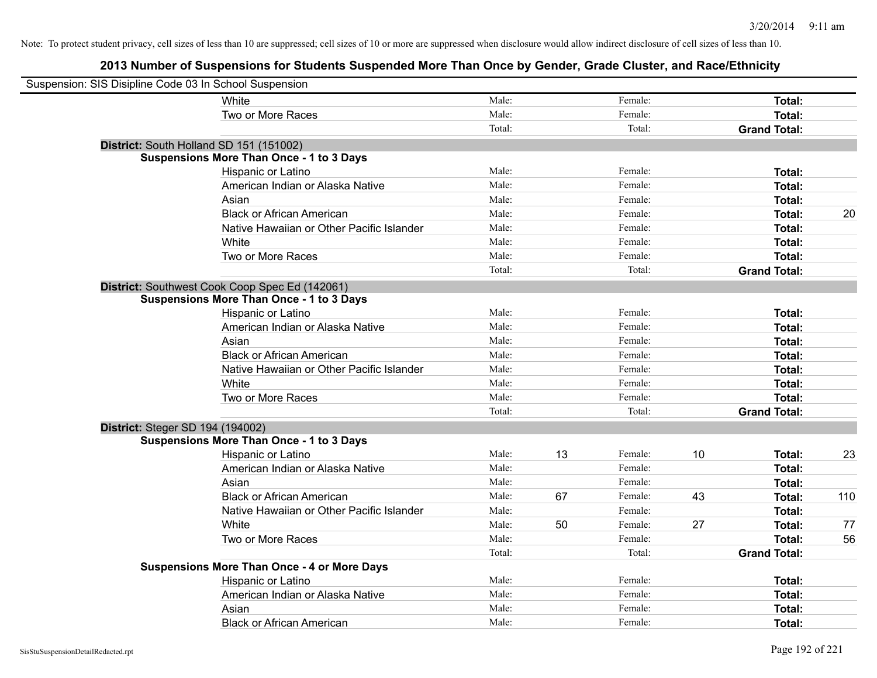| Suspension: SIS Disipline Code 03 In School Suspension |                                                    |        |    |         |    |                     |     |
|--------------------------------------------------------|----------------------------------------------------|--------|----|---------|----|---------------------|-----|
|                                                        | White                                              | Male:  |    | Female: |    | Total:              |     |
|                                                        | Two or More Races                                  | Male:  |    | Female: |    | Total:              |     |
|                                                        |                                                    | Total: |    | Total:  |    | <b>Grand Total:</b> |     |
| District: South Holland SD 151 (151002)                |                                                    |        |    |         |    |                     |     |
|                                                        | <b>Suspensions More Than Once - 1 to 3 Days</b>    |        |    |         |    |                     |     |
|                                                        | Hispanic or Latino                                 | Male:  |    | Female: |    | Total:              |     |
|                                                        | American Indian or Alaska Native                   | Male:  |    | Female: |    | Total:              |     |
|                                                        | Asian                                              | Male:  |    | Female: |    | Total:              |     |
|                                                        | <b>Black or African American</b>                   | Male:  |    | Female: |    | Total:              | 20  |
|                                                        | Native Hawaiian or Other Pacific Islander          | Male:  |    | Female: |    | Total:              |     |
|                                                        | White                                              | Male:  |    | Female: |    | Total:              |     |
|                                                        | Two or More Races                                  | Male:  |    | Female: |    | Total:              |     |
|                                                        |                                                    | Total: |    | Total:  |    | <b>Grand Total:</b> |     |
|                                                        | District: Southwest Cook Coop Spec Ed (142061)     |        |    |         |    |                     |     |
|                                                        | <b>Suspensions More Than Once - 1 to 3 Days</b>    |        |    |         |    |                     |     |
|                                                        | Hispanic or Latino                                 | Male:  |    | Female: |    | Total:              |     |
|                                                        | American Indian or Alaska Native                   | Male:  |    | Female: |    | Total:              |     |
|                                                        | Asian                                              | Male:  |    | Female: |    | Total:              |     |
|                                                        | <b>Black or African American</b>                   | Male:  |    | Female: |    | Total:              |     |
|                                                        | Native Hawaiian or Other Pacific Islander          | Male:  |    | Female: |    | Total:              |     |
|                                                        | White                                              | Male:  |    | Female: |    | Total:              |     |
|                                                        | Two or More Races                                  | Male:  |    | Female: |    | Total:              |     |
|                                                        |                                                    | Total: |    | Total:  |    | <b>Grand Total:</b> |     |
| District: Steger SD 194 (194002)                       |                                                    |        |    |         |    |                     |     |
|                                                        | <b>Suspensions More Than Once - 1 to 3 Days</b>    |        |    |         |    |                     |     |
|                                                        | Hispanic or Latino                                 | Male:  | 13 | Female: | 10 | Total:              | 23  |
|                                                        | American Indian or Alaska Native                   | Male:  |    | Female: |    | Total:              |     |
|                                                        | Asian                                              | Male:  |    | Female: |    | Total:              |     |
|                                                        | <b>Black or African American</b>                   | Male:  | 67 | Female: | 43 | Total:              | 110 |
|                                                        | Native Hawaiian or Other Pacific Islander          | Male:  |    | Female: |    | Total:              |     |
|                                                        | White                                              | Male:  | 50 | Female: | 27 | Total:              | 77  |
|                                                        | Two or More Races                                  | Male:  |    | Female: |    | Total:              | 56  |
|                                                        |                                                    | Total: |    | Total:  |    | <b>Grand Total:</b> |     |
|                                                        | <b>Suspensions More Than Once - 4 or More Days</b> |        |    |         |    |                     |     |
|                                                        | Hispanic or Latino                                 | Male:  |    | Female: |    | Total:              |     |
|                                                        | American Indian or Alaska Native                   | Male:  |    | Female: |    | Total:              |     |
|                                                        | Asian                                              | Male:  |    | Female: |    | Total:              |     |
|                                                        | <b>Black or African American</b>                   | Male:  |    | Female: |    | Total:              |     |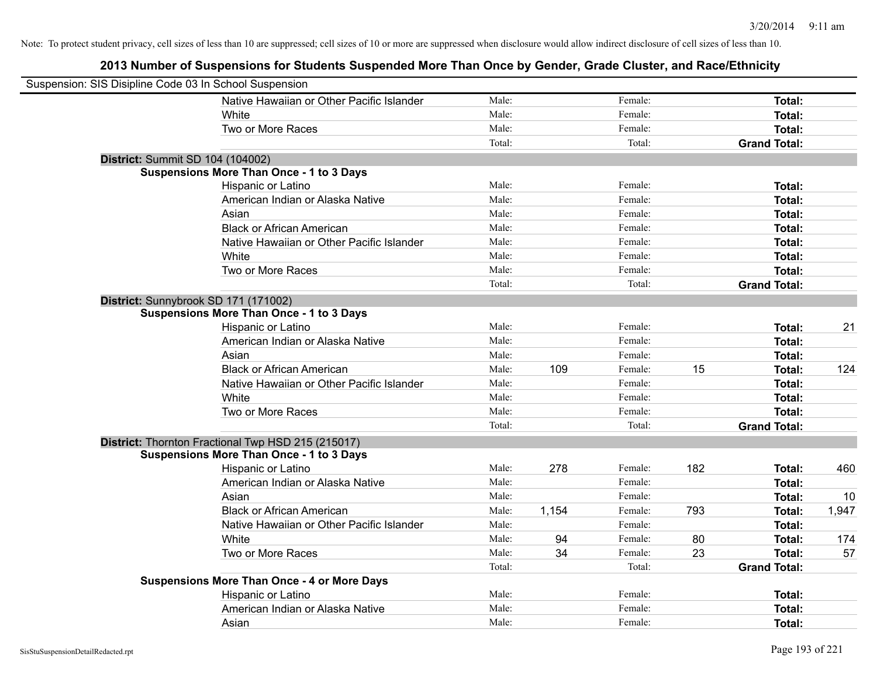| Suspension: SIS Disipline Code 03 In School Suspension |                                                    |        |       |         |     |                     |       |
|--------------------------------------------------------|----------------------------------------------------|--------|-------|---------|-----|---------------------|-------|
|                                                        | Native Hawaiian or Other Pacific Islander          | Male:  |       | Female: |     | Total:              |       |
|                                                        | White                                              | Male:  |       | Female: |     | Total:              |       |
|                                                        | Two or More Races                                  | Male:  |       | Female: |     | Total:              |       |
|                                                        |                                                    | Total: |       | Total:  |     | <b>Grand Total:</b> |       |
| <b>District: Summit SD 104 (104002)</b>                |                                                    |        |       |         |     |                     |       |
|                                                        | <b>Suspensions More Than Once - 1 to 3 Days</b>    |        |       |         |     |                     |       |
|                                                        | Hispanic or Latino                                 | Male:  |       | Female: |     | Total:              |       |
|                                                        | American Indian or Alaska Native                   | Male:  |       | Female: |     | Total:              |       |
|                                                        | Asian                                              | Male:  |       | Female: |     | Total:              |       |
|                                                        | <b>Black or African American</b>                   | Male:  |       | Female: |     | Total:              |       |
|                                                        | Native Hawaiian or Other Pacific Islander          | Male:  |       | Female: |     | Total:              |       |
|                                                        | White                                              | Male:  |       | Female: |     | Total:              |       |
|                                                        | Two or More Races                                  | Male:  |       | Female: |     | Total:              |       |
|                                                        |                                                    | Total: |       | Total:  |     | <b>Grand Total:</b> |       |
| District: Sunnybrook SD 171 (171002)                   |                                                    |        |       |         |     |                     |       |
|                                                        | <b>Suspensions More Than Once - 1 to 3 Days</b>    |        |       |         |     |                     |       |
|                                                        | Hispanic or Latino                                 | Male:  |       | Female: |     | Total:              | 21    |
|                                                        | American Indian or Alaska Native                   | Male:  |       | Female: |     | Total:              |       |
|                                                        | Asian                                              | Male:  |       | Female: |     | Total:              |       |
|                                                        | <b>Black or African American</b>                   | Male:  | 109   | Female: | 15  | Total:              | 124   |
|                                                        | Native Hawaiian or Other Pacific Islander          | Male:  |       | Female: |     | Total:              |       |
|                                                        | White                                              | Male:  |       | Female: |     | Total:              |       |
|                                                        | Two or More Races                                  | Male:  |       | Female: |     | Total:              |       |
|                                                        |                                                    | Total: |       | Total:  |     | <b>Grand Total:</b> |       |
|                                                        | District: Thornton Fractional Twp HSD 215 (215017) |        |       |         |     |                     |       |
|                                                        | <b>Suspensions More Than Once - 1 to 3 Days</b>    |        |       |         |     |                     |       |
|                                                        | Hispanic or Latino                                 | Male:  | 278   | Female: | 182 | Total:              | 460   |
|                                                        | American Indian or Alaska Native                   | Male:  |       | Female: |     | Total:              |       |
|                                                        | Asian                                              | Male:  |       | Female: |     | Total:              | 10    |
|                                                        | <b>Black or African American</b>                   | Male:  | 1,154 | Female: | 793 | Total:              | 1,947 |
|                                                        | Native Hawaiian or Other Pacific Islander          | Male:  |       | Female: |     | Total:              |       |
|                                                        | White                                              | Male:  | 94    | Female: | 80  | Total:              | 174   |
|                                                        | Two or More Races                                  | Male:  | 34    | Female: | 23  | Total:              | 57    |
|                                                        |                                                    | Total: |       | Total:  |     | <b>Grand Total:</b> |       |
|                                                        | <b>Suspensions More Than Once - 4 or More Days</b> |        |       |         |     |                     |       |
|                                                        | Hispanic or Latino                                 | Male:  |       | Female: |     | Total:              |       |
|                                                        | American Indian or Alaska Native                   | Male:  |       | Female: |     | Total:              |       |
|                                                        | Asian                                              | Male:  |       | Female: |     | Total:              |       |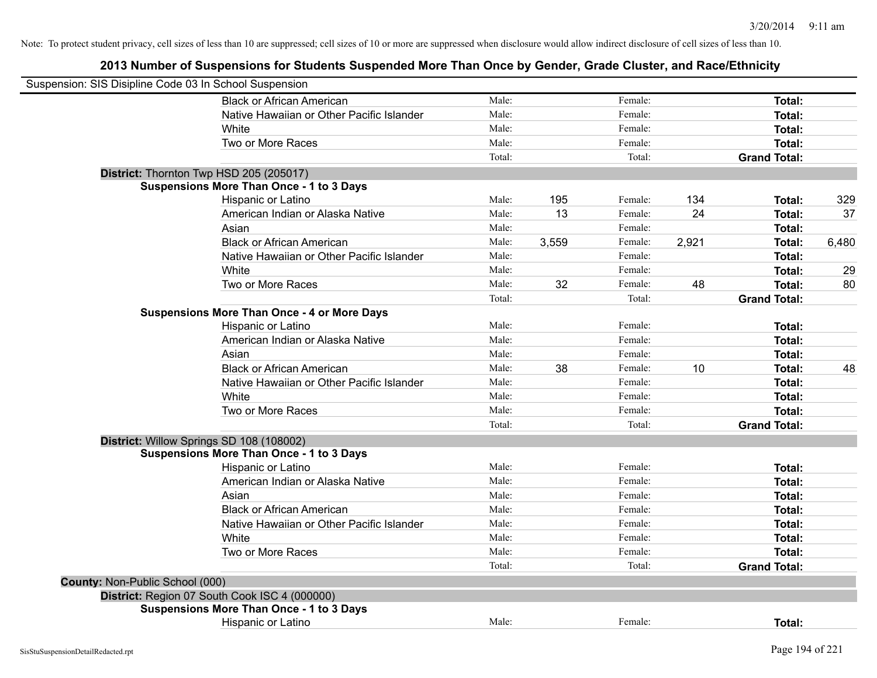| Suspension: SIS Disipline Code 03 In School Suspension |                                                    |        |       |         |       |                     |       |
|--------------------------------------------------------|----------------------------------------------------|--------|-------|---------|-------|---------------------|-------|
|                                                        | <b>Black or African American</b>                   | Male:  |       | Female: |       | Total:              |       |
|                                                        | Native Hawaiian or Other Pacific Islander          | Male:  |       | Female: |       | Total:              |       |
|                                                        | White                                              | Male:  |       | Female: |       | Total:              |       |
|                                                        | Two or More Races                                  | Male:  |       | Female: |       | <b>Total:</b>       |       |
|                                                        |                                                    | Total: |       | Total:  |       | <b>Grand Total:</b> |       |
|                                                        | District: Thornton Twp HSD 205 (205017)            |        |       |         |       |                     |       |
|                                                        | <b>Suspensions More Than Once - 1 to 3 Days</b>    |        |       |         |       |                     |       |
|                                                        | Hispanic or Latino                                 | Male:  | 195   | Female: | 134   | Total:              | 329   |
|                                                        | American Indian or Alaska Native                   | Male:  | 13    | Female: | 24    | Total:              | 37    |
|                                                        | Asian                                              | Male:  |       | Female: |       | Total:              |       |
|                                                        | <b>Black or African American</b>                   | Male:  | 3,559 | Female: | 2,921 | Total:              | 6,480 |
|                                                        | Native Hawaiian or Other Pacific Islander          | Male:  |       | Female: |       | Total:              |       |
|                                                        | White                                              | Male:  |       | Female: |       | Total:              | 29    |
|                                                        | Two or More Races                                  | Male:  | 32    | Female: | 48    | Total:              | 80    |
|                                                        |                                                    | Total: |       | Total:  |       | <b>Grand Total:</b> |       |
|                                                        | <b>Suspensions More Than Once - 4 or More Days</b> |        |       |         |       |                     |       |
|                                                        | Hispanic or Latino                                 | Male:  |       | Female: |       | Total:              |       |
|                                                        | American Indian or Alaska Native                   | Male:  |       | Female: |       | Total:              |       |
|                                                        | Asian                                              | Male:  |       | Female: |       | Total:              |       |
|                                                        | <b>Black or African American</b>                   | Male:  | 38    | Female: | 10    | Total:              | 48    |
|                                                        | Native Hawaiian or Other Pacific Islander          | Male:  |       | Female: |       | Total:              |       |
|                                                        | White                                              | Male:  |       | Female: |       | Total:              |       |
|                                                        | Two or More Races                                  | Male:  |       | Female: |       | Total:              |       |
|                                                        |                                                    | Total: |       | Total:  |       | <b>Grand Total:</b> |       |
|                                                        | District: Willow Springs SD 108 (108002)           |        |       |         |       |                     |       |
|                                                        | <b>Suspensions More Than Once - 1 to 3 Days</b>    |        |       |         |       |                     |       |
|                                                        | Hispanic or Latino                                 | Male:  |       | Female: |       | Total:              |       |
|                                                        | American Indian or Alaska Native                   | Male:  |       | Female: |       | Total:              |       |
|                                                        | Asian                                              | Male:  |       | Female: |       | Total:              |       |
|                                                        | <b>Black or African American</b>                   | Male:  |       | Female: |       | Total:              |       |
|                                                        | Native Hawaiian or Other Pacific Islander          | Male:  |       | Female: |       | Total:              |       |
|                                                        | White                                              | Male:  |       | Female: |       | Total:              |       |
|                                                        | Two or More Races                                  | Male:  |       | Female: |       | Total:              |       |
|                                                        |                                                    | Total: |       | Total:  |       | <b>Grand Total:</b> |       |
| County: Non-Public School (000)                        |                                                    |        |       |         |       |                     |       |
|                                                        | District: Region 07 South Cook ISC 4 (000000)      |        |       |         |       |                     |       |
|                                                        | <b>Suspensions More Than Once - 1 to 3 Days</b>    |        |       |         |       |                     |       |
|                                                        | Hispanic or Latino                                 | Male:  |       | Female: |       | Total:              |       |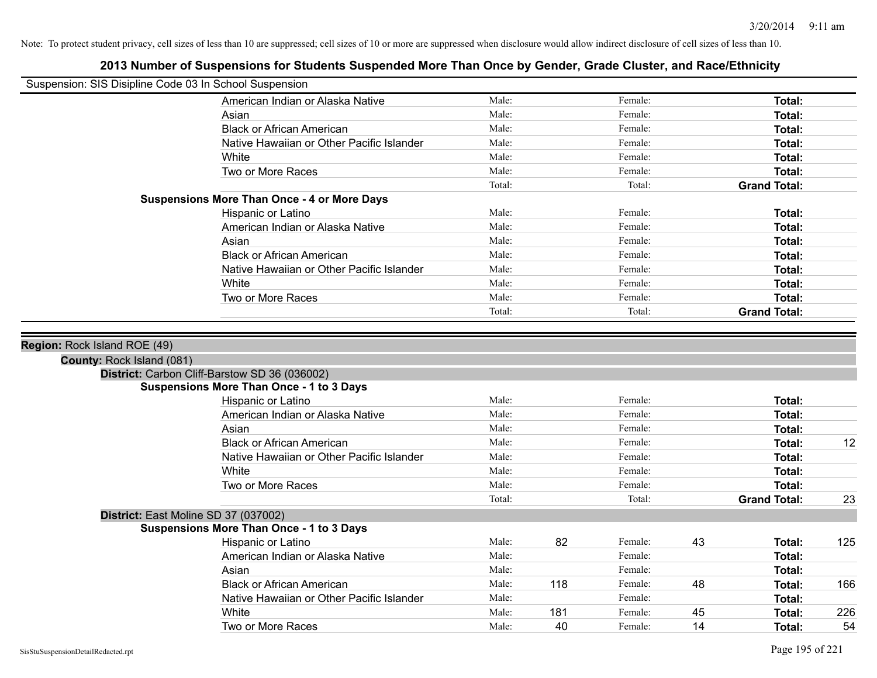| Suspension: SIS Disipline Code 03 In School Suspension |                                                                                                  |        |     |         |    |                     |     |
|--------------------------------------------------------|--------------------------------------------------------------------------------------------------|--------|-----|---------|----|---------------------|-----|
|                                                        | American Indian or Alaska Native                                                                 | Male:  |     | Female: |    | <b>Total:</b>       |     |
|                                                        | Asian                                                                                            | Male:  |     | Female: |    | Total:              |     |
|                                                        | <b>Black or African American</b>                                                                 | Male:  |     | Female: |    | Total:              |     |
|                                                        | Native Hawaiian or Other Pacific Islander                                                        | Male:  |     | Female: |    | <b>Total:</b>       |     |
|                                                        | White                                                                                            | Male:  |     | Female: |    | <b>Total:</b>       |     |
|                                                        | Two or More Races                                                                                | Male:  |     | Female: |    | <b>Total:</b>       |     |
|                                                        |                                                                                                  | Total: |     | Total:  |    | <b>Grand Total:</b> |     |
|                                                        | <b>Suspensions More Than Once - 4 or More Days</b>                                               |        |     |         |    |                     |     |
|                                                        | Hispanic or Latino                                                                               | Male:  |     | Female: |    | Total:              |     |
|                                                        | American Indian or Alaska Native                                                                 | Male:  |     | Female: |    | Total:              |     |
|                                                        | Asian                                                                                            | Male:  |     | Female: |    | <b>Total:</b>       |     |
|                                                        | <b>Black or African American</b>                                                                 | Male:  |     | Female: |    | <b>Total:</b>       |     |
|                                                        | Native Hawaiian or Other Pacific Islander                                                        | Male:  |     | Female: |    | <b>Total:</b>       |     |
|                                                        | White                                                                                            | Male:  |     | Female: |    | <b>Total:</b>       |     |
|                                                        | Two or More Races                                                                                | Male:  |     | Female: |    | Total:              |     |
|                                                        |                                                                                                  | Total: |     | Total:  |    | <b>Grand Total:</b> |     |
|                                                        | District: Carbon Cliff-Barstow SD 36 (036002)<br><b>Suspensions More Than Once - 1 to 3 Days</b> |        |     |         |    |                     |     |
|                                                        | Hispanic or Latino                                                                               | Male:  |     | Female: |    | Total:              |     |
|                                                        | American Indian or Alaska Native                                                                 | Male:  |     | Female: |    | Total:              |     |
|                                                        | Asian                                                                                            | Male:  |     | Female: |    | <b>Total:</b>       |     |
|                                                        | <b>Black or African American</b>                                                                 | Male:  |     | Female: |    | <b>Total:</b>       | 12  |
|                                                        | Native Hawaiian or Other Pacific Islander                                                        | Male:  |     | Female: |    | <b>Total:</b>       |     |
|                                                        | White                                                                                            | Male:  |     | Female: |    | Total:              |     |
|                                                        | Two or More Races                                                                                | Male:  |     | Female: |    | <b>Total:</b>       |     |
|                                                        |                                                                                                  | Total: |     | Total:  |    | <b>Grand Total:</b> | 23  |
|                                                        | District: East Moline SD 37 (037002)                                                             |        |     |         |    |                     |     |
|                                                        | <b>Suspensions More Than Once - 1 to 3 Days</b>                                                  |        |     |         |    |                     |     |
|                                                        | Hispanic or Latino                                                                               | Male:  | 82  | Female: | 43 | Total:              | 125 |
|                                                        | American Indian or Alaska Native                                                                 | Male:  |     | Female: |    | Total:              |     |
|                                                        | Asian                                                                                            | Male:  |     | Female: |    | Total:              |     |
|                                                        | <b>Black or African American</b>                                                                 | Male:  | 118 | Female: | 48 | Total:              | 166 |
|                                                        | Native Hawaiian or Other Pacific Islander                                                        | Male:  |     | Female: |    | <b>Total:</b>       |     |
|                                                        | White                                                                                            | Male:  | 181 | Female: | 45 | <b>Total:</b>       | 226 |
|                                                        | Two or More Races                                                                                | Male:  | 40  | Female: | 14 | Total:              | 54  |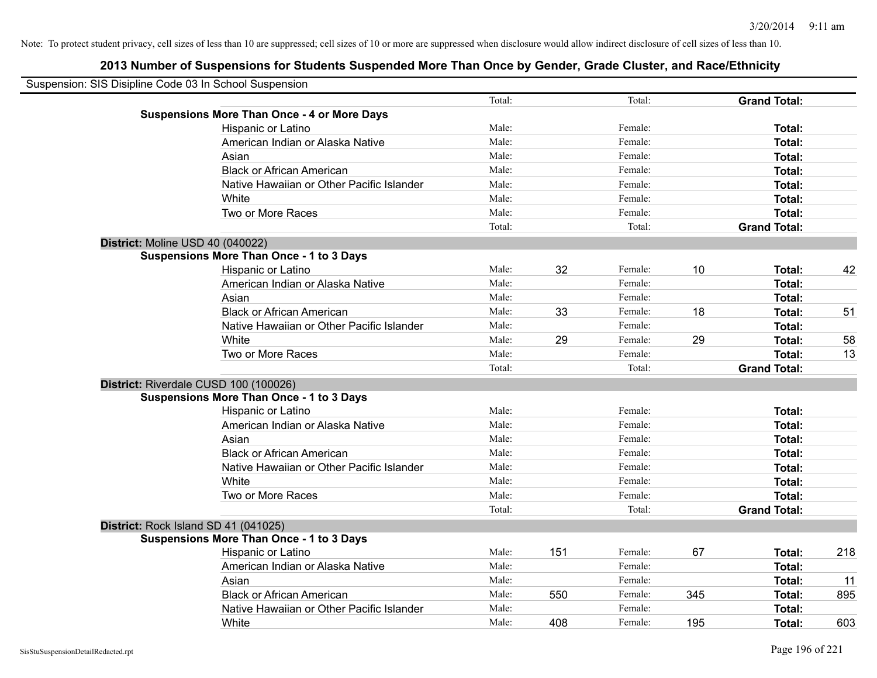| Suspension: SIS Disipline Code 03 In School Suspension |                                                    |        |     |         |     |                     |     |
|--------------------------------------------------------|----------------------------------------------------|--------|-----|---------|-----|---------------------|-----|
|                                                        |                                                    | Total: |     | Total:  |     | <b>Grand Total:</b> |     |
|                                                        | <b>Suspensions More Than Once - 4 or More Days</b> |        |     |         |     |                     |     |
|                                                        | Hispanic or Latino                                 | Male:  |     | Female: |     | Total:              |     |
|                                                        | American Indian or Alaska Native                   | Male:  |     | Female: |     | Total:              |     |
|                                                        | Asian                                              | Male:  |     | Female: |     | Total:              |     |
|                                                        | <b>Black or African American</b>                   | Male:  |     | Female: |     | Total:              |     |
|                                                        | Native Hawaiian or Other Pacific Islander          | Male:  |     | Female: |     | Total:              |     |
|                                                        | White                                              | Male:  |     | Female: |     | Total:              |     |
|                                                        | Two or More Races                                  | Male:  |     | Female: |     | Total:              |     |
|                                                        |                                                    | Total: |     | Total:  |     | <b>Grand Total:</b> |     |
|                                                        | District: Moline USD 40 (040022)                   |        |     |         |     |                     |     |
|                                                        | <b>Suspensions More Than Once - 1 to 3 Days</b>    |        |     |         |     |                     |     |
|                                                        | Hispanic or Latino                                 | Male:  | 32  | Female: | 10  | Total:              | 42  |
|                                                        | American Indian or Alaska Native                   | Male:  |     | Female: |     | Total:              |     |
|                                                        | Asian                                              | Male:  |     | Female: |     | Total:              |     |
|                                                        | <b>Black or African American</b>                   | Male:  | 33  | Female: | 18  | Total:              | 51  |
|                                                        | Native Hawaiian or Other Pacific Islander          | Male:  |     | Female: |     | Total:              |     |
|                                                        | White                                              | Male:  | 29  | Female: | 29  | Total:              | 58  |
|                                                        | Two or More Races                                  | Male:  |     | Female: |     | Total:              | 13  |
|                                                        |                                                    | Total: |     | Total:  |     | <b>Grand Total:</b> |     |
|                                                        | District: Riverdale CUSD 100 (100026)              |        |     |         |     |                     |     |
|                                                        | <b>Suspensions More Than Once - 1 to 3 Days</b>    |        |     |         |     |                     |     |
|                                                        | Hispanic or Latino                                 | Male:  |     | Female: |     | <b>Total:</b>       |     |
|                                                        | American Indian or Alaska Native                   | Male:  |     | Female: |     | Total:              |     |
|                                                        | Asian                                              | Male:  |     | Female: |     | Total:              |     |
|                                                        | <b>Black or African American</b>                   | Male:  |     | Female: |     | Total:              |     |
|                                                        | Native Hawaiian or Other Pacific Islander          | Male:  |     | Female: |     | Total:              |     |
|                                                        | White                                              | Male:  |     | Female: |     | Total:              |     |
|                                                        | Two or More Races                                  | Male:  |     | Female: |     | Total:              |     |
|                                                        |                                                    | Total: |     | Total:  |     | <b>Grand Total:</b> |     |
|                                                        | District: Rock Island SD 41 (041025)               |        |     |         |     |                     |     |
|                                                        | <b>Suspensions More Than Once - 1 to 3 Days</b>    |        |     |         |     |                     |     |
|                                                        | Hispanic or Latino                                 | Male:  | 151 | Female: | 67  | Total:              | 218 |
|                                                        | American Indian or Alaska Native                   | Male:  |     | Female: |     | Total:              |     |
|                                                        | Asian                                              | Male:  |     | Female: |     | Total:              | 11  |
|                                                        | <b>Black or African American</b>                   | Male:  | 550 | Female: | 345 | Total:              | 895 |
|                                                        | Native Hawaiian or Other Pacific Islander          | Male:  |     | Female: |     | Total:              |     |
|                                                        | White                                              | Male:  | 408 | Female: | 195 | Total:              | 603 |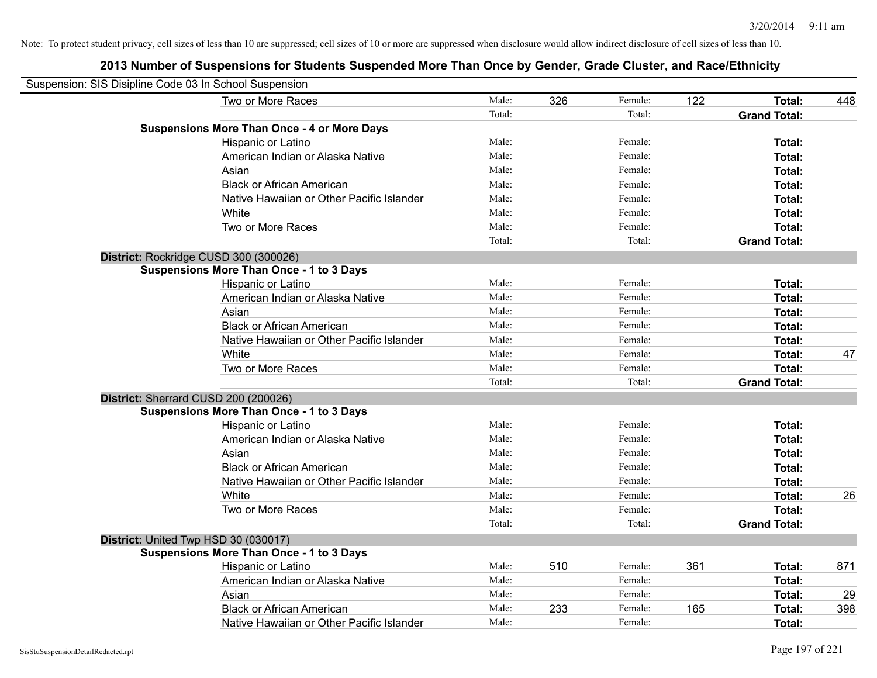| Suspension: SIS Disipline Code 03 In School Suspension |                                                    |        |     |         |     |                     |     |
|--------------------------------------------------------|----------------------------------------------------|--------|-----|---------|-----|---------------------|-----|
|                                                        | Two or More Races                                  | Male:  | 326 | Female: | 122 | Total:              | 448 |
|                                                        |                                                    | Total: |     | Total:  |     | <b>Grand Total:</b> |     |
|                                                        | <b>Suspensions More Than Once - 4 or More Days</b> |        |     |         |     |                     |     |
|                                                        | Hispanic or Latino                                 | Male:  |     | Female: |     | <b>Total:</b>       |     |
|                                                        | American Indian or Alaska Native                   | Male:  |     | Female: |     | <b>Total:</b>       |     |
|                                                        | Asian                                              | Male:  |     | Female: |     | Total:              |     |
|                                                        | <b>Black or African American</b>                   | Male:  |     | Female: |     | <b>Total:</b>       |     |
|                                                        | Native Hawaiian or Other Pacific Islander          | Male:  |     | Female: |     | <b>Total:</b>       |     |
|                                                        | White                                              | Male:  |     | Female: |     | Total:              |     |
|                                                        | Two or More Races                                  | Male:  |     | Female: |     | <b>Total:</b>       |     |
|                                                        |                                                    | Total: |     | Total:  |     | <b>Grand Total:</b> |     |
|                                                        | District: Rockridge CUSD 300 (300026)              |        |     |         |     |                     |     |
|                                                        | <b>Suspensions More Than Once - 1 to 3 Days</b>    |        |     |         |     |                     |     |
|                                                        | Hispanic or Latino                                 | Male:  |     | Female: |     | <b>Total:</b>       |     |
|                                                        | American Indian or Alaska Native                   | Male:  |     | Female: |     | <b>Total:</b>       |     |
|                                                        | Asian                                              | Male:  |     | Female: |     | <b>Total:</b>       |     |
|                                                        | <b>Black or African American</b>                   | Male:  |     | Female: |     | <b>Total:</b>       |     |
|                                                        | Native Hawaiian or Other Pacific Islander          | Male:  |     | Female: |     | Total:              |     |
|                                                        | White                                              | Male:  |     | Female: |     | Total:              | 47  |
|                                                        | Two or More Races                                  | Male:  |     | Female: |     | <b>Total:</b>       |     |
|                                                        |                                                    | Total: |     | Total:  |     | <b>Grand Total:</b> |     |
|                                                        | District: Sherrard CUSD 200 (200026)               |        |     |         |     |                     |     |
|                                                        | <b>Suspensions More Than Once - 1 to 3 Days</b>    |        |     |         |     |                     |     |
|                                                        | Hispanic or Latino                                 | Male:  |     | Female: |     | Total:              |     |
|                                                        | American Indian or Alaska Native                   | Male:  |     | Female: |     | <b>Total:</b>       |     |
|                                                        | Asian                                              | Male:  |     | Female: |     | <b>Total:</b>       |     |
|                                                        | <b>Black or African American</b>                   | Male:  |     | Female: |     | <b>Total:</b>       |     |
|                                                        | Native Hawaiian or Other Pacific Islander          | Male:  |     | Female: |     | <b>Total:</b>       |     |
|                                                        | White                                              | Male:  |     | Female: |     | Total:              | 26  |
|                                                        | Two or More Races                                  | Male:  |     | Female: |     | Total:              |     |
|                                                        |                                                    | Total: |     | Total:  |     | <b>Grand Total:</b> |     |
|                                                        | District: United Twp HSD 30 (030017)               |        |     |         |     |                     |     |
|                                                        | <b>Suspensions More Than Once - 1 to 3 Days</b>    |        |     |         |     |                     |     |
|                                                        | Hispanic or Latino                                 | Male:  | 510 | Female: | 361 | <b>Total:</b>       | 871 |
|                                                        | American Indian or Alaska Native                   | Male:  |     | Female: |     | Total:              |     |
|                                                        | Asian                                              | Male:  |     | Female: |     | <b>Total:</b>       | 29  |
|                                                        | <b>Black or African American</b>                   | Male:  | 233 | Female: | 165 | <b>Total:</b>       | 398 |
|                                                        | Native Hawaiian or Other Pacific Islander          | Male:  |     | Female: |     | <b>Total:</b>       |     |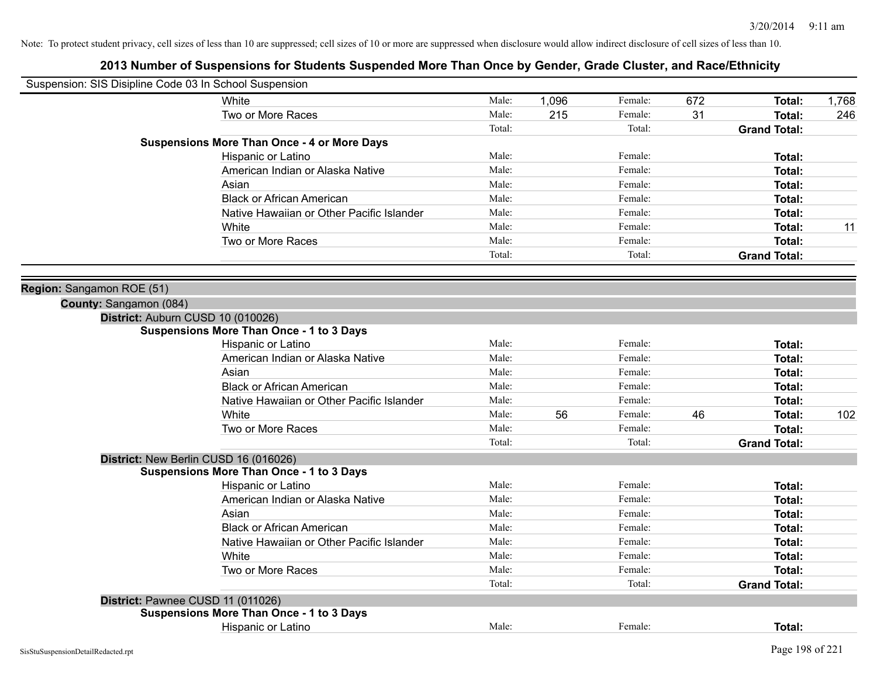| Suspension: SIS Disipline Code 03 In School Suspension                               |        |       |         |     |                     |       |
|--------------------------------------------------------------------------------------|--------|-------|---------|-----|---------------------|-------|
| White                                                                                | Male:  | 1,096 | Female: | 672 | Total:              | 1,768 |
| Two or More Races                                                                    | Male:  | 215   | Female: | 31  | Total:              | 246   |
|                                                                                      | Total: |       | Total:  |     | <b>Grand Total:</b> |       |
| <b>Suspensions More Than Once - 4 or More Days</b>                                   |        |       |         |     |                     |       |
| <b>Hispanic or Latino</b>                                                            | Male:  |       | Female: |     | Total:              |       |
| American Indian or Alaska Native                                                     | Male:  |       | Female: |     | Total:              |       |
| Asian                                                                                | Male:  |       | Female: |     | Total:              |       |
| <b>Black or African American</b>                                                     | Male:  |       | Female: |     | Total:              |       |
| Native Hawaiian or Other Pacific Islander                                            | Male:  |       | Female: |     | Total:              |       |
| White                                                                                | Male:  |       | Female: |     | Total:              | 11    |
| Two or More Races                                                                    | Male:  |       | Female: |     | Total:              |       |
|                                                                                      | Total: |       | Total:  |     | <b>Grand Total:</b> |       |
|                                                                                      |        |       |         |     |                     |       |
| Region: Sangamon ROE (51)                                                            |        |       |         |     |                     |       |
| County: Sangamon (084)                                                               |        |       |         |     |                     |       |
| District: Auburn CUSD 10 (010026)<br><b>Suspensions More Than Once - 1 to 3 Days</b> |        |       |         |     |                     |       |
|                                                                                      | Male:  |       | Female: |     | Total:              |       |
| Hispanic or Latino<br>American Indian or Alaska Native                               | Male:  |       | Female: |     | Total:              |       |
| Asian                                                                                | Male:  |       | Female: |     | Total:              |       |
| <b>Black or African American</b>                                                     | Male:  |       | Female: |     | Total:              |       |
|                                                                                      | Male:  |       | Female: |     |                     |       |
| Native Hawaiian or Other Pacific Islander                                            | Male:  |       | Female: |     | Total:              |       |
| White                                                                                |        | 56    |         | 46  | Total:              | 102   |
| Two or More Races                                                                    | Male:  |       | Female: |     | <b>Total:</b>       |       |
|                                                                                      | Total: |       | Total:  |     | <b>Grand Total:</b> |       |
| District: New Berlin CUSD 16 (016026)                                                |        |       |         |     |                     |       |
| <b>Suspensions More Than Once - 1 to 3 Days</b>                                      |        |       |         |     |                     |       |
| Hispanic or Latino                                                                   | Male:  |       | Female: |     | Total:              |       |
| American Indian or Alaska Native                                                     | Male:  |       | Female: |     | Total:              |       |
| Asian                                                                                | Male:  |       | Female: |     | Total:              |       |
| <b>Black or African American</b>                                                     | Male:  |       | Female: |     | Total:              |       |
| Native Hawaiian or Other Pacific Islander                                            | Male:  |       | Female: |     | Total:              |       |
| White                                                                                | Male:  |       | Female: |     | Total:              |       |
| Two or More Races                                                                    | Male:  |       | Female: |     | Total:              |       |
|                                                                                      | Total: |       | Total:  |     | <b>Grand Total:</b> |       |
| District: Pawnee CUSD 11 (011026)                                                    |        |       |         |     |                     |       |
| <b>Suspensions More Than Once - 1 to 3 Days</b>                                      |        |       |         |     |                     |       |
| Hispanic or Latino                                                                   | Male:  |       | Female: |     | Total:              |       |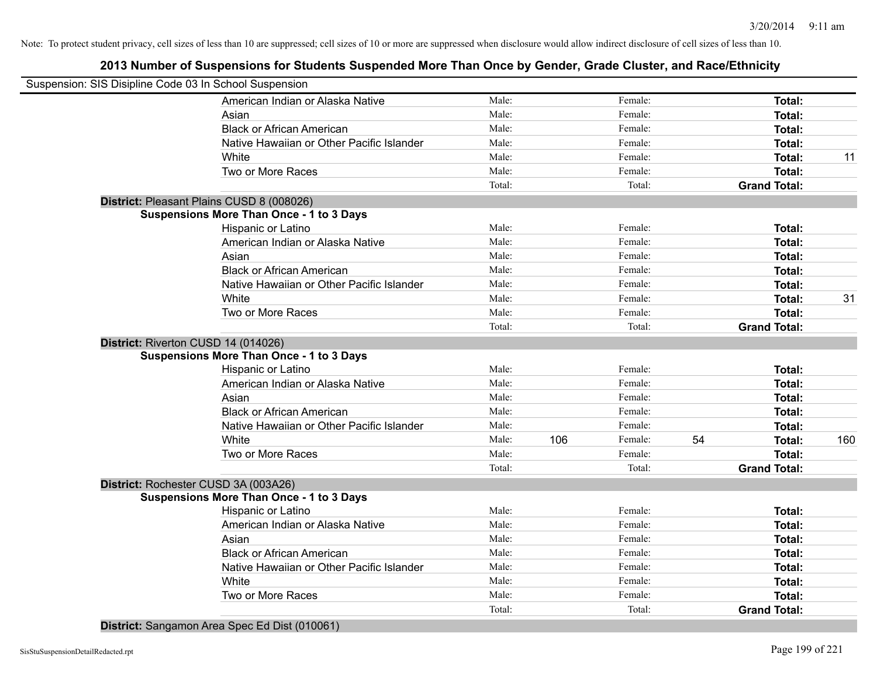# **2013 Number of Suspensions for Students Suspended More Than Once by Gender, Grade Cluster, and Race/Ethnicity**

| Suspension: SIS Disipline Code 03 In School Suspension |        |     |         |    |                     |     |
|--------------------------------------------------------|--------|-----|---------|----|---------------------|-----|
| American Indian or Alaska Native                       | Male:  |     | Female: |    | Total:              |     |
| Asian                                                  | Male:  |     | Female: |    | Total:              |     |
| <b>Black or African American</b>                       | Male:  |     | Female: |    | Total:              |     |
| Native Hawaiian or Other Pacific Islander              | Male:  |     | Female: |    | Total:              |     |
| White                                                  | Male:  |     | Female: |    | Total:              | 11  |
| Two or More Races                                      | Male:  |     | Female: |    | Total:              |     |
|                                                        | Total: |     | Total:  |    | <b>Grand Total:</b> |     |
| District: Pleasant Plains CUSD 8 (008026)              |        |     |         |    |                     |     |
| <b>Suspensions More Than Once - 1 to 3 Days</b>        |        |     |         |    |                     |     |
| Hispanic or Latino                                     | Male:  |     | Female: |    | Total:              |     |
| American Indian or Alaska Native                       | Male:  |     | Female: |    | Total:              |     |
| Asian                                                  | Male:  |     | Female: |    | Total:              |     |
| <b>Black or African American</b>                       | Male:  |     | Female: |    | Total:              |     |
| Native Hawaiian or Other Pacific Islander              | Male:  |     | Female: |    | Total:              |     |
| White                                                  | Male:  |     | Female: |    | Total:              | 31  |
| Two or More Races                                      | Male:  |     | Female: |    | Total:              |     |
|                                                        | Total: |     | Total:  |    | <b>Grand Total:</b> |     |
| District: Riverton CUSD 14 (014026)                    |        |     |         |    |                     |     |
| <b>Suspensions More Than Once - 1 to 3 Days</b>        |        |     |         |    |                     |     |
| Hispanic or Latino                                     | Male:  |     | Female: |    | Total:              |     |
| American Indian or Alaska Native                       | Male:  |     | Female: |    | Total:              |     |
| Asian                                                  | Male:  |     | Female: |    | Total:              |     |
| <b>Black or African American</b>                       | Male:  |     | Female: |    | Total:              |     |
| Native Hawaiian or Other Pacific Islander              | Male:  |     | Female: |    | Total:              |     |
| White                                                  | Male:  | 106 | Female: | 54 | Total:              | 160 |
| Two or More Races                                      | Male:  |     | Female: |    | Total:              |     |
|                                                        | Total: |     | Total:  |    | <b>Grand Total:</b> |     |
| District: Rochester CUSD 3A (003A26)                   |        |     |         |    |                     |     |
| <b>Suspensions More Than Once - 1 to 3 Days</b>        |        |     |         |    |                     |     |
| Hispanic or Latino                                     | Male:  |     | Female: |    | Total:              |     |
| American Indian or Alaska Native                       | Male:  |     | Female: |    | Total:              |     |
| Asian                                                  | Male:  |     | Female: |    | Total:              |     |
| <b>Black or African American</b>                       | Male:  |     | Female: |    | Total:              |     |
| Native Hawaiian or Other Pacific Islander              | Male:  |     | Female: |    | Total:              |     |
| White                                                  | Male:  |     | Female: |    | Total:              |     |
| Two or More Races                                      | Male:  |     | Female: |    | Total:              |     |
|                                                        | Total: |     | Total:  |    | <b>Grand Total:</b> |     |
|                                                        |        |     |         |    |                     |     |

**District:** Sangamon Area Spec Ed Dist (010061)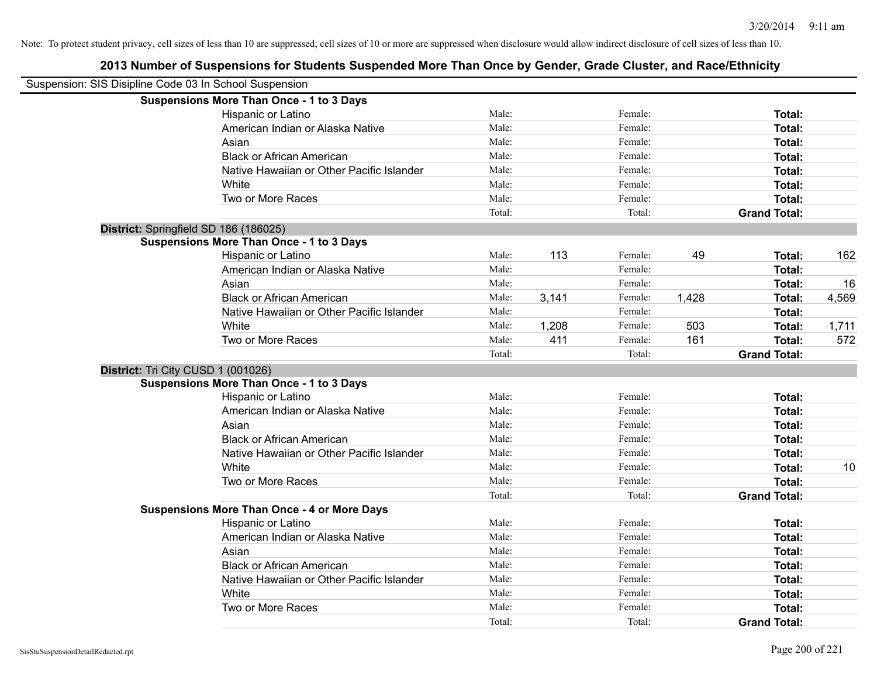| Suspension: SIS Disipline Code 03 In School Suspension |                                                    |        |       |         |       |                     |       |
|--------------------------------------------------------|----------------------------------------------------|--------|-------|---------|-------|---------------------|-------|
|                                                        | <b>Suspensions More Than Once - 1 to 3 Days</b>    |        |       |         |       |                     |       |
|                                                        | Hispanic or Latino                                 | Male:  |       | Female: |       | Total:              |       |
|                                                        | American Indian or Alaska Native                   | Male:  |       | Female: |       | Total:              |       |
|                                                        | Asian                                              | Male:  |       | Female: |       | Total:              |       |
|                                                        | <b>Black or African American</b>                   | Male:  |       | Female: |       | Total:              |       |
|                                                        | Native Hawaiian or Other Pacific Islander          | Male:  |       | Female: |       | Total:              |       |
|                                                        | White                                              | Male:  |       | Female: |       | Total:              |       |
|                                                        | Two or More Races                                  | Male:  |       | Female: |       | Total:              |       |
|                                                        |                                                    | Total: |       | Total:  |       | <b>Grand Total:</b> |       |
|                                                        | District: Springfield SD 186 (186025)              |        |       |         |       |                     |       |
|                                                        | <b>Suspensions More Than Once - 1 to 3 Days</b>    |        |       |         |       |                     |       |
|                                                        | Hispanic or Latino                                 | Male:  | 113   | Female: | 49    | Total:              | 162   |
|                                                        | American Indian or Alaska Native                   | Male:  |       | Female: |       | Total:              |       |
|                                                        | Asian                                              | Male:  |       | Female: |       | Total:              | 16    |
|                                                        | <b>Black or African American</b>                   | Male:  | 3,141 | Female: | 1,428 | Total:              | 4,569 |
|                                                        | Native Hawaiian or Other Pacific Islander          | Male:  |       | Female: |       | Total:              |       |
|                                                        | White                                              | Male:  | 1,208 | Female: | 503   | Total:              | 1,711 |
|                                                        | Two or More Races                                  | Male:  | 411   | Female: | 161   | Total:              | 572   |
|                                                        |                                                    | Total: |       | Total:  |       | <b>Grand Total:</b> |       |
|                                                        | District: Tri City CUSD 1 (001026)                 |        |       |         |       |                     |       |
|                                                        | <b>Suspensions More Than Once - 1 to 3 Days</b>    |        |       |         |       |                     |       |
|                                                        | Hispanic or Latino                                 | Male:  |       | Female: |       | Total:              |       |
|                                                        | American Indian or Alaska Native                   | Male:  |       | Female: |       | Total:              |       |
|                                                        | Asian                                              | Male:  |       | Female: |       | Total:              |       |
|                                                        | <b>Black or African American</b>                   | Male:  |       | Female: |       | Total:              |       |
|                                                        | Native Hawaiian or Other Pacific Islander          | Male:  |       | Female: |       | Total:              |       |
|                                                        | White                                              | Male:  |       | Female: |       | Total:              | 10    |
|                                                        | Two or More Races                                  | Male:  |       | Female: |       | Total:              |       |
|                                                        |                                                    | Total: |       | Total:  |       | <b>Grand Total:</b> |       |
|                                                        | <b>Suspensions More Than Once - 4 or More Days</b> |        |       |         |       |                     |       |
|                                                        | Hispanic or Latino                                 | Male:  |       | Female: |       | Total:              |       |
|                                                        | American Indian or Alaska Native                   | Male:  |       | Female: |       | Total:              |       |
|                                                        | Asian                                              | Male:  |       | Female: |       | Total:              |       |
|                                                        | <b>Black or African American</b>                   | Male:  |       | Female: |       | Total:              |       |
|                                                        | Native Hawaiian or Other Pacific Islander          | Male:  |       | Female: |       | Total:              |       |
|                                                        | White                                              | Male:  |       | Female: |       | Total:              |       |
|                                                        | Two or More Races                                  | Male:  |       | Female: |       | Total:              |       |
|                                                        |                                                    | Total: |       | Total:  |       | <b>Grand Total:</b> |       |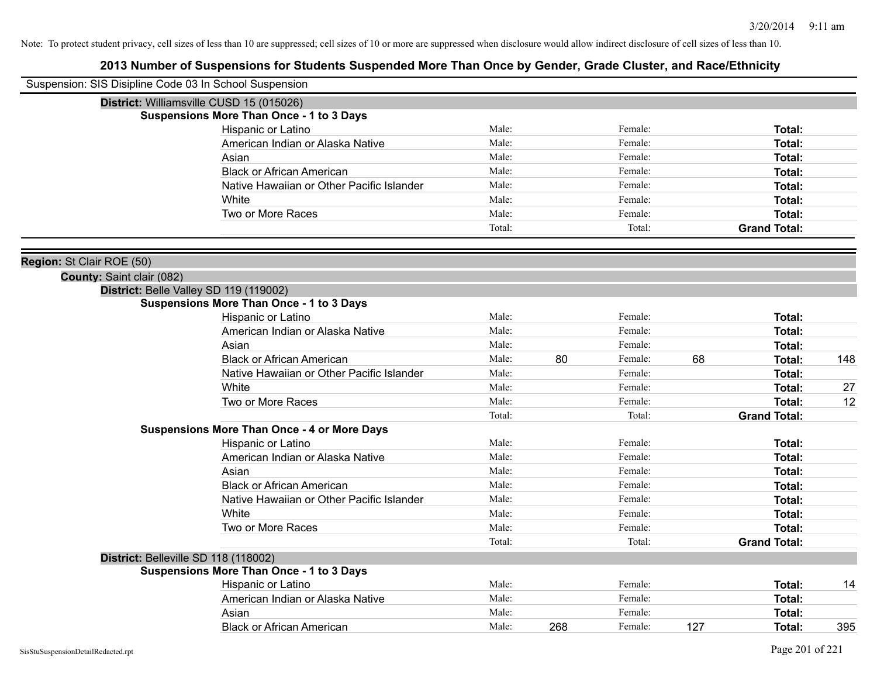| Suspension: SIS Disipline Code 03 In School Suspension |                                                    |        |     |         |     |                     |     |
|--------------------------------------------------------|----------------------------------------------------|--------|-----|---------|-----|---------------------|-----|
|                                                        | District: Williamsville CUSD 15 (015026)           |        |     |         |     |                     |     |
|                                                        | <b>Suspensions More Than Once - 1 to 3 Days</b>    |        |     |         |     |                     |     |
|                                                        | Hispanic or Latino                                 | Male:  |     | Female: |     | Total:              |     |
|                                                        | American Indian or Alaska Native                   | Male:  |     | Female: |     | Total:              |     |
|                                                        | Asian                                              | Male:  |     | Female: |     | Total:              |     |
|                                                        | <b>Black or African American</b>                   | Male:  |     | Female: |     | Total:              |     |
|                                                        | Native Hawaiian or Other Pacific Islander          | Male:  |     | Female: |     | Total:              |     |
|                                                        | White                                              | Male:  |     | Female: |     | Total:              |     |
|                                                        | Two or More Races                                  | Male:  |     | Female: |     | Total:              |     |
|                                                        |                                                    | Total: |     | Total:  |     | <b>Grand Total:</b> |     |
| Region: St Clair ROE (50)                              |                                                    |        |     |         |     |                     |     |
| County: Saint clair (082)                              |                                                    |        |     |         |     |                     |     |
|                                                        | District: Belle Valley SD 119 (119002)             |        |     |         |     |                     |     |
|                                                        | <b>Suspensions More Than Once - 1 to 3 Days</b>    |        |     |         |     |                     |     |
|                                                        | Hispanic or Latino                                 | Male:  |     | Female: |     | Total:              |     |
|                                                        | American Indian or Alaska Native                   | Male:  |     | Female: |     | Total:              |     |
|                                                        | Asian                                              | Male:  |     | Female: |     | Total:              |     |
|                                                        | <b>Black or African American</b>                   | Male:  | 80  | Female: | 68  | Total:              | 148 |
|                                                        | Native Hawaiian or Other Pacific Islander          | Male:  |     | Female: |     | Total:              |     |
|                                                        | White                                              | Male:  |     | Female: |     | Total:              | 27  |
|                                                        | Two or More Races                                  | Male:  |     | Female: |     | Total:              | 12  |
|                                                        |                                                    | Total: |     | Total:  |     | <b>Grand Total:</b> |     |
|                                                        | <b>Suspensions More Than Once - 4 or More Days</b> |        |     |         |     |                     |     |
|                                                        | Hispanic or Latino                                 | Male:  |     | Female: |     | Total:              |     |
|                                                        | American Indian or Alaska Native                   | Male:  |     | Female: |     | Total:              |     |
|                                                        | Asian                                              | Male:  |     | Female: |     | Total:              |     |
|                                                        | <b>Black or African American</b>                   | Male:  |     | Female: |     | Total:              |     |
|                                                        | Native Hawaiian or Other Pacific Islander          | Male:  |     | Female: |     | Total:              |     |
|                                                        | White                                              | Male:  |     | Female: |     | Total:              |     |
|                                                        | Two or More Races                                  | Male:  |     | Female: |     | Total:              |     |
|                                                        |                                                    | Total: |     | Total:  |     | <b>Grand Total:</b> |     |
| District: Belleville SD 118 (118002)                   | <b>Suspensions More Than Once - 1 to 3 Days</b>    |        |     |         |     |                     |     |
|                                                        | Hispanic or Latino                                 | Male:  |     | Female: |     | Total:              | 14  |
|                                                        | American Indian or Alaska Native                   | Male:  |     | Female: |     | Total:              |     |
|                                                        | Asian                                              | Male:  |     | Female: |     | Total:              |     |
|                                                        | <b>Black or African American</b>                   | Male:  | 268 | Female: | 127 | Total:              | 395 |
|                                                        |                                                    |        |     |         |     |                     |     |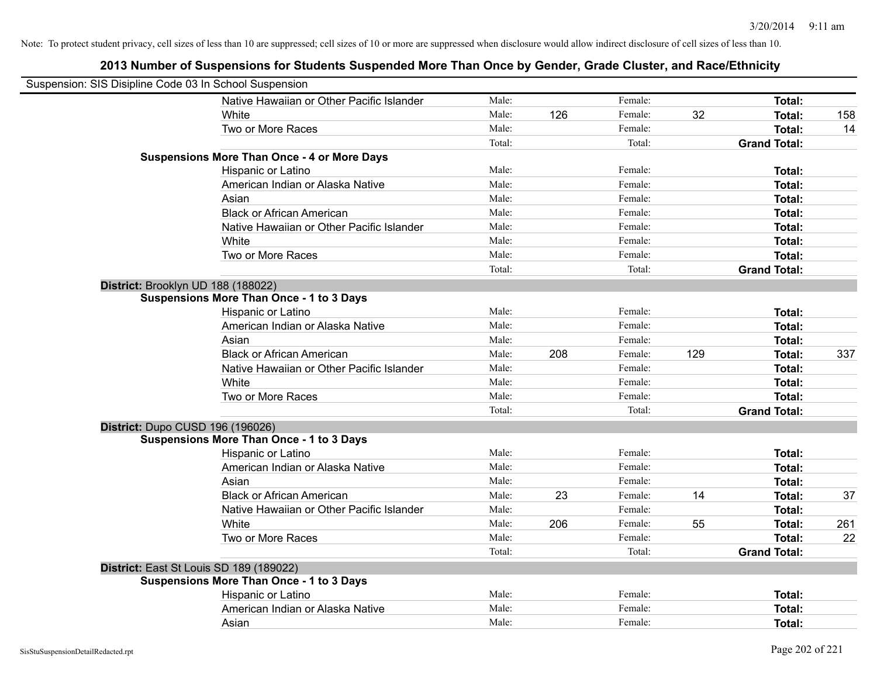| Suspension: SIS Disipline Code 03 In School Suspension |                                                    |        |     |         |     |                     |     |
|--------------------------------------------------------|----------------------------------------------------|--------|-----|---------|-----|---------------------|-----|
|                                                        | Native Hawaiian or Other Pacific Islander          | Male:  |     | Female: |     | Total:              |     |
|                                                        | White                                              | Male:  | 126 | Female: | 32  | Total:              | 158 |
|                                                        | Two or More Races                                  | Male:  |     | Female: |     | Total:              | 14  |
|                                                        |                                                    | Total: |     | Total:  |     | <b>Grand Total:</b> |     |
|                                                        | <b>Suspensions More Than Once - 4 or More Days</b> |        |     |         |     |                     |     |
|                                                        | Hispanic or Latino                                 | Male:  |     | Female: |     | Total:              |     |
|                                                        | American Indian or Alaska Native                   | Male:  |     | Female: |     | Total:              |     |
|                                                        | Asian                                              | Male:  |     | Female: |     | Total:              |     |
|                                                        | <b>Black or African American</b>                   | Male:  |     | Female: |     | Total:              |     |
|                                                        | Native Hawaiian or Other Pacific Islander          | Male:  |     | Female: |     | Total:              |     |
|                                                        | White                                              | Male:  |     | Female: |     | Total:              |     |
|                                                        | Two or More Races                                  | Male:  |     | Female: |     | Total:              |     |
|                                                        |                                                    | Total: |     | Total:  |     | <b>Grand Total:</b> |     |
| District: Brooklyn UD 188 (188022)                     |                                                    |        |     |         |     |                     |     |
|                                                        | <b>Suspensions More Than Once - 1 to 3 Days</b>    |        |     |         |     |                     |     |
|                                                        | Hispanic or Latino                                 | Male:  |     | Female: |     | Total:              |     |
|                                                        | American Indian or Alaska Native                   | Male:  |     | Female: |     | Total:              |     |
|                                                        | Asian                                              | Male:  |     | Female: |     | Total:              |     |
|                                                        | <b>Black or African American</b>                   | Male:  | 208 | Female: | 129 | Total:              | 337 |
|                                                        | Native Hawaiian or Other Pacific Islander          | Male:  |     | Female: |     | Total:              |     |
|                                                        | White                                              | Male:  |     | Female: |     | Total:              |     |
|                                                        | Two or More Races                                  | Male:  |     | Female: |     | Total:              |     |
|                                                        |                                                    | Total: |     | Total:  |     | <b>Grand Total:</b> |     |
| District: Dupo CUSD 196 (196026)                       |                                                    |        |     |         |     |                     |     |
|                                                        | <b>Suspensions More Than Once - 1 to 3 Days</b>    |        |     |         |     |                     |     |
|                                                        | Hispanic or Latino                                 | Male:  |     | Female: |     | Total:              |     |
|                                                        | American Indian or Alaska Native                   | Male:  |     | Female: |     | Total:              |     |
|                                                        | Asian                                              | Male:  |     | Female: |     | Total:              |     |
|                                                        | <b>Black or African American</b>                   | Male:  | 23  | Female: | 14  | Total:              | 37  |
|                                                        | Native Hawaiian or Other Pacific Islander          | Male:  |     | Female: |     | Total:              |     |
|                                                        | White                                              | Male:  | 206 | Female: | 55  | Total:              | 261 |
|                                                        | Two or More Races                                  | Male:  |     | Female: |     | Total:              | 22  |
|                                                        |                                                    | Total: |     | Total:  |     | <b>Grand Total:</b> |     |
| District: East St Louis SD 189 (189022)                |                                                    |        |     |         |     |                     |     |
|                                                        | <b>Suspensions More Than Once - 1 to 3 Days</b>    |        |     |         |     |                     |     |
|                                                        | Hispanic or Latino                                 | Male:  |     | Female: |     | Total:              |     |
|                                                        | American Indian or Alaska Native                   | Male:  |     | Female: |     | Total:              |     |
|                                                        | Asian                                              | Male:  |     | Female: |     | Total:              |     |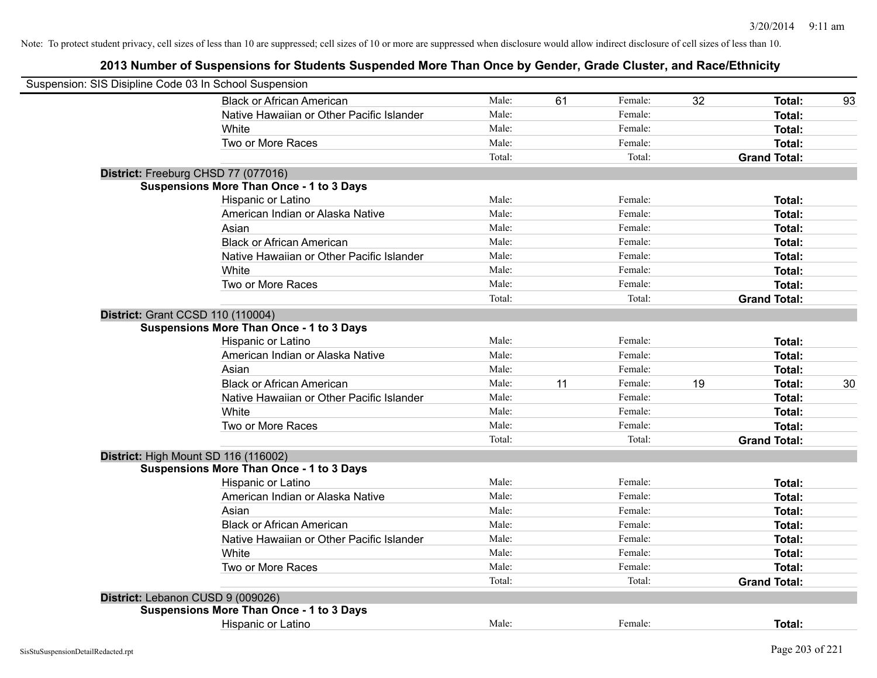| Suspension: SIS Disipline Code 03 In School Suspension |                                                 |        |    |         |    |                     |    |
|--------------------------------------------------------|-------------------------------------------------|--------|----|---------|----|---------------------|----|
|                                                        | <b>Black or African American</b>                | Male:  | 61 | Female: | 32 | Total:              | 93 |
|                                                        | Native Hawaiian or Other Pacific Islander       | Male:  |    | Female: |    | <b>Total:</b>       |    |
|                                                        | White                                           | Male:  |    | Female: |    | Total:              |    |
|                                                        | Two or More Races                               | Male:  |    | Female: |    | Total:              |    |
|                                                        |                                                 | Total: |    | Total:  |    | <b>Grand Total:</b> |    |
| District: Freeburg CHSD 77 (077016)                    |                                                 |        |    |         |    |                     |    |
|                                                        | <b>Suspensions More Than Once - 1 to 3 Days</b> |        |    |         |    |                     |    |
|                                                        | Hispanic or Latino                              | Male:  |    | Female: |    | Total:              |    |
|                                                        | American Indian or Alaska Native                | Male:  |    | Female: |    | Total:              |    |
|                                                        | Asian                                           | Male:  |    | Female: |    | Total:              |    |
|                                                        | <b>Black or African American</b>                | Male:  |    | Female: |    | Total:              |    |
|                                                        | Native Hawaiian or Other Pacific Islander       | Male:  |    | Female: |    | <b>Total:</b>       |    |
|                                                        | White                                           | Male:  |    | Female: |    | Total:              |    |
|                                                        | Two or More Races                               | Male:  |    | Female: |    | Total:              |    |
|                                                        |                                                 | Total: |    | Total:  |    | <b>Grand Total:</b> |    |
| District: Grant CCSD 110 (110004)                      |                                                 |        |    |         |    |                     |    |
|                                                        | <b>Suspensions More Than Once - 1 to 3 Days</b> |        |    |         |    |                     |    |
|                                                        | Hispanic or Latino                              | Male:  |    | Female: |    | Total:              |    |
|                                                        | American Indian or Alaska Native                | Male:  |    | Female: |    | Total:              |    |
|                                                        | Asian                                           | Male:  |    | Female: |    | Total:              |    |
|                                                        | <b>Black or African American</b>                | Male:  | 11 | Female: | 19 | Total:              | 30 |
|                                                        | Native Hawaiian or Other Pacific Islander       | Male:  |    | Female: |    | <b>Total:</b>       |    |
|                                                        | White                                           | Male:  |    | Female: |    | Total:              |    |
|                                                        | Two or More Races                               | Male:  |    | Female: |    | Total:              |    |
|                                                        |                                                 | Total: |    | Total:  |    | <b>Grand Total:</b> |    |
| District: High Mount SD 116 (116002)                   |                                                 |        |    |         |    |                     |    |
|                                                        | <b>Suspensions More Than Once - 1 to 3 Days</b> |        |    |         |    |                     |    |
|                                                        | Hispanic or Latino                              | Male:  |    | Female: |    | Total:              |    |
|                                                        | American Indian or Alaska Native                | Male:  |    | Female: |    | Total:              |    |
|                                                        | Asian                                           | Male:  |    | Female: |    | Total:              |    |
|                                                        | <b>Black or African American</b>                | Male:  |    | Female: |    | Total:              |    |
|                                                        | Native Hawaiian or Other Pacific Islander       | Male:  |    | Female: |    | Total:              |    |
|                                                        | White                                           | Male:  |    | Female: |    | Total:              |    |
|                                                        | Two or More Races                               | Male:  |    | Female: |    | Total:              |    |
|                                                        |                                                 | Total: |    | Total:  |    | <b>Grand Total:</b> |    |
| District: Lebanon CUSD 9 (009026)                      |                                                 |        |    |         |    |                     |    |
|                                                        | <b>Suspensions More Than Once - 1 to 3 Days</b> |        |    |         |    |                     |    |
|                                                        | Hispanic or Latino                              | Male:  |    | Female: |    | Total:              |    |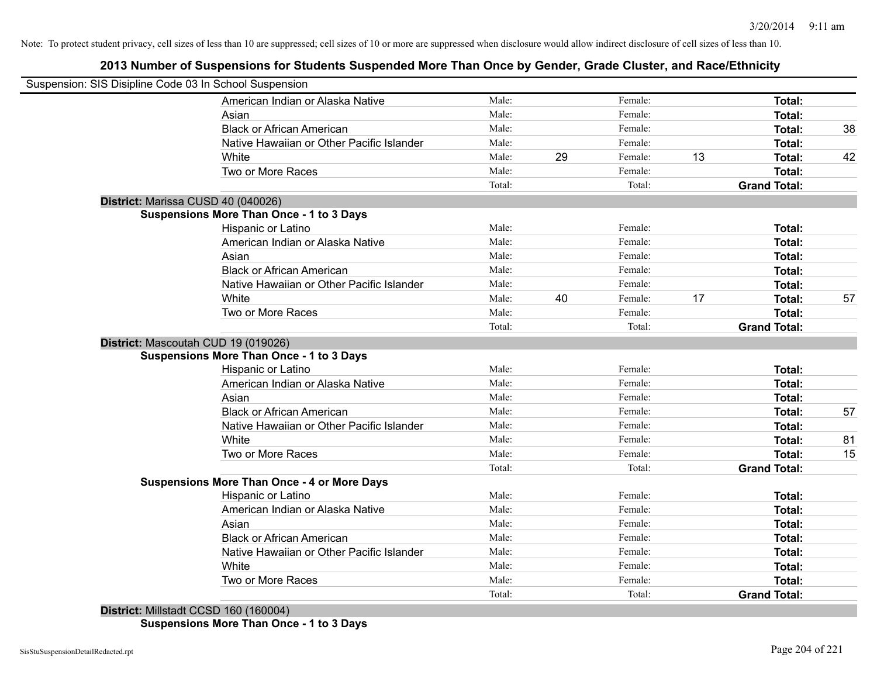# **2013 Number of Suspensions for Students Suspended More Than Once by Gender, Grade Cluster, and Race/Ethnicity**

| Suspension: SIS Disipline Code 03 In School Suspension |        |    |         |    |                     |    |
|--------------------------------------------------------|--------|----|---------|----|---------------------|----|
| American Indian or Alaska Native                       | Male:  |    | Female: |    | Total:              |    |
| Asian                                                  | Male:  |    | Female: |    | Total:              |    |
| <b>Black or African American</b>                       | Male:  |    | Female: |    | Total:              | 38 |
| Native Hawaiian or Other Pacific Islander              | Male:  |    | Female: |    | Total:              |    |
| White                                                  | Male:  | 29 | Female: | 13 | Total:              | 42 |
| Two or More Races                                      | Male:  |    | Female: |    | Total:              |    |
|                                                        | Total: |    | Total:  |    | <b>Grand Total:</b> |    |
| District: Marissa CUSD 40 (040026)                     |        |    |         |    |                     |    |
| <b>Suspensions More Than Once - 1 to 3 Days</b>        |        |    |         |    |                     |    |
| Hispanic or Latino                                     | Male:  |    | Female: |    | <b>Total:</b>       |    |
| American Indian or Alaska Native                       | Male:  |    | Female: |    | <b>Total:</b>       |    |
| Asian                                                  | Male:  |    | Female: |    | <b>Total:</b>       |    |
| <b>Black or African American</b>                       | Male:  |    | Female: |    | <b>Total:</b>       |    |
| Native Hawaiian or Other Pacific Islander              | Male:  |    | Female: |    | Total:              |    |
| White                                                  | Male:  | 40 | Female: | 17 | Total:              | 57 |
| Two or More Races                                      | Male:  |    | Female: |    | Total:              |    |
|                                                        | Total: |    | Total:  |    | <b>Grand Total:</b> |    |
| District: Mascoutah CUD 19 (019026)                    |        |    |         |    |                     |    |
| <b>Suspensions More Than Once - 1 to 3 Days</b>        |        |    |         |    |                     |    |
| Hispanic or Latino                                     | Male:  |    | Female: |    | Total:              |    |
| American Indian or Alaska Native                       | Male:  |    | Female: |    | <b>Total:</b>       |    |
| Asian                                                  | Male:  |    | Female: |    | Total:              |    |
| <b>Black or African American</b>                       | Male:  |    | Female: |    | Total:              | 57 |
| Native Hawaiian or Other Pacific Islander              | Male:  |    | Female: |    | Total:              |    |
| White                                                  | Male:  |    | Female: |    | Total:              | 81 |
| Two or More Races                                      | Male:  |    | Female: |    | <b>Total:</b>       | 15 |
|                                                        | Total: |    | Total:  |    | <b>Grand Total:</b> |    |
| <b>Suspensions More Than Once - 4 or More Days</b>     |        |    |         |    |                     |    |
| Hispanic or Latino                                     | Male:  |    | Female: |    | <b>Total:</b>       |    |
| American Indian or Alaska Native                       | Male:  |    | Female: |    | Total:              |    |
| Asian                                                  | Male:  |    | Female: |    | <b>Total:</b>       |    |
| <b>Black or African American</b>                       | Male:  |    | Female: |    | <b>Total:</b>       |    |
| Native Hawaiian or Other Pacific Islander              | Male:  |    | Female: |    | <b>Total:</b>       |    |
| White                                                  | Male:  |    | Female: |    | <b>Total:</b>       |    |
| Two or More Races                                      | Male:  |    | Female: |    | <b>Total:</b>       |    |
|                                                        | Total: |    | Total:  |    | <b>Grand Total:</b> |    |

**Suspensions More Than Once - 1 to 3 Days**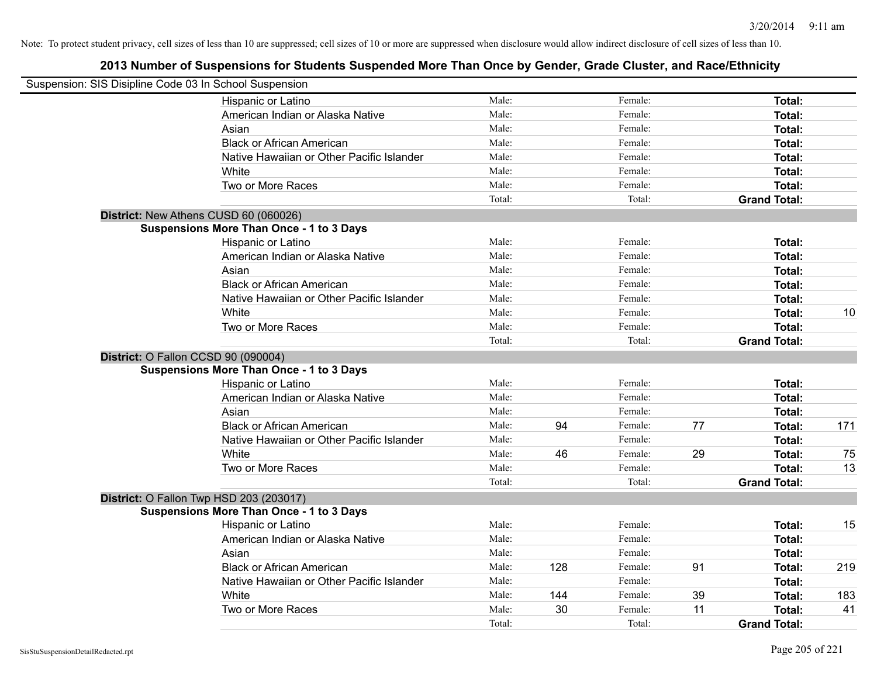| Suspension: SIS Disipline Code 03 In School Suspension |                                                 |        |     |         |    |                     |     |
|--------------------------------------------------------|-------------------------------------------------|--------|-----|---------|----|---------------------|-----|
|                                                        | Hispanic or Latino                              | Male:  |     | Female: |    | Total:              |     |
|                                                        | American Indian or Alaska Native                | Male:  |     | Female: |    | Total:              |     |
|                                                        | Asian                                           | Male:  |     | Female: |    | Total:              |     |
|                                                        | <b>Black or African American</b>                | Male:  |     | Female: |    | Total:              |     |
|                                                        | Native Hawaiian or Other Pacific Islander       | Male:  |     | Female: |    | Total:              |     |
|                                                        | White                                           | Male:  |     | Female: |    | Total:              |     |
|                                                        | Two or More Races                               | Male:  |     | Female: |    | Total:              |     |
|                                                        |                                                 | Total: |     | Total:  |    | <b>Grand Total:</b> |     |
| District: New Athens CUSD 60 (060026)                  |                                                 |        |     |         |    |                     |     |
|                                                        | <b>Suspensions More Than Once - 1 to 3 Days</b> |        |     |         |    |                     |     |
|                                                        | Hispanic or Latino                              | Male:  |     | Female: |    | Total:              |     |
|                                                        | American Indian or Alaska Native                | Male:  |     | Female: |    | Total:              |     |
|                                                        | Asian                                           | Male:  |     | Female: |    | Total:              |     |
|                                                        | <b>Black or African American</b>                | Male:  |     | Female: |    | Total:              |     |
|                                                        | Native Hawaiian or Other Pacific Islander       | Male:  |     | Female: |    | Total:              |     |
|                                                        | White                                           | Male:  |     | Female: |    | Total:              | 10  |
|                                                        | Two or More Races                               | Male:  |     | Female: |    | <b>Total:</b>       |     |
|                                                        |                                                 | Total: |     | Total:  |    | <b>Grand Total:</b> |     |
| District: O Fallon CCSD 90 (090004)                    |                                                 |        |     |         |    |                     |     |
|                                                        | <b>Suspensions More Than Once - 1 to 3 Days</b> |        |     |         |    |                     |     |
|                                                        | Hispanic or Latino                              | Male:  |     | Female: |    | Total:              |     |
|                                                        | American Indian or Alaska Native                | Male:  |     | Female: |    | Total:              |     |
|                                                        | Asian                                           | Male:  |     | Female: |    | Total:              |     |
|                                                        | <b>Black or African American</b>                | Male:  | 94  | Female: | 77 | Total:              | 171 |
|                                                        | Native Hawaiian or Other Pacific Islander       | Male:  |     | Female: |    | <b>Total:</b>       |     |
|                                                        | White                                           | Male:  | 46  | Female: | 29 | Total:              | 75  |
|                                                        | Two or More Races                               | Male:  |     | Female: |    | <b>Total:</b>       | 13  |
|                                                        |                                                 | Total: |     | Total:  |    | <b>Grand Total:</b> |     |
|                                                        | District: O Fallon Twp HSD 203 (203017)         |        |     |         |    |                     |     |
|                                                        | <b>Suspensions More Than Once - 1 to 3 Days</b> |        |     |         |    |                     |     |
|                                                        | Hispanic or Latino                              | Male:  |     | Female: |    | Total:              | 15  |
|                                                        | American Indian or Alaska Native                | Male:  |     | Female: |    | Total:              |     |
|                                                        | Asian                                           | Male:  |     | Female: |    | Total:              |     |
|                                                        | <b>Black or African American</b>                | Male:  | 128 | Female: | 91 | Total:              | 219 |
|                                                        | Native Hawaiian or Other Pacific Islander       | Male:  |     | Female: |    | Total:              |     |
|                                                        | White                                           | Male:  | 144 | Female: | 39 | <b>Total:</b>       | 183 |
|                                                        | Two or More Races                               | Male:  | 30  | Female: | 11 | <b>Total:</b>       | 41  |
|                                                        |                                                 | Total: |     | Total:  |    | <b>Grand Total:</b> |     |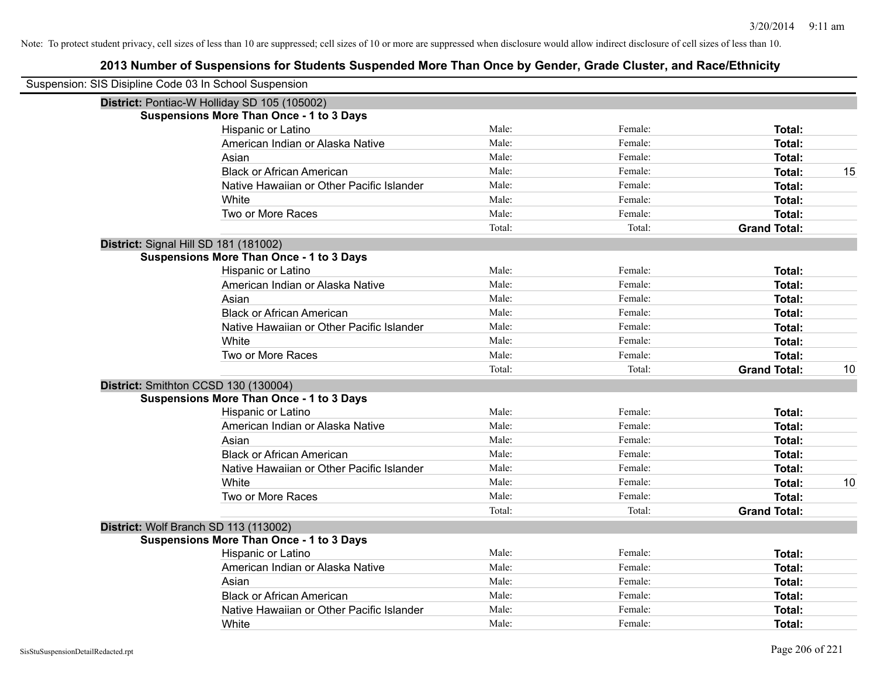| Suspension: SIS Disipline Code 03 In School Suspension |                                                 |        |         |                     |    |
|--------------------------------------------------------|-------------------------------------------------|--------|---------|---------------------|----|
|                                                        | District: Pontiac-W Holliday SD 105 (105002)    |        |         |                     |    |
|                                                        | <b>Suspensions More Than Once - 1 to 3 Days</b> |        |         |                     |    |
|                                                        | Hispanic or Latino                              | Male:  | Female: | Total:              |    |
|                                                        | American Indian or Alaska Native                | Male:  | Female: | Total:              |    |
|                                                        | Asian                                           | Male:  | Female: | Total:              |    |
|                                                        | <b>Black or African American</b>                | Male:  | Female: | Total:              | 15 |
|                                                        | Native Hawaiian or Other Pacific Islander       | Male:  | Female: | Total:              |    |
|                                                        | White                                           | Male:  | Female: | Total:              |    |
|                                                        | Two or More Races                               | Male:  | Female: | Total:              |    |
|                                                        |                                                 | Total: | Total:  | <b>Grand Total:</b> |    |
|                                                        | District: Signal Hill SD 181 (181002)           |        |         |                     |    |
|                                                        | <b>Suspensions More Than Once - 1 to 3 Days</b> |        |         |                     |    |
|                                                        | Hispanic or Latino                              | Male:  | Female: | Total:              |    |
|                                                        | American Indian or Alaska Native                | Male:  | Female: | Total:              |    |
|                                                        | Asian                                           | Male:  | Female: | Total:              |    |
|                                                        | <b>Black or African American</b>                | Male:  | Female: | Total:              |    |
|                                                        | Native Hawaiian or Other Pacific Islander       | Male:  | Female: | Total:              |    |
|                                                        | White                                           | Male:  | Female: | Total:              |    |
|                                                        | Two or More Races                               | Male:  | Female: | Total:              |    |
|                                                        |                                                 | Total: | Total:  | <b>Grand Total:</b> | 10 |
|                                                        | District: Smithton CCSD 130 (130004)            |        |         |                     |    |
|                                                        | <b>Suspensions More Than Once - 1 to 3 Days</b> |        |         |                     |    |
|                                                        | Hispanic or Latino                              | Male:  | Female: | Total:              |    |
|                                                        | American Indian or Alaska Native                | Male:  | Female: | Total:              |    |
|                                                        | Asian                                           | Male:  | Female: | Total:              |    |
|                                                        | <b>Black or African American</b>                | Male:  | Female: | Total:              |    |
|                                                        | Native Hawaiian or Other Pacific Islander       | Male:  | Female: | Total:              |    |
|                                                        | White                                           | Male:  | Female: | Total:              | 10 |
|                                                        | Two or More Races                               | Male:  | Female: | Total:              |    |
|                                                        |                                                 | Total: | Total:  | <b>Grand Total:</b> |    |
|                                                        | District: Wolf Branch SD 113 (113002)           |        |         |                     |    |
|                                                        | <b>Suspensions More Than Once - 1 to 3 Days</b> |        |         |                     |    |
|                                                        | Hispanic or Latino                              | Male:  | Female: | Total:              |    |
|                                                        | American Indian or Alaska Native                | Male:  | Female: | Total:              |    |
|                                                        | Asian                                           | Male:  | Female: | Total:              |    |
|                                                        | <b>Black or African American</b>                | Male:  | Female: | Total:              |    |
|                                                        | Native Hawaiian or Other Pacific Islander       | Male:  | Female: | Total:              |    |
|                                                        | White                                           | Male:  | Female: | Total:              |    |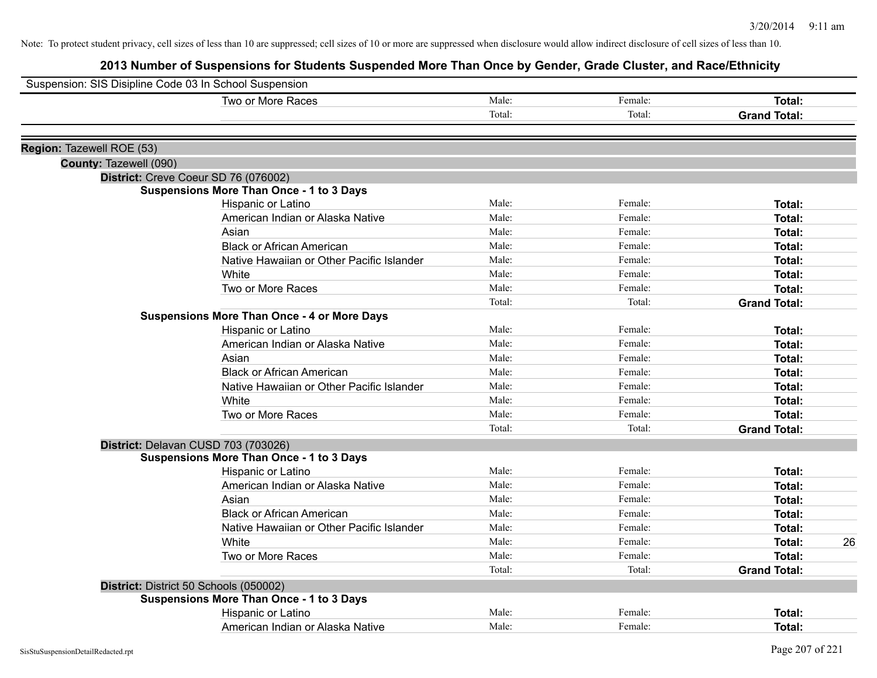| Two or More Races<br>Male:<br>Total:<br>Region: Tazewell ROE (53)<br>County: Tazewell (090)<br>District: Creve Coeur SD 76 (076002)<br><b>Suspensions More Than Once - 1 to 3 Days</b> | Female:<br>Total: | Total:<br><b>Grand Total:</b> |
|----------------------------------------------------------------------------------------------------------------------------------------------------------------------------------------|-------------------|-------------------------------|
|                                                                                                                                                                                        |                   |                               |
|                                                                                                                                                                                        |                   |                               |
|                                                                                                                                                                                        |                   |                               |
|                                                                                                                                                                                        |                   |                               |
|                                                                                                                                                                                        |                   |                               |
|                                                                                                                                                                                        |                   |                               |
| Male:                                                                                                                                                                                  | Female:           | Total:                        |
| Hispanic or Latino<br>Male:<br>American Indian or Alaska Native                                                                                                                        | Female:           | Total:                        |
| Male:<br>Asian                                                                                                                                                                         | Female:           | Total:                        |
| <b>Black or African American</b><br>Male:                                                                                                                                              | Female:           | Total:                        |
| Male:<br>Native Hawaiian or Other Pacific Islander                                                                                                                                     | Female:           | Total:                        |
| Male:<br>White                                                                                                                                                                         | Female:           | Total:                        |
| Male:<br>Two or More Races                                                                                                                                                             | Female:           | <b>Total:</b>                 |
| Total:                                                                                                                                                                                 | Total:            | <b>Grand Total:</b>           |
| <b>Suspensions More Than Once - 4 or More Days</b>                                                                                                                                     |                   |                               |
| Male:<br>Hispanic or Latino                                                                                                                                                            | Female:           | Total:                        |
| Male:<br>American Indian or Alaska Native                                                                                                                                              | Female:           | Total:                        |
| Male:<br>Asian                                                                                                                                                                         | Female:           | <b>Total:</b>                 |
| Male:<br><b>Black or African American</b>                                                                                                                                              | Female:           | <b>Total:</b>                 |
| Male:<br>Native Hawaiian or Other Pacific Islander                                                                                                                                     | Female:           | Total:                        |
| Male:<br>White                                                                                                                                                                         | Female:           | Total:                        |
| Two or More Races<br>Male:                                                                                                                                                             | Female:           | Total:                        |
| Total:                                                                                                                                                                                 | Total:            | <b>Grand Total:</b>           |
| District: Delavan CUSD 703 (703026)                                                                                                                                                    |                   |                               |
| <b>Suspensions More Than Once - 1 to 3 Days</b>                                                                                                                                        |                   |                               |
| Male:<br>Hispanic or Latino                                                                                                                                                            | Female:           | Total:                        |
| American Indian or Alaska Native<br>Male:                                                                                                                                              | Female:           | <b>Total:</b>                 |
| Male:<br>Asian                                                                                                                                                                         | Female:           | <b>Total:</b>                 |
| <b>Black or African American</b><br>Male:                                                                                                                                              | Female:           | <b>Total:</b>                 |
| Native Hawaiian or Other Pacific Islander<br>Male:                                                                                                                                     | Female:           | Total:                        |
| Male:<br>White                                                                                                                                                                         | Female:           | 26<br>Total:                  |
| Two or More Races<br>Male:                                                                                                                                                             | Female:           | <b>Total:</b>                 |
| Total:                                                                                                                                                                                 | Total:            | <b>Grand Total:</b>           |
| District: District 50 Schools (050002)                                                                                                                                                 |                   |                               |
| <b>Suspensions More Than Once - 1 to 3 Days</b>                                                                                                                                        |                   |                               |
| Male:<br>Hispanic or Latino                                                                                                                                                            | Female:           | <b>Total:</b>                 |
| Male:<br>American Indian or Alaska Native                                                                                                                                              | Female:           | Total:                        |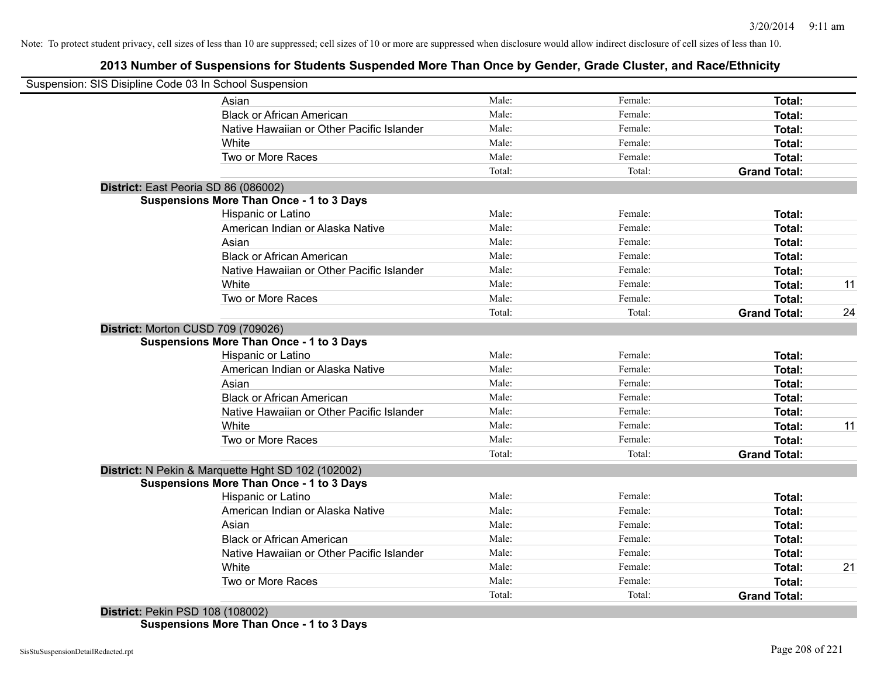# **2013 Number of Suspensions for Students Suspended More Than Once by Gender, Grade Cluster, and Race/Ethnicity**

| Suspension: SIS Disipline Code 03 In School Suspension |        |         |                     |    |
|--------------------------------------------------------|--------|---------|---------------------|----|
| Asian                                                  | Male:  | Female: | Total:              |    |
| <b>Black or African American</b>                       | Male:  | Female: | Total:              |    |
| Native Hawaiian or Other Pacific Islander              | Male:  | Female: | Total:              |    |
| White                                                  | Male:  | Female: | Total:              |    |
| Two or More Races                                      | Male:  | Female: | Total:              |    |
|                                                        | Total: | Total:  | <b>Grand Total:</b> |    |
| District: East Peoria SD 86 (086002)                   |        |         |                     |    |
| <b>Suspensions More Than Once - 1 to 3 Days</b>        |        |         |                     |    |
| Hispanic or Latino                                     | Male:  | Female: | Total:              |    |
| American Indian or Alaska Native                       | Male:  | Female: | Total:              |    |
| Asian                                                  | Male:  | Female: | Total:              |    |
| <b>Black or African American</b>                       | Male:  | Female: | Total:              |    |
| Native Hawaiian or Other Pacific Islander              | Male:  | Female: | Total:              |    |
| White                                                  | Male:  | Female: | Total:              | 11 |
| Two or More Races                                      | Male:  | Female: | Total:              |    |
|                                                        | Total: | Total:  | <b>Grand Total:</b> | 24 |
| District: Morton CUSD 709 (709026)                     |        |         |                     |    |
| <b>Suspensions More Than Once - 1 to 3 Days</b>        |        |         |                     |    |
| Hispanic or Latino                                     | Male:  | Female: | Total:              |    |
| American Indian or Alaska Native                       | Male:  | Female: | Total:              |    |
| Asian                                                  | Male:  | Female: | Total:              |    |
| <b>Black or African American</b>                       | Male:  | Female: | Total:              |    |
| Native Hawaiian or Other Pacific Islander              | Male:  | Female: | Total:              |    |
| White                                                  | Male:  | Female: | Total:              | 11 |
| Two or More Races                                      | Male:  | Female: | Total:              |    |
|                                                        | Total: | Total:  | <b>Grand Total:</b> |    |
| District: N Pekin & Marquette Hght SD 102 (102002)     |        |         |                     |    |
| <b>Suspensions More Than Once - 1 to 3 Days</b>        |        |         |                     |    |
| Hispanic or Latino                                     | Male:  | Female: | Total:              |    |
| American Indian or Alaska Native                       | Male:  | Female: | Total:              |    |
| Asian                                                  | Male:  | Female: | Total:              |    |
| <b>Black or African American</b>                       | Male:  | Female: | Total:              |    |
| Native Hawaiian or Other Pacific Islander              | Male:  | Female: | Total:              |    |
| White                                                  | Male:  | Female: | Total:              | 21 |
| Two or More Races                                      | Male:  | Female: | Total:              |    |
|                                                        | Total: | Total:  | <b>Grand Total:</b> |    |

**Suspensions More Than Once - 1 to 3 Days**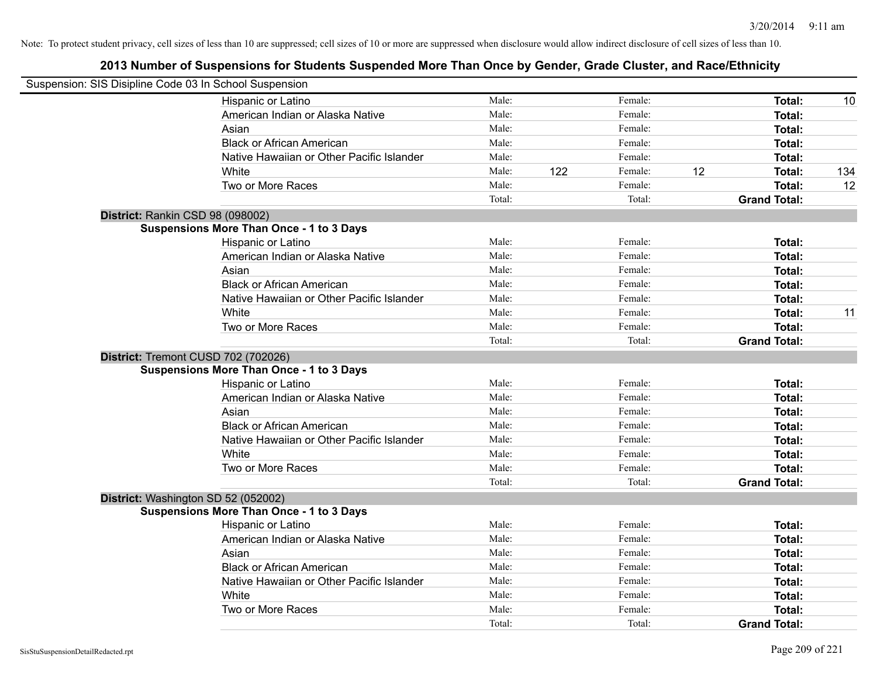| Suspension: SIS Disipline Code 03 In School Suspension |                                                 |        |     |         |    |                     |     |
|--------------------------------------------------------|-------------------------------------------------|--------|-----|---------|----|---------------------|-----|
|                                                        | Hispanic or Latino                              | Male:  |     | Female: |    | Total:              | 10  |
|                                                        | American Indian or Alaska Native                | Male:  |     | Female: |    | Total:              |     |
|                                                        | Asian                                           | Male:  |     | Female: |    | Total:              |     |
|                                                        | <b>Black or African American</b>                | Male:  |     | Female: |    | Total:              |     |
|                                                        | Native Hawaiian or Other Pacific Islander       | Male:  |     | Female: |    | Total:              |     |
|                                                        | White                                           | Male:  | 122 | Female: | 12 | Total:              | 134 |
|                                                        | Two or More Races                               | Male:  |     | Female: |    | Total:              | 12  |
|                                                        |                                                 | Total: |     | Total:  |    | <b>Grand Total:</b> |     |
| District: Rankin CSD 98 (098002)                       |                                                 |        |     |         |    |                     |     |
|                                                        | <b>Suspensions More Than Once - 1 to 3 Days</b> |        |     |         |    |                     |     |
|                                                        | Hispanic or Latino                              | Male:  |     | Female: |    | Total:              |     |
|                                                        | American Indian or Alaska Native                | Male:  |     | Female: |    | Total:              |     |
|                                                        | Asian                                           | Male:  |     | Female: |    | Total:              |     |
|                                                        | <b>Black or African American</b>                | Male:  |     | Female: |    | Total:              |     |
|                                                        | Native Hawaiian or Other Pacific Islander       | Male:  |     | Female: |    | Total:              |     |
|                                                        | White                                           | Male:  |     | Female: |    | <b>Total:</b>       | 11  |
|                                                        | Two or More Races                               | Male:  |     | Female: |    | <b>Total:</b>       |     |
|                                                        |                                                 | Total: |     | Total:  |    | <b>Grand Total:</b> |     |
| District: Tremont CUSD 702 (702026)                    |                                                 |        |     |         |    |                     |     |
|                                                        | <b>Suspensions More Than Once - 1 to 3 Days</b> |        |     |         |    |                     |     |
|                                                        | Hispanic or Latino                              | Male:  |     | Female: |    | Total:              |     |
|                                                        | American Indian or Alaska Native                | Male:  |     | Female: |    | Total:              |     |
|                                                        | Asian                                           | Male:  |     | Female: |    | Total:              |     |
|                                                        | <b>Black or African American</b>                | Male:  |     | Female: |    | Total:              |     |
|                                                        | Native Hawaiian or Other Pacific Islander       | Male:  |     | Female: |    | Total:              |     |
|                                                        | White                                           | Male:  |     | Female: |    | Total:              |     |
|                                                        | Two or More Races                               | Male:  |     | Female: |    | <b>Total:</b>       |     |
|                                                        |                                                 | Total: |     | Total:  |    | <b>Grand Total:</b> |     |
| District: Washington SD 52 (052002)                    |                                                 |        |     |         |    |                     |     |
|                                                        | <b>Suspensions More Than Once - 1 to 3 Days</b> |        |     |         |    |                     |     |
|                                                        | Hispanic or Latino                              | Male:  |     | Female: |    | Total:              |     |
|                                                        | American Indian or Alaska Native                | Male:  |     | Female: |    | Total:              |     |
|                                                        | Asian                                           | Male:  |     | Female: |    | Total:              |     |
|                                                        | <b>Black or African American</b>                | Male:  |     | Female: |    | Total:              |     |
|                                                        | Native Hawaiian or Other Pacific Islander       | Male:  |     | Female: |    | Total:              |     |
|                                                        | White                                           | Male:  |     | Female: |    | <b>Total:</b>       |     |
|                                                        | Two or More Races                               | Male:  |     | Female: |    | <b>Total:</b>       |     |
|                                                        |                                                 | Total: |     | Total:  |    | <b>Grand Total:</b> |     |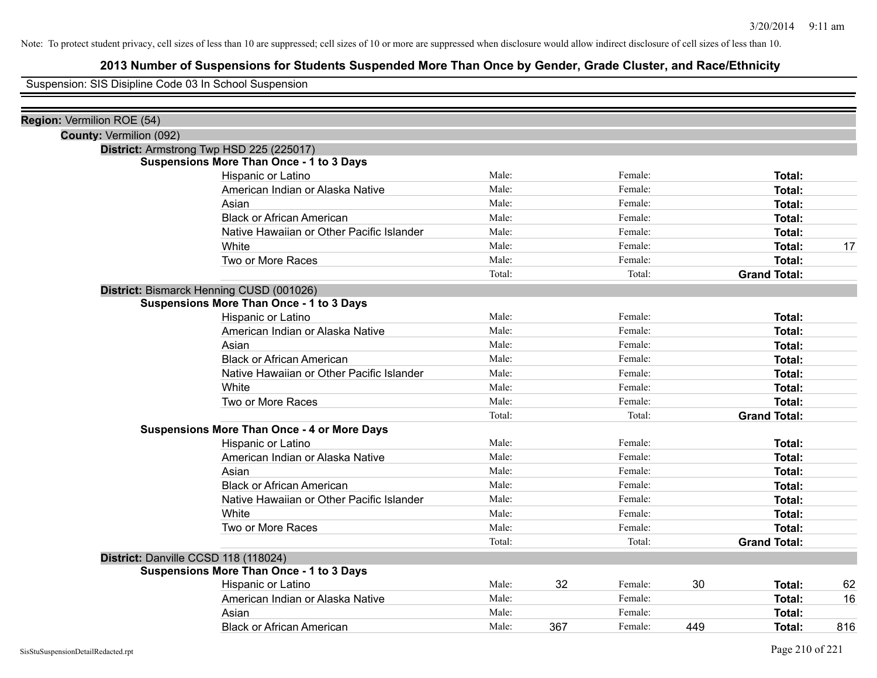# **2013 Number of Suspensions for Students Suspended More Than Once by Gender, Grade Cluster, and Race/Ethnicity**

Suspension: SIS Disipline Code 03 In School Suspension

| Region: Vermilion ROE (54) |                                                    |        |     |         |     |                     |     |
|----------------------------|----------------------------------------------------|--------|-----|---------|-----|---------------------|-----|
| County: Vermilion (092)    |                                                    |        |     |         |     |                     |     |
|                            | District: Armstrong Twp HSD 225 (225017)           |        |     |         |     |                     |     |
|                            | <b>Suspensions More Than Once - 1 to 3 Days</b>    |        |     |         |     |                     |     |
|                            | Hispanic or Latino                                 | Male:  |     | Female: |     | Total:              |     |
|                            | American Indian or Alaska Native                   | Male:  |     | Female: |     | Total:              |     |
|                            | Asian                                              | Male:  |     | Female: |     | Total:              |     |
|                            | <b>Black or African American</b>                   | Male:  |     | Female: |     | Total:              |     |
|                            | Native Hawaiian or Other Pacific Islander          | Male:  |     | Female: |     | Total:              |     |
|                            | White                                              | Male:  |     | Female: |     | Total:              | 17  |
|                            | Two or More Races                                  | Male:  |     | Female: |     | Total:              |     |
|                            |                                                    | Total: |     | Total:  |     | <b>Grand Total:</b> |     |
|                            | District: Bismarck Henning CUSD (001026)           |        |     |         |     |                     |     |
|                            | <b>Suspensions More Than Once - 1 to 3 Days</b>    |        |     |         |     |                     |     |
|                            | Hispanic or Latino                                 | Male:  |     | Female: |     | Total:              |     |
|                            | American Indian or Alaska Native                   | Male:  |     | Female: |     | Total:              |     |
|                            | Asian                                              | Male:  |     | Female: |     | Total:              |     |
|                            | <b>Black or African American</b>                   | Male:  |     | Female: |     | Total:              |     |
|                            | Native Hawaiian or Other Pacific Islander          | Male:  |     | Female: |     | Total:              |     |
|                            | White                                              | Male:  |     | Female: |     | Total:              |     |
|                            | Two or More Races                                  | Male:  |     | Female: |     | Total:              |     |
|                            |                                                    | Total: |     | Total:  |     | <b>Grand Total:</b> |     |
|                            | <b>Suspensions More Than Once - 4 or More Days</b> |        |     |         |     |                     |     |
|                            | Hispanic or Latino                                 | Male:  |     | Female: |     | Total:              |     |
|                            | American Indian or Alaska Native                   | Male:  |     | Female: |     | Total:              |     |
|                            | Asian                                              | Male:  |     | Female: |     | Total:              |     |
|                            | <b>Black or African American</b>                   | Male:  |     | Female: |     | Total:              |     |
|                            | Native Hawaiian or Other Pacific Islander          | Male:  |     | Female: |     | Total:              |     |
|                            | White                                              | Male:  |     | Female: |     | Total:              |     |
|                            | Two or More Races                                  | Male:  |     | Female: |     | Total:              |     |
|                            |                                                    | Total: |     | Total:  |     | <b>Grand Total:</b> |     |
|                            | District: Danville CCSD 118 (118024)               |        |     |         |     |                     |     |
|                            | <b>Suspensions More Than Once - 1 to 3 Days</b>    |        |     |         |     |                     |     |
|                            | Hispanic or Latino                                 | Male:  | 32  | Female: | 30  | Total:              | 62  |
|                            | American Indian or Alaska Native                   | Male:  |     | Female: |     | Total:              | 16  |
|                            | Asian                                              | Male:  |     | Female: |     | Total:              |     |
|                            | <b>Black or African American</b>                   | Male:  | 367 | Female: | 449 | Total:              | 816 |
|                            |                                                    |        |     |         |     |                     |     |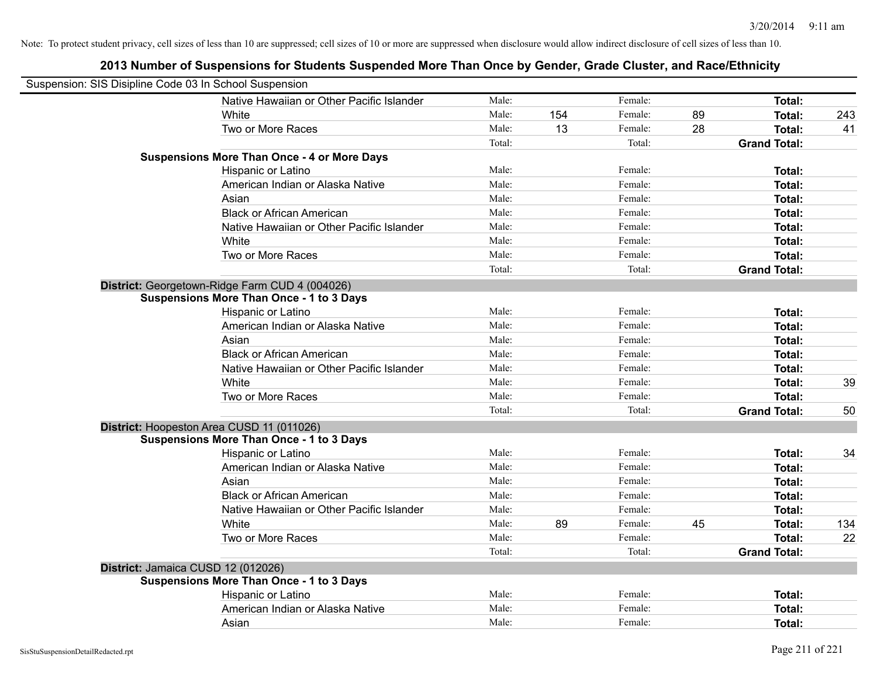| Suspension: SIS Disipline Code 03 In School Suspension |        |     |         |    |                     |     |
|--------------------------------------------------------|--------|-----|---------|----|---------------------|-----|
| Native Hawaiian or Other Pacific Islander              | Male:  |     | Female: |    | Total:              |     |
| White                                                  | Male:  | 154 | Female: | 89 | Total:              | 243 |
| Two or More Races                                      | Male:  | 13  | Female: | 28 | Total:              | 41  |
|                                                        | Total: |     | Total:  |    | <b>Grand Total:</b> |     |
| <b>Suspensions More Than Once - 4 or More Days</b>     |        |     |         |    |                     |     |
| Hispanic or Latino                                     | Male:  |     | Female: |    | Total:              |     |
| American Indian or Alaska Native                       | Male:  |     | Female: |    | Total:              |     |
| Asian                                                  | Male:  |     | Female: |    | Total:              |     |
| <b>Black or African American</b>                       | Male:  |     | Female: |    | Total:              |     |
| Native Hawaiian or Other Pacific Islander              | Male:  |     | Female: |    | Total:              |     |
| White                                                  | Male:  |     | Female: |    | Total:              |     |
| Two or More Races                                      | Male:  |     | Female: |    | Total:              |     |
|                                                        | Total: |     | Total:  |    | <b>Grand Total:</b> |     |
| District: Georgetown-Ridge Farm CUD 4 (004026)         |        |     |         |    |                     |     |
| <b>Suspensions More Than Once - 1 to 3 Days</b>        |        |     |         |    |                     |     |
| Hispanic or Latino                                     | Male:  |     | Female: |    | Total:              |     |
| American Indian or Alaska Native                       | Male:  |     | Female: |    | Total:              |     |
| Asian                                                  | Male:  |     | Female: |    | Total:              |     |
| <b>Black or African American</b>                       | Male:  |     | Female: |    | Total:              |     |
| Native Hawaiian or Other Pacific Islander              | Male:  |     | Female: |    | Total:              |     |
| White                                                  | Male:  |     | Female: |    | Total:              | 39  |
| Two or More Races                                      | Male:  |     | Female: |    | Total:              |     |
|                                                        | Total: |     | Total:  |    | <b>Grand Total:</b> | 50  |
| District: Hoopeston Area CUSD 11 (011026)              |        |     |         |    |                     |     |
| <b>Suspensions More Than Once - 1 to 3 Days</b>        |        |     |         |    |                     |     |
| Hispanic or Latino                                     | Male:  |     | Female: |    | Total:              | 34  |
| American Indian or Alaska Native                       | Male:  |     | Female: |    | Total:              |     |
| Asian                                                  | Male:  |     | Female: |    | Total:              |     |
| <b>Black or African American</b>                       | Male:  |     | Female: |    | Total:              |     |
| Native Hawaiian or Other Pacific Islander              | Male:  |     | Female: |    | Total:              |     |
| White                                                  | Male:  | 89  | Female: | 45 | Total:              | 134 |
| Two or More Races                                      | Male:  |     | Female: |    | Total:              | 22  |
|                                                        | Total: |     | Total:  |    | <b>Grand Total:</b> |     |
| District: Jamaica CUSD 12 (012026)                     |        |     |         |    |                     |     |
| <b>Suspensions More Than Once - 1 to 3 Days</b>        |        |     |         |    |                     |     |
| Hispanic or Latino                                     | Male:  |     | Female: |    | Total:              |     |
| American Indian or Alaska Native                       | Male:  |     | Female: |    | Total:              |     |
| Asian                                                  | Male:  |     | Female: |    | Total:              |     |
|                                                        |        |     |         |    |                     |     |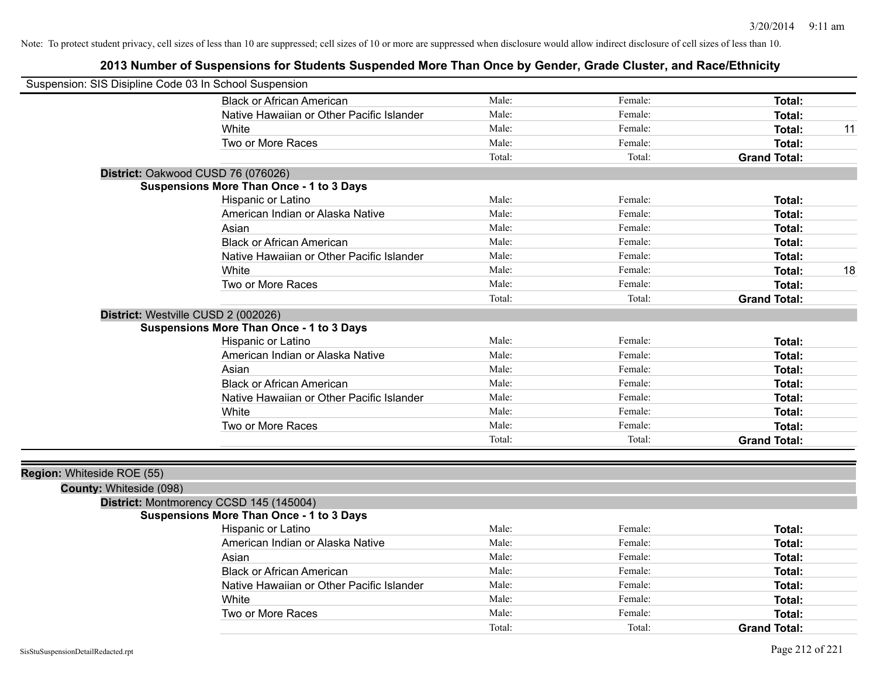|                            | Suspension: SIS Disipline Code 03 In School Suspension |        |         |                     |    |
|----------------------------|--------------------------------------------------------|--------|---------|---------------------|----|
|                            | <b>Black or African American</b>                       | Male:  | Female: | Total:              |    |
|                            | Native Hawaiian or Other Pacific Islander              | Male:  | Female: | Total:              |    |
|                            | White                                                  | Male:  | Female: | Total:              | 11 |
|                            | Two or More Races                                      | Male:  | Female: | Total:              |    |
|                            |                                                        | Total: | Total:  | <b>Grand Total:</b> |    |
|                            | District: Oakwood CUSD 76 (076026)                     |        |         |                     |    |
|                            | <b>Suspensions More Than Once - 1 to 3 Days</b>        |        |         |                     |    |
|                            | Hispanic or Latino                                     | Male:  | Female: | Total:              |    |
|                            | American Indian or Alaska Native                       | Male:  | Female: | Total:              |    |
|                            | Asian                                                  | Male:  | Female: | Total:              |    |
|                            | <b>Black or African American</b>                       | Male:  | Female: | Total:              |    |
|                            | Native Hawaiian or Other Pacific Islander              | Male:  | Female: | Total:              |    |
|                            | White                                                  | Male:  | Female: | Total:              | 18 |
|                            | Two or More Races                                      | Male:  | Female: | Total:              |    |
|                            |                                                        | Total: | Total:  | <b>Grand Total:</b> |    |
|                            | District: Westville CUSD 2 (002026)                    |        |         |                     |    |
|                            | <b>Suspensions More Than Once - 1 to 3 Days</b>        |        |         |                     |    |
|                            | Hispanic or Latino                                     | Male:  | Female: | Total:              |    |
|                            | American Indian or Alaska Native                       | Male:  | Female: | Total:              |    |
|                            | Asian                                                  | Male:  | Female: | Total:              |    |
|                            | <b>Black or African American</b>                       | Male:  | Female: | Total:              |    |
|                            | Native Hawaiian or Other Pacific Islander              | Male:  | Female: | Total:              |    |
|                            | White                                                  | Male:  | Female: | Total:              |    |
|                            | Two or More Races                                      | Male:  | Female: | Total:              |    |
|                            |                                                        | Total: | Total:  | <b>Grand Total:</b> |    |
|                            |                                                        |        |         |                     |    |
| Region: Whiteside ROE (55) | County: Whiteside (098)                                |        |         |                     |    |
|                            | District: Montmorency CCSD 145 (145004)                |        |         |                     |    |
|                            | <b>Suspensions More Than Once - 1 to 3 Days</b>        |        |         |                     |    |
|                            | Hispanic or Latino                                     | Male:  | Female: | Total:              |    |
|                            | American Indian or Alaska Native                       | Male:  | Female: | Total:              |    |
|                            | Asian                                                  | Male:  | Female: | Total:              |    |
|                            | <b>Black or African American</b>                       | Male:  | Female: | Total:              |    |
|                            | Native Hawaiian or Other Pacific Islander              | Male:  | Female: | Total:              |    |
|                            | White                                                  | Male:  | Female: |                     |    |
|                            | Two or More Races                                      | Male:  |         | Total:              |    |
|                            |                                                        | Total: | Female: | Total:              |    |
|                            |                                                        |        | Total:  | <b>Grand Total:</b> |    |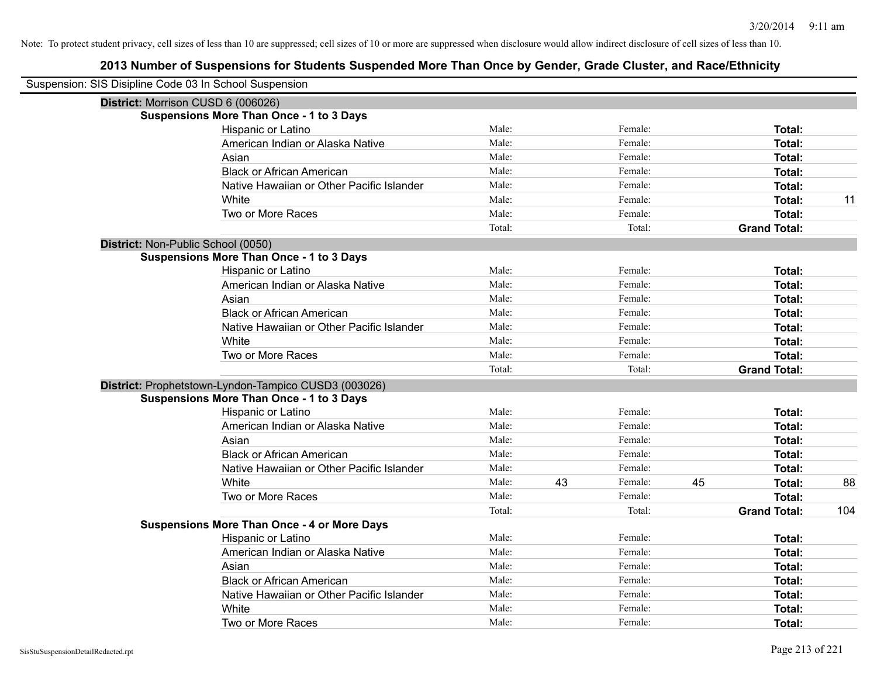| Suspension: SIS Disipline Code 03 In School Suspension |                                                      |        |    |         |    |                     |     |
|--------------------------------------------------------|------------------------------------------------------|--------|----|---------|----|---------------------|-----|
|                                                        | District: Morrison CUSD 6 (006026)                   |        |    |         |    |                     |     |
|                                                        | <b>Suspensions More Than Once - 1 to 3 Days</b>      |        |    |         |    |                     |     |
|                                                        | Hispanic or Latino                                   | Male:  |    | Female: |    | Total:              |     |
|                                                        | American Indian or Alaska Native                     | Male:  |    | Female: |    | <b>Total:</b>       |     |
|                                                        | Asian                                                | Male:  |    | Female: |    | <b>Total:</b>       |     |
|                                                        | <b>Black or African American</b>                     | Male:  |    | Female: |    | <b>Total:</b>       |     |
|                                                        | Native Hawaiian or Other Pacific Islander            | Male:  |    | Female: |    | Total:              |     |
|                                                        | White                                                | Male:  |    | Female: |    | <b>Total:</b>       | 11  |
|                                                        | Two or More Races                                    | Male:  |    | Female: |    | <b>Total:</b>       |     |
|                                                        |                                                      | Total: |    | Total:  |    | <b>Grand Total:</b> |     |
|                                                        | District: Non-Public School (0050)                   |        |    |         |    |                     |     |
|                                                        | <b>Suspensions More Than Once - 1 to 3 Days</b>      |        |    |         |    |                     |     |
|                                                        | Hispanic or Latino                                   | Male:  |    | Female: |    | Total:              |     |
|                                                        | American Indian or Alaska Native                     | Male:  |    | Female: |    | <b>Total:</b>       |     |
|                                                        | Asian                                                | Male:  |    | Female: |    | <b>Total:</b>       |     |
|                                                        | <b>Black or African American</b>                     | Male:  |    | Female: |    | Total:              |     |
|                                                        | Native Hawaiian or Other Pacific Islander            | Male:  |    | Female: |    | <b>Total:</b>       |     |
|                                                        | White                                                | Male:  |    | Female: |    | Total:              |     |
|                                                        | Two or More Races                                    | Male:  |    | Female: |    | Total:              |     |
|                                                        |                                                      | Total: |    | Total:  |    | <b>Grand Total:</b> |     |
|                                                        | District: Prophetstown-Lyndon-Tampico CUSD3 (003026) |        |    |         |    |                     |     |
|                                                        | <b>Suspensions More Than Once - 1 to 3 Days</b>      |        |    |         |    |                     |     |
|                                                        | Hispanic or Latino                                   | Male:  |    | Female: |    | <b>Total:</b>       |     |
|                                                        | American Indian or Alaska Native                     | Male:  |    | Female: |    | Total:              |     |
|                                                        | Asian                                                | Male:  |    | Female: |    | Total:              |     |
|                                                        | <b>Black or African American</b>                     | Male:  |    | Female: |    | <b>Total:</b>       |     |
|                                                        | Native Hawaiian or Other Pacific Islander            | Male:  |    | Female: |    | <b>Total:</b>       |     |
|                                                        | White                                                | Male:  | 43 | Female: | 45 | <b>Total:</b>       | 88  |
|                                                        | Two or More Races                                    | Male:  |    | Female: |    | <b>Total:</b>       |     |
|                                                        |                                                      | Total: |    | Total:  |    | <b>Grand Total:</b> | 104 |
|                                                        | <b>Suspensions More Than Once - 4 or More Days</b>   |        |    |         |    |                     |     |
|                                                        | Hispanic or Latino                                   | Male:  |    | Female: |    | Total:              |     |
|                                                        | American Indian or Alaska Native                     | Male:  |    | Female: |    | Total:              |     |
|                                                        | Asian                                                | Male:  |    | Female: |    | Total:              |     |
|                                                        | <b>Black or African American</b>                     | Male:  |    | Female: |    | <b>Total:</b>       |     |
|                                                        | Native Hawaiian or Other Pacific Islander            | Male:  |    | Female: |    | <b>Total:</b>       |     |
|                                                        | White                                                | Male:  |    | Female: |    | <b>Total:</b>       |     |
|                                                        | Two or More Races                                    | Male:  |    | Female: |    | Total:              |     |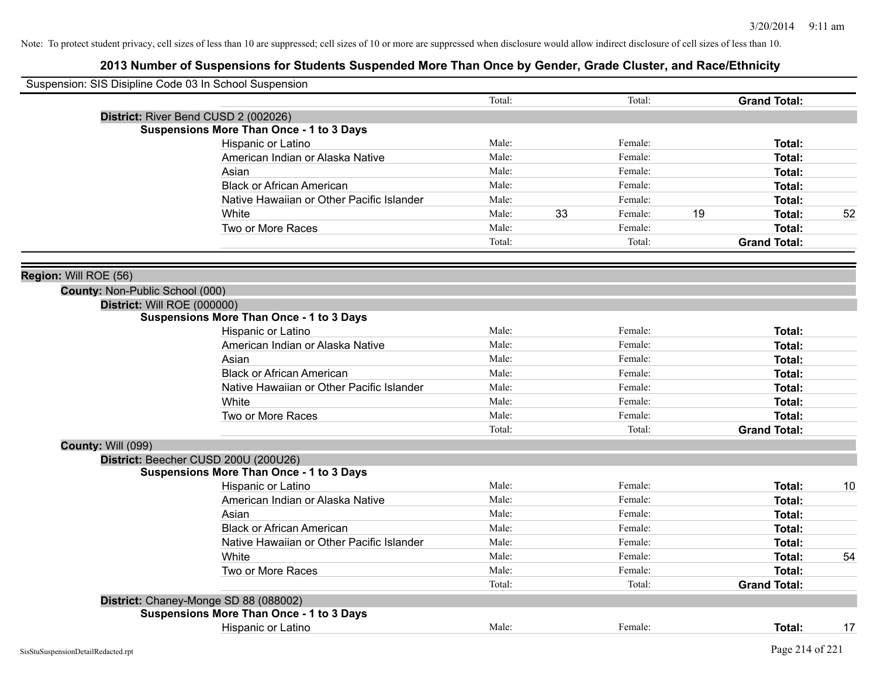| Suspension: SIS Disipline Code 03 In School Suspension |                                                 |        |               |    |                     |    |
|--------------------------------------------------------|-------------------------------------------------|--------|---------------|----|---------------------|----|
|                                                        |                                                 | Total: | Total:        |    | <b>Grand Total:</b> |    |
|                                                        | District: River Bend CUSD 2 (002026)            |        |               |    |                     |    |
|                                                        | <b>Suspensions More Than Once - 1 to 3 Days</b> |        |               |    |                     |    |
|                                                        | Hispanic or Latino                              | Male:  | Female:       |    | Total:              |    |
|                                                        | American Indian or Alaska Native                | Male:  | Female:       |    | Total:              |    |
|                                                        | Asian                                           | Male:  | Female:       |    | <b>Total:</b>       |    |
|                                                        | <b>Black or African American</b>                | Male:  | Female:       |    | Total:              |    |
|                                                        | Native Hawaiian or Other Pacific Islander       | Male:  | Female:       |    | Total:              |    |
|                                                        | White                                           | Male:  | 33<br>Female: | 19 | Total:              | 52 |
|                                                        | Two or More Races                               | Male:  | Female:       |    | Total:              |    |
|                                                        |                                                 | Total: | Total:        |    | <b>Grand Total:</b> |    |
|                                                        |                                                 |        |               |    |                     |    |
| Region: Will ROE (56)                                  |                                                 |        |               |    |                     |    |
| County: Non-Public School (000)                        |                                                 |        |               |    |                     |    |
| District: Will ROE (000000)                            |                                                 |        |               |    |                     |    |
|                                                        | <b>Suspensions More Than Once - 1 to 3 Days</b> |        |               |    |                     |    |
|                                                        | Hispanic or Latino                              | Male:  | Female:       |    | Total:              |    |
|                                                        | American Indian or Alaska Native                | Male:  | Female:       |    | Total:              |    |
|                                                        | Asian                                           | Male:  | Female:       |    | <b>Total:</b>       |    |
|                                                        | <b>Black or African American</b>                | Male:  | Female:       |    | Total:              |    |
|                                                        | Native Hawaiian or Other Pacific Islander       | Male:  | Female:       |    | Total:              |    |
|                                                        | White                                           | Male:  | Female:       |    | Total:              |    |
|                                                        | Two or More Races                               | Male:  | Female:       |    | Total:              |    |
|                                                        |                                                 | Total: | Total:        |    | <b>Grand Total:</b> |    |
| <b>County: Will (099)</b>                              |                                                 |        |               |    |                     |    |
|                                                        | District: Beecher CUSD 200U (200U26)            |        |               |    |                     |    |
|                                                        | <b>Suspensions More Than Once - 1 to 3 Days</b> |        |               |    |                     |    |
|                                                        | Hispanic or Latino                              | Male:  | Female:       |    | Total:              | 10 |
|                                                        | American Indian or Alaska Native                | Male:  | Female:       |    | <b>Total:</b>       |    |
|                                                        | Asian                                           | Male:  | Female:       |    | Total:              |    |
|                                                        | <b>Black or African American</b>                | Male:  | Female:       |    | Total:              |    |
|                                                        | Native Hawaiian or Other Pacific Islander       | Male:  | Female:       |    | Total:              |    |
|                                                        | White                                           | Male:  | Female:       |    | Total:              | 54 |
|                                                        | Two or More Races                               | Male:  | Female:       |    | Total:              |    |
|                                                        |                                                 | Total: | Total:        |    | <b>Grand Total:</b> |    |
|                                                        | District: Chaney-Monge SD 88 (088002)           |        |               |    |                     |    |
|                                                        | <b>Suspensions More Than Once - 1 to 3 Days</b> |        |               |    |                     |    |
|                                                        | <b>Hispanic or Latino</b>                       | Male:  | Female:       |    | Total:              | 17 |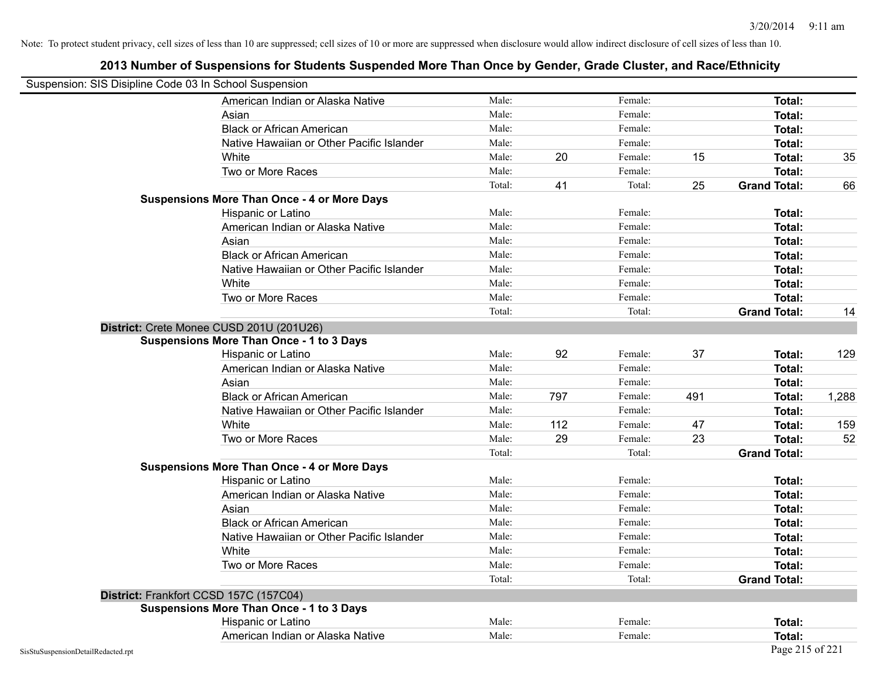| Suspension: SIS Disipline Code 03 In School Suspension |                                                    |        |     |         |     |                     |       |
|--------------------------------------------------------|----------------------------------------------------|--------|-----|---------|-----|---------------------|-------|
|                                                        | American Indian or Alaska Native                   | Male:  |     | Female: |     | Total:              |       |
|                                                        | Asian                                              | Male:  |     | Female: |     | Total:              |       |
|                                                        | <b>Black or African American</b>                   | Male:  |     | Female: |     | Total:              |       |
|                                                        | Native Hawaiian or Other Pacific Islander          | Male:  |     | Female: |     | Total:              |       |
|                                                        | White                                              | Male:  | 20  | Female: | 15  | Total:              | 35    |
|                                                        | Two or More Races                                  | Male:  |     | Female: |     | Total:              |       |
|                                                        |                                                    | Total: | 41  | Total:  | 25  | <b>Grand Total:</b> | 66    |
|                                                        | <b>Suspensions More Than Once - 4 or More Days</b> |        |     |         |     |                     |       |
|                                                        | Hispanic or Latino                                 | Male:  |     | Female: |     | Total:              |       |
|                                                        | American Indian or Alaska Native                   | Male:  |     | Female: |     | <b>Total:</b>       |       |
|                                                        | Asian                                              | Male:  |     | Female: |     | Total:              |       |
|                                                        | <b>Black or African American</b>                   | Male:  |     | Female: |     | Total:              |       |
|                                                        | Native Hawaiian or Other Pacific Islander          | Male:  |     | Female: |     | Total:              |       |
|                                                        | White                                              | Male:  |     | Female: |     | Total:              |       |
|                                                        | Two or More Races                                  | Male:  |     | Female: |     | <b>Total:</b>       |       |
|                                                        |                                                    | Total: |     | Total:  |     | <b>Grand Total:</b> | 14    |
|                                                        | District: Crete Monee CUSD 201U (201U26)           |        |     |         |     |                     |       |
|                                                        | <b>Suspensions More Than Once - 1 to 3 Days</b>    |        |     |         |     |                     |       |
|                                                        | Hispanic or Latino                                 | Male:  | 92  | Female: | 37  | Total:              | 129   |
|                                                        | American Indian or Alaska Native                   | Male:  |     | Female: |     | Total:              |       |
|                                                        | Asian                                              | Male:  |     | Female: |     | Total:              |       |
|                                                        | <b>Black or African American</b>                   | Male:  | 797 | Female: | 491 | Total:              | 1,288 |
|                                                        | Native Hawaiian or Other Pacific Islander          | Male:  |     | Female: |     | Total:              |       |
|                                                        | White                                              | Male:  | 112 | Female: | 47  | Total:              | 159   |
|                                                        | Two or More Races                                  | Male:  | 29  | Female: | 23  | <b>Total:</b>       | 52    |
|                                                        |                                                    | Total: |     | Total:  |     | <b>Grand Total:</b> |       |
|                                                        | <b>Suspensions More Than Once - 4 or More Days</b> |        |     |         |     |                     |       |
|                                                        | Hispanic or Latino                                 | Male:  |     | Female: |     | Total:              |       |
|                                                        | American Indian or Alaska Native                   | Male:  |     | Female: |     | Total:              |       |
|                                                        | Asian                                              | Male:  |     | Female: |     | Total:              |       |
|                                                        | <b>Black or African American</b>                   | Male:  |     | Female: |     | Total:              |       |
|                                                        | Native Hawaiian or Other Pacific Islander          | Male:  |     | Female: |     | Total:              |       |
|                                                        | White                                              | Male:  |     | Female: |     | <b>Total:</b>       |       |
|                                                        | Two or More Races                                  | Male:  |     | Female: |     | Total:              |       |
|                                                        |                                                    | Total: |     | Total:  |     | <b>Grand Total:</b> |       |
|                                                        | District: Frankfort CCSD 157C (157C04)             |        |     |         |     |                     |       |
|                                                        | <b>Suspensions More Than Once - 1 to 3 Days</b>    |        |     |         |     |                     |       |
|                                                        | Hispanic or Latino                                 | Male:  |     | Female: |     | Total:              |       |
|                                                        | American Indian or Alaska Native                   | Male:  |     | Female: |     | <b>Total:</b>       |       |
| SisStuSuspensionDetailRedacted.rpt                     |                                                    |        |     |         |     | Page 215 of 221     |       |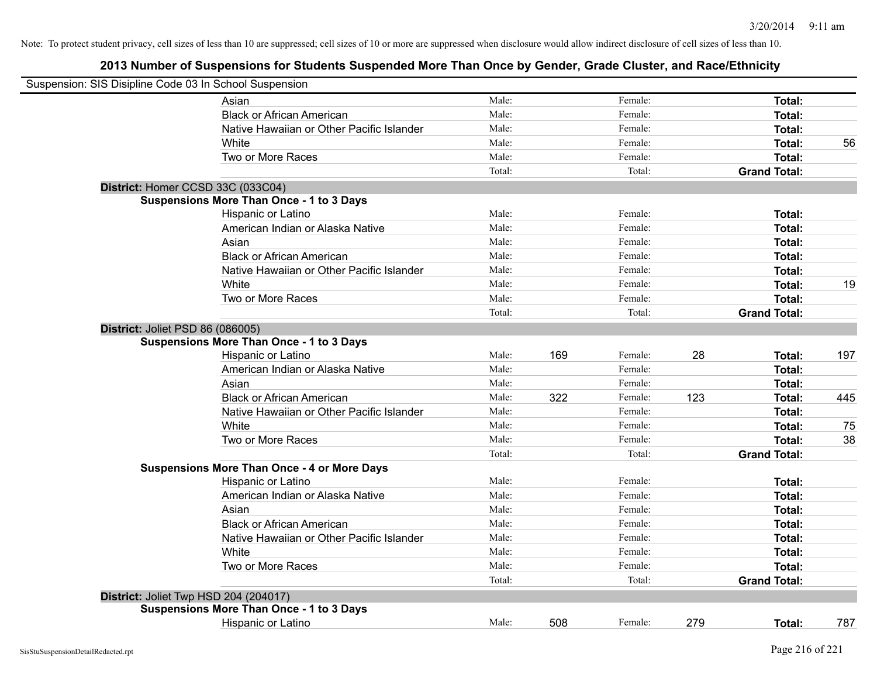| Suspension: SIS Disipline Code 03 In School Suspension |                                                    |        |     |         |     |                     |     |
|--------------------------------------------------------|----------------------------------------------------|--------|-----|---------|-----|---------------------|-----|
|                                                        | Asian                                              | Male:  |     | Female: |     | Total:              |     |
|                                                        | <b>Black or African American</b>                   | Male:  |     | Female: |     | Total:              |     |
|                                                        | Native Hawaiian or Other Pacific Islander          | Male:  |     | Female: |     | Total:              |     |
|                                                        | White                                              | Male:  |     | Female: |     | <b>Total:</b>       | 56  |
|                                                        | Two or More Races                                  | Male:  |     | Female: |     | <b>Total:</b>       |     |
|                                                        |                                                    | Total: |     | Total:  |     | <b>Grand Total:</b> |     |
|                                                        | District: Homer CCSD 33C (033C04)                  |        |     |         |     |                     |     |
|                                                        | <b>Suspensions More Than Once - 1 to 3 Days</b>    |        |     |         |     |                     |     |
|                                                        | Hispanic or Latino                                 | Male:  |     | Female: |     | Total:              |     |
|                                                        | American Indian or Alaska Native                   | Male:  |     | Female: |     | Total:              |     |
|                                                        | Asian                                              | Male:  |     | Female: |     | Total:              |     |
|                                                        | <b>Black or African American</b>                   | Male:  |     | Female: |     | Total:              |     |
|                                                        | Native Hawaiian or Other Pacific Islander          | Male:  |     | Female: |     | <b>Total:</b>       |     |
|                                                        | White                                              | Male:  |     | Female: |     | <b>Total:</b>       | 19  |
|                                                        | Two or More Races                                  | Male:  |     | Female: |     | <b>Total:</b>       |     |
|                                                        |                                                    | Total: |     | Total:  |     | <b>Grand Total:</b> |     |
| District: Joliet PSD 86 (086005)                       |                                                    |        |     |         |     |                     |     |
|                                                        | <b>Suspensions More Than Once - 1 to 3 Days</b>    |        |     |         |     |                     |     |
|                                                        | Hispanic or Latino                                 | Male:  | 169 | Female: | 28  | Total:              | 197 |
|                                                        | American Indian or Alaska Native                   | Male:  |     | Female: |     | <b>Total:</b>       |     |
|                                                        | Asian                                              | Male:  |     | Female: |     | Total:              |     |
|                                                        | <b>Black or African American</b>                   | Male:  | 322 | Female: | 123 | <b>Total:</b>       | 445 |
|                                                        | Native Hawaiian or Other Pacific Islander          | Male:  |     | Female: |     | <b>Total:</b>       |     |
|                                                        | White                                              | Male:  |     | Female: |     | <b>Total:</b>       | 75  |
|                                                        | Two or More Races                                  | Male:  |     | Female: |     | <b>Total:</b>       | 38  |
|                                                        |                                                    | Total: |     | Total:  |     | <b>Grand Total:</b> |     |
|                                                        | <b>Suspensions More Than Once - 4 or More Days</b> |        |     |         |     |                     |     |
|                                                        | Hispanic or Latino                                 | Male:  |     | Female: |     | Total:              |     |
|                                                        | American Indian or Alaska Native                   | Male:  |     | Female: |     | Total:              |     |
|                                                        | Asian                                              | Male:  |     | Female: |     | Total:              |     |
|                                                        | <b>Black or African American</b>                   | Male:  |     | Female: |     | <b>Total:</b>       |     |
|                                                        | Native Hawaiian or Other Pacific Islander          | Male:  |     | Female: |     | <b>Total:</b>       |     |
|                                                        | White                                              | Male:  |     | Female: |     | <b>Total:</b>       |     |
|                                                        | Two or More Races                                  | Male:  |     | Female: |     | <b>Total:</b>       |     |
|                                                        |                                                    | Total: |     | Total:  |     | <b>Grand Total:</b> |     |
|                                                        | District: Joliet Twp HSD 204 (204017)              |        |     |         |     |                     |     |
|                                                        | <b>Suspensions More Than Once - 1 to 3 Days</b>    |        |     |         |     |                     |     |
|                                                        | Hispanic or Latino                                 | Male:  | 508 | Female: | 279 | Total:              | 787 |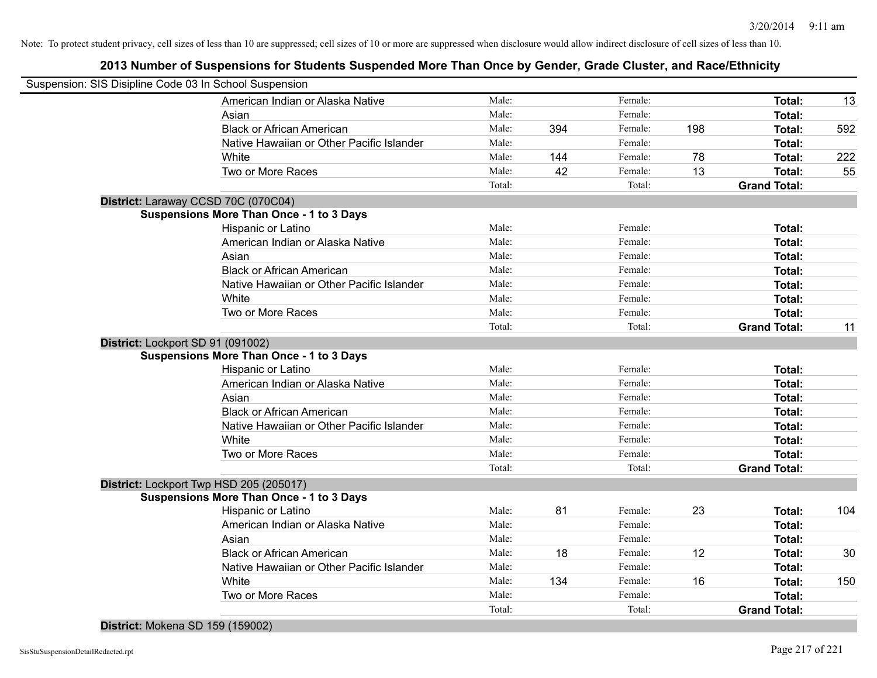## **2013 Number of Suspensions for Students Suspended More Than Once by Gender, Grade Cluster, and Race/Ethnicity**

|                                   | Suspension: SIS Disipline Code 03 In School Suspension |        |     |         |     |                     |     |
|-----------------------------------|--------------------------------------------------------|--------|-----|---------|-----|---------------------|-----|
|                                   | American Indian or Alaska Native                       | Male:  |     | Female: |     | Total:              | 13  |
|                                   | Asian                                                  | Male:  |     | Female: |     | Total:              |     |
|                                   | <b>Black or African American</b>                       | Male:  | 394 | Female: | 198 | Total:              | 592 |
|                                   | Native Hawaiian or Other Pacific Islander              | Male:  |     | Female: |     | Total:              |     |
|                                   | White                                                  | Male:  | 144 | Female: | 78  | Total:              | 222 |
|                                   | Two or More Races                                      | Male:  | 42  | Female: | 13  | Total:              | 55  |
|                                   |                                                        | Total: |     | Total:  |     | <b>Grand Total:</b> |     |
|                                   | District: Laraway CCSD 70C (070C04)                    |        |     |         |     |                     |     |
|                                   | <b>Suspensions More Than Once - 1 to 3 Days</b>        |        |     |         |     |                     |     |
|                                   | Hispanic or Latino                                     | Male:  |     | Female: |     | Total:              |     |
|                                   | American Indian or Alaska Native                       | Male:  |     | Female: |     | Total:              |     |
|                                   | Asian                                                  | Male:  |     | Female: |     | Total:              |     |
|                                   | <b>Black or African American</b>                       | Male:  |     | Female: |     | Total:              |     |
|                                   | Native Hawaiian or Other Pacific Islander              | Male:  |     | Female: |     | Total:              |     |
|                                   | White                                                  | Male:  |     | Female: |     | Total:              |     |
|                                   | Two or More Races                                      | Male:  |     | Female: |     | Total:              |     |
|                                   |                                                        | Total: |     | Total:  |     | <b>Grand Total:</b> | 11  |
| District: Lockport SD 91 (091002) |                                                        |        |     |         |     |                     |     |
|                                   | <b>Suspensions More Than Once - 1 to 3 Days</b>        |        |     |         |     |                     |     |
|                                   | Hispanic or Latino                                     | Male:  |     | Female: |     | Total:              |     |
|                                   | American Indian or Alaska Native                       | Male:  |     | Female: |     | Total:              |     |
|                                   | Asian                                                  | Male:  |     | Female: |     | Total:              |     |
|                                   | <b>Black or African American</b>                       | Male:  |     | Female: |     | Total:              |     |
|                                   | Native Hawaiian or Other Pacific Islander              | Male:  |     | Female: |     | Total:              |     |
|                                   | White                                                  | Male:  |     | Female: |     | Total:              |     |
|                                   | Two or More Races                                      | Male:  |     | Female: |     | Total:              |     |
|                                   |                                                        | Total: |     | Total:  |     | <b>Grand Total:</b> |     |
|                                   | District: Lockport Twp HSD 205 (205017)                |        |     |         |     |                     |     |
|                                   | <b>Suspensions More Than Once - 1 to 3 Days</b>        |        |     |         |     |                     |     |
|                                   | Hispanic or Latino                                     | Male:  | 81  | Female: | 23  | Total:              | 104 |
|                                   | American Indian or Alaska Native                       | Male:  |     | Female: |     | Total:              |     |
|                                   | Asian                                                  | Male:  |     | Female: |     | Total:              |     |
|                                   | <b>Black or African American</b>                       | Male:  | 18  | Female: | 12  | Total:              | 30  |
|                                   | Native Hawaiian or Other Pacific Islander              | Male:  |     | Female: |     | Total:              |     |
|                                   | White                                                  | Male:  | 134 | Female: | 16  | Total:              | 150 |
|                                   | Two or More Races                                      | Male:  |     | Female: |     | Total:              |     |
|                                   |                                                        | Total: |     | Total:  |     | <b>Grand Total:</b> |     |
|                                   |                                                        |        |     |         |     |                     |     |

**District:** Mokena SD 159 (159002)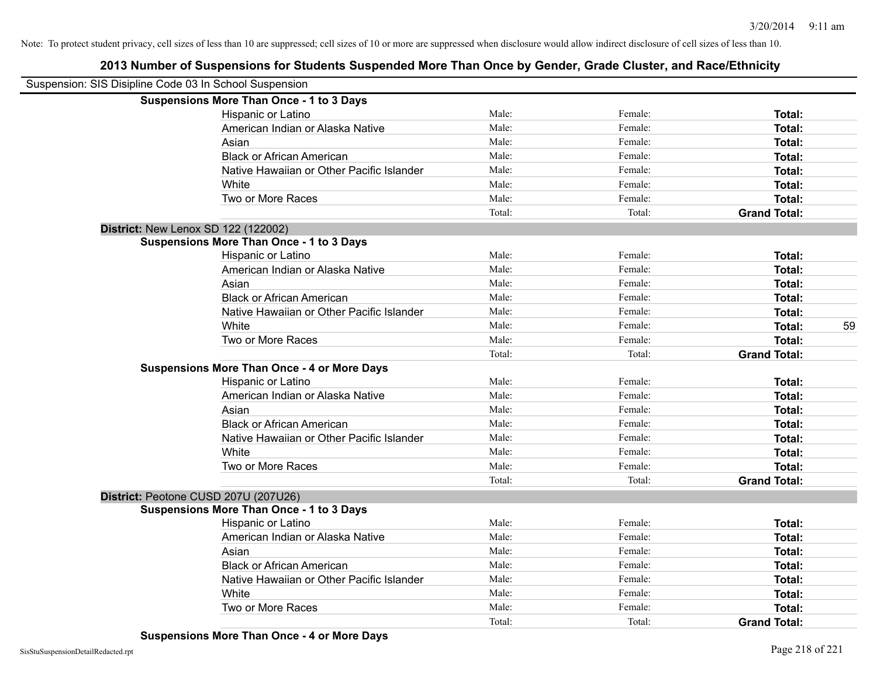# **2013 Number of Suspensions for Students Suspended More Than Once by Gender, Grade Cluster, and Race/Ethnicity**

| Suspension: SIS Disipline Code 03 In School Suspension |                                                    |        |         |                     |    |
|--------------------------------------------------------|----------------------------------------------------|--------|---------|---------------------|----|
|                                                        | <b>Suspensions More Than Once - 1 to 3 Days</b>    |        |         |                     |    |
|                                                        | Hispanic or Latino                                 | Male:  | Female: | Total:              |    |
|                                                        | American Indian or Alaska Native                   | Male:  | Female: | Total:              |    |
|                                                        | Asian                                              | Male:  | Female: | Total:              |    |
|                                                        | <b>Black or African American</b>                   | Male:  | Female: | Total:              |    |
|                                                        | Native Hawaiian or Other Pacific Islander          | Male:  | Female: | Total:              |    |
|                                                        | White                                              | Male:  | Female: | Total:              |    |
|                                                        | Two or More Races                                  | Male:  | Female: | Total:              |    |
|                                                        |                                                    | Total: | Total:  | <b>Grand Total:</b> |    |
| District: New Lenox SD 122 (122002)                    |                                                    |        |         |                     |    |
|                                                        | <b>Suspensions More Than Once - 1 to 3 Days</b>    |        |         |                     |    |
|                                                        | Hispanic or Latino                                 | Male:  | Female: | Total:              |    |
|                                                        | American Indian or Alaska Native                   | Male:  | Female: | Total:              |    |
|                                                        | Asian                                              | Male:  | Female: | Total:              |    |
|                                                        | <b>Black or African American</b>                   | Male:  | Female: | Total:              |    |
|                                                        | Native Hawaiian or Other Pacific Islander          | Male:  | Female: | Total:              |    |
|                                                        | White                                              | Male:  | Female: | Total:              | 59 |
|                                                        | Two or More Races                                  | Male:  | Female: | Total:              |    |
|                                                        |                                                    | Total: | Total:  | <b>Grand Total:</b> |    |
|                                                        | <b>Suspensions More Than Once - 4 or More Days</b> |        |         |                     |    |
|                                                        | Hispanic or Latino                                 | Male:  | Female: | Total:              |    |
|                                                        | American Indian or Alaska Native                   | Male:  | Female: | Total:              |    |
|                                                        | Asian                                              | Male:  | Female: | Total:              |    |
|                                                        | <b>Black or African American</b>                   | Male:  | Female: | Total:              |    |
|                                                        | Native Hawaiian or Other Pacific Islander          | Male:  | Female: | Total:              |    |
|                                                        | White                                              | Male:  | Female: | Total:              |    |
|                                                        | Two or More Races                                  | Male:  | Female: | Total:              |    |
|                                                        |                                                    | Total: | Total:  | <b>Grand Total:</b> |    |
| District: Peotone CUSD 207U (207U26)                   |                                                    |        |         |                     |    |
|                                                        | <b>Suspensions More Than Once - 1 to 3 Days</b>    |        |         |                     |    |
|                                                        | Hispanic or Latino                                 | Male:  | Female: | Total:              |    |
|                                                        | American Indian or Alaska Native                   | Male:  | Female: | Total:              |    |
|                                                        | Asian                                              | Male:  | Female: | Total:              |    |
|                                                        | <b>Black or African American</b>                   | Male:  | Female: | Total:              |    |
|                                                        | Native Hawaiian or Other Pacific Islander          | Male:  | Female: | Total:              |    |
|                                                        | White                                              | Male:  | Female: | Total:              |    |
|                                                        | Two or More Races                                  | Male:  | Female: | Total:              |    |
|                                                        |                                                    | Total: | Total:  | <b>Grand Total:</b> |    |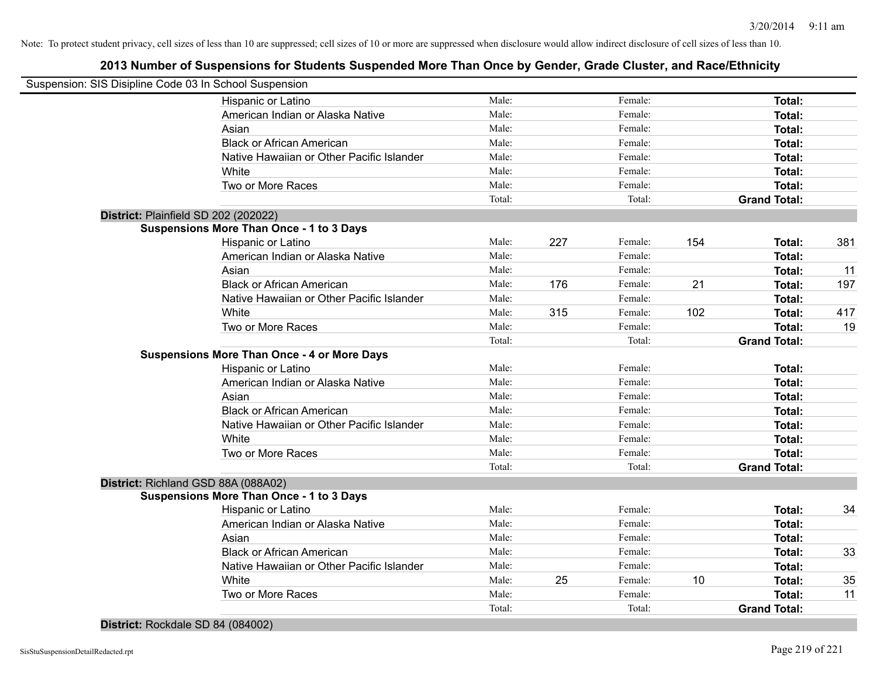## **2013 Number of Suspensions for Students Suspended More Than Once by Gender, Grade Cluster, and Race/Ethnicity**

| Suspension: SIS Disipline Code 03 In School Suspension |        |     |         |     |                     |     |
|--------------------------------------------------------|--------|-----|---------|-----|---------------------|-----|
| Hispanic or Latino                                     | Male:  |     | Female: |     | Total:              |     |
| American Indian or Alaska Native                       | Male:  |     | Female: |     | Total:              |     |
| Asian                                                  | Male:  |     | Female: |     | Total:              |     |
| <b>Black or African American</b>                       | Male:  |     | Female: |     | Total:              |     |
| Native Hawaiian or Other Pacific Islander              | Male:  |     | Female: |     | Total:              |     |
| White                                                  | Male:  |     | Female: |     | Total:              |     |
| Two or More Races                                      | Male:  |     | Female: |     | Total:              |     |
|                                                        | Total: |     | Total:  |     | <b>Grand Total:</b> |     |
| District: Plainfield SD 202 (202022)                   |        |     |         |     |                     |     |
| <b>Suspensions More Than Once - 1 to 3 Days</b>        |        |     |         |     |                     |     |
| Hispanic or Latino                                     | Male:  | 227 | Female: | 154 | Total:              | 381 |
| American Indian or Alaska Native                       | Male:  |     | Female: |     | Total:              |     |
| Asian                                                  | Male:  |     | Female: |     | Total:              | 11  |
| <b>Black or African American</b>                       | Male:  | 176 | Female: | 21  | Total:              | 197 |
| Native Hawaiian or Other Pacific Islander              | Male:  |     | Female: |     | Total:              |     |
| White                                                  | Male:  | 315 | Female: | 102 | Total:              | 417 |
| Two or More Races                                      | Male:  |     | Female: |     | Total:              | 19  |
|                                                        | Total: |     | Total:  |     | <b>Grand Total:</b> |     |
| <b>Suspensions More Than Once - 4 or More Days</b>     |        |     |         |     |                     |     |
| <b>Hispanic or Latino</b>                              | Male:  |     | Female: |     | Total:              |     |
| American Indian or Alaska Native                       | Male:  |     | Female: |     | Total:              |     |
| Asian                                                  | Male:  |     | Female: |     | Total:              |     |
| <b>Black or African American</b>                       | Male:  |     | Female: |     | Total:              |     |
| Native Hawaiian or Other Pacific Islander              | Male:  |     | Female: |     | Total:              |     |
| White                                                  | Male:  |     | Female: |     | Total:              |     |
| Two or More Races                                      | Male:  |     | Female: |     | Total:              |     |
|                                                        | Total: |     | Total:  |     | <b>Grand Total:</b> |     |
| District: Richland GSD 88A (088A02)                    |        |     |         |     |                     |     |
| <b>Suspensions More Than Once - 1 to 3 Days</b>        |        |     |         |     |                     |     |
| Hispanic or Latino                                     | Male:  |     | Female: |     | Total:              | 34  |
| American Indian or Alaska Native                       | Male:  |     | Female: |     | Total:              |     |
| Asian                                                  | Male:  |     | Female: |     | Total:              |     |
| <b>Black or African American</b>                       | Male:  |     | Female: |     | Total:              | 33  |
| Native Hawaiian or Other Pacific Islander              | Male:  |     | Female: |     | Total:              |     |
| White                                                  | Male:  | 25  | Female: | 10  | Total:              | 35  |
| Two or More Races                                      | Male:  |     | Female: |     | Total:              | 11  |
|                                                        | Total: |     | Total:  |     | <b>Grand Total:</b> |     |
|                                                        |        |     |         |     |                     |     |

**District:** Rockdale SD 84 (084002)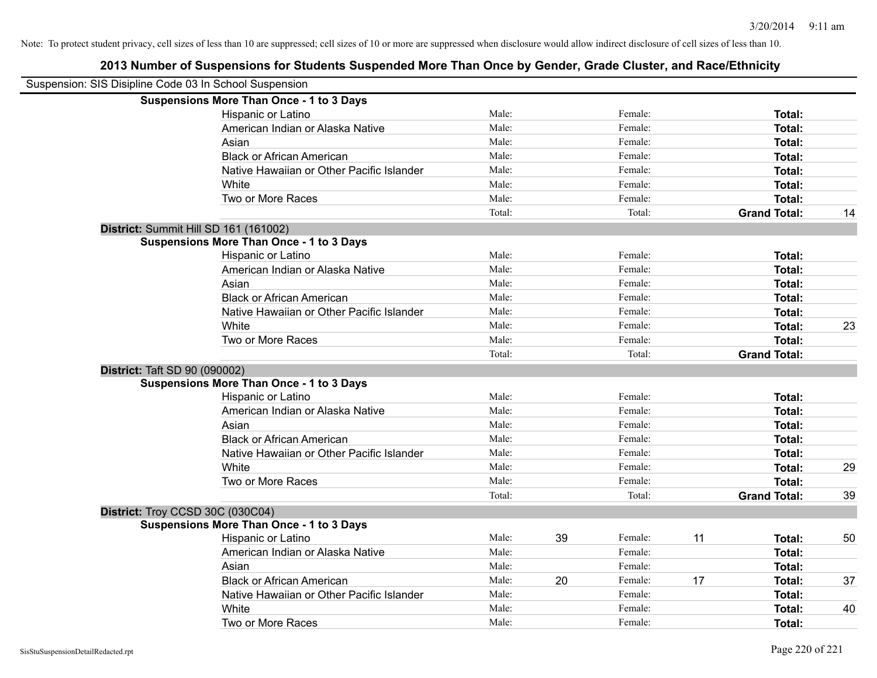## **2013 Number of Suspensions for Students Suspended More Than Once by Gender, Grade Cluster, and Race/Ethnicity**

| Suspension: SIS Disipline Code 03 In School Suspension |                                                 |        |    |         |    |                     |    |
|--------------------------------------------------------|-------------------------------------------------|--------|----|---------|----|---------------------|----|
|                                                        | <b>Suspensions More Than Once - 1 to 3 Days</b> |        |    |         |    |                     |    |
|                                                        | Hispanic or Latino                              | Male:  |    | Female: |    | Total:              |    |
|                                                        | American Indian or Alaska Native                | Male:  |    | Female: |    | Total:              |    |
|                                                        | Asian                                           | Male:  |    | Female: |    | Total:              |    |
|                                                        | <b>Black or African American</b>                | Male:  |    | Female: |    | Total:              |    |
|                                                        | Native Hawaiian or Other Pacific Islander       | Male:  |    | Female: |    | Total:              |    |
|                                                        | White                                           | Male:  |    | Female: |    | Total:              |    |
|                                                        | Two or More Races                               | Male:  |    | Female: |    | Total:              |    |
|                                                        |                                                 | Total: |    | Total:  |    | <b>Grand Total:</b> | 14 |
|                                                        | District: Summit Hill SD 161 (161002)           |        |    |         |    |                     |    |
|                                                        | <b>Suspensions More Than Once - 1 to 3 Days</b> |        |    |         |    |                     |    |
|                                                        | Hispanic or Latino                              | Male:  |    | Female: |    | Total:              |    |
|                                                        | American Indian or Alaska Native                | Male:  |    | Female: |    | Total:              |    |
|                                                        | Asian                                           | Male:  |    | Female: |    | Total:              |    |
|                                                        | <b>Black or African American</b>                | Male:  |    | Female: |    | Total:              |    |
|                                                        | Native Hawaiian or Other Pacific Islander       | Male:  |    | Female: |    | Total:              |    |
|                                                        | White                                           | Male:  |    | Female: |    | Total:              | 23 |
|                                                        | Two or More Races                               | Male:  |    | Female: |    | Total:              |    |
|                                                        |                                                 | Total: |    | Total:  |    | <b>Grand Total:</b> |    |
| District: Taft SD 90 (090002)                          |                                                 |        |    |         |    |                     |    |
|                                                        | <b>Suspensions More Than Once - 1 to 3 Days</b> |        |    |         |    |                     |    |
|                                                        | Hispanic or Latino                              | Male:  |    | Female: |    | Total:              |    |
|                                                        | American Indian or Alaska Native                | Male:  |    | Female: |    | Total:              |    |
|                                                        | Asian                                           | Male:  |    | Female: |    | Total:              |    |
|                                                        | <b>Black or African American</b>                | Male:  |    | Female: |    | Total:              |    |
|                                                        | Native Hawaiian or Other Pacific Islander       | Male:  |    | Female: |    | Total:              |    |
|                                                        | White                                           | Male:  |    | Female: |    | Total:              | 29 |
|                                                        | Two or More Races                               | Male:  |    | Female: |    | Total:              |    |
|                                                        |                                                 | Total: |    | Total:  |    | <b>Grand Total:</b> | 39 |
|                                                        | District: Troy CCSD 30C (030C04)                |        |    |         |    |                     |    |
|                                                        | <b>Suspensions More Than Once - 1 to 3 Days</b> |        |    |         |    |                     |    |
|                                                        | Hispanic or Latino                              | Male:  | 39 | Female: | 11 | Total:              | 50 |
|                                                        | American Indian or Alaska Native                | Male:  |    | Female: |    | Total:              |    |
|                                                        | Asian                                           | Male:  |    | Female: |    | Total:              |    |
|                                                        | <b>Black or African American</b>                | Male:  | 20 | Female: | 17 | Total:              | 37 |
|                                                        | Native Hawaiian or Other Pacific Islander       | Male:  |    | Female: |    | Total:              |    |
|                                                        | White                                           | Male:  |    | Female: |    | Total:              | 40 |
|                                                        | Two or More Races                               | Male:  |    | Female: |    | Total:              |    |